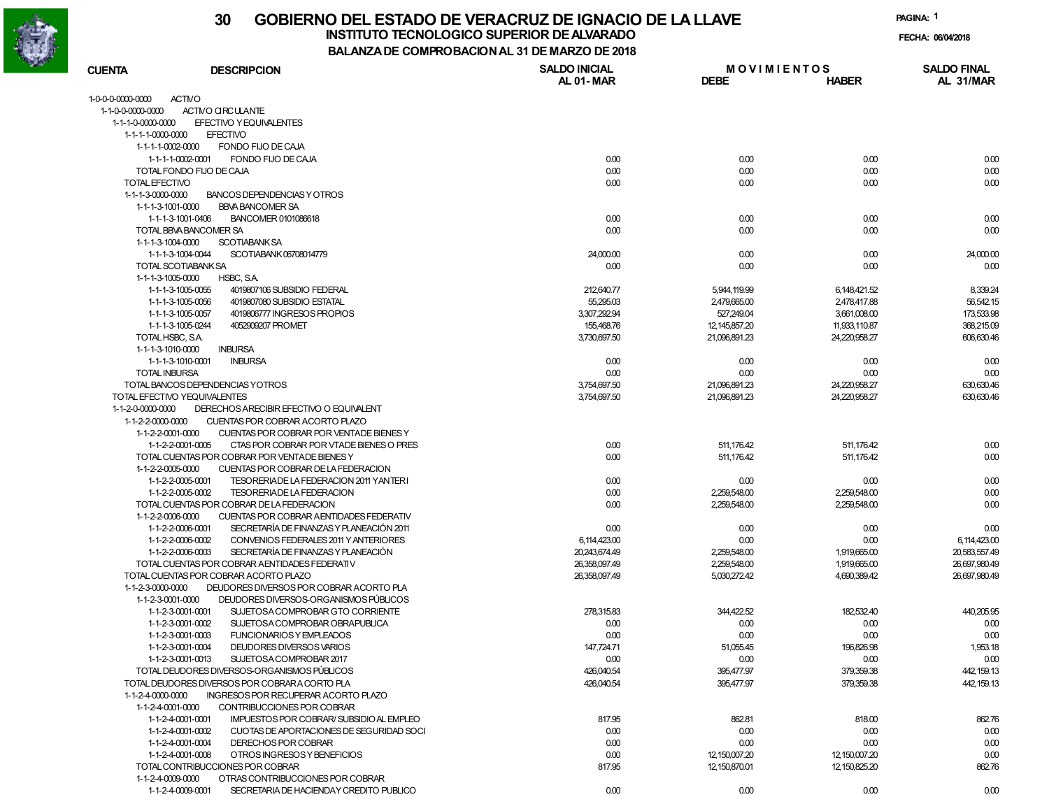

### **30 GOBIERNO DEL ESTADO DE VERACRUZ DE IGNACIO DE LA LLAVE**

**INSTITUTO TECNOLOGICO SUPERIOR DE ALVARADO**

**PAGINA:1**

**FECHA: 06/04/2018**

| BALANZA DE COMPROBACION AL 31 DE MARZO DE 2018 |                                                |                                   |                                   |                  |                                 |
|------------------------------------------------|------------------------------------------------|-----------------------------------|-----------------------------------|------------------|---------------------------------|
| <b>CUENTA</b>                                  | <b>DESCRIPCION</b>                             | <b>SALDO INICIAL</b><br>AL 01-MAR | <b>MOVIMIENTOS</b><br><b>DEBE</b> | <b>HABER</b>     | <b>SALDO FINAL</b><br>AL 31/MAR |
| <b>ACTMO</b><br>1-0-0-0-0000-0000              |                                                |                                   |                                   |                  |                                 |
| 1-1-0-0-0000-0000                              | ACTIVO CIRCULANTE                              |                                   |                                   |                  |                                 |
| 1-1-1-0-0000-0000                              | EFECTIVO Y EQUIVALENTES                        |                                   |                                   |                  |                                 |
| 1-1-1-1-0000-0000                              | <b>EFECTIVO</b>                                |                                   |                                   |                  |                                 |
| 1-1-1-1-0002-0000                              | FONDO FIJO DE CAJA                             |                                   |                                   |                  |                                 |
| 1-1-1-1-0002-0001                              | FONDO FIJO DE CAJA                             | 0.00                              | 0.00                              | 0.00             | 0.00                            |
|                                                | TOTAL FONDO FIJO DE CAJA                       | 0.00                              | 0.00                              | 0.00             | 0.00                            |
| <b>TOTAL EFECTIVO</b>                          |                                                | 0.00                              | 0.00                              | 0.00             | 0.00                            |
| 1-1-1-3-0000-0000                              | BANCOS DEPENDENCIAS Y OTROS                    |                                   |                                   |                  |                                 |
| 1-1-1-3-1001-0000                              | <b>BBVA BANCOMER SA</b>                        |                                   |                                   |                  |                                 |
| 1-1-1-3-1001-0406                              | BANCOMER 0101086618                            | 0.00                              | 0.00                              | 0.00             | 0.00                            |
|                                                | TOTAL BBVA BANCOMER SA                         | 0.00                              | 0.00                              | 0.00             | 0.00                            |
| 1-1-1-3-1004-0000                              | <b>SCOTIABANK SA</b>                           |                                   |                                   |                  |                                 |
| 1-1-1-3-1004-0044                              | SCOTIABANK 06708014779                         | 24,000.00                         | 0.00                              | 0.00             | 24,000.00                       |
| <b>TOTAL SCOTIABANK SA</b>                     |                                                | 0.00                              | 0.00                              | 0.00             | 0.00                            |
| 1-1-1-3-1005-0000                              | HSBC, S.A.                                     |                                   |                                   |                  |                                 |
| 1-1-1-3-1005-0055                              | 4019807106 SUBSIDIO FEDERAL                    | 212,640.77                        | 5,944,119.99                      | 6,148,421.52     | 8.339.24                        |
| 1-1-1-3-1005-0056                              | 4019807080 SUBSIDIO ESTATAL                    | 55,295.03                         | 2,479,665.00                      | 2,478,417.88     | 56,542.15                       |
| 1-1-1-3-1005-0057                              | 4019806777 INGRESOS PROPIOS                    | 3,307,292.94                      | 527,249.04                        | 3,661,008.00     | 173,533.98                      |
| 1-1-1-3-1005-0244                              | 4052909207 PROMET                              | 155,468.76                        | 12, 145, 857. 20                  | 11,933,110.87    | 368,215.09                      |
| TOTAL HSBC, S.A.                               |                                                | 3,730,697.50                      | 21,096,891.23                     | 24,220,958.27    | 606,630.46                      |
| 1-1-1-3-1010-0000                              | <b>INBURSA</b>                                 |                                   |                                   |                  |                                 |
| 1-1-1-3-1010-0001                              | <b>INBURSA</b>                                 | 0.00                              | 0.00                              | 0.00             | 0.00                            |
| <b>TOTAL INBURSA</b>                           |                                                | 0.00                              | 0.00                              | 0.00             | 0.00                            |
|                                                | TOTAL BANCOS DEPENDENCIAS YOTROS               | 3,754,697.50                      | 21.096.891.23                     | 24.220.958.27    | 630,630.46                      |
| TOTAL EFECTIVO YEQUIVALENTES                   |                                                | 3,754,697.50                      | 21,096,891.23                     | 24,220,958.27    | 630,630.46                      |
| 1-1-2-0-0000-0000                              | DERECHOS ARECIBIR EFECTIVO O EQUIVALENT        |                                   |                                   |                  |                                 |
| 1-1-2-2-0000-0000                              | CUENTAS POR COBRAR ACORTO PLAZO                |                                   |                                   |                  |                                 |
| 1-1-2-2-0001-0000                              | CUENTAS POR COBRAR POR VENTADE BIENES Y        |                                   |                                   |                  |                                 |
| 1-1-2-2-0001-0005                              | CTAS POR COBRAR POR VTADE BIENES O PRES        | 0.00                              | 511,176.42                        | 511, 176.42      | 0.00                            |
|                                                | TOTAL CUENTAS POR COBRAR POR VENTADE BIENES Y  | 0.00                              | 511,176.42                        | 511,176.42       | 0.00                            |
| 1-1-2-2-0005-0000                              | CUENTAS POR COBRAR DE LA FEDERACION            |                                   |                                   |                  |                                 |
| 1-1-2-2-0005-0001                              | TESORERIADE LA FEDERACION 2011 YANTERI         | 0.00                              | 0.00                              | 0.00             | 0.00                            |
| 1-1-2-2-0005-0002                              | <b>TESORERIADE LA FEDERACION</b>               | 0.00                              | 2,259,548.00                      | 2,259,548.00     | 0.00                            |
|                                                | TOTAL CUENTAS POR COBRAR DE LA FEDERACION      | 0.00                              | 2,259,548.00                      | 2,259,548.00     | 0.00                            |
| 1-1-2-2-0006-0000                              | CUENTAS POR COBRAR AENTIDADES FEDERATIV        |                                   |                                   |                  |                                 |
| 1-1-2-2-0006-0001                              | SECRETARÍA DE FINANZAS Y PLANEACIÓN 2011       | 0.00                              | 0.00                              | 0.00             | 0.00                            |
| 1-1-2-2-0006-0002                              | CONVENIOS FEDERALES 2011 Y ANTERIORES          | 6,114,423.00                      | 0.00                              | 0.00             | 6,114,423.00                    |
| 1-1-2-2-0006-0003                              | SECRETARÍA DE FINANZAS Y PLANEACIÓN            | 20,243,674.49                     | 2,259,548.00                      | 1,919,665.00     | 20,583,557.49                   |
|                                                | TOTAL CUENTAS POR COBRAR A ENTIDADES FEDERATIV | 26,358,097.49                     | 2,259,548.00                      | 1,919,665.00     | 26,697,980.49                   |
|                                                | TOTAL CUENTAS POR COBRAR ACORTO PLAZO          | 26,358,097.49                     | 5,030,272.42                      | 4.690.389.42     | 26,697,980.49                   |
| 1-1-2-3-0000-0000                              | DEUDORES DIVERSOS POR COBRAR ACORTO PLA        |                                   |                                   |                  |                                 |
| 1-1-2-3-0001-0000                              | DEUDORES DIVERSOS-ORGANISMOS PÚBLICOS          |                                   |                                   |                  |                                 |
| 1-1-2-3-0001-0001                              | SUJETOSA COMPROBAR GTO CORRIENTE               | 278,315.83                        | 344.422.52                        | 182.532.40       | 440.205.95                      |
| 1-1-2-3-0001-0002                              | SUJETOSA COMPROBAR OBRAPUBLICA                 | 0.00                              | 0.00                              | 0.00             | 0.00                            |
| 1-1-2-3-0001-0003                              | <b>FUNCIONARIOS Y EMPLEADOS</b>                | 0.00                              | 0.00                              | 0.00             | 0.00                            |
| 1-1-2-3-0001-0004                              | DEUDORES DIVERSOS VARIOS                       | 147,724.71                        | 51,055.45                         | 196,826.98       | 1,953.18                        |
| 1-1-2-3-0001-0013                              | SUJETOSA COMPROBAR 2017                        | 0.00                              | 0.00                              | 0.00             | 0.00                            |
|                                                | TOTAL DEUDORES DIVERSOS-ORGANISMOS PÚBLICOS    | 426,040.54                        | 395,477.97                        | 379,359.38       | 442, 159.13                     |
|                                                | TOTAL DEUDORES DIVERSOS POR COBRARA CORTO PLA  | 426,040.54                        | 395,477.97                        | 379,359.38       | 442, 159.13                     |
| 1-1-2-4-0000-0000                              | INGRESOS POR RECUPERAR ACORTO PLAZO            |                                   |                                   |                  |                                 |
| 1-1-2-4-0001-0000                              | CONTRIBUCCIONES POR COBRAR                     |                                   |                                   |                  |                                 |
| 1-1-2-4-0001-0001                              | IMPUESTOS POR COBRAR/SUBSIDIO AL EMPLEO        | 817.95                            | 862.81                            | 818.00           | 862.76                          |
| 1-1-2-4-0001-0002                              | CUOTAS DE APORTACIONES DE SEGURIDAD SOCI       | 0.00                              | 0.00                              | 0.00             | 0.00                            |
| 1-1-2-4-0001-0004                              | DERECHOS POR COBRAR                            | 0.00                              | 0.00                              | 0.00             | 0.00                            |
| 1-1-2-4-0001-0008                              | OTROS INGRESOS Y BENEFICIOS                    | 0.00                              | 12, 150, 007. 20                  | 12,150,007.20    | 0.00                            |
|                                                | TOTAL CONTRIBUCCIONES POR COBRAR               | 817.95                            | 12, 150, 870.01                   | 12, 150, 825. 20 | 862.76                          |
| 1-1-2-4-0009-0000                              | OTRAS CONTRIBUCCIONES POR COBRAR               |                                   |                                   |                  |                                 |
| 1-1-2-4-0009-0001                              | SECRETARIA DE HACIENDAY CREDITO PUBLICO        | 0.00                              | 0.00                              | 0.00             | 0.00                            |
|                                                |                                                |                                   |                                   |                  |                                 |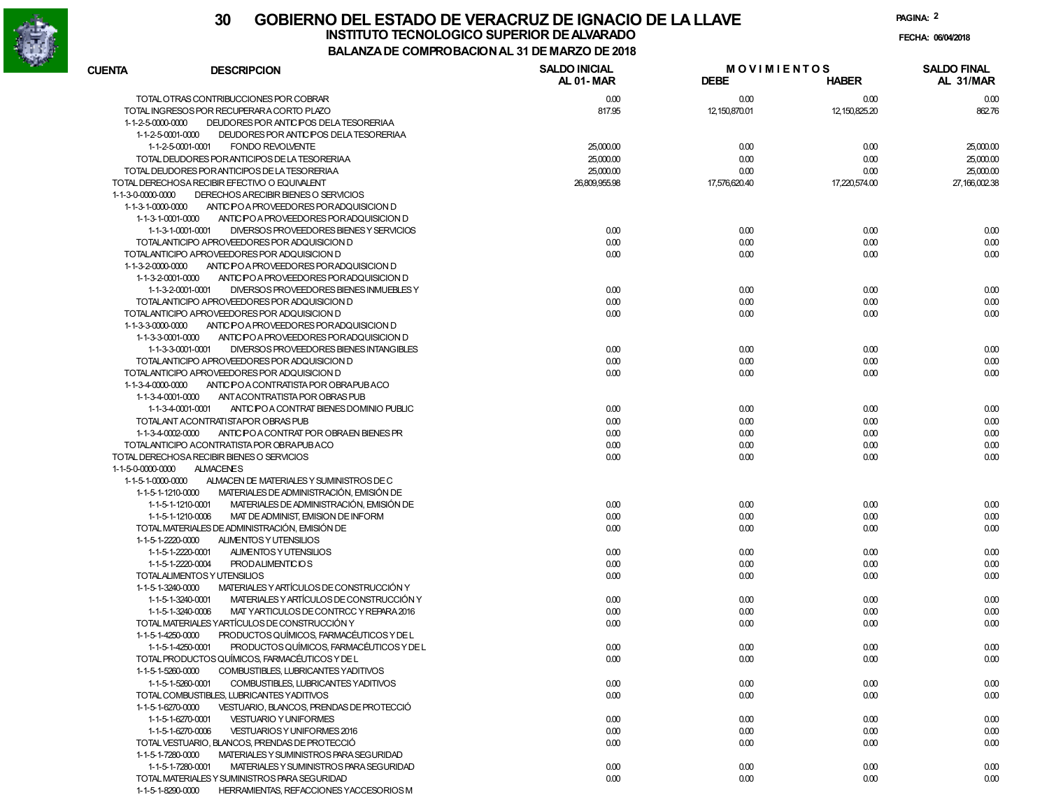

**PAGINA:2**

**FECHA:**

| <b>CUENTA</b>                          | <b>DESCRIPCION</b>                                                                  | <b>SALDO INICIAL</b><br>AL 01-MAR | <b>MOVIMIENTOS</b><br><b>DEBE</b> |                  | <b>SALDO FINAL</b><br>AL 31/MAR |
|----------------------------------------|-------------------------------------------------------------------------------------|-----------------------------------|-----------------------------------|------------------|---------------------------------|
|                                        |                                                                                     |                                   |                                   | <b>HABER</b>     |                                 |
|                                        | TOTAL OTRAS CONTRIBUCCIONES POR COBRAR                                              | 0.00                              | 0.00                              | 0.00             | 0.00                            |
|                                        | TOTAL INGRESOS POR RECUPERARA CORTO PLAZO                                           | 817.95                            | 12, 150, 870.01                   | 12, 150, 825. 20 | 862.76                          |
| 1-1-2-5-0000-0000                      | DEUDORES POR ANTIC POS DELA TESORERIAA                                              |                                   |                                   |                  |                                 |
| 1-1-2-5-0001-0000                      | DEUDORES POR ANTIC POS DELA TESORERIAA                                              |                                   |                                   |                  |                                 |
|                                        | 1-1-2-5-0001-0001<br><b>FONDO REVOLVENTE</b>                                        | 25,000.00                         | 0.00                              | 0.00             | 25,000.00                       |
|                                        | TOTAL DEUDORES POR ANTICIPOS DE LA TESORERIAA                                       | 25,000.00                         | 0.00                              | 0.00             | 25,000.00                       |
|                                        | TOTAL DEUDORES POR ANTICIPOS DE LA TESORERIAA                                       | 25,000.00                         | 0.00                              | 0.00             | 25,000.00                       |
|                                        | TOTAL DERECHOSA RECIBIR EFECTIVO O EQUIVALENT                                       | 26,809,955.98                     | 17,576,620.40                     | 17,220,574.00    | 27,166,002.38                   |
| 1-1-3-0-0000-0000<br>1-1-3-1-0000-0000 | DERECHOS ARECIBIR BIENES O SERVICIOS                                                |                                   |                                   |                  |                                 |
| 1-1-3-1-0001-0000                      | ANTIC PO A PROVEEDORES PORADQUISICION D<br>ANTIC PO A PROVEEDORES POR ADQUISICION D |                                   |                                   |                  |                                 |
|                                        | DIVERSOS PROVEEDORES BIENES Y SERVICIOS<br>1-1-3-1-0001-0001                        | 0.00                              | 0.00                              | 0.00             | 0.00                            |
|                                        | TOTALANTICIPO APROVEEDORES POR ADQUISICION D                                        | 0.00                              | 0.00                              | 0.00             | 0.00                            |
|                                        | TOTALANTICIPO APROVEEDORES POR ADQUISICION D                                        | 0.00                              | 0.00                              | 0.00             | 0.00                            |
| 1-1-3-2-0000-0000                      | ANTIC PO A PROVEEDORES POR ADQUISICION D                                            |                                   |                                   |                  |                                 |
| 1-1-3-2-0001-0000                      | ANTIC PO A PROVEEDORES POR ADQUISICION D                                            |                                   |                                   |                  |                                 |
|                                        | 1-1-3-2-0001-0001<br>DIVERSOS PROVEEDORES BIENES INMUEBLES Y                        | 0.00                              | 0.00                              | 0.00             | 0.00                            |
|                                        | TOTALANTICIPO APROVEEDORES POR ADQUISICION D                                        | 0.00                              | 0.00                              | 0.00             | 0.00                            |
|                                        | TOTALANTICIPO APROVEEDORES POR ADQUISICION D                                        | 0.00                              | 0.00                              | 0.00             | 0.00                            |
| 1-1-3-3-0000-0000                      | ANTIC PO A PROVEEDORES POR ADQUISICION D                                            |                                   |                                   |                  |                                 |
| 1-1-3-3-0001-0000                      | ANTIC PO A PROVEEDORES POR ADQUISICION D                                            |                                   |                                   |                  |                                 |
|                                        | DIVERSOS PROVEEDORES BIENES INTANGIBLES<br>1-1-3-3-0001-0001                        | 0.00                              | 0.00                              | 0.00             | 0.00                            |
|                                        | TOTALANTICIPO APROVEEDORES POR ADQUISICION D                                        | 0.00                              | 0.00                              | 0.00             | 0.00                            |
|                                        | TOTALANTICIPO APROVEEDORES POR ADQUISICION D                                        | 0.00                              | 0.00                              | 0.00             | 0.00                            |
| 1-1-3-4-0000-0000                      | ANTIC PO A CONTRATISTA POR OBRAPUBACO                                               |                                   |                                   |                  |                                 |
| 1-1-3-4-0001-0000                      | ANTACONTRATISTA POR OBRAS PUB                                                       |                                   |                                   |                  |                                 |
|                                        | ANTIC PO A CONTRAT BIENES DOMINIO PUBLIC<br>1-1-3-4-0001-0001                       | 0.00                              | 0.00                              | 0.00             | 0.00                            |
|                                        | TOTALANT ACONTRATISTAPOR OBRAS PUB                                                  | 0.00                              | 0.00                              | 0.00             | 0.00                            |
| 1-1-3-4-0002-0000                      | ANTIC POA CONTRAT POR OBRAEN BIENES PR                                              | 0.00                              | 0.00                              | 0.00             | 0.00                            |
|                                        | TOTALANTICIPO ACONTRATISTA POR OBRAPUBACO                                           | 0.00                              | 0.00                              | 0.00             | 0.00                            |
|                                        | TOTAL DERECHOSA RECIBIR BIENES O SERVICIOS                                          | 0.00                              | 0.00                              | 0.00             | 0.00                            |
| 1-1-5-0-0000-0000                      | <b>ALMACENES</b>                                                                    |                                   |                                   |                  |                                 |
| 1-1-5-1-0000-0000                      | ALMACEN DE MATERIALES Y SUMINISTROS DE C                                            |                                   |                                   |                  |                                 |
| 1-1-5-1-1210-0000                      | MATERIALES DE ADMINISTRACIÓN, EMISIÓN DE                                            |                                   |                                   |                  |                                 |
|                                        | 1-1-5-1-1210-0001<br>MATERIALES DE ADMINISTRACIÓN, EMISIÓN DE                       | 0.00                              | 0.00                              | 0.00             | 0.00                            |
|                                        | 1-1-5-1-1210-0006<br>MAT DE ADMINIST, EMISION DE INFORM                             | 0.00                              | 0.00                              | 0.00             | 0.00                            |
|                                        | TOTAL MATERIALES DE ADMINISTRACIÓN, EMISIÓN DE                                      | 0.00                              | 0.00                              | 0.00             | 0.00                            |
| 1-1-5-1-2220-0000                      | ALIMENTOS Y UTENSILIOS                                                              |                                   |                                   |                  |                                 |
|                                        | 1-1-5-1-2220-0001<br>ALIMENTOS Y UTENSILIOS                                         | 0.00                              | 0.00                              | 0.00             | 0.00                            |
|                                        | 1-1-5-1-2220-0004<br><b>PRODALIMENTICIOS</b>                                        | 0.00                              | 0.00                              | 0.00             | 0.00                            |
|                                        | TOTAL ALIMENTOS Y UTENSILIOS                                                        | 0.00                              | 0.00                              | 0.00             | 0.00                            |
| 1-1-5-1-3240-0000                      | MATERIALES Y ARTÍCULOS DE CONSTRUCCIÓN Y                                            |                                   |                                   |                  |                                 |
|                                        | MATERIALES Y ARTÍCULOS DE CONSTRUCCIÓN Y<br>1-1-5-1-3240-0001                       | 0.00                              | 0.00                              | 0.00             | 0.00                            |
|                                        | 1-1-5-1-3240-0006<br>MAT YARTICULOS DE CONTRCC Y REPARA 2016                        | 0.00                              | 0.00                              | 0.00             | 0.00                            |
|                                        | TOTAL MATERIALES YARTÍCULOS DE CONSTRUCCIÓN Y                                       | 0.00                              | 0.00                              | 0.00             | 0.00                            |
| 1-1-5-1-4250-0000                      | PRODUCTOS QUÍMICOS, FARMACÉUTICOS Y DE L                                            |                                   |                                   |                  |                                 |
|                                        | PRODUCTOS QUÍMICOS, FARMACÉUTICOS Y DE L<br>1-1-5-1-4250-0001                       | 0.00                              | 0.00                              | 0.00             | 0.00                            |
|                                        | TOTAL PRODUCTOS QUIMICOS, FARMACEUTICOS Y DE L                                      | 0.00                              | 0.00                              | 0.00             | 0.00                            |
| 1-1-5-1-5260-0000                      | COMBUSTIBLES, LUBRICANTES YADITIVOS                                                 |                                   |                                   |                  |                                 |
|                                        | 1-1-5-1-5260-0001<br>COMBUSTIBLES, LUBRICANTES YADITIVOS                            | 0.00                              | 0.00                              | 0.00             | 0.00                            |
|                                        | TOTAL COMBUSTIBLES, LUBRICANTES YADITIVOS                                           | 0.00                              | 0.00                              | 0.00             | 0.00                            |
| 1-1-5-1-6270-0000                      | VESTUARIO. BLANCOS. PRENDAS DE PROTECCIÓ                                            |                                   |                                   |                  |                                 |
|                                        | 1-1-5-1-6270-0001<br><b>VESTUARIO Y UNIFORMES</b>                                   | 0.00                              | 0.00                              | 0.00             | 0.00                            |
|                                        | 1-1-5-1-6270-0006<br>VESTUARIOS Y UNIFORMES 2016                                    | 0.00                              | 0.00                              | 0.00             | 0.00                            |
|                                        | TOTAL VESTUARIO, BLANCOS, PRENDAS DE PROTECCIÓ                                      | 0.00                              | 0.00                              | 0.00             | 0.00                            |
| 1-1-5-1-7280-0000                      | MATERIALES Y SUMINISTROS PARA SEGURIDAD                                             |                                   |                                   |                  |                                 |
|                                        | 1-1-5-1-7280-0001<br>MATERIALES Y SUMINISTROS PARA SEGURIDAD                        | 0.00                              | 0.00                              | 0.00             | 0.00                            |
|                                        | TOTAL MATERIALES Y SUMINISTROS PARA SEGURIDAD                                       | 0.00                              | 0.00                              | 0.00             | 0.00                            |
| 1-1-5-1-8290-0000                      | HERRAMIENTAS, REFACCIONES YACCESORIOS M                                             |                                   |                                   |                  |                                 |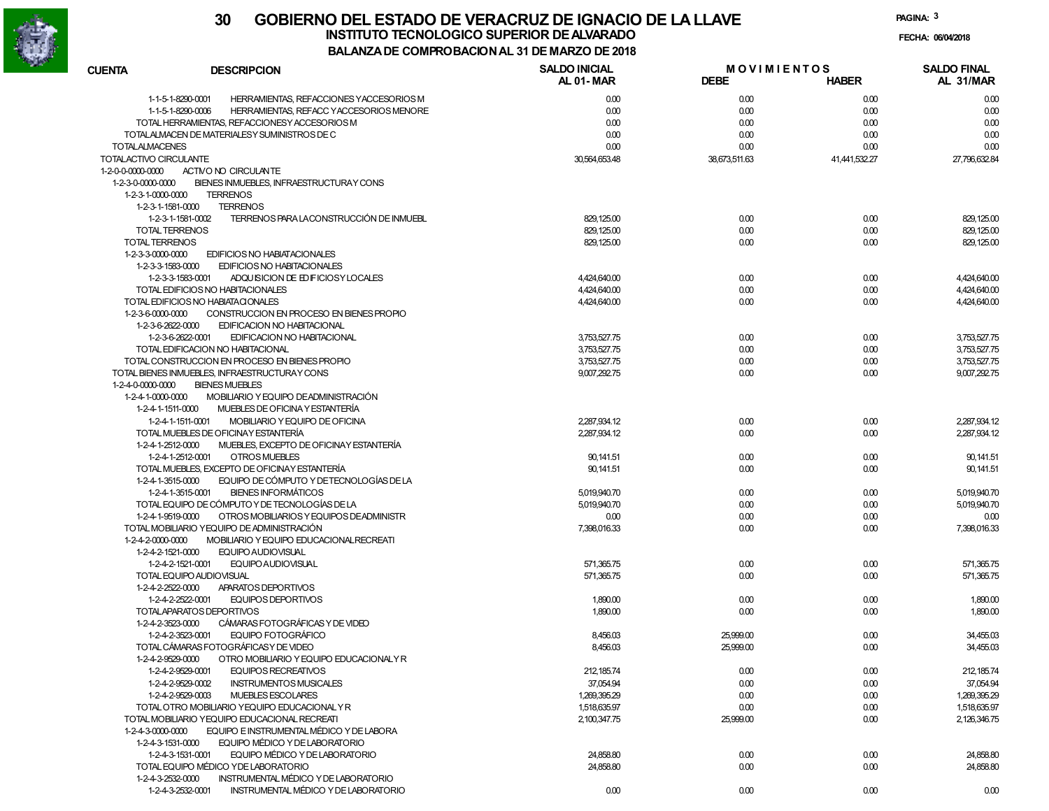

**PAGINA:3**

**FECHA:**

| <b>CUENTA</b>          | <b>DESCRIPCION</b>                                            | <b>SALDO INICIAL</b><br>AL 01-MAR | <b>MOVIMIENTOS</b><br><b>DEBE</b> | <b>HABER</b>  | <b>SALDO FINAL</b><br>AL 31/MAR |
|------------------------|---------------------------------------------------------------|-----------------------------------|-----------------------------------|---------------|---------------------------------|
|                        | 1-1-5-1-8290-0001<br>HERRAMIENTAS, REFACCIONES YACCESORIOS M  | 0.00                              | 0.00                              | 0.00          | 0.00                            |
|                        | 1-1-5-1-8290-0006<br>HERRAMIENTAS, REFACC Y ACCESORIOS MENORE | 0.00                              | 0.00                              | 0.00          | 0.00                            |
|                        | TOTAL HERRAMIENTAS, REFACCIONESY ACCESORIOS M                 | 0.00                              | 0.00                              | 0.00          | 0.00                            |
|                        | TOTALALMACEN DE MATERIALESY SUMINISTROS DE C                  | 0.00                              | 0.00                              | 0.00          | 0.00                            |
| <b>TOTALALMACENES</b>  |                                                               | 0.00                              | 0.00                              | 0.00          | 0.00                            |
| TOTALACTIVO CIRCULANTE |                                                               | 30,564,653.48                     | 38,673,511.63                     | 41,441,532.27 | 27,796,632.84                   |
| 1-2-0-0-0000-0000      | ACTIVO NO CIRCULANTE                                          |                                   |                                   |               |                                 |
| 1-2-3-0-0000-0000      | BIENES INMUEBLES, INFRAESTRUCTURAY CONS                       |                                   |                                   |               |                                 |
| 1-2-3-1-0000-0000      | <b>TERRENOS</b>                                               |                                   |                                   |               |                                 |
| 1-2-3-1-1581-0000      | <b>TERRENOS</b>                                               |                                   |                                   |               |                                 |
|                        | TERRENOS PARA LACONSTRUCCIÓN DE INMUEBL<br>1-2-3-1-1581-0002  | 829, 125.00                       | 0.00                              | 0.00          | 829,125.00                      |
| <b>TOTAL TERRENOS</b>  |                                                               | 829, 125.00                       | 0.00                              | 0.00          | 829,125.00                      |
| <b>TOTAL TERRENOS</b>  |                                                               | 829, 125.00                       | 0.00                              | 0.00          | 829,125.00                      |
| 1-2-3-3-0000-0000      | EDIFICIOS NO HABIATACIONALES                                  |                                   |                                   |               |                                 |
| 1-2-3-3-1583-0000      | EDIFICIOS NO HABITACIONALES                                   |                                   |                                   |               |                                 |
|                        | 1-2-3-3-1583-0001<br>ADQUISICION DE ED FICIOSY LOCALES        | 4,424,640.00                      | 0.00                              | 0.00          | 4,424,640.00                    |
|                        | TOTAL EDIFICIOS NO HABITACIONALES                             | 4,424,640.00                      | 0.00                              | 0.00          | 4,424,640.00                    |
|                        | TOTAL EDIFICIOS NO HABIATACIONALES                            | 4,424,640.00                      | 0.00                              | 0.00          | 4,424,640.00                    |
| 1-2-3-6-0000-0000      | CONSTRUCCION EN PROCESO EN BIENES PROPIO                      |                                   |                                   |               |                                 |
| 1-2-3-6-2622-0000      |                                                               |                                   |                                   |               |                                 |
|                        | EDIFICACION NO HABITACIONAL                                   |                                   |                                   |               |                                 |
|                        | 1-2-3-6-2622-0001<br>EDIFICACION NO HABITACIONAL              | 3,753,527.75                      | 0.00                              | 0.00          | 3,753,527.75                    |
|                        | TOTAL EDIFICACION NO HABITACIONAL                             | 3,753,527.75                      | 0.00                              | 0.00          | 3,753,527.75                    |
|                        | TOTAL CONSTRUCCION EN PROCESO EN BIENES PROPIO                | 3,753,527.75                      | 0.00                              | 0.00          | 3,753,527.75                    |
|                        | TOTAL BIENES INMUEBLES, INFRAESTRUCTURAY CONS                 | 9,007,292.75                      | 0.00                              | 0.00          | 9,007,292.75                    |
| 1-2-4-0-0000-0000      | <b>BIENES MUEBLES</b>                                         |                                   |                                   |               |                                 |
| 1-2-4-1-0000-0000      | MOBILIARIO Y EQUIPO DEADMINISTRACIÓN                          |                                   |                                   |               |                                 |
| 1-2-4-1-1511-0000      | MUEBLES DE OFICINA Y ESTANTERÍA                               |                                   |                                   |               |                                 |
|                        | MOBILIARIO Y EQUIPO DE OFICINA<br>1-2-4-1-1511-0001           | 2,287,934.12                      | 0.00                              | 0.00          | 2,287,934.12                    |
|                        | TOTAL MUEBLES DE OFICINAY ESTANTERÍA                          | 2,287,934.12                      | 0.00                              | 0.00          | 2,287,934.12                    |
| 1-2-4-1-2512-0000      | MUEBLES, EXCEPTO DE OFICINAY ESTANTERÍA                       |                                   |                                   |               |                                 |
|                        | 1-2-4-1-2512-0001<br>OTROS MUEBLES                            | 90, 141.51                        | 0.00                              | 0.00          | 90, 141.51                      |
|                        | TOTAL MUEBLES, EXCEPTO DE OFICINAY ESTANTERÍA                 | 90, 141.51                        | 0.00                              | 0.00          | 90, 141.51                      |
| 1-2-4-1-3515-0000      | EQUIPO DE CÓMPUTO Y DETECNOLOGÍAS DE LA                       |                                   |                                   |               |                                 |
|                        | <b>BIENES INFORMÁTICOS</b><br>1-2-4-1-3515-0001               | 5,019,940.70                      | 0.00                              | 0.00          | 5,019,940.70                    |
|                        | TOTAL EQUIPO DE CÓMPUTO Y DE TECNOLOGÍAS DE LA                | 5,019,940.70                      | 0.00                              | 0.00          | 5,019,940.70                    |
| 1-2-4-1-9519-0000      | OTROS MOBILIARIOS Y EQUIPOS DEADMINISTR                       | 0.00                              | 0.00                              | 0.00          | 0.00                            |
|                        | TOTAL MOBILIARIO YEQUIPO DE ADMINISTRACIÓN                    | 7,398,016.33                      | 0.00                              | 0.00          | 7,398,016.33                    |
| 1-2-4-2-0000-0000      | MOBILIARIO Y EQUIPO EDUCACIONAL RECREATI                      |                                   |                                   |               |                                 |
| 1-2-4-2-1521-0000      | <b>EQUIPO AUDIOVISUAL</b>                                     |                                   |                                   |               |                                 |
|                        | EQUIPO AUDIOVISUAL<br>1-2-4-2-1521-0001                       | 571,365.75                        | 0.00                              | 0.00          | 571,365.75                      |
|                        | TOTAL EQUIPO AUDIOVISUAL                                      | 571,365.75                        | 0.00                              | 0.00          | 571,365.75                      |
| 1-2-4-2-2522-0000      | APARATOS DEPORTIVOS                                           |                                   |                                   |               |                                 |
|                        | 1-2-4-2-2522-0001<br>EQUIPOS DEPORTIVOS                       | 1,890.00                          | 0.00                              | 0.00          | 1,890.00                        |
|                        | TOTALAPARATOS DEPORTIVOS                                      | 1,890.00                          | 0.00                              | 0.00          | 1,890.00                        |
| 1-2-4-2-3523-0000      | CÁMARAS FOTOGRÁFICAS Y DE VIDEO                               |                                   |                                   |               |                                 |
|                        | 1-2-4-2-3523-0001<br>EQUIPO FOTOGRÁFICO                       | 8,456.03                          | 25,999.00                         | 0.00          | 34,455.03                       |
|                        | TOTAL CÁMARAS FOTOGRÁFICAS Y DE VIDEO                         | 8,456.03                          | 25,999.00                         | 0.00          | 34,455.03                       |
| 1-2-4-2-9529-0000      | OTRO MOBILIARIO Y EQUIPO EDUCACIONALY R                       |                                   |                                   |               |                                 |
|                        | 1-2-4-2-9529-0001<br>EQUIPOS RECREATIVOS                      | 212, 185.74                       | 0.00                              | 0.00          | 212, 185.74                     |
|                        | 1-2-4-2-9529-0002<br><b>INSTRUMENTOS MUSICALES</b>            | 37,054.94                         | 0.00                              | 0.00          | 37,054.94                       |
|                        | 1-2-4-2-9529-0003<br><b>MUEBLES ESCOLARES</b>                 | 1,269,395.29                      | 0.00                              | 0.00          | 1,269,395.29                    |
|                        | TOTAL OTRO MOBILIARIO YEQUIPO EDUCACIONAL Y R                 | 1,518,635.97                      | 0.00                              | 0.00          | 1,518,635.97                    |
|                        | TOTAL MOBILIARIO YEQUIPO EDUCACIONAL RECREATI                 | 2,100,347.75                      | 25,999.00                         | 0.00          | 2,126,346.75                    |
| 1-2-4-3-0000-0000      | EQUIPO E INSTRUMENTAL MÉDICO Y DE LABORA                      |                                   |                                   |               |                                 |
| 1-2-4-3-1531-0000      | EQUIPO MÉDICO Y DE LABORATORIO                                |                                   |                                   |               |                                 |
|                        | EQUIPO MÉDICO Y DE LABORATORIO<br>1-2-4-3-1531-0001           | 24,858.80                         | 0.00                              | 0.00          | 24,858.80                       |
|                        | TOTAL EQUIPO MÉDICO Y DE LABORATORIO                          | 24,858.80                         | 0.00                              | 0.00          | 24,858.80                       |
| 1-2-4-3-2532-0000      | INSTRUMENTAL MÉDICO Y DE LABORATORIO                          |                                   |                                   |               |                                 |
|                        |                                                               |                                   |                                   |               |                                 |
|                        | 1-2-4-3-2532-0001<br>INSTRUMENTAL MÉDICO Y DE LABORATORIO     | 0.00                              | 0.00                              | 0.00          | 0.00                            |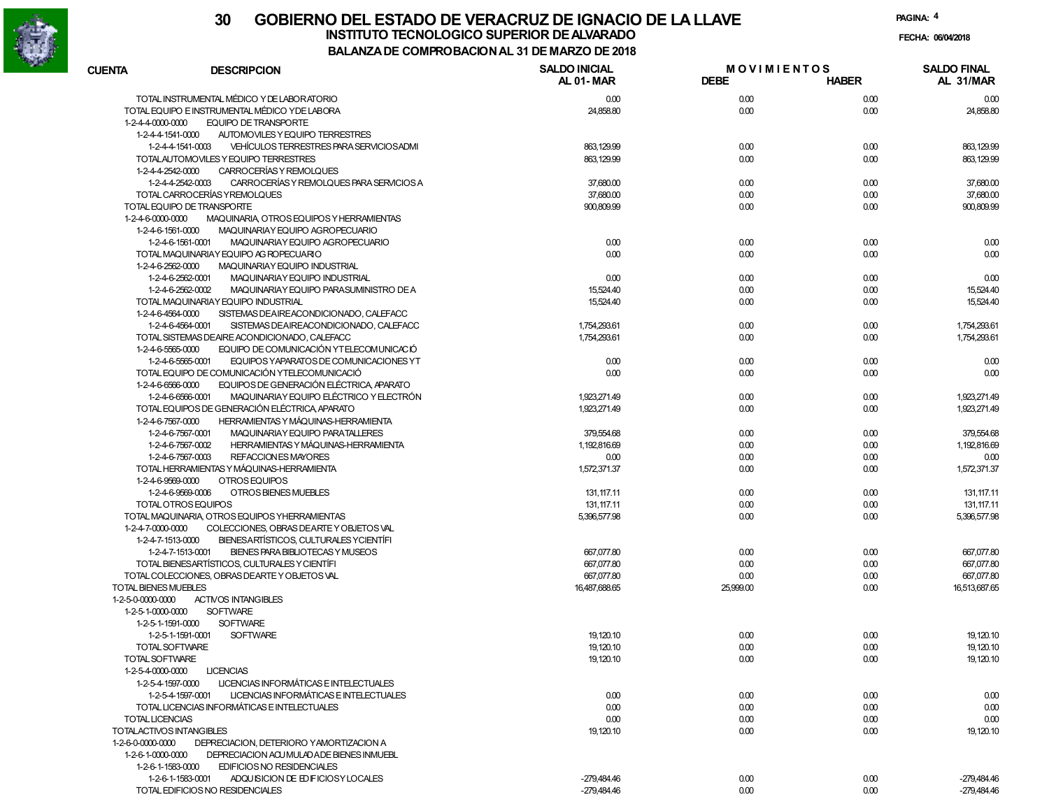

| <b>CUENTA</b>                 | <b>DESCRIPCION</b>                                            | <b>SALDO INICIAL</b><br>AL 01-MAR | <b>MOVIMIENTOS</b><br><b>DEBE</b> | <b>HABER</b> | <b>SALDO FINAL</b><br>AL 31/MAR |
|-------------------------------|---------------------------------------------------------------|-----------------------------------|-----------------------------------|--------------|---------------------------------|
|                               | TOTAL INSTRUMENTAL MÉDICO Y DE LABORATORIO                    | 0.00                              | 0.00                              | 0.00         | 0.00                            |
|                               | TOTAL EQUIPO E INSTRUMENTAL MÉDICO YDE LABORA                 | 24,858.80                         | 0.00                              | 0.00         | 24,858.80                       |
| 1-2-4-4-0000-0000             | <b>EQUIPO DE TRANSPORTE</b>                                   |                                   |                                   |              |                                 |
| 1-2-4-4-1541-0000             | AUTOMOVILES Y EQUIPO TERRESTRES                               |                                   |                                   |              |                                 |
|                               | VEHÍCULOS TERRESTRES PARA SERVICIOS ADMI<br>1-2-4-4-1541-0003 | 863, 129.99                       | 0.00                              | 0.00         | 863, 129.99                     |
|                               | TOTALAUTOMOVILES Y EQUIPO TERRESTRES                          | 863, 129.99                       | 0.00                              | 0.00         | 863.129.99                      |
| 1-2-4-4-2542-0000             | CARROCERÍAS Y REMOLQUES                                       |                                   |                                   |              |                                 |
|                               | CARROCERÍAS Y REMOLQUES PARA SERVICIOS A<br>1-2-4-4-2542-0003 | 37,680.00                         | 0.00                              | 0.00         | 37,680.00                       |
|                               | TOTAL CARROCERÍAS Y REMOLQUES                                 | 37,680.00                         | 0.00                              | 0.00         | 37,680.00                       |
|                               | TOTAL EQUIPO DE TRANSPORTE                                    | 900,809.99                        | 0.00                              | 0.00         | 900,809.99                      |
| 1-2-4-6-0000-0000             | MAQUINARIA, OTROS EQUIPOS Y HERRAMIENTAS                      |                                   |                                   |              |                                 |
| 1-2-4-6-1561-0000             | MAQUINARIAY EQUIPO AGROPECUARIO                               |                                   |                                   |              |                                 |
|                               | 1-2-4-6-1561-0001<br>MAQUINARIAY EQUIPO AGROPECUARIO          | 0.00                              | 0.00                              | 0.00         | 0.00                            |
|                               | TOTAL MAQUINARIAY EQUIPO AG ROPECUARIO                        | 0.00                              | 0.00                              | 0.00         | 0.00                            |
| 1-2-4-6-2562-0000             | MAQUINARIAY EQUIPO INDUSTRIAL                                 |                                   |                                   |              |                                 |
|                               | 1-2-4-6-2562-0001<br>MAQUINARIAY EQUIPO INDUSTRIAL            | 0.00                              | 0.00                              | 0.00         | 0.00                            |
|                               | 1-2-4-6-2562-0002<br>MAQUINARIAY EQUIPO PARASUMINISTRO DE A   | 15,524.40                         | 0.00                              | 0.00         | 15,524.40                       |
|                               | TOTAL MAQUINARIAY EQUIPO INDUSTRIAL                           | 15,524.40                         | 0.00                              | 0.00         | 15,524.40                       |
| 1-2-4-6-4564-0000             | SISTEMAS DEAIREACONDICIONADO, CALEFACC                        |                                   |                                   |              |                                 |
|                               | 1-2-4-6-4564-0001<br>SISTEMAS DEAIREACONDICIONADO, CALEFACC   | 1,754,293.61                      | 0.00                              | 0.00         | 1,754,293.61                    |
|                               | TOTAL SISTEMAS DEAIRE ACONDICIONADO, CALEFACC                 | 1,754,293.61                      | 0.00                              | 0.00         | 1,754,293.61                    |
| 1-2-4-6-5565-0000             | EQUIPO DE COMUNICACIÓN YTELECOMUNICACIÓ                       |                                   |                                   |              |                                 |
|                               | EQUIPOS YAPARATOS DE COMUNICACIONES YT<br>1-2-4-6-5565-0001   | 0.00                              | 0.00                              | 0.00         | 0.00                            |
|                               | TOTAL EQUIPO DE COMUNICACIÓN YTELECOMUNICACIÓ                 | 0.00                              | 0.00                              | 0.00         | 0.00                            |
| 1-2-4-6-6566-0000             | EQUIPOS DE GENERACIÓN ELÉCTRICA, APARATO                      |                                   |                                   |              |                                 |
|                               | MAQUINARIAY EQUIPO ELÉCTRICO Y ELECTRÓN<br>1-2-4-6-6566-0001  | 1,923,271.49                      | 0.00                              | 0.00         | 1,923,271.49                    |
|                               | TOTAL EQUIPOS DE GENERACIÓN ELÉCTRICA, APARATO                | 1,923,271.49                      | 0.00                              | 0.00         | 1,923,271.49                    |
| 1-2-4-6-7567-0000             | HERRAMIENTAS Y MÁQUINAS-HERRAMIENTA                           |                                   |                                   |              |                                 |
|                               | MAQUINARIAY EQUIPO PARATALLERES<br>1-2-4-6-7567-0001          | 379,554.68                        | 0.00                              | 0.00         | 379,554.68                      |
|                               | HERRAMIENTAS Y MÁQUINAS-HERRAMIENTA<br>1-2-4-6-7567-0002      | 1,192,816.69                      | 0.00                              | 0.00         | 1,192,816.69                    |
|                               | REFACCION ES MAYORES<br>1-2-4-6-7567-0003                     | 0.00                              | 0.00                              | 0.00         | 0.00                            |
|                               | TOTAL HERRAMIENTAS Y MÁQUINAS-HERRAMIENTA                     | 1,572,371.37                      | 0.00                              | 0.00         | 1,572,371.37                    |
| 1-2-4-6-9569-0000             | OTROS EQUIPOS                                                 |                                   |                                   |              |                                 |
|                               | 1-2-4-6-9569-0006<br>OTROS BIENES MUEBLES                     | 131, 117.11                       | 0.00                              | 0.00         | 131.117.11                      |
|                               | TOTAL OTROS EQUIPOS                                           | 131, 117.11                       | 0.00                              | 0.00         | 131, 117.11                     |
|                               | TOTAL MAQUINARIA, OTROS EQUIPOS YHERRAMIENTAS                 | 5,396,577.98                      | 0.00                              | 0.00         | 5,396,577.98                    |
| 1-2-4-7-0000-0000             | COLECCIONES, OBRAS DEARTE Y OBJETOS VAL                       |                                   |                                   |              |                                 |
| 1-2-4-7-1513-0000             | BIENESARTÍSTICOS, CULTURALES YCIENTÍFI                        |                                   |                                   |              |                                 |
|                               | 1-2-4-7-1513-0001<br>BIENES PARA BIBLIOTECAS Y MUSEOS         | 667,077.80                        | 0.00                              | 0.00         | 667,077.80                      |
|                               | TOTAL BIENESARTÍSTICOS, CULTURALES Y CIENTÍFI                 | 667,077.80                        | 0.00                              | 0.00         | 667,077.80                      |
|                               | TOTAL COLECCIONES, OBRAS DEARTE Y OBJETOS VAL                 | 667,077.80                        | 0.00                              | 0.00         | 667,077.80                      |
| <b>TOTAL BIENES MUEBLES</b>   |                                                               | 16,487,688.65                     | 25,999.00                         | 0.00         | 16,513,687.65                   |
| 1-2-5-0-0000-0000             | <b>ACTIVOS INTANGIBLES</b>                                    |                                   |                                   |              |                                 |
| 1-2-5-1-0000-0000             | <b>SOFTWARE</b>                                               |                                   |                                   |              |                                 |
| $1 - 2 - 5 - 1 - 1591 - 0000$ | <b>SOFTWARE</b>                                               |                                   |                                   |              |                                 |
|                               | <b>SOFTWARE</b><br>1-2-5-1-1591-0001                          | 19, 120.10                        | 0.00                              | 0.00         | 19,120.10                       |
|                               | TOTAL SOFTWARE                                                | 19, 120.10                        | 0.00                              | 0.00         | 19, 120.10                      |
| TOTAL SOFTWARE                |                                                               | 19, 120.10                        | 0.00                              | 0.00         | 19, 120.10                      |
| 1-2-5-4-0000-0000             | <b>LICENCIAS</b>                                              |                                   |                                   |              |                                 |
| 1-2-5-4-1597-0000             | LICENCIAS INFORMÁTICAS E INTELECTUALES                        |                                   |                                   |              |                                 |
|                               | LICENCIAS INFORMÁTICAS E INTELECTUALES<br>1-2-5-4-1597-0001   | 0.00                              | 0.00                              | 0.00         | 0.00                            |
|                               | TOTAL LICENCIAS INFORMÁTICAS E INTELECTUALES                  | 0.00                              | 0.00                              | 0.00         | 0.00                            |
| TOTAL LICENCIAS               |                                                               | 0.00                              |                                   |              | 0.00                            |
| TOTALACTIVOS INTANGIBLES      |                                                               |                                   | 0.00                              | 0.00         |                                 |
|                               | DEPRECIACION, DETERIORO YAMORTIZACION A                       | 19, 120.10                        | 0.00                              | 0.00         | 19, 120.10                      |
| 1-2-6-0-0000-0000             | DEPRECIACION ACU MULADA DE BIENES INMUEBL                     |                                   |                                   |              |                                 |
| 1-2-6-1-0000-0000             |                                                               |                                   |                                   |              |                                 |
| 1-2-6-1-1583-0000             | EDIFICIOS NO RESIDENCIALES                                    |                                   |                                   |              |                                 |
|                               | 1-2-6-1-1583-0001<br>ADQUISICION DE ED FICIOSY LOCALES        | -279,484.46                       | 0.00                              | 0.00         | -279,484.46                     |
|                               | TOTAL EDIFICIOS NO RESIDENCIALES                              | -279,484.46                       | 0.00                              | 0.00         | $-279,484.46$                   |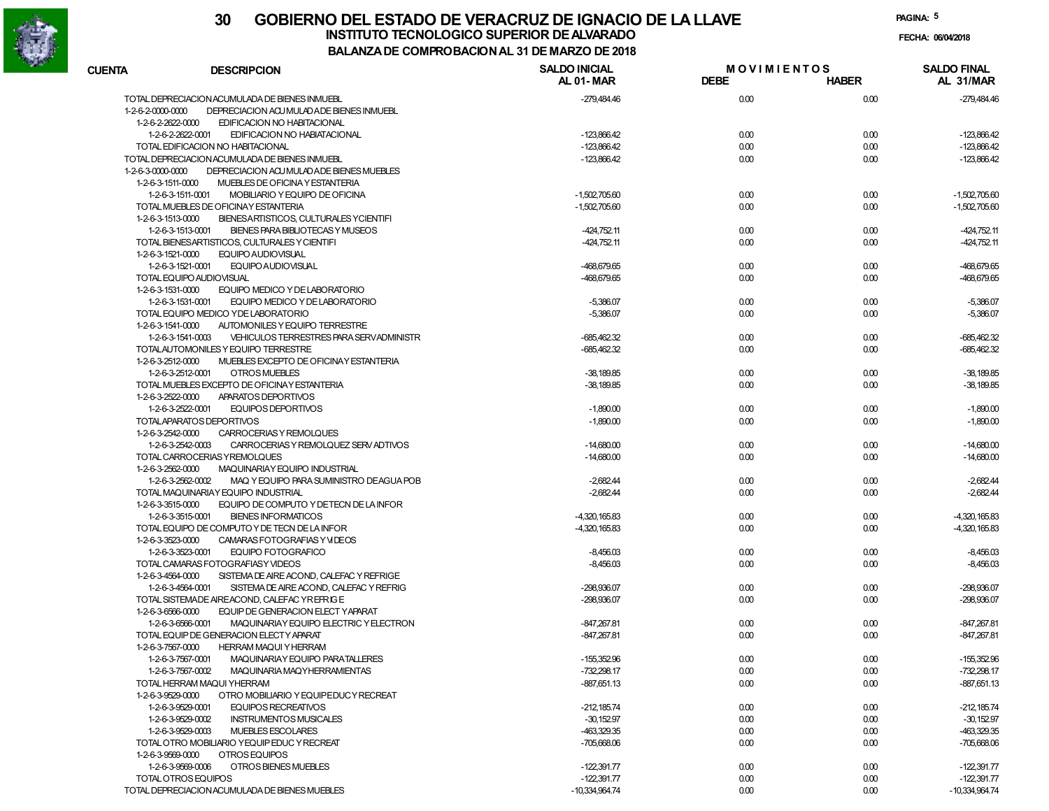

**PAGINA:5**

**FECHA:**

| <b>CUENTA</b>     | <b>DESCRIPCION</b>                                                                                  | <b>SALDO INICIAL</b><br>AL 01-MAR | <b>MOVIMIENTOS</b><br><b>DEBE</b> | <b>HABER</b> | <b>SALDO FINAL</b><br>AL 31/MAR |
|-------------------|-----------------------------------------------------------------------------------------------------|-----------------------------------|-----------------------------------|--------------|---------------------------------|
|                   | TOTAL DEPRECIACION ACUMULADA DE BIENES INMUEBL                                                      | -279,484.46                       | 0.00                              | 0.00         | -279,484.46                     |
| 1-2-6-2-0000-0000 | DEPRECIACION ACU MULAD ADE BIENES INMUEBL                                                           |                                   |                                   |              |                                 |
| 1-2-6-2-2622-0000 | EDIFICACION NO HABITACIONAL                                                                         |                                   |                                   |              |                                 |
|                   | 1-2-6-2-2622-0001<br>EDIFICACION NO HABIATACIONAL                                                   | $-123,866.42$                     | 0.00                              | 0.00         | -123,866.42                     |
|                   | TOTAL EDIFICACION NO HABITACIONAL                                                                   | $-123,866.42$                     | 0.00                              | 0.00         | -123,866.42                     |
|                   | TOTAL DEPRECIACION ACUMULADA DE BIENES INMUEBL                                                      | $-123,866.42$                     | 0.00                              | 0.00         | $-123,866.42$                   |
| 1-2-6-3-0000-0000 | DEPRECIACION ACU MULADA DE BIENES MUEBLES                                                           |                                   |                                   |              |                                 |
| 1-2-6-3-1511-0000 | MUEBLES DE OFICINA Y ESTANTERIA                                                                     |                                   |                                   |              |                                 |
|                   | 1-2-6-3-1511-0001<br>MOBILIARIO Y EQUIPO DE OFICINA                                                 | $-1,502,705.60$                   | 0.00                              | 0.00         | $-1,502,705.60$                 |
|                   | TOTAL MUEBLES DE OFICINAY ESTANTERIA                                                                | $-1,502,705.60$                   | 0.00                              | 0.00         | $-1.502.705.60$                 |
| 1-2-6-3-1513-0000 | BIENESARTISTICOS, CULTURALES YCIENTIFI                                                              |                                   |                                   |              |                                 |
|                   | 1-2-6-3-1513-0001<br>BIENES PARA BIBLIOTECAS Y MUSEOS                                               | $-424,752.11$                     | 0.00                              | 0.00         | $-424,752.11$                   |
|                   | TOTAL BIENESARTISTICOS, CULTURALES Y CIENTIFI                                                       | $-424,752.11$                     | 0.00                              | 0.00         | $-424,752.11$                   |
| 1-2-6-3-1521-0000 | EQUIPO AUDIOVISUAL                                                                                  |                                   |                                   |              |                                 |
|                   | 1-2-6-3-1521-0001<br>EQUIPO AUDIOVISUAL                                                             | -468,679.65                       | 0.00                              | 0.00         | -468,679.65                     |
|                   | TOTAL EQUIPO AUDIOVISUAL                                                                            | -468,679.65                       | 0.00                              | 0.00         | -468,679.65                     |
| 1-2-6-3-1531-0000 | EQUIPO MEDICO Y DE LABORATORIO                                                                      |                                   |                                   |              |                                 |
|                   | 1-2-6-3-1531-0001<br>EQUIPO MEDICO Y DE LABORATORIO                                                 | $-5,386.07$                       | 0.00                              | 0.00         | $-5,386.07$                     |
|                   | TOTAL EQUIPO MEDICO YDE LABORATORIO                                                                 | $-5,386.07$                       | 0.00                              | 0.00         | $-5,386.07$                     |
| 1-2-6-3-1541-0000 | AUTOMONILES Y EQUIPO TERRESTRE                                                                      |                                   |                                   |              |                                 |
|                   | 1-2-6-3-1541-0003<br>VEHICULOS TERRESTRES PARA SERVADMINISTR                                        | $-685.462.32$                     | 0.00                              | 0.00         | $-685,462.32$                   |
|                   | TOTALAUTOMONILES Y EQUIPO TERRESTRE                                                                 | -685,462.32                       | 0.00                              | 0.00         | $-685,462.32$                   |
| 1-2-6-3-2512-0000 | MUEBLES EXCEPTO DE OFICINAY ESTANTERIA                                                              |                                   |                                   |              |                                 |
|                   | 1-2-6-3-2512-0001<br>OTROS MUEBLES                                                                  | $-38,189.85$                      | 0.00                              | 0.00         | $-38,189.85$                    |
|                   | TOTAL MUEBLES EXCEPTO DE OFICINAY ESTANTERIA                                                        | $-38,189.85$                      | 0.00                              | 0.00         | $-38,189.85$                    |
| 1-2-6-3-2522-0000 | APARATOS DEPORTIVOS                                                                                 |                                   |                                   |              |                                 |
|                   | 1-2-6-3-2522-0001<br>EQUIPOS DEPORTIVOS                                                             | $-1,890.00$                       | 0.00                              | 0.00         | $-1,890.00$                     |
|                   | TOTALAPARATOS DEPORTIVOS                                                                            | $-1,890.00$                       | 0.00                              | 0.00         | $-1,890.00$                     |
| 1-2-6-3-2542-0000 | CARROCERIAS Y REMOLQUES                                                                             |                                   |                                   |              |                                 |
|                   | 1-2-6-3-2542-0003<br>CARROCERIAS Y REMOLQUEZ SERV ADTIVOS                                           | $-14.680.00$                      | 0.00                              | 0.00         | $-14,680.00$                    |
|                   | TOTAL CARROCERIAS Y REMOLQUES                                                                       | $-14,680.00$                      | 0.00                              | 0.00         | $-14,680.00$                    |
| 1-2-6-3-2562-0000 | MAQUINARIAY EQUIPO INDUSTRIAL                                                                       |                                   |                                   |              |                                 |
|                   | 1-2-6-3-2562-0002<br>MAQ Y EQUIPO PARA SUMINISTRO DEAGUA POB<br>TOTAL MAQUINARIAY EQUIPO INDUSTRIAL | $-2.682.44$<br>$-2,682.44$        | 0.00<br>0.00                      | 0.00<br>0.00 | $-2,682.44$<br>$-2,682.44$      |
| 1-2-6-3-3515-0000 | EQUIPO DE COMPUTO Y DE TECN DE LA INFOR                                                             |                                   |                                   |              |                                 |
|                   | 1-2-6-3-3515-0001<br><b>BIENES INFORMATICOS</b>                                                     | $-4,320,165.83$                   | 0.00                              | 0.00         | -4,320,165.83                   |
|                   | TOTAL EQUIPO DE COMPUTO Y DE TECN DE LA INFOR                                                       | $-4,320,165.83$                   | 0.00                              | 0.00         | -4,320,165.83                   |
| 1-2-6-3-3523-0000 | CAMARAS FOTOGRAFIAS Y VIDEOS                                                                        |                                   |                                   |              |                                 |
|                   | 1-2-6-3-3523-0001<br>EQUIPO FOTOGRAFICO                                                             | $-8,456.03$                       | 0.00                              | 0.00         | $-8,456.03$                     |
|                   | TOTAL CAMARAS FOTOGRAFIASY VIDEOS                                                                   | $-8,456.03$                       | 0.00                              | 0.00         | $-8,456.03$                     |
| 1-2-6-3-4564-0000 | SISTEMA DE AIRE ACOND. CALEFAC Y REFRIGE                                                            |                                   |                                   |              |                                 |
|                   | 1-2-6-3-4564-0001<br>SISTEMA DE AIRE ACOND, CALEFAC Y REFRIG                                        | -298.936.07                       | 0.00                              | 0.00         | -298,936.07                     |
|                   | TOTAL SISTEMADE AIREACOND. CALEFAC YREFRIGE                                                         | -298,936.07                       | 0.00                              | 0.00         | -298,936.07                     |
| 1-2-6-3-6566-0000 | EQUIP DE GENERACION ELECT YAPARAT                                                                   |                                   |                                   |              |                                 |
|                   | 1-2-6-3-6566-0001<br>MAQUINARIAY EQUIPO ELECTRIC Y ELECTRON                                         | -847,267.81                       | 0.00                              | 0.00         | $-847,267.81$                   |
|                   | TOTAL EQUIP DE GENERACION ELECTY APARAT                                                             | $-847,267.81$                     | 0.00                              | 0.00         | $-847,267.81$                   |
| 1-2-6-3-7567-0000 | <b>HERRAM MAQUI Y HERRAM</b>                                                                        |                                   |                                   |              |                                 |
|                   | 1-2-6-3-7567-0001<br>MAQUINARIAY EQUIPO PARATALLERES                                                | $-155,352.96$                     | 0.00                              | 0.00         | -155,352.96                     |
|                   | 1-2-6-3-7567-0002<br>MAQUINARIA MAQYHERRAMIENTAS                                                    | $-732,298.17$                     | 0.00                              | 0.00         | -732,298.17                     |
|                   | TOTAL HERRAM MAQUI YHERRAM                                                                          | $-887,651.13$                     | 0.00                              | 0.00         | $-887,651.13$                   |
| 1-2-6-3-9529-0000 | OTRO MOBILIARIO Y EQUIPEDUCY RECREAT                                                                |                                   |                                   |              |                                 |
|                   | 1-2-6-3-9529-0001<br>EQUIPOS RECREATIVOS                                                            | $-212, 185.74$                    | 0.00                              | 0.00         | $-212.185.74$                   |
|                   | 1-2-6-3-9529-0002<br><b>INSTRUMENTOS MUSICALES</b>                                                  | $-30,152.97$                      | 0.00                              | 0.00         | $-30,152.97$                    |
|                   | 1-2-6-3-9529-0003<br>MUEBLES ESCOLARES                                                              | -463,329.35                       | 0.00                              | 0.00         | -463,329.35                     |
|                   | TOTAL OTRO MOBILIARIO YEQUIP EDUC Y RECREAT                                                         | $-705,668.06$                     | 0.00                              | 0.00         | -705,668.06                     |
| 1-2-6-3-9569-0000 | OTROS EQUIPOS                                                                                       |                                   |                                   |              |                                 |
|                   | 1-2-6-3-9569-0006<br>OTROS BIENES MUEBLES                                                           | $-122,391.77$                     | 0.00                              | 0.00         | $-122,391.77$                   |
|                   | TOTAL OTROS EQUIPOS                                                                                 | $-122,391.77$                     | 0.00                              | 0.00         | $-122,391.77$                   |
|                   | TOTAL DEPRECIACION ACUMULADA DE BIENES MUEBLES                                                      | -10.334.964.74                    | 0.00                              | 0.00         | $-10,334,964.74$                |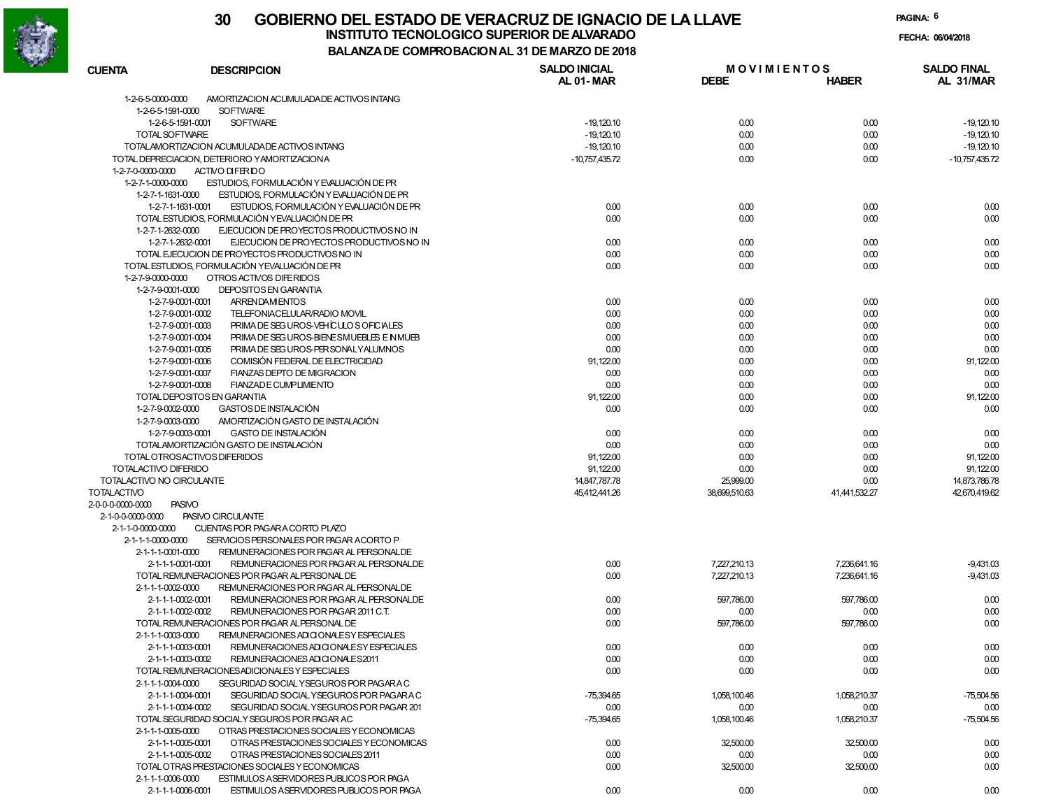

**BALANZA DE COMPROBACION AL 31 DE MARZO DE 2018**

**PAGINA:6**

**FECHA:**

| <b>CUENTA</b>             | <b>DESCRIPCION</b>                                                                                      | <b>SALDO INICIAL</b><br><b>AL 01-MAR</b> | <b>MOVIMIENTOS</b><br><b>DEBE</b> | <b>HABER</b>         | <b>SALDO FINAL</b><br>AL 31/MAR |
|---------------------------|---------------------------------------------------------------------------------------------------------|------------------------------------------|-----------------------------------|----------------------|---------------------------------|
|                           |                                                                                                         |                                          |                                   |                      |                                 |
| 1-2-6-5-0000-0000         | AMORTIZACION ACUMULADADE ACTIVOS INTANG                                                                 |                                          |                                   |                      |                                 |
| 1-2-6-5-1591-0000         | <b>SOFTWARE</b><br><b>SOFTWARE</b><br>1-2-6-5-1591-0001                                                 | $-19,120.10$                             | 0.00                              | 0.00                 | $-19,120.10$                    |
| TOTAL SOFTWARE            |                                                                                                         | $-19,120.10$                             | 0.00                              | 0.00                 | $-19,120.10$                    |
|                           | TOTALAMORTIZACION ACUMULADADE ACTIVOS INTANG                                                            | $-19,120.10$                             | 0.00                              | 0.00                 | $-19,120.10$                    |
|                           | TOTAL DEPRECIACION, DETERIORO YAMORTIZACIONA                                                            | $-10,757,435.72$                         | 0.00                              | 0.00                 | $-10,757,435.72$                |
| 1-2-7-0-0000-0000         | ACTIVO DIFERDO                                                                                          |                                          |                                   |                      |                                 |
| 1-2-7-1-0000-0000         | ESTUDIOS, FORMULACIÓN Y EVALUACIÓN DE PR                                                                |                                          |                                   |                      |                                 |
| 1-2-7-1-1631-0000         | ESTUDIOS, FORMULACIÓN Y EVALUACIÓN DE PR                                                                |                                          |                                   |                      |                                 |
|                           | ESTUDIOS, FORMULACIÓN Y EVALUACIÓN DE PR<br>1-2-7-1-1631-0001                                           | 0.00                                     | 0.00                              | 0.00                 | 0.00                            |
|                           | TOTAL ESTUDIOS, FORMULACIÓN YEVALUACIÓN DE PR                                                           | 0.00                                     | 0.00                              | 0.00                 | 0.00                            |
| 1-2-7-1-2632-0000         | EJECUCION DE PROYECTOS PRODUCTIVOS NO IN                                                                |                                          |                                   |                      |                                 |
|                           | 1-2-7-1-2632-0001<br>EJECUCION DE PROYECTOS PRODUCTIVOS NO IN                                           | 0.00                                     | 0.00                              | 0.00                 | 0.00                            |
|                           | TOTAL EJECUCION DE PROYECTOS PRODUCTIVOS NO IN                                                          | 0.00                                     | 0.00                              | 0.00                 | 0.00                            |
|                           | TOTAL ESTUDIOS, FORMULACIÓN YEVALUACIÓN DE PR                                                           | 0.00                                     | 0.00                              | 0.00                 | 0.00                            |
| 1-2-7-9-0000-0000         | OTROS ACTIVOS DIFERIDOS                                                                                 |                                          |                                   |                      |                                 |
| 1-2-7-9-0001-0000         | <b>DEPOSITOS EN GARANTIA</b>                                                                            |                                          |                                   |                      |                                 |
|                           | 1-2-7-9-0001-0001<br>ARRENDAM ENTOS                                                                     | 0.00                                     | 0.00                              | 0.00                 | 0.00                            |
|                           | TELEFONIACELULAR/RADIO MOVIL<br>1-2-7-9-0001-0002                                                       | 0.00                                     | 0.00                              | 0.00                 | 0.00                            |
|                           | PRIMA DE SEG UROS-VEHÍCULOS OFICIALES<br>1-2-7-9-0001-0003                                              | 0.00                                     | 0.00                              | 0.00                 | 0.00                            |
|                           | PRIMA DE SEG UROS-BIENE SMUEBLES EN MUEB<br>1-2-7-9-0001-0004                                           | 0.00                                     | 0.00                              | 0.00                 | 0.00                            |
|                           | PRIMA DE SEG UROS-PER SONALY ALUMNOS<br>1-2-7-9-0001-0005                                               | 0.00                                     | 0.00                              | 0.00                 | 0.00                            |
|                           | COMISIÓN FEDERAL DE ELECTRICIDAD<br>1-2-7-9-0001-0006                                                   | 91,122.00                                | 0.00                              | 0.00                 | 91,122.00                       |
|                           | FIANZAS DEPTO DE MIGRACION<br>1-2-7-9-0001-0007                                                         | 0.00                                     | 0.00                              | 0.00                 | 0.00                            |
|                           | 1-2-7-9-0001-0008<br><b>FIANZADE CUMPLIMENTO</b>                                                        | 0.00                                     | 0.00                              | 0.00                 | 0.00                            |
|                           | TOTAL DEPOSITOS EN GARANTIA                                                                             | 91,122.00                                | 0.00                              | 0.00                 | 91,122.00                       |
| 1-2-7-9-0002-0000         | <b>GASTOS DE INSTALACIÓN</b>                                                                            | 0.00                                     | 0.00                              | 0.00                 | 0.00                            |
| 1-2-7-9-0003-0000         | AMORTIZACIÓN GASTO DE INSTALACIÓN                                                                       |                                          |                                   |                      |                                 |
|                           | 1-2-7-9-0003-0001<br><b>GASTO DE INSTALACIÓN</b>                                                        | 0.00                                     | 0.00                              | 0.00                 | 0.00                            |
|                           | TOTALAMORTIZACIÓN GASTO DE INSTALACIÓN                                                                  | 0.00                                     | 0.00                              | 0.00                 | 0.00                            |
|                           | TOTAL OTROSACTIVOS DIFERIDOS                                                                            | 91,122.00                                | 0.00                              | 0.00                 | 91,122.00                       |
| TOTALACTIVO DIFERIDO      |                                                                                                         | 91,122.00                                | 0.00                              | 0.00                 | 91,122.00                       |
| TOTALACTIVO NO CIRCULANTE |                                                                                                         | 14,847,787.78                            | 25,999.00                         | 0.00                 | 14,873,786.78                   |
| <b>TOTALACTIVO</b>        |                                                                                                         | 45,412,441.26                            | 38,699,510.63                     | 41,441,532.27        | 42,670,419.62                   |
| 2-0-0-0-0000-0000         | <b>PASIVO</b>                                                                                           |                                          |                                   |                      |                                 |
| 2-1-0-0-0000-0000         | PASIVO CIRCULANTE                                                                                       |                                          |                                   |                      |                                 |
| 2-1-1-0-0000-0000         | CUENTAS POR PAGARA CORTO PLAZO                                                                          |                                          |                                   |                      |                                 |
| 2-1-1-1-0000-0000         | SERVICIOS PERSONALES POR PAGAR ACORTO P                                                                 |                                          |                                   |                      |                                 |
| 2-1-1-1-0001-0000         | REMUNERACIONES POR PAGAR AL PERSONALDE                                                                  |                                          |                                   |                      |                                 |
|                           | REMUNERACIONES POR PAGAR AL PERSONALDE<br>2-1-1-1-0001-0001                                             | 0.00                                     | 7,227,210.13                      | 7,236,641.16         | $-9,431.03$                     |
|                           | TOTAL REMUNERACIONES POR PAGAR ALPERSONAL DE                                                            | 0.00                                     | 7,227,210.13                      | 7,236,641.16         | $-9,431.03$                     |
| 2-1-1-1-0002-0000         | REMUNERACIONES POR PAGAR AL PERSONALDE                                                                  |                                          |                                   |                      |                                 |
|                           | 2-1-1-1-0002-0001<br>REMUNERACIONES POR PAGAR AL PERSONALDE                                             | 0.00                                     | 597,786.00                        | 597,786.00           | 0.00                            |
|                           | 2-1-1-1-0002-0002<br>REMUNERACIONES POR PAGAR 2011 C.T.<br>TOTAL REMUNERACIONES POR PAGAR ALPERSONAL DE | 0.00                                     | 0.00                              | 0.00                 | 0.00                            |
|                           |                                                                                                         | 0.00                                     | 597,786.00                        | 597,786.00           | 0.00                            |
| 2-1-1-1-0003-0000         | REMUNERACIONES ADIO ONALE SY ESPECIALES                                                                 |                                          |                                   |                      |                                 |
|                           | 2-1-1-1-0003-0001<br>REMUNERACIONES ADI CIONALE SY ESPECIALES                                           | 0.00                                     | 0.00                              | 0.00                 | 0.00                            |
|                           | 2-1-1-1-0003-0002<br>REMUNERACIONES ADI CIONALES 2011<br>TOTAL REMUNERACIONES ADICIONALES Y ESPECIALES  | 0.00                                     | 0.00<br>0.00                      | 0.00<br>0.00         | 0.00<br>0.00                    |
| 2-1-1-1-0004-0000         | SEGURIDAD SOCIAL Y SEGUROS POR PAGARA C                                                                 | 0.00                                     |                                   |                      |                                 |
|                           | 2-1-1-1-0004-0001<br>SEGURIDAD SOCIAL Y SEGUROS POR PAGARA C                                            |                                          | 1,058,100.46                      |                      | $-75,504.56$                    |
|                           | 2-1-1-1-0004-0002<br>SEGURIDAD SOCIAL YSEGUROS POR PAGAR 201                                            | $-75,394.65$<br>0.00                     | 0.00                              | 1,058,210.37<br>0.00 | 0.00                            |
|                           | TOTAL SEGURIDAD SOCIALY SEGUROS POR PAGAR AC                                                            | $-75,394.65$                             | 1,058,100.46                      | 1,058,210.37         | $-75,504.56$                    |
| 2-1-1-1-0005-0000         | OTRAS PRESTACIONES SOCIALES Y ECONOMICAS                                                                |                                          |                                   |                      |                                 |
|                           | 2-1-1-1-0005-0001<br>OTRAS PRESTACIONES SOCIALES Y ECONOMICAS                                           | 0.00                                     | 32,500.00                         | 32,500.00            | 0.00                            |
|                           | OTRAS PRESTACIONES SOCIALES 2011<br>2-1-1-1-0005-0002                                                   | 0.00                                     | 0.00                              | 0.00                 | 0.00                            |
|                           | TOTAL OTRAS PRESTACIONES SOCIALES Y ECONOMICAS                                                          | 0.00                                     | 32,500.00                         | 32,500.00            | 0.00                            |
| 2-1-1-1-0006-0000         | ESTIMULOS ASERVIDORES PUBLICOS POR PAGA                                                                 |                                          |                                   |                      |                                 |
|                           | 2-1-1-1-0006-0001<br>ESTIMULOS ASERVIDORES PUBLICOS POR PAGA                                            | 0.00                                     | 0.00                              | 0.00                 | 0.00                            |
|                           |                                                                                                         |                                          |                                   |                      |                                 |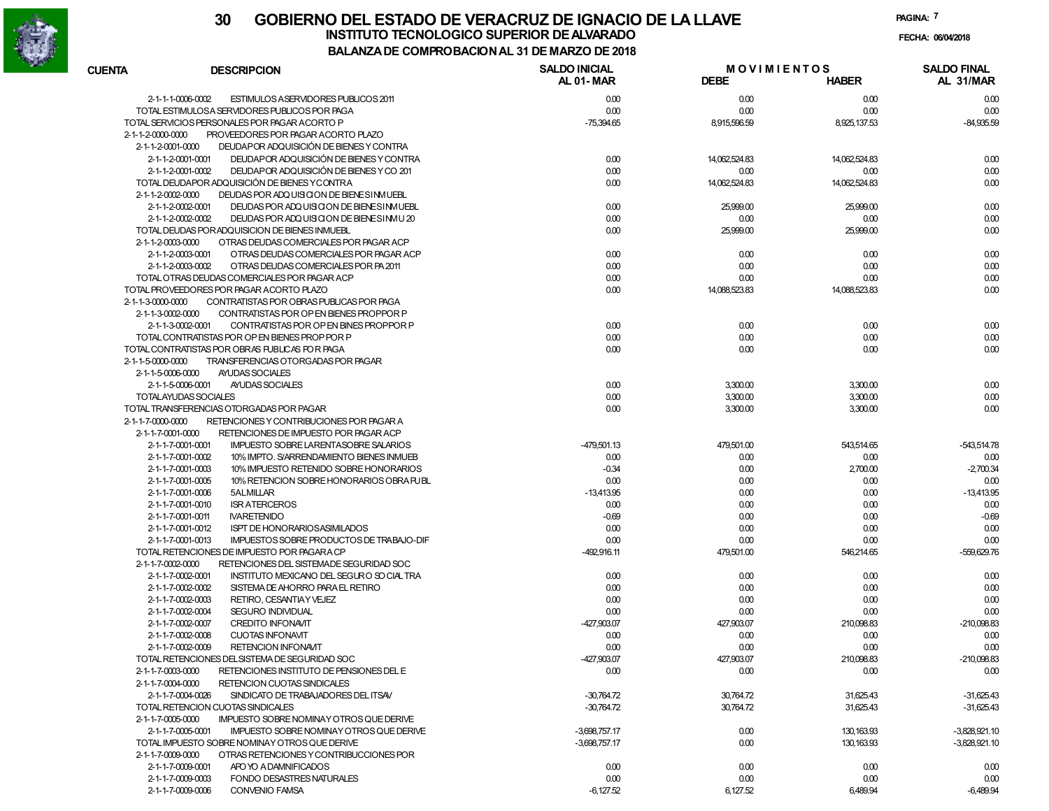

| <b>CUENTA</b>                 | <b>DESCRIPCION</b>                                                                   | <b>SALDO INICIAL</b><br>AL 01-MAR | <b>MOVIMIENTOS</b><br><b>DEBE</b> | <b>HABER</b>  | <b>SALDO FINAL</b><br>AL 31/MAR |
|-------------------------------|--------------------------------------------------------------------------------------|-----------------------------------|-----------------------------------|---------------|---------------------------------|
| 2-1-1-1-0006-0002             | ESTIMULOS ASERVIDORES PUBLICOS 2011                                                  | 0.00                              | 0.00                              | 0.00          | 0.00                            |
|                               | TOTAL ESTIMULOSA SERVIDORES PUBLICOS POR PAGA                                        | 0.00                              | 0.00                              | 0.00          | 0.00                            |
|                               | TOTAL SERVICIOS PERSONALES POR PAGAR ACORTO P                                        | $-75,394.65$                      | 8,915,596.59                      | 8,925,137.53  | $-84,935.59$                    |
| $2 - 1 - 1 - 2 - 0000 - 0000$ | PROVEEDORES POR PAGAR ACORTO PLAZO                                                   |                                   |                                   |               |                                 |
| 2-1-1-2-0001-0000             | DEUDAPOR ADQUISICIÓN DE BIENES Y CONTRA                                              |                                   |                                   |               |                                 |
| 2-1-1-2-0001-0001             | DEUDAPOR ADQUISICIÓN DE BIENES Y CONTRA                                              | 0.00                              | 14,062,524.83                     | 14,062,524.83 | 0.00                            |
| 2-1-1-2-0001-0002             | DEUDAPOR ADQUISICIÓN DE BIENES Y CO 201                                              | 0.00                              | 0.00                              | 0.00          | 0.00                            |
|                               | TOTAL DEUDAPOR ADQUISICIÓN DE BIENES YCONTRA                                         | 0.00                              | 14,062,524.83                     | 14,062,524.83 | 0.00                            |
| 2-1-1-2-0002-0000             | DEUDAS POR ADQUISICION DE BIENE SINMUEBL                                             |                                   |                                   |               |                                 |
| 2-1-1-2-0002-0001             | DEUDAS POR ADQUISICION DE BIENE SIMUEBL                                              | 0.00                              | 25,999.00                         | 25,999.00     | 0.00                            |
| 2-1-1-2-0002-0002             | DEUDAS POR ADQUISICION DE BIENE SIMU 20                                              | 0.00                              | 0.00                              | 0.00          | 0.00                            |
|                               | TOTAL DEUDAS POR ADQUISICION DE BIENES INMUEBL                                       | 0.00                              | 25,999.00                         | 25,999.00     | 0.00                            |
| 2-1-1-2-0003-0000             | OTRAS DEUDAS COMERCIALES POR PAGAR ACP                                               |                                   |                                   |               |                                 |
| 2-1-1-2-0003-0001             | OTRAS DEUDAS COMERCIALES POR PAGAR ACP                                               | 0.00<br>0.00                      | 0.00                              | 0.00          | 0.00                            |
| 2-1-1-2-0003-0002             | OTRAS DEUDAS COMERCIALES POR PA 2011<br>TOTAL OTRAS DEUDAS COMERCIALES POR PAGAR ACP | 0.00                              | 0.00<br>0.00                      | 0.00<br>0.00  | 0.00<br>0.00                    |
|                               | TOTAL PROVEEDORES POR PAGAR ACORTO PLAZO                                             | 0.00                              | 14,088,523.83                     | 14,088,523.83 | 0.00                            |
| 2-1-1-3-0000-0000             | CONTRATISTAS POR OBRAS PUBLICAS POR PAGA                                             |                                   |                                   |               |                                 |
| 2-1-1-3-0002-0000             | CONTRATISTAS POR OP EN BIENES PROPPOR P                                              |                                   |                                   |               |                                 |
| 2-1-1-3-0002-0001             | CONTRATISTAS POR OP EN BINES PROPPOR P                                               | 0.00                              | 0.00                              | 0.00          | 0.00                            |
|                               | TOTAL CONTRATISTAS POR OP EN BIENES PROP POR P                                       | 0.00                              | 0.00                              | 0.00          | 0.00                            |
|                               | TOTAL CONTRATISTAS POR OBRAS FUBLICAS FOR PAGA                                       | 0.00                              | 0.00                              | 0.00          | 0.00                            |
| 2-1-1-5-0000-0000             | TRANSFERENCIAS OTORGADAS POR PAGAR                                                   |                                   |                                   |               |                                 |
| 2-1-1-5-0006-0000             | AYUDAS SOCIALES                                                                      |                                   |                                   |               |                                 |
| 2-1-1-5-0006-0001             | AYUDAS SOCIALES                                                                      | 0.00                              | 3,300.00                          | 3,300.00      | 0.00                            |
| TOTALAYUDAS SOCIALES          |                                                                                      | 0.00                              | 3,300.00                          | 3,300.00      | 0.00                            |
|                               | TOTAL TRANSFERENCIAS OTORGADAS POR PAGAR                                             | 0.00                              | 3,300.00                          | 3,300.00      | 0.00                            |
| 2-1-1-7-0000-0000             | RETENCIONES Y CONTRIBUCIONES POR PAGAR A                                             |                                   |                                   |               |                                 |
| 2-1-1-7-0001-0000             | RETENCIONES DE IMPUESTO POR PAGAR ACP                                                |                                   |                                   |               |                                 |
| 2-1-1-7-0001-0001             | <b>IMPUESTO SOBRE LARENTASOBRE SALARIOS</b>                                          | -479,501.13                       | 479,501.00                        | 543,514.65    | -543,514.78                     |
| 2-1-1-7-0001-0002             | 10% IMPTO. S/ARRENDAMIENTO BIENES INMUEB                                             | 0.00                              | 0.00                              | 0.00          | 0.00                            |
| 2-1-1-7-0001-0003             | 10% IMPUESTO RETENIDO SOBRE HONORARIOS                                               | $-0.34$                           | 0.00                              | 2,700.00      | $-2.700.34$                     |
| 2-1-1-7-0001-0005             | 10% RETENCION SOBRE HONORARIOS OBRA PUBL                                             | 0.00                              | 0.00                              | 0.00          | 0.00                            |
| 2-1-1-7-0001-0006             | 5ALMILLAR                                                                            | $-13,413.95$                      | 0.00                              | 0.00          | $-13.413.95$                    |
| 2-1-1-7-0001-0010             | <b>ISR ATERCEROS</b>                                                                 | 0.00                              | 0.00                              | 0.00          | 0.00                            |
| 2-1-1-7-0001-0011             | <b>NARETENIDO</b>                                                                    | $-0.69$                           | 0.00                              | 0.00          | $-0.69$                         |
| 2-1-1-7-0001-0012             | <b>ISPT DE HONORARIOS ASIMILADOS</b>                                                 | 0.00                              | 0.00                              | 0.00          | 0.00                            |
| 2-1-1-7-0001-0013             | IMPUESTOS SOBRE PRODUCTOS DE TRABAJO-DIF                                             | 0.00                              | 0.00                              | 0.00          | 0.00                            |
|                               | TOTAL RETENCIONES DE IMPUESTO POR PAGARA CP                                          | $-492,916.11$                     | 479,501.00                        | 546,214.65    | -559,629.76                     |
| 2-1-1-7-0002-0000             | RETENCIONES DEL SISTEMADE SEGURIDAD SOC                                              |                                   |                                   |               |                                 |
| 2-1-1-7-0002-0001             | INSTITUTO MEXICANO DEL SEGURO SO CIAL TRA                                            | 0.00                              | 0.00                              | 0.00          | 0.00                            |
| 2-1-1-7-0002-0002             | SISTEMA DE AHORRO PARA EL RETIRO                                                     | 0.00                              | 0.00                              | 0.00          | 0.00                            |
| 2-1-1-7-0002-0003             | RETIRO, CESANTIAY VEJEZ                                                              | 0.00                              | 0.00                              | 0.00          | 0.00                            |
| 2-1-1-7-0002-0004             | <b>SEGURO INDIVIDUAL</b>                                                             | 0.00                              | 0.00                              | 0.00          | 0.00                            |
| 2-1-1-7-0002-0007             | <b>CREDITO INFONAVIT</b>                                                             | -427,903.07                       | 427,903.07                        | 210,098.83    | $-210,098.83$                   |
| 2-1-1-7-0002-0008             | <b>CUOTAS INFONAVIT</b>                                                              | 0.00                              | 0.00                              | 0.00          | 0.00                            |
| 2-1-1-7-0002-0009             | <b>RETENCION INFONAVIT</b>                                                           | 0.00                              | 0.00                              | 0.00          | 0.00                            |
|                               | TOTAL RETENCIONES DELSISTEMA DE SEGURIDAD SOC                                        | -427,903.07                       | 427,903.07                        | 210,098.83    | $-210,098.83$                   |
| 2-1-1-7-0003-0000             | RETENCIONES INSTITUTO DE PENSIONES DEL E                                             | 0.00                              | 0.00                              | 0.00          | 0.00                            |
| 2-1-1-7-0004-0000             | RETENCION CUOTAS SINDICALES                                                          |                                   |                                   |               |                                 |
| 2-1-1-7-0004-0026             | SINDICATO DE TRABAJADORES DEL ITSAV                                                  | $-30,764.72$                      | 30,764.72                         | 31,625.43     | $-31,625.43$                    |
|                               | TOTAL RETENCION CUOTAS SINDICALES                                                    | $-30,764.72$                      | 30,764.72                         | 31,625.43     | $-31,625.43$                    |
| 2-1-1-7-0005-0000             | IMPUESTO SOBRE NOMINAY OTROS QUE DERIVE                                              |                                   |                                   |               |                                 |
| 2-1-1-7-0005-0001             | IMPUESTO SOBRE NOMINAY OTROS QUE DERIVE                                              | $-3,698,757.17$                   | 0.00                              | 130, 163.93   | $-3.828.921.10$                 |
|                               | TOTAL IMPUESTO SOBRE NOMINAY OTROS QUE DERIVE                                        | $-3,698,757.17$                   | 0.00                              | 130, 163.93   | $-3,828,921.10$                 |
| 2-1-1-7-0009-0000             | OTRAS RETENCIONES Y CONTRIBUCCIONES POR                                              |                                   |                                   |               |                                 |
| 2-1-1-7-0009-0001             | APO YO A DAMNIFICADOS                                                                | 0.00                              | 0.00                              | 0.00          | 0.00                            |
| 2-1-1-7-0009-0003             | FONDO DESASTRES NATURALES                                                            | 0.00                              | 0.00                              | 0.00          | 0.00                            |
| 2-1-1-7-0009-0006             | <b>CONVENIO FAMSA</b>                                                                | $-6,127.52$                       | 6,127.52                          | 6,489.94      | $-6,489.94$                     |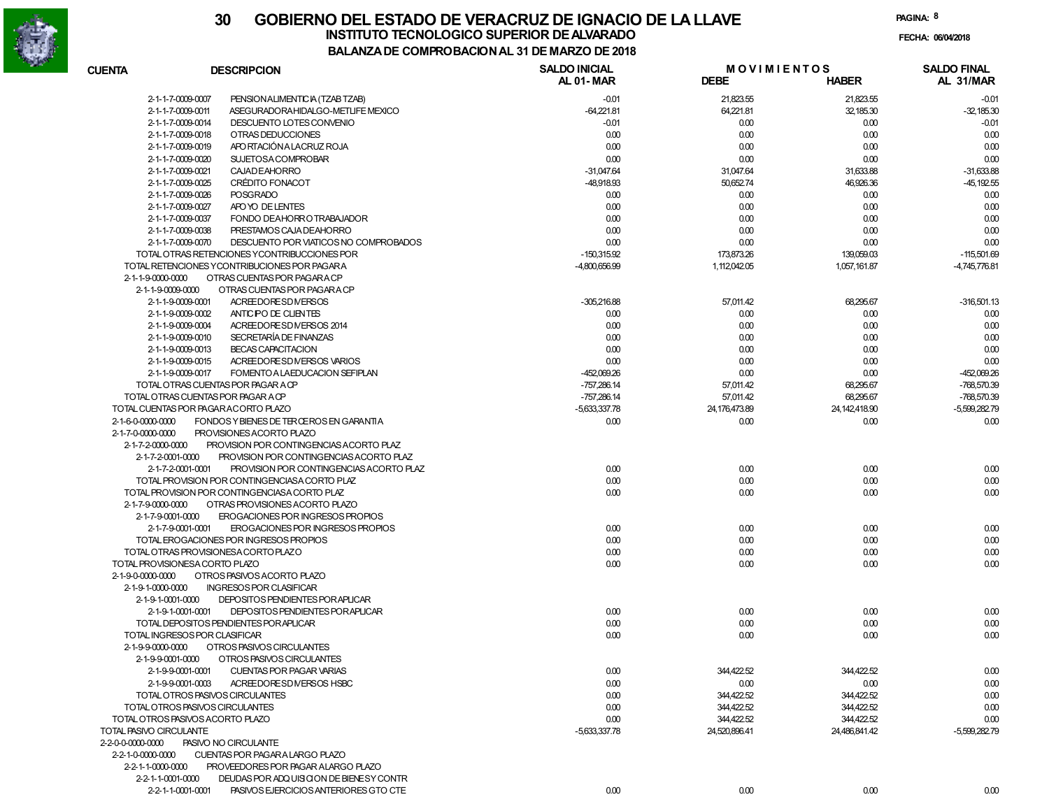

| <b>CUENTA</b>                       | <b>DESCRIPCION</b>                            | <b>SALDO INICIAL</b><br>AL 01-MAR | <b>MOVIMIENTOS</b><br><b>DEBE</b> | <b>HABER</b>    | <b>SALDO FINAL</b><br>AL 31/MAR |
|-------------------------------------|-----------------------------------------------|-----------------------------------|-----------------------------------|-----------------|---------------------------------|
| 2-1-1-7-0009-0007                   | PENSION ALIMENTIC IA (TZAB TZAB)              | $-0.01$                           | 21,823.55                         | 21,823.55       | $-0.01$                         |
| 2-1-1-7-0009-0011                   | ASEGURADORA HIDALGO-METLIFE MEXICO            | $-64,221.81$                      | 64,221.81                         | 32,185.30       | $-32,185.30$                    |
| 2-1-1-7-0009-0014                   | DESCUENTO LOTES CONVENIO                      | $-0.01$                           | 0.00                              | 0.00            | $-0.01$                         |
| 2-1-1-7-0009-0018                   | OTRAS DEDUCCIONES                             | 0.00                              | 0.00                              | 0.00            | 0.00                            |
| 2-1-1-7-0009-0019                   | APO RTACIÓN A LA CRUZ ROJA                    | 0.00                              | 0.00                              | 0.00            | 0.00                            |
| 2-1-1-7-0009-0020                   | <b>SUJETOSACOMPROBAR</b>                      | 0.00                              | 0.00                              | 0.00            | 0.00                            |
| 2-1-1-7-0009-0021                   | <b>CAJAD EAHORRO</b>                          | $-31,047.64$                      | 31,047.64                         | 31,633.88       | $-31,633.88$                    |
| 2-1-1-7-0009-0025                   | CRÉDITO FONACOT                               | -48,918.93                        | 50,652.74                         | 46,926.36       | -45, 192.55                     |
| 2-1-1-7-0009-0026                   | <b>POSGRADO</b>                               | 0.00                              | 0.00                              | 0.00            | 0.00                            |
| 2-1-1-7-0009-0027                   | APO YO DE LENTES                              | 0.00                              | 0.00                              | 0.00            | 0.00                            |
| 2-1-1-7-0009-0037                   | FONDO DEAHORRO TRABAJADOR                     | 0.00                              | 0.00                              | 0.00            | 0.00                            |
| 2-1-1-7-0009-0038                   | PRESTAMOS CAJA DE AHORRO                      | 0.00                              | 0.00                              | 0.00            | 0.00                            |
| 2-1-1-7-0009-0070                   | DESCUENTO POR VIATICOS NO COMPROBADOS         | 0.00                              | 0.00                              | 0.00            | 0.00                            |
|                                     | TOTAL OTRAS RETENCIONES YCONTRIBUCCIONES POR  | $-150,315.92$                     | 173,873.26                        | 139,059.03      | $-115,501.69$                   |
|                                     | TOTAL RETENCIONES YCONTRIBUCIONES POR PAGARA  | -4,800,656.99                     | 1,112,042.05                      | 1,057,161.87    | -4,745,776.81                   |
| 2-1-1-9-0000-0000                   | OTRAS CUENTAS POR PAGARA CP                   |                                   |                                   |                 |                                 |
| 2-1-1-9-0009-0000                   | OTRAS CUENTAS POR PAGARA CP                   |                                   |                                   |                 |                                 |
| 2-1-1-9-0009-0001                   | ACREEDORESDNERSOS                             | $-305,216.88$                     | 57,011.42                         | 68,295.67       | $-316,501.13$                   |
| 2-1-1-9-0009-0002                   | ANTIC PO DE CLIENTES                          | 0.00                              | 0.00                              | 0.00            | 0.00                            |
| 2-1-1-9-0009-0004                   | ACREEDORESDNERSOS 2014                        | 0.00                              | 0.00                              | 0.00            | 0.00                            |
| 2-1-1-9-0009-0010                   | SECRETARÍA DE FINANZAS                        | 0.00                              | 0.00                              | 0.00            | 0.00                            |
| 2-1-1-9-0009-0013                   | <b>BECAS CAPACITACION</b>                     | 0.00                              | 0.00                              | 0.00            | 0.00                            |
| 2-1-1-9-0009-0015                   | ACREEDORESD MERSOS VARIOS                     | 0.00                              | 0.00                              | 0.00            | 0.00                            |
| 2-1-1-9-0009-0017                   | FOMENTO A LAEDUCACION SEFIPLAN                | -452,069.26                       | 0.00                              | 0.00            | -452,069.26                     |
|                                     | TOTAL OTRAS CUENTAS POR PAGAR A CP            | $-757,286.14$                     | 57,011.42                         | 68,295.67       | -768,570.39                     |
| TOTAL OTRAS CUENTAS POR PAGAR A CP  |                                               | $-757,286.14$                     | 57,011.42                         | 68,295.67       | -768,570.39                     |
| TOTAL CUENTAS POR PAGARACORTO PLAZO |                                               |                                   |                                   | 24, 142, 418.90 | $-5.599.282.79$                 |
|                                     |                                               | -5,633,337.78                     | 24, 176, 473.89                   |                 |                                 |
| 2-1-6-0-0000-0000                   | FONDOS Y BIENES DE TER ŒROS EN GARANTIA       | 0.00                              | 0.00                              | 0.00            | 0.00                            |
| 2-1-7-0-0000-0000                   | PROVISIONES ACORTO PLAZO                      |                                   |                                   |                 |                                 |
| 2-1-7-2-0000-0000                   | PROVISION POR CONTINGENCIAS ACORTO PLAZ       |                                   |                                   |                 |                                 |
| 2-1-7-2-0001-0000                   | PROVISION POR CONTINGENCIAS ACORTO PLAZ       |                                   |                                   |                 |                                 |
| 2-1-7-2-0001-0001                   | PROVISION POR CONTINGENCIAS ACORTO PLAZ       | 0.00                              | 0.00                              | 0.00            | 0.00                            |
|                                     | TOTAL PROVISION POR CONTINGENCIASA CORTO PLAZ | 0.00                              | 0.00                              | 0.00            | 0.00                            |
|                                     | TOTAL PROVISION POR CONTINGENCIASA CORTO PLAZ | 0.00                              | 0.00                              | 0.00            | 0.00                            |
| 2-1-7-9-0000-0000                   | OTRAS PROVISIONES ACORTO PLAZO                |                                   |                                   |                 |                                 |
| 2-1-7-9-0001-0000                   | EROGACIONES POR INGRESOS PROPIOS              |                                   |                                   |                 |                                 |
| 2-1-7-9-0001-0001                   | EROGACIONES POR INGRESOS PROPIOS              | 0.00                              | 0.00                              | 0.00            | 0.00                            |
|                                     | TOTAL EROGACIONES POR INGRESOS PROPIOS        | 0.00                              | 0.00                              | 0.00            | 0.00                            |
|                                     | TOTAL OTRAS PROVISIONES A CORTO PLAZO         | 0.00                              | 0.00                              | 0.00            | 0.00                            |
| TOTAL PROVISIONESA CORTO PLAZO      |                                               | 0.00                              | 0.00                              | 0.00            | 0.00                            |
| 2-1-9-0-0000-0000                   | OTROS PASIVOS ACORTO PLAZO                    |                                   |                                   |                 |                                 |
| 2-1-9-1-0000-0000                   | <b>INGRESOS POR CLASIFICAR</b>                |                                   |                                   |                 |                                 |
| 2-1-9-1-0001-0000                   | DEPOSITOS PENDIENTES POR APLICAR              |                                   |                                   |                 |                                 |
| 2-1-9-1-0001-0001                   | DEPOSITOS PENDIENTES POR APLICAR              | 0.00                              | 0.00                              | 0.00            | 0.00                            |
|                                     | TOTAL DEPOSITOS PENDIENTES POR APLICAR        | 0.00                              | 0.00                              | 0.00            | 0.00                            |
| TOTAL INGRESOS POR CLASIFICAR       |                                               | 0.00                              | 0.00                              | 0.00            | 0.00                            |
| 2-1-9-9-0000-0000                   | OTROS PASIVOS CIRCULANTES                     |                                   |                                   |                 |                                 |
| 2-1-9-9-0001-0000                   | OTROS PASIVOS CIRCULANTES                     |                                   |                                   |                 |                                 |
| 2-1-9-9-0001-0001                   | CUENTAS POR PAGAR VARIAS                      | 0.00                              | 344,422.52                        | 344,422.52      | 0.00                            |
| 2-1-9-9-0001-0003                   | ACREEDORESDNERSOS HSBC                        | 0.00                              | 0.00                              | 0.00            | 0.00                            |
|                                     | TOTAL OTROS PASIVOS CIRCULANTES               | 0.00                              | 344,422.52                        | 344,422.52      | 0.00                            |
| TOTAL OTROS PASIVOS CIRCULANTES     |                                               | 0.00                              | 344,422.52                        | 344,422.52      | 0.00                            |
| TOTAL OTROS PASIVOS ACORTO PLAZO    |                                               | 0.00                              | 344,422.52                        | 344,422.52      | 0.00                            |
| TOTAL PASIVO CIRCULANTE             |                                               | $-5,633,337.78$                   | 24,520,896.41                     | 24.486.841.42   | $-5,599,282.79$                 |
| 2-2-0-0-0000-0000                   | PASIVO NO CIRCULANTE                          |                                   |                                   |                 |                                 |
| 2-2-1-0-0000-0000                   | CUENTAS POR PAGARA LARGO PLAZO                |                                   |                                   |                 |                                 |
| 2-2-1-1-0000-0000                   | PROVEEDORES POR PAGAR ALARGO PLAZO            |                                   |                                   |                 |                                 |
| 2-2-1-1-0001-0000                   | DEUDAS POR ADQUISICION DE BIENESY CONTR       |                                   |                                   |                 |                                 |
| 2-2-1-1-0001-0001                   | PASIVOS EJERCICIOS ANTERIORES GTO CTE         | 0.00                              | 0.00                              | 0.00            | 0.00                            |
|                                     |                                               |                                   |                                   |                 |                                 |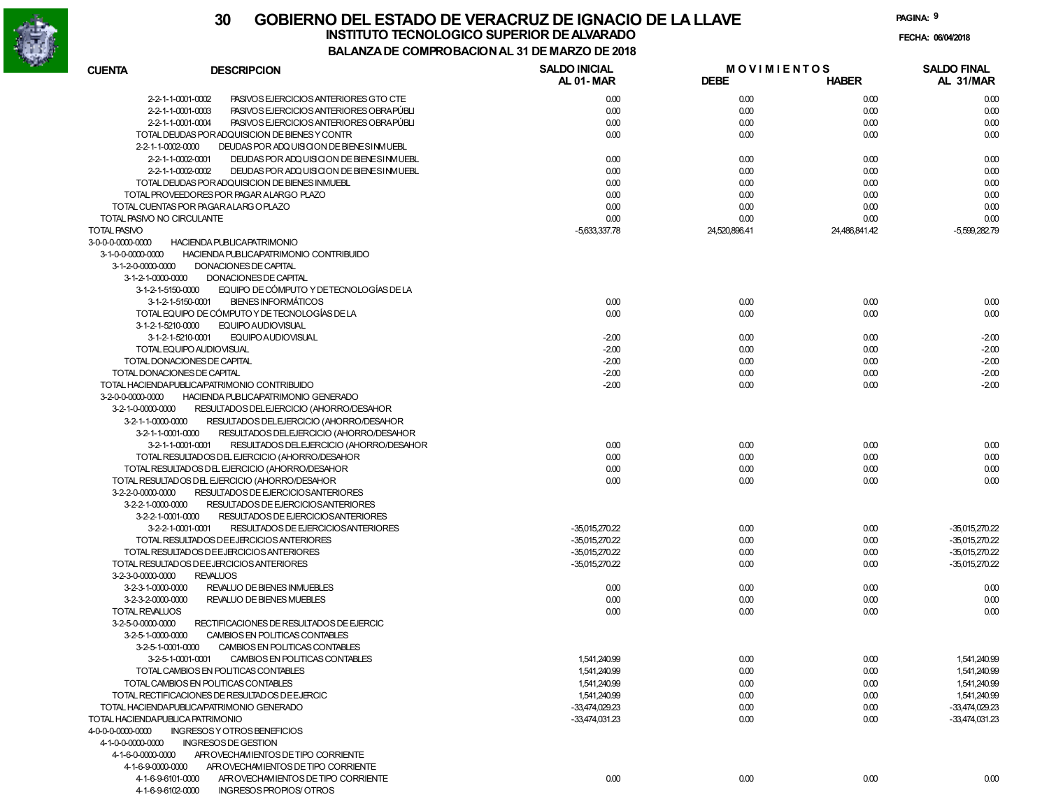

**PAGINA:9**

**FECHA:**

| <b>CUENTA</b>                                              | <b>DESCRIPCION</b>                             | <b>SALDO INICIAL</b><br>AL 01-MAR | <b>MOVIMIENTOS</b><br><b>DEBE</b> | <b>HABER</b>  | <b>SALDO FINAL</b><br>AL 31/MAR |
|------------------------------------------------------------|------------------------------------------------|-----------------------------------|-----------------------------------|---------------|---------------------------------|
| 2-2-1-1-0001-0002                                          | PASIVOS EJERCICIOS ANTERIORES GTO CTE          | 0.00                              | 0.00                              | 0.00          | 0.00                            |
| 2-2-1-1-0001-0003                                          | PASIVOS EJERCICIOS ANTERIORES OBRAPÚBLI        | 0.00                              | 0.00                              | 0.00          | 0.00                            |
| 2-2-1-1-0001-0004                                          | PASIVOS EJERCICIOS ANTERIORES OBRAPÚBLI        | 0.00                              | 0.00                              | 0.00          | 0.00                            |
|                                                            | TOTAL DEUDAS PORADQUISICION DE BIENES Y CONTR  | 0.00                              | 0.00                              | 0.00          | 0.00                            |
| 2-2-1-1-0002-0000                                          | DEUDAS POR ADQUISICION DE BIENE SIMUEBL        |                                   |                                   |               |                                 |
| 2-2-1-1-0002-0001                                          | DEUDAS POR ADQUISICION DE BIENE SIMUEBL        | 0.00                              | 0.00                              | 0.00          | 0.00                            |
| 2-2-1-1-0002-0002                                          | DEUDAS POR ADQUISICION DE BIENE SIMUEBL        | 0.00                              | 0.00                              | 0.00          | 0.00                            |
|                                                            | TOTAL DEUDAS POR ADQUISICION DE BIENES INMUEBL | 0.00                              | 0.00                              | 0.00          | 0.00                            |
|                                                            | TOTAL PROVEEDORES POR PAGAR ALARGO PLAZO       | 0.00                              | 0.00                              | 0.00          | 0.00                            |
|                                                            | TOTAL CUENTAS POR PAGARALARG O PLAZO           | 0.00                              | 0.00                              | 0.00          | 0.00                            |
| TOTAL PASIVO NO CIRCULANTE                                 |                                                | 0.00                              | 0.00                              | 0.00          | 0.00                            |
| <b>TOTAL PASIVO</b>                                        |                                                | -5,633,337.78                     | 24.520.896.41                     | 24.486.841.42 | $-5,599,282.79$                 |
| 3-0-0-0-0000-0000                                          | <b>HACIENDA PUBLICAPATRIMONIO</b>              |                                   |                                   |               |                                 |
| 3-1-0-0-0000-0000                                          | HACIENDA PUBLICAPATRIMONIO CONTRIBUIDO         |                                   |                                   |               |                                 |
| 3-1-2-0-0000-0000                                          | DONACIONES DE CAPITAL                          |                                   |                                   |               |                                 |
| 3-1-2-1-0000-0000                                          | DONACIONES DE CAPITAL                          |                                   |                                   |               |                                 |
| 3-1-2-1-5150-0000                                          | EQUIPO DE CÓMPUTO Y DETECNOLOGÍAS DE LA        |                                   |                                   |               |                                 |
| 3-1-2-1-5150-0001                                          | <b>BIENES INFORMÁTICOS</b>                     | 0.00                              | 0.00                              | 0.00          | 0.00                            |
|                                                            | TOTAL EQUIPO DE CÓMPUTO Y DE TECNOLOGÍAS DE LA | 0.00                              | 0.00                              | 0.00          | 0.00                            |
| 3-1-2-1-5210-0000                                          | EQUIPO AUDIOVISUAL                             |                                   |                                   |               |                                 |
| 3-1-2-1-5210-0001                                          | <b>EQUIPO AUDIOVISUAL</b>                      | $-2.00$                           | 0.00                              | 0.00          | $-2.00$                         |
|                                                            | TOTAL EQUIPO AUDIOVISUAL                       | $-2.00$                           | 0.00                              | 0.00          | $-2.00$                         |
|                                                            |                                                | $-2.00$                           |                                   |               |                                 |
| TOTAL DONACIONES DE CAPITAL<br>TOTAL DONACIONES DE CAPITAL |                                                |                                   | 0.00                              | 0.00          | $-2.00$                         |
|                                                            |                                                | $-2.00$                           | 0.00                              | 0.00          | $-2.00$                         |
|                                                            | TOTAL HACIENDA PUBLICA/PATRIMONIO CONTRIBUIDO  | $-2.00$                           | 0.00                              | 0.00          | $-2.00$                         |
| 3-2-0-0-0000-0000                                          | HACIENDA PUBLICAPATRIMONIO GENERADO            |                                   |                                   |               |                                 |
| 3-2-1-0-0000-0000                                          | RESULTADOS DEL EJERCICIO (AHORRO/DESAHOR       |                                   |                                   |               |                                 |
| 3-2-1-1-0000-0000                                          | RESULTADOS DEL EJERCICIO (AHORRO/DESAHOR       |                                   |                                   |               |                                 |
| 3-2-1-1-0001-0000                                          | RESULTADOS DEL EJERCICIO (AHORRO/DESAHOR       |                                   |                                   |               |                                 |
| 3-2-1-1-0001-0001                                          | RESULTADOS DEL EJERCICIO (AHORRO/DESAHOR       | 0.00                              | 0.00                              | 0.00          | 0.00                            |
|                                                            | TOTAL RESULTADOS DEL EJERCICIO (AHORRO/DESAHOR | 0.00                              | 0.00                              | 0.00          | 0.00                            |
|                                                            | TOTAL RESULTADOS DEL EJERCICIO (AHORRO/DESAHOR | 0.00                              | 0.00                              | 0.00          | 0.00                            |
|                                                            | TOTAL RESULTADOS DEL EJERCICIO (AHORRO/DESAHOR | 0.00                              | 0.00                              | 0.00          | 0.00                            |
| 3-2-2-0-0000-0000                                          | RESULTADOS DE EJERCICIOSANTERIORES             |                                   |                                   |               |                                 |
| 3-2-2-1-0000-0000                                          | RESULTADOS DE EJERCICIOSANTERIORES             |                                   |                                   |               |                                 |
| 3-2-2-1-0001-0000                                          | RESULTADOS DE EJERCICIOSANTERIORES             |                                   |                                   |               |                                 |
| 3-2-2-1-0001-0001                                          | RESULTADOS DE EJERCICIOSANTERIORES             | -35,015,270.22                    | 0.00                              | 0.00          | -35,015,270.22                  |
|                                                            | TOTAL RESULTADOS DE EJERCICIOS ANTERIORES      | -35,015,270.22                    | 0.00                              | 0.00          | -35,015,270.22                  |
|                                                            | TOTAL RESULTADOS DE EJERCICIOS ANTERIORES      | -35,015,270.22                    | 0.00                              | 0.00          | -35,015,270.22                  |
|                                                            | TOTAL RESULTADOS DE EJERCICIOS ANTERIORES      | -35,015,270.22                    | 0.00                              | 0.00          | -35,015,270.22                  |
| 3-2-3-0-0000-0000                                          | <b>REVALUOS</b>                                |                                   |                                   |               |                                 |
| 3-2-3-1-0000-0000                                          | REVALUO DE BIENES INMUEBLES                    | 0.00                              | 0.00                              | 0.00          | 0.00                            |
| 3-2-3-2-0000-0000                                          | REVALUO DE BIENES MUEBLES                      | 0.00                              | 0.00                              | 0.00          | 0.00                            |
| TOTAL REVALUOS                                             |                                                | 0.00                              | 0.00                              | 0.00          | 0.00                            |
| 3-2-5-0-0000-0000                                          | RECTIFICACIONES DE RESULTADOS DE EJERCIC       |                                   |                                   |               |                                 |
| 3-2-5-1-0000-0000                                          | CAMBIOS EN POLITICAS CONTABLES                 |                                   |                                   |               |                                 |
| 3-2-5-1-0001-0000                                          | CAMBIOS EN POLITICAS CONTABLES                 |                                   |                                   |               |                                 |
| 3-2-5-1-0001-0001                                          | CAMBIOS EN POLITICAS CONTABLES                 | 1,541,240.99                      | 0.00                              | 0.00          | 1,541,240.99                    |
|                                                            | TOTAL CAMBIOS EN POLITICAS CONTABLES           | 1,541,240.99                      | 0.00                              | 0.00          | 1.541.240.99                    |
|                                                            | TOTAL CAMBIOS EN POLITICAS CONTABLES           | 1,541,240.99                      | 0.00                              | 0.00          | 1,541,240.99                    |
|                                                            | TOTAL RECTIFICACIONES DE RESULTADOS DE EJERCIC | 1,541,240.99                      | 0.00                              | 0.00          | 1.541.240.99                    |
|                                                            | TOTAL HACIENDA PUBLICA PATRIMONIO GENERADO     | -33,474,029.23                    | 0.00                              | 0.00          | -33,474,029.23                  |
| TOTAL HACIENDA PUBLICA PATRIMONIO                          |                                                | $-33,474,031.23$                  | 0.00                              | 0.00          | -33,474,031.23                  |
| 4-0-0-0-0000-0000                                          | INGRESOS Y OTROS BENEFICIOS                    |                                   |                                   |               |                                 |
| 4-1-0-0-0000-0000                                          | <b>INGRESOS DE GESTION</b>                     |                                   |                                   |               |                                 |
| 4-1-6-0-0000-0000                                          | AFROVECHAMIENTOS DE TIPO CORRIENTE             |                                   |                                   |               |                                 |
| 4-1-6-9-0000-0000                                          | AFROVECHAMIENTOS DE TIPO CORRIENTE             |                                   |                                   |               |                                 |
| 4-1-6-9-6101-0000                                          | AFROVECHAMIENTOS DE TIPO CORRIENTE             | 0.00                              | 0.00                              | 0.00          | 0.00                            |
| 4-1-6-9-6102-0000                                          | INGRESOS PROPIOS/OTROS                         |                                   |                                   |               |                                 |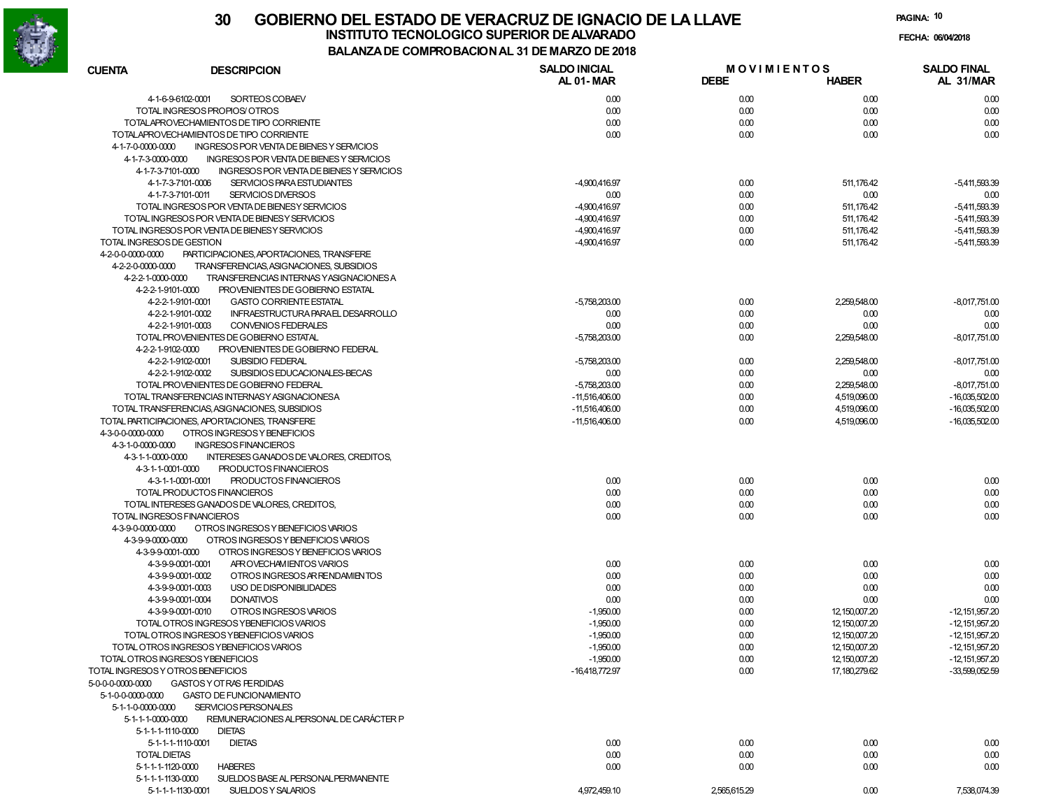

**PAGINA:10**

**FECHA:**

| <b>CUENTA</b><br><b>DESCRIPCION</b>                           | <b>SALDO INICIAL</b> | <b>MOVIMIENTOS</b> |                  | <b>SALDO FINAL</b> |
|---------------------------------------------------------------|----------------------|--------------------|------------------|--------------------|
|                                                               | AL 01-MAR            | <b>DEBE</b>        | <b>HABER</b>     | AL 31/MAR          |
| 4-1-6-9-6102-0001<br>SORTEOS COBAEV                           | 0.00                 | 0.00               | 0.00             | 0.00               |
| TOTAL INGRESOS PROPIOS/OTROS                                  | 0.00                 | 0.00               | 0.00             | 0.00               |
| TOTALAPROVECHAMIENTOS DE TIPO CORRIENTE                       | 0.00                 | 0.00               | 0.00             | 0.00               |
| TOTALAPROVECHAMIENTOS DE TIPO CORRIENTE                       | 0.00                 | 0.00               | 0.00             | 0.00               |
| 4-1-7-0-0000-0000<br>INGRESOS POR VENTA DE BIENES Y SERVICIOS |                      |                    |                  |                    |
| 4-1-7-3-0000-0000<br>INGRESOS POR VENTA DE BIENES Y SERVICIOS |                      |                    |                  |                    |
| 4-1-7-3-7101-0000<br>INGRESOS POR VENTA DE BIENES Y SERVICIOS |                      |                    |                  |                    |
| SERVICIOS PARA ESTUDIANTES<br>4-1-7-3-7101-0006               |                      |                    |                  |                    |
|                                                               | $-4,900,416.97$      | 0.00               | 511,176.42       | $-5,411,593.39$    |
| 4-1-7-3-7101-0011<br>SERVICIOS DIVERSOS                       | 0.00                 | 0.00               | 0.00             | 0.00               |
| TOTAL INGRESOS POR VENTA DE BIENESY SERVICIOS                 | $-4,900,416.97$      | 0.00               | 511,176.42       | $-5,411,593.39$    |
| TOTAL INGRESOS POR VENTA DE BIENESY SERVICIOS                 | -4,900,416.97        | 0.00               | 511, 176.42      | $-5,411,593.39$    |
| TOTAL INGRESOS POR VENTA DE BIENESY SERVICIOS                 | $-4,900,416.97$      | 0.00               | 511,176.42       | $-5,411,593.39$    |
| TOTAL INGRESOS DE GESTION                                     | -4,900,416.97        | 0.00               | 511,176.42       | $-5,411,593.39$    |
| 4-2-0-0-0000-0000<br>PARTICIPACIONES, APORTACIONES, TRANSFERE |                      |                    |                  |                    |
| 4-2-2-0-0000-0000<br>TRANSFERENCIAS, ASIGNACIONES, SUBSIDIOS  |                      |                    |                  |                    |
| 4-2-2-1-0000-0000<br>TRANSFERENCIAS INTERNAS YASIGNACIONES A  |                      |                    |                  |                    |
| 4-2-2-1-9101-0000<br>PROVENIENTES DE GOBIERNO ESTATAL         |                      |                    |                  |                    |
| 4-2-2-1-9101-0001<br><b>GASTO CORRIENTE ESTATAL</b>           | $-5,758,203.00$      | 0.00               | 2,259,548.00     | $-8,017,751.00$    |
| INFRAESTRUCTURA PARAEL DESARROLLO<br>4-2-2-1-9101-0002        | 0.00                 | 0.00               | 0.00             | 0.00               |
| 4-2-2-1-9101-0003<br>CONVENIOS FEDERALES                      | 0.00                 | 0.00               | 0.00             | 0.00               |
| TOTAL PROVENIENTES DE GOBIERNO ESTATAL                        | $-5,758,203.00$      | 0.00               | 2,259,548.00     | $-8,017,751.00$    |
| 4-2-2-1-9102-0000<br>PROVENIENTES DE GOBIERNO FEDERAL         |                      |                    |                  |                    |
|                                                               |                      |                    |                  |                    |
| 4-2-2-1-9102-0001<br>SUBSIDIO FEDERAL                         | $-5,758,203.00$      | 0.00               | 2,259,548.00     | $-8,017,751.00$    |
| SUBSIDIOS EDUCACIONALES-BECAS<br>4-2-2-1-9102-0002            | 0.00                 | 0.00               | 0.00             | 0.00               |
| TOTAL PROVENIENTES DE GOBIERNO FEDERAL                        | $-5,758,203.00$      | 0.00               | 2,259,548.00     | $-8.017.751.00$    |
| TOTAL TRANSFERENCIAS INTERNASY ASIGNACIONESA                  | $-11,516,406.00$     | 0.00               | 4,519,096.00     | $-16,035,502.00$   |
| TOTAL TRANSFERENCIAS, ASIGNACIONES, SUBSIDIOS                 | $-11,516,406.00$     | 0.00               | 4,519,096.00     | $-16,035,502.00$   |
| TOTAL PARTICIPACIONES, APORTACIONES, TRANSFERE                | $-11,516,406.00$     | 0.00               | 4,519,096.00     | $-16,035,502.00$   |
| 4-3-0-0-0000-0000<br>OTROS INGRESOS Y BENEFICIOS              |                      |                    |                  |                    |
| 4-3-1-0-0000-0000<br><b>INGRESOS FINANCIEROS</b>              |                      |                    |                  |                    |
| 4-3-1-1-0000-0000<br>INTERESES GANADOS DE VALORES, CREDITOS,  |                      |                    |                  |                    |
| 4-3-1-1-0001-0000<br>PRODUCTOS FINANCIEROS                    |                      |                    |                  |                    |
| PRODUCTOS FINANCIEROS<br>4-3-1-1-0001-0001                    | 0.00                 | 0.00               | 0.00             | 0.00               |
| TOTAL PRODUCTOS FINANCIEROS                                   | 0.00                 | 0.00               | 0.00             | 0.00               |
| TOTAL INTERESES GANADOS DE VALORES, CREDITOS,                 | 0.00                 | 0.00               | 0.00             | 0.00               |
| TOTAL INGRESOS FINANCIEROS                                    | 0.00                 | 0.00               | 0.00             | 0.00               |
| 4-3-9-0-0000-0000<br>OTROS INGRESOS Y BENEFICIOS VARIOS       |                      |                    |                  |                    |
| 43990000-0000<br>OTROS INGRESOS Y BENEFICIOS VARIOS           |                      |                    |                  |                    |
|                                                               |                      |                    |                  |                    |
| OTROS INGRESOS Y BENEFICIOS VARIOS<br>43-9-9-0001-0000        |                      |                    |                  |                    |
| AFROVECHAMIENTOS VARIOS<br>4-3-9-9-0001-0001                  | 0.00                 | 0.00               | 0.00             | 0.00               |
| OTROS INGRESOS AR RENDAMIENTOS<br>43-9-9-0001-0002            | 0.00                 | 0.00               | 0.00             | 0.00               |
| USO DE DISPONIBILIDADES<br>4-3-9-9-0001-0003                  | 0.00                 | 0.00               | 0.00             | 0.00               |
| 4-3-9-9-0001-0004<br><b>DONATIVOS</b>                         | 0.00                 | 0.00               | 0.00             | 0.00               |
| 4-3-9-9-0001-0010<br>OTROS INGRESOS VARIOS                    | $-1,950.00$          | 0.00               | 12, 150, 007. 20 | $-12.151.957.20$   |
| TOTAL OTROS INGRESOS YBENEFICIOS VARIOS                       | $-1,950.00$          | 0.00               | 12, 150, 007. 20 | $-12.151.957.20$   |
| TOTAL OTROS INGRESOS YBENEFICIOS VARIOS                       | $-1,950.00$          | 0.00               | 12, 150, 007. 20 | $-12.151.957.20$   |
| TOTAL OTROS INGRESOS YBENEFICIOS VARIOS                       | $-1,950.00$          | 0.00               | 12,150,007.20    | $-12,151,957.20$   |
| TOTAL OTROS INGRESOS YBENEFICIOS                              | $-1,950.00$          | 0.00               | 12, 150, 007. 20 | $-12,151,957.20$   |
| TOTAL INGRESOS Y OTROS BENEFICIOS                             | $-16,418,772.97$     | 0.00               | 17, 180, 279.62  | $-33,599,052.59$   |
| 5-0-0-0-0000-0000<br><b>GASTOS Y OT RAS FERDIDAS</b>          |                      |                    |                  |                    |
| 5-1-0-0-0000-0000<br><b>GASTO DE FUNCIONAMIENTO</b>           |                      |                    |                  |                    |
| SERVICIOS PERSONALES<br>5-1-1-0-0000-0000                     |                      |                    |                  |                    |
| REMUNERACIONES ALPERSONAL DE CARÁCTER P                       |                      |                    |                  |                    |
| 5-1-1-1-0000-0000                                             |                      |                    |                  |                    |
| 5-1-1-1-1110-0000<br><b>DIETAS</b>                            |                      |                    |                  |                    |
| 5-1-1-1-1110-0001<br><b>DIETAS</b>                            | 0.00                 | 0.00               | 0.00             | 0.00               |
| <b>TOTAL DIETAS</b>                                           | 0.00                 | 0.00               | 0.00             | 0.00               |
| 5-1-1-1-1120-0000<br><b>HABERES</b>                           | 0.00                 | 0.00               | 0.00             | 0.00               |
| 5-1-1-1-1130-0000<br>SUELDOS BASE AL PERSONAL PERMANENTE      |                      |                    |                  |                    |
| SUELDOS Y SALARIOS<br>5-1-1-1-1130-0001                       | 4,972,459.10         | 2,565,615.29       | 0.00             | 7,538,074.39       |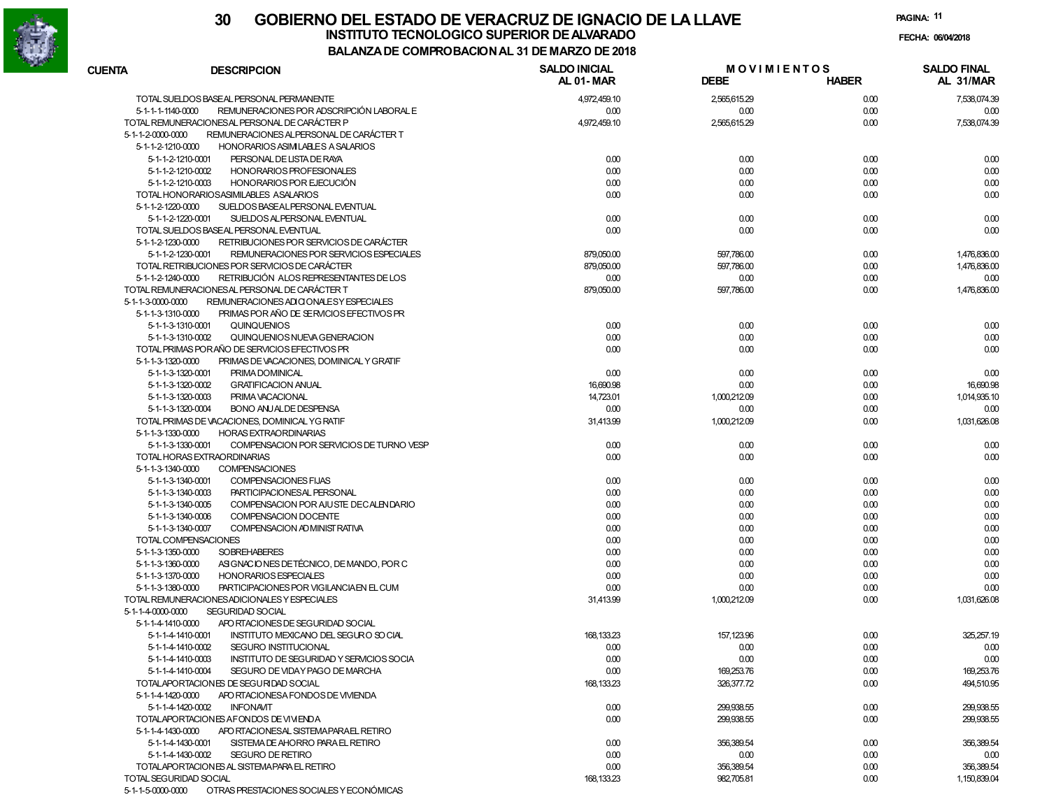

|                        |                                                            | " NYPAYN'NAL JI DL MA                    |                                   |              |                                 |
|------------------------|------------------------------------------------------------|------------------------------------------|-----------------------------------|--------------|---------------------------------|
| <b>CUENTA</b>          | <b>DESCRIPCION</b>                                         | <b>SALDO INICIAL</b><br><b>AL 01-MAR</b> | <b>MOVIMIENTOS</b><br><b>DEBE</b> | <b>HABER</b> | <b>SALDO FINAL</b><br>AL 31/MAR |
|                        | TOTAL SUELDOS BASEAL PERSONAL PERMANENTE                   | 4,972,459.10                             | 2,565,615.29                      | 0.00         | 7,538,074.39                    |
| 5-1-1-1-1140-0000      | REMUNERACIONES POR ADSCRIPCIÓN LABORAL E                   | 0.00                                     | 0.00                              | 0.00         | 0.00                            |
|                        | TOTAL REMUNERACIONESAL PERSONAL DE CARÁCTER P              | 4,972,459.10                             | 2,565,615.29                      | 0.00         | 7,538,074.39                    |
| 5-1-1-2-0000-0000      | REMUNERACIONES ALPERSONAL DE CARÁCTER T                    |                                          |                                   |              |                                 |
| 5-1-1-2-1210-0000      | HONORARIOS ASIMILABLES A SALARIOS                          |                                          |                                   |              |                                 |
| 5-1-1-2-1210-0001      | PERSONAL DE LISTA DE RAYA                                  | 0.00                                     | 0.00                              | 0.00         | 0.00                            |
| 5-1-1-2-1210-0002      | HONORARIOS PROFESIONALES                                   | 0.00                                     | 0.00                              | 0.00         | 0.00                            |
| 5-1-1-2-1210-0003      | HONORARIOS POR EJECUCIÓN                                   | 0.00                                     | 0.00                              | 0.00         | 0.00                            |
|                        | TOTAL HONORARIOSASIMILABLES ASALARIOS                      | 0.00                                     | 0.00                              | 0.00         | 0.00                            |
| 5-1-1-2-1220-0000      | SUELDOS BASEALPERSONAL EVENTUAL                            |                                          |                                   |              |                                 |
| 5-1-1-2-1220-0001      | SUELDOS ALPERSONAL EVENTUAL                                | 0.00                                     | 0.00                              | 0.00         | 0.00                            |
|                        | TOTAL SUELDOS BASEAL PERSONAL EVENTUAL                     | 0.00                                     | 0.00                              | 0.00         | 0.00                            |
| 5-1-1-2-1230-0000      | RETRIBUCIONES POR SERVICIOS DE CARÁCTER                    |                                          |                                   |              |                                 |
| 5-1-1-2-1230-0001      | REMUNERACIONES POR SERVICIOS ESPECIALES                    | 879,050.00                               | 597,786.00                        | 0.00         | 1,476,836.00                    |
|                        | TOTAL RETRIBUCIONES POR SERVICIOS DE CARÁCTER              | 879,050.00                               | 597,786.00                        | 0.00         | 1,476,836.00                    |
| 5-1-1-2-1240-0000      | RETRIBUCIÓN ALOS REPRESENTANTES DE LOS                     | 0.00                                     | 0.00                              | 0.00         | 0.00                            |
|                        | TOTAL REMUNERACIONESAL PERSONAL DE CARÁCTER T              | 879,050.00                               | 597,786.00                        | 0.00         | 1,476,836.00                    |
| 5-1-1-3-0000-0000      | REMUNERACIONES ADI CIONALE SY ESPECIALES                   |                                          |                                   |              |                                 |
| 5-1-1-3-1310-0000      | PRIMAS POR AÑO DE SERVICIOS EFECTIVOS PR                   |                                          |                                   |              |                                 |
| 5-1-1-3-1310-0001      | QUINQUENIOS                                                | 0.00                                     | 0.00                              | 0.00         | 0.00                            |
| 5-1-1-3-1310-0002      | QUINQUENIOS NUEVA GENERACION                               | 0.00                                     | 0.00                              | 0.00         | 0.00                            |
|                        | TOTAL PRIMAS PORAÑO DE SERVICIOS EFECTIVOS PR              | 0.00                                     | 0.00                              | 0.00         | 0.00                            |
| 5-1-1-3-1320-0000      | PRIMAS DE VACACIONES, DOMINICAL Y GRATIF                   |                                          |                                   |              |                                 |
| 5-1-1-3-1320-0001      | PRIMA DOMINICAL                                            | 0.00                                     | 0.00                              | 0.00         | 0.00                            |
| 5-1-1-3-1320-0002      | <b>GRATIFICACION ANUAL</b>                                 | 16,690.98                                | 0.00                              | 0.00         | 16,690.98                       |
| 5-1-1-3-1320-0003      | PRIMA VACACIONAL                                           | 14,723.01                                | 1.000.212.09                      | 0.00         | 1,014,935.10                    |
| 5-1-1-3-1320-0004      | <b>BONO ANUALDE DESPENSA</b>                               | 0.00                                     | 0.00                              | 0.00         | 0.00                            |
|                        | TOTAL PRIMAS DE VACACIONES, DOMINICAL YG RATIF             | 31,413.99                                | 1,000,212.09                      | 0.00         | 1.031.626.08                    |
| 5-1-1-3-1330-0000      | <b>HORAS EXTRAORDINARIAS</b>                               |                                          |                                   |              |                                 |
| 5-1-1-3-1330-0001      | COMPENSACION POR SERVICIOS DE TURNO VESP                   | 0.00                                     | 0.00                              | 0.00         | 0.00                            |
|                        | TOTAL HORAS EXTRAORDINARIAS                                | 0.00                                     | 0.00                              | 0.00         | 0.00                            |
| 5-1-1-3-1340-0000      | <b>COMPENSACIONES</b>                                      |                                          |                                   |              |                                 |
| 5-1-1-3-1340-0001      | COMPENSACIONES FIJAS                                       | 0.00                                     | 0.00                              | 0.00         | 0.00                            |
| 5-1-1-3-1340-0003      | PARTICIPACIONESAL PERSONAL                                 | 0.00                                     | 0.00                              | 0.00         | 0.00                            |
| 5-1-1-3-1340-0005      | COMPENSACION POR AJUSTE DECALENDARIO                       | 0.00                                     | 0.00                              | 0.00         | 0.00                            |
| 5-1-1-3-1340-0006      | COMPENSACION DOCENTE                                       | 0.00                                     | 0.00                              | 0.00         | 0.00                            |
| 5-1-1-3-1340-0007      | COMPENSACION AD MINIST RATIVA                              | 0.00                                     | 0.00                              | 0.00         | 0.00                            |
|                        | TOTAL COMPENSACIONES                                       | 0.00                                     | 0.00                              | 0.00         | 0.00                            |
| 5-1-1-3-1350-0000      | <b>SOBREHABERES</b>                                        | 0.00                                     | 0.00                              | 0.00         | 0.00                            |
| 5-1-1-3-1360-0000      | ASIGNACIONES DE TÉCNICO, DE MANDO, POR C                   | 0.00                                     | 0.00                              | 0.00         | 0.00                            |
| 5-1-1-3-1370-0000      | <b>HONORARIOS ESPECIALES</b>                               | 0.00                                     | 0.00                              | 0.00         | 0.00                            |
| 5-1-1-3-1380-0000      | PARTICIPACIONES POR VIGILANCIA EN EL CUM                   | 0.00                                     | 0.00                              | 0.00         | 0.00                            |
|                        | TOTAL REMUNERACIONES ADICIONALES Y ESPECIALES              | 31,413.99                                | 1,000,212.09                      | 0.00         | 1,031,626.08                    |
| 5-1-1-4-0000-0000      | <b>SEGURIDAD SOCIAL</b>                                    |                                          |                                   |              |                                 |
| 5-1-1-4-1410-0000      | APO RTACIONES DE SEGURIDAD SOCIAL                          |                                          |                                   |              |                                 |
| 5-1-1-4-1410-0001      |                                                            |                                          |                                   |              |                                 |
|                        | INSTITUTO MEXICANO DEL SEGURO SO CIAL                      | 168, 133.23                              | 157,123.96                        | 0.00         | 325,257.19                      |
| 5-1-1-4-1410-0002      | SEGURO INSTITUCIONAL                                       | 0.00                                     | 0.00                              | 0.00         | 0.00                            |
| 5-1-1-4-1410-0003      | INSTITUTO DE SEGURIDAD Y SERVICIOS SOCIA                   | 0.00                                     | 0.00                              | 0.00         | 0.00                            |
| 5-1-1-4-1410-0004      | SEGURO DE VIDAY PAGO DE MARCHA                             | 0.00                                     | 169,253.76                        | 0.00         | 169,253.76                      |
|                        | TOTALAPORTACIONES DE SEGURIDAD SOCIAL                      | 168, 133.23                              | 326,377.72                        | 0.00         | 494,510.95                      |
| 5-1-1-4-1420-0000      | APO RTACIONESA FONDOS DE VIVIENDA                          |                                          |                                   |              |                                 |
| 5-1-1-4-1420-0002      | <b>INFONAVIT</b>                                           | 0.00                                     | 299,938.55                        | 0.00         | 299,938.55                      |
|                        | TOTALAPORTACIONES AFONDOS DE VIVIENDA                      | 0.00                                     | 299,938.55                        | 0.00         | 299,938.55                      |
| 5-1-1-4-1430-0000      | APO RTACIONESAL SISTEMA PARAEL RETIRO                      |                                          |                                   |              |                                 |
| 5-1-1-4-1430-0001      | SISTEMA DE AHORRO PARA EL RETIRO                           | 0.00                                     | 356,389.54                        | 0.00         | 356,389.54                      |
| 5-1-1-4-1430-0002      | <b>SEGURO DE RETIRO</b>                                    | 0.00                                     | 0.00                              | 0.00         | 0.00                            |
|                        | TOTALAPORTACIONES AL SISTEMA PARA EL RETIRO                | 0.00                                     | 356,389.54                        | 0.00         | 356,389.54                      |
| TOTAL SEGURIDAD SOCIAL |                                                            | 168, 133.23                              | 982,705.81                        | 0.00         | 1,150,839.04                    |
|                        | 5-1-1-5-0000-0000 OTRAS PRESTACIONES SOCIALES Y ECONÓMICAS |                                          |                                   |              |                                 |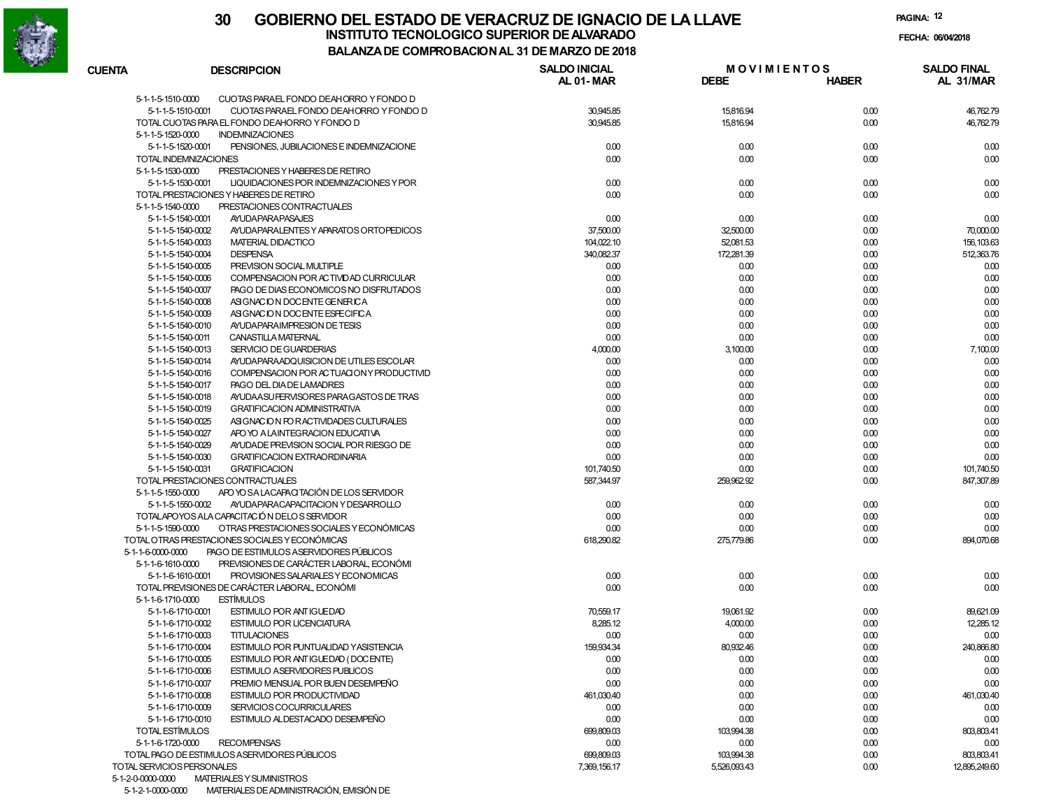

5-1-2-1-0000-0000 MATERIALES DE ADMINISTRACIÓN, EMISIÓN DE

#### **30 GOBIERNO DEL ESTADO DE VERACRUZ DE IGNACIO DE LA LLAVEFECHA: 06/04/2018 BALANZA DE COMPROBACION AL 31 DE MARZO DE 2018INSTITUTO TECNOLOGICO SUPERIOR DE ALVARADO**

| 5-1-1-5-1510-0000<br>CUOTAS PARAEL FONDO DEAHORRO Y FONDO D<br>5-1-1-5-1510-0001<br>CUOTAS PARAEL FONDO DEAHORRO Y FONDO D<br>30,945.85<br>15,816.94<br>0.00<br>TOTAL CUOTAS PARA EL FONDO DEAHORRO Y FONDO D<br>30,945.85<br>15,816.94<br>0.00<br>5-1-1-5-1520-0000<br><b>INDEMNIZACIONES</b><br>5-1-1-5-1520-0001<br>PENSIONES, JUBILACIONES E INDEMNIZACIONE<br>0.00<br>0.00<br>0.00<br>0.00<br>TOTAL INDEMNIZACIONES<br>0.00<br>0.00<br>0.00<br>5-1-1-5-1530-0000<br>PRESTACIONES Y HABERES DE RETIRO<br>5-1-1-5-1530-0001<br>LIQUIDACIONES POR INDEMNIZACIONES Y POR<br>0.00<br>0.00<br>0.00<br>0.00<br>0.00<br>TOTAL PRESTACIONES Y HABERES DE RETIRO<br>0.00<br>0.00<br>0.00<br>5-1-1-5-1540-0000<br>PRESTACIONES CONTRACTUALES<br>5-1-1-5-1540-0001<br><b>AYUDAPARAPASAJES</b><br>0.00<br>0.00<br>0.00<br>0.00<br>5-1-1-5-1540-0002<br>AYUDA PARALENTES Y APARATOS ORTOPEDICOS<br>37,500.00<br>32,500.00<br>0.00<br>70,000.00<br>5-1-1-5-1540-0003<br>MATERIAL DIDACTICO<br>104,022.10<br>52,081.53<br>0.00<br>156, 103.63<br>5-1-1-5-1540-0004<br><b>DESPENSA</b><br>340,082.37<br>172,281.39<br>0.00<br>512,363.76<br>5-1-1-5-1540-0005<br>PREVISION SOCIAL MULTIPLE<br>0.00<br>0.00<br>0.00<br>0.00<br>5-1-1-5-1540-0006<br>COMPENSACION POR ACTIVIDAD CURRICULAR<br>0.00<br>0.00<br>0.00<br>0.00<br>5-1-1-5-1540-0007<br>PAGO DE DIAS ECONOMICOS NO DISFRUTADOS<br>0.00<br>0.00<br>0.00<br>0.00<br>5-1-1-5-1540-0008<br>ASIGNACION DOCENTE GENERICA<br>0.00<br>0.00<br>0.00<br>0.00<br>5-1-1-5-1540-0009<br>ASIGNACION DOCENTE ESPECIFICA<br>0.00<br>0.00<br>0.00<br>0.00<br>5-1-1-5-1540-0010<br>AYUDA PARA IMPRESION DE TESIS<br>0.00<br>0.00<br>0.00<br>0.00<br>0.00<br>5-1-1-5-1540-0011<br>CANASTILLA MATERNAL<br>0.00<br>0.00<br>0.00<br>5-1-1-5-1540-0013<br>SERVICIO DE GUARDERIAS<br>4,000.00<br>3,100.00<br>0.00<br>5-1-1-5-1540-0014<br>AYUDA PARAADQUISICION DE UTILES ESCOLAR<br>0.00<br>0.00<br>0.00<br>5-1-1-5-1540-0016<br>COMPENSACION POR ACTUACIONY PRODUCTIVID<br>0.00<br>0.00<br>0.00<br>5-1-1-5-1540-0017<br>PAGO DEL DIA DE LAMADRES<br>0.00<br>0.00<br>0.00<br>0.00<br>5-1-1-5-1540-0018<br>AYUDA ASU FERVISORES PARA GASTOS DE TRAS<br>0.00<br>0.00<br>5-1-1-5-1540-0019<br><b>GRATIFICACION ADMINISTRATIVA</b><br>0.00<br>0.00<br>0.00<br>5-1-1-5-1540-0025<br>ASIGNACION FOR ACTIVIDADES CULTURALES<br>0.00<br>0.00<br>0.00<br>5-1-1-5-1540-0027<br>APO YO A LAINTEGRACION EDUCATIVA<br>0.00<br>0.00<br>0.00<br>0.00<br>5-1-1-5-1540-0029<br>AYUDADE PREVISION SOCIAL POR RIESGO DE<br>0.00<br>0.00<br>0.00<br>0.00<br>5-1-1-5-1540-0030<br><b>GRATIFICACION EXTRAORDINARIA</b><br>0.00<br>0.00<br>0.00<br>5-1-1-5-1540-0031<br><b>GRATIFICACION</b><br>101,740.50<br>0.00<br>0.00<br>101,740.50<br>TOTAL PRESTACIONES CONTRACTUALES<br>587,344.97<br>259,962.92<br>0.00<br>847,307.89<br>APO YO SA LACAPACITACIÓN DE LOS SERVIDOR<br>5-1-1-5-1550-0000<br>5-1-1-5-1550-0002<br>AYUDA PARA CAPACITACION Y DESARROLLO<br>0.00<br>0.00<br>0.00<br>0.00<br>TOTALAPOYOS ALA CAPACITACIÓN DELOS SERVIDOR<br>0.00<br>0.00<br>0.00<br>0.00<br>OTRAS PRESTACIONES SOCIALES Y ECONÓMICAS<br>5-1-1-5-1590-0000<br>0.00<br>0.00<br>0.00<br>0.00<br>TOTAL OTRAS PRESTACIONES SOCIALES Y ECONÓMICAS<br>618,290.82<br>275,779.86<br>0.00<br>894,070.68<br>5-1-1-6-0000-0000<br>PAGO DE ESTIMULOS ASERVIDORES PÚBLICOS<br>PREVISIONES DE CARÁCTER LABORAL, ECONÓMI<br>5-1-1-6-1610-0000<br>5-1-1-6-1610-0001<br>PROVISIONES SALARIALES Y ECONOMICAS<br>0.00<br>0.00<br>0.00<br>0.00<br>TOTAL PREVISIONES DE CARÁCTER LABORAL, ECONÓMI<br>0.00<br>0.00<br>0.00<br>0.00<br>5-1-1-6-1710-0000<br><b>ESTIMULOS</b><br>5-1-1-6-1710-0001<br>ESTIMULO POR ANTIGUEDAD<br>70,559.17<br>19,061.92<br>0.00<br>89,621.09<br>5-1-1-6-1710-0002<br><b>ESTIMULO POR LICENCIATURA</b><br>8,285.12<br>4,000.00<br>0.00<br>5-1-1-6-1710-0003<br><b>TITULACIONES</b><br>0.00<br>0.00<br>0.00<br>5-1-1-6-1710-0004<br>ESTIMULO POR PUNTUALIDAD YASISTENCIA<br>159,934.34<br>80,932.46<br>0.00<br>5-1-1-6-1710-0005<br>ESTIMULO POR ANTIGUEDAD (DOCENTE)<br>0.00<br>0.00<br>0.00<br>5-1-1-6-1710-0006<br><b>ESTIMULO ASERVIDORES PUBLICOS</b><br>0.00<br>0.00<br>0.00<br>5-1-1-6-1710-0007<br>PREMIO MENSUAL POR BUEN DESEMPEÑO<br>0.00<br>0.00<br>0.00<br>5-1-1-6-1710-0008<br>ESTIMULO POR PRODUCTIVIDAD<br>461,030.40<br>0.00<br>0.00<br>461,030.40<br>5-1-1-6-1710-0009<br>SERVICIOS COCURRICULARES<br>0.00<br>0.00<br>0.00<br>0.00<br>5-1-1-6-1710-0010<br>ESTIMULO ALDESTACADO DESEMPEÑO<br>0.00<br>0.00<br>0.00<br>0.00<br>TOTAL ESTÍMULOS<br>699,809.03<br>103,994.38<br>0.00<br>803,803.41<br>5-1-1-6-1720-0000<br><b>RECOMPENSAS</b><br>0.00<br>0.00<br>0.00<br>0.00<br>TOTAL PAGO DE ESTIMULOS ASERVIDORES PÚBLICOS<br>699,809.03<br>103,994.38<br>0.00<br>803,803.41<br>TOTAL SERVICIOS PERSONALES<br>7,369,156.17<br>5,526,093.43<br>0.00<br>12,895,249.60<br>5-1-2-0-0000-0000<br>MATERIALES Y SUMINISTROS | <b>CUENTA</b> | <b>DESCRIPCION</b> | <b>SALDO INICIAL</b><br>AL 01-MAR | <b>MOVIMIENTOS</b><br><b>DEBE</b> | <b>HABER</b> | <b>SALDO FINAL</b><br>AL 31/MAR |
|------------------------------------------------------------------------------------------------------------------------------------------------------------------------------------------------------------------------------------------------------------------------------------------------------------------------------------------------------------------------------------------------------------------------------------------------------------------------------------------------------------------------------------------------------------------------------------------------------------------------------------------------------------------------------------------------------------------------------------------------------------------------------------------------------------------------------------------------------------------------------------------------------------------------------------------------------------------------------------------------------------------------------------------------------------------------------------------------------------------------------------------------------------------------------------------------------------------------------------------------------------------------------------------------------------------------------------------------------------------------------------------------------------------------------------------------------------------------------------------------------------------------------------------------------------------------------------------------------------------------------------------------------------------------------------------------------------------------------------------------------------------------------------------------------------------------------------------------------------------------------------------------------------------------------------------------------------------------------------------------------------------------------------------------------------------------------------------------------------------------------------------------------------------------------------------------------------------------------------------------------------------------------------------------------------------------------------------------------------------------------------------------------------------------------------------------------------------------------------------------------------------------------------------------------------------------------------------------------------------------------------------------------------------------------------------------------------------------------------------------------------------------------------------------------------------------------------------------------------------------------------------------------------------------------------------------------------------------------------------------------------------------------------------------------------------------------------------------------------------------------------------------------------------------------------------------------------------------------------------------------------------------------------------------------------------------------------------------------------------------------------------------------------------------------------------------------------------------------------------------------------------------------------------------------------------------------------------------------------------------------------------------------------------------------------------------------------------------------------------------------------------------------------------------------------------------------------------------------------------------------------------------------------------------------------------------------------------------------------------------------------------------------------------------------------------------------------------------------------------------------------------------------------------------------------------------------------------------------------------------------------------------------------------------------------------------------------------------------------------------------------------------------------------------------------------------------------------------------------------------------------------------------------------------------------------------------------------------------------------------------------------------------------------------------------------------------------------------------------------------------------------------------------------------------------------------------------------------------------------------------------------------------------------------------|---------------|--------------------|-----------------------------------|-----------------------------------|--------------|---------------------------------|
|                                                                                                                                                                                                                                                                                                                                                                                                                                                                                                                                                                                                                                                                                                                                                                                                                                                                                                                                                                                                                                                                                                                                                                                                                                                                                                                                                                                                                                                                                                                                                                                                                                                                                                                                                                                                                                                                                                                                                                                                                                                                                                                                                                                                                                                                                                                                                                                                                                                                                                                                                                                                                                                                                                                                                                                                                                                                                                                                                                                                                                                                                                                                                                                                                                                                                                                                                                                                                                                                                                                                                                                                                                                                                                                                                                                                                                                                                                                                                                                                                                                                                                                                                                                                                                                                                                                                                                                                                                                                                                                                                                                                                                                                                                                                                                                                                                                                                                                              |               |                    |                                   |                                   |              |                                 |
|                                                                                                                                                                                                                                                                                                                                                                                                                                                                                                                                                                                                                                                                                                                                                                                                                                                                                                                                                                                                                                                                                                                                                                                                                                                                                                                                                                                                                                                                                                                                                                                                                                                                                                                                                                                                                                                                                                                                                                                                                                                                                                                                                                                                                                                                                                                                                                                                                                                                                                                                                                                                                                                                                                                                                                                                                                                                                                                                                                                                                                                                                                                                                                                                                                                                                                                                                                                                                                                                                                                                                                                                                                                                                                                                                                                                                                                                                                                                                                                                                                                                                                                                                                                                                                                                                                                                                                                                                                                                                                                                                                                                                                                                                                                                                                                                                                                                                                                              |               |                    |                                   |                                   |              | 46,762.79                       |
|                                                                                                                                                                                                                                                                                                                                                                                                                                                                                                                                                                                                                                                                                                                                                                                                                                                                                                                                                                                                                                                                                                                                                                                                                                                                                                                                                                                                                                                                                                                                                                                                                                                                                                                                                                                                                                                                                                                                                                                                                                                                                                                                                                                                                                                                                                                                                                                                                                                                                                                                                                                                                                                                                                                                                                                                                                                                                                                                                                                                                                                                                                                                                                                                                                                                                                                                                                                                                                                                                                                                                                                                                                                                                                                                                                                                                                                                                                                                                                                                                                                                                                                                                                                                                                                                                                                                                                                                                                                                                                                                                                                                                                                                                                                                                                                                                                                                                                                              |               |                    |                                   |                                   |              | 46,762.79                       |
|                                                                                                                                                                                                                                                                                                                                                                                                                                                                                                                                                                                                                                                                                                                                                                                                                                                                                                                                                                                                                                                                                                                                                                                                                                                                                                                                                                                                                                                                                                                                                                                                                                                                                                                                                                                                                                                                                                                                                                                                                                                                                                                                                                                                                                                                                                                                                                                                                                                                                                                                                                                                                                                                                                                                                                                                                                                                                                                                                                                                                                                                                                                                                                                                                                                                                                                                                                                                                                                                                                                                                                                                                                                                                                                                                                                                                                                                                                                                                                                                                                                                                                                                                                                                                                                                                                                                                                                                                                                                                                                                                                                                                                                                                                                                                                                                                                                                                                                              |               |                    |                                   |                                   |              |                                 |
|                                                                                                                                                                                                                                                                                                                                                                                                                                                                                                                                                                                                                                                                                                                                                                                                                                                                                                                                                                                                                                                                                                                                                                                                                                                                                                                                                                                                                                                                                                                                                                                                                                                                                                                                                                                                                                                                                                                                                                                                                                                                                                                                                                                                                                                                                                                                                                                                                                                                                                                                                                                                                                                                                                                                                                                                                                                                                                                                                                                                                                                                                                                                                                                                                                                                                                                                                                                                                                                                                                                                                                                                                                                                                                                                                                                                                                                                                                                                                                                                                                                                                                                                                                                                                                                                                                                                                                                                                                                                                                                                                                                                                                                                                                                                                                                                                                                                                                                              |               |                    |                                   |                                   |              | 0.00                            |
|                                                                                                                                                                                                                                                                                                                                                                                                                                                                                                                                                                                                                                                                                                                                                                                                                                                                                                                                                                                                                                                                                                                                                                                                                                                                                                                                                                                                                                                                                                                                                                                                                                                                                                                                                                                                                                                                                                                                                                                                                                                                                                                                                                                                                                                                                                                                                                                                                                                                                                                                                                                                                                                                                                                                                                                                                                                                                                                                                                                                                                                                                                                                                                                                                                                                                                                                                                                                                                                                                                                                                                                                                                                                                                                                                                                                                                                                                                                                                                                                                                                                                                                                                                                                                                                                                                                                                                                                                                                                                                                                                                                                                                                                                                                                                                                                                                                                                                                              |               |                    |                                   |                                   |              |                                 |
|                                                                                                                                                                                                                                                                                                                                                                                                                                                                                                                                                                                                                                                                                                                                                                                                                                                                                                                                                                                                                                                                                                                                                                                                                                                                                                                                                                                                                                                                                                                                                                                                                                                                                                                                                                                                                                                                                                                                                                                                                                                                                                                                                                                                                                                                                                                                                                                                                                                                                                                                                                                                                                                                                                                                                                                                                                                                                                                                                                                                                                                                                                                                                                                                                                                                                                                                                                                                                                                                                                                                                                                                                                                                                                                                                                                                                                                                                                                                                                                                                                                                                                                                                                                                                                                                                                                                                                                                                                                                                                                                                                                                                                                                                                                                                                                                                                                                                                                              |               |                    |                                   |                                   |              |                                 |
|                                                                                                                                                                                                                                                                                                                                                                                                                                                                                                                                                                                                                                                                                                                                                                                                                                                                                                                                                                                                                                                                                                                                                                                                                                                                                                                                                                                                                                                                                                                                                                                                                                                                                                                                                                                                                                                                                                                                                                                                                                                                                                                                                                                                                                                                                                                                                                                                                                                                                                                                                                                                                                                                                                                                                                                                                                                                                                                                                                                                                                                                                                                                                                                                                                                                                                                                                                                                                                                                                                                                                                                                                                                                                                                                                                                                                                                                                                                                                                                                                                                                                                                                                                                                                                                                                                                                                                                                                                                                                                                                                                                                                                                                                                                                                                                                                                                                                                                              |               |                    |                                   |                                   |              |                                 |
|                                                                                                                                                                                                                                                                                                                                                                                                                                                                                                                                                                                                                                                                                                                                                                                                                                                                                                                                                                                                                                                                                                                                                                                                                                                                                                                                                                                                                                                                                                                                                                                                                                                                                                                                                                                                                                                                                                                                                                                                                                                                                                                                                                                                                                                                                                                                                                                                                                                                                                                                                                                                                                                                                                                                                                                                                                                                                                                                                                                                                                                                                                                                                                                                                                                                                                                                                                                                                                                                                                                                                                                                                                                                                                                                                                                                                                                                                                                                                                                                                                                                                                                                                                                                                                                                                                                                                                                                                                                                                                                                                                                                                                                                                                                                                                                                                                                                                                                              |               |                    |                                   |                                   |              |                                 |
|                                                                                                                                                                                                                                                                                                                                                                                                                                                                                                                                                                                                                                                                                                                                                                                                                                                                                                                                                                                                                                                                                                                                                                                                                                                                                                                                                                                                                                                                                                                                                                                                                                                                                                                                                                                                                                                                                                                                                                                                                                                                                                                                                                                                                                                                                                                                                                                                                                                                                                                                                                                                                                                                                                                                                                                                                                                                                                                                                                                                                                                                                                                                                                                                                                                                                                                                                                                                                                                                                                                                                                                                                                                                                                                                                                                                                                                                                                                                                                                                                                                                                                                                                                                                                                                                                                                                                                                                                                                                                                                                                                                                                                                                                                                                                                                                                                                                                                                              |               |                    |                                   |                                   |              |                                 |
|                                                                                                                                                                                                                                                                                                                                                                                                                                                                                                                                                                                                                                                                                                                                                                                                                                                                                                                                                                                                                                                                                                                                                                                                                                                                                                                                                                                                                                                                                                                                                                                                                                                                                                                                                                                                                                                                                                                                                                                                                                                                                                                                                                                                                                                                                                                                                                                                                                                                                                                                                                                                                                                                                                                                                                                                                                                                                                                                                                                                                                                                                                                                                                                                                                                                                                                                                                                                                                                                                                                                                                                                                                                                                                                                                                                                                                                                                                                                                                                                                                                                                                                                                                                                                                                                                                                                                                                                                                                                                                                                                                                                                                                                                                                                                                                                                                                                                                                              |               |                    |                                   |                                   |              |                                 |
|                                                                                                                                                                                                                                                                                                                                                                                                                                                                                                                                                                                                                                                                                                                                                                                                                                                                                                                                                                                                                                                                                                                                                                                                                                                                                                                                                                                                                                                                                                                                                                                                                                                                                                                                                                                                                                                                                                                                                                                                                                                                                                                                                                                                                                                                                                                                                                                                                                                                                                                                                                                                                                                                                                                                                                                                                                                                                                                                                                                                                                                                                                                                                                                                                                                                                                                                                                                                                                                                                                                                                                                                                                                                                                                                                                                                                                                                                                                                                                                                                                                                                                                                                                                                                                                                                                                                                                                                                                                                                                                                                                                                                                                                                                                                                                                                                                                                                                                              |               |                    |                                   |                                   |              |                                 |
|                                                                                                                                                                                                                                                                                                                                                                                                                                                                                                                                                                                                                                                                                                                                                                                                                                                                                                                                                                                                                                                                                                                                                                                                                                                                                                                                                                                                                                                                                                                                                                                                                                                                                                                                                                                                                                                                                                                                                                                                                                                                                                                                                                                                                                                                                                                                                                                                                                                                                                                                                                                                                                                                                                                                                                                                                                                                                                                                                                                                                                                                                                                                                                                                                                                                                                                                                                                                                                                                                                                                                                                                                                                                                                                                                                                                                                                                                                                                                                                                                                                                                                                                                                                                                                                                                                                                                                                                                                                                                                                                                                                                                                                                                                                                                                                                                                                                                                                              |               |                    |                                   |                                   |              |                                 |
|                                                                                                                                                                                                                                                                                                                                                                                                                                                                                                                                                                                                                                                                                                                                                                                                                                                                                                                                                                                                                                                                                                                                                                                                                                                                                                                                                                                                                                                                                                                                                                                                                                                                                                                                                                                                                                                                                                                                                                                                                                                                                                                                                                                                                                                                                                                                                                                                                                                                                                                                                                                                                                                                                                                                                                                                                                                                                                                                                                                                                                                                                                                                                                                                                                                                                                                                                                                                                                                                                                                                                                                                                                                                                                                                                                                                                                                                                                                                                                                                                                                                                                                                                                                                                                                                                                                                                                                                                                                                                                                                                                                                                                                                                                                                                                                                                                                                                                                              |               |                    |                                   |                                   |              |                                 |
|                                                                                                                                                                                                                                                                                                                                                                                                                                                                                                                                                                                                                                                                                                                                                                                                                                                                                                                                                                                                                                                                                                                                                                                                                                                                                                                                                                                                                                                                                                                                                                                                                                                                                                                                                                                                                                                                                                                                                                                                                                                                                                                                                                                                                                                                                                                                                                                                                                                                                                                                                                                                                                                                                                                                                                                                                                                                                                                                                                                                                                                                                                                                                                                                                                                                                                                                                                                                                                                                                                                                                                                                                                                                                                                                                                                                                                                                                                                                                                                                                                                                                                                                                                                                                                                                                                                                                                                                                                                                                                                                                                                                                                                                                                                                                                                                                                                                                                                              |               |                    |                                   |                                   |              |                                 |
|                                                                                                                                                                                                                                                                                                                                                                                                                                                                                                                                                                                                                                                                                                                                                                                                                                                                                                                                                                                                                                                                                                                                                                                                                                                                                                                                                                                                                                                                                                                                                                                                                                                                                                                                                                                                                                                                                                                                                                                                                                                                                                                                                                                                                                                                                                                                                                                                                                                                                                                                                                                                                                                                                                                                                                                                                                                                                                                                                                                                                                                                                                                                                                                                                                                                                                                                                                                                                                                                                                                                                                                                                                                                                                                                                                                                                                                                                                                                                                                                                                                                                                                                                                                                                                                                                                                                                                                                                                                                                                                                                                                                                                                                                                                                                                                                                                                                                                                              |               |                    |                                   |                                   |              |                                 |
|                                                                                                                                                                                                                                                                                                                                                                                                                                                                                                                                                                                                                                                                                                                                                                                                                                                                                                                                                                                                                                                                                                                                                                                                                                                                                                                                                                                                                                                                                                                                                                                                                                                                                                                                                                                                                                                                                                                                                                                                                                                                                                                                                                                                                                                                                                                                                                                                                                                                                                                                                                                                                                                                                                                                                                                                                                                                                                                                                                                                                                                                                                                                                                                                                                                                                                                                                                                                                                                                                                                                                                                                                                                                                                                                                                                                                                                                                                                                                                                                                                                                                                                                                                                                                                                                                                                                                                                                                                                                                                                                                                                                                                                                                                                                                                                                                                                                                                                              |               |                    |                                   |                                   |              |                                 |
|                                                                                                                                                                                                                                                                                                                                                                                                                                                                                                                                                                                                                                                                                                                                                                                                                                                                                                                                                                                                                                                                                                                                                                                                                                                                                                                                                                                                                                                                                                                                                                                                                                                                                                                                                                                                                                                                                                                                                                                                                                                                                                                                                                                                                                                                                                                                                                                                                                                                                                                                                                                                                                                                                                                                                                                                                                                                                                                                                                                                                                                                                                                                                                                                                                                                                                                                                                                                                                                                                                                                                                                                                                                                                                                                                                                                                                                                                                                                                                                                                                                                                                                                                                                                                                                                                                                                                                                                                                                                                                                                                                                                                                                                                                                                                                                                                                                                                                                              |               |                    |                                   |                                   |              |                                 |
|                                                                                                                                                                                                                                                                                                                                                                                                                                                                                                                                                                                                                                                                                                                                                                                                                                                                                                                                                                                                                                                                                                                                                                                                                                                                                                                                                                                                                                                                                                                                                                                                                                                                                                                                                                                                                                                                                                                                                                                                                                                                                                                                                                                                                                                                                                                                                                                                                                                                                                                                                                                                                                                                                                                                                                                                                                                                                                                                                                                                                                                                                                                                                                                                                                                                                                                                                                                                                                                                                                                                                                                                                                                                                                                                                                                                                                                                                                                                                                                                                                                                                                                                                                                                                                                                                                                                                                                                                                                                                                                                                                                                                                                                                                                                                                                                                                                                                                                              |               |                    |                                   |                                   |              |                                 |
|                                                                                                                                                                                                                                                                                                                                                                                                                                                                                                                                                                                                                                                                                                                                                                                                                                                                                                                                                                                                                                                                                                                                                                                                                                                                                                                                                                                                                                                                                                                                                                                                                                                                                                                                                                                                                                                                                                                                                                                                                                                                                                                                                                                                                                                                                                                                                                                                                                                                                                                                                                                                                                                                                                                                                                                                                                                                                                                                                                                                                                                                                                                                                                                                                                                                                                                                                                                                                                                                                                                                                                                                                                                                                                                                                                                                                                                                                                                                                                                                                                                                                                                                                                                                                                                                                                                                                                                                                                                                                                                                                                                                                                                                                                                                                                                                                                                                                                                              |               |                    |                                   |                                   |              |                                 |
|                                                                                                                                                                                                                                                                                                                                                                                                                                                                                                                                                                                                                                                                                                                                                                                                                                                                                                                                                                                                                                                                                                                                                                                                                                                                                                                                                                                                                                                                                                                                                                                                                                                                                                                                                                                                                                                                                                                                                                                                                                                                                                                                                                                                                                                                                                                                                                                                                                                                                                                                                                                                                                                                                                                                                                                                                                                                                                                                                                                                                                                                                                                                                                                                                                                                                                                                                                                                                                                                                                                                                                                                                                                                                                                                                                                                                                                                                                                                                                                                                                                                                                                                                                                                                                                                                                                                                                                                                                                                                                                                                                                                                                                                                                                                                                                                                                                                                                                              |               |                    |                                   |                                   |              |                                 |
|                                                                                                                                                                                                                                                                                                                                                                                                                                                                                                                                                                                                                                                                                                                                                                                                                                                                                                                                                                                                                                                                                                                                                                                                                                                                                                                                                                                                                                                                                                                                                                                                                                                                                                                                                                                                                                                                                                                                                                                                                                                                                                                                                                                                                                                                                                                                                                                                                                                                                                                                                                                                                                                                                                                                                                                                                                                                                                                                                                                                                                                                                                                                                                                                                                                                                                                                                                                                                                                                                                                                                                                                                                                                                                                                                                                                                                                                                                                                                                                                                                                                                                                                                                                                                                                                                                                                                                                                                                                                                                                                                                                                                                                                                                                                                                                                                                                                                                                              |               |                    |                                   |                                   |              |                                 |
|                                                                                                                                                                                                                                                                                                                                                                                                                                                                                                                                                                                                                                                                                                                                                                                                                                                                                                                                                                                                                                                                                                                                                                                                                                                                                                                                                                                                                                                                                                                                                                                                                                                                                                                                                                                                                                                                                                                                                                                                                                                                                                                                                                                                                                                                                                                                                                                                                                                                                                                                                                                                                                                                                                                                                                                                                                                                                                                                                                                                                                                                                                                                                                                                                                                                                                                                                                                                                                                                                                                                                                                                                                                                                                                                                                                                                                                                                                                                                                                                                                                                                                                                                                                                                                                                                                                                                                                                                                                                                                                                                                                                                                                                                                                                                                                                                                                                                                                              |               |                    |                                   |                                   |              | 7,100.00                        |
|                                                                                                                                                                                                                                                                                                                                                                                                                                                                                                                                                                                                                                                                                                                                                                                                                                                                                                                                                                                                                                                                                                                                                                                                                                                                                                                                                                                                                                                                                                                                                                                                                                                                                                                                                                                                                                                                                                                                                                                                                                                                                                                                                                                                                                                                                                                                                                                                                                                                                                                                                                                                                                                                                                                                                                                                                                                                                                                                                                                                                                                                                                                                                                                                                                                                                                                                                                                                                                                                                                                                                                                                                                                                                                                                                                                                                                                                                                                                                                                                                                                                                                                                                                                                                                                                                                                                                                                                                                                                                                                                                                                                                                                                                                                                                                                                                                                                                                                              |               |                    |                                   |                                   |              | 0.00                            |
|                                                                                                                                                                                                                                                                                                                                                                                                                                                                                                                                                                                                                                                                                                                                                                                                                                                                                                                                                                                                                                                                                                                                                                                                                                                                                                                                                                                                                                                                                                                                                                                                                                                                                                                                                                                                                                                                                                                                                                                                                                                                                                                                                                                                                                                                                                                                                                                                                                                                                                                                                                                                                                                                                                                                                                                                                                                                                                                                                                                                                                                                                                                                                                                                                                                                                                                                                                                                                                                                                                                                                                                                                                                                                                                                                                                                                                                                                                                                                                                                                                                                                                                                                                                                                                                                                                                                                                                                                                                                                                                                                                                                                                                                                                                                                                                                                                                                                                                              |               |                    |                                   |                                   |              | 0.00                            |
|                                                                                                                                                                                                                                                                                                                                                                                                                                                                                                                                                                                                                                                                                                                                                                                                                                                                                                                                                                                                                                                                                                                                                                                                                                                                                                                                                                                                                                                                                                                                                                                                                                                                                                                                                                                                                                                                                                                                                                                                                                                                                                                                                                                                                                                                                                                                                                                                                                                                                                                                                                                                                                                                                                                                                                                                                                                                                                                                                                                                                                                                                                                                                                                                                                                                                                                                                                                                                                                                                                                                                                                                                                                                                                                                                                                                                                                                                                                                                                                                                                                                                                                                                                                                                                                                                                                                                                                                                                                                                                                                                                                                                                                                                                                                                                                                                                                                                                                              |               |                    |                                   |                                   |              | 0.00                            |
|                                                                                                                                                                                                                                                                                                                                                                                                                                                                                                                                                                                                                                                                                                                                                                                                                                                                                                                                                                                                                                                                                                                                                                                                                                                                                                                                                                                                                                                                                                                                                                                                                                                                                                                                                                                                                                                                                                                                                                                                                                                                                                                                                                                                                                                                                                                                                                                                                                                                                                                                                                                                                                                                                                                                                                                                                                                                                                                                                                                                                                                                                                                                                                                                                                                                                                                                                                                                                                                                                                                                                                                                                                                                                                                                                                                                                                                                                                                                                                                                                                                                                                                                                                                                                                                                                                                                                                                                                                                                                                                                                                                                                                                                                                                                                                                                                                                                                                                              |               |                    |                                   |                                   |              | 0.00                            |
|                                                                                                                                                                                                                                                                                                                                                                                                                                                                                                                                                                                                                                                                                                                                                                                                                                                                                                                                                                                                                                                                                                                                                                                                                                                                                                                                                                                                                                                                                                                                                                                                                                                                                                                                                                                                                                                                                                                                                                                                                                                                                                                                                                                                                                                                                                                                                                                                                                                                                                                                                                                                                                                                                                                                                                                                                                                                                                                                                                                                                                                                                                                                                                                                                                                                                                                                                                                                                                                                                                                                                                                                                                                                                                                                                                                                                                                                                                                                                                                                                                                                                                                                                                                                                                                                                                                                                                                                                                                                                                                                                                                                                                                                                                                                                                                                                                                                                                                              |               |                    |                                   |                                   |              | 0.00                            |
|                                                                                                                                                                                                                                                                                                                                                                                                                                                                                                                                                                                                                                                                                                                                                                                                                                                                                                                                                                                                                                                                                                                                                                                                                                                                                                                                                                                                                                                                                                                                                                                                                                                                                                                                                                                                                                                                                                                                                                                                                                                                                                                                                                                                                                                                                                                                                                                                                                                                                                                                                                                                                                                                                                                                                                                                                                                                                                                                                                                                                                                                                                                                                                                                                                                                                                                                                                                                                                                                                                                                                                                                                                                                                                                                                                                                                                                                                                                                                                                                                                                                                                                                                                                                                                                                                                                                                                                                                                                                                                                                                                                                                                                                                                                                                                                                                                                                                                                              |               |                    |                                   |                                   |              | 0.00                            |
|                                                                                                                                                                                                                                                                                                                                                                                                                                                                                                                                                                                                                                                                                                                                                                                                                                                                                                                                                                                                                                                                                                                                                                                                                                                                                                                                                                                                                                                                                                                                                                                                                                                                                                                                                                                                                                                                                                                                                                                                                                                                                                                                                                                                                                                                                                                                                                                                                                                                                                                                                                                                                                                                                                                                                                                                                                                                                                                                                                                                                                                                                                                                                                                                                                                                                                                                                                                                                                                                                                                                                                                                                                                                                                                                                                                                                                                                                                                                                                                                                                                                                                                                                                                                                                                                                                                                                                                                                                                                                                                                                                                                                                                                                                                                                                                                                                                                                                                              |               |                    |                                   |                                   |              | 0.00                            |
|                                                                                                                                                                                                                                                                                                                                                                                                                                                                                                                                                                                                                                                                                                                                                                                                                                                                                                                                                                                                                                                                                                                                                                                                                                                                                                                                                                                                                                                                                                                                                                                                                                                                                                                                                                                                                                                                                                                                                                                                                                                                                                                                                                                                                                                                                                                                                                                                                                                                                                                                                                                                                                                                                                                                                                                                                                                                                                                                                                                                                                                                                                                                                                                                                                                                                                                                                                                                                                                                                                                                                                                                                                                                                                                                                                                                                                                                                                                                                                                                                                                                                                                                                                                                                                                                                                                                                                                                                                                                                                                                                                                                                                                                                                                                                                                                                                                                                                                              |               |                    |                                   |                                   |              |                                 |
|                                                                                                                                                                                                                                                                                                                                                                                                                                                                                                                                                                                                                                                                                                                                                                                                                                                                                                                                                                                                                                                                                                                                                                                                                                                                                                                                                                                                                                                                                                                                                                                                                                                                                                                                                                                                                                                                                                                                                                                                                                                                                                                                                                                                                                                                                                                                                                                                                                                                                                                                                                                                                                                                                                                                                                                                                                                                                                                                                                                                                                                                                                                                                                                                                                                                                                                                                                                                                                                                                                                                                                                                                                                                                                                                                                                                                                                                                                                                                                                                                                                                                                                                                                                                                                                                                                                                                                                                                                                                                                                                                                                                                                                                                                                                                                                                                                                                                                                              |               |                    |                                   |                                   |              |                                 |
|                                                                                                                                                                                                                                                                                                                                                                                                                                                                                                                                                                                                                                                                                                                                                                                                                                                                                                                                                                                                                                                                                                                                                                                                                                                                                                                                                                                                                                                                                                                                                                                                                                                                                                                                                                                                                                                                                                                                                                                                                                                                                                                                                                                                                                                                                                                                                                                                                                                                                                                                                                                                                                                                                                                                                                                                                                                                                                                                                                                                                                                                                                                                                                                                                                                                                                                                                                                                                                                                                                                                                                                                                                                                                                                                                                                                                                                                                                                                                                                                                                                                                                                                                                                                                                                                                                                                                                                                                                                                                                                                                                                                                                                                                                                                                                                                                                                                                                                              |               |                    |                                   |                                   |              |                                 |
|                                                                                                                                                                                                                                                                                                                                                                                                                                                                                                                                                                                                                                                                                                                                                                                                                                                                                                                                                                                                                                                                                                                                                                                                                                                                                                                                                                                                                                                                                                                                                                                                                                                                                                                                                                                                                                                                                                                                                                                                                                                                                                                                                                                                                                                                                                                                                                                                                                                                                                                                                                                                                                                                                                                                                                                                                                                                                                                                                                                                                                                                                                                                                                                                                                                                                                                                                                                                                                                                                                                                                                                                                                                                                                                                                                                                                                                                                                                                                                                                                                                                                                                                                                                                                                                                                                                                                                                                                                                                                                                                                                                                                                                                                                                                                                                                                                                                                                                              |               |                    |                                   |                                   |              |                                 |
|                                                                                                                                                                                                                                                                                                                                                                                                                                                                                                                                                                                                                                                                                                                                                                                                                                                                                                                                                                                                                                                                                                                                                                                                                                                                                                                                                                                                                                                                                                                                                                                                                                                                                                                                                                                                                                                                                                                                                                                                                                                                                                                                                                                                                                                                                                                                                                                                                                                                                                                                                                                                                                                                                                                                                                                                                                                                                                                                                                                                                                                                                                                                                                                                                                                                                                                                                                                                                                                                                                                                                                                                                                                                                                                                                                                                                                                                                                                                                                                                                                                                                                                                                                                                                                                                                                                                                                                                                                                                                                                                                                                                                                                                                                                                                                                                                                                                                                                              |               |                    |                                   |                                   |              |                                 |
|                                                                                                                                                                                                                                                                                                                                                                                                                                                                                                                                                                                                                                                                                                                                                                                                                                                                                                                                                                                                                                                                                                                                                                                                                                                                                                                                                                                                                                                                                                                                                                                                                                                                                                                                                                                                                                                                                                                                                                                                                                                                                                                                                                                                                                                                                                                                                                                                                                                                                                                                                                                                                                                                                                                                                                                                                                                                                                                                                                                                                                                                                                                                                                                                                                                                                                                                                                                                                                                                                                                                                                                                                                                                                                                                                                                                                                                                                                                                                                                                                                                                                                                                                                                                                                                                                                                                                                                                                                                                                                                                                                                                                                                                                                                                                                                                                                                                                                                              |               |                    |                                   |                                   |              |                                 |
|                                                                                                                                                                                                                                                                                                                                                                                                                                                                                                                                                                                                                                                                                                                                                                                                                                                                                                                                                                                                                                                                                                                                                                                                                                                                                                                                                                                                                                                                                                                                                                                                                                                                                                                                                                                                                                                                                                                                                                                                                                                                                                                                                                                                                                                                                                                                                                                                                                                                                                                                                                                                                                                                                                                                                                                                                                                                                                                                                                                                                                                                                                                                                                                                                                                                                                                                                                                                                                                                                                                                                                                                                                                                                                                                                                                                                                                                                                                                                                                                                                                                                                                                                                                                                                                                                                                                                                                                                                                                                                                                                                                                                                                                                                                                                                                                                                                                                                                              |               |                    |                                   |                                   |              |                                 |
|                                                                                                                                                                                                                                                                                                                                                                                                                                                                                                                                                                                                                                                                                                                                                                                                                                                                                                                                                                                                                                                                                                                                                                                                                                                                                                                                                                                                                                                                                                                                                                                                                                                                                                                                                                                                                                                                                                                                                                                                                                                                                                                                                                                                                                                                                                                                                                                                                                                                                                                                                                                                                                                                                                                                                                                                                                                                                                                                                                                                                                                                                                                                                                                                                                                                                                                                                                                                                                                                                                                                                                                                                                                                                                                                                                                                                                                                                                                                                                                                                                                                                                                                                                                                                                                                                                                                                                                                                                                                                                                                                                                                                                                                                                                                                                                                                                                                                                                              |               |                    |                                   |                                   |              |                                 |
|                                                                                                                                                                                                                                                                                                                                                                                                                                                                                                                                                                                                                                                                                                                                                                                                                                                                                                                                                                                                                                                                                                                                                                                                                                                                                                                                                                                                                                                                                                                                                                                                                                                                                                                                                                                                                                                                                                                                                                                                                                                                                                                                                                                                                                                                                                                                                                                                                                                                                                                                                                                                                                                                                                                                                                                                                                                                                                                                                                                                                                                                                                                                                                                                                                                                                                                                                                                                                                                                                                                                                                                                                                                                                                                                                                                                                                                                                                                                                                                                                                                                                                                                                                                                                                                                                                                                                                                                                                                                                                                                                                                                                                                                                                                                                                                                                                                                                                                              |               |                    |                                   |                                   |              |                                 |
|                                                                                                                                                                                                                                                                                                                                                                                                                                                                                                                                                                                                                                                                                                                                                                                                                                                                                                                                                                                                                                                                                                                                                                                                                                                                                                                                                                                                                                                                                                                                                                                                                                                                                                                                                                                                                                                                                                                                                                                                                                                                                                                                                                                                                                                                                                                                                                                                                                                                                                                                                                                                                                                                                                                                                                                                                                                                                                                                                                                                                                                                                                                                                                                                                                                                                                                                                                                                                                                                                                                                                                                                                                                                                                                                                                                                                                                                                                                                                                                                                                                                                                                                                                                                                                                                                                                                                                                                                                                                                                                                                                                                                                                                                                                                                                                                                                                                                                                              |               |                    |                                   |                                   |              |                                 |
|                                                                                                                                                                                                                                                                                                                                                                                                                                                                                                                                                                                                                                                                                                                                                                                                                                                                                                                                                                                                                                                                                                                                                                                                                                                                                                                                                                                                                                                                                                                                                                                                                                                                                                                                                                                                                                                                                                                                                                                                                                                                                                                                                                                                                                                                                                                                                                                                                                                                                                                                                                                                                                                                                                                                                                                                                                                                                                                                                                                                                                                                                                                                                                                                                                                                                                                                                                                                                                                                                                                                                                                                                                                                                                                                                                                                                                                                                                                                                                                                                                                                                                                                                                                                                                                                                                                                                                                                                                                                                                                                                                                                                                                                                                                                                                                                                                                                                                                              |               |                    |                                   |                                   |              |                                 |
|                                                                                                                                                                                                                                                                                                                                                                                                                                                                                                                                                                                                                                                                                                                                                                                                                                                                                                                                                                                                                                                                                                                                                                                                                                                                                                                                                                                                                                                                                                                                                                                                                                                                                                                                                                                                                                                                                                                                                                                                                                                                                                                                                                                                                                                                                                                                                                                                                                                                                                                                                                                                                                                                                                                                                                                                                                                                                                                                                                                                                                                                                                                                                                                                                                                                                                                                                                                                                                                                                                                                                                                                                                                                                                                                                                                                                                                                                                                                                                                                                                                                                                                                                                                                                                                                                                                                                                                                                                                                                                                                                                                                                                                                                                                                                                                                                                                                                                                              |               |                    |                                   |                                   |              |                                 |
|                                                                                                                                                                                                                                                                                                                                                                                                                                                                                                                                                                                                                                                                                                                                                                                                                                                                                                                                                                                                                                                                                                                                                                                                                                                                                                                                                                                                                                                                                                                                                                                                                                                                                                                                                                                                                                                                                                                                                                                                                                                                                                                                                                                                                                                                                                                                                                                                                                                                                                                                                                                                                                                                                                                                                                                                                                                                                                                                                                                                                                                                                                                                                                                                                                                                                                                                                                                                                                                                                                                                                                                                                                                                                                                                                                                                                                                                                                                                                                                                                                                                                                                                                                                                                                                                                                                                                                                                                                                                                                                                                                                                                                                                                                                                                                                                                                                                                                                              |               |                    |                                   |                                   |              |                                 |
|                                                                                                                                                                                                                                                                                                                                                                                                                                                                                                                                                                                                                                                                                                                                                                                                                                                                                                                                                                                                                                                                                                                                                                                                                                                                                                                                                                                                                                                                                                                                                                                                                                                                                                                                                                                                                                                                                                                                                                                                                                                                                                                                                                                                                                                                                                                                                                                                                                                                                                                                                                                                                                                                                                                                                                                                                                                                                                                                                                                                                                                                                                                                                                                                                                                                                                                                                                                                                                                                                                                                                                                                                                                                                                                                                                                                                                                                                                                                                                                                                                                                                                                                                                                                                                                                                                                                                                                                                                                                                                                                                                                                                                                                                                                                                                                                                                                                                                                              |               |                    |                                   |                                   |              |                                 |
|                                                                                                                                                                                                                                                                                                                                                                                                                                                                                                                                                                                                                                                                                                                                                                                                                                                                                                                                                                                                                                                                                                                                                                                                                                                                                                                                                                                                                                                                                                                                                                                                                                                                                                                                                                                                                                                                                                                                                                                                                                                                                                                                                                                                                                                                                                                                                                                                                                                                                                                                                                                                                                                                                                                                                                                                                                                                                                                                                                                                                                                                                                                                                                                                                                                                                                                                                                                                                                                                                                                                                                                                                                                                                                                                                                                                                                                                                                                                                                                                                                                                                                                                                                                                                                                                                                                                                                                                                                                                                                                                                                                                                                                                                                                                                                                                                                                                                                                              |               |                    |                                   |                                   |              |                                 |
|                                                                                                                                                                                                                                                                                                                                                                                                                                                                                                                                                                                                                                                                                                                                                                                                                                                                                                                                                                                                                                                                                                                                                                                                                                                                                                                                                                                                                                                                                                                                                                                                                                                                                                                                                                                                                                                                                                                                                                                                                                                                                                                                                                                                                                                                                                                                                                                                                                                                                                                                                                                                                                                                                                                                                                                                                                                                                                                                                                                                                                                                                                                                                                                                                                                                                                                                                                                                                                                                                                                                                                                                                                                                                                                                                                                                                                                                                                                                                                                                                                                                                                                                                                                                                                                                                                                                                                                                                                                                                                                                                                                                                                                                                                                                                                                                                                                                                                                              |               |                    |                                   |                                   |              |                                 |
|                                                                                                                                                                                                                                                                                                                                                                                                                                                                                                                                                                                                                                                                                                                                                                                                                                                                                                                                                                                                                                                                                                                                                                                                                                                                                                                                                                                                                                                                                                                                                                                                                                                                                                                                                                                                                                                                                                                                                                                                                                                                                                                                                                                                                                                                                                                                                                                                                                                                                                                                                                                                                                                                                                                                                                                                                                                                                                                                                                                                                                                                                                                                                                                                                                                                                                                                                                                                                                                                                                                                                                                                                                                                                                                                                                                                                                                                                                                                                                                                                                                                                                                                                                                                                                                                                                                                                                                                                                                                                                                                                                                                                                                                                                                                                                                                                                                                                                                              |               |                    |                                   |                                   |              | 12,285.12                       |
|                                                                                                                                                                                                                                                                                                                                                                                                                                                                                                                                                                                                                                                                                                                                                                                                                                                                                                                                                                                                                                                                                                                                                                                                                                                                                                                                                                                                                                                                                                                                                                                                                                                                                                                                                                                                                                                                                                                                                                                                                                                                                                                                                                                                                                                                                                                                                                                                                                                                                                                                                                                                                                                                                                                                                                                                                                                                                                                                                                                                                                                                                                                                                                                                                                                                                                                                                                                                                                                                                                                                                                                                                                                                                                                                                                                                                                                                                                                                                                                                                                                                                                                                                                                                                                                                                                                                                                                                                                                                                                                                                                                                                                                                                                                                                                                                                                                                                                                              |               |                    |                                   |                                   |              | 0.00                            |
|                                                                                                                                                                                                                                                                                                                                                                                                                                                                                                                                                                                                                                                                                                                                                                                                                                                                                                                                                                                                                                                                                                                                                                                                                                                                                                                                                                                                                                                                                                                                                                                                                                                                                                                                                                                                                                                                                                                                                                                                                                                                                                                                                                                                                                                                                                                                                                                                                                                                                                                                                                                                                                                                                                                                                                                                                                                                                                                                                                                                                                                                                                                                                                                                                                                                                                                                                                                                                                                                                                                                                                                                                                                                                                                                                                                                                                                                                                                                                                                                                                                                                                                                                                                                                                                                                                                                                                                                                                                                                                                                                                                                                                                                                                                                                                                                                                                                                                                              |               |                    |                                   |                                   |              | 240,866.80                      |
|                                                                                                                                                                                                                                                                                                                                                                                                                                                                                                                                                                                                                                                                                                                                                                                                                                                                                                                                                                                                                                                                                                                                                                                                                                                                                                                                                                                                                                                                                                                                                                                                                                                                                                                                                                                                                                                                                                                                                                                                                                                                                                                                                                                                                                                                                                                                                                                                                                                                                                                                                                                                                                                                                                                                                                                                                                                                                                                                                                                                                                                                                                                                                                                                                                                                                                                                                                                                                                                                                                                                                                                                                                                                                                                                                                                                                                                                                                                                                                                                                                                                                                                                                                                                                                                                                                                                                                                                                                                                                                                                                                                                                                                                                                                                                                                                                                                                                                                              |               |                    |                                   |                                   |              | 0.00                            |
|                                                                                                                                                                                                                                                                                                                                                                                                                                                                                                                                                                                                                                                                                                                                                                                                                                                                                                                                                                                                                                                                                                                                                                                                                                                                                                                                                                                                                                                                                                                                                                                                                                                                                                                                                                                                                                                                                                                                                                                                                                                                                                                                                                                                                                                                                                                                                                                                                                                                                                                                                                                                                                                                                                                                                                                                                                                                                                                                                                                                                                                                                                                                                                                                                                                                                                                                                                                                                                                                                                                                                                                                                                                                                                                                                                                                                                                                                                                                                                                                                                                                                                                                                                                                                                                                                                                                                                                                                                                                                                                                                                                                                                                                                                                                                                                                                                                                                                                              |               |                    |                                   |                                   |              | 0.00                            |
|                                                                                                                                                                                                                                                                                                                                                                                                                                                                                                                                                                                                                                                                                                                                                                                                                                                                                                                                                                                                                                                                                                                                                                                                                                                                                                                                                                                                                                                                                                                                                                                                                                                                                                                                                                                                                                                                                                                                                                                                                                                                                                                                                                                                                                                                                                                                                                                                                                                                                                                                                                                                                                                                                                                                                                                                                                                                                                                                                                                                                                                                                                                                                                                                                                                                                                                                                                                                                                                                                                                                                                                                                                                                                                                                                                                                                                                                                                                                                                                                                                                                                                                                                                                                                                                                                                                                                                                                                                                                                                                                                                                                                                                                                                                                                                                                                                                                                                                              |               |                    |                                   |                                   |              | 0.00                            |
|                                                                                                                                                                                                                                                                                                                                                                                                                                                                                                                                                                                                                                                                                                                                                                                                                                                                                                                                                                                                                                                                                                                                                                                                                                                                                                                                                                                                                                                                                                                                                                                                                                                                                                                                                                                                                                                                                                                                                                                                                                                                                                                                                                                                                                                                                                                                                                                                                                                                                                                                                                                                                                                                                                                                                                                                                                                                                                                                                                                                                                                                                                                                                                                                                                                                                                                                                                                                                                                                                                                                                                                                                                                                                                                                                                                                                                                                                                                                                                                                                                                                                                                                                                                                                                                                                                                                                                                                                                                                                                                                                                                                                                                                                                                                                                                                                                                                                                                              |               |                    |                                   |                                   |              |                                 |
|                                                                                                                                                                                                                                                                                                                                                                                                                                                                                                                                                                                                                                                                                                                                                                                                                                                                                                                                                                                                                                                                                                                                                                                                                                                                                                                                                                                                                                                                                                                                                                                                                                                                                                                                                                                                                                                                                                                                                                                                                                                                                                                                                                                                                                                                                                                                                                                                                                                                                                                                                                                                                                                                                                                                                                                                                                                                                                                                                                                                                                                                                                                                                                                                                                                                                                                                                                                                                                                                                                                                                                                                                                                                                                                                                                                                                                                                                                                                                                                                                                                                                                                                                                                                                                                                                                                                                                                                                                                                                                                                                                                                                                                                                                                                                                                                                                                                                                                              |               |                    |                                   |                                   |              |                                 |
|                                                                                                                                                                                                                                                                                                                                                                                                                                                                                                                                                                                                                                                                                                                                                                                                                                                                                                                                                                                                                                                                                                                                                                                                                                                                                                                                                                                                                                                                                                                                                                                                                                                                                                                                                                                                                                                                                                                                                                                                                                                                                                                                                                                                                                                                                                                                                                                                                                                                                                                                                                                                                                                                                                                                                                                                                                                                                                                                                                                                                                                                                                                                                                                                                                                                                                                                                                                                                                                                                                                                                                                                                                                                                                                                                                                                                                                                                                                                                                                                                                                                                                                                                                                                                                                                                                                                                                                                                                                                                                                                                                                                                                                                                                                                                                                                                                                                                                                              |               |                    |                                   |                                   |              |                                 |
|                                                                                                                                                                                                                                                                                                                                                                                                                                                                                                                                                                                                                                                                                                                                                                                                                                                                                                                                                                                                                                                                                                                                                                                                                                                                                                                                                                                                                                                                                                                                                                                                                                                                                                                                                                                                                                                                                                                                                                                                                                                                                                                                                                                                                                                                                                                                                                                                                                                                                                                                                                                                                                                                                                                                                                                                                                                                                                                                                                                                                                                                                                                                                                                                                                                                                                                                                                                                                                                                                                                                                                                                                                                                                                                                                                                                                                                                                                                                                                                                                                                                                                                                                                                                                                                                                                                                                                                                                                                                                                                                                                                                                                                                                                                                                                                                                                                                                                                              |               |                    |                                   |                                   |              |                                 |
|                                                                                                                                                                                                                                                                                                                                                                                                                                                                                                                                                                                                                                                                                                                                                                                                                                                                                                                                                                                                                                                                                                                                                                                                                                                                                                                                                                                                                                                                                                                                                                                                                                                                                                                                                                                                                                                                                                                                                                                                                                                                                                                                                                                                                                                                                                                                                                                                                                                                                                                                                                                                                                                                                                                                                                                                                                                                                                                                                                                                                                                                                                                                                                                                                                                                                                                                                                                                                                                                                                                                                                                                                                                                                                                                                                                                                                                                                                                                                                                                                                                                                                                                                                                                                                                                                                                                                                                                                                                                                                                                                                                                                                                                                                                                                                                                                                                                                                                              |               |                    |                                   |                                   |              |                                 |
|                                                                                                                                                                                                                                                                                                                                                                                                                                                                                                                                                                                                                                                                                                                                                                                                                                                                                                                                                                                                                                                                                                                                                                                                                                                                                                                                                                                                                                                                                                                                                                                                                                                                                                                                                                                                                                                                                                                                                                                                                                                                                                                                                                                                                                                                                                                                                                                                                                                                                                                                                                                                                                                                                                                                                                                                                                                                                                                                                                                                                                                                                                                                                                                                                                                                                                                                                                                                                                                                                                                                                                                                                                                                                                                                                                                                                                                                                                                                                                                                                                                                                                                                                                                                                                                                                                                                                                                                                                                                                                                                                                                                                                                                                                                                                                                                                                                                                                                              |               |                    |                                   |                                   |              |                                 |
|                                                                                                                                                                                                                                                                                                                                                                                                                                                                                                                                                                                                                                                                                                                                                                                                                                                                                                                                                                                                                                                                                                                                                                                                                                                                                                                                                                                                                                                                                                                                                                                                                                                                                                                                                                                                                                                                                                                                                                                                                                                                                                                                                                                                                                                                                                                                                                                                                                                                                                                                                                                                                                                                                                                                                                                                                                                                                                                                                                                                                                                                                                                                                                                                                                                                                                                                                                                                                                                                                                                                                                                                                                                                                                                                                                                                                                                                                                                                                                                                                                                                                                                                                                                                                                                                                                                                                                                                                                                                                                                                                                                                                                                                                                                                                                                                                                                                                                                              |               |                    |                                   |                                   |              |                                 |
|                                                                                                                                                                                                                                                                                                                                                                                                                                                                                                                                                                                                                                                                                                                                                                                                                                                                                                                                                                                                                                                                                                                                                                                                                                                                                                                                                                                                                                                                                                                                                                                                                                                                                                                                                                                                                                                                                                                                                                                                                                                                                                                                                                                                                                                                                                                                                                                                                                                                                                                                                                                                                                                                                                                                                                                                                                                                                                                                                                                                                                                                                                                                                                                                                                                                                                                                                                                                                                                                                                                                                                                                                                                                                                                                                                                                                                                                                                                                                                                                                                                                                                                                                                                                                                                                                                                                                                                                                                                                                                                                                                                                                                                                                                                                                                                                                                                                                                                              |               |                    |                                   |                                   |              |                                 |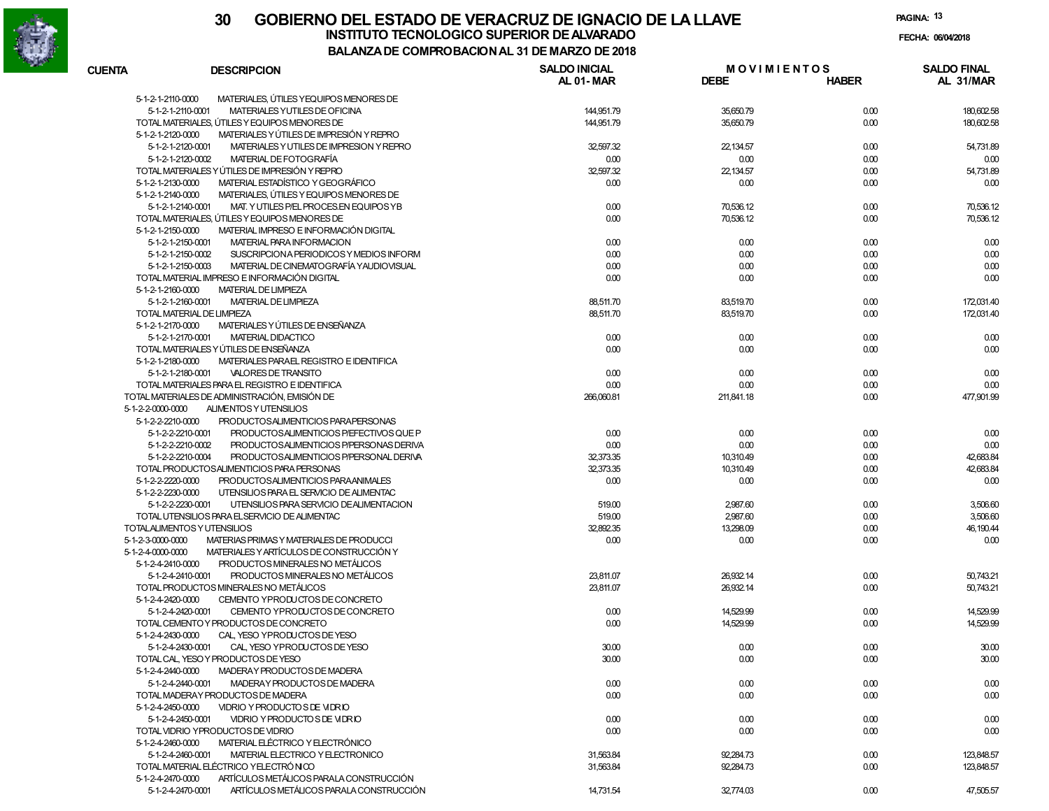

**PAGINA:13**

**FECHA:**

| <b>CUENTA</b>     | <b>DESCRIPCION</b>                             | <b>SALDO INICIAL</b> | <b>MOVIMIENTOS</b> |              | <b>SALDO FINAL</b> |
|-------------------|------------------------------------------------|----------------------|--------------------|--------------|--------------------|
|                   |                                                | AL 01-MAR            | <b>DEBE</b>        | <b>HABER</b> | AL 31/MAR          |
| 5-1-2-1-2110-0000 | MATERIALES, ÚTILES Y EQUIPOS MENORES DE        |                      |                    |              |                    |
| 5-1-2-1-2110-0001 | MATERIALES YUTILES DE OFICINA                  | 144,951.79           | 35,650.79          | 0.00         | 180,602.58         |
|                   | TOTAL MATERIALES, ÚTILES Y EQUIPOS MENORES DE  | 144,951.79           | 35,650.79          | 0.00         | 180,602.58         |
| 5-1-2-1-2120-0000 | MATERIALES Y ÚTILES DE IMPRESIÓN Y REPRO       |                      |                    |              |                    |
| 5-1-2-1-2120-0001 | MATERIALES Y UTILES DE IMPRESION Y REPRO       | 32,597.32            | 22,134.57          | 0.00         | 54,731.89          |
| 5-1-2-1-2120-0002 | MATERIAL DE FOTOGRAFÍA                         | 0.00                 | 0.00               | 0.00         | 0.00               |
|                   | TOTAL MATERIALES Y ÚTILES DE IMPRESIÓN Y REPRO | 32,597.32            | 22,134.57          | 0.00         | 54,731.89          |
| 5-1-2-1-2130-0000 | MATERIAL ESTADÍSTICO Y GEOGRÁFICO              | 0.00                 | 0.00               | 0.00         | 0.00               |
| 5-1-2-1-2140-0000 | MATERIALES, ÚTILES Y EQUIPOS MENORES DE        |                      |                    |              |                    |
| 5-1-2-1-2140-0001 | MAT. YUTILES P/EL PROCES.EN EQUIPOS YB         | 0.00                 | 70,536.12          | 0.00         | 70,536.12          |
|                   | TOTAL MATERIALES, ÚTILES Y EQUIPOS MENORES DE  | 0.00                 | 70,536.12          | 0.00         | 70,536.12          |
| 5-1-2-1-2150-0000 | MATERIAL IMPRESO E INFORMACIÓN DIGITAL         |                      |                    |              |                    |
| 5-1-2-1-2150-0001 | MATERIAL PARA INFORMACION                      | 0.00                 | 0.00               | 0.00         | 0.00               |
| 5-1-2-1-2150-0002 | SUSCRIPCION A PERIODICOS Y MEDIOS INFORM       | 0.00                 | 0.00               | 0.00         | 0.00               |
| 5-1-2-1-2150-0003 | MATERIAL DE CINEMATOGRAFÍA YAUDIOVISUAL        | 0.00                 | 0.00               | 0.00         | 0.00               |
|                   | TOTAL MATERIAL IMPRESO E INFORMACIÓN DIGITAL   | 0.00                 | 0.00               | 0.00         | 0.00               |
| 5-1-2-1-2160-0000 | <b>MATERIAL DE LIMPIEZA</b>                    |                      |                    |              |                    |
| 5-1-2-1-2160-0001 | <b>MATERIAL DE LIMPIEZA</b>                    | 88,511.70            | 83,519.70          | 0.00         | 172,031.40         |
|                   | TOTAL MATERIAL DE LIMPIEZA                     | 88,511.70            | 83,519.70          | 0.00         | 172,031.40         |
| 5-1-2-1-2170-0000 | MATERIALES Y ÚTILES DE ENSEÑANZA               |                      |                    |              |                    |
| 5-1-2-1-2170-0001 | <b>MATERIAL DIDACTICO</b>                      | 0.00                 | 0.00               | 0.00         | 0.00               |
|                   | TOTAL MATERIALES Y ÚTILES DE ENSEÑANZA         | 0.00                 | 0.00               | 0.00         | 0.00               |
| 5-1-2-1-2180-0000 | MATERIALES PARAEL REGISTRO E IDENTIFICA        |                      |                    |              |                    |
| 5-1-2-1-2180-0001 | VALORES DE TRANSITO                            | 0.00                 | 0.00               | 0.00         | 0.00               |
|                   | TOTAL MATERIALES PARA EL REGISTRO E IDENTIFICA | 0.00                 | 0.00               | 0.00         | 0.00               |
|                   | TOTAL MATERIALES DE ADMINISTRACIÓN, EMISIÓN DE | 266,060.81           | 211.841.18         | 0.00         | 477,901.99         |
|                   | ALIMENTOS Y UTENSILIOS                         |                      |                    |              |                    |
| 5-1-2-2-0000-0000 | PRODUCTOSALIMENTICIOS PARAPERSONAS             |                      |                    |              |                    |
| 5-1-2-2-2210-0000 |                                                |                      |                    |              |                    |
| 5-1-2-2-2210-0001 | PRODUCTOSALIMENTICIOS P/EFECTIVOS QUE P        | 0.00                 | 0.00               | 0.00         | 0.00               |
| 5-1-2-2-2210-0002 | PRODUCTOSALIMENTICIOS P/PERSONAS DERIVA        | 0.00                 | 0.00               | 0.00         | 0.00               |
| 5-1-2-2-2210-0004 | PRODUCTOSALIMENTICIOS P/PERSONAL DERIVA        | 32,373.35            | 10,310.49          | 0.00         | 42,683.84          |
|                   | TOTAL PRODUCTOSALIMENTICIOS PARA PERSONAS      | 32,373.35            | 10,310.49          | 0.00         | 42,683.84          |
| 5-1-2-2-2220-0000 | PRODUCTOSALIMENTICIOS PARAANIMALES             | 0.00                 | 0.00               | 0.00         | 0.00               |
| 5-1-2-2-2230-0000 | UTENSILIOS PARA EL SERVICIO DE ALIMENTAC       |                      |                    |              |                    |
| 5-1-2-2-2230-0001 | UTENSILIOS PARA SERVICIO DE ALIMENTACION       | 519.00               | 2,987.60           | 0.00         | 3,506.60           |
|                   | TOTAL UTENSILIOS PARA ELSERVICIO DE ALIMENTAC  | 519.00               | 2,987.60           | 0.00         | 3,506.60           |
|                   | TOTALALIMENTOS Y UTENSILIOS                    | 32,892.35            | 13,298.09          | 0.00         | 46, 190.44         |
| 5-1-2-3-0000-0000 | MATERIAS PRIMAS Y MATERIALES DE PRODUCCI       | 0.00                 | 0.00               | 0.00         | 0.00               |
| 5-1-2-4-0000-0000 | MATERIALES Y ARTÍCULOS DE CONSTRUCCIÓN Y       |                      |                    |              |                    |
| 5-1-2-4-2410-0000 | PRODUCTOS MINERALES NO METÁLICOS               |                      |                    |              |                    |
| 5-1-2-4-2410-0001 | PRODUCTOS MINERALES NO METÁLICOS               | 23,811.07            | 26,932.14          | 0.00         | 50,743.21          |
|                   | TOTAL PRODUCTOS MINERALES NO METÁLICOS         | 23,811.07            | 26,932.14          | 0.00         | 50,743.21          |
| 5-1-2-4-2420-0000 | CEMENTO YPRODUCTOS DE CONCRETO                 |                      |                    |              |                    |
| 5-1-2-4-2420-0001 | CEMENTO YPRODUCTOS DE CONCRETO                 | 0.00                 | 14,529.99          | 0.00         | 14,529.99          |
|                   | TOTAL CEMENTO Y PRODUCTOS DE CONCRETO          | 0.00                 | 14,529.99          | 0.00         | 14,529.99          |
| 5-1-2-4-2430-0000 | CAL, YESO YPRODUCTOS DE YESO                   |                      |                    |              |                    |
| 5-1-2-4-2430-0001 | CAL, YESO YPRODUCTOS DE YESO                   | 30.00                | 0.00               | 0.00         | 30.00              |
|                   | TOTAL CAL, YESO Y PRODUCTOS DE YESO            | 30.00                | 0.00               | 0.00         | 30.00              |
| 5-1-2-4-2440-0000 | MADERAY PRODUCTOS DE MADERA                    |                      |                    |              |                    |
| 5-1-2-4-2440-0001 | MADERAY PRODUCTOS DE MADERA                    | 0.00                 | 0.00               | 0.00         | 0.00               |
|                   | TOTAL MADERAY PRODUCTOS DE MADERA              | 0.00                 | 0.00               | 0.00         | 0.00               |
| 5-1-2-4-2450-0000 | VIDRIO Y PRODUCTO S DE VIDRIO                  |                      |                    |              |                    |
| 5-1-2-4-2450-0001 | VIDRIO Y PRODUCTO S DE VIDRIO                  | 0.00                 | 0.00               | 0.00         | 0.00               |
|                   | TOTAL VIDRIO YPRODUCTOS DE VIDRIO              | 0.00                 | 0.00               | 0.00         | 0.00               |
| 5-1-2-4-2460-0000 | MATERIAL ELÉCTRICO Y ELECTRÓNICO               |                      |                    |              |                    |
| 5-1-2-4-2460-0001 | MATERIAL ELECTRICO Y ELECTRONICO               | 31,563.84            | 92,284.73          | 0.00         | 123,848.57         |
|                   | TOTAL MATERIAL ELÉCTRICO YELECTRÓNICO          | 31,563.84            | 92,284.73          | 0.00         | 123,848.57         |
| 5-1-2-4-2470-0000 | ARTÍCULOS METÁLICOS PARALA CONSTRUCCIÓN        |                      |                    |              |                    |
| 5-1-2-4-2470-0001 | ARTÍCULOS METÁLICOS PARALA CONSTRUCCIÓN        | 14,731.54            | 32,774.03          | 0.00         | 47,505.57          |
|                   |                                                |                      |                    |              |                    |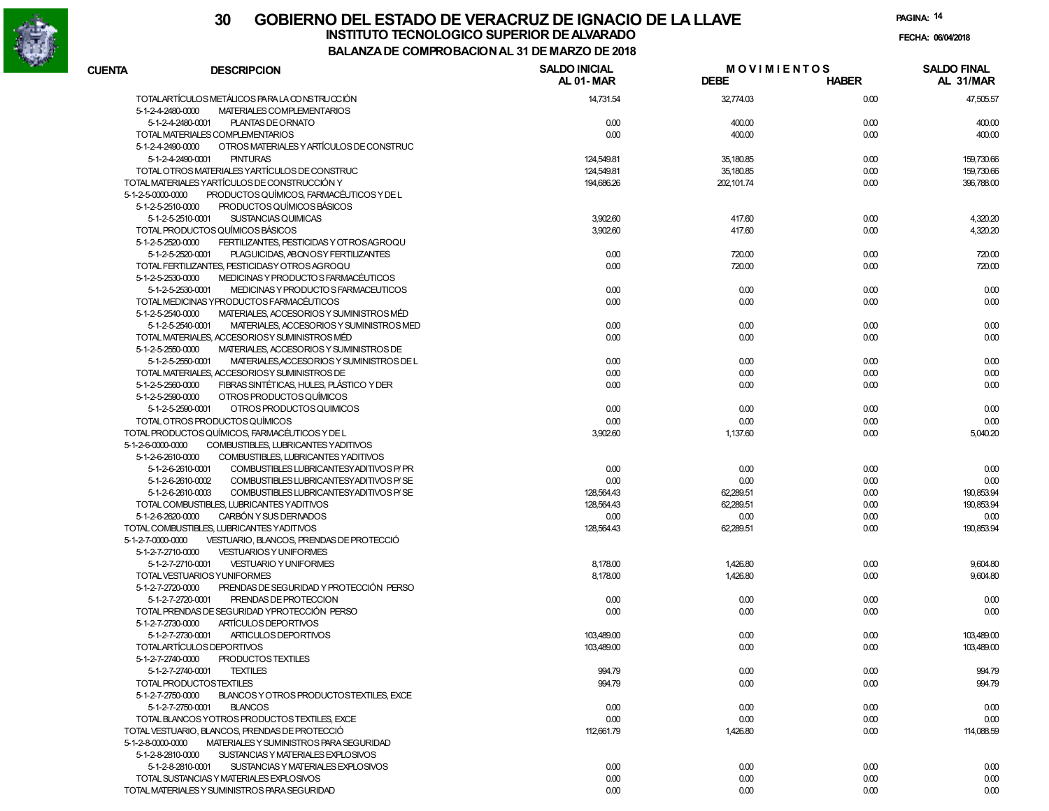

| <b>CUENTA</b>                 | <b>DESCRIPCION</b>                                      | <b>SALDO INICIAL</b><br>AL 01-MAR | <b>MOVIMIENTOS</b><br><b>DEBE</b> | <b>HABER</b> | <b>SALDO FINAL</b><br>AL 31/MAR |
|-------------------------------|---------------------------------------------------------|-----------------------------------|-----------------------------------|--------------|---------------------------------|
|                               | TOTALARTÍCULOS METÁLICOS PARA LA CONSTRUCCIÓN           | 14.731.54                         | 32,774.03                         | 0.00         | 47,505.57                       |
| 5-1-2-4-2480-0000             | MATERIALES COMPLEMENTARIOS                              |                                   |                                   |              |                                 |
| 5-1-2-4-2480-0001             | <b>PLANTAS DE ORNATO</b>                                | 0.00                              | 400.00                            | 0.00         | 400.00                          |
|                               | TOTAL MATERIALES COMPLEMENTARIOS                        | 0.00                              | 400.00                            | 0.00         | 400.00                          |
| 5-1-2-4-2490-0000             | OTROS MATERIALES Y ARTÍCULOS DE CONSTRUC                |                                   |                                   |              |                                 |
| 5-1-2-4-2490-0001             | <b>PINTURAS</b>                                         | 124,549.81                        | 35,180.85                         | 0.00         | 159,730.66                      |
|                               | TOTAL OTROS MATERIALES YARTÍCULOS DE CONSTRUC           | 124,549.81                        | 35,180.85                         | 0.00         | 159,730.66                      |
|                               | TOTAL MATERIALES YARTÍCULOS DE CONSTRUCCIÓN Y           | 194.686.26                        | 202,101.74                        | 0.00         | 396,788.00                      |
| $5 - 1 - 2 - 5 - 0000 - 0000$ | PRODUCTOS QUÍMICOS. FARMACÉUTICOS Y DE L                |                                   |                                   |              |                                 |
| 5-1-2-5-2510-0000             | PRODUCTOS QUÍMICOS BÁSICOS                              |                                   |                                   |              |                                 |
| 5-1-2-5-2510-0001             | SUSTANCIAS QUIMICAS                                     | 3,902.60                          | 417.60                            | 0.00         | 4,320.20                        |
|                               | TOTAL PRODUCTOS QUÍMICOS BÁSICOS                        | 3,902.60                          | 417.60                            | 0.00         | 4,320.20                        |
| 5-1-2-5-2520-0000             | FERTILIZANTES, PESTICIDAS Y OT ROSAGROQU                |                                   |                                   |              |                                 |
| 5-1-2-5-2520-0001             | PLAGUICIDAS, ABONOSY FERTILIZANTES                      | 0.00                              | 720.00                            | 0.00         | 720.00                          |
|                               | TOTAL FERTILIZANTES, PESTICIDAS Y OTROS AGROQU          | 0.00                              | 720.00                            | 0.00         | 720.00                          |
| 5-1-2-5-2530-0000             | MEDICINAS Y PRODUCTO S FARMACÉUTICOS                    |                                   |                                   |              |                                 |
| 5-1-2-5-2530-0001             | MEDICINAS Y PRODUCTO S FARMACEUTICOS                    | 0.00                              | 0.00                              | 0.00         | 0.00                            |
|                               | TOTAL MEDICINAS YPRODUCTOS FARMACÉUTICOS                | 0.00                              | 0.00                              | 0.00         | 0.00                            |
| 5-1-2-5-2540-0000             | MATERIALES, ACCESORIOS Y SUMINISTROS MÉD                |                                   |                                   |              |                                 |
| 5-1-2-5-2540-0001             | MATERIALES, ACCESORIOS Y SUMINISTROS MED                | 0.00                              | 0.00                              | 0.00         | 0.00                            |
|                               | TOTAL MATERIALES, ACCESORIOS Y SUMINISTROS MÉD          | 0.00                              | 0.00                              | 0.00         | 0.00                            |
| 5-1-2-5-2550-0000             | MATERIALES, ACCESORIOS Y SUMINISTROS DE                 |                                   |                                   |              |                                 |
| 5-1-2-5-2550-0001             | MATERIALES, ACCESORIOS Y SUMINISTROS DE L               | 0.00                              | 0.00                              | 0.00         | 0.00                            |
|                               | TOTAL MATERIALES, ACCESORIOSY SUMINISTROS DE            | 0.00                              | 0.00                              | 0.00         | 0.00                            |
| 5-1-2-5-2560-0000             | FIBRAS SINTÉTICAS, HULES, PLÁSTICO Y DER                | 0.00                              | 0.00                              | 0.00         | 0.00                            |
| 5-1-2-5-2590-0000             | OTROS PRODUCTOS QUÍMICOS                                |                                   |                                   |              |                                 |
| 5-1-2-5-2590-0001             | OTROS PRODUCTOS QUIMICOS                                | 0.00                              | 0.00                              | 0.00         | 0.00                            |
|                               | TOTAL OTROS PRODUCTOS QUÍMICOS                          | 0.00                              | 0.00                              | 0.00         | 0.00                            |
|                               | TOTAL PRODUCTOS QUÍMICOS, FARMACÉUTICOS Y DE L          | 3,902.60                          | 1,137.60                          | 0.00         | 5,040.20                        |
| 5-1-2-6-0000-0000             | COMBUSTIBLES, LUBRICANTES YADITIVOS                     |                                   |                                   |              |                                 |
| 5-1-2-6-2610-0000             | COMBUSTIBLES, LUBRICANTES YADITIVOS                     |                                   |                                   |              |                                 |
| 5-1-2-6-2610-0001             | COMBUSTIBLES LUBRICANTESYADITIVOS P/ PR                 | 0.00                              | 0.00                              | 0.00         | 0.00                            |
| 5-1-2-6-2610-0002             | COMBUSTIBLES LUBRICANTESY ADITIVOS P/SE                 | 0.00                              | 0.00                              | 0.00         | 0.00                            |
| 5-1-2-6-2610-0003             | COMBUSTIBLES LUBRICANTESYADITIVOS P/SE                  | 128,564.43                        | 62,289.51                         | 0.00         | 190,853.94                      |
|                               | TOTAL COMBUSTIBLES, LUBRICANTES YADITIVOS               | 128,564.43                        | 62,289.51                         | 0.00         | 190.853.94                      |
| 5-1-2-6-2620-0000             | CARBÓN Y SUS DERIVADOS                                  | 0.00                              | 0.00                              | 0.00         | 0.00                            |
|                               | TOTAL COMBUSTIBLES, LUBRICANTES YADITIVOS               | 128,564.43                        | 62,289.51                         | 0.00         | 190,853.94                      |
| 5-1-2-7-0000-0000             | VESTUARIO, BLANCOS, PRENDAS DE PROTECCIÓ                |                                   |                                   |              |                                 |
| 5-1-2-7-2710-0000             | <b>VESTUARIOS Y UNIFORMES</b>                           |                                   |                                   |              |                                 |
| 5-1-2-7-2710-0001             | <b>VESTUARIO Y UNIFORMES</b>                            | 8,178.00                          | 1,426.80                          | 0.00         | 9,604.80                        |
|                               | TOTAL VESTUARIOS YUNIFORMES                             | 8,178.00                          | 1,426.80                          | 0.00         | 9,604.80                        |
| 5-1-2-7-2720-0000             | PRENDAS DE SEGURIDAD Y PROTECCIÓN PERSO                 |                                   |                                   |              |                                 |
| 5-1-2-7-2720-0001             | PRENDAS DE PROTECCION                                   | 0.00                              | 0.00                              | 0.00         | 0.00                            |
|                               | TOTAL PRENDAS DE SEGURIDAD YPROTECCIÓN PERSO            | 0.00                              | 0.00                              | 0.00         | 0.00                            |
| 5-1-2-7-2730-0000             | ARTÍCULOS DEPORTIVOS                                    |                                   |                                   |              |                                 |
|                               | ARTICULOS DEPORTIVOS<br>5-1-2-7-2730-0001               | 103,489.00                        | 0.00                              | 0.00         | 103,489.00                      |
|                               | TOTALARTÍCULOS DEPORTIVOS                               | 103,489.00                        | 0.00                              | 0.00         | 103,489.00                      |
| 5-1-2-7-2740-0000             | <b>PRODUCTOS TEXTILES</b>                               |                                   |                                   |              |                                 |
| 5-1-2-7-2740-0001             | <b>TEXTILES</b>                                         | 994.79                            | 0.00                              | 0.00         | 994.79                          |
|                               | TOTAL PRODUCTOSTEXTILES                                 | 994.79                            | 0.00                              | 0.00         | 994.79                          |
| 5-1-2-7-2750-0000             | BLANCOS Y OTROS PRODUCTOSTEXTILES. EXCE                 |                                   |                                   |              |                                 |
| 5-1-2-7-2750-0001             | <b>BLANCOS</b>                                          | 0.00                              | 0.00                              | 0.00         | 0.00                            |
|                               | TOTAL BLANCOS YOTROS PRODUCTOS TEXTILES, EXCE           | 0.00                              | 0.00                              | 0.00         | 0.00                            |
|                               | TOTAL VESTUARIO, BLANCOS, PRENDAS DE PROTECCIÓ          | 112,661.79                        | 1,426.80                          | 0.00         | 114,088.59                      |
| 5-1-2-8-0000-0000             | MATERIALES Y SUMINISTROS PARA SEGURIDAD                 |                                   |                                   |              |                                 |
| 5-1-2-8-2810-0000             | SUSTANCIAS Y MATERIALES EXPLOSIVOS                      |                                   |                                   |              |                                 |
|                               | 5-1-2-8-2810-0001<br>SUSTANCIAS Y MATERIALES EXPLOSIVOS | 0.00                              | 0.00                              | 0.00         | 0.00                            |
|                               | TOTAL SUSTANCIAS Y MATERIALES EXPLOSIVOS                | 0.00                              | 0.00                              | 0.00         | 0.00                            |
|                               | TOTAL MATERIALES Y SUMINISTROS PARA SEGURIDAD           | 0.00                              | 0.00                              | 0.00         | 0.00                            |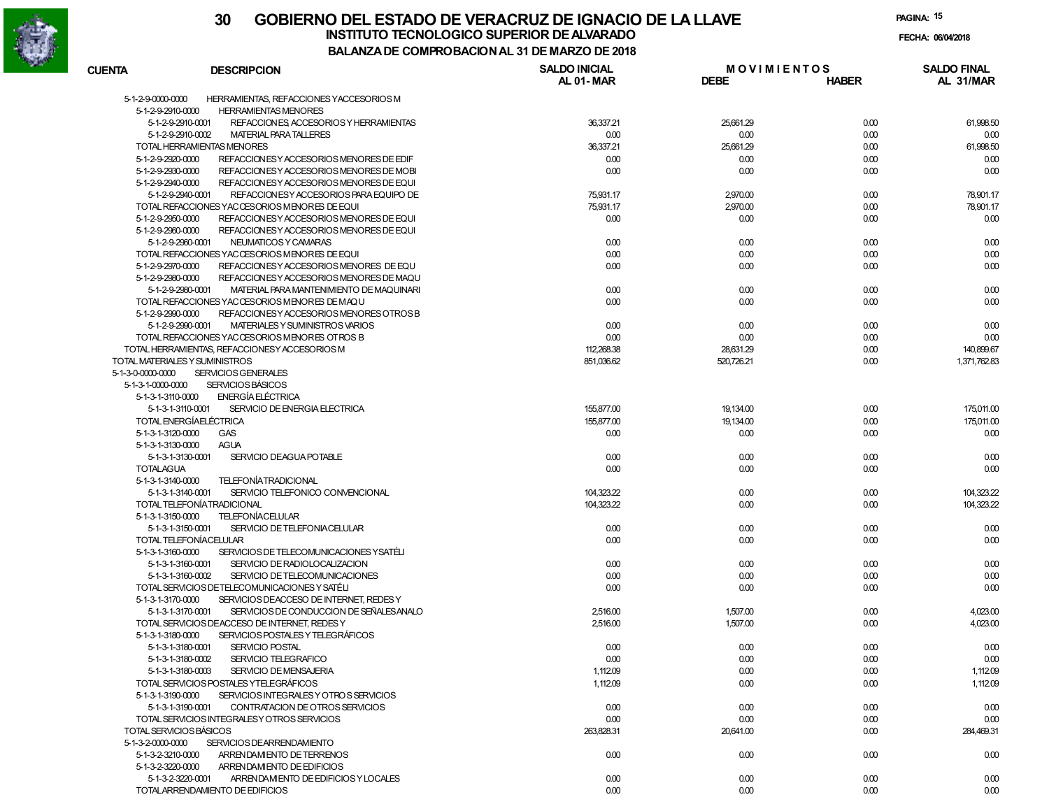

**PAGINA:15**

**FECHA:**

| <b>CUENTA</b>                     | <b>DESCRIPCION</b>                            | <b>SALDO INICIAL</b> | <b>MOVIMIENTOS</b> |              | <b>SALDO FINAL</b> |
|-----------------------------------|-----------------------------------------------|----------------------|--------------------|--------------|--------------------|
|                                   |                                               | AL 01-MAR            | <b>DEBE</b>        | <b>HABER</b> | AL 31/MAR          |
| 5-1-2-9-0000-0000                 | HERRAMIENTAS, REFACCIONES YACCESORIOS M       |                      |                    |              |                    |
| 5-1-2-9-2910-0000                 | <b>HERRAMIENTAS MENORES</b>                   |                      |                    |              |                    |
| 5-1-2-9-2910-0001                 | REFACCION ES ACCESORIOS Y HERRAMIENTAS        | 36,337.21            | 25,661.29          | 0.00         | 61,998.50          |
| 5-1-2-9-2910-0002                 | <b>MATERIAL PARA TALLERES</b>                 | 0.00                 | 0.00               | 0.00         | 0.00               |
| <b>TOTAL HERRAMIENTAS MENORES</b> |                                               | 36,337.21            | 25,661.29          | 0.00         | 61,998.50          |
| 5-1-2-9-2920-0000                 | REFACCION ES Y ACCESO RIOS MENORES DE EDIF    | 0.00                 | 0.00               | 0.00         | 0.00               |
| 5-1-2-9-2930-0000                 | REFACCION ES Y ACCESORIOS MENORES DE MOBI     | 0.00                 | 0.00               | 0.00         | 0.00               |
| 5-1-2-9-2940-0000                 | REFACCION ES Y ACCESORIOS MENORES DE EQUI     |                      |                    |              |                    |
| 5-1-2-9-2940-0001                 | REFACCION ESY ACCESORIOS PARA EQUIPO DE       | 75.931.17            | 2,970.00           | 0.00         | 78,901.17          |
|                                   | TOTAL REFACCIONES YACCESORIOS MENORES DE EQUI | 75,931.17            | 2,970.00           | 0.00         | 78,901.17          |
| 5-1-2-9-2950-0000                 | REFACCION ES Y ACCESORIOS MENORES DE EQUI     | 0.00                 | 0.00               | 0.00         | 0.00               |
| 5-1-2-9-2960-0000                 | REFACCION ES Y ACCESORIOS MENORES DE EQUI     |                      |                    |              |                    |
| 5-1-2-9-2960-0001                 | NEUMATICOS Y CAMARAS                          | 0.00                 | 0.00               | 0.00         | 0.00               |
|                                   | TOTAL REFACCIONES YACCESORIOS MENORES DE EQUI | 0.00                 | 0.00               | 0.00         | 0.00               |
| 5-1-2-9-2970-0000                 | REFACCION ESY ACCESORIOS MENORES DE EQU       | 0.00                 | 0.00               | 0.00         | 0.00               |
| 5-1-2-9-2980-0000                 | REFACCION ES Y ACCESO RIOS MENORES DE MAQU    |                      |                    |              |                    |
| 5-1-2-9-2980-0001                 | MATERIAL PARA MANTENIMIENTO DE MAQUINARI      | 0.00                 | 0.00               | 0.00         | 0.00               |
|                                   | TOTAL REFACCIONES YACCESORIOS MENORES DE MAQU | 0.00                 | 0.00               | 0.00         | 0.00               |
| 5-1-2-9-2990-0000                 | REFACCION ES Y ACCESORIOS MENORES OTROS B     |                      |                    |              |                    |
| 5-1-2-9-2990-0001                 | MATERIALES Y SUMINISTROS VARIOS               | 0.00                 | 0.00               | 0.00         | 0.00               |
|                                   | TOTAL REFACCIONES YACCESORIOS MENORES OTROS B | 0.00                 | 0.00               | 0.00         | 0.00               |
|                                   | TOTAL HERRAMIENTAS, REFACCIONESY ACCESORIOS M | 112.268.38           | 28,631.29          | 0.00         | 140,899.67         |
| TOTAL MATERIALES Y SUMINISTROS    |                                               | 851,036.62           | 520,726.21         | 0.00         | 1.371.762.83       |
| 5-1-3-0-0000-0000                 | <b>SERVICIOS GENERALES</b>                    |                      |                    |              |                    |
| 5-1-3-1-0000-0000                 | <b>SERVICIOS BÁSICOS</b>                      |                      |                    |              |                    |
| 5-1-3-1-3110-0000                 | <b>ENERGÍA ELÉCTRICA</b>                      |                      |                    |              |                    |
| 5-1-3-1-3110-0001                 | SERVICIO DE ENERGIA ELECTRICA                 | 155,877,00           | 19,134.00          | 0.00         | 175,011.00         |
| TOTAL ENERGÍAELÉCTRICA            |                                               | 155,877,00           | 19,134.00          | 0.00         | 175,011.00         |
| 5-1-3-1-3120-0000                 | <b>GAS</b>                                    | 0.00                 | 0.00               | 0.00         | 0.00               |
| 5-1-3-1-3130-0000                 | <b>AGUA</b>                                   |                      |                    |              |                    |
| 5-1-3-1-3130-0001                 | SERVICIO DEAGUA POTABLE                       | 0.00                 | 0.00               | 0.00         | 0.00               |
| <b>TOTALAGUA</b>                  |                                               | 0.00                 | 0.00               | 0.00         | 0.00               |
| 5-1-3-1-3140-0000                 | <b>TELEFONÍATRADICIONAL</b>                   |                      |                    |              |                    |
| 5-1-3-1-3140-0001                 | SERVICIO TELEFONICO CONVENCIONAL              | 104.323.22           | 0.00               | 0.00         | 104,323.22         |
| TOTAL TELEFONÍATRADICIONAL        |                                               | 104,323.22           | 0.00               | 0.00         | 104,323.22         |
| 5-1-3-1-3150-0000                 | <b>TELEFONÍACELULAR</b>                       |                      |                    |              |                    |
| 5-1-3-1-3150-0001                 | SERVICIO DE TELEFONIACELULAR                  | 0.00                 | 0.00               | 0.00         | 0.00               |
| TOTAL TELEFONÍACELULAR            |                                               | 0.00                 | 0.00               | 0.00         | 0.00               |
| 5-1-3-1-3160-0000                 | SERVICIOS DE TELECOMUNICACIONES YSATÉLI       |                      |                    |              |                    |
| 5-1-3-1-3160-0001                 | SERVICIO DE RADIOLOCALIZACION                 | 0.00                 | 0.00               | 0.00         | 0.00               |
| 5-1-3-1-3160-0002                 | SERVICIO DE TELECOMUNICACIONES                | 0.00                 | 0.00               | 0.00         | 0.00               |
|                                   | TOTAL SERVICIOS DETELECOMUNICACIONES Y SATÉLI | 0.00                 | 0.00               | 0.00         | 0.00               |
| 5-1-3-1-3170-0000                 | SERVICIOS DE ACCESO DE INTERNET. REDES Y      |                      |                    |              |                    |
| 5-1-3-1-3170-0001                 | SERVICIOS DE CONDUCCION DE SEÑALES ANALO      | 2,516.00             | 1,507.00           | 0.00         | 4,023.00           |
|                                   | TOTAL SERVICIOS DEACCESO DE INTERNET. REDES Y | 2,516.00             | 1,507.00           | 0.00         | 4.023.00           |
| 5-1-3-1-3180-0000                 | SERVICIOS POSTALES Y TELEGRÁFICOS             |                      |                    |              |                    |
| 5-1-3-1-3180-0001                 | <b>SERVICIO POSTAL</b>                        | 0.00                 | 0.00               | 0.00         | 0.00               |
| 5-1-3-1-3180-0002                 | SERVICIO TELEGRAFICO                          | 0.00                 | 0.00               | 0.00         | 0.00               |
| 5-1-3-1-3180-0003                 | SERVICIO DE MENSAJERIA                        | 1,112.09             | 0.00               | 0.00         | 1,112.09           |
|                                   | TOTAL SERVICIOS POSTALES YTELEGRÁFICOS        | 1,112.09             | 0.00               | 0.00         | 1,112.09           |
| 5-1-3-1-3190-0000                 | SERVICIOS INTEGRALES Y OTROS SERVICIOS        |                      |                    |              |                    |
| 5-1-3-1-3190-0001                 | CONTRATACION DE OTROS SERVICIOS               | 0.00                 | 0.00               | 0.00         | 0.00               |
|                                   | TOTAL SERVICIOS INTEGRALESY OTROS SERVICIOS   | 0.00                 | 0.00               | 0.00         | 0.00               |
| TOTAL SERVICIOS BÁSICOS           |                                               | 263,828.31           | 20,641.00          | 0.00         | 284,469.31         |
| 5-1-3-2-0000-0000                 | SERVICIOS DEARRENDAMIENTO                     |                      |                    |              |                    |
| 5-1-3-2-3210-0000                 | ARRENDAM ENTO DE TERRENOS                     | 0.00                 | 0.00               | 0.00         | 0.00               |
| 5-1-3-2-3220-0000                 | ARRENDAM ENTO DE EDIFICIOS                    |                      |                    |              |                    |
| 5-1-3-2-3220-0001                 | ARRENDAM ENTO DE EDIFICIOS Y LOCALES          | 0.00                 | 0.00               | 0.00         | 0.00               |
|                                   | TOTALARRENDAMIENTO DE EDIFICIOS               | 0.00                 | 0.00               | 0.00         | 0.00               |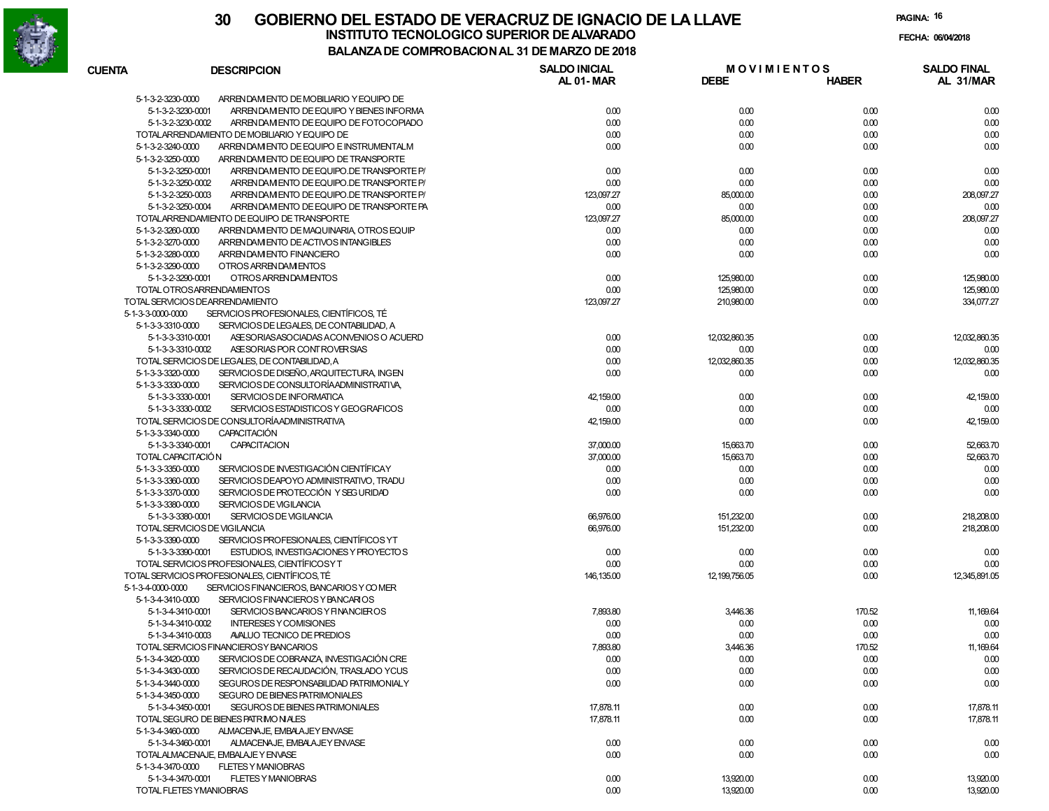

| <b>CUENTA</b>                          | <b>DESCRIPCION</b>                                                                | <b>SALDO INICIAL</b> | <b>MOVIMIENTOS</b> |              | <b>SALDO FINAL</b> |
|----------------------------------------|-----------------------------------------------------------------------------------|----------------------|--------------------|--------------|--------------------|
|                                        |                                                                                   | AL 01-MAR            | <b>DEBE</b>        | <b>HABER</b> | AL 31/MAR          |
| 5-1-3-2-3230-0000                      | ARRENDAM ENTO DE MOBILIARIO Y EQUIPO DE                                           |                      |                    |              |                    |
| 5-1-3-2-3230-0001                      | ARRENDAM ENTO DE EQUIPO Y BIENES INFORMA                                          | 0.00                 | 0.00               | 0.00         | 0.00               |
| 5-1-3-2-3230-0002                      | ARRENDAM ENTO DE EQUIPO DE FOTOCOPIADO                                            | 0.00                 | 0.00               | 0.00         | 0.00               |
|                                        | TOTALARRENDAMIENTO DE MOBILIARIO Y EQUIPO DE                                      | 0.00                 | 0.00               | 0.00         | 0.00               |
| 5-1-3-2-3240-0000                      | ARRENDAM ENTO DE EQUIPO E INSTRUMENTALM                                           | 0.00                 | 0.00               | 0.00         | 0.00               |
| 5-1-3-2-3250-0000                      | ARREN DAM ENTO DE EQUIPO DE TRANSPORTE                                            |                      |                    |              |                    |
| 5-1-3-2-3250-0001                      | ARRENDAM ENTO DE EQUIPO.DE TRANSPORTE P/                                          | 0.00                 | 0.00               | 0.00         | 0.00               |
| 5-1-3-2-3250-0002                      | ARRENDAM ENTO DE EQUIPO.DE TRANSPORTE P/                                          | 0.00                 | 0.00               | 0.00         | 0.00               |
| 5-1-3-2-3250-0003                      | ARRENDAM ENTO DE EQUIPO.DE TRANSPORTE P/                                          | 123,097.27           | 85,000.00          | 0.00         | 208,097.27         |
| 5-1-3-2-3250-0004                      | ARREN DAM ENTO DE EQUIPO DE TRANSPORTE PA                                         | 0.00                 | 0.00               | 0.00         | 0.00               |
|                                        | TOTALARRENDAMIENTO DE EQUIPO DE TRANSPORTE                                        | 123,097.27           | 85,000.00          | 0.00         | 208,097.27         |
| 5-1-3-2-3260-0000<br>5-1-3-2-3270-0000 | ARRENDAM ENTO DE MAQUINARIA, OTROS EQUIP<br>ARREN DAM ENTO DE ACTIVOS INTANGIBLES | 0.00<br>0.00         | 0.00<br>0.00       | 0.00<br>0.00 | 0.00<br>0.00       |
| 5-1-3-2-3280-0000                      | ARREN DAM ENTO FINANCIERO                                                         | 0.00                 | 0.00               | 0.00         | 0.00               |
| 5-1-3-2-3290-0000                      | OTROS ARRENDAM ENTOS                                                              |                      |                    |              |                    |
| 5-1-3-2-3290-0001                      | OTROS ARRENDAM ENTOS                                                              | 0.00                 | 125,980.00         | 0.00         | 125,980.00         |
|                                        | TOTAL OTROSARRENDAMIENTOS                                                         | 0.00                 | 125,980.00         | 0.00         | 125,980.00         |
|                                        | TOTAL SERVICIOS DEARRENDAMIENTO                                                   | 123,097.27           | 210,980.00         | 0.00         | 334,077.27         |
| 5-1-3-3-0000-0000                      | SERVICIOS PROFESIONALES, CIENTÍFICOS, TÉ                                          |                      |                    |              |                    |
| 5-1-3-3-3310-0000                      | SERVICIOS DE LEGALES, DE CONTABILIDAD, A                                          |                      |                    |              |                    |
| 5-1-3-3-3310-0001                      | ASE SORIAS ASOCIADAS A CONVENIOS O ACUERD                                         | 0.00                 | 12,032,860.35      | 0.00         | 12,032,860.35      |
| 5-1-3-3-3310-0002                      | ASE SORIAS POR CONTROVER SIAS                                                     | 0.00                 | 0.00               | 0.00         | 0.00               |
|                                        | TOTAL SERVICIOS DE LEGALES, DE CONTABILIDAD, A                                    | 0.00                 | 12.032.860.35      | 0.00         | 12,032,860.35      |
| 5-1-3-3-3320-0000                      | SERVICIOS DE DISEÑO, ARQUITECTURA, INGEN                                          | 0.00                 | 0.00               | 0.00         | 0.00               |
| 5-1-3-3-3330-0000                      | SERVICIOS DE CONSULTORÍA ADMINISTRATIVA,                                          |                      |                    |              |                    |
| 5-1-3-3-3330-0001                      | SERVICIOS DE INFORMATICA                                                          | 42,159.00            | 0.00               | 0.00         | 42,159.00          |
| 5-1-3-3-3330-0002                      | SERVICIOS ESTADISTICOS Y GEOGRAFICOS                                              | 0.00                 | 0.00               | 0.00         | 0.00               |
|                                        | TOTAL SERVICIOS DE CONSULTORÍAADMINISTRATIVA                                      | 42,159.00            | 0.00               | 0.00         | 42,159.00          |
| 5-1-3-3-3340-0000                      | <b>CAPACITACIÓN</b>                                                               |                      |                    |              |                    |
| 5-1-3-3-3340-0001                      | <b>CAPACITACION</b>                                                               | 37,000.00            | 15,663.70          | 0.00         | 52,663.70          |
| TOTAL CAPACITACIÓN                     |                                                                                   | 37,000.00            | 15,663.70          | 0.00         | 52,663.70          |
| 5-1-3-3-3350-0000                      | SERVICIOS DE INVESTIGACIÓN CIENTÍFICAY                                            | 0.00                 | 0.00               | 0.00         | 0.00               |
| 5-1-3-3-3360-0000                      | SERVICIOS DEAPOYO ADMINISTRATIVO, TRADU                                           | 0.00                 | 0.00               | 0.00         | 0.00               |
| 5-1-3-3-3370-0000                      | SERVICIOS DE PROTECCIÓN Y SEG URIDAD                                              | 0.00                 | 0.00               | 0.00         | 0.00               |
| 5-1-3-3-3380-0000                      | SERVICIOS DE VIGILANCIA                                                           |                      |                    |              |                    |
| 5-1-3-3-3380-0001                      | SERVICIOS DE VIGILANCIA                                                           | 66,976.00            | 151,232.00         | 0.00         | 218,208.00         |
|                                        | TOTAL SERVICIOS DE VIGILANCIA                                                     | 66,976.00            | 151,232.00         | 0.00         | 218,208.00         |
| 5-1-3-3-3390-0000                      | SERVICIOS PROFESIONALES, CIENTÍFICOS YT                                           |                      |                    |              |                    |
| 5-1-3-3-3390-0001                      | ESTUDIOS, INVESTIGACIONES Y PROYECTOS                                             | 0.00                 | 0.00               | 0.00         | 0.00               |
|                                        | TOTAL SERVICIOS PROFESIONALES, CIENTÍFICOSY T                                     | 0.00                 | 0.00               | 0.00         | 0.00               |
|                                        | TOTAL SERVICIOS PROFESIONALES, CIENTÍFICOS, TÉ                                    | 146, 135.00          | 12, 199, 756.05    | 0.00         | 12,345,891.05      |
| 5-1-3-4-0000-0000                      | SERVICIOS FINANCIEROS, BANCARIOS Y COMER                                          |                      |                    |              |                    |
| 5-1-3-4-3410-0000                      | SERVICIOS FINANCIEROS Y BANCARIOS                                                 |                      |                    |              |                    |
| 5-1-3-4-3410-0001                      | SERVICIOS BANCARIOS Y FINANCIEROS                                                 | 7,893.80             | 3,446.36           | 170.52       | 11, 169.64         |
| 5-1-3-4-3410-0002                      | <b>INTERESES Y COMISIONES</b>                                                     | 0.00                 | 0.00               | 0.00         | 0.00               |
| 5-1-3-4-3410-0003                      | AVALUO TECNICO DE PREDIOS                                                         | 0.00                 | 0.00               | 0.00         | 0.00               |
|                                        | TOTAL SERVICIOS FINANCIEROS Y BANCARIOS                                           | 7.893.80             | 3,446.36           | 170.52       | 11,169.64          |
| 5-1-3-4-3420-0000                      | SERVICIOS DE COBRANZA, INVESTIGACIÓN CRE                                          | 0.00                 | 0.00               | 0.00         | 0.00               |
| 5-1-3-4-3430-0000                      | SERVICIOS DE RECAUDACIÓN. TRASLADO YCUS                                           | 0.00                 | 0.00               | 0.00         | 0.00               |
| 5-1-3-4-3440-0000                      | SEGUROS DE RESPONSABILIDAD PATRIMONIALY                                           | 0.00                 | 0.00               | 0.00         | 0.00               |
| 5-1-3-4-3450-0000                      | <b>SEGURO DE BIENES PATRIMONIALES</b>                                             |                      |                    |              |                    |
| 5-1-3-4-3450-0001                      | SEGUROS DE BIENES PATRIMONIALES                                                   | 17,878.11            | 0.00               | 0.00         | 17,878.11          |
|                                        | TOTAL SEGURO DE BIENES PATRIMONIALES                                              | 17,878.11            | 0.00               | 0.00         | 17,878.11          |
| 5-1-3-4-3460-0000                      | ALMACENAJE. EMBALAJEY ENVASE                                                      |                      |                    |              |                    |
| 5-1-3-4-3460-0001                      | ALMACENAJE, EMBALAJEY ENVASE                                                      | 0.00                 | 0.00               | 0.00         | 0.00               |
|                                        | TOTALALMACENAJE, EMBALAJE Y ENVASE                                                | 0.00                 | 0.00               | 0.00         | 0.00               |
| 5-1-3-4-3470-0000                      | <b>FLETES Y MANIOBRAS</b>                                                         |                      |                    |              |                    |
| 5-1-3-4-3470-0001                      | <b>FLETES Y MANIOBRAS</b>                                                         | 0.00                 | 13,920.00          | 0.00         | 13,920.00          |
|                                        | TOTAL FLETES YMANIOBRAS                                                           | 0.00                 | 13,920.00          | 0.00         | 13,920.00          |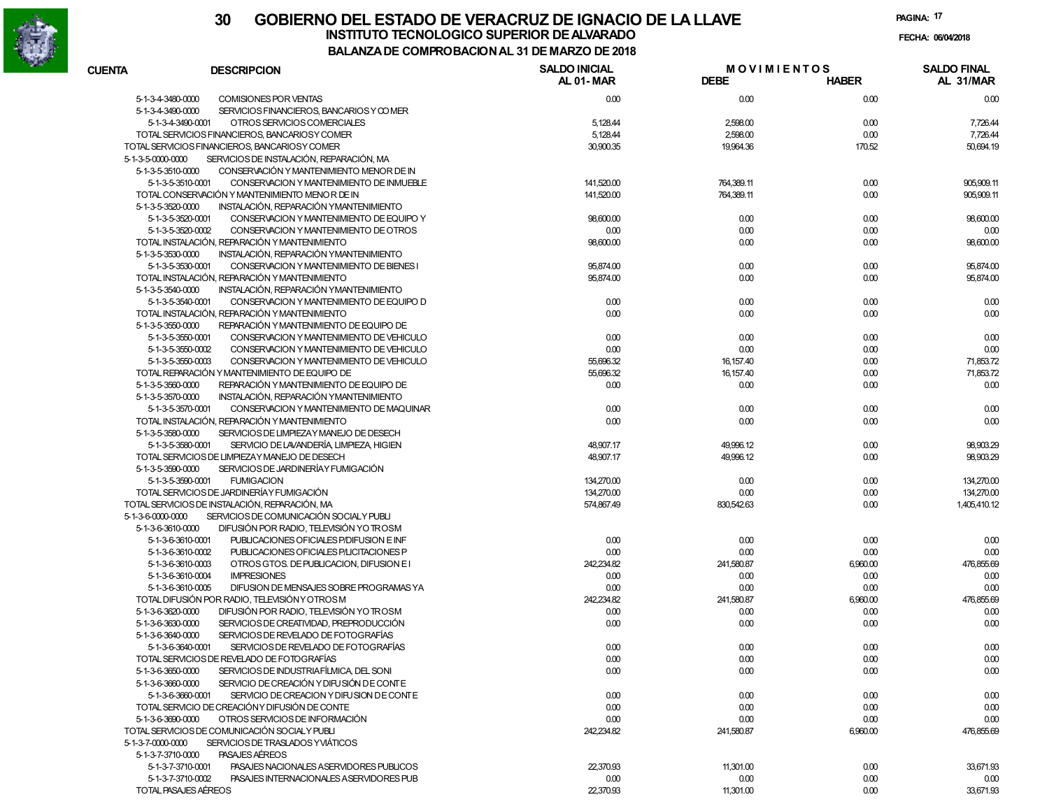

|                   |                                                               | COMFRODACION AL 31 DE MARZO DE 2010 |                                   |              |                                 |
|-------------------|---------------------------------------------------------------|-------------------------------------|-----------------------------------|--------------|---------------------------------|
| <b>CUENTA</b>     | <b>DESCRIPCION</b>                                            | <b>SALDO INICIAL</b><br>AL 01-MAR   | <b>MOVIMIENTOS</b><br><b>DEBE</b> | <b>HABER</b> | <b>SALDO FINAL</b><br>AL 31/MAR |
| 5-1-3-4-3480-0000 | COMISIONES POR VENTAS                                         | 0.00                                | 0.00                              | 0.00         | 0.00                            |
| 5-1-3-4-3490-0000 | SERVICIOS FINANCIEROS, BANCARIOS Y COMER                      |                                     |                                   |              |                                 |
|                   | 5-1-3-4-3490-0001<br>OTROS SERVICIOS COMERCIALES              | 5,128.44                            | 2,598.00                          | 0.00         | 7,726.44                        |
|                   | TOTAL SERVICIOS FINANCIEROS. BANCARIOSY COMER                 | 5,128.44                            | 2,598.00                          | 0.00         | 7,726.44                        |
|                   | TOTAL SERVICIOS FINANCIEROS, BANCARIOS Y COMER                | 30,900.35                           | 19,964.36                         | 170.52       | 50,694.19                       |
| 5-1-3-5-0000-0000 | SERVICIOS DE INSTALACIÓN, REPARACIÓN, MA                      |                                     |                                   |              |                                 |
| 5-1-3-5-3510-0000 | CONSERVACIÓN Y MANTENIMIENTO MENOR DE IN                      |                                     |                                   |              |                                 |
|                   | 5-1-3-5-3510-0001<br>CONSERVACION Y MANTENIMIENTO DE INMUEBLE | 141,520.00                          | 764,389.11                        | 0.00         | 905,909.11                      |
|                   | TOTAL CONSERVACIÓN Y MANTENIMIENTO MENOR DE IN                | 141,520.00                          | 764,389.11                        | 0.00         | 905,909.11                      |
| 5-1-3-5-3520-0000 | INSTALACIÓN, REPARACIÓN YMANTENIMIENTO                        |                                     |                                   |              |                                 |
|                   | 5-1-3-5-3520-0001<br>CONSERVACION Y MANTENIMIENTO DE EQUIPO Y | 98,600.00                           | 0.00                              | 0.00         | 98,600.00                       |
|                   | 5-1-3-5-3520-0002<br>CONSERVACION Y MANTENIMIENTO DE OTROS    | 0.00                                | 0.00                              | 0.00         | 0.00                            |
|                   | TOTAL INSTALACIÓN, REPARACIÓN Y MANTENIMIENTO                 | 98,600.00                           | 0.00                              | 0.00         | 98,600.00                       |
| 5-1-3-5-3530-0000 | INSTALACIÓN, REPARACIÓN YMANTENIMIENTO                        |                                     |                                   |              |                                 |
|                   | 5-1-3-5-3530-0001<br>CONSERVACION Y MANTENIMIENTO DE BIENES I | 95,874.00                           | 0.00                              | 0.00         | 95,874.00                       |
|                   | TOTAL INSTALACIÓN, REPARACIÓN Y MANTENIMIENTO                 | 95,874.00                           | 0.00                              | 0.00         | 95,874.00                       |
| 5-1-3-5-3540-0000 | INSTALACIÓN, REPARACIÓN YMANTENIMIENTO                        |                                     |                                   |              |                                 |
|                   | 5-1-3-5-3540-0001<br>CONSERVACION Y MANTENIMIENTO DE EQUIPO D | 0.00                                | 0.00                              | 0.00         | 0.00                            |
|                   | TOTAL INSTALACIÓN, REPARACIÓN Y MANTENIMIENTO                 | 0.00                                | 0.00                              | 0.00         | 0.00                            |
| 5-1-3-5-3550-0000 | REPARACIÓN Y MANTENIMIENTO DE EQUIPO DE                       |                                     |                                   |              |                                 |
|                   | 5-1-3-5-3550-0001<br>CONSERVACION Y MANTENIMIENTO DE VEHICULO | 0.00                                | 0.00                              | 0.00         | 0.00                            |
|                   | 5-1-3-5-3550-0002<br>CONSERVACION Y MANTENIMIENTO DE VEHICULO | 0.00                                | 0.00                              | 0.00         | 0.00                            |
|                   | 5-1-3-5-3550-0003<br>CONSERVACION Y MANTENIMIENTO DE VEHICULO | 55,696.32                           | 16,157.40                         | 0.00         | 71,853.72                       |
|                   | TOTAL REPARACIÓN Y MANTENIMIENTO DE EQUIPO DE                 | 55,696.32                           | 16, 157.40                        | 0.00         | 71,853.72                       |
| 5-1-3-5-3560-0000 | REPARACIÓN Y MANTENIMIENTO DE EQUIPO DE                       | 0.00                                | 0.00                              | 0.00         | 0.00                            |
| 5-1-3-5-3570-0000 | INSTALACIÓN, REPARACIÓN YMANTENIMIENTO                        |                                     |                                   |              |                                 |
|                   | 5-1-3-5-3570-0001<br>CONSERVACION Y MANTENIMIENTO DE MAQUINAR | 0.00                                | 0.00                              | 0.00         | 0.00                            |
|                   | TOTAL INSTALACIÓN, REPARACIÓN Y MANTENIMIENTO                 | 0.00                                | 0.00                              | 0.00         | 0.00                            |
| 5-1-3-5-3580-0000 | SERVICIOS DE LIMPIEZAY MANEJO DE DESECH                       |                                     |                                   |              |                                 |
|                   | 5-1-3-5-3580-0001<br>SERVICIO DE LAVANDERÍA, LIMPIEZA, HIGIEN | 48,907.17                           | 49,996.12                         | 0.00         | 98,903.29                       |
|                   | TOTAL SERVICIOS DE LIMPIEZAY MANEJO DE DESECH                 | 48,907.17                           | 49,996.12                         | 0.00         | 98,903.29                       |
| 5-1-3-5-3590-0000 | SERVICIOS DE JARDINERÍA Y FUMIGACIÓN                          |                                     |                                   |              |                                 |
|                   | 5-1-3-5-3590-0001<br><b>FUMIGACION</b>                        | 134,270.00                          | 0.00                              | 0.00         | 134,270.00                      |
|                   | TOTAL SERVICIOS DE JARDINERÍA Y FUMIGACIÓN                    | 134,270.00                          | 0.00                              | 0.00         | 134,270.00                      |
|                   | TOTAL SERVICIOS DE INSTALACIÓN, REPARACIÓN, MA                | 574,867.49                          | 830,542.63                        | 0.00         | 1,405,410.12                    |
| 5-1-3-6-0000-0000 | SERVICIOS DE COMUNICACIÓN SOCIALY PUBLI                       |                                     |                                   |              |                                 |
| 5-1-3-6-3610-0000 | DIFUSIÓN POR RADIO, TELEVISIÓN YO TROSM                       |                                     |                                   |              |                                 |
|                   | PUBLICACIONES OFICIALES P/DIFUSION E INF<br>5-1-3-6-3610-0001 | 0.00                                | 0.00                              | 0.00         | 0.00                            |
|                   | 5-1-3-6-3610-0002<br>PUBLICACIONES OFICIALES P/LICITACIONES P | 0.00                                | 0.00                              | 0.00         | 0.00                            |
|                   | OTROS GTOS. DE PUBLICACION, DIFUSION E1<br>5-1-3-6-3610-0003  | 242,234.82                          | 241,580.87                        | 6,960.00     | 476,855.69                      |
|                   | <b>IMPRESIONES</b><br>5-1-3-6-3610-0004                       | 0.00                                | 0.00                              | 0.00         | 0.00                            |
|                   | DIFUSION DE MENSAJES SOBRE PROGRAMAS YA<br>5-1-3-6-3610-0005  | 0.00                                | 0.00                              | 0.00         | 0.00                            |
|                   | TOTAL DIFUSIÓN POR RADIO, TELEVISIÓN Y OTROS M                | 242,234.82                          | 241,580.87                        | 6,960.00     | 476,855.69                      |
| 5-1-3-6-3620-0000 | DIFUSIÓN POR RADIO, TELEVISIÓN YO TROSM                       | 0.00                                | 0.00                              | 0.00         | 0.00                            |
| 5-1-3-6-3630-0000 | SERVICIOS DE CREATIVIDAD, PREPRODUCCIÓN                       | 0.00                                | 0.00                              | 0.00         | 0.00                            |
| 5-1-3-6-3640-0000 | SERVICIOS DE REVELADO DE FOTOGRAFÍAS                          |                                     |                                   |              |                                 |
|                   | SERVICIOS DE REVELADO DE FOTOGRAFÍAS<br>5-1-3-6-3640-0001     | 0.00                                | 0.00                              | 0.00         | 0.00                            |
|                   | TOTAL SERVICIOS DE REVELADO DE FOTOGRAFÍAS                    | 0.00                                | 0.00                              | 0.00         | 0.00                            |
| 5-1-3-6-3650-0000 | SERVICIOS DE INDUSTRIAFÍLMICA, DEL SONI                       | 0.00                                | 0.00                              | 0.00         | 0.00                            |
| 5-1-3-6-3660-0000 | SERVICIO DE CREACIÓN Y DIFU SIÓN DE CONTE                     |                                     |                                   |              |                                 |
|                   | SERVICIO DE CREACION Y DIFU SION DE CONTE                     |                                     |                                   |              |                                 |
|                   | 5-1-3-6-3660-0001                                             | 0.00                                | 0.00                              | 0.00         | 0.00                            |
|                   | TOTAL SERVICIO DE CREACIÓNY DIFUSIÓN DE CONTE                 | 0.00                                | 0.00                              | 0.00         | 0.00                            |
| 5-1-3-6-3690-0000 | OTROS SERVICIOS DE INFORMACIÓN                                | 0.00                                | 0.00                              | 0.00         | 0.00                            |
|                   | TOTAL SERVICIOS DE COMUNICACIÓN SOCIALY PUBLI                 | 242,234.82                          | 241,580.87                        | 6,960.00     | 476,855.69                      |
| 5-1-3-7-0000-0000 | SERVICIOS DE TRASLADOS YVIÁTICOS                              |                                     |                                   |              |                                 |
| 5-1-3-7-3710-0000 | PASAJES AEREOS                                                |                                     |                                   |              |                                 |
|                   | PASAJES NACIONALES A SERVIDORES PUBLICOS<br>5-1-3-7-3710-0001 | 22,370.93                           | 11,301.00                         | 0.00         | 33,671.93                       |
|                   | 5-1-3-7-3710-0002<br>PASAJES INTERNACIONALES A SERVIDORES PUB | 0.00                                | 0.00                              | 0.00         | 0.00                            |
|                   | TOTAL PASAJES AÉREOS                                          | 22,370.93                           | 11,301.00                         | 0.00         | 33,671.93                       |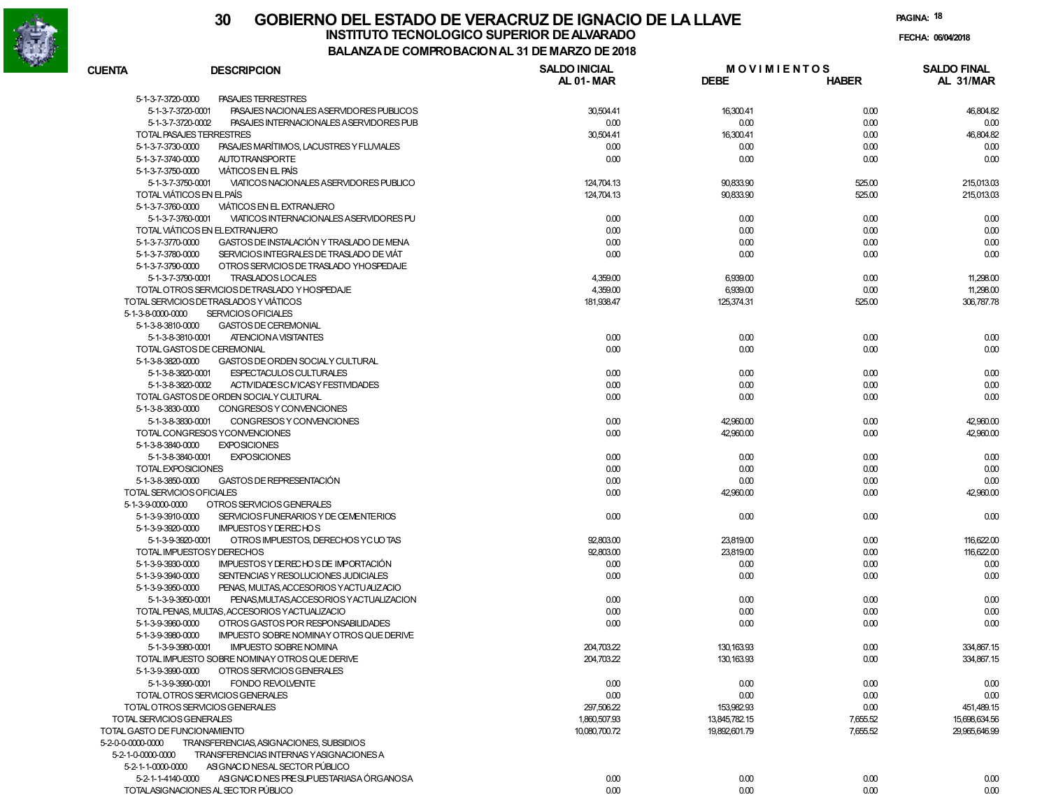

### **30 GOBIERNO DEL ESTADO DE VERACRUZ DE IGNACIO DE LA LLAVEFECHA: 06/04/2018 INSTITUTO TECNOLOGICO SUPERIOR DE ALVARADO**

| <b>CUENTA</b>                 | <b>DESCRIPCION</b>                             | <b>SALDO INICIAL</b><br>AL 01-MAR | <b>MOVIMIENTOS</b><br><b>DEBE</b> | <b>HABER</b> | <b>SALDO FINAL</b><br>AL 31/MAR |
|-------------------------------|------------------------------------------------|-----------------------------------|-----------------------------------|--------------|---------------------------------|
| 5-1-3-7-3720-0000             | <b>PASAJES TERRESTRES</b>                      |                                   |                                   |              |                                 |
| 5-1-3-7-3720-0001             | PASAJES NACIONALES A SERVIDORES PUBLICOS       | 30,504.41                         | 16,300.41                         | 0.00         | 46,804.82                       |
| 5-1-3-7-3720-0002             | PASAJES INTERNACIONALES ASERVIDORES PUB        | 0.00                              | 0.00                              | 0.00         | 0.00                            |
|                               | TOTAL PASAJES TERRESTRES                       | 30,504.41                         | 16,300.41                         | 0.00         | 46,804.82                       |
| 5-1-3-7-3730-0000             | PASAJES MARÍTIMOS. LACUSTRES Y FLUVIALES       | 0.00                              | 0.00                              | 0.00         | 0.00                            |
| 5-1-3-7-3740-0000             | <b>AUTOTRANSPORTE</b>                          | 0.00                              | 0.00                              | 0.00         | 0.00                            |
| 5-1-3-7-3750-0000             | <b>VIATICOS EN EL PAÍS</b>                     |                                   |                                   |              |                                 |
| 5-1-3-7-3750-0001             | VIATICOS NACIONALES ASERVIDORES PUBLICO        | 124,704.13                        | 90,833.90                         | 525.00       | 215,013.03                      |
|                               | TOTAL VIÁTICOS EN ELPAÍS                       | 124.704.13                        | 90,833.90                         | 525.00       | 215,013.03                      |
| 5-1-3-7-3760-0000             | VIATICOS EN EL EXTRANJERO                      |                                   |                                   |              |                                 |
| 5-1-3-7-3760-0001             | VIATICOS INTERNACIONALES ASERVIDORES PU        | 0.00                              | 0.00                              | 0.00         | 0.00                            |
|                               | TOTAL VIÁTICOS EN EL EXTRANJERO                | 0.00                              | 0.00                              | 0.00         | 0.00                            |
| 5-1-3-7-3770-0000             | GASTOS DE INSTALACIÓN Y TRASLADO DE MENA       | 0.00                              | 0.00                              | 0.00         | 0.00                            |
| 5-1-3-7-3780-0000             | SERVICIOS INTEGRALES DE TRASLADO DE VIÁT       | 0.00                              | 0.00                              | 0.00         | 0.00                            |
| 5-1-3-7-3790-0000             | OTROS SERVICIOS DE TRASLADO YHOSPEDAJE         |                                   |                                   |              |                                 |
| 5-1-3-7-3790-0001             | <b>TRASLADOS LOCALES</b>                       | 4,359.00                          | 6,939.00                          | 0.00         | 11,298.00                       |
|                               | TOTAL OTROS SERVICIOS DETRASLADO Y HOSPEDAJE   | 4,359.00                          | 6,939.00                          | 0.00         | 11,298.00                       |
|                               | TOTAL SERVICIOS DETRASLADOS Y VIÁTICOS         | 181,938.47                        | 125,374.31                        | 525.00       | 306,787.78                      |
| 5-1-3-8-0000-0000             | <b>SERVICIOS OFICIALES</b>                     |                                   |                                   |              |                                 |
| 5-1-3-8-3810-0000             | GASTOS DE CEREMONIAL                           |                                   |                                   |              |                                 |
| 5-1-3-8-3810-0001             | ATENCION A VISITANTES                          | 0.00                              | 0.00                              | 0.00         | 0.00                            |
|                               | TOTAL GASTOS DE CEREMONIAL                     | 0.00                              | 0.00                              | 0.00         | 0.00                            |
| 5-1-3-8-3820-0000             | GASTOS DE ORDEN SOCIALY CULTURAL               |                                   |                                   |              |                                 |
| 5-1-3-8-3820-0001             | <b>ESPECTACULOS CULTURALES</b>                 | 0.00                              | 0.00                              | 0.00         | 0.00                            |
|                               | ACTIVIDADESC MICASY FESTIVIDADES               |                                   |                                   |              |                                 |
| 5-1-3-8-3820-0002             |                                                | 0.00                              | 0.00                              | 0.00         | 0.00                            |
|                               | TOTAL GASTOS DE ORDEN SOCIALY CULTURAL         | 0.00                              | 0.00                              | 0.00         | 0.00                            |
| 5-1-3-8-3830-0000             | CONGRESOS Y CONVENCIONES                       |                                   |                                   |              |                                 |
| 5-1-3-8-3830-0001             | CONGRESOS Y CONVENCIONES                       | 0.00                              | 42,960.00                         | 0.00         | 42,960.00                       |
|                               | TOTAL CONGRESOS YCONVENCIONES                  | 0.00                              | 42,960.00                         | 0.00         | 42,960.00                       |
| 5-1-3-8-3840-0000             | <b>EXPOSICIONES</b>                            |                                   |                                   |              |                                 |
| 5-1-3-8-3840-0001             | <b>EXPOSICIONES</b>                            | 0.00                              | 0.00                              | 0.00         | 0.00                            |
| TOTAL EXPOSICIONES            |                                                | 0.00                              | 0.00                              | 0.00         | 0.00                            |
| 5-1-3-8-3850-0000             | GASTOS DE REPRESENTACIÓN                       | 0.00                              | 0.00                              | 0.00         | 0.00                            |
| TOTAL SERVICIOS OFICIALES     |                                                | 0.00                              | 42,960.00                         | 0.00         | 42,960.00                       |
| 5-1-3-9-0000-0000             | OTROS SERVICIOS GENERALES                      |                                   |                                   |              |                                 |
| 5-1-3-9-3910-0000             | SERVICIOS FUNERARIOS Y DE CEMENTERIOS          | 0.00                              | 0.00                              | 0.00         | 0.00                            |
| 5-1-3-9-3920-0000             | <b>IMPUESTOS Y DE RECHOS</b>                   |                                   |                                   |              |                                 |
| 5-1-3-9-3920-0001             | OTROS IMPUESTOS, DERECHOS YCUOTAS              | 92,803.00                         | 23,819.00                         | 0.00         | 116,622.00                      |
|                               | TOTAL IMPUESTOSY DERECHOS                      | 92,803.00                         | 23,819.00                         | 0.00         | 116,622.00                      |
| 5-1-3-9-3930-0000             | IMPUESTOS Y DE RECHOS DE IMPORTACIÓN           | 0.00                              | 0.00                              | 0.00         | 0.00                            |
| 5-1-3-9-3940-0000             | SENTENCIAS Y RESOLUCIONES JUDICIALES           | 0.00                              | 0.00                              | 0.00         | 0.00                            |
| 5-1-3-9-3950-0000             | PENAS, MULTAS, ACCESORIOS Y ACTUALIZACIO       |                                   |                                   |              |                                 |
| 5-1-3-9-3950-0001             | PENAS, MULTAS, ACCESORIOS Y ACTUALIZACION      | 0.00                              | 0.00                              | 0.00         | 0.00                            |
|                               | TOTAL PENAS, MULTAS, ACCESORIOS Y ACTUALIZACIO | 0.00                              | 0.00                              | 0.00         | 0.00                            |
| 5-1-3-9-3960-0000             | OTROS GASTOS POR RESPONSABILIDADES             | 0.00                              | 0.00                              | 0.00         | 0.00                            |
| 5-1-3-9-3980-0000             | IMPUESTO SOBRE NOMINAY OTROS QUE DERIVE        |                                   |                                   |              |                                 |
| 5-1-3-9-3980-0001             | <b>IMPUESTO SOBRE NOMINA</b>                   | 204,703.22                        | 130, 163.93                       | 0.00         | 334,867.15                      |
|                               | TOTAL IMPUESTO SOBRE NOMINAY OTROS QUE DERIVE  | 204,703.22                        | 130, 163.93                       | 0.00         | 334,867.15                      |
| 5-1-3-9-3990-0000             | OTROS SERVICIOS GENERALES                      |                                   |                                   |              |                                 |
| 5-1-3-9-3990-0001             | <b>FONDO REVOLVENTE</b>                        | 0.00                              | 0.00                              | 0.00         | 0.00                            |
|                               | TOTAL OTROS SERVICIOS GENERALES                | 0.00                              | 0.00                              | 0.00         | 0.00                            |
|                               | TOTAL OTROS SERVICIOS GENERALES                | 297,506.22                        | 153,982.93                        | 0.00         | 451,489.15                      |
| TOTAL SERVICIOS GENERALES     |                                                | 1,860,507.93                      | 13,845,782.15                     | 7,655.52     | 15,698,634.56                   |
| TOTAL GASTO DE FUNCIONAMIENTO |                                                | 10,080,700.72                     | 19,892,601.79                     | 7,655.52     | 29,965,646.99                   |
| 5-2-0-0-0000-0000             | TRANSFERENCIAS, ASIGNACIONES, SUBSIDIOS        |                                   |                                   |              |                                 |
| 5-2-1-0-0000-0000             | TRANSFERENCIAS INTERNAS YASIGNACIONES A        |                                   |                                   |              |                                 |
| 5-2-1-1-0000-0000             | ASIGNACIONES AL SECTOR PÚBLICO                 |                                   |                                   |              |                                 |
| 5-2-1-1-4140-0000             |                                                |                                   |                                   |              |                                 |
|                               | ASIGNACIONES PRESUPUESTARIASA ÓRGANOSA         | 0.00<br>0.00                      | 0.00                              | 0.00         | 0.00                            |
|                               | TOTALASIGNACIONES ALSECTOR PÚBLICO             |                                   | 0.00                              | 0.00         | 0.00                            |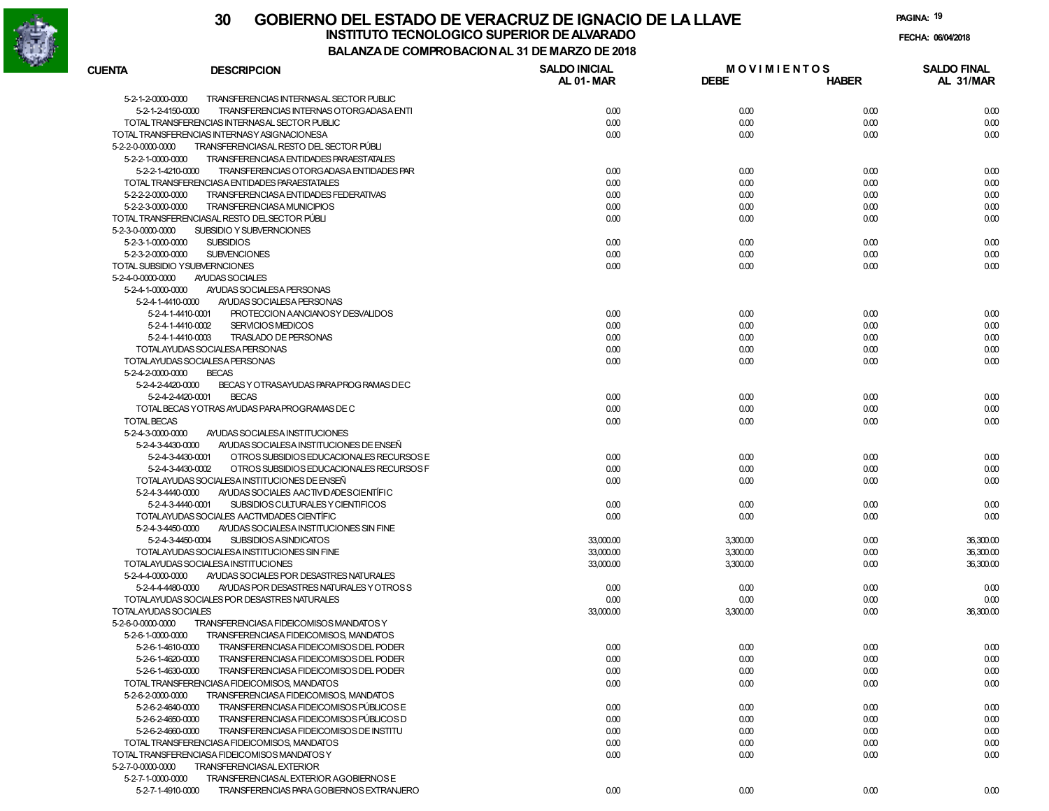

| <b>CUENTA</b>                          | <b>DESCRIPCION</b>                                            | <b>SALDO INICIAL</b><br>AL 01-MAR | <b>MOVIMIENTOS</b><br><b>DEBE</b> | <b>HABER</b> | <b>SALDO FINAL</b><br>AL 31/MAR |
|----------------------------------------|---------------------------------------------------------------|-----------------------------------|-----------------------------------|--------------|---------------------------------|
| 5-2-1-2-0000-0000                      | TRANSFERENCIAS INTERNAS AL SECTOR PUBLIC                      |                                   |                                   |              |                                 |
| 5-2-1-2-4150-0000                      | TRANSFERENCIAS INTERNAS OTORGADASA ENTI                       | 0.00                              | 0.00                              | 0.00         | 0.00                            |
|                                        | TOTAL TRANSFERENCIAS INTERNASAL SECTOR PUBLIC                 | 0.00                              | 0.00                              | 0.00         | 0.00                            |
|                                        | TOTAL TRANSFERENCIAS INTERNASY ASIGNACIONESA                  | 0.00                              | 0.00                              | 0.00         | 0.00                            |
| 5-2-2-0-0000-0000                      | TRANSFERENCIASAL RESTO DEL SECTOR PÚBLI                       |                                   |                                   |              |                                 |
| 5-2-2-1-0000-0000                      | TRANSFERENCIASA ENTIDADES PARAESTATALES                       |                                   |                                   |              |                                 |
| 5-2-2-1-4210-0000                      | TRANSFERENCIAS OTORGADASA ENTIDADES PAR                       | 0.00                              | 0.00                              | 0.00         | 0.00                            |
|                                        | TOTAL TRANSFERENCIASA ENTIDADES PARAESTATALES                 | 0.00                              | 0.00                              | 0.00         | 0.00                            |
| 5-2-2-2-0000-0000                      | TRANSFERENCIASA ENTIDADES FEDERATIVAS                         | 0.00                              | 0.00                              | 0.00         | 0.00                            |
| 5-2-2-3-0000-0000                      | TRANSFERENCIASA MUNICIPIOS                                    | 0.00                              | 0.00                              | 0.00         | 0.00                            |
|                                        | TOTAL TRANSFERENCIASAL RESTO DEL SECTOR PÚBLI                 | 0.00                              | 0.00                              | 0.00         | 0.00                            |
| 5-2-3-0-0000-0000                      | SUBSIDIO Y SUBVERNCIONES                                      |                                   |                                   |              |                                 |
| 5-2-3-1-0000-0000                      | <b>SUBSIDIOS</b>                                              | 0.00                              | 0.00                              | 0.00         | 0.00                            |
| 5-2-3-2-0000-0000                      | <b>SUBVENCIONES</b>                                           | 0.00                              | 0.00                              | 0.00         | 0.00                            |
|                                        | TOTAL SUBSIDIO YSUBVERNCIONES                                 | 0.00                              | 0.00                              | 0.00         | 0.00                            |
| 5-2-4-0-0000-0000<br>5-2-4-1-0000-0000 | AYUDAS SOCIALES                                               |                                   |                                   |              |                                 |
| 5-2-4-1-4410-0000                      | AYUDAS SOCIALESA PERSONAS<br>AYUDAS SOCIALESA PERSONAS        |                                   |                                   |              |                                 |
|                                        | PROTECCION AANCIANOSY DESVALIDOS<br>5-2-4-1-4410-0001         | 0.00                              | 0.00                              | 0.00         | 0.00                            |
|                                        | 5-2-4-1-4410-0002<br><b>SERVICIOS MEDICOS</b>                 | 0.00                              | 0.00                              | 0.00         | 0.00                            |
|                                        | 5-2-4-1-4410-0003<br>TRASLADO DE PERSONAS                     | 0.00                              | 0.00                              | 0.00         | 0.00                            |
|                                        | TOTALAYUDAS SOCIALESA PERSONAS                                | 0.00                              | 0.00                              | 0.00         | 0.00                            |
|                                        | TOTALAYUDAS SOCIALESA PERSONAS                                | 0.00                              | 0.00                              | 0.00         | 0.00                            |
| 5-2-4-2-0000-0000                      | <b>BECAS</b>                                                  |                                   |                                   |              |                                 |
| 5-2-4-2-4420-0000                      | BECAS Y OTRASAYUDAS PARAPROG RAMAS DEC                        |                                   |                                   |              |                                 |
| 5-2-4-2-4420-0001                      | <b>BECAS</b>                                                  | 0.00                              | 0.00                              | 0.00         | 0.00                            |
|                                        | TOTAL BECAS YOTRAS AYUDAS PARA PROGRAMAS DE C                 | 0.00                              | 0.00                              | 0.00         | 0.00                            |
| <b>TOTAL BECAS</b>                     |                                                               | 0.00                              | 0.00                              | 0.00         | 0.00                            |
| 5-2-4-3-0000-0000                      | AYUDAS SOCIALESA INSTITUCIONES                                |                                   |                                   |              |                                 |
| 5-2-4-3-4430-0000                      | AYUDAS SOCIALESA INSTITUCIONES DE ENSEÑ                       |                                   |                                   |              |                                 |
| 5-2-4-3-4430-0001                      | OTROS SUBSIDIOS EDUCACIONALES RECURSOS E                      | 0.00                              | 0.00                              | 0.00         | 0.00                            |
|                                        | 5-2-4-3-4430-0002<br>OTROS SUBSIDIOS EDUCACIONALES RECURSOS F | 0.00                              | 0.00                              | 0.00         | 0.00                            |
|                                        | TOTALAYUDAS SOCIALESA INSTITUCIONES DE ENSEÑ                  | 0.00                              | 0.00                              | 0.00         | 0.00                            |
| 5-2-4-3-4440-0000                      | AYUDAS SOCIALES AACTIVIDADES CIENTÍFIC                        |                                   |                                   |              |                                 |
|                                        | 5-2-4-3-4440-0001<br>SUBSIDIOS CULTURALES Y CIENTIFICOS       | 0.00                              | 0.00                              | 0.00         | 0.00                            |
|                                        | TOTALAYUDAS SOCIALES AACTIVIDADES CIENTÍFIC                   | 0.00                              | 0.00                              | 0.00         | 0.00                            |
| 5-2-4-3-4450-0000                      | AYUDAS SOCIALESA INSTITUCIONES SIN FINE                       |                                   |                                   |              |                                 |
|                                        | 5-2-4-3-4450-0004<br><b>SUBSIDIOS ASINDICATOS</b>             | 33,000.00                         | 3,300.00                          | 0.00         | 36,300.00                       |
|                                        | TOTALAYUDAS SOCIALESA INSTITUCIONES SIN FINE                  | 33,000.00                         | 3,300.00                          | 0.00         | 36,300.00                       |
|                                        | TOTALAYUDAS SOCIALESA INSTITUCIONES                           | 33,000.00                         | 3,300.00                          | 0.00         | 36,300.00                       |
| 5-2-4-4-0000-0000                      | AYUDAS SOCIALES POR DESASTRES NATURALES                       |                                   |                                   |              |                                 |
| 5-2-4-4-4480-0000                      | AYUDAS POR DESASTRES NATURALES Y OTROSS                       | 0.00                              | 0.00                              | 0.00         | 0.00                            |
|                                        | TOTALAYUDAS SOCIALES POR DESASTRES NATURALES                  | 0.00                              | 0.00                              | 0.00         | 0.00                            |
| TOTALAYUDAS SOCIALES                   |                                                               | 33,000.00                         | 3,300.00                          | 0.00         | 36,300.00                       |
| 5-2-6-0-0000-0000                      | TRANSFERENCIASA FIDEICOMISOS MANDATOS Y                       |                                   |                                   |              |                                 |
| 5-2-6-1-0000-0000                      | TRANSFERENCIASA FIDEICOMISOS, MANDATOS                        |                                   |                                   |              |                                 |
| 5-2-6-1-4610-0000                      | TRANSFERENCIASA FIDEICOMISOS DEL PODER                        | 0.00                              | 0.00                              | 0.00         | 0.00                            |
| 5-2-6-1-4620-0000                      | TRANSFERENCIASA FIDEICOMISOS DEL PODER                        | 0.00                              | 0.00                              | 0.00         | 0.00                            |
| 5-2-6-1-4630-0000                      | TRANSFERENCIASA FIDEICOMISOS DEL PODER                        | 0.00                              | 0.00                              | 0.00         | 0.00                            |
|                                        | TOTAL TRANSFERENCIASA FIDEICOMISOS, MANDATOS                  | 0.00                              | 0.00                              | 0.00         | 0.00                            |
| 5-2-6-2-0000-0000                      | TRANSFERENCIASA FIDEICOMISOS, MANDATOS                        |                                   |                                   |              |                                 |
| 5-2-6-2-4640-0000                      | TRANSFERENCIASA FIDEICOMISOS PÚBLICOS E                       | 0.00                              | 0.00                              | 0.00         | 0.00                            |
| 5-2-6-2-4650-0000                      | TRANSFERENCIASA FIDEICOMISOS PÚBLICOS D                       | 0.00                              | 0.00                              | 0.00         | 0.00                            |
| 5-2-6-2-4660-0000                      | TRANSFERENCIASA FIDEICOMISOS DE INSTITU                       | 0.00                              | 0.00                              | 0.00         | 0.00                            |
|                                        | TOTAL TRANSFERENCIASA FIDEICOMISOS, MANDATOS                  | 0.00                              | 0.00                              | 0.00         | 0.00                            |
|                                        | TOTAL TRANSFERENCIASA FIDEICOMISOS MANDATOS Y                 | 0.00                              | 0.00                              | 0.00         | 0.00                            |
| 5-2-7-0-0000-0000                      | TRANSFERENCIASAL EXTERIOR                                     |                                   |                                   |              |                                 |
| 5-2-7-1-0000-0000                      | TRANSFERENCIASAL EXTERIOR AGOBIERNOS E                        |                                   |                                   |              |                                 |
| 5-2-7-1-4910-0000                      | TRANSFERENCIAS PARA GOBIERNOS EXTRANJERO                      | 0.00                              | 0.00                              | 0.00         | 0.00                            |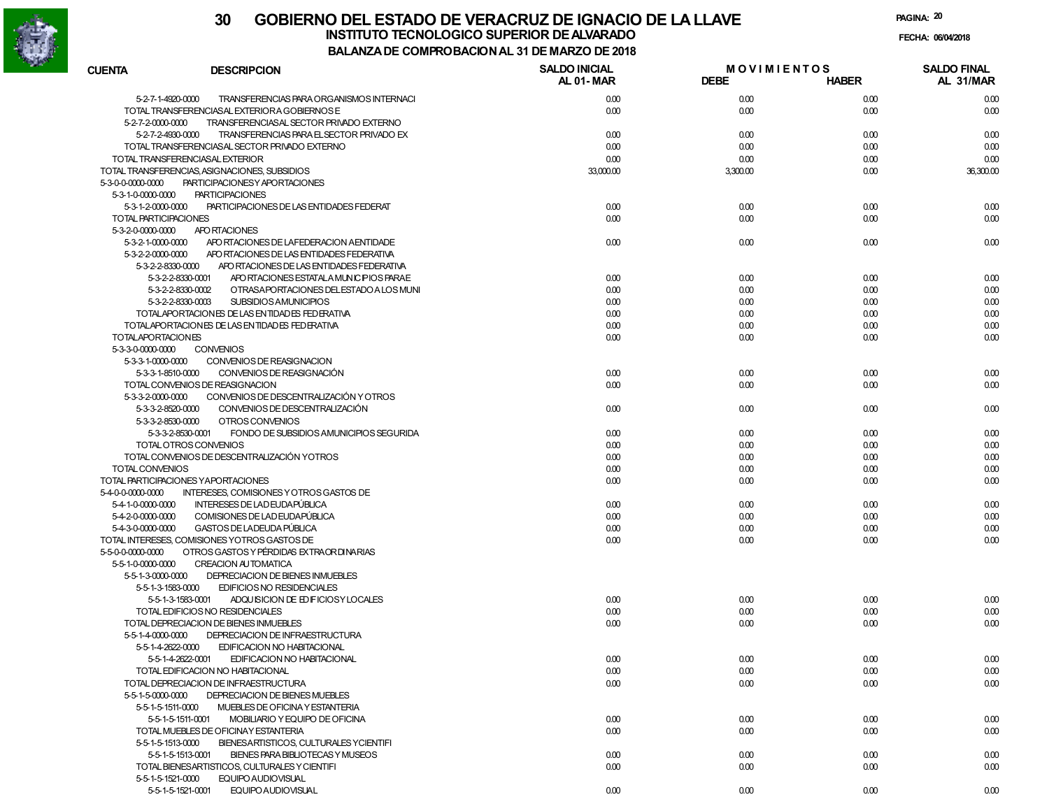

| CUENTA                   | <b>DESCRIPCION</b>                                           | <b>SALDO INICIAL</b><br>AL 01-MAR | <b>MOVIMIENTOS</b><br><b>DEBE</b> | <b>HABER</b> | <b>SALDO FINAL</b><br>AL 31/MAR |
|--------------------------|--------------------------------------------------------------|-----------------------------------|-----------------------------------|--------------|---------------------------------|
| 5-2-7-1-4920-0000        | TRANSFERENCIAS PARA ORGANISMOS INTERNACI                     | 0.00                              | 0.00                              | 0.00         | 0.00                            |
|                          | TOTAL TRANSFERENCIASAL EXTERIORA GOBIERNOS E                 | 0.00                              | 0.00                              | 0.00         | 0.00                            |
| 5-2-7-2-0000-0000        | TRANSFERENCIASAL SECTOR PRIVADO EXTERNO                      |                                   |                                   |              |                                 |
| 5-2-7-2-4930-0000        | TRANSFERENCIAS PARA EL SECTOR PRIVADO EX                     | 0.00                              | 0.00                              | 0.00         | 0.00                            |
|                          | TOTAL TRANSFERENCIASAL SECTOR PRIVADO EXTERNO                | 0.00                              | 0.00                              | 0.00         | 0.00                            |
|                          | TOTAL TRANSFERENCIASAL EXTERIOR                              | 0.00                              | 0.00                              | 0.00         | 0.00                            |
|                          | TOTAL TRANSFERENCIAS, ASIGNACIONES, SUBSIDIOS                | 33,000.00                         | 3,300.00                          | 0.00         | 36,300.00                       |
| 5-3-0-0-0000-0000        | PARTICIPACIONESY APORTACIONES                                |                                   |                                   |              |                                 |
| 5-3-1-0-0000-0000        | <b>PARTICIPACIONES</b>                                       |                                   |                                   |              |                                 |
| 5-3-1-2-0000-0000        | PARTICIPACIONES DE LAS ENTIDADES FEDERAT                     | 0.00                              | 0.00                              | 0.00         | 0.00                            |
| TOTAL PARTICIPACIONES    |                                                              | 0.00                              | 0.00                              | 0.00         | 0.00                            |
| 5-3-2-0-0000-0000        | APO RTACIONES                                                |                                   |                                   |              |                                 |
| 5-3-2-1-0000-0000        | APO RTACIONES DE LA FEDERACION A ENTIDADE                    | 0.00                              | 0.00                              | 0.00         | 0.00                            |
| 5-3-2-2-0000-0000        | APO RTACIONES DE LAS ENTIDADES FEDERATIVA                    |                                   |                                   |              |                                 |
|                          | 5-3-2-2-8330-0000 APO RTACIONES DE LAS ENTIDADES FEDERATIVA  |                                   |                                   |              |                                 |
|                          | 5-3-2-2-8330-0001<br>APO RTACIONES ESTATALA MUNICIPIOS PARAE | 0.00                              | 0.00                              | 0.00         | 0.00                            |
|                          | 5-3-2-2-8330-0002<br>OTRASAPORTACIONES DELESTADO A LOS MUNI  | 0.00                              | 0.00                              | 0.00         | 0.00                            |
|                          | 5-3-2-2-8330-0003<br><b>SUBSIDIOS AMUNICIPIOS</b>            | 0.00                              | 0.00                              | 0.00         | 0.00                            |
|                          | TOTALAPORTACIONES DE LAS ENTIDADES FEDERATIVA                | 0.00                              | 0.00                              | 0.00         | 0.00                            |
|                          | TOTALAPORTACIONES DE LAS ENTIDADES FEDERATIVA                | 0.00                              | 0.00                              | 0.00         | 0.00                            |
| <b>TOTALAPORTACIONES</b> |                                                              | 0.00                              | 0.00                              | 0.00         | 0.00                            |
| 5-3-3-0-0000-0000        | <b>CONVENIOS</b>                                             |                                   |                                   |              |                                 |
| 5-3-3-1-0000-0000        | CONVENIOS DE REASIGNACION                                    |                                   |                                   |              |                                 |
| 5-3-3-1-8510-0000        | CONVENIOS DE REASIGNACIÓN                                    | 0.00                              | 0.00                              | 0.00         | 0.00                            |
|                          | TOTAL CONVENIOS DE REASIGNACION                              | 0.00                              | 0.00                              | 0.00         | 0.00                            |
| 5-3-3-2-0000-0000        | CONVENIOS DE DESCENTRALIZACIÓN Y OTROS                       |                                   |                                   |              |                                 |
| 5-3-3-2-8520-0000        | CONVENIOS DE DESCENTRALIZACIÓN                               | 0.00                              | 0.00                              | 0.00         | 0.00                            |
| 5-3-3-2-8530-0000        | OTROS CONVENIOS                                              |                                   |                                   |              |                                 |
|                          | 5-3-3-2-8530-0001<br>FONDO DE SUBSIDIOS AMUNICIPIOS SEGURIDA | 0.00                              | 0.00                              | 0.00         | 0.00                            |
|                          | TOTAL OTROS CONVENIOS                                        | 0.00                              | 0.00                              | 0.00         | 0.00                            |
|                          | TOTAL CONVENIOS DE DESCENTRALIZACIÓN YOTROS                  | 0.00                              | 0.00                              | 0.00         | 0.00                            |
| TOTAL CONVENIOS          |                                                              | 0.00                              | 0.00                              | 0.00         | 0.00                            |
|                          | TOTAL PARTICIPACIONES YAPORTACIONES                          | 0.00                              | 0.00                              | 0.00         | 0.00                            |
| 5-4-0-0-0000-0000        | INTERESES, COMISIONES Y OTROS GASTOS DE                      |                                   |                                   |              |                                 |
| 5-4-1-0-0000-0000        | INTERESES DE LAD EUDAPÚBLICA                                 | 0.00                              | 0.00                              | 0.00         | 0.00                            |
| 5-4-2-0-0000-0000        | COMISIONES DE LAD EUDAPÚBLICA                                | 0.00                              | 0.00                              | 0.00         | 0.00                            |
| 5-4-3-0-0000-0000        | GASTOS DE LADEUDA PÚBLICA                                    | 0.00                              | 0.00                              | 0.00         | 0.00                            |
|                          | TOTAL INTERESES, COMISIONES YOTROS GASTOS DE                 | 0.00                              | 0.00                              | 0.00         | 0.00                            |
| 5-5-0-0-0000-0000        | OTROS GASTOS Y PÉRDIDAS EXTRA OR DI NARIAS                   |                                   |                                   |              |                                 |
| 5-5-1-0-0000-0000        | <b>CREACION AUTOMATICA</b>                                   |                                   |                                   |              |                                 |
| 5-5-1-3-0000-0000        | DEPRECIACION DE BIENES INMUEBLES                             |                                   |                                   |              |                                 |
| 5-5-1-3-1583-0000        | EDIFICIOS NO RESIDENCIALES                                   |                                   |                                   |              |                                 |
|                          | 5-5-1-3-1583-0001<br>ADQUISICION DE ED FICIOSY LOCALES       | 0.00                              | 0.00                              | 0.00         | 0.00                            |
|                          | TOTAL EDIFICIOS NO RESIDENCIALES                             | 0.00                              | 0.00                              | 0.00         | 0.00                            |
|                          | TOTAL DEPRECIACION DE BIENES INMUEBLES                       | 0.00                              | 0.00                              | 0.00         | 0.00                            |
| 5-5-1-4-0000-0000        | DEPRECIACION DE INFRAESTRUCTURA                              |                                   |                                   |              |                                 |
|                          | 5-5-1-4-2622-0000 EDIFICACION NO HABITACIONAL                |                                   |                                   |              |                                 |
|                          | 5-5-1-4-2622-0001<br>EDIFICACION NO HABITACIONAL             | 0.00                              | 0.00                              | 0.00         | 0.00                            |
|                          | TOTAL EDIFICACION NO HABITACIONAL                            | 0.00                              | 0.00                              | 0.00         | 0.00                            |
|                          | TOTAL DEPRECIACION DE INFRAESTRUCTURA                        | 0.00                              | 0.00                              | 0.00         | 0.00                            |
| 5-5-1-5-0000-0000        | DEPRECIACION DE BIENES MUEBLES                               |                                   |                                   |              |                                 |
| 5-5-1-5-1511-0000        | MUEBLES DE OFICINA Y ESTANTERIA                              |                                   |                                   |              |                                 |
|                          | 5-5-1-5-1511-0001<br>MOBILIARIO Y EQUIPO DE OFICINA          | 0.00                              | 0.00                              | 0.00         | 0.00                            |
|                          | TOTAL MUEBLES DE OFICINAY ESTANTERIA                         | 0.00                              | 0.00                              | 0.00         | 0.00                            |
| 5-5-1-5-1513-0000        | BIENESARTISTICOS, CULTURALES YCIENTIFI                       |                                   |                                   |              |                                 |
|                          | 5-5-1-5-1513-0001<br>BIENES PARA BIBLIOTECAS Y MUSEOS        | 0.00                              | 0.00                              | 0.00         | 0.00                            |
|                          | TOTAL BIENESARTISTICOS, CULTURALES Y CIENTIFI                | 0.00                              | 0.00                              | 0.00         | 0.00                            |
| 5-5-1-5-1521-0000        | EQUIPO AUDIOVISUAL                                           |                                   |                                   |              |                                 |
|                          | 5-5-1-5-1521-0001<br>EQUIPO AUDIOVISUAL                      | 0.00                              | 0.00                              | 0.00         | 0.00                            |
|                          |                                                              |                                   |                                   |              |                                 |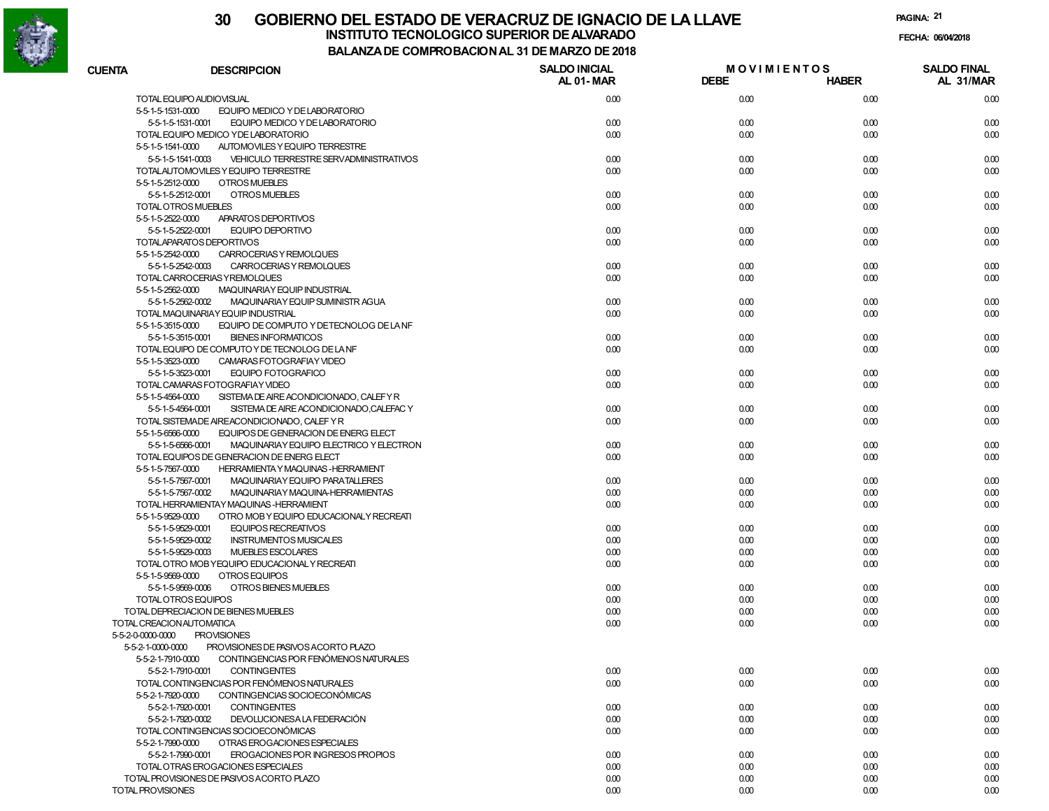

**PAGINA:21**

**FECHA:**

| <b>CUENTA</b> | <b>DESCRIPCION</b>                                                                                                           | <b>SALDO INICIAL</b><br>AL 01-MAR | <b>MOVIMIENTOS</b><br><b>DEBE</b> | <b>HABER</b> | <b>SALDO FINAL</b><br>AL 31/MAR |
|---------------|------------------------------------------------------------------------------------------------------------------------------|-----------------------------------|-----------------------------------|--------------|---------------------------------|
|               | TOTAL EQUIPO AUDIOVISUAL                                                                                                     | 0.00                              | 0.00                              | 0.00         | 0.00                            |
|               | 5-5-1-5-1531-0000<br>EQUIPO MEDICO Y DE LABORATORIO                                                                          |                                   |                                   |              |                                 |
|               | 5-5-1-5-1531-0001<br>EQUIPO MEDICO Y DE LABORATORIO                                                                          | 0.00                              | 0.00                              | 0.00         | 0.00                            |
|               | TOTAL EQUIPO MEDICO YDE LABORATORIO                                                                                          | 0.00                              | 0.00                              | 0.00         | 0.00                            |
|               | 5-5-1-5-1541-0000<br>AUTOMOVILES Y EQUIPO TERRESTRE                                                                          |                                   |                                   |              |                                 |
|               | 5-5-1-5-1541-0003<br>VEHICULO TERRESTRE SERVADMINISTRATIVOS                                                                  | 0.00                              | 0.00                              | 0.00         | 0.00                            |
|               | TOTALAUTOMOVILES Y EQUIPO TERRESTRE                                                                                          | 0.00                              | 0.00                              | 0.00         | 0.00                            |
|               | OTROS MUEBLES<br>5-5-1-5-2512-0000                                                                                           |                                   |                                   |              |                                 |
|               | 5-5-1-5-2512-0001<br>OTROS MUEBLES                                                                                           | 0.00                              | 0.00                              | 0.00         | 0.00                            |
|               | TOTAL OTROS MUEBLES                                                                                                          | 0.00                              | 0.00                              | 0.00         | 0.00                            |
|               | 5-5-1-5-2522-0000<br>APARATOS DEPORTIVOS                                                                                     |                                   |                                   |              |                                 |
|               | 5-5-1-5-2522-0001<br>EQUIPO DEPORTIVO                                                                                        | 0.00                              | 0.00                              | 0.00         | 0.00                            |
|               | TOTALAPARATOS DEPORTIVOS                                                                                                     | 0.00                              | 0.00                              | 0.00         | 0.00                            |
|               | 5-5-1-5-2542-0000<br>CARROCERIAS Y REMOLQUES                                                                                 |                                   |                                   |              |                                 |
|               | 5-5-1-5-2542-0003<br>CARROCERIAS Y REMOLQUES                                                                                 | 0.00                              | 0.00                              | 0.00         | 0.00                            |
|               | TOTAL CARROCERIAS Y REMOLQUES                                                                                                | 0.00                              | 0.00                              | 0.00         | 0.00                            |
|               | 5-5-1-5-2562-0000<br>MAQUINARIAY EQUIP INDUSTRIAL                                                                            |                                   |                                   |              |                                 |
|               | 5-5-1-5-2562-0002<br>MAQUINARIA Y EQUIP SUMINISTR AGUA                                                                       | 0.00                              | 0.00                              | 0.00         | 0.00                            |
|               | TOTAL MAQUINARIAY EQUIP INDUSTRIAL                                                                                           | 0.00                              | 0.00                              | 0.00         | 0.00                            |
|               | EQUIPO DE COMPUTO Y DETECNOLOG DE LA NF<br>5-5-1-5-3515-0000                                                                 |                                   |                                   |              |                                 |
|               | 5-5-1-5-3515-0001<br><b>BIENES INFORMATICOS</b>                                                                              | 0.00                              | 0.00                              | 0.00         | 0.00                            |
|               | TOTAL EQUIPO DE COMPUTO Y DE TECNOLOG DE LA NF                                                                               | 0.00                              | 0.00                              | 0.00         | 0.00                            |
|               | 5-5-1-5-3523-0000<br>CAMARAS FOTOGRAFIAY VIDEO                                                                               |                                   |                                   |              |                                 |
|               | 5-5-1-5-3523-0001<br><b>EQUIPO FOTOGRAFICO</b><br>TOTAL CAMARAS FOTOGRAFIAY VIDEO                                            | 0.00<br>0.00                      | 0.00<br>0.00                      | 0.00         | 0.00                            |
|               |                                                                                                                              |                                   |                                   | 0.00         | 0.00                            |
|               | 5-5-1-5-4564-0000<br>SISTEMA DE AIRE ACONDICIONADO, CALEFY R<br>5-5-1-5-4564-0001<br>SISTEMA DE AIRE ACONDICIONADO,CALEFAC Y | 0.00                              | 0.00                              | 0.00         | 0.00                            |
|               | TOTAL SISTEMADE AIREACONDICIONADO, CALEF Y R                                                                                 | 0.00                              | 0.00                              | 0.00         | 0.00                            |
|               | 5-5-1-5-6566-0000<br>EQUIPOS DE GENERACION DE ENERG ELECT                                                                    |                                   |                                   |              |                                 |
|               | 5-5-1-5-6566-0001<br>MAQUINARIAY EQUIPO ELECTRICO Y ELECTRON                                                                 | 0.00                              | 0.00                              | 0.00         | 0.00                            |
|               | TOTAL EQUIPOS DE GENERACION DE ENERG ELECT                                                                                   | 0.00                              | 0.00                              | 0.00         | 0.00                            |
|               | 5-5-1-5-7567-0000<br><b>HERRAMIENTA Y MAQUINAS-HERRAMIENT</b>                                                                |                                   |                                   |              |                                 |
|               | 5-5-1-5-7567-0001<br>MAQUINARIAY EQUIPO PARATALLERES                                                                         | 0.00                              | 0.00                              | 0.00         | 0.00                            |
|               | 5-5-1-5-7567-0002<br>MAQUINARIAY MAQUINA-HERRAMIENTAS                                                                        | 0.00                              | 0.00                              | 0.00         | 0.00                            |
|               | TOTAL HERRAMIENTAY MAQUINAS-HERRAMIENT                                                                                       | 0.00                              | 0.00                              | 0.00         | 0.00                            |
|               | 5-5-1-5-9529-0000<br>OTRO MOB Y EQUIPO EDUCACIONAL Y RECREATI                                                                |                                   |                                   |              |                                 |
|               | 5-5-1-5-9529-0001<br><b>EQUIPOS RECREATIVOS</b>                                                                              | 0.00                              | 0.00                              | 0.00         | 0.00                            |
|               | 5-5-1-5-9529-0002<br><b>INSTRUMENTOS MUSICALES</b>                                                                           | 0.00                              | 0.00                              | 0.00         | 0.00                            |
|               | <b>MUEBLES ESCOLARES</b><br>5-5-1-5-9529-0003                                                                                | 0.00                              | 0.00                              | 0.00         | 0.00                            |
|               | TOTAL OTRO MOB YEQUIPO EDUCACIONAL Y RECREATI                                                                                | 0.00                              | 0.00                              | 0.00         | 0.00                            |
|               | OTROS EQUIPOS<br>5-5-1-5-9569-0000                                                                                           |                                   |                                   |              |                                 |
|               | OTROS BIENES MUEBLES<br>5-5-1-5-9569-0006                                                                                    | 0.00                              | 0.00                              | 0.00         | 0.00                            |
|               | TOTAL OTROS EQUIPOS                                                                                                          | 0.00                              | 0.00                              | 0.00         | 0.00                            |
|               | TOTAL DEPRECIACION DE BIENES MUEBLES                                                                                         | 0.00                              | 0.00                              | 0.00         | 0.00                            |
|               | TOTAL CREACION AUTOMATICA                                                                                                    | 0.00                              | 0.00                              | 0.00         | 0.00                            |
|               | <b>PROVISIONES</b><br>5-5-2-0-0000-0000                                                                                      |                                   |                                   |              |                                 |
|               | 5-5-2-1-0000-0000<br>PROVISIONES DE PASIVOS ACORTO PLAZO                                                                     |                                   |                                   |              |                                 |
|               | 5-5-2-1-7910-0000<br>CONTINGENCIAS POR FENOMENOS NATURALES                                                                   |                                   |                                   |              |                                 |
|               | <b>CONTINGENTES</b><br>5-5-2-1-7910-0001                                                                                     | 0.00                              | 0.00                              | 0.00         | 0.00                            |
|               | TOTAL CONTINGENCIAS POR FENÓMENOS NATURALES                                                                                  | 0.00                              | 0.00                              | 0.00         | 0.00                            |
|               | 5-5-2-1-7920-0000<br>CONTINGENCIAS SOCIOECONÓMICAS                                                                           |                                   |                                   |              |                                 |
|               | 5-5-2-1-7920-0001<br><b>CONTINGENTES</b>                                                                                     | 0.00                              | 0.00                              | 0.00         | 0.00                            |
|               | 5-5-2-1-7920-0002<br>DEVOLUCIONESA LA FEDERACIÓN                                                                             | 0.00                              | 0.00                              | 0.00         | 0.00                            |
|               | TOTAL CONTINGENCIAS SOCIOECONÓMICAS                                                                                          | 0.00                              | 0.00                              | 0.00         | 0.00                            |
|               | 5-5-2-1-7990-0000<br>OTRAS EROGACIONES ESPECIALES                                                                            |                                   |                                   |              |                                 |
|               | 5-5-2-1-7990-0001<br>EROGACIONES POR INGRESOS PROPIOS                                                                        | 0.00                              | 0.00                              | 0.00         | 0.00                            |
|               | TOTAL OTRAS EROGACIONES ESPECIALES                                                                                           | 0.00                              | 0.00                              | 0.00         | 0.00                            |
|               | TOTAL PROVISIONES DE PASIVOS ACORTO PLAZO                                                                                    | 0.00                              | 0.00                              | 0.00         | 0.00                            |
|               | <b>TOTAL PROVISIONES</b>                                                                                                     | 0.00                              | 0.00                              | 0.00         | 0.00                            |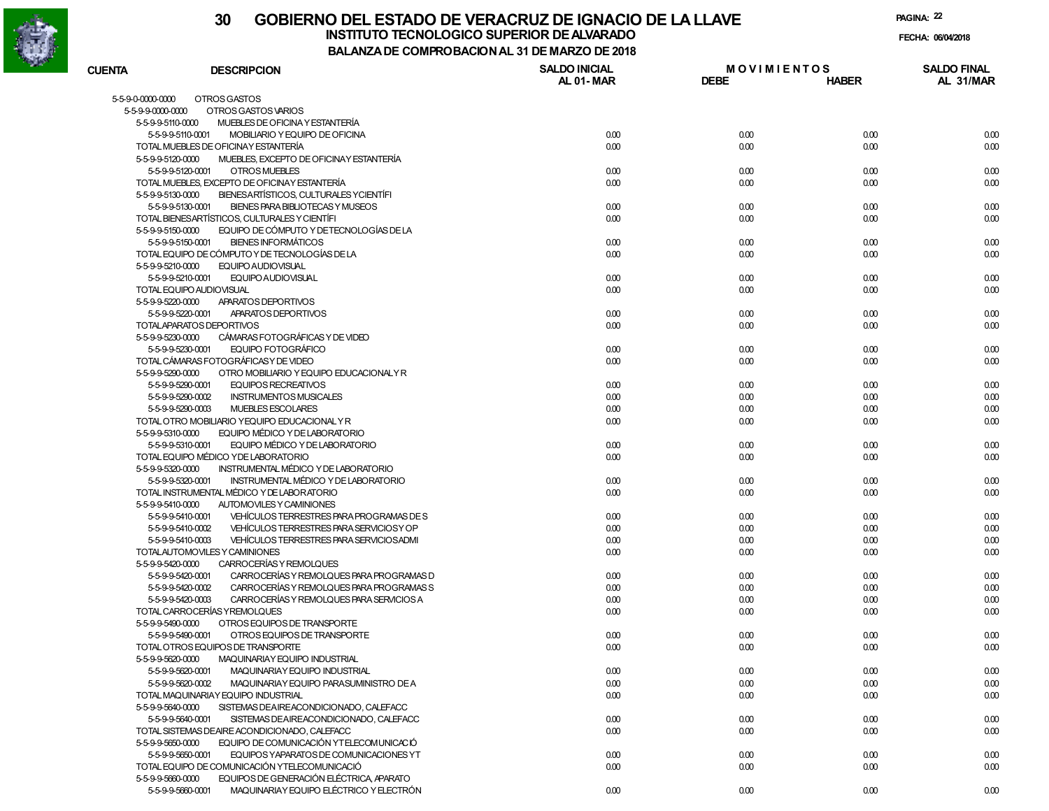

### **30 GOBIERNO DEL ESTADO DE VERACRUZ DE IGNACIO DE LA LLAVEINSTITUTO TECNOLOGICO SUPERIOR DE ALVARADO**

**PAGINA:22**

**FECHA: 06/04/2018**

**BALANZA DE COMPROBACION AL 31 DE MARZO DE 2018**

| <b>CUENTA</b>     | <b>DESCRIPCION</b>                                            | <b>SALDO INICIAL</b><br>AL 01-MAR | <b>MOVIMIENTOS</b><br><b>DEBE</b> | <b>HABER</b> | <b>SALDO FINAL</b><br>AL 31/MAR |
|-------------------|---------------------------------------------------------------|-----------------------------------|-----------------------------------|--------------|---------------------------------|
| 5-5-9-0-0000-0000 | OTROS GASTOS                                                  |                                   |                                   |              |                                 |
| 5-5-9-9-0000-0000 | OTROS GASTOS VARIOS                                           |                                   |                                   |              |                                 |
| 5-5-9-9-5110-0000 | MUEBLES DE OFICINA Y ESTANTERÍA                               |                                   |                                   |              |                                 |
|                   | MOBILIARIO Y EQUIPO DE OFICINA<br>5-5-9-9-5110-0001           | 0.00                              | 0.00                              | 0.00         | 0.00                            |
|                   | TOTAL MUEBLES DE OFICINAY ESTANTERÍA                          | 0.00                              | 0.00                              | 0.00         | 0.00                            |
| 5-5-9-9-5120-0000 | MUEBLES, EXCEPTO DE OFICINAY ESTANTERÍA                       |                                   |                                   |              |                                 |
|                   | OTROS MUEBLES<br>5-5-9-9-5120-0001                            | 0.00                              | 0.00                              | 0.00         | 0.00                            |
|                   | TOTAL MUEBLES, EXCEPTO DE OFICINAY ESTANTERÍA                 | 0.00                              | 0.00                              | 0.00         | 0.00                            |
| 5-5-9-9-5130-0000 | BIENESARTÍSTICOS, CULTURALES YCIENTÍFI                        |                                   |                                   |              |                                 |
|                   | BIENES PARA BIBLIOTECAS Y MUSEOS<br>5-5-9-9-5130-0001         | 0.00                              | 0.00                              | 0.00         | 0.00                            |
|                   | TOTAL BIENESARTÍSTICOS, CULTURALES Y CIENTÍFI                 | 0.00                              | 0.00                              | 0.00         | 0.00                            |
| 5-5-9-9-5150-0000 | EQUIPO DE CÓMPUTO Y DE TECNOLOGÍAS DE LA                      |                                   |                                   |              |                                 |
|                   | <b>BIENES INFORMÁTICOS</b><br>5-5-9-9-5150-0001               | 0.00                              | 0.00                              | 0.00         | 0.00                            |
|                   | TOTAL EQUIPO DE CÓMPUTO Y DE TECNOLOGÍAS DE LA                | 0.00                              | 0.00                              | 0.00         | 0.00                            |
| 5-5-9-9-5210-0000 | EQUIPO AUDIOVISUAL                                            |                                   |                                   |              |                                 |
|                   | EQUIPO AUDIOVISUAL<br>5-5-9-9-5210-0001                       | 0.00                              | 0.00                              | 0.00         | 0.00                            |
|                   | TOTAL EQUIPO AUDIOVISUAL                                      | 0.00                              | 0.00                              | 0.00         | 0.00                            |
| 5-5-9-9-5220-0000 | APARATOS DEPORTIVOS                                           |                                   |                                   |              |                                 |
|                   | APARATOS DEPORTIVOS<br>5-5-9-9-5220-0001                      | 0.00                              | 0.00                              | 0.00         | 0.00                            |
|                   | TOTAL APARATOS DEPORTIVOS                                     | 0.00                              | 0.00                              | 0.00         | 0.00                            |
| 5-5-9-9-5230-0000 | CÁMARAS FOTOGRÁFICAS Y DE VIDEO                               |                                   |                                   |              |                                 |
|                   | 5-5-9-9-5230-0001<br>EQUIPO FOTOGRÁFICO                       | 0.00                              | 0.00                              | 0.00         | 0.00                            |
|                   | TOTAL CÁMARAS FOTOGRÁFICAS Y DE VIDEO                         | 0.00                              | 0.00                              | 0.00         | 0.00                            |
| 5-5-9-9-5290-0000 | OTRO MOBILIARIO Y EQUIPO EDUCACIONALY R                       |                                   |                                   |              |                                 |
|                   | 5-5-9-9-5290-0001<br><b>EQUIPOS RECREATIVOS</b>               | 0.00                              | 0.00                              | 0.00         | 0.00                            |
|                   | 5-5-9-9-5290-0002<br><b>INSTRUMENTOS MUSICALES</b>            | 0.00                              | 0.00                              | 0.00         | 0.00                            |
|                   | 5-5-9-9-5290-0003<br>MUEBLES ESCOLARES                        | 0.00                              | 0.00                              | 0.00         | 0.00                            |
|                   | TOTAL OTRO MOBILIARIO YEQUIPO EDUCACIONAL Y R                 | 0.00                              |                                   | 0.00         | 0.00                            |
|                   | EQUIPO MÉDICO Y DE LABORATORIO                                |                                   | 0.00                              |              |                                 |
| 5-5-9-9-5310-0000 |                                                               |                                   |                                   |              |                                 |
|                   | EQUIPO MÉDICO Y DE LABORATORIO<br>5-5-9-9-5310-0001           | 0.00                              | 0.00                              | 0.00         | 0.00                            |
|                   | TOTAL EQUIPO MÉDICO YDE LABORATORIO                           | 0.00                              | 0.00                              | 0.00         | 0.00                            |
| 5-5-9-9-5320-0000 | INSTRUMENTAL MÉDICO Y DE LABORATORIO                          |                                   |                                   |              |                                 |
|                   | 5-5-9-9-5320-0001<br>INSTRUMENTAL MÉDICO Y DE LABORATORIO     | 0.00                              | 0.00                              | 0.00         | 0.00                            |
|                   | TOTAL INSTRUMENTAL MÉDICO Y DE LABORATORIO                    | 0.00                              | 0.00                              | 0.00         | 0.00                            |
| 5-5-9-9-5410-0000 | AUTOMOVILES Y CAMINIONES                                      |                                   |                                   |              |                                 |
|                   | VEHÍCULOS TERRESTRES PARA PROGRAMAS DE S<br>5-5-9-9-5410-0001 | 0.00                              | 0.00                              | 0.00         | 0.00                            |
|                   | VEHÍCULOS TERRESTRES PARA SERVICIOS Y OP<br>5-5-9-9-5410-0002 | 0.00                              | 0.00                              | 0.00         | 0.00                            |
|                   | 5-5-9-9-5410-0003<br>VEHÍCULOS TERRESTRES PARA SERVICIOS ADMI | 0.00                              | 0.00                              | 0.00         | 0.00                            |
|                   | TOTALAUTOMOVILES Y CAMINIONES                                 | 0.00                              | 0.00                              | 0.00         | 0.00                            |
| 5-5-9-9-5420-0000 | CARROCERÍAS Y REMOLQUES                                       |                                   |                                   |              |                                 |
|                   | CARROCERÍAS Y REMOLQUES PARA PROGRAMAS D<br>5-5-9-9-5420-0001 | 0.00                              | 0.00                              | 0.00         | 0.00                            |
|                   | CARROCERÍAS Y REMOLQUES PARA PROGRAMAS S<br>5-5-9-9-5420-0002 | 0.00                              | 0.00                              | 0.00         | 0.00                            |
|                   | 5-5-9-9-5420-0003<br>CARROCERÍAS Y REMOLOUES PARA SERVICIOS A | 0.00                              | 0.00                              | 0.00         | 0.00                            |
|                   | TOTAL CARROCERÍAS Y REMOLQUES                                 | 0.00                              | 0.00                              | 0.00         | 0.00                            |
| 5-5-9-9-5490-0000 | OTROS EQUIPOS DE TRANSPORTE                                   |                                   |                                   |              |                                 |
|                   | 5-5-9-9-5490-0001<br>OTROS EQUIPOS DE TRANSPORTE              | 0.00                              | 0.00                              | 0.00         | 0.00                            |
|                   | TOTAL OTROS EQUIPOS DE TRANSPORTE                             | 0.00                              | 0.00                              | 0.00         | 0.00                            |
| 5-5-9-9-5620-0000 | MAQUINARIAY EQUIPO INDUSTRIAL                                 |                                   |                                   |              |                                 |
|                   | 5-5-9-9-5620-0001<br>MAQUINARIAY EQUIPO INDUSTRIAL            | 0.00                              | 0.00                              | 0.00         | 0.00                            |
|                   | 5-5-9-9-5620-0002<br>MAQUINARIAY EQUIPO PARASUMINISTRO DE A   | 0.00                              | 0.00                              | 0.00         | 0.00                            |
|                   | TOTAL MAQUINARIAY EQUIPO INDUSTRIAL                           | 0.00                              | 0.00                              | 0.00         | 0.00                            |
| 5-5-9-9-5640-0000 | SISTEMAS DEAIREACONDICIONADO, CALEFACC                        |                                   |                                   |              |                                 |
|                   | SISTEMAS DEAIREACONDICIONADO, CALEFACC<br>5-5-9-9-5640-0001   | 0.00                              | 0.00                              | 0.00         | 0.00                            |
|                   | TOTAL SISTEMAS DEAIRE ACONDICIONADO, CALEFACC                 | 0.00                              | 0.00                              | 0.00         | 0.00                            |
| 5-5-9-9-5650-0000 | EQUIPO DE COMUNICACIÓN YTELECOMUNICACIÓ                       |                                   |                                   |              |                                 |
|                   | EQUIPOS YAPARATOS DE COMUNICACIONES YT<br>5-5-9-9-5650-0001   | 0.00                              | 0.00                              | 0.00         | 0.00                            |
|                   | TOTAL EQUIPO DE COMUNICACIÓN YTELECOMUNICACIÓ                 | 0.00                              | 0.00                              | 0.00         | 0.00                            |
| 5-5-9-9-5660-0000 | EQUIPOS DE GENERACIÓN ELÉCTRICA, APARATO                      |                                   |                                   |              |                                 |

0.00 0.00 0.00 0.00

5-5-9-9-5660-0001 MAQUINARIA Y EQUIPO ELÉCTRICO Y ELECTRÓN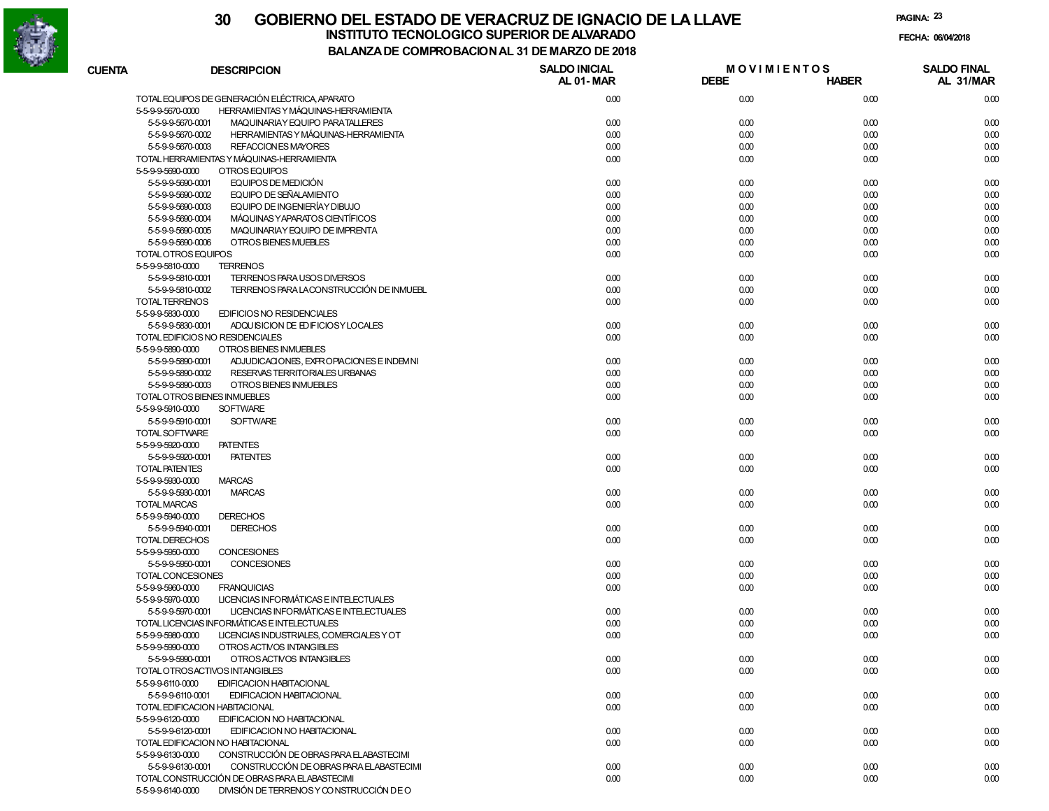

**PAGINA:23**

**FECHA:**

| <b>CUENTA</b>         | <b>DESCRIPCION</b>                            | <b>SALDO INICIAL</b><br>AL 01-MAR | <b>MOVIMIENTOS</b><br><b>DEBE</b> | <b>HABER</b> | <b>SALDO FINAL</b><br>AL 31/MAR |
|-----------------------|-----------------------------------------------|-----------------------------------|-----------------------------------|--------------|---------------------------------|
|                       | TOTAL EQUIPOS DE GENERACIÓN ELÉCTRICA APARATO | 0.00                              | 0.00                              | 0.00         | 0.00                            |
| 5-5-9-9-5670-0000     | HERRAMIENTAS Y MÁQUINAS-HERRAMIENTA           |                                   |                                   |              |                                 |
| 5-5-9-9-5670-0001     | MAQUINARIAY EQUIPO PARATALLERES               | 0.00                              | 0.00                              | 0.00         | 0.00                            |
| 5-5-9-9-5670-0002     | HERRAMIENTAS Y MÁQUINAS-HERRAMIENTA           | 0.00                              | 0.00                              | 0.00         | 0.00                            |
| 5-5-9-9-5670-0003     | <b>REFACCION ES MAYORES</b>                   | 0.00                              | 0.00                              | 0.00         | 0.00                            |
|                       | TOTAL HERRAMIENTAS Y MÁQUINAS-HERRAMIENTA     | 0.00                              | 0.00                              | 0.00         | 0.00                            |
| 5-5-9-9-5690-0000     | OTROS EQUIPOS                                 |                                   |                                   |              |                                 |
| 5-5-9-9-5690-0001     | EQUIPOS DE MEDICIÓN                           | 0.00                              | 0.00                              | 0.00         | 0.00                            |
| 5-5-9-9-5690-0002     | EQUIPO DE SEÑALAMIENTO                        | 0.00                              | 0.00                              | 0.00         | 0.00                            |
| 5-5-9-9-5690-0003     | EQUIPO DE INGENIERÍAY DIBUJO                  | 0.00                              | 0.00                              | 0.00         | 0.00                            |
| 5-5-9-9-5690-0004     | MÁQUINAS Y APARATOS CIENTÍFICOS               | 0.00                              | 0.00                              | 0.00         | 0.00                            |
| 5-5-9-9-5690-0005     | MAQUINARIAY EQUIPO DE IMPRENTA                | 0.00                              | 0.00                              | 0.00         | 0.00                            |
| 5-5-9-9-5690-0006     | OTROS BIENES MUEBLES                          | 0.00                              | 0.00                              | 0.00         | 0.00                            |
| TOTAL OTROS EQUIPOS   |                                               | 0.00                              | 0.00                              | 0.00         | 0.00                            |
| 5-5-9-9-5810-0000     | <b>TERRENOS</b>                               |                                   |                                   |              |                                 |
| 5-5-9-9-5810-0001     | TERRENOS PARA USOS DIVERSOS                   | 0.00                              | 0.00                              | 0.00         | 0.00                            |
| 5-5-9-9-5810-0002     | TERRENOS PARA LACONSTRUCCIÓN DE INMUEBL       | 0.00                              | 0.00                              | 0.00         | 0.00                            |
| <b>TOTAL TERRENOS</b> |                                               | 0.00                              | 0.00                              | 0.00         | 0.00                            |
| 5-5-9-9-5830-0000     | <b>EDIFICIOS NO RESIDENCIALES</b>             |                                   |                                   |              |                                 |
| 5-5-9-9-5830-0001     | ADQUISICION DE ED FICIOSY LOCALES             | 0.00                              | 0.00                              | 0.00         | 0.00                            |
|                       | TOTAL EDIFICIOS NO RESIDENCIALES              | 0.00                              | 0.00                              | 0.00         | 0.00                            |
| 5-5-9-9-5890-0000     | OTROS BIENES INMUEBLES                        |                                   |                                   |              |                                 |
| 5-5-9-9-5890-0001     | ADJUDICACIONES, EXPROPIACIONES E INDEMNI      | 0.00                              | 0.00                              | 0.00         | 0.00                            |
| 5-5-9-9-5890-0002     | RESERVAS TERRITORIALES URBANAS                | 0.00                              | 0.00                              | 0.00         | 0.00                            |
| 5-5-9-9-5890-0003     | OTROS BIENES INMUEBLES                        | 0.00                              | 0.00                              | 0.00         | 0.00                            |
|                       | TOTAL OTROS BIENES INMUEBLES                  | 0.00                              | 0.00                              | 0.00         | 0.00                            |
| 5-5-9-9-5910-0000     | <b>SOFTWARE</b>                               |                                   |                                   |              |                                 |
| 5-5-9-9-5910-0001     | <b>SOFTWARE</b>                               | 0.00                              | 0.00                              | 0.00         | 0.00                            |
| <b>TOTAL SOFTWARE</b> |                                               | 0.00                              | 0.00                              | 0.00         | 0.00                            |
| 5-5-9-9-5920-0000     | <b>PATENTES</b>                               |                                   |                                   |              |                                 |
| 5-5-9-9-5920-0001     | <b>PATENTES</b>                               | 0.00                              | 0.00                              | 0.00         | 0.00                            |
| <b>TOTAL PATENTES</b> |                                               | 0.00                              | 0.00                              | 0.00         | 0.00                            |
| 5-5-9-9-5930-0000     | <b>MARCAS</b>                                 |                                   |                                   |              |                                 |
| 5-5-9-9-5930-0001     | <b>MARCAS</b>                                 | 0.00                              | 0.00                              | 0.00         | 0.00                            |
| <b>TOTAL MARCAS</b>   |                                               | 0.00                              | 0.00                              | 0.00         | 0.00                            |
| 5-5-9-9-5940-0000     | <b>DERECHOS</b>                               |                                   |                                   |              |                                 |
| 5-5-9-9-5940-0001     | <b>DERECHOS</b>                               | 0.00                              | 0.00                              | 0.00         | 0.00                            |
| <b>TOTAL DERECHOS</b> |                                               | 0.00                              | 0.00                              | 0.00         | 0.00                            |
| 5-5-9-9-5950-0000     | <b>CONCESIONES</b>                            |                                   |                                   |              |                                 |
| 5-5-9-9-5950-0001     | <b>CONCESIONES</b>                            | 0.00                              | 0.00                              | 0.00         | 0.00                            |
| TOTAL CONCESIONES     |                                               | 0.00                              | 0.00                              | 0.00         | 0.00                            |
| 5-5-9-9-5960-0000     | <b>FRANQUICIAS</b>                            | 0.00                              | 0.00                              | 0.00         | 0.00                            |
| 5-5-9-9-5970-0000     | LICENCIAS INFORMÁTICAS E INTELECTUALES        |                                   |                                   |              |                                 |
| 5-5-9-9-5970-0001     | LICENCIAS INFORMÁTICAS E INTELECTUALES        | 0.00                              | 0.00                              | 0.00         | 0.00                            |
|                       | TOTAL LICENCIAS INFORMÁTICAS E INTELECTUALES  | 0.00                              | 0.00                              | 0.00         | 0.00                            |
| 5-5-9-9-5980-0000     | LICENCIAS INDUSTRIALES, COMERCIALES Y OT      | 0.00                              | 0.00                              | 0.00         | 0.00                            |
| 5-5-9-9-5990-0000     | OTROS ACTIVOS INTANGIBLES                     |                                   |                                   |              |                                 |
| 5-5-9-9-5990-0001     | OTROS ACTIVOS INTANGIBLES                     | 0.00                              | 0.00                              | 0.00         | 0.00                            |
|                       | TOTAL OTROSACTIVOS INTANGIBLES                | 0.00                              | 0.00                              | 0.00         | 0.00                            |
| 5-5-9-9-6110-0000     | EDIFICACION HABITACIONAL                      |                                   |                                   |              |                                 |
| 5-5-9-9-6110-0001     | EDIFICACION HABITACIONAL                      | 0.00                              | 0.00                              | 0.00         | 0.00                            |
|                       | TOTAL EDIFICACION HABITACIONAL                | 0.00                              | 0.00                              | 0.00         | 0.00                            |
| 5-5-9-9-6120-0000     | EDIFICACION NO HABITACIONAL                   |                                   |                                   |              |                                 |
| 5-5-9-9-6120-0001     | EDIFICACION NO HABITACIONAL                   | 0.00                              | 0.00                              | 0.00         | 0.00                            |
|                       | TOTAL EDIFICACION NO HABITACIONAL             | 0.00                              | 0.00                              | 0.00         | 0.00                            |
| 5-5-9-9-6130-0000     | CONSTRUCCIÓN DE OBRAS PARA ELABASTECIMI       |                                   |                                   |              |                                 |
| 5-5-9-9-6130-0001     | CONSTRUCCIÓN DE OBRAS PARA ELABASTECIMI       | 0.00                              | 0.00                              | 0.00         | 0.00                            |
|                       | TOTAL CONSTRUCCIÓN DE OBRAS PARA ELABASTECIMI | 0.00                              | 0.00                              | 0.00         | 0.00                            |
| 5-5-9-9-6140-0000     | DIVISIÓN DE TERRENOS Y CONSTRUCCIÓN DE O      |                                   |                                   |              |                                 |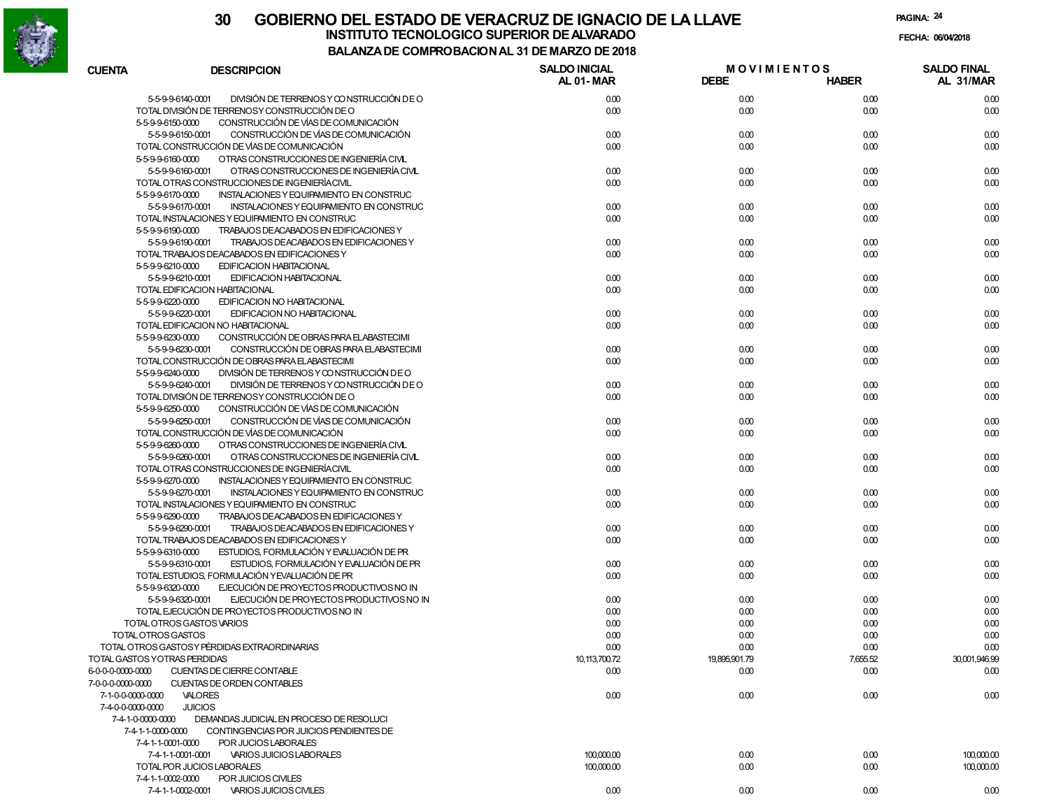

|                   |                                                                                                           | <b>COMFINO DAGION AL 31 DE MANEO DE 2010</b> |                                   |                  |                                 |
|-------------------|-----------------------------------------------------------------------------------------------------------|----------------------------------------------|-----------------------------------|------------------|---------------------------------|
| <b>CUENTA</b>     | <b>DESCRIPCION</b>                                                                                        | <b>SALDO INICIAL</b><br>AL 01-MAR            | <b>MOVIMIENTOS</b><br><b>DEBE</b> | <b>HABER</b>     | <b>SALDO FINAL</b><br>AL 31/MAR |
|                   | 5-5-9-9-6140-0001<br>DIVISIÓN DE TERRENOS Y CONSTRUCCIÓN DE O                                             | 0.00                                         | 0.00                              | 0.00             | 0.00                            |
|                   | TOTAL DIVISIÓN DE TERRENOSY CONSTRUCCIÓN DE O                                                             | 0.00                                         | 0.00                              | 0.00             | 0.00                            |
|                   | CONSTRUCCIÓN DE VÍAS DE COMUNICACIÓN<br>5-5-9-9-6150-0000                                                 |                                              |                                   |                  |                                 |
|                   | CONSTRUCCIÓN DE VÍAS DE COMUNICACIÓN<br>5-5-9-9-6150-0001                                                 | 0.00                                         | 0.00                              | 0.00             | 0.00                            |
|                   | TOTAL CONSTRUCCIÓN DE VÍAS DE COMUNICACIÓN                                                                | 0.00                                         | 0.00                              | 0.00             | 0.00                            |
|                   | 5-5-9-9-6160-0000<br>OTRAS CONSTRUCCIONES DE INGENIERÍA CIVIL                                             |                                              |                                   |                  |                                 |
|                   | 5-5-9-9-6160-0001<br>OTRAS CONSTRUCCIONES DE INGENIERÍA CIVIL                                             | 0.00                                         | 0.00                              | 0.00             | 0.00                            |
|                   | TOTAL OTRAS CONSTRUCCIONES DE INGENIERÍACIVIL                                                             | 0.00                                         | 0.00                              | 0.00             | 0.00                            |
|                   | 5-5-9-9-6170-0000<br>INSTALACIONES Y EQUIPAMIENTO EN CONSTRUC                                             |                                              |                                   |                  |                                 |
|                   | 5-5-9-9-6170-0001<br>INSTALACIONES Y EQUIPAMIENTO EN CONSTRUC                                             | 0.00                                         | 0.00                              | 0.00             | 0.00                            |
|                   | TOTAL INSTALACIONES Y EQUIPAMIENTO EN CONSTRUC                                                            | 0.00                                         | 0.00                              | 0.00             | 0.00                            |
|                   | 5-5-9-9-6190-0000<br>TRABAJOS DEACABADOS EN EDIFICACIONES Y                                               |                                              |                                   |                  |                                 |
|                   | 5-5-9-9-6190-0001<br>TRABAJOS DEACABADOS EN EDIFICACIONES Y                                               | 0.00                                         | 0.00                              | 0.00             | 0.00                            |
|                   | TOTAL TRABAJOS DEACABADOS EN EDIFICACIONES Y                                                              | 0.00                                         | 0.00                              | 0.00             | 0.00                            |
|                   | 5-5-9-9-6210-0000<br>EDIFICACION HABITACIONAL                                                             |                                              |                                   |                  |                                 |
|                   | 5-5-9-9-6210-0001<br>EDIFICACION HABITACIONAL                                                             | 0.00                                         | 0.00                              | 0.00             | 0.00                            |
|                   | TOTAL EDIFICACION HABITACIONAL                                                                            | 0.00                                         | 0.00                              | 0.00             | 0.00                            |
|                   | 5-5-9-9-6220-0000<br>EDIFICACION NO HABITACIONAL                                                          |                                              |                                   |                  |                                 |
|                   | 5-5-9-9-6220-0001<br>EDIFICACION NO HABITACIONAL                                                          | 0.00                                         | 0.00                              | 0.00             | 0.00                            |
|                   | TOTAL EDIFICACION NO HABITACIONAL                                                                         | 0.00                                         | 0.00                              | 0.00             | 0.00                            |
|                   | CONSTRUCCIÓN DE OBRAS PARA EL ABASTECIMI<br>5-5-9-9-6230-0000                                             |                                              |                                   |                  |                                 |
|                   | CONSTRUCCIÓN DE OBRAS PARA ELABASTECIMI<br>5-5-9-9-6230-0001                                              | 0.00                                         | 0.00                              | 0.00             | 0.00                            |
|                   | TOTAL CONSTRUCCIÓN DE OBRAS PARA EL ABASTECIMI                                                            | 0.00                                         | 0.00                              | 0.00             | 0.00                            |
|                   | 5-5-9-9-6240-0000<br>DIVISIÓN DE TERRENOS Y CONSTRUCCIÓN DE O                                             |                                              |                                   |                  |                                 |
|                   | DIVISIÓN DE TERRENOS Y CONSTRUCCIÓN DE O<br>5-5-9-9-6240-0001                                             | 0.00                                         | 0.00                              | 0.00             | 0.00                            |
|                   | TOTAL DIVISIÓN DE TERRENOSY CONSTRUCCIÓN DE O                                                             | 0.00                                         | 0.00                              | 0.00             | 0.00                            |
|                   | CONSTRUCCIÓN DE VÍAS DE COMUNICACIÓN<br>5-5-9-9-6250-0000                                                 |                                              |                                   |                  |                                 |
|                   | CONSTRUCCIÓN DE VÍAS DE COMUNICACIÓN<br>5-5-9-9-6250-0001                                                 | 0.00                                         | 0.00                              | 0.00             | 0.00                            |
|                   | TOTAL CONSTRUCCIÓN DE VÍAS DE COMUNICACIÓN                                                                | 0.00                                         | 0.00                              | 0.00             | 0.00                            |
|                   | 5-5-9-9-6260-0000<br>OTRAS CONSTRUCCIONES DE INGENIERÍA CIVIL                                             |                                              |                                   |                  |                                 |
|                   | 5-5-9-9-6260-0001<br>OTRAS CONSTRUCCIONES DE INGENIERÍA CIVIL                                             | 0.00                                         | 0.00                              | 0.00             | 0.00                            |
|                   | TOTAL OTRAS CONSTRUCCIONES DE INGENIERÍACIVIL                                                             | 0.00                                         | 0.00                              | 0.00             | 0.00                            |
|                   | 5-5-9-9-6270-0000<br>INSTALACIONES Y EQUIPAMIENTO EN CONSTRUC                                             |                                              |                                   |                  |                                 |
|                   | 5-5-9-9-6270-0001<br>INSTALACIONES Y EQUIPAMIENTO EN CONSTRUC                                             | 0.00                                         | 0.00                              | 0.00             | 0.00                            |
|                   | TOTAL INSTALACIONES Y EQUIPAMIENTO EN CONSTRUC                                                            | 0.00                                         | 0.00                              | 0.00             | 0.00                            |
|                   | 5-5-9-9-6290-0000<br>TRABAJOS DEACABADOS EN EDIFICACIONES Y                                               |                                              |                                   |                  |                                 |
|                   | 5-5-9-9-6290-0001<br>TRABAJOS DEACABADOS EN EDIFICACIONES Y                                               | 0.00                                         | 0.00                              | 0.00             | 0.00                            |
|                   | TOTAL TRABAJOS DEACABADOS EN EDIFICACIONES Y                                                              | 0.00                                         | 0.00                              | 0.00             | 0.00                            |
|                   | ESTUDIOS, FORMULACIÓN Y EVALUACIÓN DE PR<br>5-5-9-9-6310-0000                                             |                                              |                                   |                  |                                 |
|                   | 5-5-9-9-6310-0001<br>ESTUDIOS, FORMULACIÓN Y EVALUACIÓN DE PR                                             | 0.00                                         | 0.00                              | 0.00             | 0.00                            |
|                   | TOTAL ESTUDIOS, FORMULACIÓN YEVALUACIÓN DE PR                                                             | 0.00                                         | 0.00                              | 0.00             | 0.00                            |
|                   | EJECUCIÓN DE PROYECTOS PRODUCTIVOS NO IN<br>5-5-9-9-6320-0000<br>EJECUCIÓN DE PROYECTOS PRODUCTIVOS NO IN |                                              |                                   |                  |                                 |
|                   | 5-5-9-9-6320-0001<br>TOTAL EJECUCIÓN DE PROYECTOS PRODUCTIVOS NO IN                                       | 0.00<br>0.00                                 | 0.00                              | 0.00<br>0.00     | 0.00                            |
|                   |                                                                                                           |                                              | 0.00                              |                  | 0.00                            |
|                   | TOTAL OTROS GASTOS VARIOS<br>TOTAL OTROS GASTOS                                                           | 0.00<br>0.00                                 | 0.00                              | 0.00<br>0.00     | 0.00<br>0.00                    |
|                   |                                                                                                           |                                              | 0.00                              |                  |                                 |
|                   | TOTAL OTROS GASTOSY PÉRDIDAS EXTRAORDINARIAS<br>TOTAL GASTOS YOTRAS PERDIDAS                              | 0.00                                         | 0.00                              | 0.00<br>7,655.52 | 0.00<br>30,001,946.99           |
| 6-0-0-0-0000-0000 | CUENTAS DE CIERRE CONTABLE                                                                                | 10,113,700.72<br>0.00                        | 19,895,901.79<br>0.00             | 0.00             | 0.00                            |
| 7-0-0-0-0000-0000 | CUENTAS DE ORDEN CONTABLES                                                                                |                                              |                                   |                  |                                 |
| 7-1-0-0-0000-0000 | VALORES                                                                                                   | 0.00                                         | 0.00                              | 0.00             | 0.00                            |
| 7-4-0-0-0000-0000 | <b>JUICIOS</b>                                                                                            |                                              |                                   |                  |                                 |
|                   | 7-4-1-0-0000-0000<br>DEMANDAS JUDICIAL EN PROCESO DE RESOLUCI                                             |                                              |                                   |                  |                                 |
|                   | 7-4-1-1-0000-0000<br>CONTINGENCIAS POR JUICIOS PENDIENTES DE                                              |                                              |                                   |                  |                                 |
|                   | 7-4-1-1-0001-0000<br>POR JUCIOS LABORALES                                                                 |                                              |                                   |                  |                                 |
|                   | 7-4-1-1-0001-0001<br><b>VARIOS JUICIOS LABORALES</b>                                                      | 100,000.00                                   | 0.00                              | 0.00             | 100,000.00                      |
|                   | TOTAL POR JUCIOS LABORALES                                                                                | 100,000.00                                   | 0.00                              | 0.00             | 100,000.00                      |
|                   | 7-4-1-1-0002-0000<br>POR JUICIOS CIVILES                                                                  |                                              |                                   |                  |                                 |
|                   | 7-4-1-1-0002-0001<br>VARIOS JUICIOS CIVILES                                                               | 0.00                                         | 0.00                              | 0.00             | 0.00                            |
|                   |                                                                                                           |                                              |                                   |                  |                                 |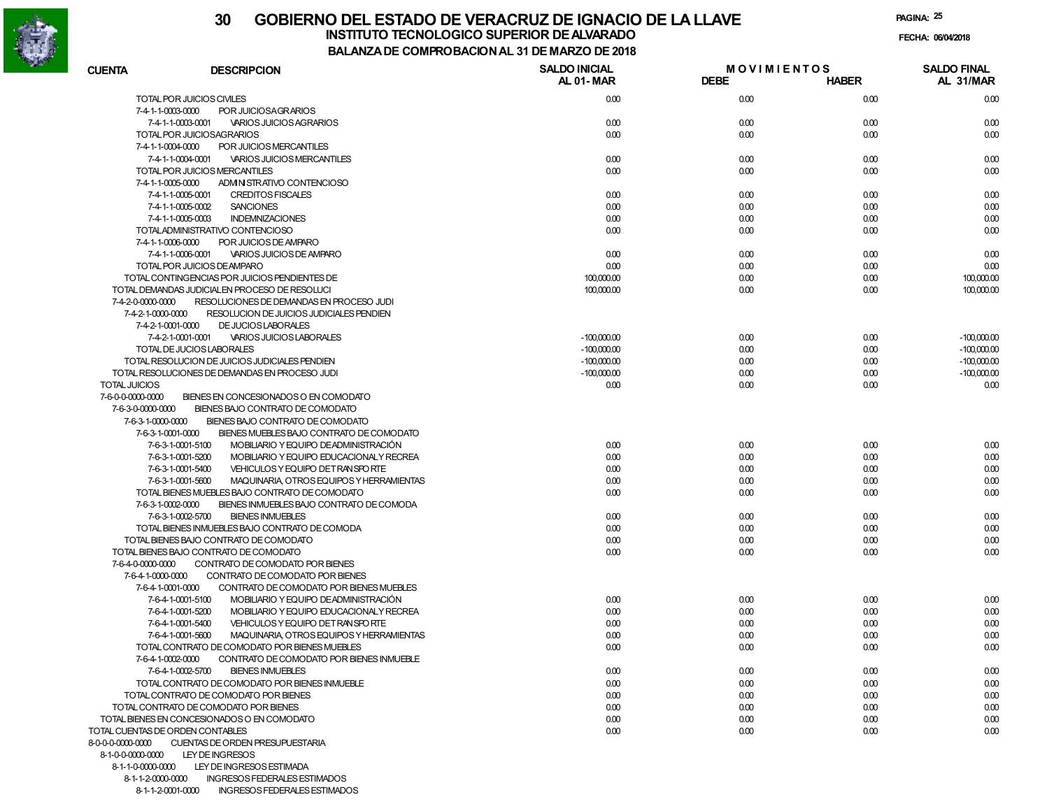

### **30 GOBIERNO DEL ESTADO DE VERACRUZ DE IGNACIO DE LA LLAVEFECHA: 06/04/2018 INSTITUTO TECNOLOGICO SUPERIOR DE ALVARADO**

**PAGINA:25**

**BALANZA DE COMPROBACION AL 31 DE MARZO DE 2018**

| <b>CUENTA</b>                    | <b>DESCRIPCION</b>                                            | <b>SALDO INICIAL</b><br><b>AL 01-MAR</b> | <b>MOVIMIENTOS</b><br><b>DEBE</b> | <b>HABER</b> | <b>SALDO FINAL</b><br>AL 31/MAR |
|----------------------------------|---------------------------------------------------------------|------------------------------------------|-----------------------------------|--------------|---------------------------------|
|                                  | TOTAL POR JUICIOS CIVILES                                     | 0.00                                     | 0.00                              | 0.00         | 0.00                            |
| 7-4-1-1-0003-0000                | POR JUICIOSAGRARIOS                                           |                                          |                                   |              |                                 |
|                                  | 7-4-1-1-0003-0001<br>VARIOS JUICIOS AGRARIOS                  | 0.00                                     | 0.00                              | 0.00         | 0.00                            |
|                                  | TOTAL POR JUICIOSAGRARIOS                                     | 0.00                                     | 0.00                              | 0.00         | 0.00                            |
| 7-4-1-1-0004-0000                | POR JUICIOS MERCANTILES                                       |                                          |                                   |              |                                 |
|                                  | 7-4-1-1-0004-0001<br><b>VARIOS JUICIOS MERCANTILES</b>        | 0.00                                     | 0.00                              | 0.00         | 0.00                            |
|                                  | TOTAL POR JUICIOS MERCANTILES                                 | 0.00                                     | 0.00                              | 0.00         | 0.00                            |
| 7-4-1-1-0005-0000                | ADMINISTRATIVO CONTENCIOSO                                    |                                          |                                   |              |                                 |
|                                  | 7-4-1-1-0005-0001<br><b>CREDITOS FISCALES</b>                 | 0.00                                     | 0.00                              | 0.00         | 0.00                            |
|                                  | 7-4-1-1-0005-0002<br><b>SANCIONES</b>                         | 0.00                                     | 0.00                              | 0.00         | 0.00                            |
|                                  | 7-4-1-1-0005-0003<br><b>INDEMNIZACIONES</b>                   | 0.00                                     | 0.00                              | 0.00         | 0.00                            |
|                                  | TOTALADMINISTRATIVO CONTENCIOSO                               | 0.00                                     | 0.00                              | 0.00         | 0.00                            |
| 7-4-1-1-0006-0000                | POR JUICIOS DE AMPARO                                         |                                          |                                   |              |                                 |
|                                  | 7-4-1-1-0006-0001<br><b>VARIOS JUICIOS DE AMPARO</b>          | 0.00                                     | 0.00                              | 0.00         | 0.00                            |
|                                  | TOTAL POR JUICIOS DEAMPARO                                    | 0.00                                     | 0.00                              | 0.00         | 0.00                            |
|                                  | TOTAL CONTINGENCIAS POR JUICIOS PENDIENTES DE                 | 100,000.00                               | 0.00                              | 0.00         | 100,000.00                      |
|                                  | TOTAL DEMANDAS JUDICIALEN PROCESO DE RESOLUCI                 | 100,000.00                               | 0.00                              | 0.00         | 100,000.00                      |
| 7-4-2-0-0000-0000                | RESOLUCIONES DE DEMANDAS EN PROCESO JUDI                      |                                          |                                   |              |                                 |
| 7-4-2-1-0000-0000                | RESOLUCION DE JUICIOS JUDICIALES PENDIEN                      |                                          |                                   |              |                                 |
| 7-4-2-1-0001-0000                | <b>DE JUCIOS LABORALES</b>                                    |                                          |                                   |              |                                 |
|                                  | 7-4-2-1-0001-0001<br><b>VARIOS JUICIOS LABORALES</b>          | $-100,000.00$                            | 0.00                              | 0.00         | $-100,000.00$                   |
|                                  | TOTAL DE JUCIOS LABORALES                                     |                                          |                                   |              |                                 |
|                                  |                                                               | $-100,000.00$                            | 0.00                              | 0.00         | $-100,000.00$                   |
|                                  | TOTAL RESOLUCION DE JUICIOS JUDICIALES PENDIEN                | $-100,000.00$                            | 0.00                              | 0.00         | $-100,000.00$                   |
|                                  | TOTAL RESOLUCIONES DE DEMANDAS EN PROCESO JUDI                | $-100,000.00$                            | 0.00                              | 0.00         | $-100,000.00$                   |
| <b>TOTAL JUICIOS</b>             |                                                               | 0.00                                     | 0.00                              | 0.00         | 0.00                            |
| 7-6-0-0-0000-0000                | BIENES EN CONCESIONADOS O EN COMODATO                         |                                          |                                   |              |                                 |
| 7-6-3-0-0000-0000                | BIENES BAJO CONTRATO DE COMODATO                              |                                          |                                   |              |                                 |
| 7-6-3-1-0000-0000                | BIENES BAJO CONTRATO DE COMODATO                              |                                          |                                   |              |                                 |
| 7-6-3-1-0001-0000                | BIENES MUEBLES BAJO CONTRATO DE COMODATO                      |                                          |                                   |              |                                 |
|                                  | 7-6-3-1-0001-5100<br>MOBILIARIO Y EQUIPO DEADMINISTRACIÓN     | 0.00                                     | 0.00                              | 0.00         | 0.00                            |
|                                  | 7-6-3-1-0001-5200<br>MOBILIARIO Y EQUIPO EDUCACIONALY RECREA  | 0.00                                     | 0.00                              | 0.00         | 0.00                            |
|                                  | 7-6-3-1-0001-5400<br>VEHICULOS Y EQUIPO DET RANSPORTE         | 0.00                                     | 0.00                              | 0.00         | 0.00                            |
|                                  | 7-6-3-1-0001-5600<br>MAQUINARIA, OTROS EQUIPOS Y HERRAMIENTAS | 0.00                                     | 0.00                              | 0.00         | 0.00                            |
|                                  | TOTAL BIENES MUEBLES BAJO CONTRATO DE COMODATO                | 0.00                                     | 0.00                              | 0.00         | 0.00                            |
| 7-6-3-1-0002-0000                | BIENES INMUEBLES BAJO CONTRATO DE COMODA                      |                                          |                                   |              |                                 |
|                                  | 7-6-3-1-0002-5700<br><b>BIENES INMUEBLES</b>                  | 0.00                                     | 0.00                              | 0.00         | 0.00                            |
|                                  | TOTAL BIENES INMUEBLES BAJO CONTRATO DE COMODA                | 0.00                                     | 0.00                              | 0.00         | 0.00                            |
|                                  | TOTAL BIENES BAJO CONTRATO DE COMODATO                        | 0.00                                     | 0.00                              | 0.00         | 0.00                            |
|                                  | TOTAL BIENES BAJO CONTRATO DE COMODATO                        | 0.00                                     | 0.00                              | 0.00         | 0.00                            |
| 7-6-4-0-0000-0000                | CONTRATO DE COMODATO POR BIENES                               |                                          |                                   |              |                                 |
| 7-6-4-1-0000-0000                | CONTRATO DE COMODATO POR BIENES                               |                                          |                                   |              |                                 |
| 7-6-4-1-0001-0000                | CONTRATO DE COMODATO POR BIENES MUEBLES                       |                                          |                                   |              |                                 |
|                                  | 7-6-4-1-0001-5100<br>MOBILIARIO Y EQUIPO DEADMINISTRACIÓN     | 0.00                                     | 0.00                              | 0.00         | 0.00                            |
|                                  | 7-6-4-1-0001-5200<br>MOBILIARIO Y EQUIPO EDUCACIONALY RECREA  | 0.00                                     | 0.00                              | 0.00         | 0.00                            |
|                                  | 7-6-4-1-0001-5400<br>VEHICULOS Y EQUIPO DET RANSPORTE         | 0.00                                     | 0.00                              | 0.00         | 0.00                            |
|                                  | 7-6-4-1-0001-5600<br>MAQUINARIA, OTROS EQUIPOS Y HERRAMIENTAS | 0.00                                     | 0.00                              | 0.00         | 0.00                            |
|                                  | TOTAL CONTRATO DE COMODATO POR BIENES MUEBLES                 | 0.00                                     | 0.00                              | 0.00         | 0.00                            |
| 7-6-4-1-0002-0000                | CONTRATO DE COMODATO POR BIENES INMUEBLE                      |                                          |                                   |              |                                 |
|                                  | 7-6-4-1-0002-5700<br><b>BIENES INMUEBLES</b>                  | 0.00                                     | 0.00                              | 0.00         | 0.00                            |
|                                  | TOTAL CONTRATO DE COMODATO POR BIENES INMUEBLE                | 0.00                                     | 0.00                              | 0.00         | 0.00                            |
|                                  | TOTAL CONTRATO DE COMODATO POR BIENES                         | 0.00                                     | 0.00                              | 0.00         | 0.00                            |
|                                  | TOTAL CONTRATO DE COMODATO POR BIENES                         | 0.00                                     | 0.00                              | 0.00         | 0.00                            |
|                                  | TOTAL BIENES EN CONCESIONADOS O EN COMODATO                   | 0.00                                     | 0.00                              | 0.00         | 0.00                            |
| TOTAL CUENTAS DE ORDEN CONTABLES |                                                               | 0.00                                     | 0.00                              | 0.00         | 0.00                            |
| 8-0-0-0-0000-0000                | CUENTAS DE ORDEN PRESUPUESTARIA                               |                                          |                                   |              |                                 |
| 8-1-0-0-0000-0000                | LEY DE INGRESOS                                               |                                          |                                   |              |                                 |
| 8-1-1-0-0000-0000                | LEY DE INGRESOS ESTIMADA                                      |                                          |                                   |              |                                 |
|                                  | 8-1-1-2-0000-0000 INGRESOS FEDERALES ESTIMADOS                |                                          |                                   |              |                                 |

8-1-1-2-0001-0000 INGRESOS FEDERALES ESTIMADOS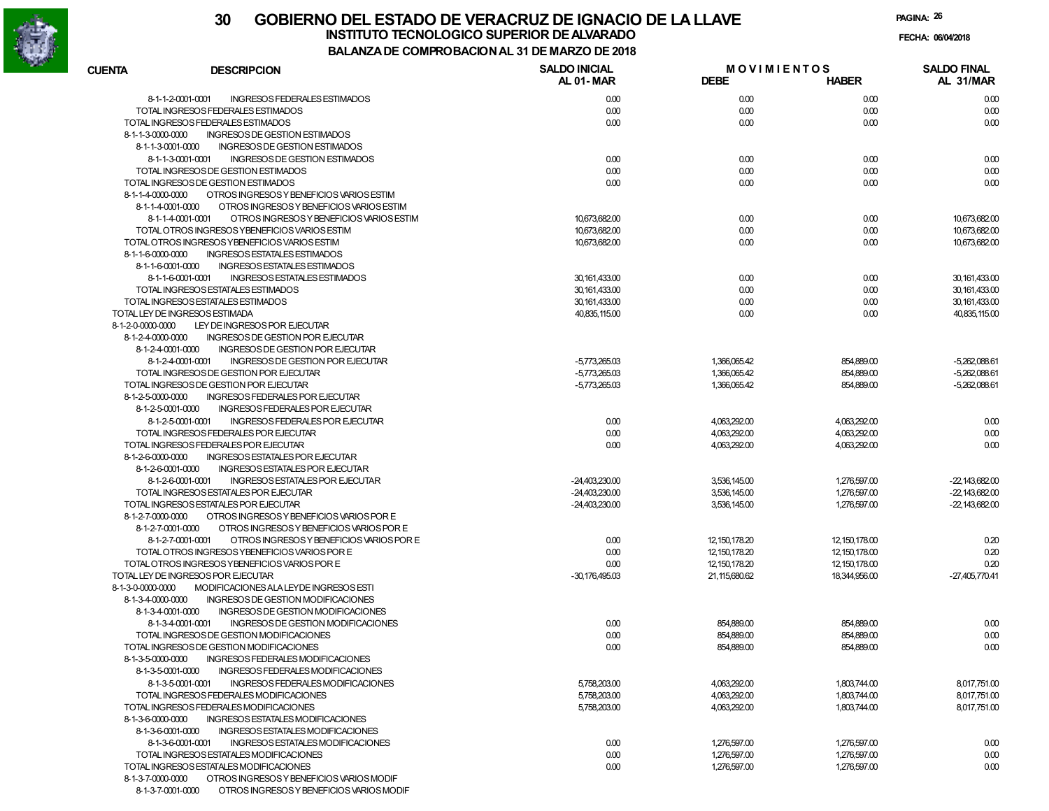

**PAGINA:26**

| <b>CUENTA</b>                      | <b>DESCRIPCION</b>                             | <b>SALDO INICIAL</b> | <b>MOVIMIENTOS</b> |                 | <b>SALDO FINAL</b> |
|------------------------------------|------------------------------------------------|----------------------|--------------------|-----------------|--------------------|
|                                    |                                                | <b>AL 01-MAR</b>     | <b>DEBE</b>        | <b>HABER</b>    | AL 31/MAR          |
| 8-1-1-2-0001-0001                  | <b>INGRESOS FEDERALES ESTIMADOS</b>            | 0.00                 | 0.00               | 0.00            | 0.00               |
|                                    | TOTAL INGRESOS FEDERALES ESTIMADOS             | 0.00                 | 0.00               | 0.00            | 0.00               |
|                                    | TOTAL INGRESOS FEDERALES ESTIMADOS             | 0.00                 | 0.00               | 0.00            | 0.00               |
| 8-1-1-3-0000-0000                  | <b>INGRESOS DE GESTION ESTIMADOS</b>           |                      |                    |                 |                    |
| 8-1-1-3-0001-0000                  | INGRESOS DE GESTION ESTIMADOS                  |                      |                    |                 |                    |
| 8-1-1-3-0001-0001                  | INGRESOS DE GESTION ESTIMADOS                  | 0.00                 | 0.00               | 0.00            | 0.00               |
|                                    | TOTAL INGRESOS DE GESTION ESTIMADOS            | 0.00                 | 0.00               | 0.00            | 0.00               |
|                                    | TOTAL INGRESOS DE GESTION ESTIMADOS            | 0.00                 | 0.00               | 0.00            | 0.00               |
| 8-1-1-4-0000-0000                  | OTROS INGRESOS Y BENEFICIOS VARIOS ESTIM       |                      |                    |                 |                    |
| 8-1-1-4-0001-0000                  | OTROS INGRESOS Y BENEFICIOS VARIOS ESTIM       |                      |                    |                 |                    |
| 8-1-1-4-0001-0001                  | OTROS INGRESOS Y BENEFICIOS VARIOS ESTIM       | 10,673,682.00        | 0.00               | 0.00            | 10,673,682.00      |
|                                    | TOTAL OTROS INGRESOS Y BENEFICIOS VARIOS ESTIM | 10,673,682.00        | 0.00               | 0.00            | 10,673,682.00      |
|                                    | TOTAL OTROS INGRESOS YBENEFICIOS VARIOS ESTIM  | 10,673,682.00        | 0.00               | 0.00            | 10,673,682.00      |
| 8-1-1-6-0000-0000                  | INGRESOS ESTATALES ESTIMADOS                   |                      |                    |                 |                    |
| 8-1-1-6-0001-0000                  | INGRESOS ESTATALES ESTIMADOS                   |                      |                    |                 |                    |
| 8-1-1-6-0001-0001                  | INGRESOS ESTATALES ESTIMADOS                   | 30,161,433.00        | 0.00               | 0.00            | 30,161,433.00      |
|                                    | TOTAL INGRESOS ESTATALES ESTIMADOS             | 30,161,433.00        | 0.00               | 0.00            | 30,161,433.00      |
| TOTAL LEY DE INGRESOS ESTIMADA     | TOTAL INGRESOS ESTATALES ESTIMADOS             | 30,161,433.00        | 0.00               | 0.00<br>0.00    | 30,161,433.00      |
| 8-1-2-0-0000-0000                  | LEY DE INGRESOS POR EJECUTAR                   | 40,835,115.00        | 0.00               |                 | 40,835,115.00      |
| 8-1-2-4-0000-0000                  | INGRESOS DE GESTION POR EJECUTAR               |                      |                    |                 |                    |
| 8-1-2-4-0001-0000                  | INGRESOS DE GESTION POR EJECUTAR               |                      |                    |                 |                    |
| 8-1-2-4-0001-0001                  | INGRESOS DE GESTION POR EJECUTAR               | $-5,773,265.03$      | 1,366,065.42       | 854,889.00      | -5,262,088.61      |
|                                    | TOTAL INGRESOS DE GESTION POR EJECUTAR         | $-5,773,265.03$      | 1,366,065.42       | 854,889.00      | -5,262,088.61      |
|                                    | TOTAL INGRESOS DE GESTION POR EJECUTAR         | $-5,773,265.03$      | 1,366,065.42       | 854,889.00      | -5,262,088.61      |
| 8-1-2-5-0000-0000                  | INGRESOS FEDERALES POR EJECUTAR                |                      |                    |                 |                    |
| 8-1-2-5-0001-0000                  | INGRESOS FEDERALES POR EJECUTAR                |                      |                    |                 |                    |
| 8-1-2-5-0001-0001                  | INGRESOS FEDERALES POR EJECUTAR                | 0.00                 | 4,063,292.00       | 4,063,292.00    | 0.00               |
|                                    | TOTAL INGRESOS FEDERALES POR EJECUTAR          | 0.00                 | 4,063,292.00       | 4,063,292.00    | 0.00               |
|                                    | TOTAL INGRESOS FEDERALES POR EJECUTAR          | 0.00                 | 4,063,292.00       | 4,063,292.00    | 0.00               |
| 8-1-2-6-0000-0000                  | INGRESOS ESTATALES POR EJECUTAR                |                      |                    |                 |                    |
| 8-1-2-6-0001-0000                  | INGRESOS ESTATALES POR EJECUTAR                |                      |                    |                 |                    |
| 8-1-2-6-0001-0001                  | INGRESOS ESTATALES POR EJECUTAR                | $-24,403,230.00$     | 3,536,145.00       | 1,276,597.00    | $-22,143,682.00$   |
|                                    | TOTAL INGRESOS ESTATALES POR EJECUTAR          | $-24,403,230.00$     | 3,536,145.00       | 1,276,597.00    | $-22,143,682.00$   |
|                                    | TOTAL INGRESOS ESTATALES POR EJECUTAR          | $-24,403,230.00$     | 3,536,145.00       | 1,276,597.00    | $-22,143,682.00$   |
| 8-1-2-7-0000-0000                  | OTROS INGRESOS Y BENEFICIOS VARIOS POR E       |                      |                    |                 |                    |
| 8-1-2-7-0001-0000                  | OTROS INGRESOS Y BENEFICIOS VARIOS POR E       |                      |                    |                 |                    |
| 8-1-2-7-0001-0001                  | OTROS INGRESOS Y BENEFICIOS VARIOS POR E       | 0.00                 | 12, 150, 178.20    | 12, 150, 178.00 | 0.20               |
|                                    | TOTAL OTROS INGRESOS YBENEFICIOS VARIOS POR E  | 0.00                 | 12, 150, 178.20    | 12, 150, 178.00 | 0.20               |
|                                    | TOTAL OTROS INGRESOS YBENEFICIOS VARIOS POR E  | 0.00                 | 12, 150, 178.20    | 12, 150, 178.00 | 0.20               |
| TOTAL LEY DE INGRESOS POR EJECUTAR |                                                | $-30,176,495.03$     | 21, 115, 680. 62   | 18,344,956.00   | $-27,405,770.41$   |
| 8-1-3-0-0000-0000                  | MODIFICACIONES ALA LEYDE INGRESOS ESTI         |                      |                    |                 |                    |
| 8-1-3-4-0000-0000                  | INGRESOS DE GESTION MODIFICACIONES             |                      |                    |                 |                    |
| 8-1-3-4-0001-0000                  | INGRESOS DE GESTION MODIFICACIONES             |                      |                    |                 |                    |
| 8-1-3-4-0001-0001                  | INGRESOS DE GESTION MODIFICACIONES             | 0.00                 | 854,889.00         | 854,889.00      | 0.00               |
|                                    | TOTAL INGRESOS DE GESTION MODIFICACIONES       | 0.00                 | 854,889.00         | 854,889.00      | 0.00               |
|                                    | TOTAL INGRESOS DE GESTION MODIFICACIONES       | 0.00                 | 854,889.00         | 854,889.00      | 0.00               |
| 8-1-3-5-0000-0000                  | INGRESOS FEDERALES MODIFICACIONES              |                      |                    |                 |                    |
| 8-1-3-5-0001-0000                  | INGRESOS FEDERALES MODIFICACIONES              |                      |                    |                 |                    |
| 8-1-3-5-0001-0001                  | INGRESOS FEDERALES MODIFICACIONES              | 5,758,203.00         | 4,063,292.00       | 1,803,744.00    | 8,017,751.00       |
|                                    | TOTAL INGRESOS FEDERALES MODIFICACIONES        | 5,758,203.00         | 4,063,292.00       | 1,803,744.00    | 8,017,751.00       |
|                                    | TOTAL INGRESOS FEDERALES MODIFICACIONES        | 5,758,203.00         | 4,063,292.00       | 1,803,744.00    | 8,017,751.00       |
| 8-1-3-6-0000-0000                  | INGRESOS ESTATALES MODIFICACIONES              |                      |                    |                 |                    |
| 8-1-3-6-0001-0000                  | INGRESOS ESTATALES MODIFICACIONES              |                      |                    |                 |                    |
| 8-1-3-6-0001-0001                  | INGRESOS ESTATALES MODIFICACIONES              | 0.00                 | 1,276,597.00       | 1,276,597.00    | 0.00               |
|                                    | TOTAL INGRESOS ESTATALES MODIFICACIONES        | 0.00                 | 1,276,597.00       | 1,276,597.00    | 0.00               |
|                                    | TOTAL INGRESOS ESTATALES MODIFICACIONES        | 0.00                 | 1,276,597.00       | 1,276,597.00    | 0.00               |
| 8-1-3-7-0000-0000                  | OTROS INGRESOS Y BENEFICIOS VARIOS MODIF       |                      |                    |                 |                    |

8-1-3-7-0001-0000 OTROS INGRESOS Y BENEFICIOS VARIOS MODIF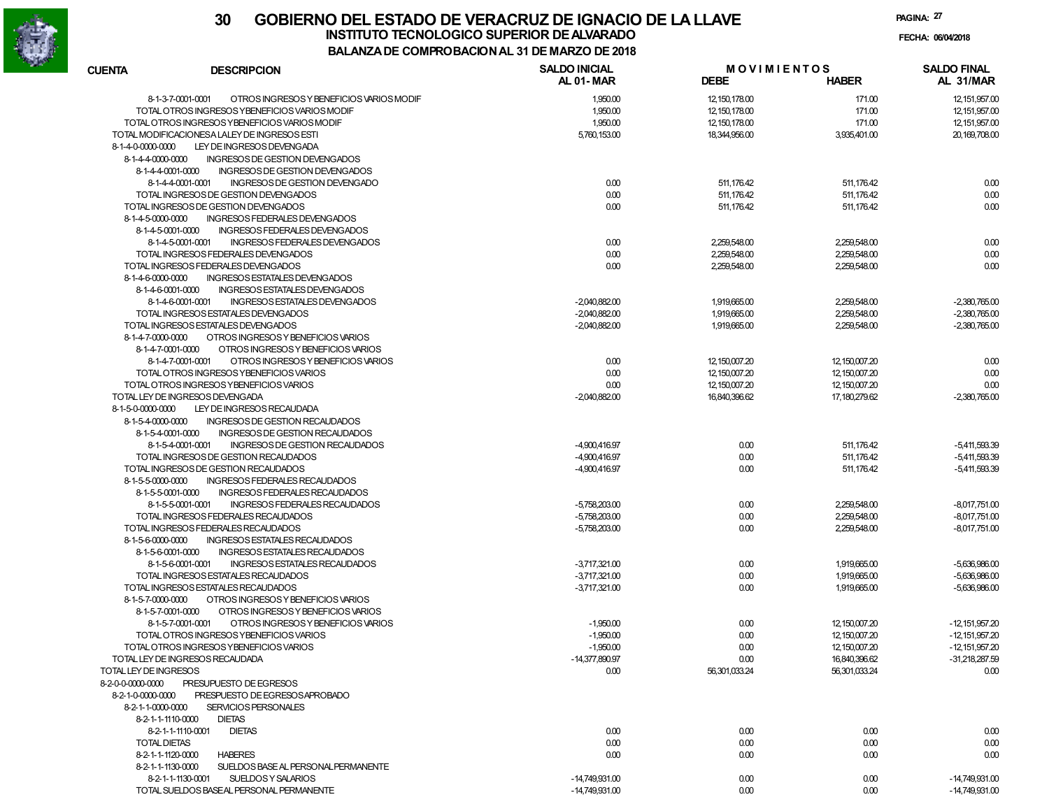

| <b>CUENTA</b>         | <b>DESCRIPCION</b>                                                           | <b>SALDO INICIAL</b><br><b>AL 01-MAR</b> | <b>MOVIMIENTOS</b><br><b>DEBE</b> | <b>HABER</b>             | <b>SALDO FINAL</b><br>AL 31/MAR    |
|-----------------------|------------------------------------------------------------------------------|------------------------------------------|-----------------------------------|--------------------------|------------------------------------|
|                       | 8-1-3-7-0001-0001<br>OTROS INGRESOS Y BENEFICIOS VARIOS MODIF                | 1,950.00                                 | 12, 150, 178.00                   | 171.00                   | 12,151,957.00                      |
|                       | TOTAL OTROS INGRESOS YBENEFICIOS VARIOS MODIF                                | 1,950.00                                 | 12, 150, 178.00                   | 171.00                   | 12, 151, 957.00                    |
|                       | TOTAL OTROS INGRESOS YBENEFICIOS VARIOS MODIF                                | 1,950.00                                 | 12, 150, 178.00                   | 171.00                   | 12.151.957.00                      |
|                       | TOTAL MODIFICACIONESA LALEY DE INGRESOS ESTI                                 | 5,760,153.00                             | 18,344,956.00                     | 3,935,401.00             | 20.169.708.00                      |
| 8-1-4-0-0000-0000     | LEY DE INGRESOS DEVENGADA                                                    |                                          |                                   |                          |                                    |
| 8-1-4-4-0000-0000     | INGRESOS DE GESTION DEVENGADOS                                               |                                          |                                   |                          |                                    |
| 8-1-4-4-0001-0000     | INGRESOS DE GESTION DEVENGADOS                                               |                                          |                                   |                          |                                    |
|                       | INGRESOS DE GESTION DEVENGADO<br>8-1-4-4-0001-0001                           | 0.00                                     | 511,176.42                        | 511,176.42               | 0.00                               |
|                       | TOTAL INGRESOS DE GESTION DEVENGADOS                                         | 0.00                                     | 511,176.42                        | 511,176.42               | 0.00                               |
|                       | TOTAL INGRESOS DE GESTION DEVENGADOS                                         | 0.00                                     | 511,176.42                        | 511,176.42               | 0.00                               |
| 8-1-4-5-0000-0000     | INGRESOS FEDERALES DEVENGADOS                                                |                                          |                                   |                          |                                    |
| 8-1-4-5-0001-0000     | INGRESOS FEDERALES DEVENGADOS                                                |                                          |                                   |                          |                                    |
|                       | 8-1-4-5-0001-0001<br>INGRESOS FEDERALES DEVENGADOS                           | 0.00                                     | 2,259,548.00                      | 2,259,548.00             | 0.00                               |
|                       | TOTAL INGRESOS FEDERALES DEVENGADOS                                          | 0.00                                     | 2,259,548.00                      | 2,259,548.00             | 0.00                               |
|                       | TOTAL INGRESOS FEDERALES DEVENGADOS                                          | 0.00                                     | 2,259,548.00                      | 2,259,548.00             | 0.00                               |
| 8-1-4-6-0000-0000     | INGRESOS ESTATALES DEVENGADOS                                                |                                          |                                   |                          |                                    |
| 8-1-4-6-0001-0000     | INGRESOS ESTATALES DEVENGADOS                                                |                                          |                                   |                          |                                    |
|                       | 8-1-4-6-0001-0001<br>INGRESOS ESTATALES DEVENGADOS                           | $-2,040,882.00$                          | 1,919,665.00                      | 2,259,548.00             | $-2,380,765.00$                    |
|                       | TOTAL INGRESOS ESTATALES DEVENGADOS                                          | $-2,040,882.00$                          | 1,919,665.00                      | 2,259,548.00             | $-2.380.765.00$                    |
|                       | TOTAL INGRESOS ESTATALES DEVENGADOS                                          | $-2,040,882.00$                          | 1,919,665.00                      | 2,259,548.00             | $-2,380,765.00$                    |
| 8-1-4-7-0000-0000     | OTROS INGRESOS Y BENEFICIOS VARIOS                                           |                                          |                                   |                          |                                    |
| 8-1-4-7-0001-0000     | OTROS INGRESOS Y BENEFICIOS VARIOS                                           |                                          |                                   |                          |                                    |
|                       | 8-1-4-7-0001-0001<br>OTROS INGRESOS Y BENEFICIOS VARIOS                      | 0.00                                     | 12,150,007.20                     | 12,150,007.20            | 0.00                               |
|                       | TOTAL OTROS INGRESOS YBENEFICIOS VARIOS                                      | 0.00                                     | 12,150,007.20                     | 12,150,007.20            | 0.00                               |
|                       | TOTAL OTROS INGRESOS YBENEFICIOS VARIOS                                      | 0.00                                     | 12,150,007.20                     | 12,150,007.20            | 0.00                               |
|                       | TOTAL LEY DE INGRESOS DEVENGADA                                              | $-2,040,882.00$                          | 16,840,396.62                     | 17, 180, 279.62          | $-2,380,765.00$                    |
| 8-1-5-0-0000-0000     | LEY DE INGRESOS RECAUDADA                                                    |                                          |                                   |                          |                                    |
| 8-1-5-4-0000-0000     | INGRESOS DE GESTION RECAUDADOS                                               |                                          |                                   |                          |                                    |
| 8-1-5-4-0001-0000     | INGRESOS DE GESTION RECAUDADOS                                               |                                          |                                   |                          |                                    |
|                       | INGRESOS DE GESTION RECAUDADOS<br>8-1-5-4-0001-0001                          | -4,900,416.97                            | 0.00                              | 511,176.42               | $-5,411,593.39$                    |
|                       | TOTAL INGRESOS DE GESTION RECAUDADOS<br>TOTAL INGRESOS DE GESTION RECAUDADOS | -4,900,416.97<br>-4,900,416.97           | 0.00<br>0.00                      | 511,176.42<br>511,176.42 | $-5,411,593.39$<br>$-5,411,593.39$ |
| 8-1-5-5-0000-0000     | INGRESOS FEDERALES RECAUDADOS                                                |                                          |                                   |                          |                                    |
| 8-1-5-5-0001-0000     | INGRESOS FEDERALES RECAUDADOS                                                |                                          |                                   |                          |                                    |
|                       | 8-1-5-5-0001-0001<br>INGRESOS FEDERALES RECAUDADOS                           | $-5,758,203.00$                          | 0.00                              | 2,259,548.00             | $-8,017,751.00$                    |
|                       | TOTAL INGRESOS FEDERALES RECAUDADOS                                          | $-5,758,203.00$                          | 0.00                              | 2,259,548.00             | $-8,017,751.00$                    |
|                       | TOTAL INGRESOS FEDERALES RECAUDADOS                                          | $-5,758,203.00$                          | 0.00                              | 2,259,548.00             | $-8,017,751.00$                    |
| 8-1-5-6-0000-0000     | INGRESOS ESTATALES RECAUDADOS                                                |                                          |                                   |                          |                                    |
| 8-1-5-6-0001-0000     | INGRESOS ESTATALES RECAUDADOS                                                |                                          |                                   |                          |                                    |
|                       | INGRESOS ESTATALES RECAUDADOS<br>8-1-5-6-0001-0001                           | $-3,717,321.00$                          | 0.00                              | 1,919,665.00             | $-5,636,986.00$                    |
|                       | TOTAL INGRESOS ESTATALES RECAUDADOS                                          | $-3,717,321.00$                          | 0.00                              | 1,919,665.00             | -5.636.986.00                      |
|                       | TOTAL INGRESOS ESTATALES RECAUDADOS                                          | $-3,717,321.00$                          | 0.00                              | 1,919,665.00             | -5,636,986.00                      |
| 8-1-5-7-0000-0000     | OTROS INGRESOS Y BENEFICIOS VARIOS                                           |                                          |                                   |                          |                                    |
| 8-1-5-7-0001-0000     | OTROS INGRESOS Y BENEFICIOS VARIOS                                           |                                          |                                   |                          |                                    |
|                       | OTROS INGRESOS Y BENEFICIOS VARIOS<br>8-1-5-7-0001-0001                      | $-1,950.00$                              | 0.00                              | 12, 150, 007. 20         | $-12,151,957.20$                   |
|                       | TOTAL OTROS INGRESOS YBENEFICIOS VARIOS                                      | $-1,950.00$                              | 0.00                              | 12,150,007.20            | $-12,151,957.20$                   |
|                       | TOTAL OTROS INGRESOS YBENEFICIOS VARIOS                                      | $-1,950.00$                              | 0.00                              | 12, 150, 007. 20         | 12,151,957.20                      |
|                       | TOTAL LEY DE INGRESOS RECAUDADA                                              | $-14,377,890.97$                         | 0.00                              | 16,840,396.62            | -31,218,287.59                     |
| TOTAL LEY DE INGRESOS |                                                                              | 0.00                                     | 56,301,033.24                     | 56,301,033.24            | 0.00                               |
| 8-2-0-0-0000-0000     | PRESUPUESTO DE EGRESOS                                                       |                                          |                                   |                          |                                    |
| 8-2-1-0-0000-0000     | PRESPUESTO DE EGRESOS APROBADO                                               |                                          |                                   |                          |                                    |
| 8-2-1-1-0000-0000     | SERVICIOS PERSONALES                                                         |                                          |                                   |                          |                                    |
| 8-2-1-1-1110-0000     | <b>DIETAS</b>                                                                |                                          |                                   |                          |                                    |
|                       | 8-2-1-1-1110-0001<br><b>DIETAS</b>                                           | 0.00                                     | 0.00                              | 0.00                     | 0.00                               |
| <b>TOTAL DIETAS</b>   |                                                                              | 0.00                                     | 0.00                              | 0.00                     | 0.00                               |
| 8-2-1-1-1120-0000     | <b>HABERES</b>                                                               | 0.00                                     | 0.00                              | 0.00                     | 0.00                               |
| 8-2-1-1-1130-0000     | SUELDOS BASE AL PERSONAL PERMANENTE                                          |                                          |                                   |                          |                                    |
|                       | SUELDOS Y SALARIOS<br>8-2-1-1-1130-0001                                      | $-14,749,931.00$                         | 0.00                              | 0.00                     | -14,749,931.00                     |
|                       | TOTAL SUELDOS BASEAL PERSONAL PERMANENTE                                     | $-14,749,931.00$                         | 0.00                              | 0.00                     | -14,749,931.00                     |
|                       |                                                                              |                                          |                                   |                          |                                    |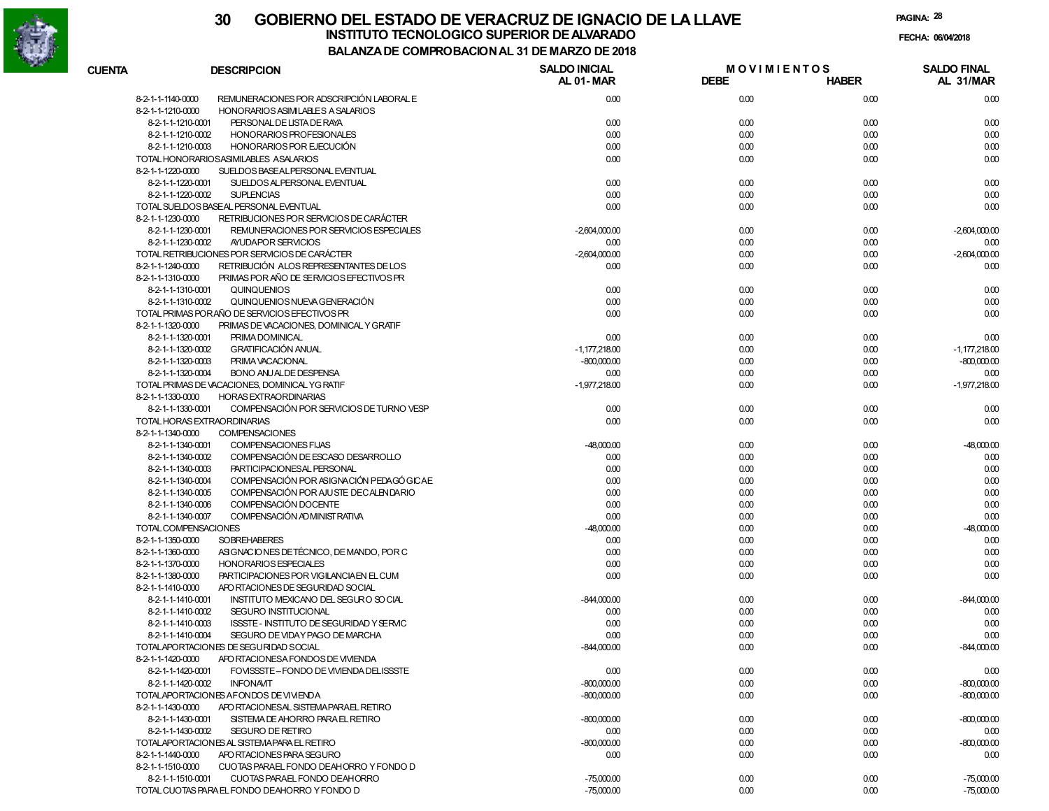

|                      |                                                | 00M KODAON RAL 31 DL MARCO        |                                   |              |                                 |
|----------------------|------------------------------------------------|-----------------------------------|-----------------------------------|--------------|---------------------------------|
| <b>CUENTA</b>        | <b>DESCRIPCION</b>                             | <b>SALDO INICIAL</b><br>AL 01-MAR | <b>MOVIMIENTOS</b><br><b>DEBE</b> | <b>HABER</b> | <b>SALDO FINAL</b><br>AL 31/MAR |
| 8-2-1-1-1140-0000    | REMUNERACIONES POR ADSCRIPCIÓN LABORAL E       | 0.00                              | 0.00                              | 0.00         | 0.00                            |
| 8-2-1-1-1210-0000    | HONORARIOS ASIMILABLES A SALARIOS              |                                   |                                   |              |                                 |
| 8-2-1-1-1210-0001    | PERSONAL DE LISTA DE RAYA                      | 0.00                              | 0.00                              | 0.00         | 0.00                            |
| 8-2-1-1-1210-0002    | HONORARIOS PROFESIONALES                       | 0.00                              | 0.00                              | 0.00         | 0.00                            |
| 8-2-1-1-1210-0003    | HONORARIOS POR EJECUCIÓN                       | 0.00                              | 0.00                              | 0.00         | 0.00                            |
|                      | TOTAL HONORARIOSASIMILABLES ASALARIOS          | 0.00                              | 0.00                              | 0.00         | 0.00                            |
| 8-2-1-1-1220-0000    | SUELDOS BASEALPERSONAL EVENTUAL                |                                   |                                   |              |                                 |
| 8-2-1-1-1220-0001    | SUELDOS ALPERSONAL EVENTUAL                    | 0.00                              | 0.00                              | 0.00         | 0.00                            |
| 8-2-1-1-1220-0002    | <b>SUPLENCIAS</b>                              | 0.00                              | 0.00                              | 0.00         | 0.00                            |
|                      | TOTAL SUELDOS BASEAL PERSONAL EVENTUAL         | 0.00                              | 0.00                              | 0.00         | 0.00                            |
| 8-2-1-1-1230-0000    | RETRIBUCIONES POR SERVICIOS DE CARÁCTER        |                                   |                                   |              |                                 |
| 8-2-1-1-1230-0001    | REMUNERACIONES POR SERVICIOS ESPECIALES        | $-2,604,000.00$                   | 0.00                              | 0.00         | $-2,604,000.00$                 |
| 8-2-1-1-1230-0002    | AYUDAPOR SERVICIOS                             | 0.00                              | 0.00                              | 0.00         | 0.00                            |
|                      | TOTAL RETRIBUCIONES POR SERVICIOS DE CARÁCTER  | $-2,604,000.00$                   | 0.00                              | 0.00         | $-2,604,000.00$                 |
| 8-2-1-1-1240-0000    | RETRIBUCIÓN ALOS REPRESENTANTES DE LOS         | 0.00                              | 0.00                              | 0.00         | 0.00                            |
| 8-2-1-1-1310-0000    | PRIMAS POR AÑO DE SERVICIOS EFECTIVOS PR       |                                   |                                   |              |                                 |
| 8-2-1-1-1310-0001    | <b>QUINQUENIOS</b>                             | 0.00                              | 0.00                              | 0.00         | 0.00                            |
| 8-2-1-1-1310-0002    | QUINQUENIOS NUEVA GENERACIÓN                   | 0.00                              | 0.00                              | 0.00         | 0.00                            |
|                      | TOTAL PRIMAS PORAÑO DE SERVICIOS EFECTIVOS PR  | 0.00                              | 0.00                              | 0.00         | 0.00                            |
| 8-2-1-1-1320-0000    | PRIMAS DE VACACIONES, DOMINICAL Y GRATIF       |                                   |                                   |              |                                 |
| 8-2-1-1-1320-0001    | PRIMA DOMINICAL                                | 0.00                              | 0.00                              | 0.00         | 0.00                            |
| 8-2-1-1-1320-0002    | <b>GRATIFICACIÓN ANUAL</b>                     | $-1.177.218.00$                   | 0.00                              | 0.00         | $-1,177,218.00$                 |
| 8-2-1-1-1320-0003    | PRIMA VACACIONAL                               | $-800,000.00$                     | 0.00                              | 0.00         | $-800,000.00$                   |
| 8-2-1-1-1320-0004    | <b>BONO ANUALDE DESPENSA</b>                   | 0.00                              | 0.00                              | 0.00         | 0.00                            |
|                      | TOTAL PRIMAS DE VACACIONES, DOMINICAL YG RATIF | $-1.977.218.00$                   | 0.00                              | 0.00         | $-1,977,218.00$                 |
| 8-2-1-1-1330-0000    | <b>HORAS EXTRAORDINARIAS</b>                   |                                   |                                   |              |                                 |
| 8-2-1-1-1330-0001    | COMPENSACIÓN POR SERVICIOS DE TURNO VESP       | 0.00                              | 0.00                              | 0.00         | 0.00                            |
|                      | TOTAL HORAS EXTRAORDINARIAS                    | 0.00                              | 0.00                              | 0.00         | 0.00                            |
| 8-2-1-1-1340-0000    | <b>COMPENSACIONES</b>                          |                                   |                                   |              |                                 |
| 8-2-1-1-1340-0001    | COMPENSACIONES FIJAS                           | $-48,000.00$                      | 0.00                              | 0.00         | $-48,000.00$                    |
| 8-2-1-1-1340-0002    | COMPENSACIÓN DE ESCASO DESARROLLO              | 0.00                              | 0.00                              | 0.00         | 0.00                            |
| 8-2-1-1-1340-0003    | PARTICIPACIONESAL PERSONAL                     | 0.00                              | 0.00                              | 0.00         | 0.00                            |
| 8-2-1-1-1340-0004    | COMPENSACIÓN POR ASIGNACIÓN PEDAGÓ GICAE       | 0.00                              | 0.00                              | 0.00         | 0.00                            |
| 8-2-1-1-1340-0005    | COMPENSACIÓN POR AJUSTE DECALENDARIO           | 0.00                              | 0.00                              | 0.00         | 0.00                            |
| 8-2-1-1-1340-0006    | COMPENSACIÓN DOCENTE                           | 0.00                              | 0.00                              | 0.00         | 0.00                            |
| 8-2-1-1-1340-0007    | COMPENSACIÓN AD MINIST RATIVA                  | 0.00                              | 0.00                              | 0.00         | 0.00                            |
| TOTAL COMPENSACIONES |                                                | $-48,000.00$                      | 0.00                              | 0.00         | $-48,000.00$                    |
| 8-2-1-1-1350-0000    | <b>SOBREHABERES</b>                            | 0.00                              | 0.00                              | 0.00         | 0.00                            |
| 8-2-1-1-1360-0000    | ASIGNACIONES DE TÉCNICO, DE MANDO, POR C       | 0.00                              | 0.00                              | 0.00         | 0.00                            |
| 8-2-1-1-1370-0000    | <b>HONORARIOS ESPECIALES</b>                   | 0.00                              | 0.00                              | 0.00         | 0.00                            |
| 8-2-1-1-1380-0000    | PARTICIPACIONES POR VIGILANCIA EN EL CUM       | 0.00                              | 0.00                              | 0.00         | 0.00                            |
| 8-2-1-1-1410-0000    | APO RTACIONES DE SEGURIDAD SOCIAL              |                                   |                                   |              |                                 |
| 8-2-1-1-1410-0001    | INSTITUTO MEXICANO DEL SEGURO SO CIAL          | $-844,000.00$                     | 0.00                              | 0.00         | $-844,000.00$                   |
| 8-2-1-1-1410-0002    | SEGURO INSTITUCIONAL                           | 0.00                              | 0.00                              | 0.00         | 0.00                            |
| 8-2-1-1-1410-0003    | ISSSTE - INSTITUTO DE SEGURIDAD Y SERVIC       | 0.00                              | 0.00                              | 0.00         | 0.00                            |
| 8-2-1-1-1410-0004    | SEGURO DE VIDAY PAGO DE MARCHA                 | 0.00                              | 0.00                              | 0.00         | 0.00                            |
|                      | TOTALAPORTACIONES DE SEGURIDAD SOCIAL          | $-844,000.00$                     | 0.00                              | 0.00         | $-844,000.00$                   |
| 8-2-1-1-1420-0000    | APO RTACIONESA FONDOS DE VIVIENDA              |                                   |                                   |              |                                 |
| 8-2-1-1-1420-0001    | FOVISSSTE-FONDO DE VIVIENDA DELISSSTE          | 0.00                              | 0.00                              | 0.00         | 0.00                            |
| 8-2-1-1-1420-0002    | <b>INFONAVIT</b>                               | $-800,000.00$                     | 0.00                              | 0.00         | $-800,000.00$                   |
|                      | TOTALAPORTACIONES AFONDOS DE VIVIENDA          | $-800,000.00$                     | 0.00                              | 0.00         | $-800,000.00$                   |
| 8-2-1-1-1430-0000    | APO RTACIONESAL SISTEMA PARAEL RETIRO          |                                   |                                   |              |                                 |
| 8-2-1-1-1430-0001    | SISTEMA DE AHORRO PARA EL RETIRO               | $-800.000.00$                     | 0.00                              | 0.00         | $-800.000.00$                   |
| 8-2-1-1-1430-0002    | SEGURO DE RETIRO                               | 0.00                              | 0.00                              | 0.00         | 0.00                            |
|                      | TOTALAPORTACIONES AL SISTEMA PARA EL RETIRO    | $-800,000.00$                     | 0.00                              | 0.00         | $-800,000.00$                   |
| 8-2-1-1-1440-0000    | APO RTACIONES PARA SEGURO                      | 0.00                              | 0.00                              | 0.00         | 0.00                            |
| 8-2-1-1-1510-0000    | CUOTAS PARAEL FONDO DEAHORRO Y FONDO D         |                                   |                                   |              |                                 |
| 8-2-1-1-1510-0001    | CUOTAS PARAEL FONDO DEAHORRO                   | $-75,000,00$                      |                                   |              |                                 |
|                      | TOTAL CUOTAS PARA EL FONDO DEAHORRO Y FONDO D  |                                   | 0.00                              | 0.00         | $-75,000.00$                    |
|                      |                                                | $-75,000.00$                      | 0.00                              | 0.00         | $-75,000.00$                    |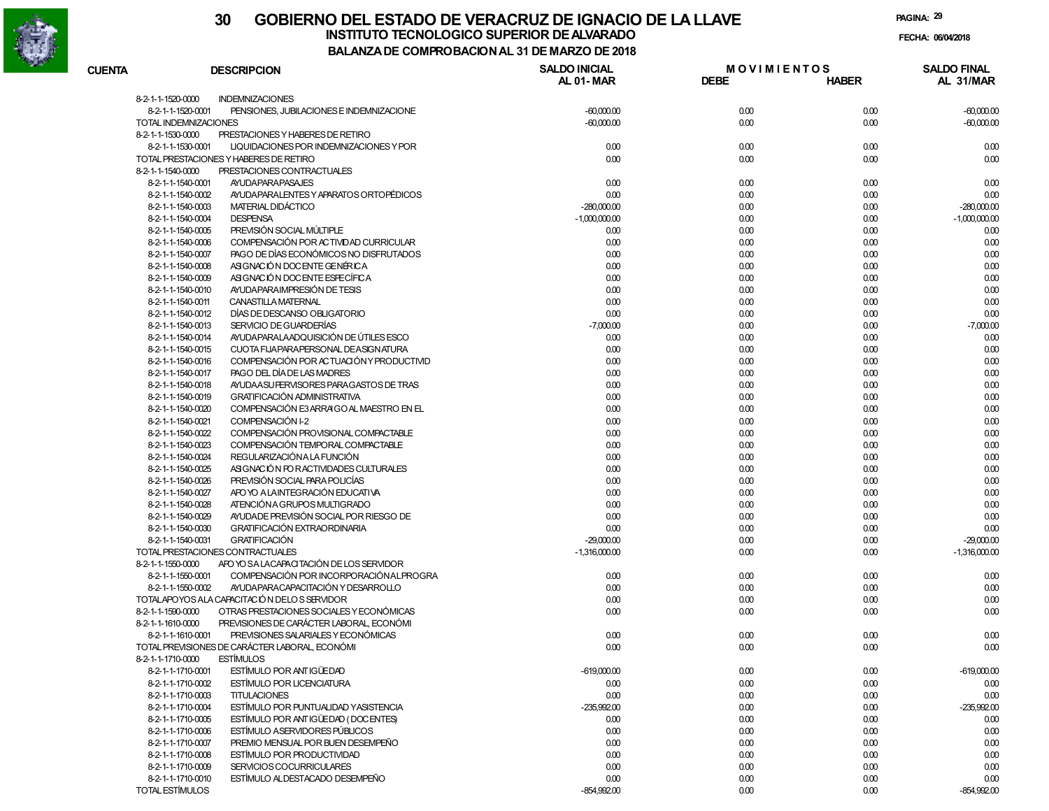

### **30 GOBIERNO DEL ESTADO DE VERACRUZ DE IGNACIO DE LA LLAVEFECHA: 06/04/2018 INSTITUTO TECNOLOGICO SUPERIOR DE ALVARADO**

| <b>CUENTA</b>         | <b>DESCRIPCION</b>                                                                  | <b>SALDO INICIAL</b><br><b>AL 01-MAR</b> | <b>MOVIMIENTOS</b><br><b>DEBE</b> | <b>HABER</b> | <b>SALDO FINAL</b><br>AL 31/MAR |
|-----------------------|-------------------------------------------------------------------------------------|------------------------------------------|-----------------------------------|--------------|---------------------------------|
|                       |                                                                                     |                                          |                                   |              |                                 |
| 8-2-1-1-1520-0000     | <b>INDEMNIZACIONES</b>                                                              |                                          |                                   |              |                                 |
| 8-2-1-1-1520-0001     | PENSIONES, JUBILACIONES E INDEMNIZACIONE                                            | $-60,000.00$                             | 0.00                              | 0.00         | $-60,000.00$                    |
| TOTAL INDEMNIZACIONES |                                                                                     | $-60,000.00$                             | 0.00                              | 0.00         | $-60,000.00$                    |
| 8-2-1-1-1530-0000     | PRESTACIONES Y HABERES DE RETIRO                                                    |                                          |                                   |              |                                 |
| 8-2-1-1-1530-0001     | LIQUIDACIONES POR INDEMNIZACIONES Y POR                                             | 0.00                                     | 0.00                              | 0.00         | 0.00                            |
|                       | TOTAL PRESTACIONES Y HABERES DE RETIRO                                              | 0.00                                     | 0.00                              | 0.00         | 0.00                            |
| 8-2-1-1-1540-0000     | PRESTACIONES CONTRACTUALES                                                          |                                          |                                   |              |                                 |
| 8-2-1-1-1540-0001     | <b>AYUDAPARAPASAJES</b>                                                             | 0.00                                     | 0.00                              | 0.00         | 0.00                            |
| 8-2-1-1-1540-0002     | AYUDA PARALENTES Y APARATOS ORTOPÉDICOS                                             | 0.00                                     | 0.00                              | 0.00         | 0.00                            |
| 8-2-1-1-1540-0003     | MATERIAL DIDÁCTICO                                                                  | $-280,000.00$                            | 0.00                              | 0.00         | $-280,000.00$                   |
| 8-2-1-1-1540-0004     | <b>DESPENSA</b>                                                                     | $-1,000,000.00$                          | 0.00                              | 0.00         | $-1,000,000.00$                 |
| 8-2-1-1-1540-0005     | PREVISIÓN SOCIAL MÚLTIPLE                                                           | 0.00                                     | 0.00                              | 0.00         | 0.00                            |
| 8-2-1-1-1540-0006     | COMPENSACIÓN POR ACTIVIDAD CURRICULAR                                               | 0.00                                     | 0.00                              | 0.00         | 0.00                            |
| 8-2-1-1-1540-0007     | PAGO DE DÍAS ECONÓMICOS NO DISFRUTADOS                                              | 0.00                                     | 0.00                              | 0.00         | 0.00                            |
| 8-2-1-1-1540-0008     | ASIGNACIÓN DOCENTE GENÉRICA                                                         | 0.00                                     | 0.00                              | 0.00         | 0.00                            |
| 8-2-1-1-1540-0009     | ASIGNACIÓN DOCENTE ESFECÍFICA                                                       | 0.00                                     | 0.00                              | 0.00         | 0.00                            |
| 8-2-1-1-1540-0010     | AYUDA PARA IMPRESIÓN DE TESIS                                                       | 0.00                                     | 0.00                              | 0.00         | 0.00                            |
| 8-2-1-1-1540-0011     | CANASTILLA MATERNAL                                                                 | 0.00                                     | 0.00                              | 0.00         | 0.00                            |
| 8-2-1-1-1540-0012     | DÍAS DE DESCANSO OBLIGATORIO                                                        | 0.00                                     | 0.00                              | 0.00         | 0.00                            |
| 8-2-1-1-1540-0013     | SERVICIO DE GUARDERÍAS                                                              | $-7,000.00$                              | 0.00                              | 0.00         | $-7,000.00$                     |
| 8-2-1-1-1540-0014     | AYUDA PARALA ADQUISICIÓN DE ÚTILES ESCO                                             | 0.00                                     | 0.00                              | 0.00         | 0.00                            |
| 8-2-1-1-1540-0015     | CUOTA FIJAPARAPERSONAL DEASIGNATURA                                                 | 0.00                                     | 0.00                              | 0.00         | 0.00                            |
| 8-2-1-1-1540-0016     | COMPENSACIÓN POR ACTUACIÓN Y PRODUCTIVID                                            | 0.00                                     | 0.00                              | 0.00         | 0.00                            |
| 8-2-1-1-1540-0017     | PAGO DEL DÍA DE LAS MADRES                                                          | 0.00                                     | 0.00                              | 0.00         | 0.00                            |
| 8-2-1-1-1540-0018     | AYUDA A SU FERVISORES PARA GASTOS DE TRAS                                           | 0.00                                     | 0.00                              | 0.00         | 0.00                            |
| 8-2-1-1-1540-0019     | <b>GRATIFICACIÓN ADMINISTRATIVA</b>                                                 | 0.00                                     | 0.00                              | 0.00         | 0.00                            |
| 8-2-1-1-1540-0020     | COMPENSACIÓN E3 ARRAIGO AL MAESTRO EN EL                                            | 0.00                                     | 0.00                              | 0.00         | 0.00                            |
| 8-2-1-1-1540-0021     | COMPENSACIÓN I-2                                                                    | 0.00                                     | 0.00                              | 0.00         | 0.00                            |
| 8-2-1-1-1540-0022     | COMPENSACIÓN PROVISIONAL COMPACTABLE                                                | 0.00                                     | 0.00                              | 0.00         | 0.00                            |
| 8-2-1-1-1540-0023     | COMPENSACIÓN TEMPORAL COMPACTABLE                                                   | 0.00                                     | 0.00                              | 0.00         | 0.00                            |
| 8-2-1-1-1540-0024     | REGULARIZACIÓN A LA FUNCIÓN                                                         | 0.00                                     | 0.00                              | 0.00         | 0.00                            |
| 8-2-1-1-1540-0025     | ASIGNACIÓN FOR ACTIVIDADES CULTURALES                                               | 0.00                                     | 0.00                              | 0.00         | 0.00                            |
| 8-2-1-1-1540-0026     | PREVISIÓN SOCIAL PARA POLICÍAS                                                      | 0.00                                     | 0.00                              | 0.00         | 0.00                            |
| 8-2-1-1-1540-0027     | APO YO A LAINTEGRACIÓN EDUCATIVA                                                    | 0.00                                     | 0.00                              | 0.00         | 0.00                            |
| 8-2-1-1-1540-0028     | ATENCIÓN A GRUPOS MULTIGRADO                                                        | 0.00                                     | 0.00                              | 0.00         | 0.00                            |
| 8-2-1-1-1540-0029     | AYUDADE PREVISIÓN SOCIAL POR RIESGO DE                                              | 0.00                                     | 0.00                              | 0.00         | 0.00                            |
| 8-2-1-1-1540-0030     | <b>GRATIFICACIÓN EXTRAORDINARIA</b>                                                 | 0.00                                     | 0.00                              | 0.00         | 0.00                            |
| 8-2-1-1-1540-0031     | <b>GRATIFICACIÓN</b>                                                                | $-29,000.00$                             | 0.00                              | 0.00         | $-29,000.00$                    |
|                       | TOTAL PRESTACIONES CONTRACTUALES                                                    | $-1,316,000.00$                          | 0.00                              | 0.00         | $-1,316,000.00$                 |
| 8-2-1-1-1550-0000     | APO YO SA LACAPACITACIÓN DE LOS SERVIDOR                                            |                                          |                                   |              |                                 |
| 8-2-1-1-1550-0001     | COMPENSACIÓN POR INCORPORACIÓN ALPROGRA                                             | 0.00                                     | 0.00                              | 0.00         | 0.00                            |
| 8-2-1-1-1550-0002     | AYUDA PARA CAPACITACIÓN Y DESARROLLO<br>TOTALAPOYOS ALA CAPACITACIÓN DELOS SERVIDOR | 0.00<br>0.00                             | 0.00<br>0.00                      | 0.00         | 0.00                            |
| 8-2-1-1-1590-0000     | OTRAS PRESTACIONES SOCIALES Y ECONÓMICAS                                            | 0.00                                     | 0.00                              | 0.00<br>0.00 | 0.00                            |
| 8-2-1-1-1610-0000     | PREVISIONES DE CARÁCTER LABORAL, ECONÓMI                                            |                                          |                                   |              | 0.00                            |
| 8-2-1-1-1610-0001     | PREVISIONES SALARIALES Y ECONÓMICAS                                                 | 0.00                                     | 0.00                              | 0.00         | 0.00                            |
|                       | TOTAL PREVISIONES DE CARÁCTER LABORAL, ECONÓMI                                      | 0.00                                     | 0.00                              | 0.00         | 0.00                            |
| 8-2-1-1-1710-0000     | <b>ESTÍMULOS</b>                                                                    |                                          |                                   |              |                                 |
| 8-2-1-1-1710-0001     | ESTÍMULO POR ANTIGÜEDAD                                                             | $-619,000.00$                            | 0.00                              | 0.00         | $-619,000.00$                   |
| 8-2-1-1-1710-0002     | ESTÍMULO POR LICENCIATURA                                                           | 0.00                                     | 0.00                              | 0.00         | 0.00                            |
| 8-2-1-1-1710-0003     | <b>TITULACIONES</b>                                                                 | 0.00                                     | 0.00                              | 0.00         | 0.00                            |
| 8-2-1-1-1710-0004     | ESTÍMULO POR PUNTUALIDAD Y ASISTENCIA                                               | $-235,992.00$                            | 0.00                              | 0.00         | $-235,992.00$                   |
| 8-2-1-1-1710-0005     | ESTÍMULO POR ANTIGÜEDAD (DOCENTES)                                                  | 0.00                                     | 0.00                              | 0.00         | 0.00                            |
| 8-2-1-1-1710-0006     | <b>ESTÍMULO ASERVIDORES PÚBLICOS</b>                                                | 0.00                                     | 0.00                              | 0.00         | 0.00                            |
| 8-2-1-1-1710-0007     | PREMIO MENSUAL POR BUEN DESEMPEÑO                                                   | 0.00                                     | 0.00                              | 0.00         | 0.00                            |
| 8-2-1-1-1710-0008     | ESTÍMULO POR PRODUCTIVIDAD                                                          | 0.00                                     | 0.00                              | 0.00         | 0.00                            |
| 8-2-1-1-1710-0009     | SERVICIOS COCURRICULARES                                                            | 0.00                                     | 0.00                              | 0.00         | 0.00                            |
| 8-2-1-1-1710-0010     | ESTÍMULO ALDESTACADO DESEMPEÑO                                                      | 0.00                                     | 0.00                              | 0.00         | 0.00                            |
| TOTAL ESTÍMULOS       |                                                                                     | $-854,992.00$                            | 0.00                              | 0.00         | $-854,992.00$                   |
|                       |                                                                                     |                                          |                                   |              |                                 |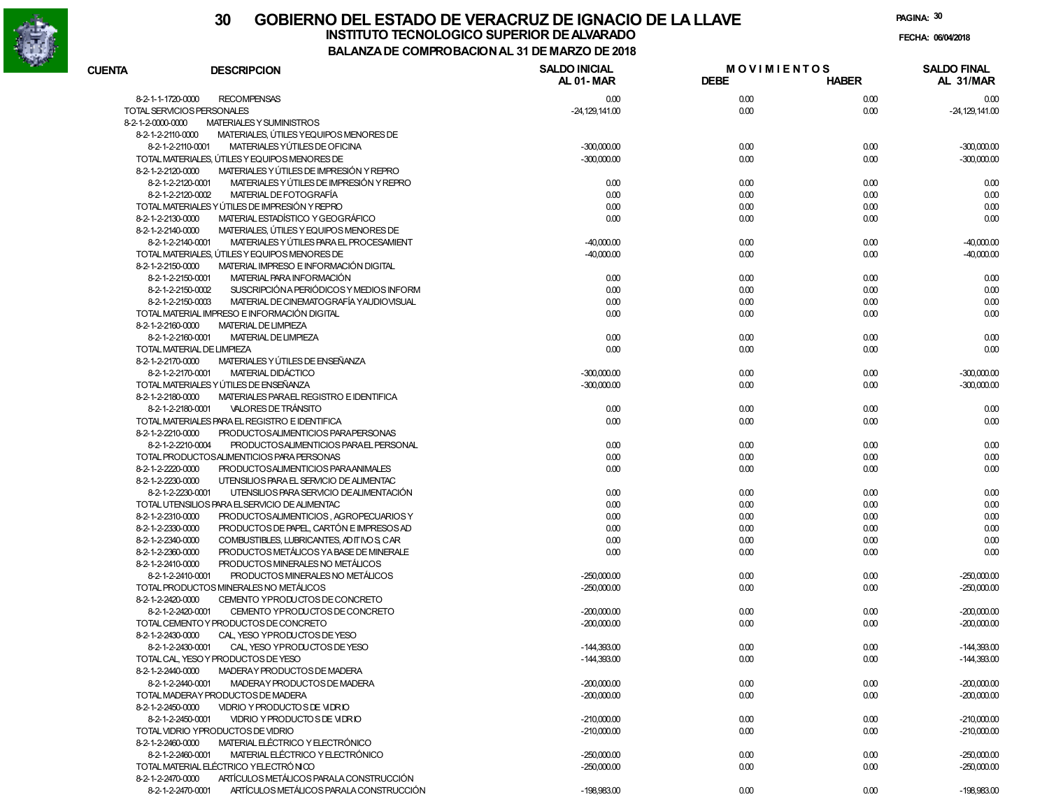

**PAGINA:30**

**FECHA:**

| <b>CUENTA</b>              | <b>DESCRIPCION</b>                             | <b>SALDO INICIAL</b> | <b>MOVIMIENTOS</b><br><b>DEBE</b> |              | <b>SALDO FINAL</b> |
|----------------------------|------------------------------------------------|----------------------|-----------------------------------|--------------|--------------------|
|                            |                                                | AL 01-MAR            |                                   | <b>HABER</b> | AL 31/MAR          |
| 8-2-1-1-1720-0000          | <b>RECOMPENSAS</b>                             | 0.00                 | 0.00                              | 0.00         | 0.00               |
| TOTAL SERVICIOS PERSONALES |                                                | $-24,129,141.00$     | 0.00                              | 0.00         | $-24,129,141.00$   |
| 8-2-1-2-0000-0000          | MATERIALES Y SUMINISTROS                       |                      |                                   |              |                    |
| 8-2-1-2-2110-0000          | MATERIALES, ÚTILES Y EQUIPOS MENORES DE        |                      |                                   |              |                    |
| 8-2-1-2-2110-0001          | MATERIALES YÚTILES DE OFICINA                  | $-300,000.00$        | 0.00                              | 0.00         | $-300,000,00$      |
|                            | TOTAL MATERIALES, ÚTILES Y EQUIPOS MENORES DE  | $-300,000.00$        | 0.00                              | 0.00         | $-300,000.00$      |
| 8-2-1-2-2120-0000          | MATERIALES Y ÚTILES DE IMPRESIÓN Y REPRO       |                      |                                   |              |                    |
| 8-2-1-2-2120-0001          | MATERIALES Y ÚTILES DE IMPRESIÓN Y REPRO       | 0.00                 | 0.00                              | 0.00         | 0.00               |
| 8-2-1-2-2120-0002          | MATERIAL DE FOTOGRAFÍA                         | 0.00                 | 0.00                              | 0.00         | 0.00               |
|                            | TOTAL MATERIALES Y ÚTILES DE IMPRESIÓN Y REPRO | 0.00                 | 0.00                              | 0.00         | 0.00               |
| 8-2-1-2-2130-0000          | MATERIAL ESTADÍSTICO Y GEOGRÁFICO              | 0.00                 | 0.00                              | 0.00         | 0.00               |
| 8-2-1-2-2140-0000          | MATERIALES, ÚTILES Y EQUIPOS MENORES DE        |                      |                                   |              |                    |
| 8-2-1-2-2140-0001          | MATERIALES Y ÚTILES PARA EL PROCESAMIENT       | $-40,000.00$         | 0.00                              | 0.00         | $-40,000.00$       |
|                            | TOTAL MATERIALES, ÚTILES Y EQUIPOS MENORES DE  | $-40,000.00$         | 0.00                              | 0.00         | $-40,000.00$       |
| 8-2-1-2-2150-0000          | MATERIAL IMPRESO E INFORMACIÓN DIGITAL         |                      |                                   |              |                    |
| 8-2-1-2-2150-0001          | MATERIAL PARA INFORMACIÓN                      | 0.00                 | 0.00                              | 0.00         | 0.00               |
| 8-2-1-2-2150-0002          | SUSCRIPCIÓN A PERIÓDICOS Y MEDIOS INFORM       | 0.00                 | 0.00                              | 0.00         | 0.00               |
| 8-2-1-2-2150-0003          | MATERIAL DE CINEMATOGRAFÍA YAUDIOVISUAL        | 0.00                 | 0.00                              | 0.00         | 0.00               |
|                            | TOTAL MATERIAL IMPRESO E INFORMACIÓN DIGITAL   | 0.00                 | 0.00                              | 0.00         | 0.00               |
| 8-2-1-2-2160-0000          | <b>MATERIAL DE LIMPIEZA</b>                    |                      |                                   |              |                    |
| 8-2-1-2-2160-0001          | <b>MATERIAL DE LIMPIEZA</b>                    | 0.00                 | 0.00                              | 0.00         | 0.00               |
|                            | TOTAL MATERIAL DE LIMPIEZA                     | 0.00                 | 0.00                              | 0.00         | 0.00               |
| 8-2-1-2-2170-0000          | MATERIALES Y ÚTILES DE ENSEÑANZA               |                      |                                   |              |                    |
| 8-2-1-2-2170-0001          | MATERIAL DIDÁCTICO                             | $-300,000.00$        | 0.00                              | 0.00         | $-300,000.00$      |
|                            | TOTAL MATERIALES Y ÚTILES DE ENSEÑANZA         | $-300,000.00$        | 0.00                              | 0.00         | $-300,000.00$      |
| 8-2-1-2-2180-0000          | MATERIALES PARAEL REGISTRO E IDENTIFICA        |                      |                                   |              |                    |
|                            | VALORES DE TRÁNSITO                            |                      |                                   |              |                    |
| 8-2-1-2-2180-0001          |                                                | 0.00                 | 0.00                              | 0.00         | 0.00               |
|                            | TOTAL MATERIALES PARA EL REGISTRO E IDENTIFICA | 0.00                 | 0.00                              | 0.00         | 0.00               |
| 8-2-1-2-2210-0000          | PRODUCTOSALIMENTICIOS PARAPERSONAS             |                      |                                   |              |                    |
| 8-2-1-2-2210-0004          | PRODUCTOSALIMENTICIOS PARAEL PERSONAL          | 0.00                 | 0.00                              | 0.00         | 0.00               |
|                            | TOTAL PRODUCTOSALIMENTICIOS PARA PERSONAS      | 0.00                 | 0.00                              | 0.00         | 0.00               |
| 8-2-1-2-2220-0000          | PRODUCTOSALIMENTICIOS PARAANIMALES             | 0.00                 | 0.00                              | 0.00         | 0.00               |
| 8-2-1-2-2230-0000          | UTENSILIOS PARA EL SERVICIO DE ALIMENTAC       |                      |                                   |              |                    |
| 8-2-1-2-2230-0001          | UTENSILIOS PARA SERVICIO DE ALIMENTACIÓN       | 0.00                 | 0.00                              | 0.00         | 0.00               |
|                            | TOTAL UTENSILIOS PARA ELSERVICIO DE ALIMENTAC  | 0.00                 | 0.00                              | 0.00         | 0.00               |
| 8-2-1-2-2310-0000          | PRODUCTOSALIMENTICIOS, AGROPECUARIOS Y         | 0.00                 | 0.00                              | 0.00         | 0.00               |
| 8-2-1-2-2330-0000          | PRODUCTOS DE PAPEL, CARTÓN E IMPRESOS AD       | 0.00                 | 0.00                              | 0.00         | 0.00               |
| 8-2-1-2-2340-0000          | COMBUSTIBLES, LUBRICANTES, AD IT IVO S, CAR    | 0.00                 | 0.00                              | 0.00         | 0.00               |
| 8-2-1-2-2360-0000          | PRODUCTOS METÁLICOS YA BASE DE MINERALE        | 0.00                 | 0.00                              | 0.00         | 0.00               |
| 8-2-1-2-2410-0000          | PRODUCTOS MINERALES NO METÁLICOS               |                      |                                   |              |                    |
| 8-2-1-2-2410-0001          | PRODUCTOS MINERALES NO METÁLICOS               | $-250,000.00$        | 0.00                              | 0.00         | $-250,000.00$      |
|                            | TOTAL PRODUCTOS MINERALES NO METÁLICOS         | $-250,000.00$        | 0.00                              | 0.00         | $-250,000.00$      |
| 8-2-1-2-2420-0000          | CEMENTO YPRODUCTOS DE CONCRETO                 |                      |                                   |              |                    |
| 8-2-1-2-2420-0001          | CEMENTO YPRODUCTOS DE CONCRETO                 | $-200,000.00$        | 0.00                              | 0.00         | $-200,000.00$      |
|                            | TOTAL CEMENTO Y PRODUCTOS DE CONCRETO          | $-200,000.00$        | 0.00                              | 0.00         | $-200,000.00$      |
| 8-2-1-2-2430-0000          | CAL, YESO YPRODUCTOS DE YESO                   |                      |                                   |              |                    |
| 8-2-1-2-2430-0001          | CAL, YESO YPRODUCTOS DE YESO                   | $-144,393.00$        | 0.00                              | 0.00         | $-144,393.00$      |
|                            | TOTAL CAL, YESO Y PRODUCTOS DE YESO            | -144,393.00          | 0.00                              | 0.00         | $-144,393.00$      |
| 8-2-1-2-2440-0000          | MADERAY PRODUCTOS DE MADERA                    |                      |                                   |              |                    |
| 8-2-1-2-2440-0001          | MADERAY PRODUCTOS DE MADERA                    | $-200,000.00$        | 0.00                              | 0.00         | $-200,000.00$      |
|                            | TOTAL MADERAY PRODUCTOS DE MADERA              | $-200,000.00$        | 0.00                              | 0.00         | $-200,000.00$      |
| 8-2-1-2-2450-0000          | VIDRIO Y PRODUCTO S DE VIDRIO                  |                      |                                   |              |                    |
| 8-2-1-2-2450-0001          | VIDRIO Y PRODUCTO S DE VIDRIO                  | $-210,000.00$        | 0.00                              | 0.00         | $-210,000.00$      |
|                            | TOTAL VIDRIO YPRODUCTOS DE VIDRIO              | $-210,000.00$        | 0.00                              | 0.00         | $-210,000.00$      |
| 8-2-1-2-2460-0000          | MATERIAL ELÉCTRICO Y ELECTRÓNICO               |                      |                                   |              |                    |
| 8-2-1-2-2460-0001          | MATERIAL ELÉCTRICO Y ELECTRÓNICO               | $-250,000.00$        | 0.00                              |              |                    |
|                            | TOTAL MATERIAL ELÉCTRICO YELECTRÓNICO          |                      |                                   | 0.00         | $-250,000.00$      |
|                            |                                                | $-250,000.00$        | 0.00                              | 0.00         | $-250,000.00$      |
| 8-2-1-2-2470-0000          | ARTÍCULOS METÁLICOS PARALA CONSTRUCCIÓN        |                      |                                   |              |                    |
| 8-2-1-2-2470-0001          | ARTÍCULOS METÁLICOS PARALA CONSTRUCCIÓN        | $-198,983.00$        | 0.00                              | 0.00         | $-198,983.00$      |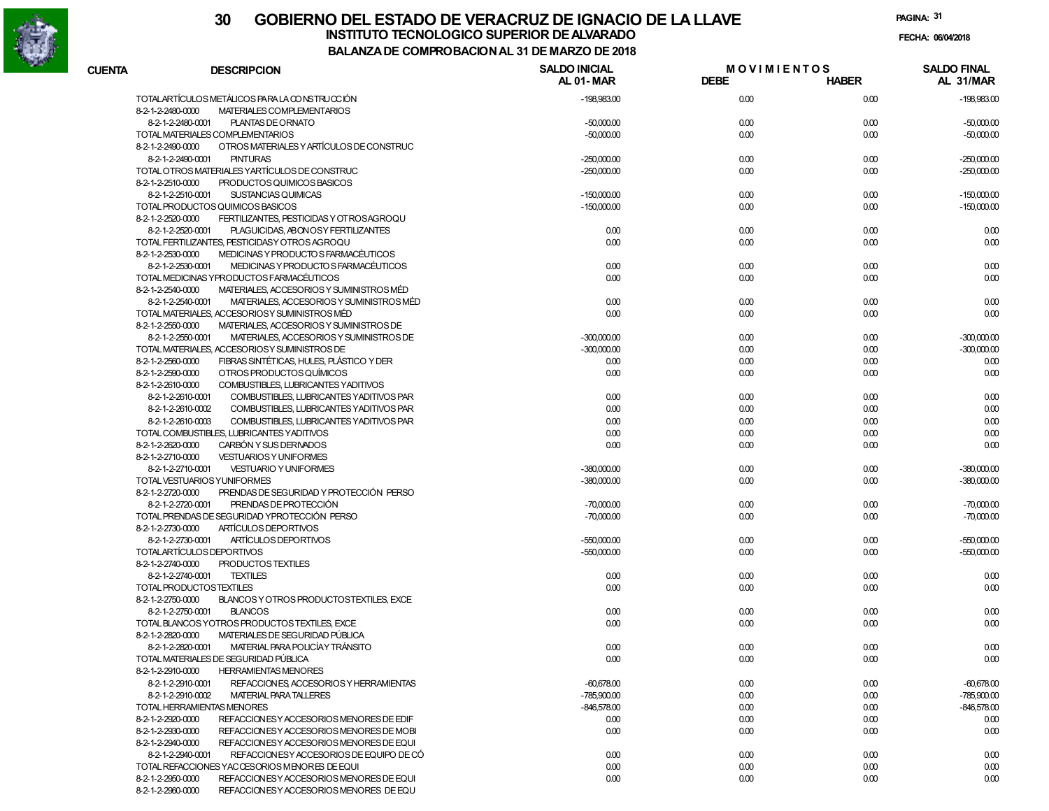

### **30 GOBIERNO DEL ESTADO DE VERACRUZ DE IGNACIO DE LA LLAVEFECHA: 06/04/2018 INSTITUTO TECNOLOGICO SUPERIOR DE ALVARADO**

**PAGINA:31**

| <b>CUENTA</b>     | <b>DESCRIPCION</b>                                             | <b>SALDO INICIAL</b><br>AL 01-MAR | <b>MOVIMIENTOS</b><br><b>DEBE</b> | <b>HABER</b> | <b>SALDO FINAL</b><br>AL 31/MAR |
|-------------------|----------------------------------------------------------------|-----------------------------------|-----------------------------------|--------------|---------------------------------|
|                   | TOTALARTÍCULOS METÁLICOS PARA LA CONSTRUCCIÓN                  | -198,983.00                       | 0.00                              | 0.00         | $-198,983.00$                   |
| 8-2-1-2-2480-0000 | MATERIALES COMPLEMENTARIOS                                     |                                   |                                   |              |                                 |
|                   | 8-2-1-2-2480-0001<br>PLANTAS DE ORNATO                         | $-50,000.00$                      | 0.00                              | 0.00         | $-50,000.00$                    |
|                   | TOTAL MATERIALES COMPLEMENTARIOS                               | $-50,000.00$                      | 0.00                              | 0.00         | $-50,000.00$                    |
| 8-2-1-2-2490-0000 | OTROS MATERIALES Y ARTÍCULOS DE CONSTRUC                       |                                   |                                   |              |                                 |
|                   | <b>PINTURAS</b><br>8-2-1-2-2490-0001                           | $-250,000.00$                     | 0.00                              | 0.00         | $-250,000.00$                   |
|                   | TOTAL OTROS MATERIALES YARTÍCULOS DE CONSTRUC                  | $-250,000.00$                     | 0.00                              | 0.00         | $-250,000.00$                   |
| 8-2-1-2-2510-0000 | PRODUCTOS QUIMICOS BASICOS                                     |                                   |                                   |              |                                 |
|                   | 8-2-1-2-2510-0001<br>SUSTANCIAS QUIMICAS                       | $-150,000.00$                     | 0.00                              | 0.00         | $-150,000.00$                   |
|                   | TOTAL PRODUCTOS QUIMICOS BASICOS                               | $-150,000.00$                     |                                   |              |                                 |
| 8-2-1-2-2520-0000 | FERTILIZANTES, PESTICIDAS Y OT ROSAGROQU                       |                                   | 0.00                              | 0.00         | $-150,000.00$                   |
|                   | 8-2-1-2-2520-0001                                              |                                   |                                   |              |                                 |
|                   | PLAGUICIDAS, ABONOSY FERTILIZANTES                             | 0.00                              | 0.00                              | 0.00         | 0.00                            |
|                   | TOTAL FERTILIZANTES, PESTICIDASY OTROS AGROQU                  | 0.00                              | 0.00                              | 0.00         | 0.00                            |
| 8-2-1-2-2530-0000 | MEDICINAS Y PRODUCTO S FARMACÉUTICOS                           |                                   |                                   |              |                                 |
|                   | 8-2-1-2-2530-0001<br>MEDICINAS Y PRODUCTO S FARMACÉUTICOS      | 0.00                              | 0.00                              | 0.00         | 0.00                            |
|                   | TOTAL MEDICINAS YPRODUCTOS FARMACÉUTICOS                       | 0.00                              | 0.00                              | 0.00         | 0.00                            |
| 8-2-1-2-2540-0000 | MATERIALES, ACCESORIOS Y SUMINISTROS MÉD                       |                                   |                                   |              |                                 |
|                   | MATERIALES, ACCESORIOS Y SUMINISTROS MÉD<br>8-2-1-2-2540-0001  | 0.00                              | 0.00                              | 0.00         | 0.00                            |
|                   | TOTAL MATERIALES, ACCESORIOSY SUMINISTROS MÉD                  | 0.00                              | 0.00                              | 0.00         | 0.00                            |
| 8-2-1-2-2550-0000 | MATERIALES, ACCESORIOS Y SUMINISTROS DE                        |                                   |                                   |              |                                 |
|                   | 8-2-1-2-2550-0001<br>MATERIALES, ACCESORIOS Y SUMINISTROS DE   | $-300,000.00$                     | 0.00                              | 0.00         | $-300,000.00$                   |
|                   | TOTAL MATERIALES, ACCESORIOSY SUMINISTROS DE                   | $-300,000.00$                     | 0.00                              | 0.00         | $-300,000.00$                   |
| 8-2-1-2-2560-0000 | FIBRAS SINTÉTICAS, HULES, PLÁSTICO Y DER                       | 0.00                              | 0.00                              | 0.00         | 0.00                            |
| 8-2-1-2-2590-0000 | OTROS PRODUCTOS QUÍMICOS                                       | 0.00                              | 0.00                              | 0.00         | 0.00                            |
| 8-2-1-2-2610-0000 | COMBUSTIBLES, LUBRICANTES YADITIVOS                            |                                   |                                   |              |                                 |
|                   | 8-2-1-2-2610-0001<br>COMBUSTIBLES, LUBRICANTES YADITIVOS PAR   | 0.00                              | 0.00                              | 0.00         | 0.00                            |
|                   | 8-2-1-2-2610-0002<br>COMBUSTIBLES, LUBRICANTES YADITIVOS PAR   | 0.00                              | 0.00                              | 0.00         | 0.00                            |
|                   | 8-2-1-2-2610-0003<br>COMBUSTIBLES, LUBRICANTES YADITIVOS PAR   | 0.00                              | 0.00                              | 0.00         | 0.00                            |
|                   | TOTAL COMBUSTIBLES, LUBRICANTES YADITIVOS                      | 0.00                              | 0.00                              | 0.00         | 0.00                            |
| 8-2-1-2-2620-0000 | CARBÓN Y SUS DERIVADOS                                         | 0.00                              | 0.00                              | 0.00         | 0.00                            |
| 8-2-1-2-2710-0000 | <b>VESTUARIOS Y UNIFORMES</b>                                  |                                   |                                   |              |                                 |
|                   | 8-2-1-2-2710-0001<br><b>VESTUARIO Y UNIFORMES</b>              | $-380,000.00$                     | 0.00                              | 0.00         | $-380,000.00$                   |
|                   | TOTAL VESTUARIOS YUNIFORMES                                    | $-380,000.00$                     | 0.00                              | 0.00         | $-380,000.00$                   |
| 8-2-1-2-2720-0000 | PRENDAS DE SEGURIDAD Y PROTECCIÓN PERSO                        |                                   |                                   |              |                                 |
|                   | PRENDAS DE PROTECCIÓN<br>8-2-1-2-2720-0001                     | $-70,000.00$                      | 0.00                              | 0.00         | $-70,000.00$                    |
|                   | TOTAL PRENDAS DE SEGURIDAD YPROTECCIÓN PERSO                   | $-70,000.00$                      | 0.00                              | 0.00         | $-70,000.00$                    |
| 8-2-1-2-2730-0000 | ARTÍCULOS DEPORTIVOS                                           |                                   |                                   |              |                                 |
|                   | ARTÍCULOS DEPORTIVOS<br>8-2-1-2-2730-0001                      | $-550,000.00$                     | 0.00                              | 0.00         | $-550,000.00$                   |
|                   | TOTALARTÍCULOS DEPORTIVOS                                      | $-550,000.00$                     | 0.00                              | 0.00         | $-550,000.00$                   |
| 8-2-1-2-2740-0000 | PRODUCTOS TEXTILES                                             |                                   |                                   |              |                                 |
|                   | 8-2-1-2-2740-0001<br><b>TEXTILES</b>                           | 0.00                              | 0.00                              | 0.00         | 0.00                            |
|                   |                                                                | 0.00                              |                                   |              |                                 |
|                   | TOTAL PRODUCTOSTEXTILES                                        |                                   | 0.00                              | 0.00         | 0.00                            |
| 8-2-1-2-2750-0000 | BLANCOS Y OTROS PRODUCTOSTEXTILES. EXCE                        |                                   |                                   |              |                                 |
|                   | <b>BLANCOS</b><br>8-2-1-2-2750-0001                            | 0.00                              | 0.00                              | 0.00         | 0.00                            |
|                   | TOTAL BLANCOS YOTROS PRODUCTOS TEXTILES. EXCE                  | 0.00                              | 0.00                              | 0.00         | 0.00                            |
| 8-2-1-2-2820-0000 | MATERIALES DE SEGURIDAD PÚBLICA                                |                                   |                                   |              |                                 |
|                   | 8-2-1-2-2820-0001<br>MATERIAL PARA POLICÍA Y TRÁNSITO          | 0.00                              | 0.00                              | 0.00         | 0.00                            |
|                   | TOTAL MATERIALES DE SEGURIDAD PÚBLICA                          | 0.00                              | 0.00                              | 0.00         | 0.00                            |
| 8-2-1-2-2910-0000 | <b>HERRAMIENTAS MENORES</b>                                    |                                   |                                   |              |                                 |
|                   | 8-2-1-2-2910-0001<br>REFACCIONES, ACCESORIOS Y HERRAMIENTAS    | $-60,678.00$                      | 0.00                              | 0.00         | $-60,678.00$                    |
|                   | 8-2-1-2-2910-0002<br><b>MATERIAL PARA TALLERES</b>             | $-785,900.00$                     | 0.00                              | 0.00         | $-785,900.00$                   |
|                   | TOTAL HERRAMIENTAS MENORES                                     | $-846,578.00$                     | 0.00                              | 0.00         | $-846,578.00$                   |
| 8-2-1-2-2920-0000 | REFACCION ES Y ACCESORIOS MENORES DE EDIF                      | 0.00                              | 0.00                              | 0.00         | 0.00                            |
| 8-2-1-2-2930-0000 | REFACCION ES Y ACCESO RIOS MENORES DE MOBI                     | 0.00                              | 0.00                              | 0.00         | 0.00                            |
| 8-2-1-2-2940-0000 | REFACCION ES Y ACCESORIOS MENORES DE EQUI                      |                                   |                                   |              |                                 |
|                   | 8-2-1-2-2940-0001<br>REFACCION ES Y ACCESORIOS DE EQUIPO DE CÓ | 0.00                              | 0.00                              | 0.00         | 0.00                            |
|                   | TOTAL REFACCIONES YACCESORIOS MENORES DE EQUI                  | 0.00                              | 0.00                              | 0.00         | 0.00                            |
| 8-2-1-2-2950-0000 | REFACCION ES Y ACCESORIOS MENORES DE EQUI                      | 0.00                              | 0.00                              | 0.00         | 0.00                            |
| 8-2-1-2-2960-0000 | REFACCIONESY ACCESORIOS MENORES DE EQU                         |                                   |                                   |              |                                 |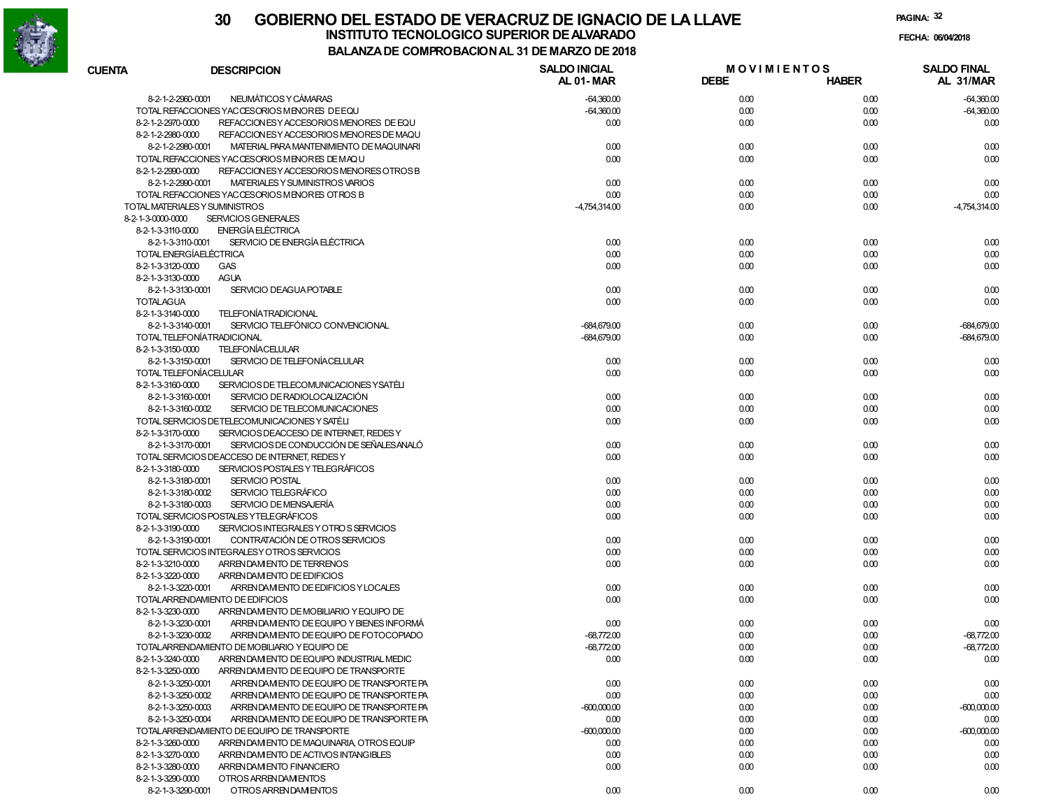

| <b>CUENTA</b>     | <b>DESCRIPCION</b>                            | <b>SALDO INICIAL</b><br><b>AL 01-MAR</b> | <b>MOVIMIENTOS</b><br><b>DEBE</b> | <b>HABER</b> | <b>SALDO FINAL</b><br>AL 31/MAR |
|-------------------|-----------------------------------------------|------------------------------------------|-----------------------------------|--------------|---------------------------------|
|                   | NEUMÁTICOS Y CÁMARAS                          |                                          |                                   |              |                                 |
| 8-2-1-2-2960-0001 | TOTAL REFACCIONES YACCESORIOS MENORES DEEQU   | $-64,360.00$<br>$-64,360.00$             | 0.00<br>0.00                      | 0.00<br>0.00 | $-64,360.00$<br>$-64,360.00$    |
| 8-2-1-2-2970-0000 | REFACCION ESY ACCESORIOS MENORES DE EQU       | 0.00                                     | 0.00                              | 0.00         | 0.00                            |
| 8-2-1-2-2980-0000 | REFACCION ES Y ACCESO RIOS MENORES DE MAQU    |                                          |                                   |              |                                 |
| 8-2-1-2-2980-0001 | MATERIAL PARA MANTENIMIENTO DE MAQUINARI      | 0.00                                     | 0.00                              | 0.00         | 0.00                            |
|                   | TOTAL REFACCIONES YACCESORIOS MENORES DE MAQU | 0.00                                     | 0.00                              | 0.00         | 0.00                            |
| 8-2-1-2-2990-0000 | REFACCION ES Y ACCESORIOS MENORES OTROS B     |                                          |                                   |              |                                 |
| 8-2-1-2-2990-0001 | MATERIALES Y SUMINISTROS VARIOS               | 0.00                                     | 0.00                              | 0.00         | 0.00                            |
|                   | TOTAL REFACCIONES YACCESORIOS MENORES OTROS B | 0.00                                     | 0.00                              | 0.00         | 0.00                            |
|                   | TOTAL MATERIALES Y SUMINISTROS                | -4,754,314.00                            | 0.00                              | 0.00         | $-4,754,314.00$                 |
| 8-2-1-3-0000-0000 | <b>SERVICIOS GENERALES</b>                    |                                          |                                   |              |                                 |
| 8-2-1-3-3110-0000 | <b>ENERGÍA ELÉCTRICA</b>                      |                                          |                                   |              |                                 |
| 8-2-1-3-3110-0001 | SERVICIO DE ENERGÍA ELÉCTRICA                 | 0.00                                     | 0.00                              | 0.00         | 0.00                            |
|                   | <b>TOTAL ENERGÍAELÉCTRICA</b>                 | 0.00                                     | 0.00                              | 0.00         | 0.00                            |
| 8-2-1-3-3120-0000 | <b>GAS</b>                                    | 0.00                                     | 0.00                              | 0.00         | 0.00                            |
| 8-2-1-3-3130-0000 | <b>AGUA</b>                                   |                                          |                                   |              |                                 |
| 8-2-1-3-3130-0001 | SERVICIO DEAGUA POTABLE                       | 0.00                                     | 0.00                              | 0.00         | 0.00                            |
| <b>TOTALAGUA</b>  |                                               | 0.00                                     | 0.00                              | 0.00         | 0.00                            |
| 8-2-1-3-3140-0000 | <b>TELEFONÍATRADICIONAL</b>                   |                                          |                                   |              |                                 |
| 8-2-1-3-3140-0001 | SERVICIO TELEFÓNICO CONVENCIONAL              | $-684,679.00$                            | 0.00                              | 0.00         | $-684,679.00$                   |
|                   | TOTAL TELEFONÍATRADICIONAL                    | $-684,679.00$                            | 0.00                              | 0.00         | $-684,679.00$                   |
| 8-2-1-3-3150-0000 | <b>TELEFONÍACELULAR</b>                       |                                          |                                   |              |                                 |
| 8-2-1-3-3150-0001 | SERVICIO DE TELEFONÍACE LULAR                 | 0.00                                     | 0.00                              | 0.00         | 0.00                            |
|                   | TOTAL TELEFONÍACELULAR                        | 0.00                                     | 0.00                              | 0.00         | 0.00                            |
| 8-2-1-3-3160-0000 | SERVICIOS DE TELECOMUNICACIONES YSATÉLI       |                                          |                                   |              |                                 |
| 8-2-1-3-3160-0001 | SERVICIO DE RADIOLOCALIZACIÓN                 | 0.00                                     | 0.00                              | 0.00         | 0.00                            |
| 8-2-1-3-3160-0002 | SERVICIO DE TELECOMUNICACIONES                | 0.00                                     | 0.00                              | 0.00         | 0.00                            |
|                   | TOTAL SERVICIOS DETELECOMUNICACIONES Y SATÉLI | 0.00                                     | 0.00                              | 0.00         | 0.00                            |
| 8-2-1-3-3170-0000 | SERVICIOS DEACCESO DE INTERNET, REDES Y       |                                          |                                   |              |                                 |
| 8-2-1-3-3170-0001 | SERVICIOS DE CONDUCCIÓN DE SEÑALES ANALÓ      | 0.00                                     | 0.00                              | 0.00         | 0.00                            |
|                   | TOTAL SERVICIOS DEACCESO DE INTERNET, REDES Y | 0.00                                     | 0.00                              | 0.00         | 0.00                            |
| 8-2-1-3-3180-0000 | SERVICIOS POSTALES Y TELEGRÁFICOS             |                                          |                                   |              |                                 |
| 8-2-1-3-3180-0001 | <b>SERVICIO POSTAL</b>                        | 0.00                                     | 0.00                              | 0.00         | 0.00                            |
| 8-2-1-3-3180-0002 | SERVICIO TELEGRÁFICO                          | 0.00                                     | 0.00                              | 0.00         | 0.00                            |
| 8-2-1-3-3180-0003 | SERVICIO DE MENSAJERÍA                        | 0.00                                     | 0.00                              | 0.00         | 0.00                            |
|                   | TOTAL SERVICIOS POSTALES YTELEGRÁFICOS        | 0.00                                     | 0.00                              | 0.00         | 0.00                            |
| 8-2-1-3-3190-0000 | SERVICIOS INTEGRALES Y OTROS SERVICIOS        |                                          |                                   |              |                                 |
| 8-2-1-3-3190-0001 | CONTRATACIÓN DE OTROS SERVICIOS               | 0.00                                     | 0.00                              | 0.00         | 0.00                            |
|                   | TOTAL SERVICIOS INTEGRALESY OTROS SERVICIOS   | 0.00                                     | 0.00                              | 0.00         | 0.00                            |
| 8-2-1-3-3210-0000 | ARRENDAM ENTO DE TERRENOS                     | 0.00                                     | 0.00                              | 0.00         | 0.00                            |
| 8-2-1-3-3220-0000 | ARRENDAM ENTO DE EDIFICIOS                    |                                          |                                   |              |                                 |
| 8-2-1-3-3220-0001 | ARRENDAMENTO DE EDIFICIOS Y LOCALES           | 0.00                                     | 0.00                              | 0.00         | 0.00                            |
|                   | TOTALARRENDAMIENTO DE EDIFICIOS               | 0.00                                     | 0.00                              | 0.00         | 0.00                            |
| 8-2-1-3-3230-0000 | ARRENDAM ENTO DE MOBILIARIO Y EQUIPO DE       |                                          |                                   |              |                                 |
| 8-2-1-3-3230-0001 | ARRENDAM ENTO DE EQUIPO Y BIENES INFORMÁ      | 0.00                                     | 0.00                              | 0.00         | 0.00                            |
| 8-2-1-3-3230-0002 | ARRENDAM ENTO DE EQUIPO DE FOTOCOPIADO        | $-68,772.00$                             | 0.00                              | 0.00         | $-68,772.00$                    |
|                   | TOTALARRENDAMIENTO DE MOBILIARIO Y EQUIPO DE  | $-68,772.00$                             | 0.00                              | 0.00         | $-68,772.00$                    |
| 8-2-1-3-3240-0000 | ARRENDAM ENTO DE EQUIPO INDUSTRIAL MEDIC      | 0.00                                     | 0.00                              | 0.00         | 0.00                            |
| 8-2-1-3-3250-0000 | ARREN DAM ENTO DE EQUIPO DE TRANSPORTE        |                                          |                                   |              |                                 |
| 8-2-1-3-3250-0001 | ARRENDAM ENTO DE EQUIPO DE TRANSPORTE PA      | 0.00                                     | 0.00                              | 0.00         | 0.00                            |
| 8-2-1-3-3250-0002 | ARRENDAM ENTO DE EQUIPO DE TRANSPORTE PA      | 0.00                                     | 0.00                              | 0.00         | 0.00                            |
| 8-2-1-3-3250-0003 | ARRENDAM ENTO DE EQUIPO DE TRANSPORTE PA      | $-600,000.00$                            | 0.00                              | 0.00         | $-600,000.00$                   |
| 8-2-1-3-3250-0004 | ARRENDAM ENTO DE EQUIPO DE TRANSPORTE PA      | 0.00                                     | 0.00                              | 0.00         | 0.00                            |
|                   | TOTALARRENDAMIENTO DE EQUIPO DE TRANSPORTE    | $-600,000.00$                            | 0.00                              | 0.00         | $-600,000.00$                   |
| 8-2-1-3-3260-0000 | ARRENDAM ENTO DE MAQUINARIA, OTROS EQUIP      | 0.00                                     | 0.00                              | 0.00         | 0.00                            |
| 8-2-1-3-3270-0000 | ARRENDAM ENTO DE ACTIVOS INTANGIBLES          | 0.00                                     | 0.00                              | 0.00         | 0.00                            |
| 8-2-1-3-3280-0000 | ARRENDAM ENTO FINANCIERO                      | 0.00                                     | 0.00                              | 0.00         | 0.00                            |
| 8-2-1-3-3290-0000 | OTROS ARRENDAMENTOS                           |                                          |                                   |              |                                 |
| 8-2-1-3-3290-0001 | OTROS ARRENDAM ENTOS                          | 0.00                                     | 0.00                              | 0.00         | 0.00                            |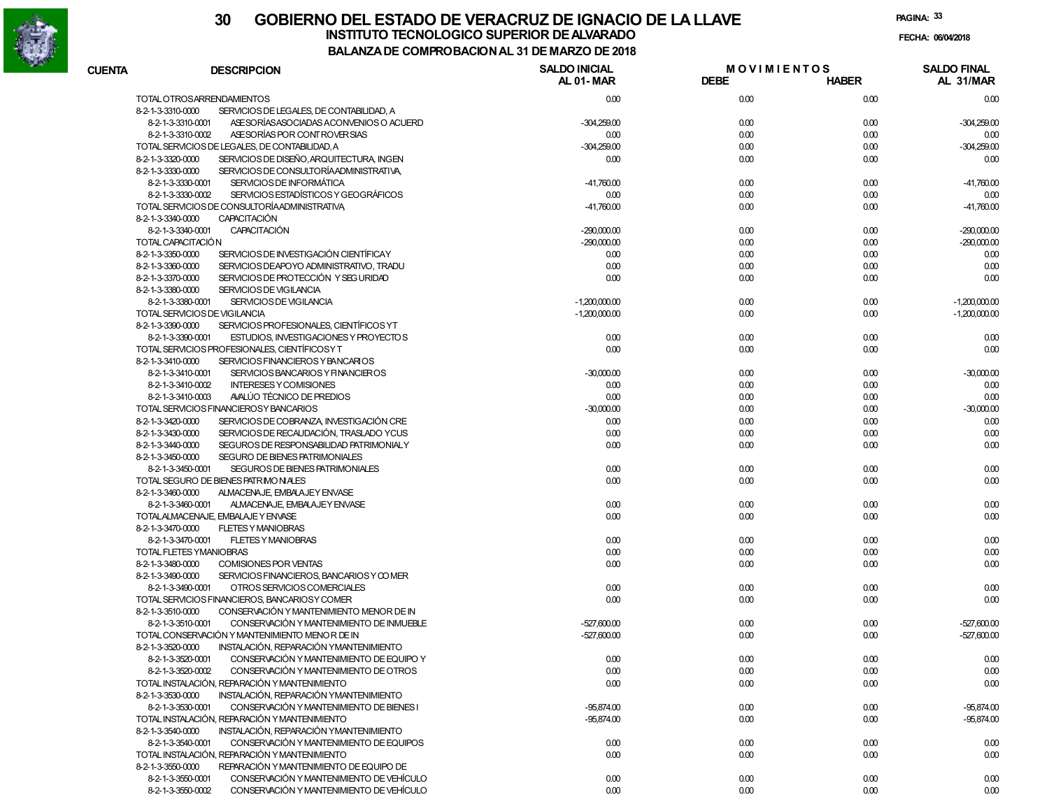

**PAGINA:33**

**FECHA:**

| <b>CUENTA</b>     | <b>DESCRIPCION</b>                                            | <b>SALDO INICIAL</b><br>AL 01-MAR | <b>MOVIMIENTOS</b><br><b>DEBE</b> | <b>HABER</b> | <b>SALDO FINAL</b><br>AL 31/MAR |
|-------------------|---------------------------------------------------------------|-----------------------------------|-----------------------------------|--------------|---------------------------------|
|                   | TOTAL OTROSARRENDAMIENTOS                                     | 0.00                              | 0.00                              | 0.00         | 0.00                            |
| 8-2-1-3-3310-0000 | SERVICIOS DE LEGALES, DE CONTABILIDAD, A                      |                                   |                                   |              |                                 |
|                   | 8-2-1-3-3310-0001<br>ASE SORÍAS ASOCIADAS ACONVENIOS O ACUERD | $-304,259.00$                     | 0.00                              | 0.00         | $-304,259.00$                   |
|                   | 8-2-1-3-3310-0002<br>ASE SORÍAS POR CONTROVER SIAS            | 0.00                              | 0.00                              | 0.00         | 0.00                            |
|                   | TOTAL SERVICIOS DE LEGALES, DE CONTABILIDAD, A                | $-304,259.00$                     | 0.00                              | 0.00         | $-304,259.00$                   |
| 8-2-1-3-3320-0000 | SERVICIOS DE DISEÑO, ARQUITECTURA, INGEN                      | 0.00                              | 0.00                              | 0.00         | 0.00                            |
| 8-2-1-3-3330-0000 | SERVICIOS DE CONSULTORÍA ADMINISTRATIVA,                      |                                   |                                   |              |                                 |
|                   | 8-2-1-3-3330-0001<br>SERVICIOS DE INFORMÁTICA                 | $-41,760.00$                      | 0.00                              | 0.00         | $-41,760.00$                    |
|                   | SERVICIOS ESTADÍSTICOS Y GEOGRÁFICOS<br>8-2-1-3-3330-0002     | 0.00                              | 0.00                              | 0.00         | 0.00                            |
|                   | TOTAL SERVICIOS DE CONSULTORÍA ADMINISTRATIVA                 | $-41,760.00$                      | 0.00                              | 0.00         | $-41,760.00$                    |
| 8-2-1-3-3340-0000 | <b>CAPACITACIÓN</b>                                           |                                   |                                   |              |                                 |
|                   | <b>CAPACITACIÓN</b><br>8-2-1-3-3340-0001                      | $-290,000.00$                     | 0.00                              | 0.00         | $-290,000.00$                   |
|                   | TOTAL CAPACITACIÓN                                            | $-290,000.00$                     | 0.00                              | 0.00         | $-290,000.00$                   |
| 8-2-1-3-3350-0000 | SERVICIOS DE INVESTIGACIÓN CIENTÍFICAY                        | 0.00                              | 0.00                              | 0.00         | 0.00                            |
| 8-2-1-3-3360-0000 | SERVICIOS DEAPOYO ADMINISTRATIVO, TRADU                       | 0.00                              | 0.00                              | 0.00         | 0.00                            |
| 8-2-1-3-3370-0000 | SERVICIOS DE PROTECCIÓN Y SEG URIDAD                          | 0.00                              | 0.00                              | 0.00         | 0.00                            |
| 8-2-1-3-3380-0000 | SERVICIOS DE VIGILANCIA                                       |                                   |                                   |              |                                 |
|                   | 8-2-1-3-3380-0001<br><b>SERVICIOS DE VIGILANCIA</b>           | $-1,200,000.00$                   | 0.00                              | 0.00         | $-1,200,000.00$                 |
|                   | TOTAL SERVICIOS DE VIGILANCIA                                 | $-1,200,000.00$                   | 0.00                              | 0.00         | $-1,200,000.00$                 |
|                   |                                                               |                                   |                                   |              |                                 |
| 8-2-1-3-3390-0000 | SERVICIOS PROFESIONALES, CIENTÍFICOS YT                       |                                   |                                   |              |                                 |
|                   | 8-2-1-3-3390-0001<br>ESTUDIOS, INVESTIGACIONES Y PROYECTOS    | 0.00                              | 0.00                              | 0.00         | 0.00                            |
|                   | TOTAL SERVICIOS PROFESIONALES, CIENTÍFICOS Y T                | 0.00                              | 0.00                              | 0.00         | 0.00                            |
| 8-2-1-3-3410-0000 | SERVICIOS FINANCIEROS Y BANCARIOS                             |                                   |                                   |              |                                 |
|                   | 8-2-1-3-3410-0001<br>SERVICIOS BANCARIOS Y FINANCIEROS        | $-30,000.00$                      | 0.00                              | 0.00         | $-30,000.00$                    |
|                   | 8-2-1-3-3410-0002<br><b>INTERESES Y COMISIONES</b>            | 0.00                              | 0.00                              | 0.00         | 0.00                            |
|                   | 8-2-1-3-3410-0003<br>AVALÚO TÉCNICO DE PREDIOS                | 0.00                              | 0.00                              | 0.00         | 0.00                            |
|                   | TOTAL SERVICIOS FINANCIEROSY BANCARIOS                        | $-30,000.00$                      | 0.00                              | 0.00         | $-30,000.00$                    |
| 8-2-1-3-3420-0000 | SERVICIOS DE COBRANZA. INVESTIGACIÓN CRE                      | 0.00                              | 0.00                              | 0.00         | 0.00                            |
| 8-2-1-3-3430-0000 | SERVICIOS DE RECAUDACIÓN, TRASLADO YCUS                       | 0.00                              | 0.00                              | 0.00         | 0.00                            |
| 8-2-1-3-3440-0000 | SEGUROS DE RESPONSABILIDAD PATRIMONIALY                       | 0.00                              | 0.00                              | 0.00         | 0.00                            |
| 8-2-1-3-3450-0000 | SEGURO DE BIENES PATRIMONIALES                                |                                   |                                   |              |                                 |
|                   | 8-2-1-3-3450-0001<br>SEGUROS DE BIENES PATRIMONIALES          | 0.00                              | 0.00                              | 0.00         | 0.00                            |
|                   | TOTAL SEGURO DE BIENES PATRIMONIALES                          | 0.00                              | 0.00                              | 0.00         | 0.00                            |
| 8-2-1-3-3460-0000 | ALMACENAJE, EMBALAJEY ENVASE                                  |                                   |                                   |              |                                 |
|                   | 8-2-1-3-3460-0001<br>ALMACENAJE, EMBALAJEY ENVASE             | 0.00                              | 0.00                              | 0.00         | 0.00                            |
|                   | TOTALALMACENAJE, EMBALAJE Y ENVASE                            | 0.00                              | 0.00                              | 0.00         | 0.00                            |
| 8-2-1-3-3470-0000 | <b>FLETES Y MANIOBRAS</b>                                     |                                   |                                   |              |                                 |
|                   | 8-2-1-3-3470-0001<br><b>FLETES Y MANIOBRAS</b>                | 0.00                              | 0.00                              | 0.00         | 0.00                            |
|                   | TOTAL FLETES YMANIOBRAS                                       | 0.00                              | 0.00                              | 0.00         | 0.00                            |
| 8-2-1-3-3480-0000 | COMISIONES POR VENTAS                                         | 0.00                              | 0.00                              | 0.00         | 0.00                            |
| 8-2-1-3-3490-0000 | SERVICIOS FINANCIEROS, BANCARIOS Y COMER                      |                                   |                                   |              |                                 |
|                   | 8-2-1-3-3490-0001<br>OTROS SERVICIOS COMERCIALES              | 0.00                              | 0.00                              | 0.00         | 0.00                            |
|                   | TOTAL SERVICIOS FINANCIEROS, BANCARIOS Y COMER                | 0.00                              | 0.00                              | 0.00         | 0.00                            |
| 8-2-1-3-3510-0000 | CONSERVACIÓN Y MANTENIMIENTO MENOR DE IN                      |                                   |                                   |              |                                 |
|                   | 8-2-1-3-3510-0001<br>CONSERVACIÓN Y MANTENIMIENTO DE INMUEBLE | $-527,600.00$                     | 0.00                              | 0.00         | $-527,600.00$                   |
|                   | TOTAL CONSERVACIÓN Y MANTENIMIENTO MENOR DE IN                | $-527,600.00$                     | 0.00                              | 0.00         | $-527,600.00$                   |
| 8-2-1-3-3520-0000 | INSTALACIÓN, REPARACIÓN YMANTENIMIENTO                        |                                   |                                   |              |                                 |
|                   | 8-2-1-3-3520-0001<br>CONSERVACIÓN Y MANTENIMIENTO DE EQUIPO Y | 0.00                              | 0.00                              | 0.00         | 0.00                            |
|                   | 8-2-1-3-3520-0002<br>CONSERVACIÓN Y MANTENIMIENTO DE OTROS    | 0.00                              | 0.00                              | 0.00         | 0.00                            |
|                   | TOTAL INSTALACIÓN. REPARACIÓN Y MANTENIMIENTO                 | 0.00                              | 0.00                              | 0.00         | 0.00                            |
| 8-2-1-3-3530-0000 | INSTALACIÓN, REPARACIÓN YMANTENIMIENTO                        |                                   |                                   |              |                                 |
|                   | 8-2-1-3-3530-0001<br>CONSERVACIÓN Y MANTENIMIENTO DE BIENES I | $-95,874.00$                      | 0.00                              | 0.00         | $-95,874.00$                    |
|                   | TOTAL INSTALACIÓN. REPARACIÓN Y MANTENIMIENTO                 | $-95,874.00$                      | 0.00                              | 0.00         | $-95,874.00$                    |
| 8-2-1-3-3540-0000 | INSTALACIÓN, REPARACIÓN YMANTENIMIENTO                        |                                   |                                   |              |                                 |
|                   | 8-2-1-3-3540-0001<br>CONSERVACIÓN Y MANTENIMIENTO DE EQUIPOS  | 0.00                              | 0.00                              | 0.00         | 0.00                            |
|                   | TOTAL INSTALACIÓN, REPARACIÓN Y MANTENIMIENTO                 | 0.00                              | 0.00                              | 0.00         | 0.00                            |
| 8-2-1-3-3550-0000 | REPARACIÓN Y MANTENIMIENTO DE EQUIPO DE                       |                                   |                                   |              |                                 |
|                   | CONSERVACIÓN Y MANTENIMIENTO DE VEHÍCULO<br>8-2-1-3-3550-0001 | 0.00                              | 0.00                              | 0.00         | 0.00                            |
|                   | 8-2-1-3-3550-0002<br>CONSERVACIÓN Y MANTENIMIENTO DE VEHÍCULO | 0.00                              | 0.00                              | 0.00         | 0.00                            |
|                   |                                                               |                                   |                                   |              |                                 |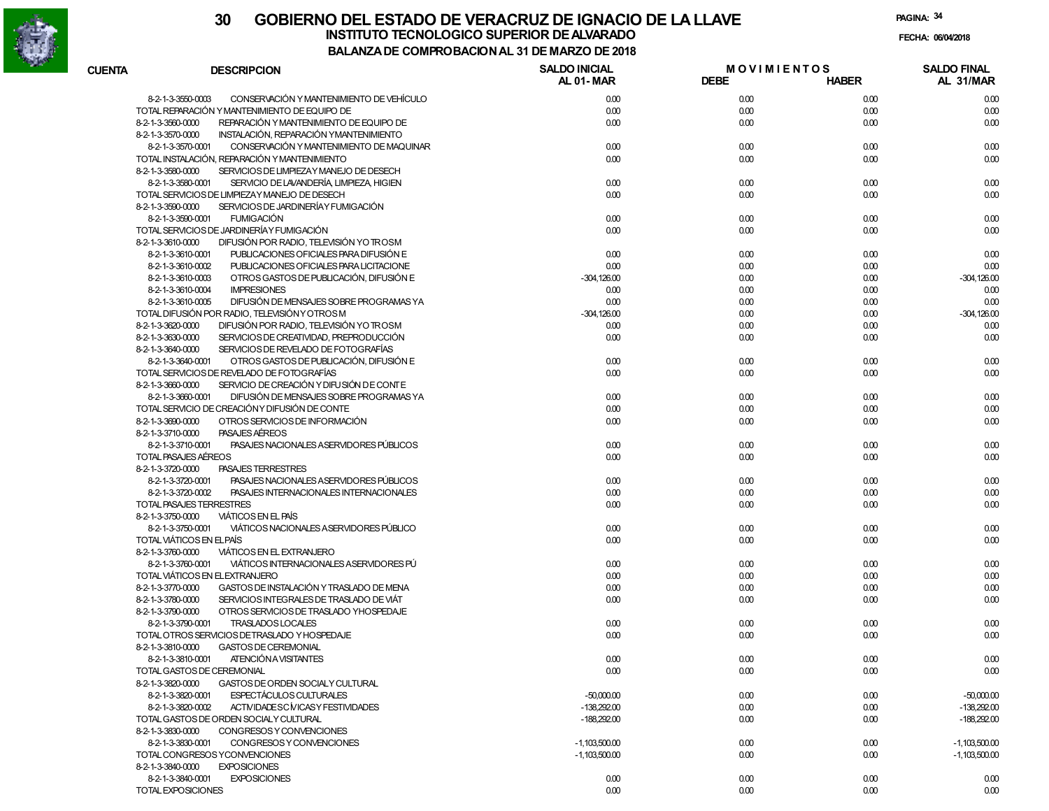

| <b>CUENTA</b>     | <b>DESCRIPCION</b>                                            | <b>SALDO INICIAL</b><br>AL 01-MAR | <b>MOVIMIENTOS</b><br><b>DEBE</b> | <b>HABER</b> | <b>SALDO FINAL</b><br>AL 31/MAR |
|-------------------|---------------------------------------------------------------|-----------------------------------|-----------------------------------|--------------|---------------------------------|
|                   | CONSERVACIÓN Y MANTENIMIENTO DE VEHÍCULO<br>8-2-1-3-3550-0003 | 0.00                              | 0.00                              | 0.00         | 0.00                            |
|                   | TOTAL REPARACIÓN Y MANTENIMIENTO DE EQUIPO DE                 | 0.00                              | 0.00                              | 0.00         | 0.00                            |
| 8-2-1-3-3560-0000 | REPARACIÓN Y MANTENIMIENTO DE EQUIPO DE                       | 0.00                              | 0.00                              | 0.00         | 0.00                            |
| 8-2-1-3-3570-0000 | INSTALACIÓN, REPARACIÓN YMANTENIMIENTO                        |                                   |                                   |              |                                 |
|                   | CONSERVACIÓN Y MANTENIMIENTO DE MAQUINAR<br>8-2-1-3-3570-0001 | 0.00                              | 0.00                              | 0.00         | 0.00                            |
|                   | TOTAL INSTALACIÓN, REPARACIÓN Y MANTENIMIENTO                 | 0.00                              | 0.00                              | 0.00         | 0.00                            |
| 8-2-1-3-3580-0000 | SERVICIOS DE LIMPIEZAY MANEJO DE DESECH                       |                                   |                                   |              |                                 |
|                   | 8-2-1-3-3580-0001<br>SERVICIO DE LAVANDERÍA, LIMPIEZA, HIGIEN | 0.00                              | 0.00                              | 0.00         | 0.00                            |
|                   | TOTAL SERVICIOS DE LIMPIEZAY MANEJO DE DESECH                 | 0.00                              | 0.00                              | 0.00         | 0.00                            |
| 8-2-1-3-3590-0000 | SERVICIOS DE JARDINERÍA Y FUMIGACIÓN                          |                                   |                                   |              |                                 |
|                   | <b>FUMIGACIÓN</b><br>8-2-1-3-3590-0001                        | 0.00                              | 0.00                              | 0.00         | 0.00                            |
|                   | TOTAL SERVICIOS DE JARDINERÍA Y FUMIGACIÓN                    | 0.00                              | 0.00                              | 0.00         | 0.00                            |
| 8-2-1-3-3610-0000 | DIFUSIÓN POR RADIO, TELEVISIÓN YO TROSM                       |                                   |                                   |              |                                 |
|                   | 8-2-1-3-3610-0001<br>PUBLICACIONES OFICIALES PARA DIFUSIÓN E  | 0.00                              | 0.00                              | 0.00         | 0.00                            |
|                   | PUBLICACIONES OFICIALES PARA LICITACIONE<br>8-2-1-3-3610-0002 | 0.00                              | 0.00                              | 0.00         | 0.00                            |
|                   | OTROS GASTOS DE PUBLICACIÓN, DIFUSIÓN E<br>8-2-1-3-3610-0003  | $-304, 126.00$                    | 0.00                              | 0.00         | $-304, 126.00$                  |
|                   | <b>IMPRESIONES</b><br>8-2-1-3-3610-0004                       | 0.00                              | 0.00                              | 0.00         | 0.00                            |
|                   | DIFUSIÓN DE MENSAJES SOBRE PROGRAMAS YA<br>8-2-1-3-3610-0005  | 0.00                              | 0.00                              | 0.00         | 0.00                            |
|                   | TOTAL DIFUSIÓN POR RADIO, TELEVISIÓN Y OTROS M                | $-304, 126.00$                    | 0.00                              | 0.00         | $-304, 126.00$                  |
| 8-2-1-3-3620-0000 | DIFUSIÓN POR RADIO, TELEVISIÓN YO TROSM                       | 0.00                              | 0.00                              | 0.00         | 0.00                            |
| 8-2-1-3-3630-0000 | SERVICIOS DE CREATIVIDAD, PREPRODUCCIÓN                       | 0.00                              | 0.00                              | 0.00         | 0.00                            |
| 8-2-1-3-3640-0000 | SERVICIOS DE REVELADO DE FOTOGRAFÍAS                          |                                   |                                   |              |                                 |
|                   | OTROS GASTOS DE PUBLICACIÓN. DIFUSIÓN E<br>8-2-1-3-3640-0001  | 0.00                              | 0.00                              | 0.00         | 0.00                            |
|                   | TOTAL SERVICIOS DE REVELADO DE FOTOGRAFÍAS                    | 0.00                              | 0.00                              | 0.00         | 0.00                            |
| 8-2-1-3-3660-0000 | SERVICIO DE CREACIÓN Y DIFU SIÓN DE CONTE                     |                                   |                                   |              |                                 |
|                   | 8-2-1-3-3660-0001<br>DIFUSIÓN DE MENSAJES SOBRE PROGRAMAS YA  | 0.00                              | 0.00                              | 0.00         | 0.00                            |
|                   | TOTAL SERVICIO DE CREACIÓNY DIFUSIÓN DE CONTE                 | 0.00                              | 0.00                              | 0.00         | 0.00                            |
| 8-2-1-3-3690-0000 | OTROS SERVICIOS DE INFORMACIÓN                                | 0.00                              | 0.00                              | 0.00         | 0.00                            |
| 8-2-1-3-3710-0000 | PASAJES AEREOS                                                |                                   |                                   |              |                                 |
|                   | 8-2-1-3-3710-0001<br>PASAJES NACIONALES A SERVIDORES PÚBLICOS | 0.00                              | 0.00                              | 0.00         | 0.00                            |
|                   | TOTAL PASAJES AÉREOS                                          | 0.00                              | 0.00                              | 0.00         | 0.00                            |
| 8-2-1-3-3720-0000 | <b>PASAJES TERRESTRES</b>                                     |                                   |                                   |              |                                 |
|                   | 8-2-1-3-3720-0001<br>PASAJES NACIONALES A SERVIDORES PÚBLICOS | 0.00                              | 0.00                              | 0.00         | 0.00                            |
|                   | 8-2-1-3-3720-0002<br>PASAJES INTERNACIONALES INTERNACIONALES  | 0.00                              | 0.00                              | 0.00         | 0.00                            |
|                   | TOTAL PASAJES TERRESTRES                                      | 0.00                              | 0.00                              | 0.00         | 0.00                            |
| 8-2-1-3-3750-0000 | VIÁTICOS EN EL PAÍS                                           |                                   |                                   |              |                                 |
|                   | VIÁTICOS NACIONALES A SERVIDORES PÚBLICO<br>8-2-1-3-3750-0001 | 0.00                              | 0.00                              | 0.00         | 0.00                            |
|                   | TOTAL VIÁTICOS EN ELPAÍS                                      | 0.00                              | 0.00                              | 0.00         | 0.00                            |
| 8-2-1-3-3760-0000 | VIÁTICOS EN EL EXTRANJERO                                     |                                   |                                   |              |                                 |
|                   | 8-2-1-3-3760-0001<br>VIÁTICOS INTERNACIONALES ASERVIDORES PÚ  | 0.00                              | 0.00                              | 0.00         | 0.00                            |
|                   | TOTAL VIÁTICOS EN EL EXTRANJERO                               | 0.00                              | 0.00                              | 0.00         | 0.00                            |
| 8-2-1-3-3770-0000 | GASTOS DE INSTALACIÓN Y TRASLADO DE MENA                      | 0.00                              | 0.00                              | 0.00         | 0.00                            |
| 8-2-1-3-3780-0000 | SERVICIOS INTEGRALES DE TRASLADO DE VIÁT                      | 0.00                              | 0.00                              | 0.00         | 0.00                            |
| 8-2-1-3-3790-0000 | OTROS SERVICIOS DE TRASLADO YHOSPEDAJE                        |                                   |                                   |              |                                 |
|                   | TRASLADOS LOCALES<br>8-2-1-3-3790-0001                        | 0.00                              | 0.00                              | 0.00         | 0.00                            |
|                   | TOTAL OTROS SERVICIOS DETRASLADO Y HOSPEDAJE                  | 0.00                              | 0.00                              | 0.00         | 0.00                            |
| 8-2-1-3-3810-0000 | <b>GASTOS DE CEREMONIAL</b>                                   |                                   |                                   |              |                                 |
|                   | ATENCIÓN A VISITANTES<br>8-2-1-3-3810-0001                    | 0.00                              | 0.00                              | 0.00         | 0.00                            |
|                   | TOTAL GASTOS DE CEREMONIAL                                    | 0.00                              | 0.00                              | 0.00         | 0.00                            |
| 8-2-1-3-3820-0000 | GASTOS DE ORDEN SOCIALY CULTURAL                              |                                   |                                   |              |                                 |
|                   | ESPECTÁCULOS CULTURALES<br>8-2-1-3-3820-0001                  | $-50,000.00$                      | 0.00                              | 0.00         | $-50,000.00$                    |
|                   | 8-2-1-3-3820-0002<br>ACTIVIDADESC MICASY FESTIVIDADES         | $-138,292.00$                     | 0.00                              | 0.00         | $-138,292.00$                   |
|                   | TOTAL GASTOS DE ORDEN SOCIALY CULTURAL                        | $-188,292.00$                     | 0.00                              | 0.00         | $-188,292.00$                   |
| 8-2-1-3-3830-0000 | CONGRESOS Y CONVENCIONES                                      |                                   |                                   |              |                                 |
|                   | 8-2-1-3-3830-0001<br>CONGRESOS Y CONVENCIONES                 | $-1,103,500.00$                   | 0.00                              | 0.00         | $-1,103,500.00$                 |
|                   | TOTAL CONGRESOS YCONVENCIONES                                 | $-1,103,500.00$                   | 0.00                              | 0.00         | $-1,103,500.00$                 |
| 8-2-1-3-3840-0000 | <b>EXPOSICIONES</b>                                           |                                   |                                   |              |                                 |
|                   | 8-2-1-3-3840-0001<br><b>EXPOSICIONES</b>                      | 0.00                              | 0.00                              | 0.00         | 0.00                            |
|                   | TOTAL EXPOSICIONES                                            | 0.00                              | 0.00                              | 0.00         | 0.00                            |
|                   |                                                               |                                   |                                   |              |                                 |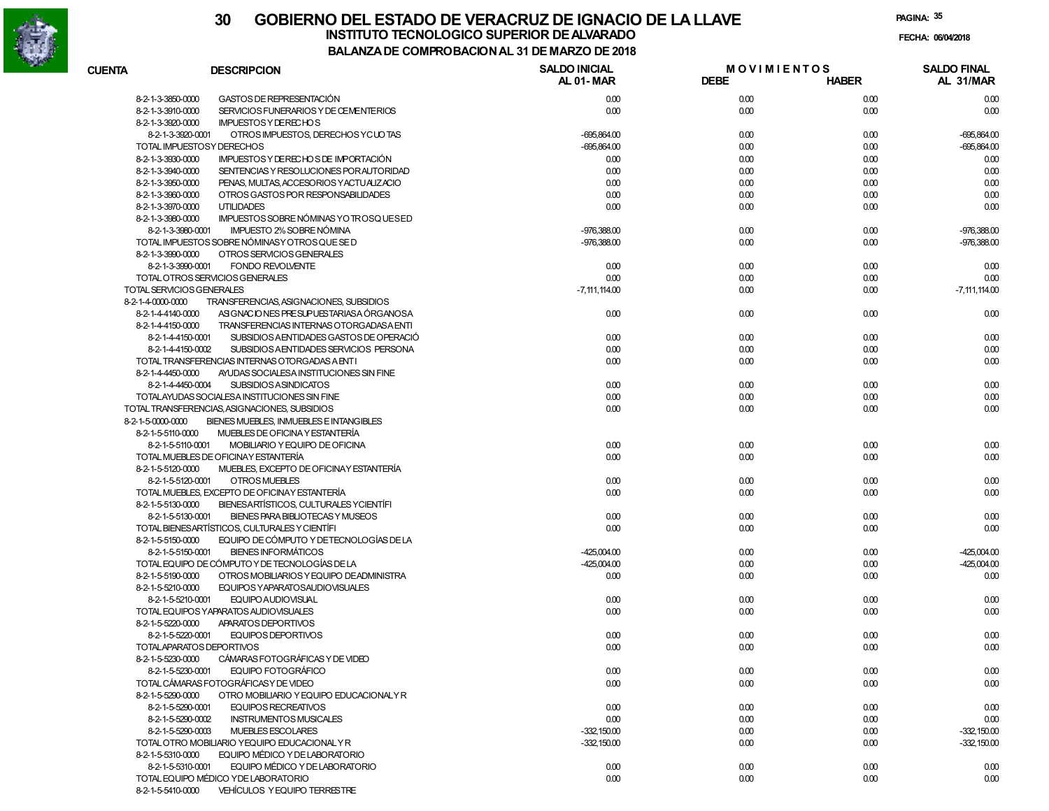

| <b>CUENTA</b>             | <b>DESCRIPCION</b>                             | <b>SALDO INICIAL</b><br>AL 01-MAR | <b>MOVIMIENTOS</b><br><b>DEBE</b> | <b>HABER</b> | <b>SALDO FINAL</b><br>AL 31/MAR |
|---------------------------|------------------------------------------------|-----------------------------------|-----------------------------------|--------------|---------------------------------|
| 8-2-1-3-3850-0000         | GASTOS DE REPRESENTACIÓN                       | 0.00                              | 0.00                              | 0.00         | 0.00                            |
| 8-2-1-3-3910-0000         | SERVICIOS FUNERARIOS Y DE CEMENTERIOS          | 0.00                              | 0.00                              | 0.00         | 0.00                            |
| 8-2-1-3-3920-0000         | <b>IMPUESTOS Y DERECHOS</b>                    |                                   |                                   |              |                                 |
| 8-2-1-3-3920-0001         | OTROS IMPUESTOS, DERECHOS YCUOTAS              | $-695,864.00$                     | 0.00                              | 0.00         | $-695,864.00$                   |
|                           | TOTAL IMPUESTOSY DERECHOS                      | $-695.864.00$                     | 0.00                              | 0.00         | $-695,864.00$                   |
| 8-2-1-3-3930-0000         | IMPUESTOS Y DE RECHOS DE IMPORTACIÓN           | 0.00                              | 0.00                              | 0.00         | 0.00                            |
| 8-2-1-3-3940-0000         | SENTENCIAS Y RESOLUCIONES POR AUTORIDAD        | 0.00                              | 0.00                              | 0.00         | 0.00                            |
| 8-2-1-3-3950-0000         | PENAS, MULTAS, ACCESORIOS YACTUALIZACIO        | 0.00                              | 0.00                              | 0.00         | 0.00                            |
| 8-2-1-3-3960-0000         | OTROS GASTOS POR RESPONSABILIDADES             | 0.00                              | 0.00                              | 0.00         | 0.00                            |
| 8-2-1-3-3970-0000         | <b>UTILIDADES</b>                              | 0.00                              | 0.00                              | 0.00         | 0.00                            |
| 8-2-1-3-3980-0000         | IMPUESTOS SOBRE NÓMINAS YO TROSQUESED          |                                   |                                   |              |                                 |
| 8-2-1-3-3980-0001         | IMPUESTO 2% SOBRE NÓMINA                       | $-976,388.00$                     | 0.00                              | 0.00         | $-976,388.00$                   |
|                           | TOTAL IMPUESTOS SOBRE NÓMINASY OTROS QUE SE D  | $-976,388.00$                     | 0.00                              | 0.00         | $-976,388.00$                   |
| 8-2-1-3-3990-0000         | OTROS SERVICIOS GENERALES                      |                                   |                                   |              |                                 |
| 8-2-1-3-3990-0001         | <b>FONDO REVOLVENTE</b>                        | 0.00                              | 0.00                              | 0.00         | 0.00                            |
|                           | TOTAL OTROS SERVICIOS GENERALES                | 0.00                              | 0.00                              | 0.00         | 0.00                            |
| TOTAL SERVICIOS GENERALES |                                                | $-7, 111, 114.00$                 | 0.00                              | 0.00         | $-7, 111, 114.00$               |
| 8-2-1-4-0000-0000         | TRANSFERENCIAS, ASIGNACIONES, SUBSIDIOS        |                                   |                                   |              |                                 |
| 8-2-1-4-4140-0000         | ASIGNACIONES PRESUPUESTARIASA ÓRGANOSA         | 0.00                              | 0.00                              | 0.00         | 0.00                            |
| 8-2-1-4-4150-0000         | TRANSFERENCIAS INTERNAS OTORGADASA ENTI        |                                   |                                   |              |                                 |
| 8-2-1-4-4150-0001         | SUBSIDIOS AENTIDADES GASTOS DE OPERACIÓ        | 0.00                              | 0.00                              | 0.00         | 0.00                            |
| 8-2-1-4-4150-0002         | SUBSIDIOS AENTIDADES SERVICIOS PERSONA         | 0.00                              | 0.00                              | 0.00         | 0.00                            |
|                           | TOTAL TRANSFERENCIAS INTERNAS OTORGADAS A ENTI | 0.00                              | 0.00                              | 0.00         | 0.00                            |
| 8-2-1-4-4450-0000         | AYUDAS SOCIALESA INSTITUCIONES SIN FINE        |                                   |                                   |              |                                 |
| 8-2-1-4-4450-0004         | <b>SUBSIDIOS ASINDICATOS</b>                   | 0.00                              | 0.00                              | 0.00         | 0.00                            |
|                           | TOTALAYUDAS SOCIALESA INSTITUCIONES SIN FINE   | 0.00                              | 0.00                              | 0.00         | 0.00                            |
|                           | TOTAL TRANSFERENCIAS, ASIGNACIONES, SUBSIDIOS  | 0.00                              | 0.00                              | 0.00         | 0.00                            |
| 8-2-1-5-0000-0000         | BIENES MUEBLES, INMUEBLES E INTANGIBLES        |                                   |                                   |              |                                 |
| 8-2-1-5-5110-0000         | MUEBLES DE OFICINA Y ESTANTERÍA                |                                   |                                   |              |                                 |
| 8-2-1-5-5110-0001         | MOBILIARIO Y EQUIPO DE OFICINA                 | 0.00                              | 0.00                              | 0.00         | 0.00                            |
|                           | TOTAL MUEBLES DE OFICINAY ESTANTERÍA           | 0.00                              | 0.00                              | 0.00         | 0.00                            |
| 8-2-1-5-5120-0000         | MUEBLES, EXCEPTO DE OFICINAY ESTANTERÍA        |                                   |                                   |              |                                 |
| 8-2-1-5-5120-0001         | OTROS MUEBLES                                  | 0.00                              | 0.00                              | 0.00         | 0.00                            |
|                           | TOTAL MUEBLES, EXCEPTO DE OFICINAY ESTANTERÍA  | 0.00                              | 0.00                              | 0.00         | 0.00                            |
| 8-2-1-5-5130-0000         | BIENESARTÍSTICOS, CULTURALES YCIENTÍFI         |                                   |                                   |              |                                 |
| 8-2-1-5-5130-0001         | BIENES PARA BIBLIOTECAS Y MUSEOS               | 0.00                              | 0.00                              | 0.00         | 0.00                            |
|                           | TOTAL BIENESARTÍSTICOS, CULTURALES Y CIENTÍFI  | 0.00                              | 0.00                              | 0.00         | 0.00                            |
| 8-2-1-5-5150-0000         | EQUIPO DE CÓMPUTO Y DETECNOLOGÍAS DE LA        |                                   |                                   |              |                                 |
| 8-2-1-5-5150-0001         | <b>BIENES INFORMÁTICOS</b>                     | $-425,004.00$                     | 0.00                              | 0.00         | $-425,004.00$                   |
|                           | TOTAL EQUIPO DE CÓMPUTO Y DE TECNOLOGÍAS DE LA | $-425,004.00$                     | 0.00                              | 0.00         | $-425,004.00$                   |
| 8-2-1-5-5190-0000         | OTROS MOBILIARIOS Y EQUIPO DE ADMINISTRA       | 0.00                              | 0.00                              | 0.00         | 0.00                            |
| 8-2-1-5-5210-0000         | EQUIPOS YAPARATOSAUDIOVISUALES                 |                                   |                                   |              |                                 |
| 8-2-1-5-5210-0001         | EQUIPO AUDIOVISUAL                             | 0.00                              | 0.00                              | 0.00         | 0.00                            |
|                           | TOTAL EQUIPOS YAPARATOS AUDIOVISUALES          | 0.00                              | 0.00                              | 0.00         | 0.00                            |
| 8-2-1-5-5220-0000         | APARATOS DEPORTIVOS                            |                                   |                                   |              |                                 |
| 8-2-1-5-5220-0001         | EQUIPOS DEPORTIVOS                             | 0.00                              | 0.00                              | 0.00         | 0.00                            |
|                           | TOTALAPARATOS DEPORTIVOS                       | 0.00                              | 0.00                              | 0.00         | 0.00                            |
| 8-2-1-5-5230-0000         | CÁMARAS FOTOGRÁFICAS Y DE VIDEO                |                                   |                                   |              |                                 |
| 8-2-1-5-5230-0001         | EQUIPO FOTOGRÁFICO                             | 0.00                              | 0.00                              | 0.00         | 0.00                            |
|                           | TOTAL CÁMARAS FOTOGRÁFICAS Y DE VIDEO          | 0.00                              | 0.00                              | 0.00         | 0.00                            |
| 8-2-1-5-5290-0000         | OTRO MOBILIARIO Y EQUIPO EDUCACIONALY R        |                                   |                                   |              |                                 |
| 8-2-1-5-5290-0001         | <b>EQUIPOS RECREATIVOS</b>                     | 0.00                              | 0.00                              | 0.00         | 0.00                            |
| 8-2-1-5-5290-0002         | <b>INSTRUMENTOS MUSICALES</b>                  | 0.00                              | 0.00                              | 0.00         | 0.00                            |
| 8-2-1-5-5290-0003         | MUEBLES ESCOLARES                              | $-332,150.00$                     | 0.00                              | 0.00         | $-332,150.00$                   |
|                           | TOTAL OTRO MOBILIARIO YEQUIPO EDUCACIONAL Y R  | $-332,150.00$                     | 0.00                              | 0.00         | $-332,150.00$                   |
| 8-2-1-5-5310-0000         | EQUIPO MÉDICO Y DE LABORATORIO                 |                                   |                                   |              |                                 |
| 8-2-1-5-5310-0001         | EQUIPO MÉDICO Y DE LABORATORIO                 | 0.00                              | 0.00                              | 0.00         | 0.00                            |
|                           | TOTAL EQUIPO MÉDICO Y DE LABORATORIO           | 0.00                              | 0.00                              | 0.00         | 0.00                            |
| 8-2-1-5-5410-0000         | VEHÍCULOS Y EQUIPO TERRESTRE                   |                                   |                                   |              |                                 |
|                           |                                                |                                   |                                   |              |                                 |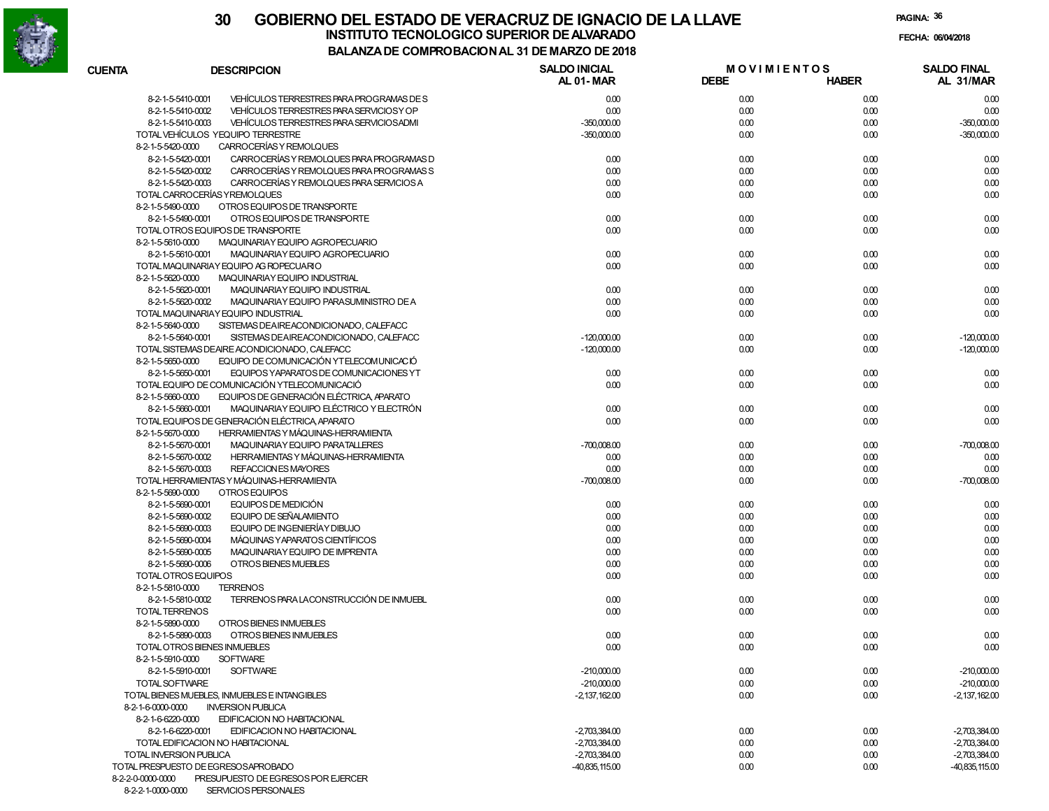

**PAGINA:36**

|                   |                                                               | <b>SALDO INICIAL</b> | <b>MOVIMIENTOS</b> |              | <b>SALDO FINAL</b> |
|-------------------|---------------------------------------------------------------|----------------------|--------------------|--------------|--------------------|
| CUENTA            | <b>DESCRIPCION</b>                                            | <b>AL 01-MAR</b>     | <b>DEBE</b>        | <b>HABER</b> | AL 31/MAR          |
|                   | VEHÍCULOS TERRESTRES PARA PROGRAMAS DE S<br>8-2-1-5-5410-0001 | 0.00                 | 0.00               | 0.00         | 0.00               |
|                   | 8-2-1-5-5410-0002<br>VEHÍCULOS TERRESTRES PARA SERVICIOS Y OP | 0.00                 | 0.00               | 0.00         | 0.00               |
|                   | 8-2-1-5-5410-0003<br>VEHÍCULOS TERRESTRES PARA SERVICIOSADMI  | $-350,000.00$        | 0.00               | 0.00         | $-350,000.00$      |
|                   | TOTAL VEHÍCULOS YEQUIPO TERRESTRE                             | $-350,000.00$        | 0.00               | 0.00         | $-350,000.00$      |
| 8-2-1-5-5420-0000 | CARROCERÍAS Y REMOLQUES                                       |                      |                    |              |                    |
|                   | 8-2-1-5-5420-0001<br>CARROCERÍAS Y REMOLQUES PARA PROGRAMAS D | 0.00                 | 0.00               | 0.00         | 0.00               |
|                   | 8-2-1-5-5420-0002<br>CARROCERÍAS Y REMOLQUES PARA PROGRAMAS S | 0.00                 | 0.00               | 0.00         | 0.00               |
|                   | 8-2-1-5-5420-0003<br>CARROCERÍAS Y REMOLQUES PARA SERVICIOS A | 0.00                 | 0.00               | 0.00         | 0.00               |
|                   | TOTAL CARROCERÍAS Y REMOLQUES                                 | 0.00                 | 0.00               | 0.00         | 0.00               |
| 8-2-1-5-5490-0000 | OTROS EQUIPOS DE TRANSPORTE                                   |                      |                    |              |                    |
|                   | 8-2-1-5-5490-0001<br>OTROS EQUIPOS DE TRANSPORTE              | 0.00                 | 0.00               | 0.00         | 0.00               |
|                   | TOTAL OTROS EQUIPOS DE TRANSPORTE                             | 0.00                 | 0.00               | 0.00         | 0.00               |
| 8-2-1-5-5610-0000 | MAQUINARIAY EQUIPO AGROPECUARIO                               |                      |                    |              |                    |
|                   | 8-2-1-5-5610-0001<br>MAQUINARIAY EQUIPO AGROPECUARIO          | 0.00                 | 0.00               | 0.00         | 0.00               |
|                   | TOTAL MAQUINARIAY EQUIPO AG ROPECUARIO                        | 0.00                 | 0.00               | 0.00         | 0.00               |
| 8-2-1-5-5620-0000 | MAQUINARIAY EQUIPO INDUSTRIAL                                 |                      |                    |              |                    |
|                   | 8-2-1-5-5620-0001<br>MAQUINARIAY EQUIPO INDUSTRIAL            | 0.00                 | 0.00               | 0.00         | 0.00               |
|                   | 8-2-1-5-5620-0002<br>MAQUINARIAY EQUIPO PARASUMINISTRO DE A   | 0.00                 | 0.00               | 0.00         | 0.00               |
|                   | TOTAL MAQUINARIAY EQUIPO INDUSTRIAL                           | 0.00                 | 0.00               | 0.00         | 0.00               |
| 8-2-1-5-5640-0000 | SISTEMAS DEAIREACONDICIONADO, CALEFACC                        |                      |                    |              |                    |
|                   | 8-2-1-5-5640-0001<br>SISTEMAS DEAIREACONDICIONADO, CALEFACC   | $-120,000.00$        | 0.00               | 0.00         | $-120,000.00$      |
|                   | TOTAL SISTEMAS DEAIRE ACONDICIONADO, CALEFACC                 | $-120,000.00$        | 0.00               | 0.00         | $-120,000.00$      |
| 8-2-1-5-5650-0000 | EQUIPO DE COMUNICACIÓN YTELECOMUNICACIÓ                       |                      |                    |              |                    |
|                   | EQUIPOS YAPARATOS DE COMUNICACIONES YT<br>8-2-1-5-5650-0001   | 0.00                 | 0.00               | 0.00         | 0.00               |
|                   | TOTAL EQUIPO DE COMUNICACIÓN YTELECOMUNICACIÓ                 | 0.00                 | 0.00               | 0.00         | 0.00               |
|                   | EQUIPOS DE GENERACIÓN ELÉCTRICA APARATO                       |                      |                    |              |                    |
| 8-2-1-5-5660-0000 |                                                               |                      |                    |              |                    |
|                   | MAQUINARIAY EQUIPO ELÉCTRICO Y ELECTRÓN<br>8-2-1-5-5660-0001  | 0.00                 | 0.00               | 0.00         | 0.00               |
|                   | TOTAL EQUIPOS DE GENERACIÓN ELÉCTRICA APARATO                 | 0.00                 | 0.00               | 0.00         | 0.00               |
| 8-2-1-5-5670-0000 | HERRAMIENTAS Y MÁQUINAS-HERRAMIENTA                           |                      |                    |              |                    |
|                   | MAQUINARIAY EQUIPO PARATALLERES<br>8-2-1-5-5670-0001          | $-700,008.00$        | 0.00               | 0.00         | $-700,008.00$      |
|                   | HERRAMIENTAS Y MÁQUINAS-HERRAMIENTA<br>8-2-1-5-5670-0002      | 0.00                 | 0.00               | 0.00         | 0.00               |
|                   | REFACCION ES MAYORES<br>8-2-1-5-5670-0003                     | 0.00                 | 0.00               | 0.00         | 0.00               |
|                   | TOTAL HERRAMIENTAS Y MÁQUINAS-HERRAMIENTA                     | $-700,008.00$        | 0.00               | 0.00         | $-700,008.00$      |
| 8-2-1-5-5690-0000 | OTROS EQUIPOS                                                 |                      |                    |              |                    |
|                   | 8-2-1-5-5690-0001<br>EQUIPOS DE MEDICIÓN                      | 0.00                 | 0.00               | 0.00         | 0.00               |
|                   | 8-2-1-5-5690-0002<br>EQUIPO DE SEÑALAMIENTO                   | 0.00                 | 0.00               | 0.00         | 0.00               |
|                   | 8-2-1-5-5690-0003<br>EQUIPO DE INGENIERÍAY DIBUJO             | 0.00                 | 0.00               | 0.00         | 0.00               |
|                   | 8-2-1-5-5690-0004<br>MÁQUINAS Y APARATOS CIENTÍFICOS          | 0.00                 | 0.00               | 0.00         | 0.00               |
|                   | 8-2-1-5-5690-0005<br>MAQUINARIAY EQUIPO DE IMPRENTA           | 0.00                 | 0.00               | 0.00         | 0.00               |
|                   | 8-2-1-5-5690-0006<br>OTROS BIENES MUEBLES                     | 0.00                 | 0.00               | 0.00         | 0.00               |
|                   | TOTAL OTROS EQUIPOS                                           | 0.00                 | 0.00               | 0.00         | 0.00               |
| 8-2-1-5-5810-0000 | <b>TERRENOS</b>                                               |                      |                    |              |                    |
|                   | TERRENOS PARA LACONSTRUCCIÓN DE INMUEBL<br>8-2-1-5-5810-0002  | 0.00                 | 0.00               | 0.00         | 0.00               |
|                   | <b>TOTAL TERRENOS</b>                                         | 0.00                 | 0.00               | 0.00         | 0.00               |
| 8-2-1-5-5890-0000 | OTROS BIENES INMUEBLES                                        |                      |                    |              |                    |
|                   | 8-2-1-5-5890-0003<br>OTROS BIENES INMUEBLES                   | 0.00                 | 0.00               | 0.00         | 0.00               |
|                   | TOTAL OTROS BIENES INMUEBLES                                  | 0.00                 | 0.00               | 0.00         | 0.00               |
| 8-2-1-5-5910-0000 | <b>SOFTWARE</b>                                               |                      |                    |              |                    |
|                   | 8-2-1-5-5910-0001<br><b>SOFTWARE</b>                          | $-210,000.00$        | 0.00               | 0.00         | $-210,000.00$      |
|                   | TOTAL SOFTWARE                                                | $-210,000,00$        | 0.00               | 0.00         | $-210,000,00$      |
|                   | TOTAL BIENES MUEBLES. INMUEBLES E INTANGIBLES                 | $-2,137,162.00$      | 0.00               | 0.00         | $-2,137,162.00$    |
| 8-2-1-6-0000-0000 | <b>INVERSION PUBLICA</b>                                      |                      |                    |              |                    |
| 8-2-1-6-6220-0000 | EDIFICACION NO HABITACIONAL                                   |                      |                    |              |                    |
|                   | 8-2-1-6-6220-0001<br>EDIFICACION NO HABITACIONAL              | $-2,703,384.00$      | 0.00               | 0.00         | $-2,703,384.00$    |
|                   | TOTAL EDIFICACION NO HABITACIONAL                             | $-2,703,384.00$      | 0.00               | 0.00         | $-2,703,384.00$    |
|                   | <b>TOTAL INVERSION PUBLICA</b>                                | $-2,703,384.00$      | 0.00               | 0.00         | $-2,703,384.00$    |
|                   | TOTAL PRESPUESTO DE EGRESOS APROBADO                          | $-40,835,115.00$     | 0.00               | 0.00         | $-40,835,115.00$   |
| 8-2-2-0-0000-0000 | PRESUPUESTO DE EGRESOS POR EJERCER                            |                      |                    |              |                    |

8-2-2-1-0000-0000 SERVICIOS PERSONALES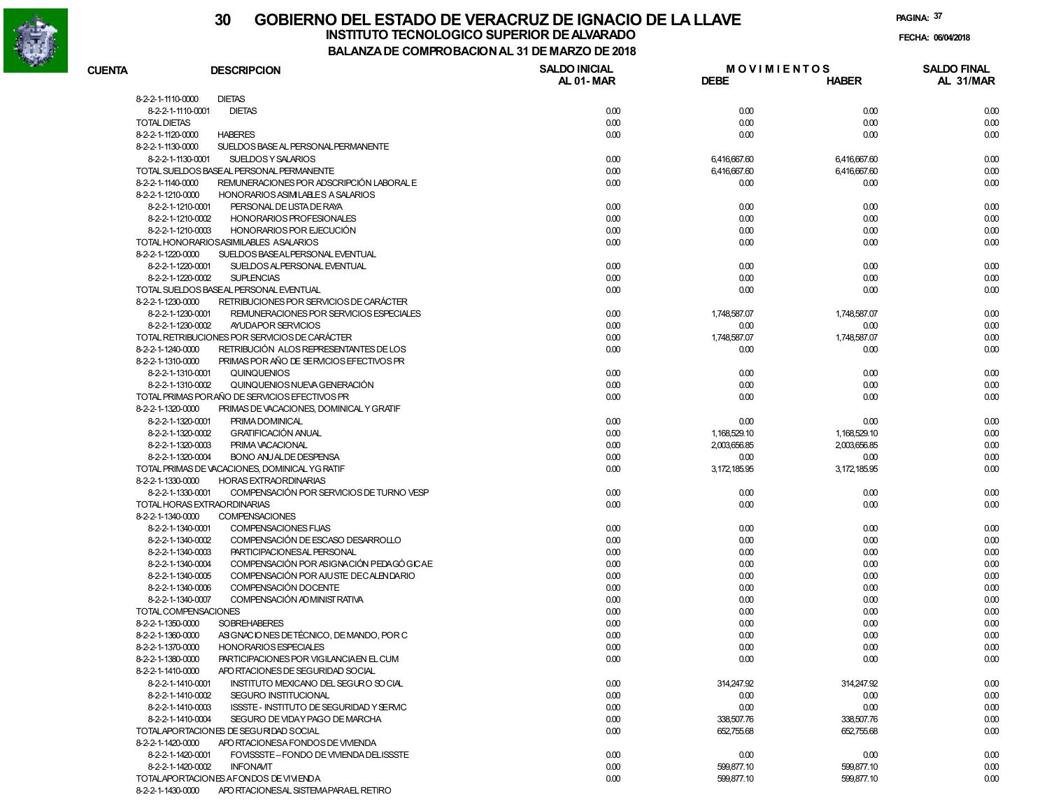

# **30 GOBIERNO DEL ESTADO DE VERACRUZ DE IGNACIO DE LA LLAVEINSTITUTO TECNOLOGICO SUPERIOR DE ALVARADO de la composición de la composición de la composición de la composición**<br>Dal aniza de composición da la de marzo de como

**BALANZA DE COMPROBACION AL 31 DE MARZO DE 2018**

**FECHA:**

| <b>CUENTA</b>       | <b>DESCRIPCION</b>                                            | <b>SALDO INICIAL</b> | <b>MOVIMIENTOS</b> |                | <b>SALDO FINAL</b> |
|---------------------|---------------------------------------------------------------|----------------------|--------------------|----------------|--------------------|
|                     |                                                               | AL 01-MAR            | <b>DEBE</b>        | <b>HABER</b>   | AL 31/MAR          |
| 8-2-2-1-1110-0000   | <b>DIETAS</b>                                                 |                      |                    |                |                    |
|                     | <b>DIETAS</b><br>8-2-2-1-1110-0001                            | 0.00                 | 0.00               | 0.00           | 0.00               |
| <b>TOTAL DIETAS</b> |                                                               | 0.00                 | 0.00               | 0.00           | 0.00               |
| 8-2-2-1-1120-0000   | <b>HABERES</b>                                                | 0.00                 | 0.00               | 0.00           | 0.00               |
| 8-2-2-1-1130-0000   | SUELDOS BASE AL PERSONAL PERMANENTE                           |                      |                    |                |                    |
|                     | 8-2-2-1-1130-0001<br>SUELDOS Y SALARIOS                       | 0.00                 | 6,416,667.60       | 6,416,667.60   | 0.00               |
|                     | TOTAL SUELDOS BASEAL PERSONAL PERMANENTE                      | 0.00                 | 6,416,667.60       | 6,416,667.60   | 0.00               |
| 8-2-2-1-1140-0000   | REMUNERACIONES POR ADSCRIPCIÓN LABORAL E                      | 0.00                 | 0.00               | 0.00           | 0.00               |
| 8-2-2-1-1210-0000   | HONORARIOS ASIMILABLES A SALARIOS                             |                      |                    |                |                    |
|                     | 8-2-2-1-1210-0001<br>PERSONAL DE LISTA DE RAYA                | 0.00                 | 0.00               | 0.00           | 0.00               |
|                     | 8-2-2-1-1210-0002<br><b>HONORARIOS PROFESIONALES</b>          | 0.00                 | 0.00               | 0.00           | 0.00               |
|                     | 8-2-2-1-1210-0003<br>HONORARIOS POR EJECUCIÓN                 | 0.00                 | 0.00               | 0.00           | 0.00               |
|                     | TOTAL HONORARIOSASIMILABLES ASALARIOS                         | 0.00                 | 0.00               | 0.00           | 0.00               |
| 8-2-2-1-1220-0000   | SUELDOS BASEALPERSONAL EVENTUAL                               |                      |                    |                |                    |
|                     | 8-2-2-1-1220-0001<br>SUELDOS AL PERSONAL EVENTUAL             | 0.00                 | 0.00               | 0.00           | 0.00               |
|                     | 8-2-2-1-1220-0002<br><b>SUPLENCIAS</b>                        | 0.00                 | 0.00               | 0.00           | 0.00               |
|                     | TOTAL SUELDOS BASEAL PERSONAL EVENTUAL                        | 0.00                 | 0.00               | 0.00           | 0.00               |
| 8-2-2-1-1230-0000   | RETRIBUCIONES POR SERVICIOS DE CARÁCTER                       |                      |                    |                |                    |
|                     | REMUNERACIONES POR SERVICIOS ESPECIALES<br>8-2-2-1-1230-0001  | 0.00                 | 1,748,587.07       | 1,748,587.07   | 0.00               |
|                     | 8-2-2-1-1230-0002<br>AYUDAPOR SERVICIOS                       | 0.00                 | 0.00               | 0.00           | 0.00               |
|                     | TOTAL RETRIBUCIONES POR SERVICIOS DE CARÁCTER                 | 0.00                 | 1,748,587.07       | 1,748,587.07   | 0.00               |
| 8-2-2-1-1240-0000   | RETRIBUCIÓN ALOS REPRESENTANTES DE LOS                        | 0.00                 | 0.00               | 0.00           | 0.00               |
| 8-2-2-1-1310-0000   | PRIMAS POR AÑO DE SERVICIOS EFECTIVOS PR                      |                      |                    |                |                    |
|                     | 8-2-2-1-1310-0001<br>QUINQUENIOS                              | 0.00                 | 0.00               | 0.00           | 0.00               |
|                     | 8-2-2-1-1310-0002<br>QUINQUENIOS NUEVA GENERACIÓN             | 0.00                 | 0.00               | 0.00           | 0.00               |
|                     | TOTAL PRIMAS PORAÑO DE SERVICIOS EFECTIVOS PR                 | 0.00                 | 0.00               | 0.00           | 0.00               |
| 8-2-2-1-1320-0000   | PRIMAS DE VACACIONES, DOMINICAL Y GRATIF                      |                      |                    |                |                    |
|                     | 8-2-2-1-1320-0001<br>PRIMA DOMINICAL                          | 0.00                 | 0.00               | 0.00           | 0.00               |
|                     | 8-2-2-1-1320-0002<br><b>GRATIFICACIÓN ANUAL</b>               | 0.00                 | 1, 168, 529. 10    | 1.168.529.10   | 0.00               |
|                     | 8-2-2-1-1320-0003<br>PRIMA VACACIONAL                         | 0.00                 | 2,003,656.85       | 2,003,656.85   | 0.00               |
|                     | 8-2-2-1-1320-0004<br><b>BONO ANJALDE DESPENSA</b>             | 0.00                 | 0.00               | 0.00           | 0.00               |
|                     | TOTAL PRIMAS DE VACACIONES, DOMINICAL YG RATIF                | 0.00                 | 3, 172, 185.95     | 3, 172, 185.95 | 0.00               |
| 8-2-2-1-1330-0000   | <b>HORAS EXTRAORDINARIAS</b>                                  |                      |                    |                |                    |
|                     | COMPENSACIÓN POR SERVICIOS DE TURNO VESP<br>8-2-2-1-1330-0001 | 0.00                 | 0.00               | 0.00           | 0.00               |
|                     | TOTAL HORAS EXTRAORDINARIAS                                   | 0.00                 | 0.00               | 0.00           | 0.00               |
| 8-2-2-1-1340-0000   | <b>COMPENSACIONES</b>                                         |                      |                    |                |                    |
|                     | 8-2-2-1-1340-0001<br>COMPENSACIONES FIJAS                     | 0.00                 | 0.00               | 0.00           | 0.00               |
|                     | COMPENSACIÓN DE ESCASO DESARROLLO<br>8-2-2-1-1340-0002        | 0.00                 | 0.00               | 0.00           | 0.00               |
|                     | PARTICIPACIONESAL PERSONAL<br>8-2-2-1-1340-0003               | 0.00                 | 0.00               | 0.00           | 0.00               |
|                     | COMPENSACIÓN POR ASIGNACIÓN PEDAGÓ GICAE<br>8-2-2-1-1340-0004 | 0.00                 | 0.00               | 0.00           | 0.00               |
|                     | COMPENSACIÓN POR AJUSTE DECALENDARIO<br>8-2-2-1-1340-0005     | 0.00                 | 0.00               | 0.00           | 0.00               |
|                     | COMPENSACIÓN DOCENTE<br>8-2-2-1-1340-0006                     | 0.00                 | 0.00               | 0.00           | 0.00               |
|                     | COMPENSACIÓN AD MINIST RATIVA<br>8-2-2-1-1340-0007            | 0.00                 | 0.00               | 0.00           | 0.00               |
|                     | TOTAL COMPENSACIONES                                          | 0.00                 | 0.00               | 0.00           | 0.00               |
| 8-2-2-1-1350-0000   | <b>SOBREHABERES</b>                                           | 0.00                 | 0.00               | 0.00           | 0.00               |
| 8-2-2-1-1360-0000   | ASIGNACIONES DE TÉCNICO, DE MANDO, POR C                      | 0.00                 | 0.00               | 0.00           | 0.00               |
| 8-2-2-1-1370-0000   | <b>HONORARIOS ESPECIALES</b>                                  | 0.00                 | 0.00               | 0.00           | 0.00               |
| 8-2-2-1-1380-0000   | PARTICIPACIONES POR VIGILANCIAEN EL CUM                       | 0.00                 | 0.00               | 0.00           | 0.00               |
| 8-2-2-1-1410-0000   | APO RTACIONES DE SEGURIDAD SOCIAL                             |                      |                    |                |                    |
|                     | 8-2-2-1-1410-0001<br>INSTITUTO MEXICANO DEL SEGURO SO CIAL    | 0.00                 | 314,247.92         | 314,247.92     | 0.00               |
|                     | 8-2-2-1-1410-0002<br>SEGURO INSTITUCIONAL                     | 0.00                 | 0.00               | 0.00           | 0.00               |
|                     | 8-2-2-1-1410-0003<br>ISSSTE - INSTITUTO DE SEGURIDAD Y SERVIC | 0.00                 | 0.00               | 0.00           | 0.00               |
|                     | 8-2-2-1-1410-0004<br>SEGURO DE VIDAY PAGO DE MARCHA           | 0.00                 | 338,507.76         | 338,507.76     | 0.00               |
|                     | TOTALAPORTACIONES DE SEGURIDAD SOCIAL                         | 0.00                 | 652,755.68         | 652,755.68     | 0.00               |
| 8-2-2-1-1420-0000   | APO RTACIONESA FONDOS DE VIVIENDA                             |                      |                    |                |                    |
|                     | 8-2-2-1-1420-0001<br>FOVISSSTE-FONDO DE VIVIENDA DELISSSTE    | 0.00                 | 0.00               | 0.00           | 0.00               |
|                     | 8-2-2-1-1420-0002<br><b>INFONAVIT</b>                         | 0.00                 | 599,877.10         | 599,877.10     | 0.00               |
|                     | TOTALAPORTACIONES AFONDOS DE VIVIENDA                         | 0.00                 | 599,877.10         | 599,877.10     | 0.00               |
| 8-2-2-1-1430-0000   | APO RTACIONESAL SISTEMAPARAEL RETIRO                          |                      |                    |                |                    |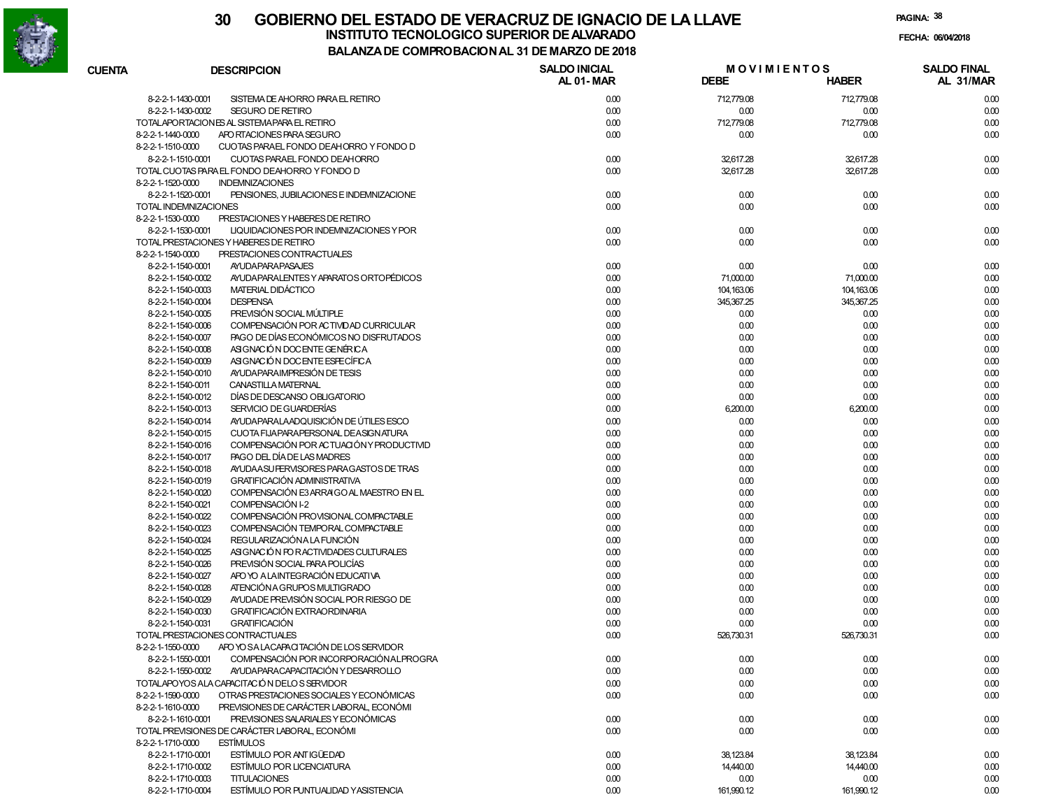

| <b>CUENTA</b> | <b>DESCRIPCION</b>                                            | <b>SALDO INICIAL</b><br><b>AL 01-MAR</b> | <b>DEBE</b>        | <b>MOVIMIENTOS</b><br><b>HABER</b> | <b>SALDO FINAL</b><br>AL 31/MAR |
|---------------|---------------------------------------------------------------|------------------------------------------|--------------------|------------------------------------|---------------------------------|
|               | 8-2-2-1-1430-0001<br>SISTEMA DE AHORRO PARA EL RETIRO         | 0.00                                     | 712,779.08         | 712,779.08                         | 0.00                            |
|               | 8-2-2-1-1430-0002<br><b>SEGURO DE RETIRO</b>                  | 0.00                                     | 0.00               | 0.00                               | 0.00                            |
|               | TOTALAPORTACIONES AL SISTEMAPARA EL RETIRO                    | 0.00                                     | 712,779.08         | 712,779.08                         | 0.00                            |
|               | 8-2-2-1-1440-0000<br>APO RTACIONES PARA SEGURO                | 0.00                                     | 0.00               | 0.00                               | 0.00                            |
|               | 8-2-2-1-1510-0000<br>CUOTAS PARAEL FONDO DEAHORRO Y FONDO D   |                                          |                    |                                    |                                 |
|               | 8-2-2-1-1510-0001<br>CUOTAS PARAEL FONDO DEAHORRO             | 0.00                                     | 32,617.28          | 32,617.28                          | 0.00                            |
|               | TOTAL CUOTAS PARA EL FONDO DEAHORRO Y FONDO D                 | 0.00                                     | 32,617.28          | 32,617.28                          | 0.00                            |
|               | 8-2-2-1-1520-0000<br><b>INDEMNIZACIONES</b>                   |                                          |                    |                                    |                                 |
|               | PENSIONES, JUBILACIONES E INDEMNIZACIONE<br>8-2-2-1-1520-0001 | 0.00                                     | 0.00               | 0.00                               | 0.00                            |
|               | <b>TOTAL INDEMNIZACIONES</b>                                  | 0.00                                     | 0.00               | 0.00                               | 0.00                            |
|               | 8-2-2-1-1530-0000<br>PRESTACIONES Y HABERES DE RETIRO         |                                          |                    |                                    |                                 |
|               | 8-2-2-1-1530-0001<br>LIQUIDACIONES POR INDEMNIZACIONES Y POR  | 0.00                                     | 0.00               | 0.00                               | 0.00                            |
|               | TOTAL PRESTACIONES Y HABERES DE RETIRO                        | 0.00                                     | 0.00               | 0.00                               | 0.00                            |
|               | 8-2-2-1-1540-0000<br>PRESTACIONES CONTRACTUALES               |                                          |                    |                                    |                                 |
|               | 8-2-2-1-1540-0001<br><b>AYUDAPARAPASAJES</b>                  | 0.00                                     | 0.00               | 0.00                               | 0.00                            |
|               | 8-2-2-1-1540-0002<br>AYUDA PARALENTES Y APARATOS ORTOPÉDICOS  | 0.00                                     | 71,000.00          | 71,000.00                          | 0.00                            |
|               | 8-2-2-1-1540-0003<br>MATERIAL DIDÁCTICO                       | 0.00                                     | 104, 163.06        | 104,163.06                         | 0.00                            |
|               | 8-2-2-1-1540-0004<br><b>DESPENSA</b>                          | 0.00                                     | 345,367.25         | 345,367.25                         | 0.00                            |
|               | PREVISIÓN SOCIAL MÚLTIPLE<br>8-2-2-1-1540-0005                | 0.00                                     | 0.00               | 0.00                               |                                 |
|               | COMPENSACIÓN POR ACTIVIDAD CURRICULAR                         |                                          |                    | 0.00                               | 0.00                            |
|               | 8-2-2-1-1540-0006                                             | 0.00                                     | 0.00               |                                    | 0.00                            |
|               | PAGO DE DÍAS ECONÓMICOS NO DISFRUTADOS<br>8-2-2-1-1540-0007   | 0.00                                     | 0.00               | 0.00                               | 0.00                            |
|               | ASIGNACIÓN DOCENTE GENÉRICA<br>8-2-2-1-1540-0008              | 0.00                                     | 0.00               | 0.00                               | 0.00                            |
|               | ASIGNACIÓN DOCENTE ESFECÍFICA<br>8-2-2-1-1540-0009            | 0.00                                     | 0.00               | 0.00                               | 0.00                            |
|               | AYUDA PARA IMPRESIÓN DE TESIS<br>8-2-2-1-1540-0010            | 0.00                                     | 0.00               | 0.00                               | 0.00                            |
|               | CANASTILLA MATERNAL<br>8-2-2-1-1540-0011                      | 0.00                                     | 0.00               | 0.00                               | 0.00                            |
|               | DÍAS DE DESCANSO OBLIGATORIO<br>8-2-2-1-1540-0012             | 0.00                                     | 0.00               | 0.00                               | 0.00                            |
|               | 8-2-2-1-1540-0013<br>SERVICIO DE GUARDERÍAS                   | 0.00                                     | 6,200.00           | 6,200.00                           | 0.00                            |
|               | AYUDA PARALA ADQUISICIÓN DE ÚTILES ESCO<br>8-2-2-1-1540-0014  | 0.00                                     | 0.00               | 0.00                               | 0.00                            |
|               | CUOTA FIJAPARAPERSONAL DEASIGNATURA<br>8-2-2-1-1540-0015      | 0.00                                     | 0.00               | 0.00                               | 0.00                            |
|               | COMPENSACIÓN POR ACTUACIÓN Y PRODUCTIVID<br>8-2-2-1-1540-0016 | 0.00                                     | 0.00               | 0.00                               | 0.00                            |
|               | PAGO DEL DÍA DE LAS MADRES<br>8-2-2-1-1540-0017               | 0.00                                     | 0.00               | 0.00                               | 0.00                            |
|               | AYUDA ASU FERVISORES PARA GASTOS DE TRAS<br>8-2-2-1-1540-0018 | 0.00                                     | 0.00               | 0.00                               | 0.00                            |
|               | <b>GRATIFICACIÓN ADMINISTRATIVA</b><br>8-2-2-1-1540-0019      | 0.00                                     | 0.00               | 0.00                               | 0.00                            |
|               | COMPENSACIÓN E3 ARRAIGO AL MAESTRO EN EL<br>8-2-2-1-1540-0020 | 0.00                                     | 0.00               | 0.00                               | 0.00                            |
|               | COMPENSACIÓN I-2<br>8-2-2-1-1540-0021                         | 0.00                                     | 0.00               | 0.00                               | 0.00                            |
|               | COMPENSACIÓN PROVISIONAL COMPACTABLE<br>8-2-2-1-1540-0022     | 0.00                                     | 0.00               | 0.00                               | 0.00                            |
|               | COMPENSACIÓN TEMPORAL COMPACTABLE<br>8-2-2-1-1540-0023        | 0.00                                     | 0.00               | 0.00                               | 0.00                            |
|               | 8-2-2-1-1540-0024<br>REGULARIZACIÓNA LA FUNCIÓN               | 0.00                                     | 0.00               | 0.00                               | 0.00                            |
|               | ASIGNACIÓN FOR ACTIVIDADES CULTURALES<br>8-2-2-1-1540-0025    | 0.00                                     | 0.00               | 0.00                               | 0.00                            |
|               | PREVISIÓN SOCIAL PARA POLICÍAS<br>8-2-2-1-1540-0026           | 0.00                                     | 0.00               | 0.00                               | 0.00                            |
|               | APO YO A LAINTEGRACIÓN EDUCATIVA<br>8-2-2-1-1540-0027         | 0.00                                     | 0.00               | 0.00                               | 0.00                            |
|               | ATENCIÓN A GRUPOS MULTIGRADO<br>8-2-2-1-1540-0028             | 0.00                                     | 0.00               | 0.00                               | 0.00                            |
|               | AYUDADE PREVISIÓN SOCIAL POR RIESGO DE<br>8-2-2-1-1540-0029   | 0.00                                     | 0.00               | 0.00                               | 0.00                            |
|               | <b>GRATIFICACIÓN EXTRAORDINARIA</b><br>8-2-2-1-1540-0030      | 0.00                                     | 0.00               | 0.00                               | 0.00                            |
|               | <b>GRATIFICACIÓN</b><br>8-2-2-1-1540-0031                     | 0.00                                     | 0.00               | 0.00                               | 0.00                            |
|               | TOTAL PRESTACIONES CONTRACTUALES                              | 0.00                                     | 526,730.31         | 526,730.31                         | 0.00                            |
|               | ARO YO SA LACAPACITACIÓN DE LOS SERVIDOR<br>8-2-2-1-1550-0000 |                                          |                    |                                    |                                 |
|               | COMPENSACIÓN POR INCORPORACIÓN ALPROGRA<br>8-2-2-1-1550-0001  | 0.00                                     | 0.00               | 0.00                               | 0.00                            |
|               | 8-2-2-1-1550-0002<br>AYUDA PARA CAPACITACIÓN Y DESARROLLO     | 0.00                                     | 0.00               | 0.00                               | 0.00                            |
|               | TOTALAPOYOS ALA CAPACITACIÓN DELOS SERVIDOR                   | 0.00                                     | 0.00               | 0.00                               | 0.00                            |
|               | 8-2-2-1-1590-0000<br>OTRAS PRESTACIONES SOCIALES Y ECONÓMICAS | 0.00                                     | 0.00               | 0.00                               | 0.00                            |
|               | 8-2-2-1-1610-0000<br>PREVISIONES DE CARÁCTER LABORAL. ECONÓMI |                                          |                    |                                    |                                 |
|               | PREVISIONES SALARIALES Y ECONÓMICAS<br>8-2-2-1-1610-0001      | 0.00                                     | 0.00               | 0.00                               | 0.00                            |
|               | TOTAL PREVISIONES DE CARÁCTER LABORAL, ECONÓMI                | 0.00                                     | 0.00               | 0.00                               | 0.00                            |
|               | <b>ESTÍMULOS</b><br>8-2-2-1-1710-0000                         |                                          |                    |                                    |                                 |
|               | 8-2-2-1-1710-0001<br>ESTÍMULO POR ANTIGÜEDAD                  | 0.00                                     | 38,123.84          | 38,123.84                          | 0.00                            |
|               | 8-2-2-1-1710-0002<br><b>ESTÍMULO POR LICENCIATURA</b>         | 0.00                                     | 14,440.00          | 14,440.00                          | 0.00                            |
|               | 8-2-2-1-1710-0003<br><b>TITULACIONES</b>                      |                                          |                    | 0.00                               |                                 |
|               | ESTÍMULO POR PUNTUALIDAD YASISTENCIA<br>8-2-2-1-1710-0004     | 0.00<br>0.00                             | 0.00<br>161,990.12 | 161,990.12                         | 0.00<br>0.00                    |
|               |                                                               |                                          |                    |                                    |                                 |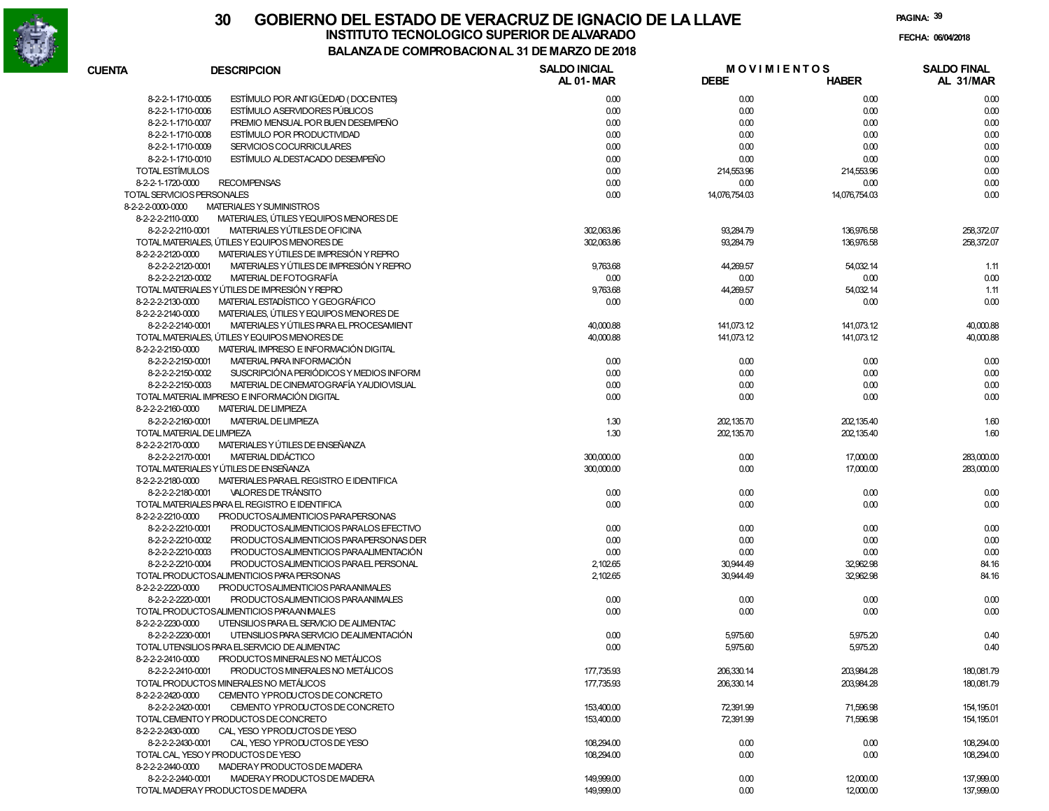

| <b>CUENTA</b>              | <b>DESCRIPCION</b>                             | <b>SALDO INICIAL</b><br>AL 01-MAR | <b>DEBE</b>   | <b>MOVIMIENTOS</b><br><b>HABER</b> | <b>SALDO FINAL</b><br>AL 31/MAR |
|----------------------------|------------------------------------------------|-----------------------------------|---------------|------------------------------------|---------------------------------|
| 8-2-2-1-1710-0005          | ESTÍMULO POR ANTIGÜEDAD (DOCENTES)             | 0.00                              | 0.00          | 0.00                               | 0.00                            |
| 8-2-2-1-1710-0006          | <b>ESTÍMULO ASERVIDORES PÚBLICOS</b>           | 0.00                              | 0.00          | 0.00                               | 0.00                            |
| 8-2-2-1-1710-0007          | PREMIO MENSUAL POR BUEN DESEMPEÑO              | 0.00                              | 0.00          | 0.00                               | 0.00                            |
| 8-2-2-1-1710-0008          | ESTÍMULO POR PRODUCTIVIDAD                     | 0.00                              | 0.00          | 0.00                               | 0.00                            |
| 8-2-2-1-1710-0009          | SERVICIOS COCURRICULARES                       | 0.00                              | 0.00          | 0.00                               | 0.00                            |
| 8-2-2-1-1710-0010          | ESTÍMULO ALDESTACADO DESEMPEÑO                 | 0.00                              | 0.00          | 0.00                               | 0.00                            |
| TOTAL ESTÍMULOS            |                                                | 0.00                              | 214,553.96    | 214,553.96                         | 0.00                            |
| 8-2-2-1-1720-0000          | <b>RECOMPENSAS</b>                             | 0.00                              | 0.00          | 0.00                               | 0.00                            |
| TOTAL SERVICIOS PERSONALES |                                                | 0.00                              | 14,076,754.03 | 14,076,754.03                      | 0.00                            |
| 8-2-2-2-0000-0000          | MATERIALES Y SUMINISTROS                       |                                   |               |                                    |                                 |
| 8-2-2-2-2110-0000          | MATERIALES, ÚTILES Y EQUIPOS MENORES DE        |                                   |               |                                    |                                 |
| 8-2-2-2-2110-0001          | MATERIALES YÚTILES DE OFICINA                  | 302.063.86                        | 93,284.79     | 136,976.58                         | 258,372.07                      |
|                            | TOTAL MATERIALES, ÚTILES Y EQUIPOS MENORES DE  | 302.063.86                        | 93,284.79     | 136,976.58                         | 258,372.07                      |
| 8-2-2-2-2120-0000          | MATERIALES Y ÚTILES DE IMPRESIÓN Y REPRO       |                                   |               |                                    |                                 |
| 8-2-2-2-2120-0001          | MATERIALES Y ÚTILES DE IMPRESIÓN Y REPRO       | 9,763.68                          | 44,269.57     | 54,032.14                          | 1.11                            |
| 8-2-2-2-2120-0002          | MATERIAL DE FOTOGRAFÍA                         | 0.00                              | 0.00          | 0.00                               | 0.00                            |
|                            | TOTAL MATERIALES Y ÚTILES DE IMPRESIÓN Y REPRO | 9,763.68                          | 44,269.57     | 54,032.14                          | 1.11                            |
| 8-2-2-2-2130-0000          | MATERIAL ESTADÍSTICO Y GEOGRÁFICO              | 0.00                              | 0.00          | 0.00                               | 0.00                            |
| 8-2-2-2-2140-0000          | MATERIALES, ÚTILES Y EQUIPOS MENORES DE        |                                   |               |                                    |                                 |
|                            |                                                |                                   |               |                                    |                                 |
| 8-2-2-2-2140-0001          | MATERIALES Y ÚTILES PARA EL PROCESAMIENT       | 40,000.88                         | 141,073.12    | 141,073.12                         | 40,000.88                       |
|                            | TOTAL MATERIALES, ÚTILES Y EQUIPOS MENORES DE  | 40,000.88                         | 141,073.12    | 141,073.12                         | 40,000.88                       |
| 8-2-2-2-2150-0000          | MATERIAL IMPRESO E INFORMACIÓN DIGITAL         |                                   |               |                                    |                                 |
| 8-2-2-2-2150-0001          | MATERIAL PARA INFORMACIÓN                      | 0.00                              | 0.00          | 0.00                               | 0.00                            |
| 8-2-2-2-2150-0002          | SUSCRIPCIÓN A PERIÓDICOS Y MEDIOS INFORM       | 0.00                              | 0.00          | 0.00                               | 0.00                            |
| 8-2-2-2-2150-0003          | MATERIAL DE CINEMATOGRAFÍA YAUDIOVISUAL        | 0.00                              | 0.00          | 0.00                               | 0.00                            |
|                            | TOTAL MATERIAL IMPRESO E INFORMACIÓN DIGITAL   | 0.00                              | 0.00          | 0.00                               | 0.00                            |
| 8-2-2-2-2160-0000          | <b>MATERIAL DE LIMPIEZA</b>                    |                                   |               |                                    |                                 |
| 8-2-2-2-2160-0001          | <b>MATERIAL DE LIMPIEZA</b>                    | 1.30                              | 202,135.70    | 202,135.40                         | 1.60                            |
| TOTAL MATERIAL DE LIMPIEZA |                                                | 1.30                              | 202,135.70    | 202,135.40                         | 1.60                            |
| 8-2-2-2-2170-0000          | MATERIALES Y ÚTILES DE ENSEÑANZA               |                                   |               |                                    |                                 |
| 8-2-2-2-2170-0001          | MATERIAL DIDÁCTICO                             | 300,000.00                        | 0.00          | 17,000.00                          | 283,000.00                      |
|                            | TOTAL MATERIALES Y ÚTILES DE ENSEÑANZA         | 300,000.00                        | 0.00          | 17,000.00                          | 283,000.00                      |
| 8-2-2-2-2180-0000          | MATERIALES PARAEL REGISTRO E IDENTIFICA        |                                   |               |                                    |                                 |
| 8-2-2-2-2180-0001          | VALORES DE TRÁNSITO                            | 0.00                              | 0.00          | 0.00                               | 0.00                            |
|                            | TOTAL MATERIALES PARA EL REGISTRO E IDENTIFICA | 0.00                              | 0.00          | 0.00                               | 0.00                            |
| 8-2-2-2-2210-0000          | PRODUCTOSALIMENTICIOS PARAPERSONAS             |                                   |               |                                    |                                 |
| 8-2-2-2-2210-0001          | PRODUCTOSALIMENTICIOS PARALOS EFECTIVO         | 0.00                              | 0.00          | 0.00                               | 0.00                            |
| 8-2-2-2-2210-0002          | PRODUCTOSALIMENTICIOS PARAPERSONAS DER         | 0.00                              | 0.00          | 0.00                               | 0.00                            |
| 8-2-2-2-2210-0003          | PRODUCTOSALIMENTICIOS PARAALIMENTACIÓN         | 0.00                              | 0.00          | 0.00                               | 0.00                            |
| 8-2-2-2-2210-0004          | PRODUCTOSALIMENTICIOS PARAEL PERSONAL          | 2,102.65                          | 30,944.49     | 32,962.98                          | 84.16                           |
|                            | TOTAL PRODUCTOSALIMENTICIOS PARA PERSONAS      | 2,102.65                          | 30,944.49     | 32,962.98                          | 84.16                           |
| 8-2-2-2-2220-0000          | PRODUCTOSALIMENTICIOS PARAANIMALES             |                                   |               |                                    |                                 |
| 8-2-2-2-2220-0001          | PRODUCTOSALIMENTICIOS PARAANIMALES             | 0.00                              | 0.00          | 0.00                               | 0.00                            |
|                            | TOTAL PRODUCTOSALIMENTICIOS PARAAN IMALES      | 0.00                              | 0.00          | 0.00                               | 0.00                            |
| 8-2-2-2-2230-0000          | UTENSILIOS PARA EL SERVICIO DE ALIMENTAC       |                                   |               |                                    |                                 |
| 8-2-2-2-2230-0001          | UTENSILIOS PARA SERVICIO DE ALIMENTACIÓN       | 0.00                              | 5,975.60      | 5,975.20                           | 0.40                            |
|                            | TOTAL UTENSILIOS PARA ELSERVICIO DE ALIMENTAC  | 0.00                              | 5,975.60      | 5,975.20                           | 0.40                            |
| 8-2-2-2-2410-0000          | PRODUCTOS MINERALES NO METÁLICOS               |                                   |               |                                    |                                 |
| 8-2-2-2-2410-0001          | PRODUCTOS MINERALES NO METÁLICOS               | 177,735.93                        | 206,330.14    | 203,984.28                         | 180,081.79                      |
|                            | TOTAL PRODUCTOS MINERALES NO METÁLICOS         | 177,735.93                        | 206,330.14    | 203,984.28                         | 180,081.79                      |
| 8-2-2-2-2420-0000          | CEMENTO YPRODUCTOS DE CONCRETO                 |                                   |               |                                    |                                 |
| 8-2-2-2-2420-0001          | CEMENTO YPRODUCTOS DE CONCRETO                 | 153,400.00                        | 72,391.99     | 71,596.98                          | 154, 195.01                     |
|                            | TOTAL CEMENTO Y PRODUCTOS DE CONCRETO          | 153,400.00                        | 72,391.99     | 71,596.98                          | 154, 195.01                     |
| 8-2-2-2-2430-0000          | CAL, YESO YPRODUCTOS DE YESO                   |                                   |               |                                    |                                 |
| 8-2-2-2-2430-0001          | CAL, YESO YPRODUCTOS DE YESO                   | 108,294.00                        | 0.00          | 0.00                               | 108,294.00                      |
|                            | TOTAL CAL, YESO Y PRODUCTOS DE YESO            | 108,294.00                        | 0.00          | 0.00                               | 108,294.00                      |
|                            |                                                |                                   |               |                                    |                                 |
| 8-2-2-2-2440-0000          | MADERAY PRODUCTOS DE MADERA                    |                                   |               |                                    |                                 |
| 8-2-2-2-2440-0001          | MADERAY PRODUCTOS DE MADERA                    | 149,999.00                        | 0.00          | 12,000.00                          | 137,999.00                      |
|                            | TOTAL MADERAY PRODUCTOS DE MADERA              | 149,999.00                        | 0.00          | 12,000.00                          | 137,999.00                      |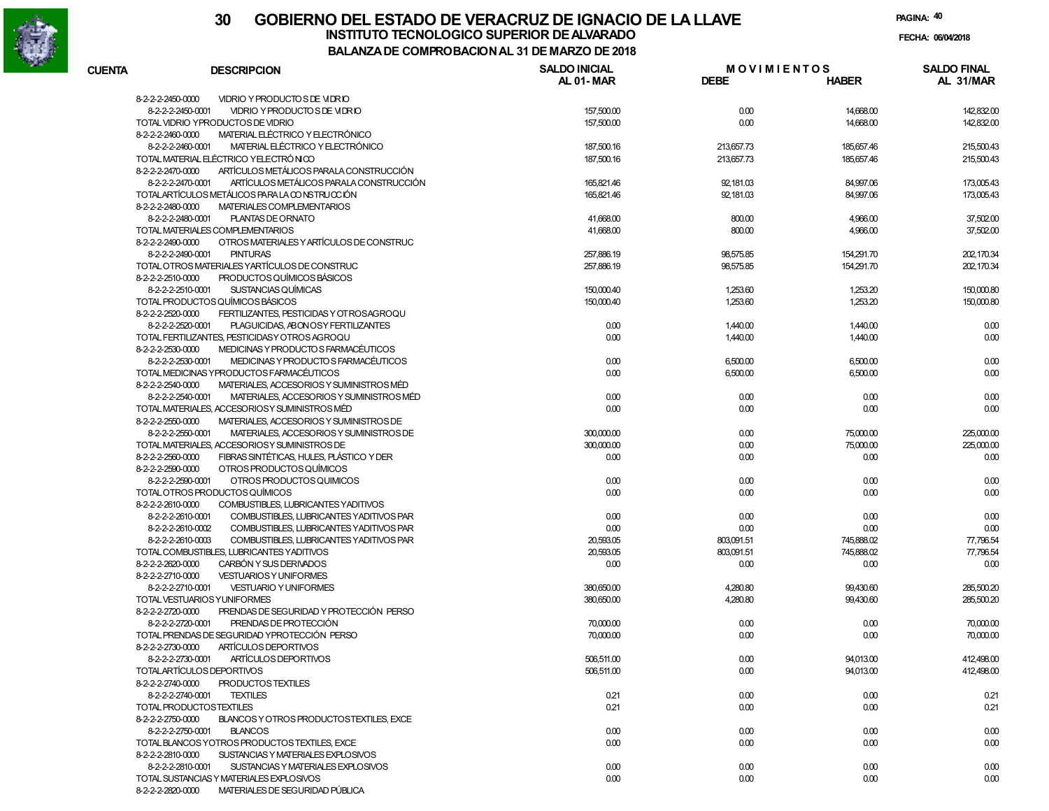

| <b>CUENTA</b> | <b>DESCRIPCION</b>                                            | <b>SALDO INICIAL</b><br><b>AL 01-MAR</b> | <b>MOVIMIENTOS</b><br><b>DEBE</b> | <b>HABER</b> | <b>SALDO FINAL</b><br>AL 31/MAR |
|---------------|---------------------------------------------------------------|------------------------------------------|-----------------------------------|--------------|---------------------------------|
|               | VIDRIO Y PRODUCTO S DE VIDRIO<br>8-2-2-2-2450-0000            |                                          |                                   |              |                                 |
|               | 8-2-2-2-2450-0001<br>VIDRIO Y PRODUCTO S DE VIDRIO            | 157,500.00                               | 0.00                              | 14,668.00    | 142,832.00                      |
|               | TOTAL VIDRIO YPRODUCTOS DE VIDRIO                             | 157,500.00                               | 0.00                              | 14,668.00    | 142,832.00                      |
|               | 8-2-2-2-2460-0000<br>MATERIAL ELÉCTRICO Y ELECTRÓNICO         |                                          |                                   |              |                                 |
|               | MATERIAL ELÉCTRICO Y ELECTRÓNICO<br>8-2-2-2-2460-0001         | 187,500.16                               | 213,657.73                        | 185,657.46   | 215,500.43                      |
|               | TOTAL MATERIAL ELÉCTRICO YELECTRÓNICO                         | 187,500.16                               | 213,657.73                        | 185,657.46   | 215,500.43                      |
|               | ARTÍCULOS METÁLICOS PARALA CONSTRUCCIÓN<br>8-2-2-2-2470-0000  |                                          |                                   |              |                                 |
|               | 8-2-2-2-2470-0001<br>ARTÍCULOS METÁLICOS PARALA CONSTRUCCIÓN  | 165.821.46                               | 92,181.03                         | 84,997.06    | 173,005.43                      |
|               | TOTALARTÍCULOS METÁLICOS PARA LA CONSTRUCCIÓN                 | 165.821.46                               | 92,181.03                         | 84,997.06    | 173,005.43                      |
|               | 8-2-2-2-2480-0000<br>MATERIALES COMPLEMENTARIOS               |                                          |                                   |              |                                 |
|               | PLANTAS DE ORNATO<br>8-2-2-2-2480-0001                        | 41.668.00                                | 800.00                            | 4.966.00     | 37,502.00                       |
|               | TOTAL MATERIALES COMPLEMENTARIOS                              | 41.668.00                                | 800.00                            | 4,966.00     | 37,502.00                       |
|               | 8-2-2-2-2490-0000<br>OTROS MATERIALES Y ARTÍCULOS DE CONSTRUC |                                          |                                   |              |                                 |
|               | 8-2-2-2-2490-0001<br><b>PINTURAS</b>                          | 257,886.19                               | 98,575.85                         | 154,291.70   | 202.170.34                      |
|               | TOTAL OTROS MATERIALES YARTÍCULOS DE CONSTRUC                 | 257.886.19                               | 98,575.85                         | 154,291.70   | 202, 170.34                     |
|               | 8-2-2-2-2510-0000<br><b>PRODUCTOS QUÍMICOS BÁSICOS</b>        |                                          |                                   |              |                                 |
|               | 8-2-2-2-2510-0001<br>SUSTANCIAS QUÍMICAS                      | 150,000.40                               | 1,253.60                          | 1,253.20     | 150,000.80                      |
|               | TOTAL PRODUCTOS QUÍMICOS BÁSICOS                              | 150,000.40                               | 1,253.60                          | 1,253.20     | 150,000.80                      |
|               | 8-2-2-2-2520-0000<br>FERTILIZANTES, PESTICIDAS Y OT ROSAGROQU |                                          |                                   |              |                                 |
|               | 8-2-2-2-2520-0001<br>PLAGUICIDAS, ABONOSY FERTILIZANTES       | 0.00                                     | 1,440.00                          | 1,440.00     | 0.00                            |
|               | TOTAL FERTILIZANTES, PESTICIDAS Y OTROS AGROQU                | 0.00                                     | 1,440.00                          | 1,440.00     | 0.00                            |
|               | MEDICINAS Y PRODUCTO S FARMACÉUTICOS<br>8-2-2-2-2530-0000     |                                          |                                   |              |                                 |
|               | 8-2-2-2-2530-0001<br>MEDICINAS Y PRODUCTO S FARMACÉUTICOS     | 0.00                                     | 6,500.00                          | 6.500.00     | 0.00                            |
|               | TOTAL MEDICINAS YPRODUCTOS FARMACÉUTICOS                      | 0.00                                     | 6,500.00                          | 6,500.00     | 0.00                            |
|               | 8-2-2-2-2540-0000<br>MATERIALES, ACCESORIOS Y SUMINISTROS MÉD |                                          |                                   |              |                                 |
|               | 8-2-2-2-2540-0001<br>MATERIALES, ACCESORIOS Y SUMINISTROS MÉD | 0.00                                     | 0.00                              | 0.00         | 0.00                            |
|               | TOTAL MATERIALES, ACCESORIOSY SUMINISTROS MÉD                 | 0.00                                     | 0.00                              | 0.00         | 0.00                            |
|               | 8-2-2-2-2550-0000<br>MATERIALES, ACCESORIOS Y SUMINISTROS DE  |                                          |                                   |              |                                 |
|               | 8-2-2-2-2550-0001<br>MATERIALES, ACCESORIOS Y SUMINISTROS DE  | 300,000,00                               | 0.00                              | 75,000.00    | 225,000.00                      |
|               | TOTAL MATERIALES, ACCESORIOSY SUMINISTROS DE                  | 300,000,00                               | 0.00                              | 75,000.00    | 225,000.00                      |
|               | 8-2-2-2-2560-0000<br>FIBRAS SINTÉTICAS, HULES, PLÁSTICO Y DER | 0.00                                     | 0.00                              | 0.00         | 0.00                            |
|               | 8-2-2-2-2590-0000<br>OTROS PRODUCTOS QUÍMICOS                 |                                          |                                   |              |                                 |
|               | 8-2-2-2-2590-0001<br>OTROS PRODUCTOS QUIMICOS                 | 0.00                                     | 0.00                              | 0.00         | 0.00                            |
|               | TOTAL OTROS PRODUCTOS QUÍMICOS                                | 0.00                                     | 0.00                              | 0.00         | 0.00                            |
|               | 8-2-2-2-2610-0000<br>COMBUSTIBLES, LUBRICANTES YADITIVOS      |                                          |                                   |              |                                 |
|               | 8-2-2-2-2610-0001<br>COMBUSTIBLES, LUBRICANTES YADITIVOS PAR  | 0.00                                     | 0.00                              | 0.00         | 0.00                            |
|               | 8-2-2-2-2610-0002<br>COMBUSTIBLES, LUBRICANTES YADITIVOS PAR  | 0.00                                     | 0.00                              | 0.00         | 0.00                            |
|               | 8-2-2-2-2610-0003<br>COMBUSTIBLES, LUBRICANTES YADITIVOS PAR  | 20,593,05                                | 803,091.51                        | 745,888.02   | 77,796.54                       |
|               | TOTAL COMBUSTIBLES, LUBRICANTES YADITIVOS                     | 20,593,05                                | 803,091.51                        | 745,888.02   | 77,796.54                       |
|               | 8-2-2-2-2620-0000<br>CARBÓN Y SUS DERIVADOS                   | 0.00                                     | 0.00                              | 0.00         | 0.00                            |
|               | 8-2-2-2-2710-0000<br><b>VESTUARIOS Y UNIFORMES</b>            |                                          |                                   |              |                                 |
|               | 8-2-2-2-2710-0001<br><b>VESTUARIO Y UNIFORMES</b>             | 380,650,00                               | 4,280.80                          | 99,430.60    | 285,500.20                      |
|               | TOTAL VESTUARIOS YUNIFORMES                                   | 380,650,00                               | 4,280.80                          | 99,430.60    | 285,500.20                      |
|               | PRENDAS DE SEGURIDAD Y PROTECCIÓN PERSO<br>8-2-2-2-2720-0000  |                                          |                                   |              |                                 |
|               | <b>PRENDAS DE PROTECCIÓN</b><br>8-2-2-2-2720-0001             | 70,000.00                                | 0.00                              | 0.00         | 70,000.00                       |
|               | TOTAL PRENDAS DE SEGURIDAD YPROTECCIÓN PERSO                  | 70,000.00                                | 0.00                              | 0.00         | 70,000.00                       |
|               | 8-2-2-2-2730-0000<br>ARTÍCULOS DEPORTIVOS                     |                                          |                                   |              |                                 |
|               | 8-2-2-2-2730-0001<br>ARTÍCULOS DEPORTIVOS                     | 506,511.00                               | 0.00                              | 94,013.00    | 412,498.00                      |
|               | TOTALARTÍCULOS DEPORTIVOS                                     | 506,511.00                               | 0.00                              | 94,013.00    | 412,498.00                      |
|               | 8-2-2-2-2740-0000<br>PRODUCTOS TEXTILES                       |                                          |                                   |              |                                 |
|               | 8-2-2-2-2740-0001<br>TEXTILES                                 | 0.21                                     | 0.00                              | 0.00         | 0.21                            |
|               | TOTAL PRODUCTOSTEXTILES                                       | 0.21                                     | 0.00                              | 0.00         | 0.21                            |
|               | 8-2-2-2-2750-0000<br>BLANCOS Y OTROS PRODUCTOSTEXTILES, EXCE  |                                          |                                   |              |                                 |
|               | 8-2-2-2-2750-0001<br><b>BLANCOS</b>                           | 0.00                                     | 0.00                              | 0.00         | 0.00                            |
|               | TOTAL BLANCOS YOTROS PRODUCTOS TEXTILES, EXCE                 | 0.00                                     | 0.00                              | 0.00         | 0.00                            |
|               | 8-2-2-2-2810-0000<br>SUSTANCIAS Y MATERIALES EXPLOSIVOS       |                                          |                                   |              |                                 |
|               | 8-2-2-2-2810-0001<br>SUSTANCIAS Y MATERIALES EXPLOSIVOS       | 0.00                                     | 0.00                              | 0.00         | 0.00                            |
|               | TOTAL SUSTANCIAS Y MATERIALES EXPLOSIVOS                      | 0.00                                     | 0.00                              | 0.00         | 0.00                            |
|               | 8-2-2-2-2820-0000 MATERIALES DE SEGURIDAD PÚBLICA             |                                          |                                   |              |                                 |
|               |                                                               |                                          |                                   |              |                                 |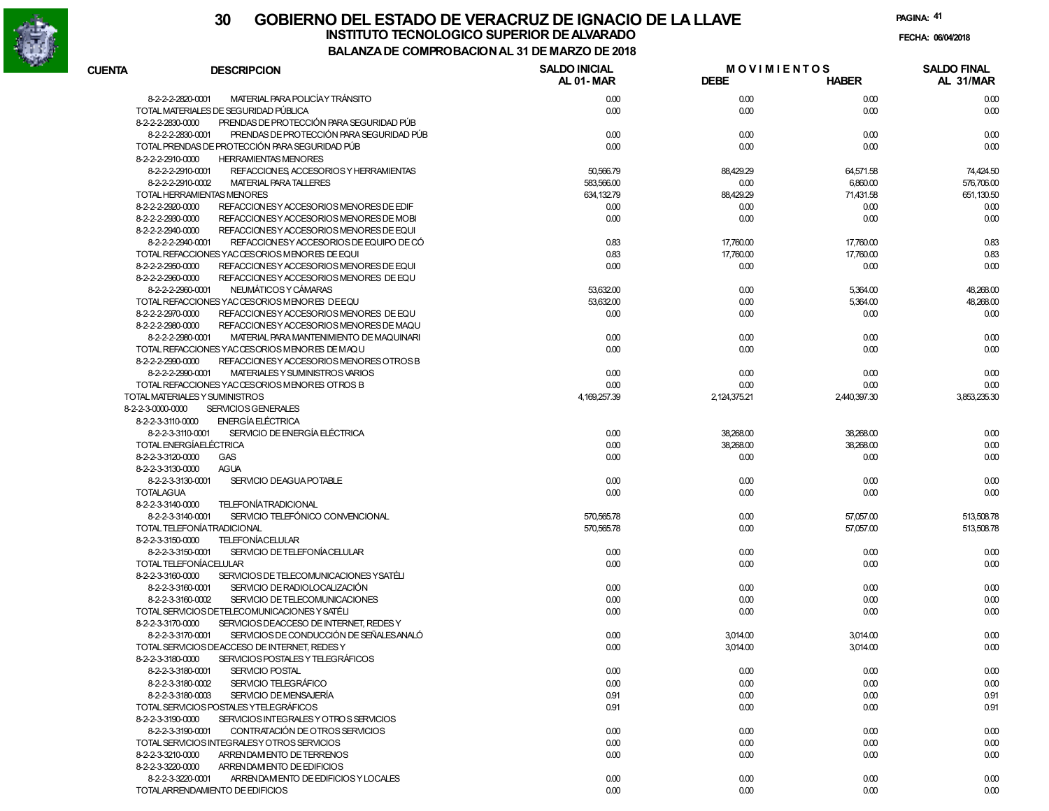

|                   |                                                                                             | "" """""""" """ "" """ """ """           |                                   |                   |                                 |
|-------------------|---------------------------------------------------------------------------------------------|------------------------------------------|-----------------------------------|-------------------|---------------------------------|
| <b>CUENTA</b>     | <b>DESCRIPCION</b>                                                                          | <b>SALDO INICIAL</b><br><b>AL 01-MAR</b> | <b>MOVIMIENTOS</b><br><b>DEBE</b> | <b>HABER</b>      | <b>SALDO FINAL</b><br>AL 31/MAR |
|                   | MATERIAL PARA POLICÍA Y TRÁNSITO<br>8-2-2-2-2820-0001                                       | 0.00                                     | 0.00                              | 0.00              | 0.00                            |
|                   | TOTAL MATERIALES DE SEGURIDAD PÚBLICA                                                       | 0.00                                     | 0.00                              | 0.00              | 0.00                            |
| 8-2-2-2-2830-0000 | PRENDAS DE PROTECCIÓN PARA SEGURIDAD PÚB                                                    |                                          |                                   |                   |                                 |
|                   | PRENDAS DE PROTECCIÓN PARA SEGURIDAD PÚB<br>8-2-2-2-2830-0001                               | 0.00                                     | 0.00                              | 0.00              | 0.00                            |
|                   | TOTAL PRENDAS DE PROTECCIÓN PARA SEGURIDAD PÚB                                              | 0.00                                     | 0.00                              | 0.00              | 0.00                            |
| 8-2-2-2-2910-0000 | <b>HERRAMIENTAS MENORES</b>                                                                 |                                          |                                   |                   |                                 |
|                   | 8-2-2-2-2910-0001<br>REFACCION ES, ACCESORIOS Y HERRAMIENTAS                                | 50,566.79                                | 88,429.29                         | 64,571.58         | 74,424.50                       |
|                   | <b>MATERIAL PARA TALLERES</b><br>8-2-2-2-2910-0002                                          | 583,566.00                               | 0.00                              | 6,860.00          | 576,706.00                      |
|                   | TOTAL HERRAMIENTAS MENORES                                                                  | 634, 132.79                              | 88,429.29                         | 71,431.58         | 651,130.50                      |
| 8-2-2-2-2920-0000 | REFACCION ES Y ACCESORIOS MENORES DE EDIF                                                   | 0.00                                     | 0.00                              | 0.00              | 0.00                            |
| 8-2-2-2-2930-0000 | REFACCION ES Y ACCESORIOS MENORES DE MOBI                                                   | 0.00                                     | 0.00                              | 0.00              | 0.00                            |
| 8-2-2-2-2940-0000 | REFACCION ES Y ACCESO RIOS MENORES DE EQUI                                                  |                                          |                                   |                   |                                 |
|                   | REFACCION ES Y ACCESORIOS DE EQUIPO DE CÓ<br>8-2-2-2-2940-0001                              | 0.83                                     | 17,760.00                         | 17,760.00         | 0.83                            |
| 8-2-2-2-2950-0000 | TOTAL REFACCIONES YACCESORIOS MENORES DE EQUI<br>REFACCION ES Y ACCESO RIOS MENORES DE EQUI | 0.83<br>0.00                             | 17,760.00<br>0.00                 | 17,760.00<br>0.00 | 0.83<br>0.00                    |
| 8-2-2-2-2960-0000 | REFACCION ESY ACCESORIOS MENORES DE EQU                                                     |                                          |                                   |                   |                                 |
|                   | NEUMÁTICOS Y CÁMARAS<br>8-2-2-2-2960-0001                                                   | 53,632.00                                | 0.00                              | 5,364.00          | 48,268.00                       |
|                   | TOTAL REFACCIONES YACCESORIOS MENORES DEEQU                                                 | 53,632.00                                | 0.00                              | 5,364.00          | 48,268.00                       |
| 8-2-2-2-2970-0000 | REFACCION ESY ACCESORIOS MENORES DE EQU                                                     | 0.00                                     | 0.00                              | 0.00              | 0.00                            |
| 8-2-2-2-2980-0000 | REFACCION ES Y ACCESO RIOS MENORES DE MAQU                                                  |                                          |                                   |                   |                                 |
|                   | 8-2-2-2-2980-0001<br>MATERIAL PARA MANTENIMIENTO DE MAQUINARI                               | 0.00                                     | 0.00                              | 0.00              | 0.00                            |
|                   | TOTAL REFACCIONES YACCESORIOS MENORES DE MAQU                                               | 0.00                                     | 0.00                              | 0.00              | 0.00                            |
| 8-2-2-2-2990-0000 | REFACCION ES Y ACCESORIOS MENORES OTROS B                                                   |                                          |                                   |                   |                                 |
|                   | 8-2-2-2-2990-0001<br>MATERIALES Y SUMINISTROS VARIOS                                        | 0.00                                     | 0.00                              | 0.00              | 0.00                            |
|                   | TOTAL REFACCIONES YACCESORIOS MENORES OTROS B                                               | 0.00                                     | 0.00                              | 0.00              | 0.00                            |
|                   | TOTAL MATERIALES Y SUMINISTROS                                                              | 4,169,257.39                             | 2, 124, 375. 21                   | 2,440,397.30      | 3.853.235.30                    |
| 8-2-2-3-0000-0000 | <b>SERVICIOS GENERALES</b>                                                                  |                                          |                                   |                   |                                 |
| 8-2-2-3-3110-0000 | ENERGÍA ELÉCTRICA                                                                           |                                          |                                   |                   |                                 |
|                   | SERVICIO DE ENERGÍA ELÉCTRICA<br>8-2-2-3-3110-0001                                          | 0.00                                     | 38,268.00                         | 38,268.00         | 0.00                            |
|                   | TOTAL ENERGÍAELÉCTRICA                                                                      | 0.00                                     | 38,268.00                         | 38,268.00         | 0.00                            |
| 8-2-2-3-3120-0000 | <b>GAS</b>                                                                                  | 0.00                                     | 0.00                              | 0.00              | 0.00                            |
| 8-2-2-3-3130-0000 | <b>AGUA</b>                                                                                 |                                          |                                   |                   |                                 |
|                   | SERVICIO DEAGUA POTABLE<br>8-2-2-3-3130-0001                                                | 0.00                                     | 0.00                              | 0.00              | 0.00                            |
| <b>TOTALAGUA</b>  |                                                                                             | 0.00                                     | 0.00                              | 0.00              | 0.00                            |
| 8-2-2-3-3140-0000 | <b>TELEFONÍATRADICIONAL</b>                                                                 |                                          |                                   |                   |                                 |
|                   | SERVICIO TELEFÓNICO CONVENCIONAL<br>8-2-2-3-3140-0001                                       | 570,565.78                               | 0.00                              | 57,057.00         | 513,508.78                      |
|                   | TOTAL TELEFONÍATRADICIONAL                                                                  | 570,565.78                               | 0.00                              | 57,057.00         | 513,508.78                      |
| 8-2-2-3-3150-0000 | <b>TELEFONÍACELULAR</b>                                                                     |                                          |                                   |                   |                                 |
|                   | 8-2-2-3-3150-0001<br>SERVICIO DE TELEFONÍACELULAR<br>TOTAL TELEFONÍACELULAR                 | 0.00<br>0.00                             | 0.00                              | 0.00              | 0.00                            |
| 8-2-2-3-3160-0000 | SERVICIOS DE TELECOMUNICACIONES YSATÉLI                                                     |                                          | 0.00                              | 0.00              | 0.00                            |
|                   | SERVICIO DE RADIOLOCALIZACIÓN<br>8-2-2-3-3160-0001                                          | 0.00                                     | 0.00                              | 0.00              | 0.00                            |
|                   | SERVICIO DE TELECOMUNICACIONES<br>8-2-2-3-3160-0002                                         | 0.00                                     | 0.00                              | 0.00              | 0.00                            |
|                   | TOTAL SERVICIOS DETELECOMUNICACIONES Y SATÉLI                                               | 0.00                                     | 0.00                              | 0.00              | 0.00                            |
| 8-2-2-3-3170-0000 | SERVICIOS DEACCESO DE INTERNET, REDES Y                                                     |                                          |                                   |                   |                                 |
|                   | SERVICIOS DE CONDUCCIÓN DE SEÑALES ANALÓ<br>8-2-2-3-3170-0001                               | 0.00                                     | 3,014.00                          | 3,014.00          | 0.00                            |
|                   | TOTAL SERVICIOS DEACCESO DE INTERNET, REDES Y                                               | 0.00                                     | 3,014.00                          | 3,014.00          | 0.00                            |
| 8-2-2-3-3180-0000 | SERVICIOS POSTALES Y TELEGRÁFICOS                                                           |                                          |                                   |                   |                                 |
|                   | SERVICIO POSTAL<br>8-2-2-3-3180-0001                                                        | 0.00                                     | 0.00                              | 0.00              | 0.00                            |
|                   | SERVICIO TELEGRÁFICO<br>8-2-2-3-3180-0002                                                   | 0.00                                     | 0.00                              | 0.00              | 0.00                            |
|                   | SERVICIO DE MENSAJERÍA<br>8-2-2-3-3180-0003                                                 | 0.91                                     | 0.00                              | 0.00              | 0.91                            |
|                   | TOTAL SERVICIOS POSTALES YTELEGRÁFICOS                                                      | 0.91                                     | 0.00                              | 0.00              | 0.91                            |
| 8-2-2-3-3190-0000 | SERVICIOS INTEGRALES Y OTROS SERVICIOS                                                      |                                          |                                   |                   |                                 |
|                   | CONTRATACIÓN DE OTROS SERVICIOS<br>8-2-2-3-3190-0001                                        | 0.00                                     | 0.00                              | 0.00              | 0.00                            |
|                   | TOTAL SERVICIOS INTEGRALESY OTROS SERVICIOS                                                 | 0.00                                     | 0.00                              | 0.00              | 0.00                            |
| 8-2-2-3-3210-0000 | ARRENDAM ENTO DE TERRENOS                                                                   | 0.00                                     | 0.00                              | 0.00              | 0.00                            |
| 8-2-2-3-3220-0000 | ARRENDAM ENTO DE EDIFICIOS                                                                  |                                          |                                   |                   |                                 |
|                   | 8-2-2-3-3220-0001<br>ARRENDAMENTO DE EDIFICIOS Y LOCALES                                    | 0.00                                     | 0.00                              | 0.00              | 0.00                            |
|                   | TOTALARRENDAMIENTO DE EDIFICIOS                                                             | 0.00                                     | 0.00                              | 0.00              | 0.00                            |
|                   |                                                                                             |                                          |                                   |                   |                                 |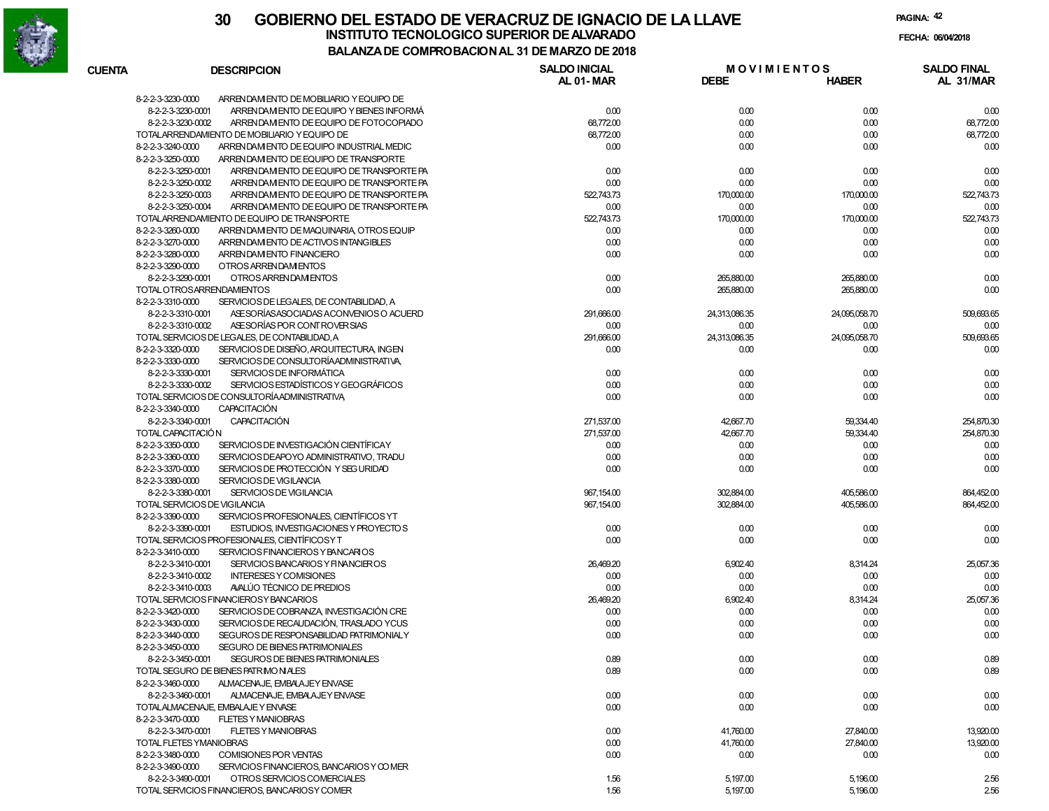

| <b>CUENTA</b>      | <b>DESCRIPCION</b>                             | <b>SALDO INICIAL</b><br>AL 01-MAR | <b>MOVIMIENTOS</b><br><b>DEBE</b> |               | <b>SALDO FINAL</b><br>AL 31/MAR |
|--------------------|------------------------------------------------|-----------------------------------|-----------------------------------|---------------|---------------------------------|
|                    |                                                |                                   |                                   | <b>HABER</b>  |                                 |
| 8-2-2-3-3230-0000  | ARRENDAM ENTO DE MOBILIARIO Y EQUIPO DE        |                                   |                                   |               |                                 |
| 8-2-2-3-3230-0001  | ARRENDAM ENTO DE EQUIPO Y BIENES INFORMÁ       | 0.00                              | 0.00                              | 0.00          | 0.00                            |
| 8-2-2-3-3230-0002  | ARRENDAM ENTO DE EQUIPO DE FOTOCOPIADO         | 68,772.00                         | 0.00                              | 0.00          | 68,772.00                       |
|                    | TOTALARRENDAMIENTO DE MOBILIARIO Y EQUIPO DE   | 68,772.00                         | 0.00                              | 0.00          | 68,772.00                       |
| 8-2-2-3-3240-0000  | ARRENDAM ENTO DE EQUIPO INDUSTRIAL MEDIC       | 0.00                              | 0.00                              | 0.00          | 0.00                            |
| 8-2-2-3-3250-0000  | ARRENDAM ENTO DE EQUIPO DE TRANSPORTE          |                                   |                                   |               |                                 |
| 8-2-2-3-3250-0001  | ARRENDAM ENTO DE EQUIPO DE TRANSPORTE PA       | 0.00                              | 0.00                              | 0.00          | 0.00                            |
| 8-2-2-3-3250-0002  | ARREN DAM ENTO DE EQUIPO DE TRANSPORTE PA      | 0.00                              | 0.00                              | 0.00          | 0.00                            |
| 8-2-2-3-3250-0003  | ARRENDAM ENTO DE EQUIPO DE TRANSPORTE PA       | 522,743.73                        | 170,000.00                        | 170,000.00    | 522,743.73                      |
| 8-2-2-3-3250-0004  | ARRENDAM ENTO DE EQUIPO DE TRANSPORTE PA       | 0.00                              | 0.00                              | 0.00          | 0.00                            |
|                    | TOTALARRENDAMIENTO DE EQUIPO DE TRANSPORTE     | 522,743.73                        | 170,000.00                        | 170,000.00    | 522,743.73                      |
| 8-2-2-3-3260-0000  | ARRENDAM ENTO DE MAQUINARIA, OTROS EQUIP       | 0.00                              | 0.00                              | 0.00          | 0.00                            |
| 8-2-2-3-3270-0000  | ARREN DAM ENTO DE ACTIVOS INTANGIBLES          | 0.00                              | 0.00                              | 0.00          | 0.00                            |
| 8-2-2-3-3280-0000  | ARRENDAM ENTO FINANCIERO                       | 0.00                              | 0.00                              | 0.00          | 0.00                            |
| 8-2-2-3-3290-0000  | OTROS ARRENDAM ENTOS                           |                                   |                                   |               |                                 |
| 8-2-2-3-3290-0001  | OTROS ARRENDAM ENTOS                           | 0.00                              | 265,880.00                        | 265,880.00    | 0.00                            |
|                    | TOTAL OTROSARRENDAMIENTOS                      | 0.00                              | 265,880.00                        | 265,880.00    | 0.00                            |
| 8-2-2-3-3310-0000  | SERVICIOS DE LEGALES, DE CONTABILIDAD, A       |                                   |                                   |               |                                 |
| 8-2-2-3-3310-0001  | ASE SORÍAS ASOCIADAS A CONVENIOS O ACUERD      | 291,666.00                        | 24,313,086.35                     | 24,095,058.70 | 509,693.65                      |
| 8-2-2-3-3310-0002  | ASE SORÍAS POR CONTROVER SIAS                  | 0.00                              | 0.00                              | 0.00          | 0.00                            |
|                    | TOTAL SERVICIOS DE LEGALES, DE CONTABILIDAD, A | 291,666.00                        | 24,313,086.35                     | 24,095,058.70 | 509,693.65                      |
| 8-2-2-3-3320-0000  | SERVICIOS DE DISEÑO, ARQUITECTURA, INGEN       | 0.00                              | 0.00                              | 0.00          | 0.00                            |
| 8-2-2-3-3330-0000  | SERVICIOS DE CONSULTORÍAADMINISTRATIVA,        |                                   |                                   |               |                                 |
|                    | SERVICIOS DE INFORMÁTICA                       |                                   |                                   |               |                                 |
| 8-2-2-3-3330-0001  |                                                | 0.00                              | 0.00                              | 0.00          | 0.00                            |
| 8-2-2-3-3330-0002  | SERVICIOS ESTADÍSTICOS Y GEOGRÁFICOS           | 0.00                              | 0.00                              | 0.00          | 0.00                            |
|                    | TOTAL SERVICIOS DE CONSULTORÍAADMINISTRATIVA   | 0.00                              | 0.00                              | 0.00          | 0.00                            |
| 8-2-2-3-3340-0000  | <b>CAPACITACIÓN</b>                            |                                   |                                   |               |                                 |
| 8-2-2-3-3340-0001  | <b>CAPACITACIÓN</b>                            | 271,537.00                        | 42,667.70                         | 59,334.40     | 254,870.30                      |
| TOTAL CAPACITACIÓN |                                                | 271,537.00                        | 42,667.70                         | 59,334.40     | 254,870.30                      |
| 8-2-2-3-3350-0000  | SERVICIOS DE INVESTIGACIÓN CIENTÍFICAY         | 0.00                              | 0.00                              | 0.00          | 0.00                            |
| 8-2-2-3-3360-0000  | SERVICIOS DEAPOYO ADMINISTRATIVO, TRADU        | 0.00                              | 0.00                              | 0.00          | 0.00                            |
| 8-2-2-3-3370-0000  | SERVICIOS DE PROTECCIÓN Y SEG URIDAD           | 0.00                              | 0.00                              | 0.00          | 0.00                            |
| 8-2-2-3-3380-0000  | SERVICIOS DE VIGILANCIA                        |                                   |                                   |               |                                 |
| 8-2-2-3-3380-0001  | SERVICIOS DE VIGILANCIA                        | 967, 154.00                       | 302,884.00                        | 405,586.00    | 864,452.00                      |
|                    | TOTAL SERVICIOS DE VIGILANCIA                  | 967, 154.00                       | 302,884.00                        | 405,586.00    | 864,452.00                      |
| 8-2-2-3-3390-0000  | SERVICIOS PROFESIONALES, CIENTÍFICOS YT        |                                   |                                   |               |                                 |
| 8-2-2-3-3390-0001  | ESTUDIOS, INVESTIGACIONES Y PROYECTOS          | 0.00                              | 0.00                              | 0.00          | 0.00                            |
|                    | TOTAL SERVICIOS PROFESIONALES, CIENTÍFICOSY T  | 0.00                              | 0.00                              | 0.00          | 0.00                            |
| 8-2-2-3-3410-0000  | SERVICIOS FINANCIEROS Y BANCARIOS              |                                   |                                   |               |                                 |
| 8-2-2-3-3410-0001  | SERVICIOS BANCARIOS Y FINANCIEROS              | 26,469.20                         | 6,902.40                          | 8,314.24      | 25,057.36                       |
| 8-2-2-3-3410-0002  | <b>INTERESES Y COMISIONES</b>                  | 0.00                              | 0.00                              | 0.00          | 0.00                            |
| 8-2-2-3-3410-0003  | AVALÚO TÉCNICO DE PREDIOS                      | 0.00                              | 0.00                              | 0.00          | 0.00                            |
|                    | TOTAL SERVICIOS FINANCIEROSY BANCARIOS         | 26,469.20                         | 6,902.40                          | 8,314.24      | 25,057.36                       |
| 8-2-2-3-3420-0000  | SERVICIOS DE COBRANZA, INVESTIGACIÓN CRE       | 0.00                              | 0.00                              | 0.00          | 0.00                            |
| 8-2-2-3-3430-0000  | SERVICIOS DE RECAUDACIÓN, TRASLADO YCUS        | 0.00                              | 0.00                              | 0.00          | 0.00                            |
| 8-2-2-3-3440-0000  | SEGUROS DE RESPONSABILIDAD PATRIMONIAL Y       | 0.00                              | 0.00                              | 0.00          | 0.00                            |
|                    | SEGURO DE BIENES PATRIMONIALES                 |                                   |                                   |               |                                 |
| 8-2-2-3-3450-0000  |                                                |                                   |                                   |               |                                 |
| 8-2-2-3-3450-0001  | SEGUROS DE BIENES PATRIMONIALES                | 0.89                              | 0.00                              | 0.00          | 0.89                            |
|                    | TOTAL SEGURO DE BIENES PATRIMONIALES           | 0.89                              | 0.00                              | 0.00          | 0.89                            |
| 8-2-2-3-3460-0000  | ALMACENAJE. EMBALAJEY ENVASE                   |                                   |                                   |               |                                 |
| 8-2-2-3-3460-0001  | ALMACENAJE. EMBALAJEY ENVASE                   | 0.00                              | 0.00                              | 0.00          | 0.00                            |
|                    | TOTALALMACENAJE, EMBALAJE Y ENVASE             | 0.00                              | 0.00                              | 0.00          | 0.00                            |
| 8-2-2-3-3470-0000  | <b>FLETES Y MANIOBRAS</b>                      |                                   |                                   |               |                                 |
| 8-2-2-3-3470-0001  | <b>FLETES Y MANIOBRAS</b>                      | 0.00                              | 41,760.00                         | 27,840.00     | 13,920.00                       |
|                    | TOTAL FLETES YMANIOBRAS                        | 0.00                              | 41,760.00                         | 27,840.00     | 13,920.00                       |
| 8-2-2-3-3480-0000  | COMISIONES POR VENTAS                          | 0.00                              | 0.00                              | 0.00          | 0.00                            |
| 8-2-2-3-3490-0000  | SERVICIOS FINANCIEROS, BANCARIOS Y COMER       |                                   |                                   |               |                                 |
| 8-2-2-3-3490-0001  | OTROS SERVICIOS COMERCIALES                    | 1.56                              | 5,197.00                          | 5,196.00      | 2.56                            |
|                    | TOTAL SERVICIOS FINANCIEROS, BANCARIOS Y COMER | 1.56                              | 5,197.00                          | 5,196.00      | 2.56                            |
|                    |                                                |                                   |                                   |               |                                 |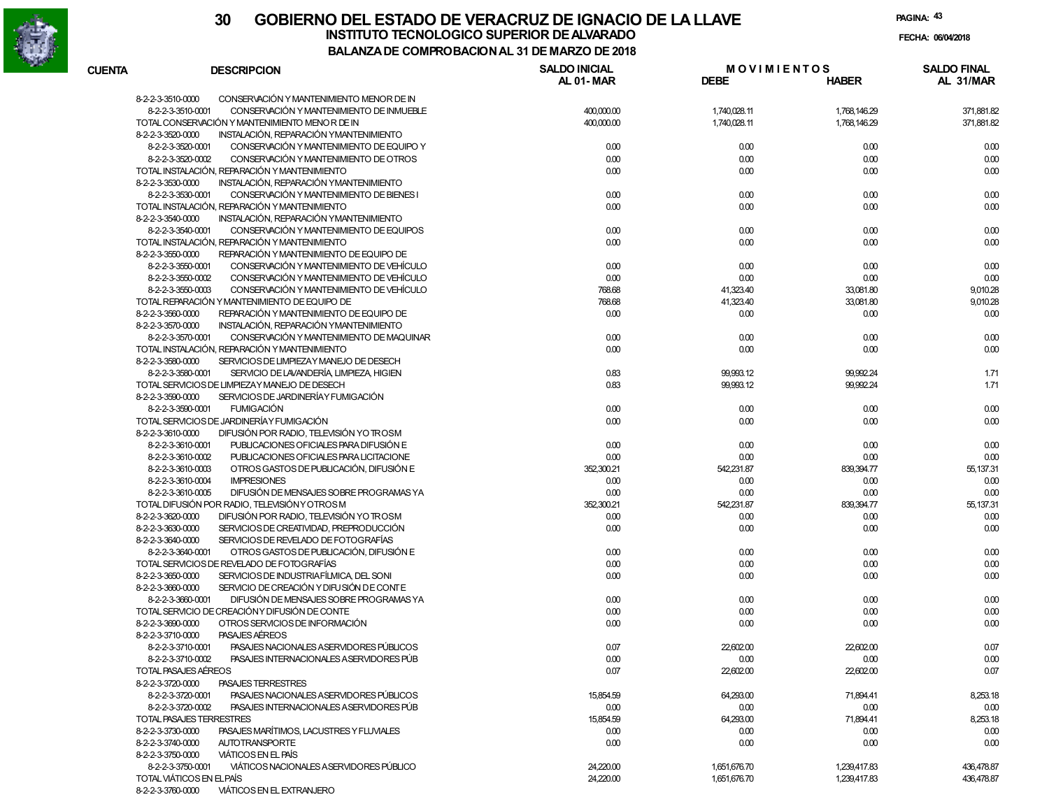

**PAGINA:43**

| <b>CUENTA</b><br><b>DESCRIPCION</b>                                                        | <b>SALDO INICIAL</b><br>AL 01-MAR | <b>MOVIMIENTOS</b><br><b>DEBE</b> | <b>HABER</b> | <b>SALDO FINAL</b><br>AL 31/MAR |
|--------------------------------------------------------------------------------------------|-----------------------------------|-----------------------------------|--------------|---------------------------------|
| 8-2-2-3-3510-0000<br>CONSERVACIÓN Y MANTENIMIENTO MENOR DE IN                              |                                   |                                   |              |                                 |
| 8-2-2-3-3510-0001<br>CONSERVACIÓN Y MANTENIMIENTO DE INMUEBLE                              | 400,000.00                        | 1,740,028.11                      | 1,768,146.29 | 371,881.82                      |
| TOTAL CONSERVACIÓN Y MANTENIMIENTO MENOR DE IN                                             | 400,000.00                        | 1,740,028.11                      | 1,768,146.29 | 371,881.82                      |
| 8-2-2-3-3520-0000<br>INSTALACIÓN, REPARACIÓN YMANTENIMIENTO                                |                                   |                                   |              |                                 |
| 8-2-2-3-3520-0001<br>CONSERVACIÓN Y MANTENIMIENTO DE EQUIPO Y                              | 0.00                              | 0.00                              | 0.00         | 0.00                            |
| 8-2-2-3-3520-0002<br>CONSERVACIÓN Y MANTENIMIENTO DE OTROS                                 | 0.00                              | 0.00                              | 0.00         | 0.00                            |
| TOTAL INSTALACIÓN, REPARACIÓN Y MANTENIMIENTO                                              | 0.00                              | 0.00                              | 0.00         | 0.00                            |
| 8-2-2-3-3530-0000<br>INSTALACIÓN, REPARACIÓN YMANTENIMIENTO                                |                                   |                                   |              |                                 |
| 8-2-2-3-3530-0001<br>CONSERVACIÓN Y MANTENIMIENTO DE BIENES I                              | 0.00                              | 0.00                              | 0.00         | 0.00                            |
| TOTAL INSTALACIÓN, REPARACIÓN Y MANTENIMIENTO                                              | 0.00                              | 0.00                              | 0.00         | 0.00                            |
| INSTALACIÓN, REPARACIÓN YMANTENIMIENTO<br>8-2-2-3-3540-0000                                |                                   |                                   |              |                                 |
| 8-2-2-3-3540-0001<br>CONSERVACIÓN Y MANTENIMIENTO DE EQUIPOS                               | 0.00                              | 0.00                              | 0.00         | 0.00                            |
| TOTAL INSTALACIÓN, REPARACIÓN Y MANTENIMIENTO                                              | 0.00                              | 0.00                              | 0.00         | 0.00                            |
| 8-2-2-3-3550-0000<br>REPARACIÓN Y MANTENIMIENTO DE EQUIPO DE                               |                                   |                                   |              |                                 |
| 8-2-2-3-3550-0001<br>CONSERVACIÓN Y MANTENIMIENTO DE VEHÍCULO                              | 0.00                              | 0.00                              | 0.00         | 0.00                            |
| 8-2-2-3-3550-0002<br>CONSERVACIÓN Y MANTENIMIENTO DE VEHÍCULO                              | 0.00                              | 0.00                              | 0.00         | 0.00                            |
| CONSERVACIÓN Y MANTENIMIENTO DE VEHÍCULO<br>8-2-2-3-3550-0003                              | 768.68                            | 41,323.40                         | 33,081.80    | 9,010.28                        |
| TOTAL REPARACIÓN Y MANTENIMIENTO DE EQUIPO DE                                              | 768.68                            | 41,323.40                         | 33,081.80    | 9,010.28                        |
| 8-2-2-3-3560-0000<br>REPARACIÓN Y MANTENIMIENTO DE EQUIPO DE                               | 0.00                              | 0.00                              | 0.00         | 0.00                            |
| 8-2-2-3-3570-0000<br>INSTALACIÓN, REPARACIÓN YMANTENIMIENTO                                |                                   |                                   |              |                                 |
| 8-2-2-3-3570-0001<br>CONSERVACIÓN Y MANTENIMIENTO DE MAQUINAR                              | 0.00                              | 0.00                              | 0.00         | 0.00                            |
| TOTAL INSTALACIÓN, REPARACIÓN Y MANTENIMIENTO                                              | 0.00                              | 0.00                              | 0.00         | 0.00                            |
| 8-2-2-3-3580-0000<br>SERVICIOS DE LIMPIEZAY MANEJO DE DESECH                               |                                   |                                   |              |                                 |
| 8-2-2-3-3580-0001<br>SERVICIO DE LAVANDERÍA, LIMPIEZA, HIGIEN                              | 0.83                              | 99,993.12                         | 99,992.24    | 1.71                            |
| TOTAL SERVICIOS DE LIMPIEZAY MANEJO DE DESECH                                              | 0.83                              | 99,993.12                         | 99,992.24    | 1.71                            |
| 8-2-2-3-3590-0000<br>SERVICIOS DE JARDINERÍA Y FUMIGACIÓN                                  |                                   |                                   |              |                                 |
| <b>FUMIGACIÓN</b><br>8-2-2-3-3590-0001                                                     | 0.00                              | 0.00                              | 0.00         | 0.00                            |
| TOTAL SERVICIOS DE JARDINERÍA Y FUMIGACIÓN                                                 | 0.00                              | 0.00                              | 0.00         | 0.00                            |
| DIFUSIÓN POR RADIO, TELEVISIÓN YO TROSM<br>8-2-2-3-3610-0000                               |                                   |                                   |              |                                 |
| 8-2-2-3-3610-0001<br>PUBLICACIONES OFICIALES PARA DIFUSIÓN E                               | 0.00                              | 0.00                              | 0.00         | 0.00                            |
| 8-2-2-3-3610-0002<br>PUBLICACIONES OFICIALES PARA LICITACIONE                              | 0.00                              | 0.00                              | 0.00         | 0.00                            |
| 8-2-2-3-3610-0003<br>OTROS GASTOS DE PUBLICACIÓN, DIFUSIÓN E                               | 352,300.21                        | 542,231.87                        | 839,394.77   | 55, 137.31                      |
| 8-2-2-3-3610-0004<br><b>IMPRESIONES</b>                                                    | 0.00                              | 0.00                              | 0.00         | 0.00                            |
| DIFUSIÓN DE MENSAJES SOBRE PROGRAMAS YA<br>8-2-2-3-3610-0005                               | 0.00                              | 0.00                              | 0.00         | 0.00                            |
| TOTAL DIFUSIÓN POR RADIO, TELEVISIÓN Y OTROS M                                             | 352,300.21                        | 542,231.87                        | 839,394.77   | 55, 137.31                      |
| 8-2-2-3-3620-0000<br>DIFUSIÓN POR RADIO, TELEVISIÓN YO TROSM                               | 0.00                              | 0.00                              | 0.00         | 0.00                            |
| SERVICIOS DE CREATIVIDAD. PREPRODUCCIÓN<br>8-2-2-3-3630-0000                               | 0.00                              | 0.00                              | 0.00         | 0.00                            |
| 8-2-2-3-3640-0000<br>SERVICIOS DE REVELADO DE FOTOGRAFÍAS                                  |                                   |                                   |              |                                 |
| OTROS GASTOS DE PUBLICACIÓN. DIFUSIÓN E<br>8-2-2-3-3640-0001                               | 0.00                              | 0.00                              | 0.00         | 0.00                            |
| TOTAL SERVICIOS DE REVELADO DE FOTOGRAFÍAS                                                 | 0.00                              | 0.00                              | 0.00         | 0.00                            |
| SERVICIOS DE INDUSTRIAFÍLMICA, DEL SONI<br>8-2-2-3-3650-0000                               | 0.00                              |                                   |              |                                 |
| 8-2-2-3-3660-0000<br>SERVICIO DE CREACIÓN Y DIFU SIÓN DE CONTE                             |                                   | 0.00                              | 0.00         | 0.00                            |
| 8-2-2-3-3660-0001<br>DIFUSIÓN DE MENSAJES SOBRE PROGRAMAS YA                               |                                   |                                   |              |                                 |
|                                                                                            | 0.00                              | 0.00                              | 0.00         | 0.00                            |
| TOTAL SERVICIO DE CREACIÓNY DIFUSIÓN DE CONTE                                              | 0.00                              | 0.00                              | 0.00         | 0.00                            |
| OTROS SERVICIOS DE INFORMACIÓN<br>8-2-2-3-3690-0000<br>8-2-2-3-3710-0000<br>PASAJES AÉREOS | 0.00                              | 0.00                              | 0.00         | 0.00                            |
| PASA IFS NACIONALES A SERVIDORES PÚBLICOS<br>8-2-2-3-3710-0001                             | 0.07                              | 22,602.00                         | 22,602.00    | 0.07                            |
| 8-2-2-3-3710-0002<br>PASAJES INTERNACIONALES A SERVIDORES PÚB                              | 0.00                              | 0.00                              | 0.00         | 0.00                            |
| TOTAL PASAJES AEREOS                                                                       | 0.07                              | 22,602.00                         | 22,602.00    | 0.07                            |
| 8-2-2-3-3720-0000<br><b>PASAJES TERRESTRES</b>                                             |                                   |                                   |              |                                 |
| PASAJES NACIONALES A SERVIDORES PÚBLICOS<br>8-2-2-3-3720-0001                              | 15,854.59                         | 64,293.00                         | 71,894.41    | 8,253.18                        |
| 8-2-2-3-3720-0002<br>PASAJES INTERNACIONALES ASERVIDORES PÚB                               | 0.00                              | 0.00                              | 0.00         | 0.00                            |
| TOTAL PASAJES TERRESTRES                                                                   | 15,854.59                         | 64,293.00                         | 71,894.41    | 8,253.18                        |
| 8-2-2-3-3730-0000<br>PASAJES MARÍTIMOS, LACUSTRES Y FLUVIALES                              | 0.00                              | 0.00                              | 0.00         | 0.00                            |
| 8-2-2-3-3740-0000<br><b>AUTOTRANSPORTE</b>                                                 | 0.00                              | 0.00                              | 0.00         | 0.00                            |
| <b>VIÁTICOS EN EL PAÍS</b><br>8-2-2-3-3750-0000                                            |                                   |                                   |              |                                 |
| VIÁTICOS NACIONALES A SERVIDORES PÚBLICO<br>8-2-2-3-3750-0001                              | 24,220.00                         | 1,651,676.70                      | 1,239,417.83 | 436,478.87                      |
| TOTAL VIÁTICOS EN EL PAÍS                                                                  | 24,220.00                         | 1,651,676.70                      | 1,239,417.83 | 436,478.87                      |
|                                                                                            |                                   |                                   |              |                                 |

8-2-2-3-3760-0000 VIÁTICOS EN EL EXTRANJERO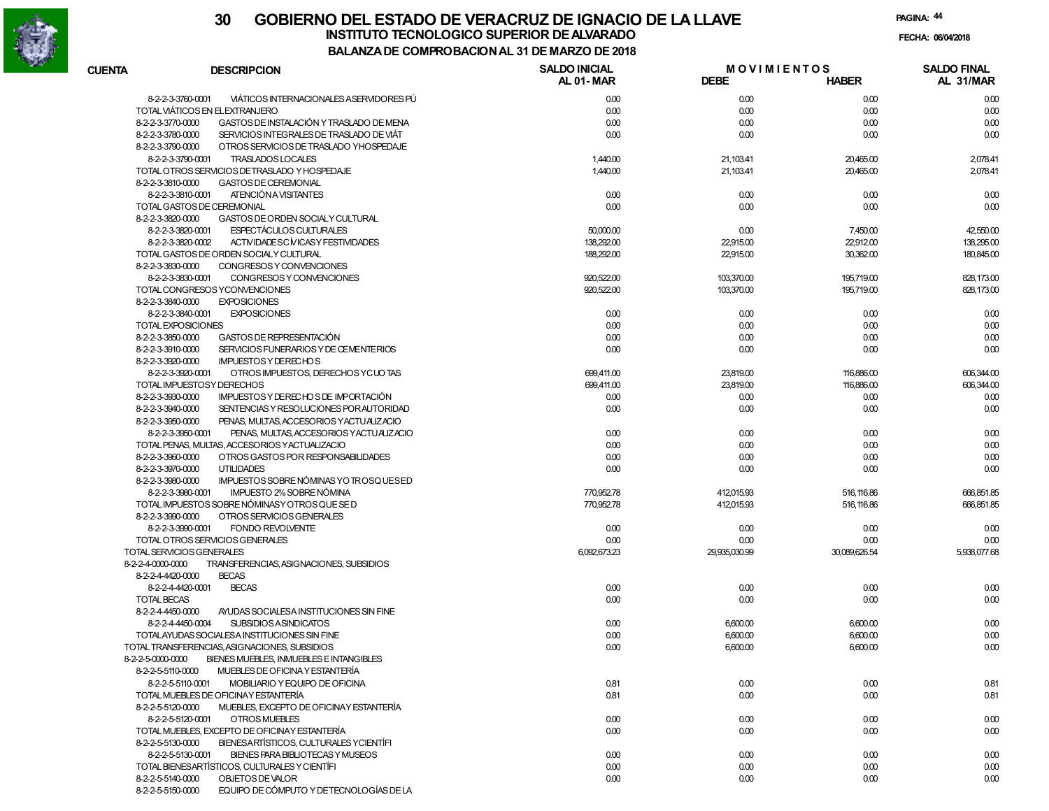

|                                        |                                                         | 00MH NODAOION AL 91 DL MAI        |                                   |               |                                 |
|----------------------------------------|---------------------------------------------------------|-----------------------------------|-----------------------------------|---------------|---------------------------------|
| <b>CUENTA</b>                          | <b>DESCRIPCION</b>                                      | <b>SALDO INICIAL</b><br>AL 01-MAR | <b>MOVIMIENTOS</b><br><b>DEBE</b> | <b>HABER</b>  | <b>SALDO FINAL</b><br>AL 31/MAR |
| 8-2-2-3-3760-0001                      | VIÁTICOS INTERNACIONALES A SERVIDORES PÚ                | 0.00                              | 0.00                              | 0.00          | 0.00                            |
|                                        | TOTAL VIÁTICOS EN EL EXTRANJERO                         | 0.00                              | 0.00                              | 0.00          | 0.00                            |
| 8-2-2-3-3770-0000                      | GASTOS DE INSTALACIÓN Y TRASLADO DE MENA                | 0.00                              | 0.00                              | 0.00          | 0.00                            |
| 8-2-2-3-3780-0000                      | SERVICIOS INTEGRALES DE TRASLADO DE VIÁT                | 0.00                              | 0.00                              | 0.00          | 0.00                            |
| 8-2-2-3-3790-0000                      | OTROS SERVICIOS DE TRASLADO YHOSPEDAJE                  |                                   |                                   |               |                                 |
| 8-2-2-3-3790-0001                      | TRASLADOS LOCALES                                       | 1,440.00                          | 21,103.41                         | 20,465.00     | 2,078.41                        |
|                                        | TOTAL OTROS SERVICIOS DETRASLADO Y HOSPEDAJE            | 1,440.00                          | 21,103.41                         | 20,465.00     | 2,078.41                        |
| 8-2-2-3-3810-0000                      | GASTOS DE CEREMONIAL                                    |                                   |                                   |               |                                 |
| 8-2-2-3-3810-0001                      | ATENCIÓN A VISITANTES                                   | 0.00                              | 0.00                              | 0.00          | 0.00                            |
|                                        | TOTAL GASTOS DE CEREMONIAL                              | 0.00                              | 0.00                              | 0.00          | 0.00                            |
| 8-2-2-3-3820-0000                      | GASTOS DE ORDEN SOCIALY CULTURAL                        |                                   |                                   |               |                                 |
| 8-2-2-3-3820-0001                      | <b>ESPECTÁCULOS CULTURALES</b>                          | 50,000.00                         | 0.00                              | 7,450.00      | 42,550.00                       |
| 8-2-2-3-3820-0002                      | ACTIVIDADESC MICASY FESTIVIDADES                        | 138,292.00                        | 22,915.00                         | 22,912.00     | 138,295.00                      |
|                                        | TOTAL GASTOS DE ORDEN SOCIALY CULTURAL                  | 188,292.00                        | 22,915.00                         | 30,362.00     | 180,845.00                      |
| 8-2-2-3-3830-0000                      | CONGRESOS Y CONVENCIONES                                |                                   |                                   |               |                                 |
| 8-2-2-3-3830-0001                      | CONGRESOS Y CONVENCIONES                                | 920,522.00                        | 103,370.00                        | 195,719.00    | 828, 173.00                     |
|                                        | TOTAL CONGRESOS YCONVENCIONES                           | 920,522.00                        | 103,370.00                        | 195,719.00    | 828, 173.00                     |
| 8-2-2-3-3840-0000                      | <b>EXPOSICIONES</b>                                     |                                   |                                   |               |                                 |
| 8-2-2-3-3840-0001                      | <b>EXPOSICIONES</b>                                     | 0.00                              | 0.00                              | 0.00          | 0.00                            |
| TOTAL EXPOSICIONES                     |                                                         | 0.00                              | 0.00                              | 0.00          | 0.00                            |
| 8-2-2-3-3850-0000                      | GASTOS DE REPRESENTACIÓN                                | 0.00                              | 0.00                              | 0.00          | 0.00                            |
| 8-2-2-3-3910-0000                      | SERVICIOS FUNERARIOS Y DE CEMENTERIOS                   | 0.00                              | 0.00                              | 0.00          | 0.00                            |
| 8-2-2-3-3920-0000                      | <b>IMPUESTOS Y DE RECHOS</b>                            |                                   |                                   |               |                                 |
| 8-2-2-3-3920-0001                      | OTROS IMPUESTOS, DERECHOS YCUOTAS                       | 699.411.00                        | 23,819.00                         | 116,886.00    | 606,344.00                      |
|                                        | TOTAL IMPUESTOSY DERECHOS                               | 699,411.00                        | 23,819.00                         | 116,886.00    | 606,344.00                      |
| 8-2-2-3-3930-0000                      | IMPUESTOS Y DERECHOS DE IMPORTACIÓN                     | 0.00                              | 0.00                              | 0.00          | 0.00                            |
| 8-2-2-3-3940-0000                      | SENTENCIAS Y RESOLUCIONES POR AUTORIDAD                 | 0.00                              | 0.00                              | 0.00          | 0.00                            |
| 8-2-2-3-3950-0000                      | PENAS, MULTAS, ACCESORIOS YACTUALIZACIO                 |                                   |                                   |               |                                 |
| 8-2-2-3-3950-0001                      | PENAS, MULTAS, ACCESORIOS YACTUALIZACIO                 | 0.00                              | 0.00                              | 0.00          | 0.00                            |
|                                        | TOTAL PENAS, MULTAS, ACCESORIOS YACTUALIZACIO           | 0.00                              | 0.00                              | 0.00          | 0.00                            |
| 8-2-2-3-3960-0000                      | OTROS GASTOS POR RESPONSABILIDADES<br><b>UTILIDADES</b> | 0.00                              | 0.00                              | 0.00          | 0.00<br>0.00                    |
| 8-2-2-3-3970-0000<br>8-2-2-3-3980-0000 | IMPUESTOS SOBRE NÓMINAS YO TROSQUESED                   | 0.00                              | 0.00                              | 0.00          |                                 |
| 8-2-2-3-3980-0001                      | IMPUESTO 2% SOBRE NÓMINA                                | 770,952.78                        | 412,015.93                        | 516, 116.86   | 666,851.85                      |
|                                        | TOTAL IMPUESTOS SOBRE NÓMINASY OTROS QUE SE D           | 770,952.78                        | 412,015.93                        | 516, 116.86   | 666,851.85                      |
| 8-2-2-3-3990-0000                      | OTROS SERVICIOS GENERALES                               |                                   |                                   |               |                                 |
| 8-2-2-3-3990-0001                      | <b>FONDO REVOLVENTE</b>                                 | 0.00                              | 0.00                              | 0.00          | 0.00                            |
|                                        | TOTAL OTROS SERVICIOS GENERALES                         | 0.00                              | 0.00                              | 0.00          | 0.00                            |
| TOTAL SERVICIOS GENERALES              |                                                         | 6,092,673.23                      | 29,935,030.99                     | 30,089,626.54 | 5,938,077.68                    |
| 8-2-2-4-0000-0000                      | TRANSFERENCIAS, ASIGNACIONES, SUBSIDIOS                 |                                   |                                   |               |                                 |
| 8-2-2-4-4420-0000                      | <b>BECAS</b>                                            |                                   |                                   |               |                                 |
| 8-2-2-4-4420-0001                      | <b>BECAS</b>                                            | 0.00                              | 0.00                              | 0.00          | 0.00                            |
| <b>TOTAL BECAS</b>                     |                                                         | 0.00                              | 0.00                              | 0.00          | 0.00                            |
| 8-2-2-4-4450-0000                      | AYUDAS SOCIALESA INSTITUCIONES SIN FINE                 |                                   |                                   |               |                                 |
| 8-2-2-4-4450-0004                      | <b>SUBSIDIOS ASINDICATOS</b>                            | 0.00                              | 6,600.00                          | 6,600.00      | 0.00                            |
|                                        | TOTALAYUDAS SOCIALESA INSTITUCIONES SIN FINE            | 0.00                              | 6,600.00                          | 6,600.00      | 0.00                            |
|                                        | TOTAL TRANSFERENCIAS, ASIGNACIONES, SUBSIDIOS           | 0.00                              | 6,600.00                          | 6,600.00      | 0.00                            |
| 8-2-2-5-0000-0000                      | BIENES MUEBLES, INMUEBLES E INTANGIBLES                 |                                   |                                   |               |                                 |
| 8-2-2-5-5110-0000                      | MUEBLES DE OFICINA Y ESTANTERÍA                         |                                   |                                   |               |                                 |
| 8-2-2-5-5110-0001                      | MOBILIARIO Y EQUIPO DE OFICINA                          | 0.81                              | 0.00                              | 0.00          | 0.81                            |
|                                        | TOTAL MUEBLES DE OFICINAY ESTANTERÍA                    | 0.81                              | 0.00                              | 0.00          | 0.81                            |
| 8-2-2-5-5120-0000                      | MUEBLES, EXCEPTO DE OFICINAY ESTANTERÍA                 |                                   |                                   |               |                                 |
| 8-2-2-5-5120-0001                      | OTROS MUEBLES                                           | 0.00                              | 0.00                              | 0.00          | 0.00                            |
|                                        | TOTAL MUEBLES, EXCEPTO DE OFICINAY ESTANTERÍA           | 0.00                              | 0.00                              | 0.00          | 0.00                            |
| 8-2-2-5-5130-0000                      | BIENESARTÍSTICOS, CULTURALES YCIENTÍFI                  |                                   |                                   |               |                                 |
| 8-2-2-5-5130-0001                      | BIENES PARA BIBLIOTECAS Y MUSEOS                        | 0.00                              | 0.00                              | 0.00          | 0.00                            |
|                                        | TOTAL BIENESARTÍSTICOS, CULTURALES Y CIENTÍFI           | 0.00                              | 0.00                              | 0.00          | 0.00                            |
| 8-2-2-5-5140-0000                      | OBJETOS DE VALOR                                        | 0.00                              | 0.00                              | 0.00          | 0.00                            |
| 8-2-2-5-5150-0000                      | EQUIPO DE CÓMPUTO Y DE TECNOLOGÍAS DE LA                |                                   |                                   |               |                                 |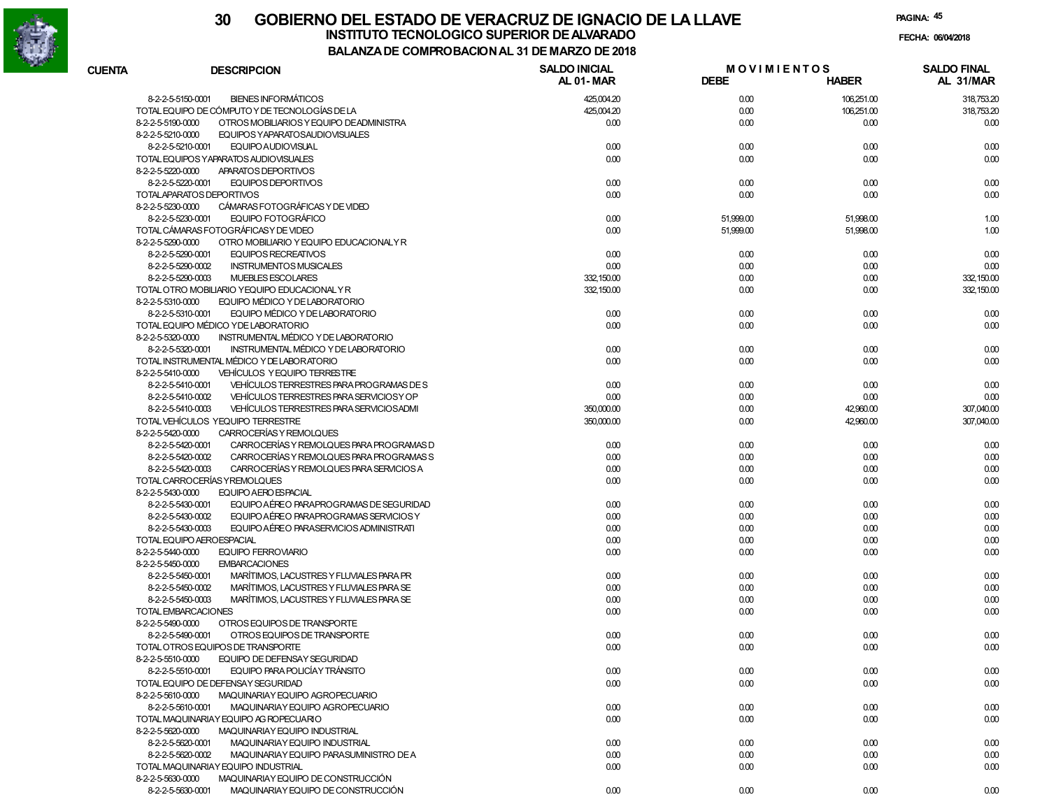

|               |                                                               | DE COMFRODACION AL 31 DE MARZO DE 2010 |                                   |              |                                 |
|---------------|---------------------------------------------------------------|----------------------------------------|-----------------------------------|--------------|---------------------------------|
| <b>CUENTA</b> | <b>DESCRIPCION</b>                                            | <b>SALDO INICIAL</b><br>AL 01-MAR      | <b>MOVIMIENTOS</b><br><b>DEBE</b> | <b>HABER</b> | <b>SALDO FINAL</b><br>AL 31/MAR |
|               | <b>BIENES INFORMÁTICOS</b><br>8-2-2-5-5150-0001               | 425,004.20                             | 0.00                              | 106,251.00   | 318,753.20                      |
|               | TOTAL EQUIPO DE CÓMPUTO Y DE TECNOLOGÍAS DE LA                | 425,004.20                             | 0.00                              | 106,251.00   | 318,753.20                      |
|               | OTROS MOBILIARIOS Y EQUIPO DE ADMINISTRA<br>8-2-2-5-5190-0000 | 0.00                                   | 0.00                              | 0.00         | 0.00                            |
|               | EQUIPOS YAPARATOSAUDIOVISUALES<br>8-2-2-5-5210-0000           |                                        |                                   |              |                                 |
|               | 8-2-2-5-5210-0001<br>EQUIPO AUDIOVISUAL                       | 0.00                                   | 0.00                              | 0.00         | 0.00                            |
|               | TOTAL EQUIPOS YAPARATOS AUDIOVISUALES                         | 0.00                                   | 0.00                              | 0.00         | 0.00                            |
|               | 8-2-2-5-5220-0000<br>APARATOS DEPORTIVOS                      |                                        |                                   |              |                                 |
|               | 8-2-2-5-5220-0001<br>EQUIPOS DEPORTIVOS                       | 0.00                                   | 0.00                              | 0.00         | 0.00                            |
|               | TOTALAPARATOS DEPORTIVOS                                      | 0.00                                   | 0.00                              | 0.00         | 0.00                            |
|               | CÁMARAS FOTOGRÁFICAS Y DE VIDEO<br>8-2-2-5-5230-0000          |                                        |                                   |              |                                 |
|               | EQUIPO FOTOGRÁFICO<br>8-2-2-5-5230-0001                       | 0.00                                   | 51,999.00                         | 51,998.00    | 1.00                            |
|               | TOTAL CÁMARAS FOTOGRÁFICAS Y DE VIDEO                         | 0.00                                   | 51,999.00                         | 51,998.00    | 1.00                            |
|               | 8-2-2-5-5290-0000<br>OTRO MOBILIARIO Y EQUIPO EDUCACIONALY R  |                                        |                                   |              |                                 |
|               | <b>EQUIPOS RECREATIVOS</b><br>8-2-2-5-5290-0001               | 0.00                                   | 0.00                              | 0.00         | 0.00                            |
|               | 8-2-2-5-5290-0002<br><b>INSTRUMENTOS MUSICALES</b>            | 0.00                                   | 0.00                              | 0.00         | 0.00                            |
|               | MUEBLES ESCOLARES<br>8-2-2-5-5290-0003                        | 332, 150.00                            | 0.00                              | 0.00         | 332, 150.00                     |
|               | TOTAL OTRO MOBILIARIO YEQUIPO EDUCACIONAL Y R                 | 332, 150.00                            | 0.00                              | 0.00         | 332, 150.00                     |
|               | EQUIPO MÉDICO Y DE LABORATORIO<br>8-2-2-5-5310-0000           |                                        |                                   |              |                                 |
|               | 8-2-2-5-5310-0001<br>EQUIPO MÉDICO Y DE LABORATORIO           | 0.00                                   | 0.00                              | 0.00         | 0.00                            |
|               | TOTAL EQUIPO MÉDICO Y DE LABORATORIO                          | 0.00                                   | 0.00                              | 0.00         | 0.00                            |
|               | 8-2-2-5-5320-0000<br>INSTRUMENTAL MÉDICO Y DE LABORATORIO     |                                        |                                   |              |                                 |
|               | 8-2-2-5-5320-0001<br>INSTRUMENTAL MÉDICO Y DE LABORATORIO     | 0.00                                   | 0.00                              | 0.00         | 0.00                            |
|               | TOTAL INSTRUMENTAL MÉDICO Y DE LABORATORIO                    | 0.00                                   | 0.00                              | 0.00         | 0.00                            |
|               | <b>VEHÍCULOS Y EQUIPO TERRESTRE</b><br>8-2-2-5-5410-0000      |                                        |                                   |              |                                 |
|               | VEHÍCULOS TERRESTRES PARA PROGRAMAS DE S<br>8-2-2-5-5410-0001 | 0.00                                   | 0.00                              | 0.00         | 0.00                            |
|               | VEHÍCULOS TERRESTRES PARA SERVICIOS Y OP<br>8-2-2-5-5410-0002 | 0.00                                   |                                   |              |                                 |
|               | 8-2-2-5-5410-0003<br>VEHÍCULOS TERRESTRES PARA SERVICIOS ADMI |                                        | 0.00                              | 0.00         | 0.00<br>307,040.00              |
|               | TOTAL VEHÍCULOS YEQUIPO TERRESTRE                             | 350,000.00                             | 0.00                              | 42,960.00    |                                 |
|               |                                                               | 350,000.00                             | 0.00                              | 42,960.00    | 307,040.00                      |
|               | 8-2-2-5-5420-0000<br>CARROCERÍAS Y REMOLQUES                  |                                        |                                   |              |                                 |
|               | 8-2-2-5-5420-0001<br>CARROCERÍAS Y REMOLQUES PARA PROGRAMAS D | 0.00                                   | 0.00                              | 0.00         | 0.00                            |
|               | 8-2-2-5-5420-0002<br>CARROCERÍAS Y REMOLQUES PARA PROGRAMAS S | 0.00                                   | 0.00                              | 0.00         | 0.00                            |
|               | CARROCERÍAS Y REMOLQUES PARA SERVICIOS A<br>8-2-2-5-5420-0003 | 0.00                                   | 0.00                              | 0.00         | 0.00                            |
|               | TOTAL CARROCERÍAS Y REMOLQUES                                 | 0.00                                   | 0.00                              | 0.00         | 0.00                            |
|               | EQUIPO AERO ESPACIAL<br>8-2-2-5-5430-0000                     |                                        |                                   |              |                                 |
|               | EQUIPO AÉREO PARAPROGRAMAS DE SEGURIDAD<br>8-2-2-5-5430-0001  | 0.00                                   | 0.00                              | 0.00         | 0.00                            |
|               | EQUIPO AÉREO PARAPROGRAMAS SERVICIOS Y<br>8-2-2-5-5430-0002   | 0.00                                   | 0.00                              | 0.00         | 0.00                            |
|               | EQUIPO AÉREO PARASERVICIOS ADMINISTRATI<br>8-2-2-5-5430-0003  | 0.00                                   | 0.00                              | 0.00         | 0.00                            |
|               | TOTAL EQUIPO AEROESPACIAL                                     | 0.00                                   | 0.00                              | 0.00         | 0.00                            |
|               | 8-2-2-5-5440-0000<br><b>EQUIPO FERROVIARIO</b>                | 0.00                                   | 0.00                              | 0.00         | 0.00                            |
|               | <b>EMBARCACIONES</b><br>8-2-2-5-5450-0000                     |                                        |                                   |              |                                 |
|               | MARÍTIMOS, LACUSTRES Y FLUVIALES PARA PR<br>8-2-2-5-5450-0001 | 0.00                                   | 0.00                              | 0.00         | 0.00                            |
|               | MARÍTIMOS, LACUSTRES Y FLUVIALES PARA SE<br>8-2-2-5-5450-0002 | 0.00                                   | 0.00                              | 0.00         | 0.00                            |
|               | 8-2-2-5-5450-0003<br>MARÍTIMOS, LACUSTRES Y FLUVIALES PARA SE | 0.00                                   | 0.00                              | 0.00         | 0.00                            |
|               | TOTAL EMBARCACIONES                                           | 0.00                                   | 0.00                              | 0.00         | 0.00                            |
|               | 8-2-2-5-5490-0000<br>OTROS EQUIPOS DE TRANSPORTE              |                                        |                                   |              |                                 |
|               | OTROS EQUIPOS DE TRANSPORTE<br>8-2-2-5-5490-0001              | 0.00                                   | 0.00                              | 0.00         | 0.00                            |
|               | TOTAL OTROS EQUIPOS DE TRANSPORTE                             | 0.00                                   | 0.00                              | 0.00         | 0.00                            |
|               | EQUIPO DE DEFENSAY SEGURIDAD<br>8-2-2-5-5510-0000             |                                        |                                   |              |                                 |
|               | 8-2-2-5-5510-0001<br>EQUIPO PARA POLICÍAY TRÁNSITO            | 0.00                                   | 0.00                              | 0.00         | 0.00                            |
|               | TOTAL EQUIPO DE DEFENSAY SEGURIDAD                            | 0.00                                   | 0.00                              | 0.00         | 0.00                            |
|               | 8-2-2-5-5610-0000<br>MAQUINARIAY EQUIPO AGROPECUARIO          |                                        |                                   |              |                                 |
|               | 8-2-2-5-5610-0001<br>MAQUINARIAY EQUIPO AGROPECUARIO          | 0.00                                   | 0.00                              | 0.00         | 0.00                            |
|               | TOTAL MAQUINARIAY EQUIPO AG ROPECUARIO                        | 0.00                                   | 0.00                              | 0.00         | 0.00                            |
|               | 8-2-2-5-5620-0000<br>MAQUINARIAY EQUIPO INDUSTRIAL            |                                        |                                   |              |                                 |
|               | 8-2-2-5-5620-0001<br>MAQUINARIAY EQUIPO INDUSTRIAL            | 0.00                                   | 0.00                              | 0.00         | 0.00                            |
|               | 8-2-2-5-5620-0002<br>MAQUINARIAY EQUIPO PARASUMINISTRO DE A   | 0.00                                   | 0.00                              | 0.00         | 0.00                            |
|               | TOTAL MAQUINARIAY EQUIPO INDUSTRIAL                           | 0.00                                   | 0.00                              | 0.00         | 0.00                            |
|               | 8-2-2-5-5630-0000<br>MAQUINARIAY EQUIPO DE CONSTRUCCIÓN       |                                        |                                   |              |                                 |
|               | MAQUINARIAY EQUIPO DE CONSTRUCCIÓN<br>8-2-2-5-5630-0001       | 0.00                                   | 0.00                              | 0.00         | 0.00                            |
|               |                                                               |                                        |                                   |              |                                 |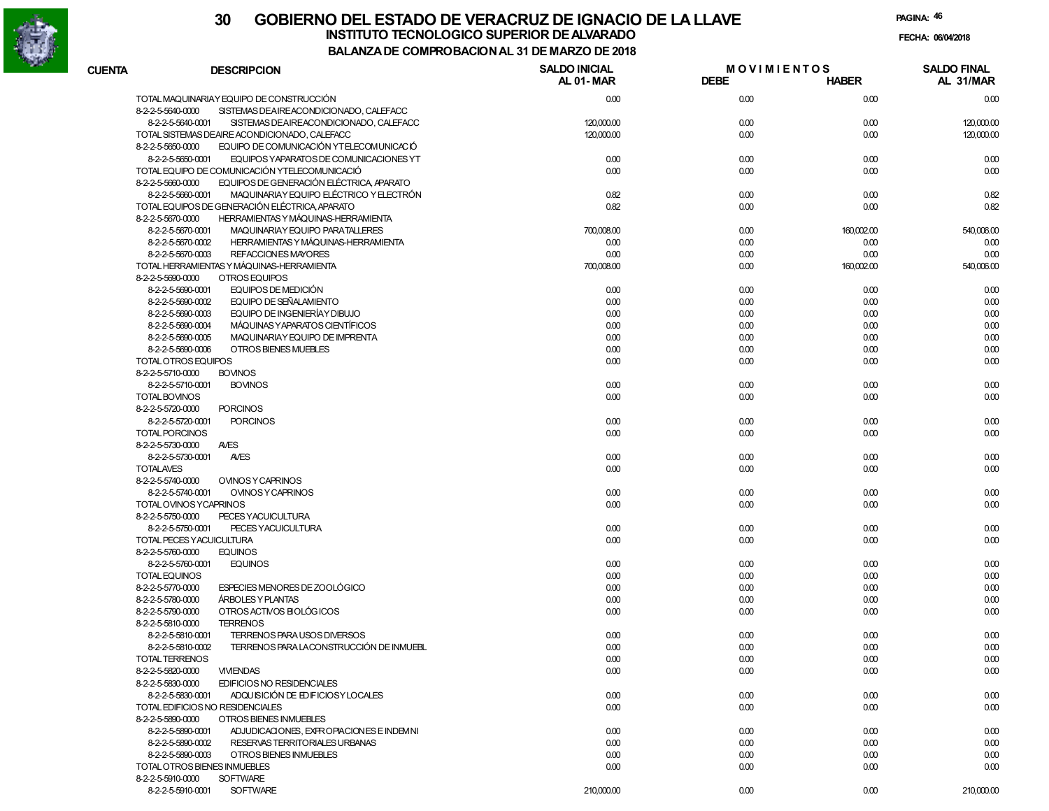

|               |                                                               | DE COMFRODACION AL 31 DE MARZO DE 2010 |                                   |              |                                 |  |
|---------------|---------------------------------------------------------------|----------------------------------------|-----------------------------------|--------------|---------------------------------|--|
| <b>CUENTA</b> | <b>DESCRIPCION</b>                                            | <b>SALDO INICIAL</b><br>AL 01-MAR      | <b>MOVIMIENTOS</b><br><b>DEBE</b> | <b>HABER</b> | <b>SALDO FINAL</b><br>AL 31/MAR |  |
|               | TOTAL MAQUINARIAY EQUIPO DE CONSTRUCCIÓN                      | 0.00                                   | 0.00                              | 0.00         | 0.00                            |  |
|               | 8-2-2-5-5640-0000<br>SISTEMAS DEAIREACONDICIONADO, CALEFACC   |                                        |                                   |              |                                 |  |
|               | 8-2-2-5-5640-0001<br>SISTEMAS DEAIREACONDICIONADO, CALEFACC   | 120,000.00                             | 0.00                              | 0.00         | 120,000.00                      |  |
|               | TOTAL SISTEMAS DEAIRE ACONDICIONADO, CALEFACC                 | 120,000.00                             | 0.00                              | 0.00         | 120,000.00                      |  |
|               | EQUIPO DE COMUNICACIÓN YTELECOMUNICACIÓ<br>8-2-2-5-5650-0000  |                                        |                                   |              |                                 |  |
|               | 8-2-2-5-5650-0001<br>EQUIPOS YAPARATOS DE COMUNICACIONES YT   | 0.00                                   | 0.00                              | 0.00         | 0.00                            |  |
|               | TOTAL EQUIPO DE COMUNICACIÓN YTELECOMUNICACIÓ                 | 0.00                                   | 0.00                              | 0.00         | 0.00                            |  |
|               | EQUIPOS DE GENERACIÓN ELÉCTRICA, APARATO<br>8-2-2-5-5660-0000 |                                        |                                   |              |                                 |  |
|               | MAQUINARIAY EQUIPO ELÉCTRICO Y ELECTRÓN<br>8-2-2-5-5660-0001  | 0.82                                   | 0.00                              | 0.00         | 0.82                            |  |
|               | TOTAL EQUIPOS DE GENERACIÓN ELÉCTRICA, APARATO                | 0.82                                   | 0.00                              | 0.00         | 0.82                            |  |
|               | HERRAMIENTAS Y MÁQUINAS-HERRAMIENTA<br>8-2-2-5-5670-0000      |                                        |                                   |              |                                 |  |
|               | 8-2-2-5-5670-0001<br>MAQUINARIAY EQUIPO PARATALLERES          | 700,008.00                             | 0.00                              | 160,002.00   | 540,006.00                      |  |
|               | 8-2-2-5-5670-0002<br>HERRAMIENTAS Y MÁQUINAS-HERRAMIENTA      | 0.00                                   | 0.00                              | 0.00         | 0.00                            |  |
|               | REFACCION ES MAYORES<br>8-2-2-5-5670-0003                     | 0.00                                   | 0.00                              | 0.00         | 0.00                            |  |
|               | TOTAL HERRAMIENTAS Y MÁQUINAS-HERRAMIENTA                     | 700,008.00                             | 0.00                              | 160,002.00   | 540,006.00                      |  |
|               | OTROS EQUIPOS<br>8-2-2-5-5690-0000                            |                                        |                                   |              |                                 |  |
|               | 8-2-2-5-5690-0001<br>EQUIPOS DE MEDICIÓN                      | 0.00                                   | 0.00                              | 0.00         | 0.00                            |  |
|               |                                                               |                                        |                                   |              |                                 |  |
|               | EQUIPO DE SEÑALAMIENTO<br>8-2-2-5-5690-0002                   | 0.00                                   | 0.00                              | 0.00         | 0.00                            |  |
|               | 8-2-2-5-5690-0003<br>EQUIPO DE INGENIERÍAY DIBUJO             | 0.00                                   | 0.00                              | 0.00         | 0.00                            |  |
|               | MÁQUINAS Y APARATOS CIENTÍFICOS<br>8-2-2-5-5690-0004          | 0.00                                   | 0.00                              | 0.00         | 0.00                            |  |
|               | MAQUINARIAY EQUIPO DE IMPRENTA<br>8-2-2-5-5690-0005           | 0.00                                   | 0.00                              | 0.00         | 0.00                            |  |
|               | OTROS BIENES MUEBLES<br>8-2-2-5-5690-0006                     | 0.00                                   | 0.00                              | 0.00         | 0.00                            |  |
|               | TOTAL OTROS EQUIPOS                                           | 0.00                                   | 0.00                              | 0.00         | 0.00                            |  |
|               | 8-2-2-5-5710-0000<br><b>BOVINOS</b>                           |                                        |                                   |              |                                 |  |
|               | 8-2-2-5-5710-0001<br><b>BOVINOS</b>                           | 0.00                                   | 0.00                              | 0.00         | 0.00                            |  |
|               | <b>TOTAL BOVINOS</b>                                          | 0.00                                   | 0.00                              | 0.00         | 0.00                            |  |
|               | 8-2-2-5-5720-0000<br><b>PORCINOS</b>                          |                                        |                                   |              |                                 |  |
|               | <b>PORCINOS</b><br>8-2-2-5-5720-0001                          | 0.00                                   | 0.00                              | 0.00         | 0.00                            |  |
|               | <b>TOTAL PORCINOS</b>                                         | 0.00                                   | 0.00                              | 0.00         | 0.00                            |  |
|               | <b>AVES</b><br>8-2-2-5-5730-0000                              |                                        |                                   |              |                                 |  |
|               | 8-2-2-5-5730-0001<br><b>AVES</b>                              | 0.00                                   | 0.00                              | 0.00         | 0.00                            |  |
|               | <b>TOTALAVES</b>                                              | 0.00                                   | 0.00                              | 0.00         | 0.00                            |  |
|               | 8-2-2-5-5740-0000<br>OVINOS Y CAPRINOS                        |                                        |                                   |              |                                 |  |
|               | OVINOS Y CAPRINOS<br>8-2-2-5-5740-0001                        | 0.00                                   | 0.00                              | 0.00         | 0.00                            |  |
|               | TOTAL OVINOS YCAPRINOS                                        | 0.00                                   | 0.00                              | 0.00         | 0.00                            |  |
|               | 8-2-2-5-5750-0000<br>PECES YACUICULTURA                       |                                        |                                   |              |                                 |  |
|               | PECES YACUICULTURA<br>8-2-2-5-5750-0001                       | 0.00                                   | 0.00                              | 0.00         | 0.00                            |  |
|               | TOTAL PECES YACUICULTURA                                      | 0.00                                   | 0.00                              | 0.00         | 0.00                            |  |
|               | 8-2-2-5-5760-0000<br><b>EQUINOS</b>                           |                                        |                                   |              |                                 |  |
|               | 8-2-2-5-5760-0001<br><b>EQUINOS</b>                           | 0.00                                   | 0.00                              | 0.00         | 0.00                            |  |
|               | TOTAL EQUINOS                                                 | 0.00                                   | 0.00                              | 0.00         | 0.00                            |  |
|               | ESPECIES MENORES DE ZOOLÓGICO<br>8-2-2-5-5770-0000            |                                        |                                   |              |                                 |  |
|               |                                                               | 0.00                                   | 0.00                              | 0.00         | 0.00                            |  |
|               | 8-2-2-5-5780-0000<br>ÁRBOLES Y PLANTAS                        | 0.00                                   | 0.00                              | 0.00         | 0.00                            |  |
|               | OTROS ACTIVOS ELOLÓGICOS<br>8-2-2-5-5790-0000                 | 0.00                                   | 0.00                              | 0.00         | 0.00                            |  |
|               | 8-2-2-5-5810-0000<br><b>TERRENOS</b>                          |                                        |                                   |              |                                 |  |
|               | TERRENOS PARA USOS DIVERSOS<br>8-2-2-5-5810-0001              | 0.00                                   | 0.00                              | 0.00         | 0.00                            |  |
|               | TERRENOS PARA LACONSTRUCCIÓN DE INMUEBL<br>8-2-2-5-5810-0002  | 0.00                                   | 0.00                              | 0.00         | 0.00                            |  |
|               | <b>TOTAL TERRENOS</b>                                         | 0.00                                   | 0.00                              | 0.00         | 0.00                            |  |
|               | 8-2-2-5-5820-0000<br><b>VIVIENDAS</b>                         | 0.00                                   | 0.00                              | 0.00         | 0.00                            |  |
|               | 8-2-2-5-5830-0000<br>EDIFICIOS NO RESIDENCIALES               |                                        |                                   |              |                                 |  |
|               | ADQUISICIÓN DE EDIFICIOSY LOCALES<br>8-2-2-5-5830-0001        | 0.00                                   | 0.00                              | 0.00         | 0.00                            |  |
|               | TOTAL EDIFICIOS NO RESIDENCIALES                              | 0.00                                   | 0.00                              | 0.00         | 0.00                            |  |
|               | OTROS BIENES INMUEBLES<br>8-2-2-5-5890-0000                   |                                        |                                   |              |                                 |  |
|               | 8-2-2-5-5890-0001<br>ADJUDICACIONES, EXPROPIACIONES E INDEMNI | 0.00                                   | 0.00                              | 0.00         | 0.00                            |  |
|               | 8-2-2-5-5890-0002<br>RESERVAS TERRITORIALES URBANAS           | 0.00                                   | 0.00                              | 0.00         | 0.00                            |  |
|               | 8-2-2-5-5890-0003<br>OTROS BIENES INMUEBLES                   | 0.00                                   | 0.00                              | 0.00         | 0.00                            |  |
|               | TOTAL OTROS BIENES INMUEBLES                                  | 0.00                                   | 0.00                              | 0.00         | 0.00                            |  |
|               | 8-2-2-5-5910-0000<br><b>SOFTWARE</b>                          |                                        |                                   |              |                                 |  |
|               | <b>SOFTWARE</b><br>8-2-2-5-5910-0001                          | 210,000.00                             | 0.00                              | 0.00         | 210,000.00                      |  |
|               |                                                               |                                        |                                   |              |                                 |  |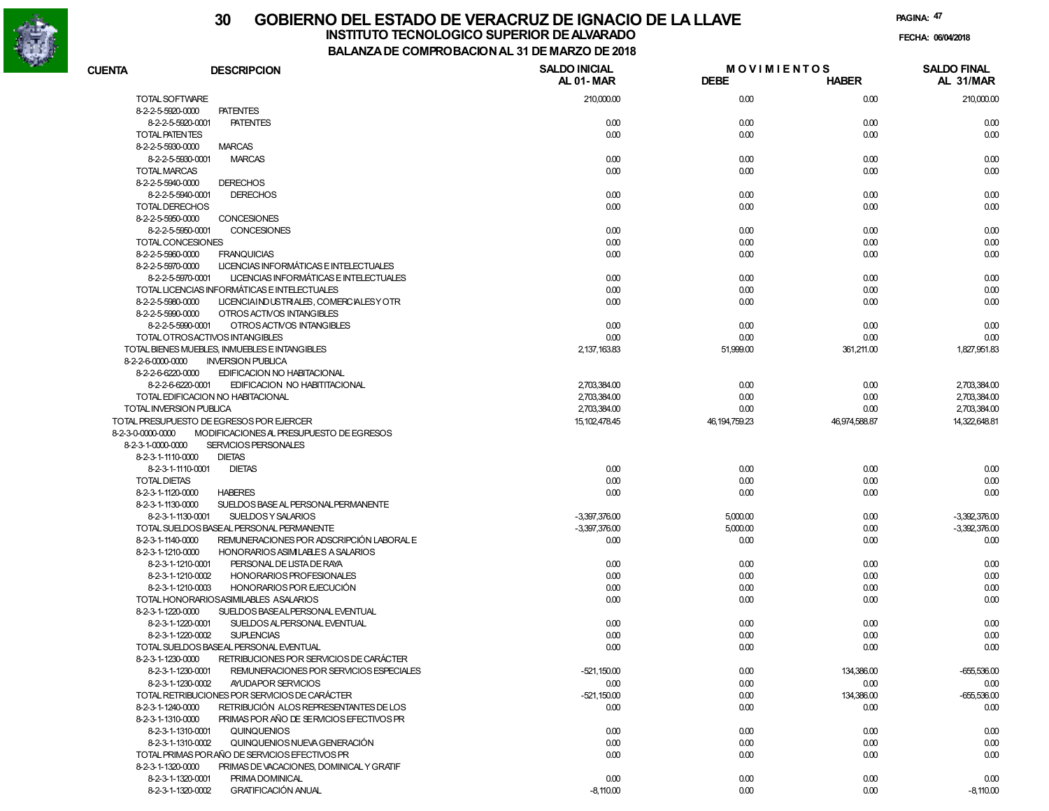

# **30 GOBIERNO DEL ESTADO DE VERACRUZ DE IGNACIO DE LA LLAVEINSTITUTO TECNOLOGICO SUPERIOR DE ALVARADO de la composición de la composición de la composición de la composición**<br>Dal aniza de composición da la de marzo de como

**BALANZA DE COMPROBACION AL 31 DE MARZO DE 2018**

**FECHA:**

| <b>CUENTA</b>         | <b>DESCRIPCION</b>                                           | <b>SALDO INICIAL</b><br>AL 01-MAR | <b>MOVIMIENTOS</b><br><b>DEBE</b> | <b>HABER</b>  | <b>SALDO FINAL</b><br>AL 31/MAR |
|-----------------------|--------------------------------------------------------------|-----------------------------------|-----------------------------------|---------------|---------------------------------|
| TOTAL SOFTWARE        |                                                              | 210,000.00                        | 0.00                              | 0.00          | 210,000.00                      |
| 8-2-2-5-5920-0000     | <b>PATENTES</b>                                              |                                   |                                   |               |                                 |
|                       | 8-2-2-5-5920-0001<br><b>PATENTES</b>                         | 0.00                              | 0.00                              | 0.00          | 0.00                            |
| <b>TOTAL PATENTES</b> |                                                              | 0.00                              | 0.00                              | 0.00          | 0.00                            |
| 8-2-2-5-5930-0000     | <b>MARCAS</b>                                                |                                   |                                   |               |                                 |
|                       | 8-2-2-5-5930-0001<br><b>MARCAS</b>                           | 0.00                              | 0.00                              | 0.00          | 0.00                            |
| <b>TOTAL MARCAS</b>   |                                                              | 0.00                              | 0.00                              | 0.00          | 0.00                            |
| 8-2-2-5-5940-0000     | <b>DERECHOS</b>                                              |                                   |                                   |               |                                 |
|                       | 8-2-2-5-5940-0001<br><b>DERECHOS</b>                         | 0.00                              | 0.00                              | 0.00          | 0.00                            |
| <b>TOTAL DERECHOS</b> |                                                              | 0.00                              | 0.00                              | 0.00          | 0.00                            |
| 8-2-2-5-5950-0000     | CONCESIONES                                                  |                                   |                                   |               |                                 |
|                       | 8-2-2-5-5950-0001<br>CONCESIONES                             | 0.00                              | 0.00                              | 0.00          | 0.00                            |
|                       | TOTAL CONCESIONES                                            | 0.00                              | 0.00                              | 0.00          | 0.00                            |
| 8-2-2-5-5960-0000     | <b>FRANQUICIAS</b>                                           | 0.00                              | 0.00                              | 0.00          | 0.00                            |
| 8-2-2-5-5970-0000     | LICENCIAS INFORMÁTICAS E INTELECTUALES                       |                                   |                                   |               |                                 |
|                       | LICENCIAS INFORMÁTICAS E INTELECTUALES<br>8-2-2-5-5970-0001  | 0.00                              | 0.00                              | 0.00          | 0.00                            |
|                       | TOTAL LICENCIAS INFORMÁTICAS E INTELECTUALES                 | 0.00                              | 0.00                              | 0.00          | 0.00                            |
| 8-2-2-5-5980-0000     | LICENCIAIND USTRIALES, COMERCIALESY OTR                      | 0.00                              | 0.00                              | 0.00          | 0.00                            |
| 8-2-2-5-5990-0000     | OTROS ACTIVOS INTANGIBLES                                    |                                   |                                   |               |                                 |
|                       | 8-2-2-5-5990-0001<br>OTROS ACTIVOS INTANGIBLES               | 0.00                              | 0.00                              | 0.00          | 0.00                            |
|                       | TOTAL OTROSACTIVOS INTANGIBLES                               | 0.00                              | 0.00                              | 0.00          | 0.00                            |
|                       | TOTAL BIENES MUEBLES, INMUEBLES E INTANGIBLES                | 2,137,163.83                      | 51,999.00                         | 361,211.00    | 1,827,951.83                    |
| 8-2-2-6-0000-0000     | <b>INVERSION PUBLICA</b>                                     |                                   |                                   |               |                                 |
| 8-2-2-6-6220-0000     | EDIFICACION NO HABITACIONAL                                  |                                   |                                   |               |                                 |
|                       | 8-2-2-6-6220-0001<br>EDIFICACION NO HABITITACIONAL           | 2,703,384.00                      | 0.00                              | 0.00          | 2,703,384.00                    |
|                       | TOTAL EDIFICACION NO HABITACIONAL                            | 2,703,384.00                      | 0.00                              | 0.00          | 2,703,384.00                    |
|                       | TOTAL INVERSION PUBLICA                                      | 2,703,384.00                      | 0.00                              | 0.00          | 2.703.384.00                    |
|                       | TOTAL PRESUPUESTO DE EGRESOS POR EJERCER                     | 15, 102, 478.45                   | 46, 194, 759. 23                  | 46,974,588.87 | 14,322,648.81                   |
| 8-2-3-0-0000-0000     | MODIFICACIONES AL PRESUPUESTO DE EGRESOS                     |                                   |                                   |               |                                 |
| 8-2-3-1-0000-0000     | SERVICIOS PERSONALES                                         |                                   |                                   |               |                                 |
| 8-2-3-1-1110-0000     | <b>DIETAS</b>                                                |                                   |                                   |               |                                 |
|                       | 8-2-3-1-1110-0001<br><b>DIETAS</b>                           | 0.00                              | 0.00                              | 0.00          | 0.00                            |
| <b>TOTAL DIETAS</b>   |                                                              | 0.00                              | 0.00                              | 0.00          | 0.00                            |
| 8-2-3-1-1120-0000     | <b>HABERES</b>                                               | 0.00                              | 0.00                              | 0.00          | 0.00                            |
| 8-2-3-1-1130-0000     | SUELDOS BASE AL PERSONAL PERMANENTE                          |                                   |                                   |               |                                 |
|                       | 8-2-3-1-1130-0001<br>SUELDOS Y SALARIOS                      | $-3,397,376.00$                   | 5,000.00                          | 0.00          | $-3,392,376.00$                 |
|                       | TOTAL SUELDOS BASEAL PERSONAL PERMANENTE                     | $-3,397,376.00$                   | 5,000.00                          | 0.00          | $-3,392,376.00$                 |
| 8-2-3-1-1140-0000     | REMUNERACIONES POR ADSCRIPCIÓN LABORAL E                     | 0.00                              | 0.00                              | 0.00          | 0.00                            |
| 8-2-3-1-1210-0000     | HONORARIOS ASIMILABLES A SALARIOS                            |                                   |                                   |               |                                 |
|                       | PERSONAL DE LISTA DE RAYA<br>8-2-3-1-1210-0001               | 0.00                              | 0.00                              | 0.00          | 0.00                            |
|                       | 8-2-3-1-1210-0002<br>HONORARIOS PROFESIONALES                | 0.00                              | 0.00                              | 0.00          | 0.00                            |
|                       | 8-2-3-1-1210-0003<br>HONORARIOS POR EJECUCIÓN                | 0.00                              | 0.00                              | 0.00          | 0.00                            |
|                       | TOTAL HONORARIOSASIMILABLES ASALARIOS                        | 0.00                              | 0.00                              | 0.00          | 0.00                            |
| 8-2-3-1-1220-0000     | SUELDOS BASEALPERSONAL EVENTUAL                              |                                   |                                   |               |                                 |
|                       | 8-2-3-1-1220-0001<br>SUELDOS AL PERSONAL EVENTUAL            | 0.00                              | 0.00                              | 0.00          | 0.00                            |
|                       | 8-2-3-1-1220-0002<br><b>SUPLENCIAS</b>                       | 0.00                              | 0.00                              | 0.00          | 0.00                            |
|                       | TOTAL SUELDOS BASEAL PERSONAL EVENTUAL                       | 0.00                              | 0.00                              | 0.00          | 0.00                            |
| 8-2-3-1-1230-0000     | RETRIBUCIONES POR SERVICIOS DE CARÁCTER                      |                                   |                                   |               |                                 |
|                       | 8-2-3-1-1230-0001<br>REMUNERACIONES POR SERVICIOS ESPECIALES | $-521,150.00$                     | 0.00                              | 134,386.00    | $-655,536.00$                   |
|                       | 8-2-3-1-1230-0002<br>AYUDAPOR SERVICIOS                      | 0.00                              | 0.00                              | 0.00          | 0.00                            |
|                       | TOTAL RETRIBUCIONES POR SERVICIOS DE CARÁCTER                | $-521,150.00$                     | 0.00                              | 134,386.00    | $-655,536.00$                   |
| 8-2-3-1-1240-0000     | RETRIBUCIÓN ALOS REPRESENTANTES DE LOS                       | 0.00                              | 0.00                              | 0.00          | 0.00                            |
| 8-2-3-1-1310-0000     | PRIMAS POR AÑO DE SERVICIOS EFECTIVOS PR                     |                                   |                                   |               |                                 |
|                       | 8-2-3-1-1310-0001<br>QUINQUENIOS                             | 0.00                              | 0.00                              | 0.00          | 0.00                            |
|                       | 8-2-3-1-1310-0002<br>QUINQUENIOS NUEVA GENERACIÓN            | 0.00                              | 0.00                              | 0.00          | 0.00                            |
|                       | TOTAL PRIMAS PORAÑO DE SERVICIOS EFECTIVOS PR                | 0.00                              | 0.00                              | 0.00          | 0.00                            |
| 8-2-3-1-1320-0000     | PRIMAS DE VACACIONES. DOMINICAL Y GRATIF                     |                                   |                                   |               |                                 |
|                       | 8-2-3-1-1320-0001<br>PRIMA DOMINICAL                         | 0.00                              | 0.00                              | 0.00          | 0.00                            |
|                       | <b>GRATIFICACIÓN ANUAL</b><br>8-2-3-1-1320-0002              | $-8,110.00$                       | 0.00                              | 0.00          | $-8,110.00$                     |
|                       |                                                              |                                   |                                   |               |                                 |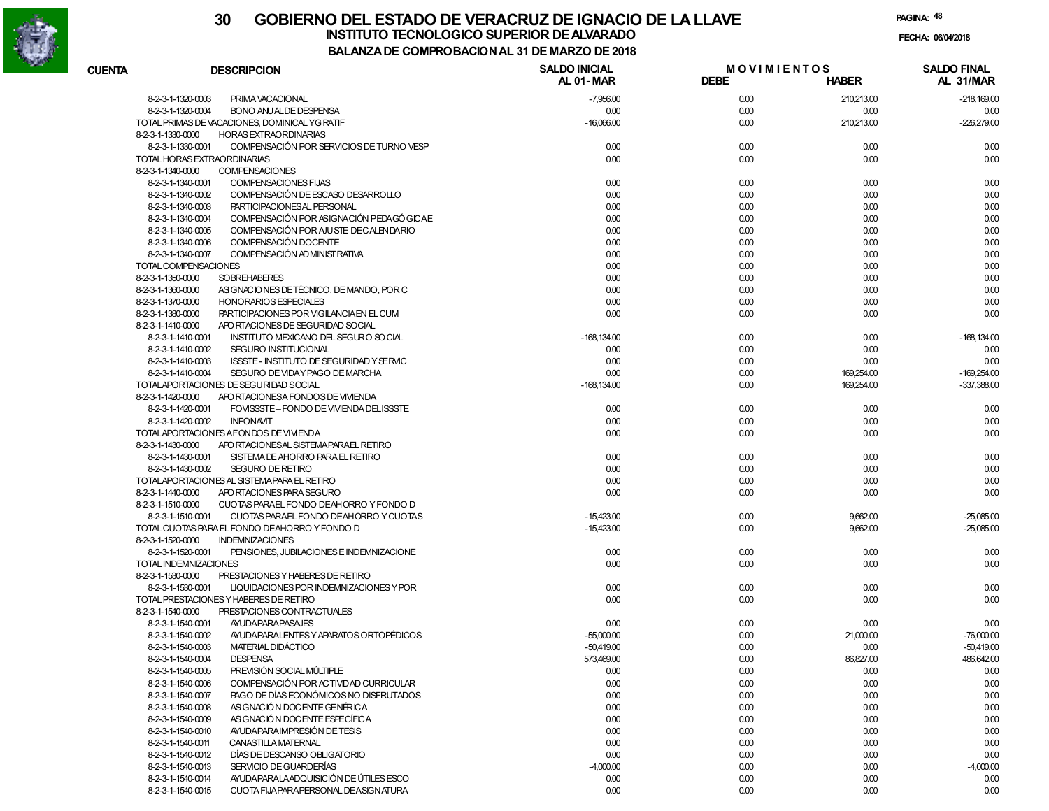

|               |                                                               | A DE CONIFRO DACION AL 31 DE MARZO DE ZUTO |                                   |              |                                 |
|---------------|---------------------------------------------------------------|--------------------------------------------|-----------------------------------|--------------|---------------------------------|
| <b>CUENTA</b> | <b>DESCRIPCION</b>                                            | <b>SALDO INICIAL</b><br>AL 01-MAR          | <b>MOVIMIENTOS</b><br><b>DEBE</b> | <b>HABER</b> | <b>SALDO FINAL</b><br>AL 31/MAR |
|               | 8-2-3-1-1320-0003<br>PRIMA VACACIONAL                         | $-7,956.00$                                | 0.00                              | 210,213.00   | $-218,169.00$                   |
|               | 8-2-3-1-1320-0004<br><b>BONO ANJALDE DESPENSA</b>             | 0.00                                       | 0.00                              | 0.00         | 0.00                            |
|               | TOTAL PRIMAS DE VACACIONES, DOMINICAL YG RATIF                | $-16,066.00$                               | 0.00                              | 210,213.00   | $-226,279.00$                   |
|               | 8-2-3-1-1330-0000<br><b>HORAS EXTRAORDINARIAS</b>             |                                            |                                   |              |                                 |
|               | COMPENSACIÓN POR SERVICIOS DE TURNO VESP<br>8-2-3-1-1330-0001 | 0.00                                       | 0.00                              | 0.00         | 0.00                            |
|               | TOTAL HORAS EXTRAORDINARIAS                                   | 0.00                                       | 0.00                              | 0.00         | 0.00                            |
|               | 8-2-3-1-1340-0000<br><b>COMPENSACIONES</b>                    |                                            |                                   |              |                                 |
|               | 8-2-3-1-1340-0001<br>COMPENSACIONES FIJAS                     | 0.00                                       | 0.00                              | 0.00         | 0.00                            |
|               | COMPENSACIÓN DE ESCASO DESARROLLO<br>8-2-3-1-1340-0002        | 0.00                                       | 0.00                              | 0.00         | 0.00                            |
|               | PARTICIPACIONESAL PERSONAL<br>8-2-3-1-1340-0003               | 0.00                                       | 0.00                              | 0.00         | 0.00                            |
|               | COMPENSACIÓN POR ASIGNACIÓN PEDAGÓ GICAE<br>8-2-3-1-1340-0004 | 0.00                                       | 0.00                              | 0.00         | 0.00                            |
|               | COMPENSACIÓN POR AJUSTE DECALENDARIO<br>8-2-3-1-1340-0005     | 0.00                                       | 0.00                              | 0.00         | 0.00                            |
|               | COMPENSACIÓN DOCENTE<br>8-2-3-1-1340-0006                     | 0.00                                       | 0.00                              | 0.00         | 0.00                            |
|               | COMPENSACIÓN AD MINIST RATIVA<br>8-2-3-1-1340-0007            | 0.00                                       | 0.00                              | 0.00         | 0.00                            |
|               | TOTAL COMPENSACIONES                                          | 0.00                                       | 0.00                              | 0.00         | 0.00                            |
|               | <b>SOBREHABERES</b><br>8-2-3-1-1350-0000                      | 0.00                                       | 0.00                              | 0.00         | 0.00                            |
|               | ASIGNACIONES DE TÉCNICO, DE MANDO, POR C<br>8-2-3-1-1360-0000 | 0.00                                       | 0.00                              | 0.00         | 0.00                            |
|               | 8-2-3-1-1370-0000<br><b>HONORARIOS ESPECIALES</b>             | 0.00                                       | 0.00                              | 0.00         | 0.00                            |
|               | 8-2-3-1-1380-0000<br>PARTICIPACIONES POR VIGILANCIA EN EL CUM | 0.00                                       | 0.00                              | 0.00         | 0.00                            |
|               | 8-2-3-1-1410-0000<br>APO RTACIONES DE SEGURIDAD SOCIAL        |                                            |                                   |              |                                 |
|               | 8-2-3-1-1410-0001<br>INSTITUTO MEXICANO DEL SEGURO SO CIAL    | $-168, 134.00$                             | 0.00                              | 0.00         | $-168, 134.00$                  |
|               | 8-2-3-1-1410-0002<br>SEGURO INSTITUCIONAL                     | 0.00                                       | 0.00                              | 0.00         | 0.00                            |
|               | 8-2-3-1-1410-0003<br>ISSSTE - INSTITUTO DE SEGURIDAD Y SERVIC | 0.00                                       | 0.00                              | 0.00         | 0.00                            |
|               | 8-2-3-1-1410-0004<br>SEGURO DE VIDAY PAGO DE MARCHA           | 0.00                                       | 0.00                              | 169,254.00   | $-169,254.00$                   |
|               | TOTALAPORTACIONES DE SEGURIDAD SOCIAL                         | $-168, 134.00$                             | 0.00                              | 169,254.00   | $-337,388.00$                   |
|               | 8-2-3-1-1420-0000<br>APO RTACIONESA FONDOS DE VIVIENDA        |                                            |                                   |              |                                 |
|               | 8-2-3-1-1420-0001<br>FOVISSSTE-FONDO DE VIVIENDA DELISSSTE    | 0.00                                       | 0.00                              | 0.00         | 0.00                            |
|               | <b>INFONAVIT</b><br>8-2-3-1-1420-0002                         | 0.00                                       | 0.00                              | 0.00         | 0.00                            |
|               | TOTALAPORTACIONES AFONDOS DE VIVIENDA                         | 0.00                                       | 0.00                              | 0.00         | 0.00                            |
|               | 8-2-3-1-1430-0000<br>APO RTACIONESAL SISTEMA PARAEL RETIRO    |                                            |                                   |              |                                 |
|               | 8-2-3-1-1430-0001<br>SISTEMA DE AHORRO PARA EL RETIRO         | 0.00                                       | 0.00                              | 0.00         | 0.00                            |
|               | 8-2-3-1-1430-0002<br><b>SEGURO DE RETIRO</b>                  | 0.00                                       | 0.00                              | 0.00         | 0.00                            |
|               | TOTALAPORTACIONES AL SISTEMA PARA EL RETIRO                   | 0.00                                       | 0.00                              | 0.00         | 0.00                            |
|               | 8-2-3-1-1440-0000<br>APO RTACIONES PARA SEGURO                | 0.00                                       | 0.00                              | 0.00         | 0.00                            |
|               | 8-2-3-1-1510-0000<br>CUOTAS PARAEL FONDO DEAHORRO Y FONDO D   |                                            |                                   |              |                                 |
|               | CUOTAS PARAEL FONDO DEAHORRO Y CUOTAS<br>8-2-3-1-1510-0001    | $-15,423.00$                               | 0.00                              | 9,662.00     | $-25,085.00$                    |
|               | TOTAL CUOTAS PARA EL FONDO DEAHORRO Y FONDO D                 | $-15,423.00$                               | 0.00                              | 9,662.00     | $-25,085.00$                    |
|               | 8-2-3-1-1520-0000<br><b>INDEMNIZACIONES</b>                   |                                            |                                   |              |                                 |
|               | 8-2-3-1-1520-0001<br>PENSIONES, JUBILACIONES E INDEMNIZACIONE | 0.00                                       | 0.00                              | 0.00         | 0.00                            |
|               | TOTAL INDEMNIZACIONES                                         | 0.00                                       | 0.00                              | 0.00         | 0.00                            |
|               | 8-2-3-1-1530-0000<br>PRESTACIONES Y HABERES DE RETIRO         |                                            |                                   |              |                                 |
|               | LIQUIDACIONES POR INDEMNIZACIONES Y POR<br>8-2-3-1-1530-0001  | 0.00                                       | 0.00                              | 0.00         | 0.00                            |
|               | TOTAL PRESTACIONES Y HABERES DE RETIRO                        | 0.00                                       | 0.00                              | 0.00         | 0.00                            |
|               | 8-2-3-1-1540-0000<br>PRESTACIONES CONTRACTUALES               |                                            |                                   |              |                                 |
|               | 8-2-3-1-1540-0001<br><b>AYUDAPARAPASAJES</b>                  | 0.00                                       | 0.00                              | 0.00         | 0.00                            |
|               | AYUDA PARALENTES Y APARATOS ORTOPÉDICOS<br>8-2-3-1-1540-0002  | $-55,000.00$                               | 0.00                              | 21,000.00    | $-76,000.00$                    |
|               | MATERIAL DIDÁCTICO<br>8-2-3-1-1540-0003                       | $-50,419.00$                               | 0.00                              | 0.00         | $-50,419.00$                    |
|               | 8-2-3-1-1540-0004<br><b>DESPENSA</b>                          | 573,469.00                                 | 0.00                              | 86,827.00    | 486,642.00                      |
|               | PREVISIÓN SOCIAL MÚLTIPLE<br>8-2-3-1-1540-0005                | 0.00                                       | 0.00                              | 0.00         | 0.00                            |
|               | COMPENSACIÓN POR ACTIVIDAD CURRICULAR<br>8-2-3-1-1540-0006    | 0.00                                       | 0.00                              | 0.00         | 0.00                            |
|               | PAGO DE DÍAS ECONÓMICOS NO DISFRUTADOS<br>8-2-3-1-1540-0007   | 0.00                                       | 0.00                              | 0.00         | 0.00                            |
|               | ASIGNACIÓN DOCENTE GENÉRICA<br>8-2-3-1-1540-0008              | 0.00                                       | 0.00                              | 0.00         | 0.00                            |
|               | 8-2-3-1-1540-0009<br>ASIGNACIÓN DOCENTE ESPECÍFICA            | 0.00                                       | 0.00                              | 0.00         | 0.00                            |
|               | AYUDA PARAIMPRESIÓN DE TESIS<br>8-2-3-1-1540-0010             | 0.00                                       | 0.00                              | 0.00         | 0.00                            |
|               | CANASTILLA MATERNAL<br>8-2-3-1-1540-0011                      | 0.00                                       | 0.00                              | 0.00         | 0.00                            |
|               | DÍAS DE DESCANSO OBLIGATORIO<br>8-2-3-1-1540-0012             | 0.00                                       | 0.00                              | 0.00         | 0.00                            |
|               | SERVICIO DE GUARDERÍAS<br>8-2-3-1-1540-0013                   | $-4,000.00$                                | 0.00                              | 0.00         | $-4,000.00$                     |
|               | AYUDA PARALA ADQUISICIÓN DE ÚTILES ESCO<br>8-2-3-1-1540-0014  | 0.00                                       | 0.00                              | 0.00         | 0.00                            |
|               | CUOTA FIJAPARAPERSONAL DEASIGNATURA<br>8-2-3-1-1540-0015      | 0.00                                       | 0.00                              | 0.00         | 0.00                            |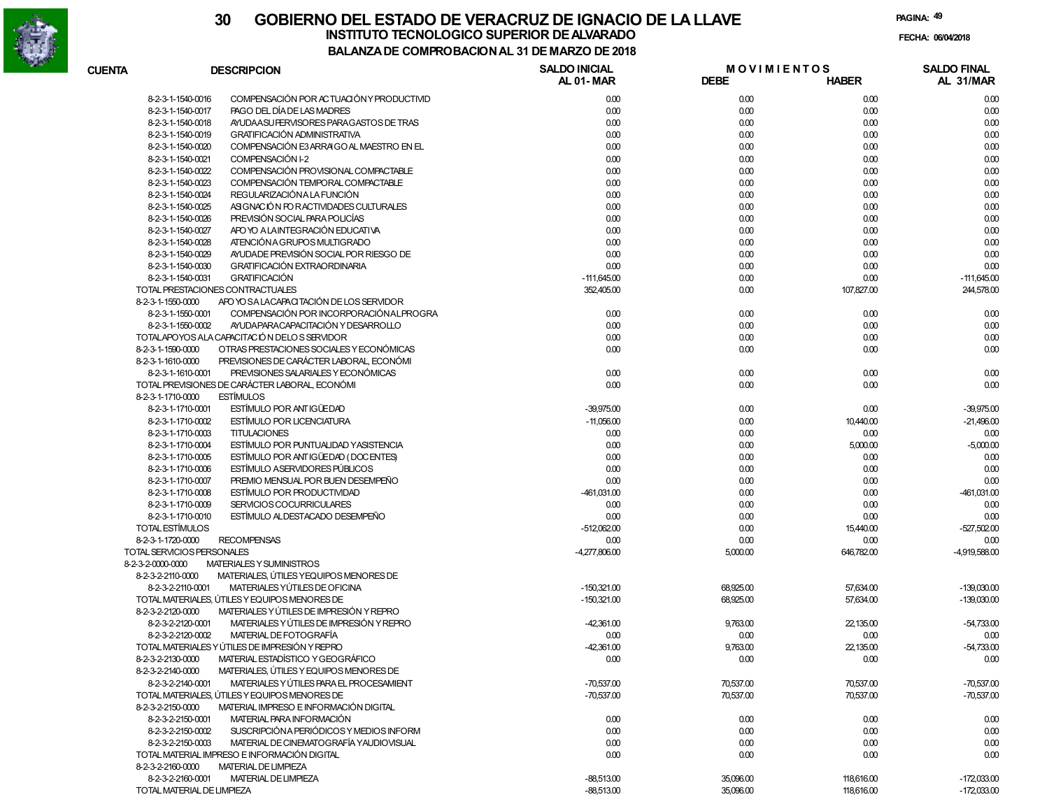

| <b>CUENTA</b>              | <b>DESCRIPCION</b>                             | <b>SALDO INICIAL</b><br>AL 01-MAR | <b>MOVIMIENTOS</b><br><b>DEBE</b> | <b>HABER</b> | <b>SALDO FINAL</b><br>AL 31/MAR |
|----------------------------|------------------------------------------------|-----------------------------------|-----------------------------------|--------------|---------------------------------|
| 8-2-3-1-1540-0016          | COMPENSACIÓN POR ACTUACIÓN Y PRODUCTIVID       | 0.00                              | 0.00                              | 0.00         | 0.00                            |
| 8-2-3-1-1540-0017          | PAGO DEL DÍA DE LAS MADRES                     | 0.00                              | 0.00                              | 0.00         | 0.00                            |
| 8-2-3-1-1540-0018          | AYUDA ASU FERVISORES PARA GASTOS DE TRAS       | 0.00                              | 0.00                              | 0.00         | 0.00                            |
| 8-2-3-1-1540-0019          | <b>GRATIFICACIÓN ADMINISTRATIVA</b>            | 0.00                              | 0.00                              | 0.00         | 0.00                            |
| 8-2-3-1-1540-0020          | COMPENSACIÓN E3 ARRAIGO AL MAESTRO EN EL       | 0.00                              | 0.00                              | 0.00         | 0.00                            |
| 8-2-3-1-1540-0021          | COMPENSACIÓN I-2                               | 0.00                              | 0.00                              | 0.00         | 0.00                            |
| 8-2-3-1-1540-0022          | COMPENSACIÓN PROVISIONAL COMPACTABLE           | 0.00                              | 0.00                              | 0.00         | 0.00                            |
| 8-2-3-1-1540-0023          | COMPENSACIÓN TEMPORAL COMPACTABLE              | 0.00                              | 0.00                              | 0.00         | 0.00                            |
| 8-2-3-1-1540-0024          | REGULARIZACIÓN A LA FUNCIÓN                    | 0.00                              | 0.00                              | 0.00         | 0.00                            |
| 8-2-3-1-1540-0025          | ASIGNACIÓN FOR ACTIVIDADES CULTURALES          | 0.00                              | 0.00                              | 0.00         | 0.00                            |
| 8-2-3-1-1540-0026          | PREVISIÓN SOCIAL PARA POLICÍAS                 | 0.00                              | 0.00                              | 0.00         | 0.00                            |
| 8-2-3-1-1540-0027          | APO YO A LAINTEGRACIÓN EDUCATIVA               | 0.00                              | 0.00                              | 0.00         | 0.00                            |
| 8-2-3-1-1540-0028          | ATENCIÓN A GRUPOS MULTIGRADO                   | 0.00                              | 0.00                              | 0.00         | 0.00                            |
| 8-2-3-1-1540-0029          | AYUDADE PREVISIÓN SOCIAL POR RIESGO DE         | 0.00                              | 0.00                              | 0.00         | 0.00                            |
| 8-2-3-1-1540-0030          | <b>GRATIFICACIÓN EXTRAORDINARIA</b>            | 0.00                              | 0.00                              | 0.00         | 0.00                            |
| 8-2-3-1-1540-0031          | <b>GRATIFICACIÓN</b>                           | $-111,645.00$                     | 0.00                              | 0.00         | $-111,645.00$                   |
|                            | TOTAL PRESTACIONES CONTRACTUALES               |                                   |                                   |              |                                 |
|                            |                                                | 352,405.00                        | 0.00                              | 107,827.00   | 244,578.00                      |
| 8-2-3-1-1550-0000          | APO YO SA LACAPACITACIÓN DE LOS SERVIDOR       |                                   |                                   |              |                                 |
| 8-2-3-1-1550-0001          | COMPENSACIÓN POR INCORPORACIÓN ALPROGRA        | 0.00                              | 0.00                              | 0.00         | 0.00                            |
| 8-2-3-1-1550-0002          | AYUDA PARACAPACITACIÓN Y DESARROLLO            | 0.00                              | 0.00                              | 0.00         | 0.00                            |
|                            | TOTALAPOYOS ALA CAPACITACIÓN DELOS SERVIDOR    | 0.00                              | 0.00                              | 0.00         | 0.00                            |
| 8-2-3-1-1590-0000          | OTRAS PRESTACIONES SOCIALES Y ECONÓMICAS       | 0.00                              | 0.00                              | 0.00         | 0.00                            |
| 8-2-3-1-1610-0000          | PREVISIONES DE CARÁCTER LABORAL, ECONÓMI       |                                   |                                   |              |                                 |
| 8-2-3-1-1610-0001          | PREVISIONES SALARIALES Y ECONÓMICAS            | 0.00                              | 0.00                              | 0.00         | 0.00                            |
|                            | TOTAL PREVISIONES DE CARÁCTER LABORAL, ECONÓMI | 0.00                              | 0.00                              | 0.00         | 0.00                            |
| 8-2-3-1-1710-0000          | <b>ESTÍMULOS</b>                               |                                   |                                   |              |                                 |
| 8-2-3-1-1710-0001          | ESTÍMULO POR ANTIGÜEDAD                        | $-39,975.00$                      | 0.00                              | 0.00         | $-39,975.00$                    |
| 8-2-3-1-1710-0002          | <b>ESTÍMULO POR LICENCIATURA</b>               | $-11,056.00$                      | 0.00                              | 10,440.00    | $-21,496.00$                    |
| 8-2-3-1-1710-0003          | <b>TITULACIONES</b>                            | 0.00                              | 0.00                              | 0.00         | 0.00                            |
| 8-2-3-1-1710-0004          | ESTÍMULO POR PUNTUALIDAD Y ASISTENCIA          | 0.00                              | 0.00                              | 5,000.00     | $-5,000.00$                     |
| 8-2-3-1-1710-0005          | ESTÍMULO POR ANTIGÜEDAD (DOCENTES)             | 0.00                              | 0.00                              | 0.00         | 0.00                            |
| 8-2-3-1-1710-0006          | <b>ESTÍMULO ASERVIDORES PÚBLICOS</b>           | 0.00                              | 0.00                              | 0.00         | 0.00                            |
| 8-2-3-1-1710-0007          | PREMIO MENSUAL POR BUEN DESEMPEÑO              | 0.00                              | 0.00                              | 0.00         | 0.00                            |
| 8-2-3-1-1710-0008          | ESTÍMULO POR PRODUCTIVIDAD                     | -461,031.00                       | 0.00                              | 0.00         | $-461,031.00$                   |
| 8-2-3-1-1710-0009          | SERVICIOS COCURRICULARES                       | 0.00                              | 0.00                              | 0.00         | 0.00                            |
| 8-2-3-1-1710-0010          | ESTÍMULO ALDESTACADO DESEMPEÑO                 | 0.00                              | 0.00                              | 0.00         | 0.00                            |
| TOTAL ESTÍMULOS            |                                                | $-512,062.00$                     | 0.00                              | 15,440.00    | $-527,502.00$                   |
| 8-2-3-1-1720-0000          | <b>RECOMPENSAS</b>                             | 0.00                              | 0.00                              | 0.00         | 0.00                            |
| TOTAL SERVICIOS PERSONALES |                                                | $-4,277,806.00$                   | 5,000.00                          | 646,782.00   | $-4,919,588.00$                 |
| 8-2-3-2-0000-0000          | MATERIALES Y SUMINISTROS                       |                                   |                                   |              |                                 |
| 8-2-3-2-2110-0000          | MATERIALES, ÚTILES Y EQUIPOS MENORES DE        |                                   |                                   |              |                                 |
| 8-2-3-2-2110-0001          | MATERIALES YÚTILES DE OFICINA                  | $-150,321.00$                     | 68,925.00                         | 57,634.00    | $-139,030.00$                   |
|                            | TOTAL MATERIALES, ÚTILES Y EQUIPOS MENORES DE  | $-150,321.00$                     | 68,925.00                         | 57,634.00    | $-139,030.00$                   |
| 8-2-3-2-2120-0000          | MATERIALES Y ÚTILES DE IMPRESIÓN Y REPRO       |                                   |                                   |              |                                 |
| 8-2-3-2-2120-0001          | MATERIALES Y ÚTILES DE IMPRESIÓN Y REPRO       | $-42,361.00$                      | 9,763.00                          | 22,135.00    | $-54,733.00$                    |
| 8-2-3-2-2120-0002          | MATERIAL DE FOTOGRAFÍA                         | 0.00                              | 0.00                              | 0.00         | 0.00                            |
|                            | TOTAL MATERIALES Y ÚTILES DE IMPRESIÓN Y REPRO | $-42,361.00$                      | 9,763.00                          | 22,135.00    | $-54,733.00$                    |
| 8-2-3-2-2130-0000          | MATERIAL ESTADÍSTICO Y GEOGRÁFICO              | 0.00                              | 0.00                              | 0.00         | 0.00                            |
| 8-2-3-2-2140-0000          | MATERIALES, ÚTILES Y EQUIPOS MENORES DE        |                                   |                                   |              |                                 |
| 8-2-3-2-2140-0001          | MATERIALES Y ÚTILES PARA EL PROCESAMIENT       | $-70,537.00$                      | 70,537.00                         | 70,537.00    | $-70,537.00$                    |
|                            | TOTAL MATERIALES, ÚTILES Y EQUIPOS MENORES DE  | $-70,537.00$                      | 70,537.00                         | 70,537.00    | $-70,537.00$                    |
| 8-2-3-2-2150-0000          | MATERIAL IMPRESO E INFORMACIÓN DIGITAL         |                                   |                                   |              |                                 |
| 8-2-3-2-2150-0001          | MATERIAL PARA INFORMACIÓN                      |                                   |                                   |              |                                 |
| 8-2-3-2-2150-0002          | SUSCRIPCIÓN A PERIÓDICOS Y MEDIOS INFORM       | 0.00                              | 0.00                              | 0.00         | 0.00                            |
|                            | MATERIAL DE CINEMATOGRAFÍA YAUDIOVISUAL        | 0.00                              | 0.00                              | 0.00         | 0.00                            |
| 8-2-3-2-2150-0003          |                                                | 0.00                              | 0.00                              | 0.00         | 0.00                            |
|                            | TOTAL MATERIAL IMPRESO E INFORMACIÓN DIGITAL   | 0.00                              | 0.00                              | 0.00         | 0.00                            |
| 8-2-3-2-2160-0000          | <b>MATERIAL DE LIMPIEZA</b>                    |                                   |                                   |              |                                 |
| 8-2-3-2-2160-0001          | <b>MATERIAL DE LIMPIEZA</b>                    | $-88,513.00$                      | 35,096.00                         | 118,616.00   | $-172,033.00$                   |
| TOTAL MATERIAL DE LIMPIEZA |                                                | $-88,513.00$                      | 35,096.00                         | 118,616.00   | $-172,033.00$                   |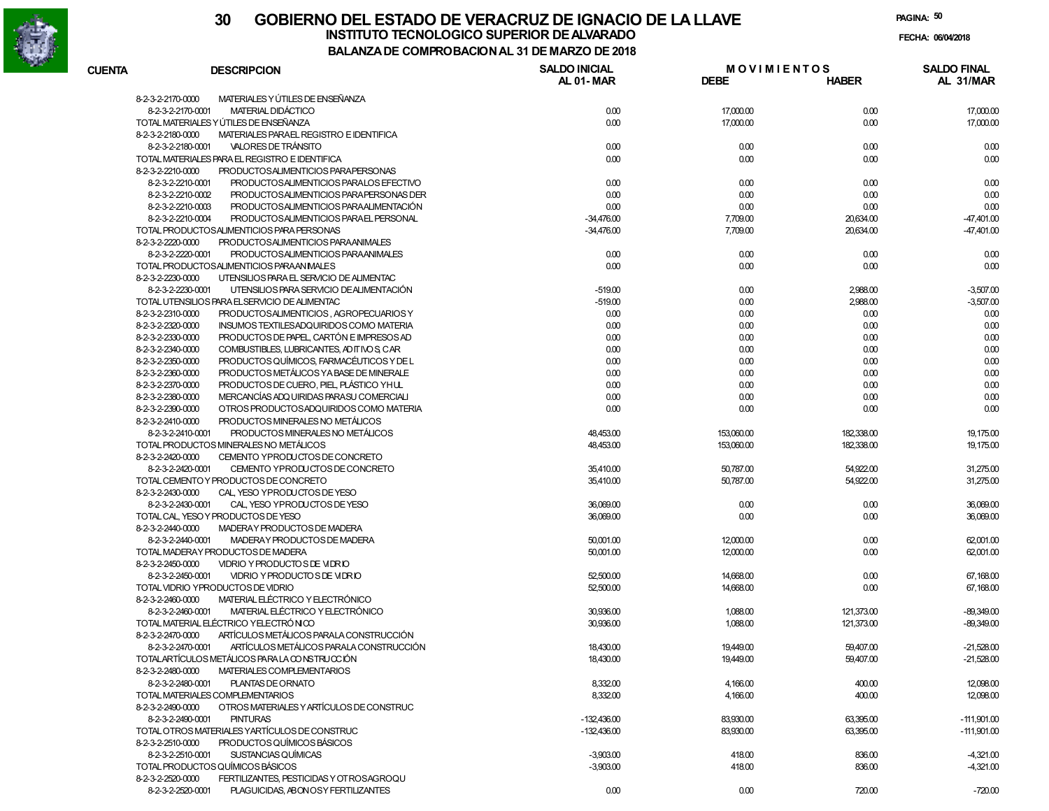

# **30 GOBIERNO DEL ESTADO DE VERACRUZ DE IGNACIO DE LA LLAVEINSTITUTO TECNOLOGICO SUPERIOR DE ALVARADO de la composición de la composición de la composición de la composición**<br>Dal aniza de composición da la de marzo de como

**PAGINA:50**

**FECHA:**

**BALANZA DE COMPROBACION AL 31 DE MARZO DE 2018**

| <b>CUENTA</b> | <b>DESCRIPCION</b>                                               | <b>SALDO INICIAL</b><br><b>AL 01-MAR</b> | <b>DEBE</b> | <b>MOVIMIENTOS</b><br><b>HABER</b> | <b>SALDO FINAL</b><br>AL 31/MAR |
|---------------|------------------------------------------------------------------|------------------------------------------|-------------|------------------------------------|---------------------------------|
|               | MATERIALES Y ÚTILES DE ENSEÑANZA<br>8-2-3-2-2170-0000            |                                          |             |                                    |                                 |
|               | 8-2-3-2-2170-0001<br>MATERIAL DIDÁCTICO                          | 0.00                                     | 17,000.00   | 0.00                               | 17,000.00                       |
|               | TOTAL MATERIALES Y ÚTILES DE ENSEÑANZA                           | 0.00                                     | 17,000.00   | 0.00                               | 17,000.00                       |
|               | MATERIALES PARAEL REGISTRO E IDENTIFICA<br>8-2-3-2-2180-0000     |                                          |             |                                    |                                 |
|               | 8-2-3-2-2180-0001<br>VALORES DE TRÁNSITO                         | 0.00                                     | 0.00        | 0.00                               | 0.00                            |
|               | TOTAL MATERIALES PARA EL REGISTRO E IDENTIFICA                   | 0.00                                     | 0.00        | 0.00                               | 0.00                            |
|               | 8-2-3-2-2210-0000<br>PRODUCTOSALIMENTICIOS PARAPERSONAS          |                                          |             |                                    |                                 |
|               | 8-2-3-2-2210-0001<br>PRODUCTOSALIMENTICIOS PARALOS EFECTIVO      | 0.00                                     | 0.00        | 0.00                               | 0.00                            |
|               | 8-2-3-2-2210-0002<br>PRODUCTOSALIMENTICIOS PARA PERSONAS DER     | 0.00                                     | 0.00        | 0.00                               | 0.00                            |
|               | 8-2-3-2-2210-0003<br>PRODUCTOSALIMENTICIOS PARAALIMENTACIÓN      | 0.00                                     | 0.00        | 0.00                               | 0.00                            |
|               | 8-2-3-2-2210-0004<br>PRODUCTOSALIMENTICIOS PARAEL PERSONAL       | $-34,476.00$                             | 7,709.00    | 20,634.00                          | $-47,401.00$                    |
|               | TOTAL PRODUCTOSALIMENTICIOS PARA PERSONAS                        | $-34,476.00$                             | 7,709.00    | 20,634.00                          | $-47,401.00$                    |
|               | 8-2-3-2-2220-0000<br>PRODUCTOSALIMENTICIOS PARAANIMALES          |                                          |             |                                    |                                 |
|               | 8-2-3-2-2220-0001<br>PRODUCTOSALIMENTICIOS PARAANIMALES          | 0.00                                     | 0.00        | 0.00                               | 0.00                            |
|               | TOTAL PRODUCTOSALIMENTICIOS PARAAN IMALES                        | 0.00                                     | 0.00        | 0.00                               | 0.00                            |
|               | 8-2-3-2-2230-0000<br>UTENSILIOS PARA EL SERVICIO DE ALIMENTAC    |                                          |             |                                    |                                 |
|               | 8-2-3-2-2230-0001<br>UTENSILIOS PARA SERVICIO DE ALIMENTACIÓN    | $-519.00$                                | 0.00        | 2,988.00                           | $-3,507.00$                     |
|               | TOTAL UTENSILIOS PARA EL SERVICIO DE ALIMENTAC                   | $-519.00$                                | 0.00        | 2,988.00                           | $-3,507.00$                     |
|               | 8-2-3-2-2310-0000<br>PRODUCTOSALIMENTICIOS, AGROPECUARIOS Y      | 0.00                                     | 0.00        | 0.00                               | 0.00                            |
|               | 8-2-3-2-2320-0000<br>INSUMOS TEXTILESADQUIRIDOS COMO MATERIA     | 0.00                                     | 0.00        | 0.00                               | 0.00                            |
|               | 8-2-3-2-2330-0000<br>PRODUCTOS DE PAPEL. CARTÓN E IMPRESOS AD    | 0.00                                     | 0.00        | 0.00                               | 0.00                            |
|               | 8-2-3-2-2340-0000<br>COMBUSTIBLES, LUBRICANTES, AD IT IVO S, CAR | 0.00                                     | 0.00        | 0.00                               | 0.00                            |
|               | 8-2-3-2-2350-0000<br>PRODUCTOS QUÍMICOS. FARMACÉUTICOS Y DE L    | 0.00                                     | 0.00        | 0.00                               | 0.00                            |
|               | 8-2-3-2-2360-0000<br>PRODUCTOS METÁLICOS YA BASE DE MINERALE     | 0.00                                     | 0.00        | 0.00                               | 0.00                            |
|               | 8-2-3-2-2370-0000<br>PRODUCTOS DE CUERO. PIEL PLÁSTICO YHUL      | 0.00                                     | 0.00        | 0.00                               | 0.00                            |
|               | 8-2-3-2-2380-0000<br>MERCANCÍAS ADQ UIRIDAS PARASU COMERCIALI    | 0.00                                     | 0.00        | 0.00                               | 0.00                            |
|               | 8-2-3-2-2390-0000<br>OTROS PRODUCTOSADQUIRIDOS COMO MATERIA      | 0.00                                     | 0.00        | 0.00                               | 0.00                            |
|               | 8-2-3-2-2410-0000<br>PRODUCTOS MINERALES NO METÁLICOS            |                                          |             |                                    |                                 |
|               | PRODUCTOS MINERALES NO METÁLICOS<br>8-2-3-2-2410-0001            | 48,453.00                                | 153,060.00  | 182,338.00                         | 19,175.00                       |
|               | TOTAL PRODUCTOS MINERALES NO METÁLICOS                           | 48,453.00                                | 153,060.00  | 182,338.00                         | 19,175.00                       |
|               | 8-2-3-2-2420-0000<br>CEMENTO YPRODUCTOS DE CONCRETO              |                                          |             |                                    |                                 |
|               | 8-2-3-2-2420-0001<br>CEMENTO YPRODUCTOS DE CONCRETO              | 35,410.00                                | 50,787.00   | 54,922.00                          | 31,275.00                       |
|               | TOTAL CEMENTO Y PRODUCTOS DE CONCRETO                            | 35,410.00                                | 50,787.00   | 54,922.00                          | 31,275.00                       |
|               | 8-2-3-2-2430-0000<br>CAL, YESO YPRODUCTOS DE YESO                |                                          |             |                                    |                                 |
|               | 8-2-3-2-2430-0001<br>CAL, YESO YPRODUCTOS DE YESO                | 36,069.00                                | 0.00        | 0.00                               | 36,069.00                       |
|               | TOTAL CAL, YESO Y PRODUCTOS DE YESO                              | 36,069.00                                | 0.00        | 0.00                               | 36,069.00                       |
|               | 8-2-3-2-2440-0000<br>MADERAY PRODUCTOS DE MADERA                 |                                          |             |                                    |                                 |
|               | 8-2-3-2-2440-0001<br>MADERAY PRODUCTOS DE MADERA                 | 50,001.00                                | 12,000.00   | 0.00                               | 62,001.00                       |
|               | TOTAL MADERAY PRODUCTOS DE MADERA                                | 50,001.00                                | 12,000.00   | 0.00                               | 62,001.00                       |
|               | 8-2-3-2-2450-0000<br>VIDRIO Y PRODUCTO S DE VIDRIO               |                                          |             |                                    |                                 |
|               | VIDRIO Y PRODUCTO S DE VIDRIO<br>8-2-3-2-2450-0001               | 52,500.00                                | 14,668.00   | 0.00                               | 67,168.00                       |
|               | TOTAL VIDRIO YPRODUCTOS DE VIDRIO                                | 52,500.00                                | 14,668.00   | 0.00                               | 67,168.00                       |
|               | 8-2-3-2-2460-0000<br>MATERIAL ELÉCTRICO Y ELECTRÓNICO            |                                          |             |                                    |                                 |
|               | 8-2-3-2-2460-0001<br>MATERIAL ELÉCTRICO Y ELECTRÓNICO            | 30,936.00                                | 1,088.00    | 121,373.00                         | $-89,349.00$                    |
|               | TOTAL MATERIAL ELÉCTRICO YELECTRÓNICO                            | 30,936.00                                | 1,088.00    | 121,373.00                         | $-89,349.00$                    |
|               | 8-2-3-2-2470-0000<br>ARTÍCULOS METÁLICOS PARALA CONSTRUCCIÓN     |                                          |             |                                    |                                 |
|               | ARTÍCULOS METÁLICOS PARALA CONSTRUCCIÓN<br>8-2-3-2-2470-0001     | 18.430.00                                | 19,449.00   | 59.407.00                          | $-21,528.00$                    |
|               | TOTALARTÍCULOS METÁLICOS PARA LA CONSTRUCCIÓN                    | 18,430.00                                | 19,449.00   | 59,407.00                          | $-21,528.00$                    |
|               | 8-2-3-2-2480-0000<br>MATERIALES COMPLEMENTARIOS                  |                                          |             |                                    |                                 |
|               | 8-2-3-2-2480-0001<br>PLANTAS DE ORNATO                           | 8,332.00                                 | 4,166.00    | 400.00                             | 12,098.00                       |
|               | TOTAL MATERIALES COMPLEMENTARIOS                                 | 8,332.00                                 | 4,166.00    | 400.00                             | 12,098.00                       |
|               | 8-2-3-2-2490-0000<br>OTROS MATERIALES Y ARTÍCULOS DE CONSTRUC    |                                          |             |                                    |                                 |
|               | 8-2-3-2-2490-0001<br><b>PINTURAS</b>                             | $-132,436.00$                            | 83,930.00   | 63,395.00                          | $-111,901.00$                   |
|               | TOTAL OTROS MATERIALES YARTÍCULOS DE CONSTRUC                    | $-132,436.00$                            | 83,930.00   | 63,395.00                          | $-111,901.00$                   |
|               | PRODUCTOS QUÍMICOS BÁSICOS<br>8-2-3-2-2510-0000                  |                                          |             |                                    |                                 |
|               | 8-2-3-2-2510-0001<br>SUSTANCIAS QUÍMICAS                         | $-3,903.00$                              | 418.00      | 836.00                             | $-4,321.00$                     |
|               | TOTAL PRODUCTOS QUÍMICOS BÁSICOS                                 | $-3,903.00$                              | 418.00      | 836.00                             | $-4,321.00$                     |
|               | 8-2-3-2-2520-0000<br>FERTILIZANTES, PESTICIDAS Y OT ROSAGROQU    |                                          |             |                                    |                                 |
|               | 8-2-3-2-2520-0001<br>PLAGUICIDAS, ABONOSY FERTILIZANTES          | 0.00                                     | 0.00        | 720.00                             | $-720.00$                       |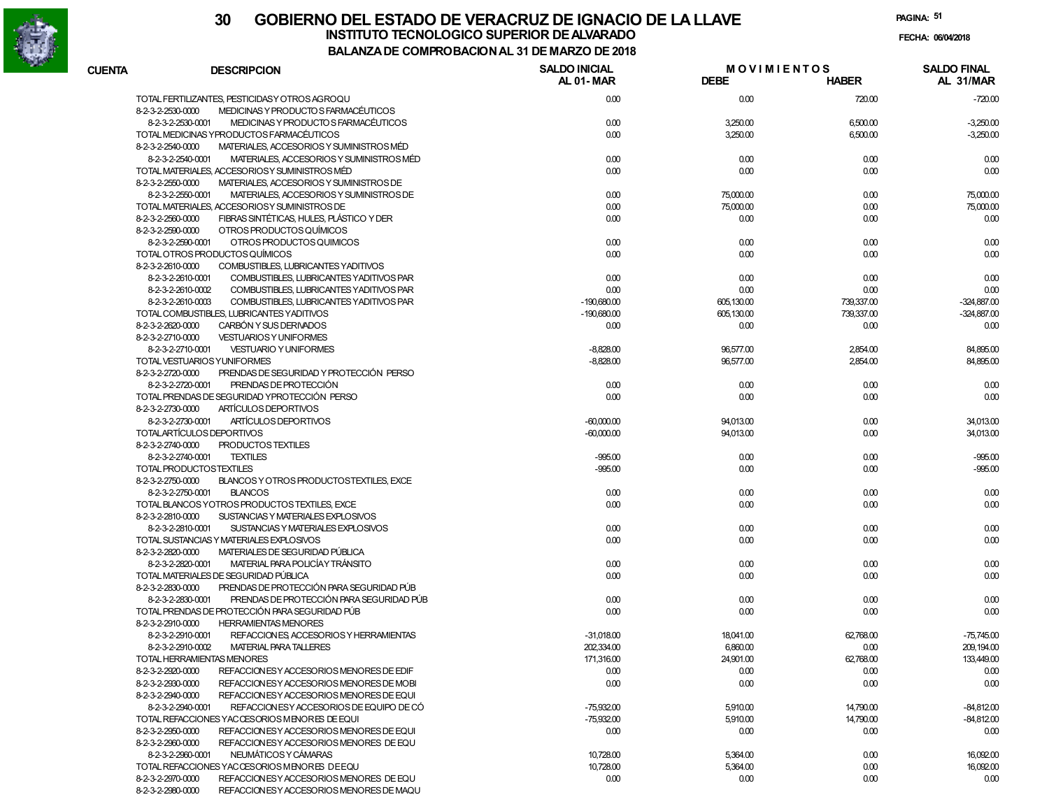

**PAGINA:51**

|               | DALANZA DE COMPRODACION AL 31 DE MARZO DE 2010                                                                  |                                   |                                   |              |                                 |
|---------------|-----------------------------------------------------------------------------------------------------------------|-----------------------------------|-----------------------------------|--------------|---------------------------------|
| <b>CUENTA</b> | <b>DESCRIPCION</b>                                                                                              | <b>SALDO INICIAL</b><br>AL 01-MAR | <b>MOVIMIENTOS</b><br><b>DEBE</b> | <b>HABER</b> | <b>SALDO FINAL</b><br>AL 31/MAR |
|               | TOTAL FERTILIZANTES, PESTICIDASY OTROS AGROQU                                                                   | 0.00                              | 0.00                              | 720.00       | $-720.00$                       |
|               | 8-2-3-2-2530-0000<br>MEDICINAS Y PRODUCTO S FARMACÉUTICOS                                                       |                                   |                                   |              |                                 |
|               | 8-2-3-2-2530-0001<br>MEDICINAS Y PRODUCTO S FARMACÉUTICOS                                                       | 0.00                              | 3,250.00                          | 6,500.00     | $-3,250.00$                     |
|               | TOTAL MEDICINAS YPRODUCTOS FARMACÉUTICOS                                                                        | 0.00                              | 3,250.00                          | 6,500.00     | $-3,250.00$                     |
|               | MATERIALES, ACCESORIOS Y SUMINISTROS MÉD<br>8-2-3-2-2540-0000                                                   |                                   |                                   |              |                                 |
|               | MATERIALES, ACCESORIOS Y SUMINISTROS MÉD<br>8-2-3-2-2540-0001                                                   | 0.00                              | 0.00                              | 0.00         | 0.00                            |
|               | TOTAL MATERIALES, ACCESORIOSY SUMINISTROS MÉD                                                                   | 0.00                              | 0.00                              | 0.00         | 0.00                            |
|               | 8-2-3-2-2550-0000<br>MATERIALES, ACCESORIOS Y SUMINISTROS DE                                                    |                                   |                                   |              |                                 |
|               | 8-2-3-2-2550-0001<br>MATERIALES, ACCESORIOS Y SUMINISTROS DE                                                    | 0.00                              | 75,000.00                         | 0.00         | 75,000.00                       |
|               | TOTAL MATERIALES, ACCESORIOSY SUMINISTROS DE                                                                    | 0.00                              | 75,000.00                         | 0.00         | 75,000.00                       |
|               | FIBRAS SINTÉTICAS, HULES, PLÁSTICO Y DER<br>8-2-3-2-2560-0000                                                   | 0.00                              | 0.00                              | 0.00         | 0.00                            |
|               | OTROS PRODUCTOS QUÍMICOS<br>8-2-3-2-2590-0000                                                                   |                                   |                                   |              |                                 |
|               | OTROS PRODUCTOS QUIMICOS<br>8-2-3-2-2590-0001                                                                   | 0.00                              | 0.00                              | 0.00         | 0.00                            |
|               | TOTAL OTROS PRODUCTOS QUÍMICOS                                                                                  | 0.00                              | 0.00                              | 0.00         | 0.00                            |
|               | 8-2-3-2-2610-0000<br>COMBUSTIBLES, LUBRICANTES YADITIVOS                                                        |                                   |                                   |              |                                 |
|               | 8-2-3-2-2610-0001<br>COMBUSTIBLES, LUBRICANTES YADITIVOS PAR                                                    | 0.00                              | 0.00                              | 0.00         | 0.00                            |
|               | 8-2-3-2-2610-0002<br>COMBUSTIBLES, LUBRICANTES YADITIVOS PAR                                                    | 0.00                              | 0.00                              | 0.00         | 0.00                            |
|               | 8-2-3-2-2610-0003<br>COMBUSTIBLES, LUBRICANTES YADITIVOS PAR                                                    | $-190,680.00$                     | 605,130.00                        | 739,337.00   | $-324,887.00$                   |
|               | TOTAL COMBUSTIBLES, LUBRICANTES YADITIVOS                                                                       | $-190,680.00$                     | 605,130.00                        | 739,337.00   | $-324,887.00$                   |
|               | CARBÓN Y SUS DERIVADOS<br>8-2-3-2-2620-0000                                                                     | 0.00                              | 0.00                              | 0.00         | 0.00                            |
|               | 8-2-3-2-2710-0000<br><b>VESTUARIOS Y UNIFORMES</b>                                                              |                                   |                                   |              |                                 |
|               | 8-2-3-2-2710-0001<br><b>VESTUARIO Y UNIFORMES</b>                                                               | $-8,828.00$                       | 96,577.00                         | 2,854.00     | 84,895.00                       |
|               | TOTAL VESTUARIOS YUNIFORMES                                                                                     | $-8,828.00$                       | 96,577.00                         | 2,854.00     | 84,895.00                       |
|               | PRENDAS DE SEGURIDAD Y PROTECCIÓN PERSO<br>8-2-3-2-2720-0000                                                    |                                   |                                   |              |                                 |
|               | PRENDAS DE PROTECCIÓN<br>8-2-3-2-2720-0001                                                                      | 0.00                              | 0.00                              | 0.00         | 0.00                            |
|               | TOTAL PRENDAS DE SEGURIDAD YPROTECCIÓN PERSO                                                                    | 0.00                              | 0.00                              | 0.00         | 0.00                            |
|               | ARTÍCULOS DEPORTIVOS<br>8-2-3-2-2730-0000                                                                       |                                   |                                   |              |                                 |
|               | ARTÍCULOS DEPORTIVOS<br>8-2-3-2-2730-0001                                                                       | $-60,000.00$                      | 94,013.00                         | 0.00         | 34,013.00                       |
|               | TOTALARTÍCULOS DEPORTIVOS                                                                                       | $-60,000.00$                      | 94,013.00                         | 0.00         | 34,013.00                       |
|               | 8-2-3-2-2740-0000<br>PRODUCTOS TEXTILES                                                                         |                                   |                                   |              |                                 |
|               | 8-2-3-2-2740-0001<br><b>TEXTILES</b>                                                                            | $-995.00$                         | 0.00                              | 0.00         | $-995.00$                       |
|               | TOTAL PRODUCTOSTEXTILES                                                                                         | $-995.00$                         | 0.00                              | 0.00         | $-995.00$                       |
|               | 8-2-3-2-2750-0000<br>BLANCOS Y OTROS PRODUCTOSTEXTILES, EXCE                                                    |                                   |                                   |              |                                 |
|               | 8-2-3-2-2750-0001<br><b>BLANCOS</b>                                                                             | 0.00                              | 0.00                              | 0.00         | 0.00                            |
|               | TOTAL BLANCOS YOTROS PRODUCTOS TEXTILES, EXCE                                                                   | 0.00                              | 0.00                              | 0.00         | 0.00                            |
|               | 8-2-3-2-2810-0000<br>SUSTANCIAS Y MATERIALES EXPLOSIVOS                                                         |                                   |                                   |              |                                 |
|               | 8-2-3-2-2810-0001<br>SUSTANCIAS Y MATERIALES EXPLOSIVOS                                                         | 0.00                              | 0.00                              | 0.00         | 0.00                            |
|               | TOTAL SUSTANCIAS Y MATERIALES EXPLOSIVOS                                                                        | 0.00                              | 0.00                              | 0.00         | 0.00                            |
|               | MATERIALES DE SEGURIDAD PÚBLICA<br>8-2-3-2-2820-0000                                                            |                                   |                                   |              |                                 |
|               | MATERIAL PARA POLICÍA Y TRÁNSITO<br>8-2-3-2-2820-0001                                                           | 0.00                              | 0.00                              | 0.00         | 0.00                            |
|               | TOTAL MATERIALES DE SEGURIDAD PÚBLICA<br>PRENDAS DE PROTECCIÓN PARA SEGURIDAD PÚB                               | 0.00                              | 0.00                              | 0.00         | 0.00                            |
|               | 8-2-3-2-2830-0000                                                                                               |                                   |                                   |              |                                 |
|               | PRENDAS DE PROTECCIÓN PARA SEGURIDAD PÚB<br>8-2-3-2-2830-0001<br>TOTAL PRENDAS DE PROTECCIÓN PARA SEGURIDAD PÚB | 0.00                              | 0.00                              | 0.00         | 0.00                            |
|               |                                                                                                                 | 0.00                              | 0.00                              | 0.00         | 0.00                            |
|               | 8-2-3-2-2910-0000<br><b>HERRAMIENTAS MENORES</b>                                                                |                                   |                                   |              |                                 |
|               | 8-2-3-2-2910-0001<br>REFACCION ES, ACCESORIOS Y HERRAMIENTAS                                                    | $-31,018.00$                      | 18,041.00                         | 62,768.00    | $-75,745.00$                    |
|               | 8-2-3-2-2910-0002<br>MATERIAL PARA TALLERES                                                                     | 202,334.00                        | 6,860.00                          | 0.00         | 209,194.00                      |
|               | TOTAL HERRAMIENTAS MENORES                                                                                      | 171,316.00                        | 24,901.00                         | 62,768.00    | 133,449.00                      |
|               | 8-2-3-2-2920-0000<br>REFACCION ES Y ACCESORIOS MENORES DE EDIF                                                  | 0.00                              | 0.00                              | 0.00         | 0.00                            |
|               | 8-2-3-2-2930-0000<br>REFACCION ES Y ACCESORIOS MENORES DE MOBI<br>8-2-3-2-2940-0000                             | 0.00                              | 0.00                              | 0.00         | 0.00                            |
|               | REFACCION ESY ACCESORIOS MENORES DE EQUI                                                                        |                                   |                                   |              |                                 |
|               | 8-2-3-2-2940-0001<br>REFACCION ES Y ACCESORIOS DE EQUIPO DE CÓ                                                  | $-75,932.00$                      | 5,910.00                          | 14,790.00    | $-84,812.00$                    |
|               | TOTAL REFACCIONES YACCESORIOS MENORES DE EQUI                                                                   | $-75,932.00$                      | 5,910.00                          | 14,790.00    | $-84,812.00$                    |
|               | 8-2-3-2-2950-0000<br>REFACCION ES Y ACCESORIOS MENORES DE EQUI                                                  | 0.00                              | 0.00                              | 0.00         | 0.00                            |
|               | 8-2-3-2-2960-0000<br>REFACCIONESY ACCESORIOS MENORES DE EQU                                                     |                                   |                                   |              |                                 |
|               | NEUMÁTICOS Y CÁMARAS<br>8-2-3-2-2960-0001                                                                       | 10,728.00                         | 5,364.00                          | 0.00         | 16,092.00                       |
|               | TOTAL REFACCIONES YACCESORIOS MENORES DEEQU                                                                     | 10,728.00                         | 5,364.00                          | 0.00         | 16,092.00                       |
|               | 8-2-3-2-2970-0000<br>REFACCIONESY ACCESORIOS MENORES DE EQU                                                     | 0.00                              | 0.00                              | 0.00         | 0.00                            |

8-2-3-2-2980-0000 REFACCIONES Y ACCESORIOS MENORES DE MAQU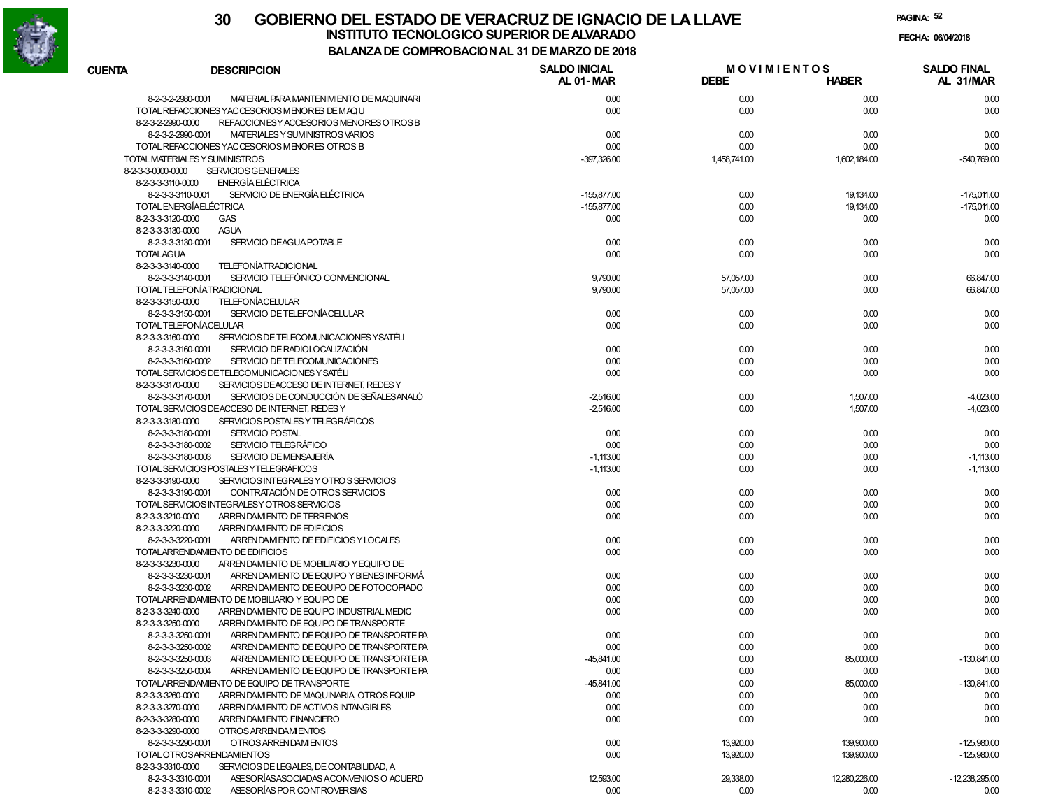

|                                             |                                                                 | <b>COMPINO BACION AL 31 DE MANZO DE 2010</b> |                                   |               |                                 |
|---------------------------------------------|-----------------------------------------------------------------|----------------------------------------------|-----------------------------------|---------------|---------------------------------|
| <b>CUENTA</b>                               | <b>DESCRIPCION</b>                                              | <b>SALDO INICIAL</b><br><b>AL 01-MAR</b>     | <b>MOVIMIENTOS</b><br><b>DEBE</b> | <b>HABER</b>  | <b>SALDO FINAL</b><br>AL 31/MAR |
| 8-2-3-2-2980-0001                           | MATERIAL PARA MANTENIMIENTO DE MAQUINARI                        | 0.00                                         | 0.00                              | 0.00          | 0.00                            |
|                                             | TOTAL REFACCIONES YACCESORIOS MENORES DE MAQU                   | 0.00                                         | 0.00                              | 0.00          | 0.00                            |
| 8-2-3-2-2990-0000                           | REFACCION ESY ACCESORIOS MENORES OTROS B                        |                                              |                                   |               |                                 |
| 8-2-3-2-2990-0001                           | MATERIALES Y SUMINISTROS VARIOS                                 | 0.00                                         | 0.00                              | 0.00          | 0.00                            |
|                                             | TOTAL REFACCIONES YACCESORIOS MENORES OTROS B                   | 0.00                                         | 0.00                              | 0.00          | 0.00                            |
| TOTAL MATERIALES Y SUMINISTROS              |                                                                 | $-397,326.00$                                | 1,458,741.00                      | 1,602,184.00  | $-540,769.00$                   |
| 8-2-3-3-0000-0000                           | <b>SERVICIOS GENERALES</b>                                      |                                              |                                   |               |                                 |
| 8-2-3-3-3110-0000                           | ENERGÍA ELÉCTRICA                                               |                                              |                                   |               |                                 |
| 8-2-3-3-3110-0001                           | SERVICIO DE ENERGÍA ELÉCTRICA                                   | $-155,877.00$                                | 0.00                              | 19,134.00     | $-175,011.00$                   |
| <b>TOTAL ENERGÍAELÉCTRICA</b>               |                                                                 | $-155,877.00$                                | 0.00                              | 19,134.00     | $-175,011.00$                   |
| 8-2-3-3-3120-0000                           | <b>GAS</b>                                                      | 0.00                                         | 0.00                              | 0.00          | 0.00                            |
| 8-2-3-3-3130-0000                           | <b>AGUA</b>                                                     |                                              |                                   |               |                                 |
| 8-2-3-3-3130-0001                           | <b>SERVICIO DEAGUA POTABLE</b>                                  | 0.00                                         | 0.00                              | 0.00          | 0.00                            |
| <b>TOTALAGUA</b>                            |                                                                 | 0.00                                         | 0.00                              | 0.00          | 0.00                            |
| 8-2-3-3-3140-0000                           | <b>TELEFONÍATRADICIONAL</b>                                     |                                              |                                   |               |                                 |
| 8-2-3-3-3140-0001                           | SERVICIO TELEFÓNICO CONVENCIONAL                                | 9,790.00                                     | 57,057.00                         | 0.00          | 66,847.00                       |
|                                             | TOTAL TELEFONÍATRADICIONAL                                      | 9,790.00                                     | 57,057.00                         | 0.00          | 66,847.00                       |
| 8-2-3-3-3150-0000                           | <b>TELEFONÍACELULAR</b>                                         |                                              |                                   |               |                                 |
| 8-2-3-3-3150-0001<br>TOTAL TELEFONÍACELULAR | SERVICIO DE TELEFONÍACELULAR                                    | 0.00                                         | 0.00                              | 0.00          | 0.00                            |
|                                             |                                                                 | 0.00                                         | 0.00                              | 0.00          | 0.00                            |
| 8-2-3-3-3160-0000                           | SERVICIOS DE TELECOMUNICACIONES YSATÉLI                         |                                              |                                   |               |                                 |
| 8-2-3-3-3160-0001<br>8-2-3-3-3160-0002      | SERVICIO DE RADIOLOCALIZACIÓN<br>SERVICIO DE TELECOMUNICACIONES | 0.00<br>0.00                                 | 0.00<br>0.00                      | 0.00<br>0.00  | 0.00<br>0.00                    |
|                                             | TOTAL SERVICIOS DETELECOMUNICACIONES Y SATÉLI                   | 0.00                                         | 0.00                              | 0.00          | 0.00                            |
| 8-2-3-3-3170-0000                           | SERVICIOS DEACCESO DE INTERNET, REDES Y                         |                                              |                                   |               |                                 |
| 8-2-3-3-3170-0001                           | SERVICIOS DE CONDUCCIÓN DE SEÑALES ANALÓ                        | $-2,516.00$                                  | 0.00                              | 1,507.00      | $-4,023.00$                     |
|                                             | TOTAL SERVICIOS DEACCESO DE INTERNET, REDES Y                   | $-2,516.00$                                  | 0.00                              | 1,507.00      | $-4,023.00$                     |
| 8-2-3-3-3180-0000                           | SERVICIOS POSTALES Y TELEGRÁFICOS                               |                                              |                                   |               |                                 |
| 8-2-3-3-3180-0001                           | <b>SERVICIO POSTAL</b>                                          | 0.00                                         | 0.00                              | 0.00          | 0.00                            |
| 8-2-3-3-3180-0002                           | SERVICIO TELEGRÁFICO                                            | 0.00                                         | 0.00                              | 0.00          | 0.00                            |
| 8-2-3-3-3180-0003                           | SERVICIO DE MENSAJERÍA                                          | $-1,113.00$                                  | 0.00                              | 0.00          | $-1,113.00$                     |
|                                             | TOTAL SERVICIOS POSTALES YTELEGRÁFICOS                          | $-1,113.00$                                  | 0.00                              | 0.00          | $-1,113.00$                     |
| 8-2-3-3-3190-0000                           | SERVICIOS INTEGRALES Y OTROS SERVICIOS                          |                                              |                                   |               |                                 |
| 8-2-3-3-3190-0001                           | CONTRATACIÓN DE OTROS SERVICIOS                                 | 0.00                                         | 0.00                              | 0.00          | 0.00                            |
|                                             | TOTAL SERVICIOS INTEGRALESY OTROS SERVICIOS                     | 0.00                                         | 0.00                              | 0.00          | 0.00                            |
| 8-2-3-3-3210-0000                           | ARRENDAM ENTO DE TERRENOS                                       | 0.00                                         | 0.00                              | 0.00          | 0.00                            |
| 8-2-3-3-3220-0000                           | ARRENDAM ENTO DE EDIFICIOS                                      |                                              |                                   |               |                                 |
| 8-2-3-3-3220-0001                           | ARRENDAM ENTO DE EDIFICIOS Y LOCALES                            | 0.00                                         | 0.00                              | 0.00          | 0.00                            |
|                                             | TOTALARRENDAMIENTO DE EDIFICIOS                                 | 0.00                                         | 0.00                              | 0.00          | 0.00                            |
| 8-2-3-3-3230-0000                           | ARRENDAM ENTO DE MOBILIARIO Y EQUIPO DE                         |                                              |                                   |               |                                 |
| 8-2-3-3-3230-0001                           | ARRENDAM ENTO DE EQUIPO Y BIENES INFORMÁ                        | 0.00                                         | 0.00                              | 0.00          | 0.00                            |
| 8-2-3-3-3230-0002                           | ARRENDAM ENTO DE EQUIPO DE FOTOCOPIADO                          | 0.00                                         | 0.00                              | 0.00          | 0.00                            |
|                                             | TOTALARRENDAMIENTO DE MOBILIARIO Y EQUIPO DE                    | 0.00                                         | 0.00                              | 0.00          | 0.00                            |
| 8-2-3-3-3240-0000                           | ARRENDAM ENTO DE EQUIPO INDUSTRIAL MEDIC                        | 0.00                                         | 0.00                              | 0.00          | 0.00                            |
| 8-2-3-3-3250-0000                           | ARRENDAM ENTO DE EQUIPO DE TRANSPORTE                           |                                              |                                   |               |                                 |
| 8-2-3-3-3250-0001                           | ARRENDAM ENTO DE EQUIPO DE TRANSPORTE PA                        | 0.00                                         | 0.00                              | 0.00          | 0.00                            |
| 8-2-3-3-3250-0002                           | ARRENDAM ENTO DE EQUIPO DE TRANSPORTE PA                        | 0.00                                         | 0.00                              | 0.00          | 0.00                            |
| 8-2-3-3-3250-0003                           | ARRENDAM ENTO DE EQUIPO DE TRANSPORTE PA                        | -45,841.00                                   | 0.00                              | 85,000.00     | $-130,841.00$                   |
| 8-2-3-3-3250-0004                           | ARRENDAM ENTO DE EQUIPO DE TRANSPORTE PA                        | 0.00                                         | 0.00                              | 0.00          | 0.00                            |
|                                             | TOTALARRENDAMIENTO DE EQUIPO DE TRANSPORTE                      | $-45,841.00$                                 | 0.00                              | 85,000.00     | $-130,841.00$                   |
| 8-2-3-3-3260-0000                           | ARRENDAM ENTO DE MAQUINARIA OTROS EQUIP                         | 0.00                                         | 0.00                              | 0.00          | 0.00                            |
| 8-2-3-3-3270-0000                           | ARREN DAM ENTO DE ACTIVOS INTANGIBLES                           | 0.00                                         | 0.00                              | 0.00          | 0.00                            |
| 8-2-3-3-3280-0000                           | ARRENDAM ENTO FINANCIERO                                        | 0.00                                         | 0.00                              | 0.00          | 0.00                            |
| 8-2-3-3-3290-0000                           | OTROS ARRENDAMENTOS                                             |                                              |                                   |               |                                 |
| 8-2-3-3-3290-0001                           | OTROS ARRENDAM ENTOS                                            | 0.00                                         | 13,920.00                         | 139,900.00    | $-125,980.00$                   |
|                                             | TOTAL OTROSARRENDAMIENTOS                                       | 0.00                                         | 13,920.00                         | 139,900.00    | $-125,980.00$                   |
| 8-2-3-3-3310-0000                           | SERVICIOS DE LEGALES, DE CONTABILIDAD, A                        |                                              |                                   |               |                                 |
| 8-2-3-3-3310-0001                           | ASE SORÍAS ASOCIADAS ACONVENIOS O ACUERD                        | 12,593.00                                    | 29,338.00                         | 12,280,226.00 | $-12,238,295.00$                |
| 8-2-3-3-3310-0002                           | ASE SORÍAS POR CONTROVER SIAS                                   | 0.00                                         | 0.00                              | 0.00          | 0.00                            |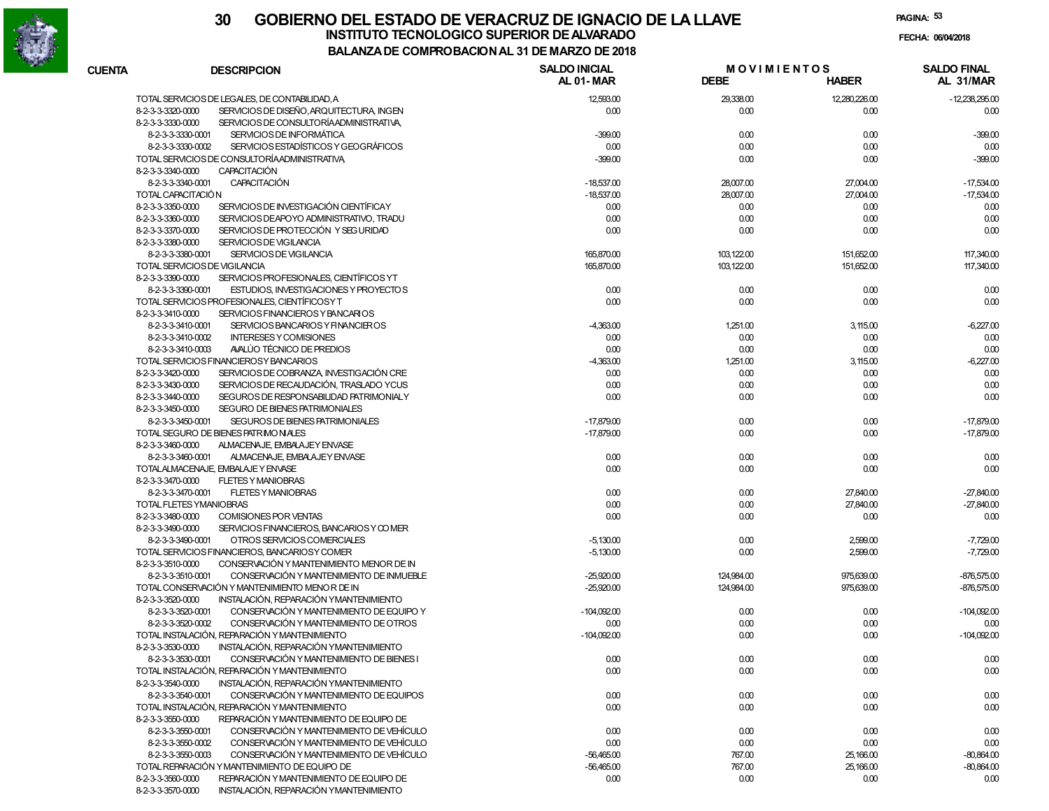

# **30 GOBIERNO DEL ESTADO DE VERACRUZ DE IGNACIO DE LA LLAVEINSTITUTO TECNOLOGICO SUPERIOR DE ALVARADO de la composición de la composición de la composición de la composición**<br>Dal aniza de composición da la de marzo de como

**PAGINA:53**

**FECHA:**

# **BALANZA DE COMPROBACION AL 31 DE MARZO DE 2018**

| <b>CUENTA</b>      | <b>DESCRIPCION</b>                             | <b>SALDO INICIAL</b><br>AL 01-MAR | <b>MOVIMIENTOS</b><br><b>DEBE</b> | HABER         | <b>SALDO FINAL</b><br>AL 31/MAR |
|--------------------|------------------------------------------------|-----------------------------------|-----------------------------------|---------------|---------------------------------|
|                    |                                                |                                   |                                   |               |                                 |
|                    | TOTAL SERVICIOS DE LEGALES, DE CONTABILIDAD, A | 12,593.00                         | 29,338.00                         | 12,280,226.00 | $-12,238,295.00$                |
| 8-2-3-3-3320-0000  | SERVICIOS DE DISEÑO, ARQUITECTURA, INGEN       | 0.00                              | 0.00                              | 0.00          | 0.00                            |
| 8-2-3-3-3330-0000  | SERVICIOS DE CONSULTORÍAADMINISTRATIVA,        |                                   |                                   |               |                                 |
| 8-2-3-3-3330-0001  | SERVICIOS DE INFORMÁTICA                       | $-399.00$                         | 0.00                              | 0.00          | $-399.00$                       |
| 8-2-3-3-3330-0002  | SERVICIOS ESTADÍSTICOS Y GEOGRÁFICOS           | 0.00                              | 0.00                              | 0.00          | 0.00                            |
|                    | TOTAL SERVICIOS DE CONSULTORÍAADMINISTRATIVA   | $-399.00$                         | 0.00                              | 0.00          | $-399.00$                       |
| 8-2-3-3-3340-0000  | <b>CAPACITACIÓN</b>                            |                                   |                                   |               |                                 |
| 8-2-3-3-3340-0001  | <b>CAPACITACIÓN</b>                            | $-18,537.00$                      | 28,007.00                         | 27,004.00     | $-17,534.00$                    |
| TOTAL CAPACITACIÓN |                                                | $-18,537.00$                      | 28,007.00                         | 27,004.00     | $-17,534.00$                    |
| 8-2-3-3-3350-0000  | SERVICIOS DE INVESTIGACIÓN CIENTÍFICAY         | 0.00                              | 0.00                              | 0.00          | 0.00                            |
| 8-2-3-3-3360-0000  | SERVICIOS DEAPOYO ADMINISTRATIVO, TRADU        | 0.00                              | 0.00                              | 0.00          | 0.00                            |
| 8-2-3-3-3370-0000  | SERVICIOS DE PROTECCIÓN Y SEG URIDAD           | 0.00                              | 0.00                              | 0.00          | 0.00                            |
| 8-2-3-3-3380-0000  | SERVICIOS DE VIGILANCIA                        |                                   |                                   |               |                                 |
| 8-2-3-3-3380-0001  | SERVICIOS DE VIGILANCIA                        | 165,870.00                        | 103,122.00                        | 151,652.00    | 117,340.00                      |
|                    | TOTAL SERVICIOS DE VIGILANCIA                  | 165,870.00                        | 103,122.00                        | 151,652.00    | 117,340.00                      |
| 8-2-3-3-3390-0000  | SERVICIOS PROFESIONALES, CIENTÍFICOS YT        |                                   |                                   |               |                                 |
| 8-2-3-3-3390-0001  | ESTUDIOS, INVESTIGACIONES Y PROYECTOS          | 0.00                              | 0.00                              | 0.00          | 0.00                            |
|                    | TOTAL SERVICIOS PROFESIONALES, CIENTÍFICOS Y T | 0.00                              | 0.00                              | 0.00          | 0.00                            |
| 8-2-3-3-3410-0000  | SERVICIOS FINANCIEROS Y BANCARIOS              |                                   |                                   |               |                                 |
| 8-2-3-3-3410-0001  | SERVICIOS BANCARIOS Y FINANCIEROS              | $-4,363.00$                       | 1,251.00                          | 3,115.00      | $-6,227.00$                     |
| 8-2-3-3-3410-0002  | <b>INTERESES Y COMISIONES</b>                  | 0.00                              | 0.00                              | 0.00          | 0.00                            |
| 8-2-3-3-3410-0003  | AVALÚO TÉCNICO DE PREDIOS                      | 0.00                              | 0.00                              | 0.00          | 0.00                            |
|                    | TOTAL SERVICIOS FINANCIEROSY BANCARIOS         | $-4,363.00$                       | 1,251.00                          | 3,115.00      | $-6,227.00$                     |
| 8-2-3-3-3420-0000  | SERVICIOS DE COBRANZA, INVESTIGACIÓN CRE       | 0.00                              | 0.00                              | 0.00          | 0.00                            |
| 8-2-3-3-3430-0000  | SERVICIOS DE RECAUDACIÓN, TRASLADO YCUS        | 0.00                              | 0.00                              | 0.00          | 0.00                            |
| 8-2-3-3-3440-0000  | SEGUROS DE RESPONSABILIDAD PATRIMONIALY        | 0.00                              | 0.00                              | 0.00          | 0.00                            |
| 8-2-3-3-3450-0000  | SEGURO DE BIENES PATRIMONIALES                 |                                   |                                   |               |                                 |
| 8-2-3-3-3450-0001  | SEGUROS DE BIENES PATRIMONIALES                | $-17,879.00$                      | 0.00                              | 0.00          | $-17,879.00$                    |
|                    | TOTAL SEGURO DE BIENES PATRIMONIALES           | $-17,879.00$                      | 0.00                              | 0.00          | $-17,879.00$                    |
| 8-2-3-3-3460-0000  | ALMACENAJE, EMBALAJEY ENVASE                   |                                   |                                   |               |                                 |
| 8-2-3-3-3460-0001  | ALMACENAJE, EMBALAJEY ENVASE                   | 0.00                              | 0.00                              | 0.00          | 0.00                            |
|                    | TOTALALMACENAJE, EMBALAJE Y ENVASE             | 0.00                              | 0.00                              | 0.00          | 0.00                            |
| 8-2-3-3-3470-0000  | <b>FLETES Y MANIOBRAS</b>                      |                                   |                                   |               |                                 |
| 8-2-3-3-3470-0001  | <b>FLETES Y MANIOBRAS</b>                      | 0.00                              | 0.00                              | 27,840.00     | $-27,840.00$                    |
|                    | TOTAL FLETES YMANIOBRAS                        | 0.00                              | 0.00                              | 27,840.00     | $-27,840.00$                    |
| 8-2-3-3-3480-0000  | COMISIONES POR VENTAS                          | 0.00                              | 0.00                              | 0.00          | 0.00                            |
| 8-2-3-3-3490-0000  | SERVICIOS FINANCIEROS, BANCARIOS Y COMER       |                                   |                                   |               |                                 |
| 8-2-3-3-3490-0001  | OTROS SERVICIOS COMERCIALES                    | $-5,130.00$                       | 0.00                              | 2,599.00      | $-7,729.00$                     |
|                    | TOTAL SERVICIOS FINANCIEROS, BANCARIOS Y COMER | $-5,130.00$                       | 0.00                              | 2,599.00      | $-7,729.00$                     |
| 8-2-3-3-3510-0000  | CONSERVACIÓN Y MANTENIMIENTO MENOR DE IN       |                                   |                                   |               |                                 |
| 8-2-3-3-3510-0001  | CONSERVACIÓN Y MANTENIMIENTO DE INMUEBLE       | $-25,920.00$                      | 124,984.00                        | 975,639.00    | $-876,575.00$                   |
|                    | TOTAL CONSERVACIÓN Y MANTENIMIENTO MENOR DE IN | $-25,920.00$                      | 124,984.00                        | 975,639.00    | $-876,575.00$                   |
| 8-2-3-3-3520-0000  | INSTALACIÓN. REPARACIÓN YMANTENIMIENTO         |                                   |                                   |               |                                 |
| 8-2-3-3-3520-0001  | CONSERVACIÓN Y MANTENIMIENTO DE EQUIPO Y       | $-104,092.00$                     | 0.00                              | 0.00          | $-104,092.00$                   |
| 8-2-3-3-3520-0002  | CONSERVACIÓN Y MANTENIMIENTO DE OTROS          | 0.00                              | 0.00                              | 0.00          | 0.00                            |
|                    | TOTAL INSTALACIÓN, REPARACIÓN Y MANTENIMIENTO  | $-104,092.00$                     | 0.00                              | 0.00          | $-104,092.00$                   |
| 8-2-3-3-3530-0000  | INSTALACIÓN, REPARACIÓN YMANTENIMIENTO         |                                   |                                   |               |                                 |
| 8-2-3-3-3530-0001  | CONSERVACIÓN Y MANTENIMIENTO DE BIENES I       | 0.00                              | 0.00                              | 0.00          | 0.00                            |
|                    | TOTAL INSTALACIÓN, REPARACIÓN Y MANTENIMIENTO  | 0.00                              | 0.00                              | 0.00          | 0.00                            |
| 8-2-3-3-3540-0000  | INSTALACIÓN, REPARACIÓN YMANTENIMIENTO         |                                   |                                   |               |                                 |
| 8-2-3-3-3540-0001  | CONSERVACIÓN Y MANTENIMIENTO DE EQUIPOS        | 0.00                              | 0.00                              | 0.00          | 0.00                            |
|                    | TOTAL INSTALACIÓN, REPARACIÓN Y MANTENIMIENTO  | 0.00                              | 0.00                              | 0.00          | 0.00                            |
| 8-2-3-3-3550-0000  | REPARACIÓN Y MANTENIMIENTO DE EQUIPO DE        |                                   |                                   |               |                                 |
| 8-2-3-3-3550-0001  | CONSERVACIÓN Y MANTENIMIENTO DE VEHÍCULO       | 0.00                              | 0.00                              | 0.00          | 0.00                            |
| 8-2-3-3-3550-0002  | CONSERVACIÓN Y MANTENIMIENTO DE VEHÍCULO       | 0.00                              | 0.00                              | 0.00          | 0.00                            |
| 8-2-3-3-3550-0003  | CONSERVACIÓN Y MANTENIMIENTO DE VEHÍCULO       | $-56,465.00$                      | 767.00                            | 25,166.00     | $-80,864.00$                    |
|                    | TOTAL REPARACIÓN Y MANTENIMIENTO DE EQUIPO DE  | $-56,465.00$                      | 767.00                            | 25,166.00     | $-80,864.00$                    |
| 8-2-3-3-3560-0000  | REPARACIÓN Y MANTENIMIENTO DE EQUIPO DE        | 0.00                              | 0.00                              | 0.00          | 0.00                            |
| 8-2-3-3-3570-0000  | INSTALACIÓN, REPARACIÓN YMANTENIMIENTO         |                                   |                                   |               |                                 |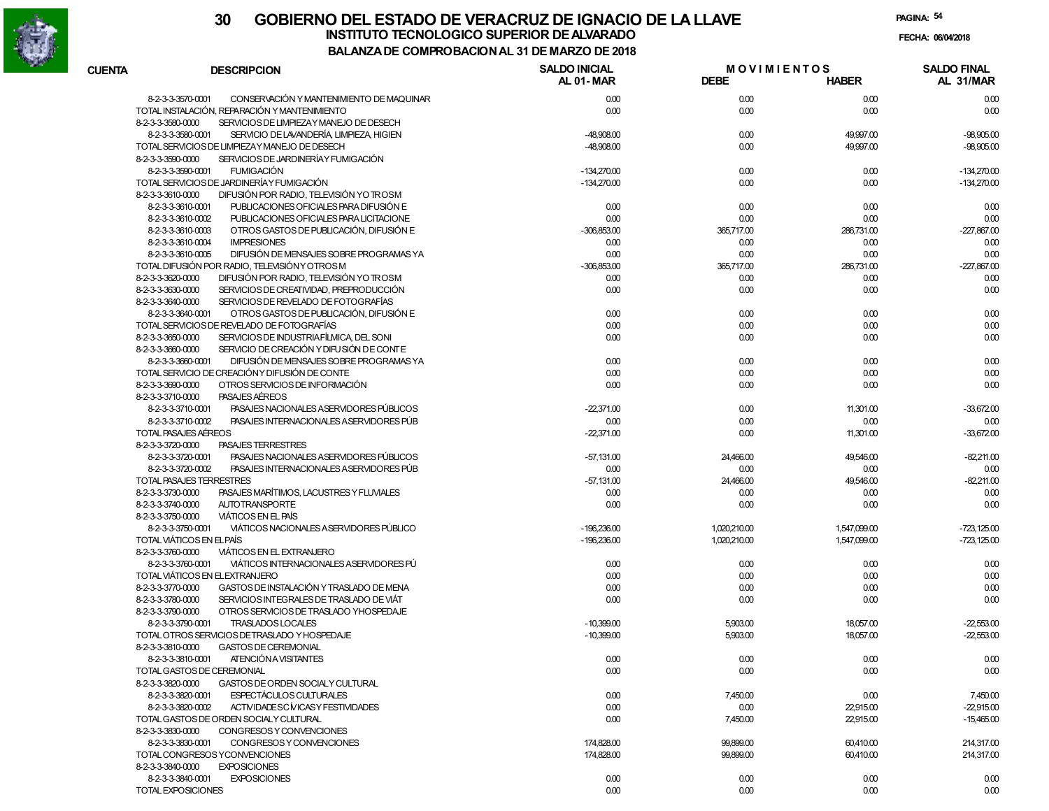

|                                  |                                                | A DE CONIFRO DACION AL 31 DE MARZO DE ZUTO |                                   |              |                                 |
|----------------------------------|------------------------------------------------|--------------------------------------------|-----------------------------------|--------------|---------------------------------|
| <b>CUENTA</b>                    | <b>DESCRIPCION</b>                             | <b>SALDO INICIAL</b><br>AL 01-MAR          | <b>MOVIMIENTOS</b><br><b>DEBE</b> | <b>HABER</b> | <b>SALDO FINAL</b><br>AL 31/MAR |
| 8-2-3-3-3570-0001                | CONSERVACIÓN Y MANTENIMIENTO DE MAQUINAR       | 0.00                                       | 0.00                              | 0.00         | 0.00                            |
|                                  | TOTAL INSTALACIÓN, REPARACIÓN Y MANTENIMIENTO  | 0.00                                       | 0.00                              | 0.00         | 0.00                            |
| 8-2-3-3-3580-0000                | SERVICIOS DE LIMPIEZAY MANEJO DE DESECH        |                                            |                                   |              |                                 |
| 8-2-3-3-3580-0001                | SERVICIO DE LAVANDERÍA, LIMPIEZA, HIGIEN       | $-48.908.00$                               | 0.00                              | 49,997.00    | $-98,905.00$                    |
|                                  | TOTAL SERVICIOS DE LIMPIEZAY MANEJO DE DESECH  | $-48.908.00$                               | 0.00                              | 49,997.00    | $-98,905.00$                    |
| 8-2-3-3-3590-0000                | SERVICIOS DE JARDINERÍA Y FUMIGACIÓN           |                                            |                                   |              |                                 |
| 8-2-3-3-3590-0001                | <b>FUMIGACIÓN</b>                              | $-134,270.00$                              | 0.00                              | 0.00         | $-134,270.00$                   |
|                                  | TOTAL SERVICIOS DE JARDINERÍA Y FUMIGACIÓN     | $-134,270.00$                              | 0.00                              | 0.00         | $-134,270.00$                   |
| 8-2-3-3-3610-0000                | DIFUSIÓN POR RADIO, TELEVISIÓN YO TROSM        |                                            |                                   |              |                                 |
| 8-2-3-3-3610-0001                | PUBLICACIONES OFICIALES PARA DIFUSIÓN E        | 0.00                                       | 0.00                              | 0.00         | 0.00                            |
| 8-2-3-3-3610-0002                | PUBLICACIONES OFICIALES PARA LICITACIONE       | 0.00                                       | 0.00                              | 0.00         | 0.00                            |
| 8-2-3-3-3610-0003                | OTROS GASTOS DE PUBLICACIÓN. DIFUSIÓN E        | $-306,853.00$                              | 365,717.00                        | 286,731.00   | $-227.867.00$                   |
| 8-2-3-3-3610-0004                | <b>IMPRESIONES</b>                             | 0.00                                       | 0.00                              | 0.00         | 0.00                            |
| 8-2-3-3-3610-0005                | DIFUSIÓN DE MENSAJES SOBRE PROGRAMAS YA        | 0.00                                       | 0.00                              | 0.00         | 0.00                            |
|                                  | TOTAL DIFUSIÓN POR RADIO, TELEVISIÓN Y OTROS M | $-306,853.00$                              | 365,717.00                        | 286,731.00   | $-227.867.00$                   |
| 8-2-3-3-3620-0000                | DIFUSIÓN POR RADIO, TELEVISIÓN YO TROSM        | 0.00                                       | 0.00                              | 0.00         | 0.00                            |
| 8-2-3-3-3630-0000                | SERVICIOS DE CREATIVIDAD, PREPRODUCCIÓN        | 0.00                                       | 0.00                              | 0.00         | 0.00                            |
| 8-2-3-3-3640-0000                | SERVICIOS DE REVELADO DE FOTOGRAFÍAS           |                                            |                                   |              |                                 |
| 8-2-3-3-3640-0001                | OTROS GASTOS DE PUBLICACIÓN, DIFUSIÓN E        | 0.00                                       | 0.00                              | 0.00         | 0.00                            |
|                                  | TOTAL SERVICIOS DE REVELADO DE FOTOGRAFÍAS     | 0.00                                       | 0.00                              | 0.00         | 0.00                            |
| 8-2-3-3-3650-0000                | SERVICIOS DE INDUSTRIAFÍLMICA DEL SONI         | 0.00                                       | 0.00                              | 0.00         | 0.00                            |
| 8-2-3-3-3660-0000                | SERVICIO DE CREACIÓN Y DIFUSIÓN DE CONTE       |                                            |                                   |              |                                 |
| 8-2-3-3-3660-0001                | DIFUSIÓN DE MENSAJES SOBRE PROGRAMAS YA        | 0.00                                       | 0.00                              | 0.00         | 0.00                            |
|                                  | TOTAL SERVICIO DE CREACIÓNY DIFUSIÓN DE CONTE  | 0.00                                       | 0.00                              | 0.00         | 0.00                            |
| 8-2-3-3-3690-0000                | OTROS SERVICIOS DE INFORMACIÓN                 | 0.00                                       | 0.00                              | 0.00         | 0.00                            |
| 8-2-3-3-3710-0000                | PASAJES AEREOS                                 |                                            |                                   |              |                                 |
| 8-2-3-3-3710-0001                | PASAJES NACIONALES A SERVIDORES PÚBLICOS       | $-22,371.00$                               | 0.00                              | 11,301.00    | $-33,672.00$                    |
| 8-2-3-3-3710-0002                | PASAJES INTERNACIONALES ASERVIDORES PÚB        | 0.00                                       | 0.00                              | 0.00         | 0.00                            |
| TOTAL PASAJES AÉREOS             |                                                | $-22,371.00$                               | 0.00                              | 11,301.00    | $-33,672.00$                    |
| 8-2-3-3-3720-0000                | <b>PASAJES TERRESTRES</b>                      |                                            |                                   |              |                                 |
| 8-2-3-3-3720-0001                | PASAJES NACIONALES A SERVIDORES PÚBLICOS       | $-57,131.00$                               | 24,466.00                         | 49,546.00    | $-82,211.00$                    |
| 8-2-3-3-3720-0002                | PASAJES INTERNACIONALES ASERVIDORES PÚB        | 0.00                                       | 0.00                              | 0.00         | 0.00                            |
| TOTAL PASAJES TERRESTRES         |                                                | $-57,131.00$                               | 24,466.00                         | 49,546.00    | $-82,211.00$                    |
| 8-2-3-3-3730-0000                | PASAJES MARÍTIMOS, LACUSTRES Y FLUVIALES       | 0.00                                       | 0.00                              | 0.00         | 0.00                            |
| 8-2-3-3-3740-0000                | <b>AUTOTRANSPORTE</b>                          | 0.00                                       | 0.00                              | 0.00         | 0.00                            |
| 8-2-3-3-3750-0000                | <b>VIÁTICOS EN EL PAÍS</b>                     |                                            |                                   |              |                                 |
| 8-2-3-3-3750-0001                | VIÁTICOS NACIONALES A SERVIDORES PÚBLICO       | $-196,236.00$                              | 1,020,210.00                      | 1,547,099.00 | $-723,125.00$                   |
| <b>TOTAL VIÁTICOS EN EL PAÍS</b> |                                                | $-196,236.00$                              | 1,020,210.00                      | 1,547,099.00 | $-723,125.00$                   |
| 8-2-3-3-3760-0000                | <b>VIÁTICOS EN EL EXTRANJERO</b>               |                                            |                                   |              |                                 |
| 8-2-3-3-3760-0001                | VIÁTICOS INTERNACIONALES A SERVIDORES PÚ       | 0.00                                       | 0.00                              | 0.00         | 0.00                            |
|                                  | TOTAL VIÁTICOS EN EL EXTRANJERO                | 0.00                                       | 0.00                              | 0.00         | 0.00                            |
| 8-2-3-3-3770-0000                | GASTOS DE INSTALACIÓN Y TRASLADO DE MENA       | 0.00                                       | 0.00                              | 0.00         | 0.00                            |
| 8-2-3-3-3780-0000                | SERVICIOS INTEGRALES DE TRASLADO DE VIÁT       | 0.00                                       | 0.00                              | 0.00         | 0.00                            |
| 8-2-3-3-3790-0000                | OTROS SERVICIOS DE TRASLADO YHOSPEDAJE         |                                            |                                   |              |                                 |
| 8-2-3-3-3790-0001                | TRASLADOS LOCALES                              | $-10,399.00$                               | 5,903.00                          | 18,057.00    | $-22,553.00$                    |
|                                  | TOTAL OTROS SERVICIOS DETRASLADO Y HOSPEDAJE   | $-10,399.00$                               | 5,903.00                          | 18,057.00    | $-22,553.00$                    |
| 8-2-3-3-3810-0000                | <b>GASTOS DE CEREMONIAL</b>                    |                                            |                                   |              |                                 |
| 8-2-3-3-3810-0001                | ATENCIÓN A VISITANTES                          | 0.00                                       | 0.00                              | 0.00         | 0.00                            |
|                                  | TOTAL GASTOS DE CEREMONIAL                     | 0.00                                       | 0.00                              | 0.00         | 0.00                            |
| 8-2-3-3-3820-0000                | GASTOS DE ORDEN SOCIALY CULTURAL               |                                            |                                   |              |                                 |
| 8-2-3-3-3820-0001                | <b>ESPECTÁCULOS CULTURALES</b>                 | 0.00                                       | 7,450.00                          | 0.00         | 7,450.00                        |
| 8-2-3-3-3820-0002                | ACTIVIDADESC MICASY FESTIVIDADES               | 0.00                                       | 0.00                              | 22,915.00    | $-22,915.00$                    |
|                                  | TOTAL GASTOS DE ORDEN SOCIALY CULTURAL         | 0.00                                       | 7,450.00                          | 22,915.00    | $-15,465.00$                    |
| 8-2-3-3-3830-0000                | CONGRESOS Y CONVENCIONES                       |                                            |                                   |              |                                 |
| 8-2-3-3-3830-0001                | CONGRESOS Y CONVENCIONES                       | 174,828.00                                 | 99,899.00                         | 60,410.00    | 214,317.00                      |
|                                  | TOTAL CONGRESOS YCONVENCIONES                  | 174,828.00                                 | 99,899.00                         | 60,410.00    | 214,317.00                      |
| 8-2-3-3-3840-0000                | <b>EXPOSICIONES</b>                            |                                            |                                   |              |                                 |
| 8-2-3-3-3840-0001                | <b>EXPOSICIONES</b>                            | 0.00                                       | 0.00                              | 0.00         | 0.00                            |
| TOTAL EXPOSICIONES               |                                                | 0.00                                       | 0.00                              | 0.00         | 0.00                            |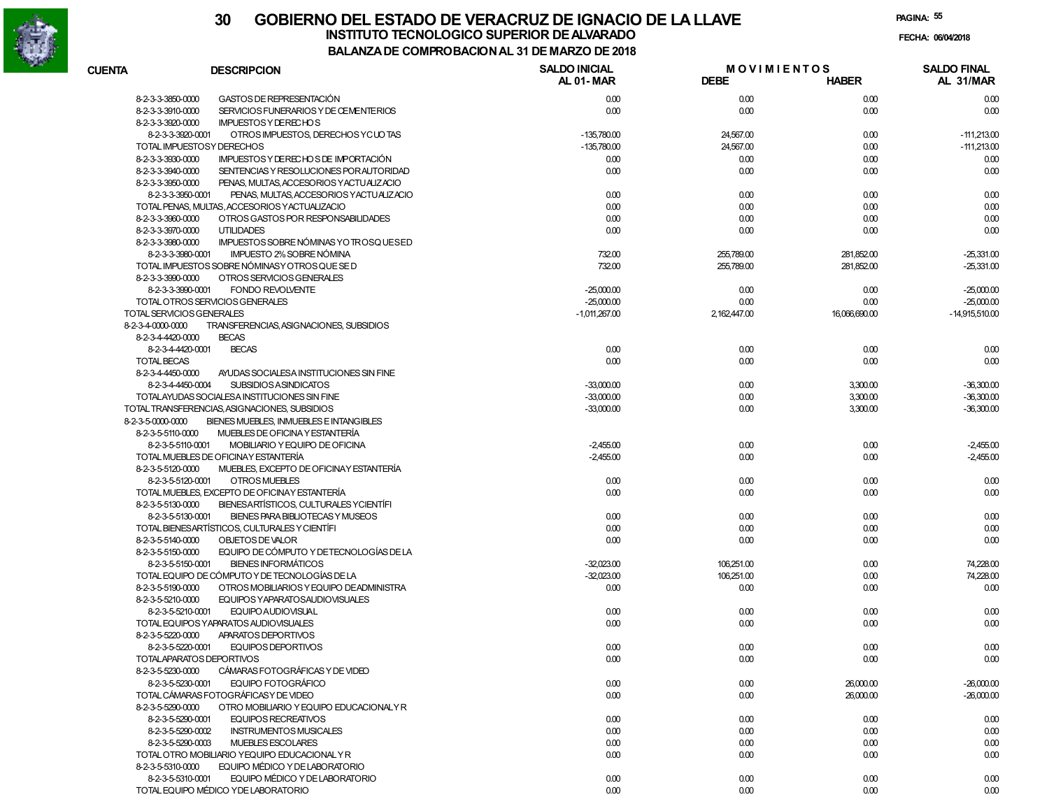

| <b>CUENTA</b>                          | <b>DESCRIPCION</b>                                                                       | <b>SALDO INICIAL</b><br><b>AL 01-MAR</b> | <b>MOVIMIENTOS</b><br><b>DEBE</b> | <b>HABER</b>  | <b>SALDO FINAL</b><br>AL 31/MAR |
|----------------------------------------|------------------------------------------------------------------------------------------|------------------------------------------|-----------------------------------|---------------|---------------------------------|
| 8-2-3-3-3850-0000                      | GASTOS DE REPRESENTACIÓN                                                                 | 0.00                                     | 0.00                              | 0.00          | 0.00                            |
| 8-2-3-3-3910-0000                      | SERVICIOS FUNERARIOS Y DE CEMENTERIOS                                                    | 0.00                                     | 0.00                              | 0.00          | 0.00                            |
| 8-2-3-3-3920-0000                      | <b>IMPUESTOS Y DE RECHOS</b>                                                             |                                          |                                   |               |                                 |
| 8-2-3-3-3920-0001                      | OTROS IMPUESTOS, DERECHOS YC UO TAS                                                      | $-135,780.00$                            | 24,567.00                         | 0.00          | $-111,213.00$                   |
|                                        | TOTAL IMPUESTOSY DERECHOS                                                                | $-135.780.00$                            | 24,567.00                         | 0.00          | $-111,213.00$                   |
| 8-2-3-3-3930-0000                      | IMPUESTOS Y DERECHOS DE IMPORTACIÓN                                                      | 0.00                                     | 0.00                              | 0.00          | 0.00                            |
| 8-2-3-3-3940-0000                      | SENTENCIAS Y RESOLUCIONES POR AUTORIDAD                                                  | 0.00                                     | 0.00                              | 0.00          | 0.00                            |
| 8-2-3-3-3950-0000                      | PENAS, MULTAS, ACCESORIOS YACTUALIZACIO                                                  |                                          |                                   |               |                                 |
| 8-2-3-3-3950-0001                      | PENAS, MULTAS, ACCESORIOS Y ACTUALIZACIO                                                 | 0.00                                     | 0.00                              | 0.00          | 0.00                            |
|                                        | TOTAL PENAS, MULTAS, ACCESORIOS YACTUALIZACIO                                            | 0.00                                     | 0.00                              | 0.00          | 0.00                            |
| 8-2-3-3-3960-0000                      | OTROS GASTOS POR RESPONSABILIDADES                                                       | 0.00                                     | 0.00                              | 0.00          | 0.00                            |
| 8-2-3-3-3970-0000                      | <b>UTILIDADES</b>                                                                        | 0.00                                     | 0.00                              | 0.00          | 0.00                            |
| 8-2-3-3-3980-0000                      | IMPUESTOS SOBRE NÓMINAS YO TROSQUESED                                                    |                                          |                                   |               |                                 |
| 8-2-3-3-3980-0001                      | <b>IMPUESTO 2% SOBRE NÓMINA</b>                                                          | 732.00                                   | 255,789.00                        | 281,852.00    | $-25,331.00$                    |
|                                        | TOTAL IMPUESTOS SOBRE NÓMINASY OTROS QUE SE D                                            | 732.00                                   | 255,789.00                        | 281,852.00    | -25,331.00                      |
| 8-2-3-3-3990-0000                      | OTROS SERVICIOS GENERALES                                                                |                                          |                                   |               |                                 |
| 8-2-3-3-3990-0001                      | <b>FONDO REVOLVENTE</b>                                                                  | $-25,000.00$                             | 0.00                              | 0.00          | $-25,000.00$                    |
|                                        | TOTAL OTROS SERVICIOS GENERALES                                                          | $-25,000.00$                             | 0.00                              | 0.00          | $-25,000.00$                    |
| TOTAL SERVICIOS GENERALES              |                                                                                          | $-1,011,267.00$                          | 2,162,447.00                      | 16,066,690.00 | $-14,915,510.00$                |
| 8-2-3-4-0000-0000                      | TRANSFERENCIAS, ASIGNACIONES, SUBSIDIOS                                                  |                                          |                                   |               |                                 |
| 8-2-3-4-4420-0000                      | <b>BECAS</b>                                                                             |                                          |                                   |               |                                 |
| 8-2-3-4-4420-0001                      | <b>BECAS</b>                                                                             | 0.00                                     | 0.00                              | 0.00          | 0.00                            |
| <b>TOTAL BECAS</b>                     |                                                                                          | 0.00                                     | 0.00                              | 0.00          | 0.00                            |
| 8-2-3-4-4450-0000                      | AYUDAS SOCIALESA INSTITUCIONES SIN FINE                                                  |                                          |                                   |               |                                 |
| 8-2-3-4-4450-0004                      | <b>SUBSIDIOS ASINDICATOS</b>                                                             | $-33,000,00$                             | 0.00                              | 3,300.00      | $-36,300.00$                    |
|                                        | TOTALAYUDAS SOCIALESA INSTITUCIONES SIN FINE                                             | $-33,000.00$                             | 0.00                              | 3,300.00      | $-36,300.00$                    |
| 8-2-3-5-0000-0000                      | TOTAL TRANSFERENCIAS, ASIGNACIONES, SUBSIDIOS<br>BIENES MUEBLES. INMUEBLES E INTANGIBLES | $-33,000.00$                             | 0.00                              | 3,300.00      | $-36,300.00$                    |
|                                        | MUEBLES DE OFICINA Y ESTANTERÍA                                                          |                                          |                                   |               |                                 |
| 8-2-3-5-5110-0000<br>8-2-3-5-5110-0001 | MOBILIARIO Y EQUIPO DE OFICINA                                                           | $-2.455.00$                              | 0.00                              | 0.00          | $-2,455.00$                     |
|                                        | TOTAL MUEBLES DE OFICINAY ESTANTERÍA                                                     | $-2,455.00$                              | 0.00                              | 0.00          | $-2,455.00$                     |
| 8-2-3-5-5120-0000                      | MUEBLES, EXCEPTO DE OFICINAY ESTANTERÍA                                                  |                                          |                                   |               |                                 |
| 8-2-3-5-5120-0001                      | OTROS MUEBLES                                                                            | 0.00                                     | 0.00                              | 0.00          | 0.00                            |
|                                        | TOTAL MUEBLES, EXCEPTO DE OFICINAY ESTANTERÍA                                            | 0.00                                     | 0.00                              | 0.00          | 0.00                            |
| 8-2-3-5-5130-0000                      | BIENESARTÍSTICOS, CULTURALES YCIENTÍFI                                                   |                                          |                                   |               |                                 |
| 8-2-3-5-5130-0001                      | BIENES PARA BIBLIOTECAS Y MUSEOS                                                         | 0.00                                     | 0.00                              | 0.00          | 0.00                            |
|                                        | TOTAL BIENESARTÍSTICOS, CULTURALES Y CIENTÍFI                                            | 0.00                                     | 0.00                              | 0.00          | 0.00                            |
| 8-2-3-5-5140-0000                      | OBJETOS DE VALOR                                                                         | 0.00                                     | 0.00                              | 0.00          | 0.00                            |
| 8-2-3-5-5150-0000                      | EQUIPO DE CÓMPUTO Y DE TECNOLOGÍAS DE LA                                                 |                                          |                                   |               |                                 |
| 8-2-3-5-5150-0001                      | <b>BIENES INFORMÁTICOS</b>                                                               | $-32.023.00$                             | 106,251.00                        | 0.00          | 74,228.00                       |
|                                        | TOTAL EQUIPO DE CÓMPUTO Y DE TECNOLOGÍAS DE LA                                           | $-32.023.00$                             | 106,251.00                        | 0.00          | 74,228.00                       |
| 8-2-3-5-5190-0000                      | OTROS MOBILIARIOS Y EQUIPO DE ADMINISTRA                                                 | 0.00                                     | 0.00                              | 0.00          | 0.00                            |
| 8-2-3-5-5210-0000                      | EQUIPOS YAPARATOSAUDIOVISUALES                                                           |                                          |                                   |               |                                 |
| 8-2-3-5-5210-0001                      | <b>EQUIPO AUDIOVISUAL</b>                                                                | 0.00                                     | 0.00                              | 0.00          | 0.00                            |
|                                        | TOTAL EQUIPOS YAPARATOS AUDIOVISUALES                                                    | 0.00                                     | 0.00                              | 0.00          | 0.00                            |
| 8-2-3-5-5220-0000                      | APARATOS DEPORTIVOS                                                                      |                                          |                                   |               |                                 |
| 8-2-3-5-5220-0001                      | EQUIPOS DEPORTIVOS                                                                       | 0.00                                     | 0.00                              | 0.00          | 0.00                            |
|                                        | TOTALAPARATOS DEPORTIVOS                                                                 | 0.00                                     | 0.00                              | 0.00          | 0.00                            |
| 8-2-3-5-5230-0000                      | CÁMARAS FOTOGRÁFICAS Y DE VIDEO                                                          |                                          |                                   |               |                                 |
| 8-2-3-5-5230-0001                      | <b>EQUIPO FOTOGRÁFICO</b>                                                                | 0.00                                     | 0.00                              | 26,000.00     | $-26,000.00$                    |
|                                        | TOTAL CÁMARAS FOTOGRÁFICAS Y DE VIDEO                                                    | 0.00                                     | 0.00                              | 26,000.00     | $-26,000.00$                    |
| 8-2-3-5-5290-0000                      | OTRO MOBILIARIO Y EQUIPO EDUCACIONALY R                                                  |                                          |                                   |               |                                 |
| 8-2-3-5-5290-0001                      | <b>EQUIPOS RECREATIVOS</b>                                                               | 0.00                                     | 0.00                              | 0.00          | 0.00                            |
| 8-2-3-5-5290-0002                      | <b>INSTRUMENTOS MUSICALES</b>                                                            | 0.00                                     | 0.00                              | 0.00          | 0.00                            |
| 8-2-3-5-5290-0003                      | MUEBLES ESCOLARES                                                                        | 0.00                                     | 0.00                              | 0.00          | 0.00                            |
|                                        | TOTAL OTRO MOBILIARIO YEQUIPO EDUCACIONAL Y R                                            | 0.00                                     | 0.00                              | 0.00          | 0.00                            |
| 8-2-3-5-5310-0000                      | EQUIPO MÉDICO Y DE LABORATORIO                                                           |                                          |                                   |               |                                 |
| 8-2-3-5-5310-0001                      | EQUIPO MÉDICO Y DE LABORATORIO                                                           | 0.00                                     | 0.00                              | 0.00          | 0.00                            |
|                                        | TOTAL EQUIPO MÉDICO Y DE LABORATORIO                                                     | 0.00                                     | 0.00                              | 0.00          | 0.00                            |
|                                        |                                                                                          |                                          |                                   |               |                                 |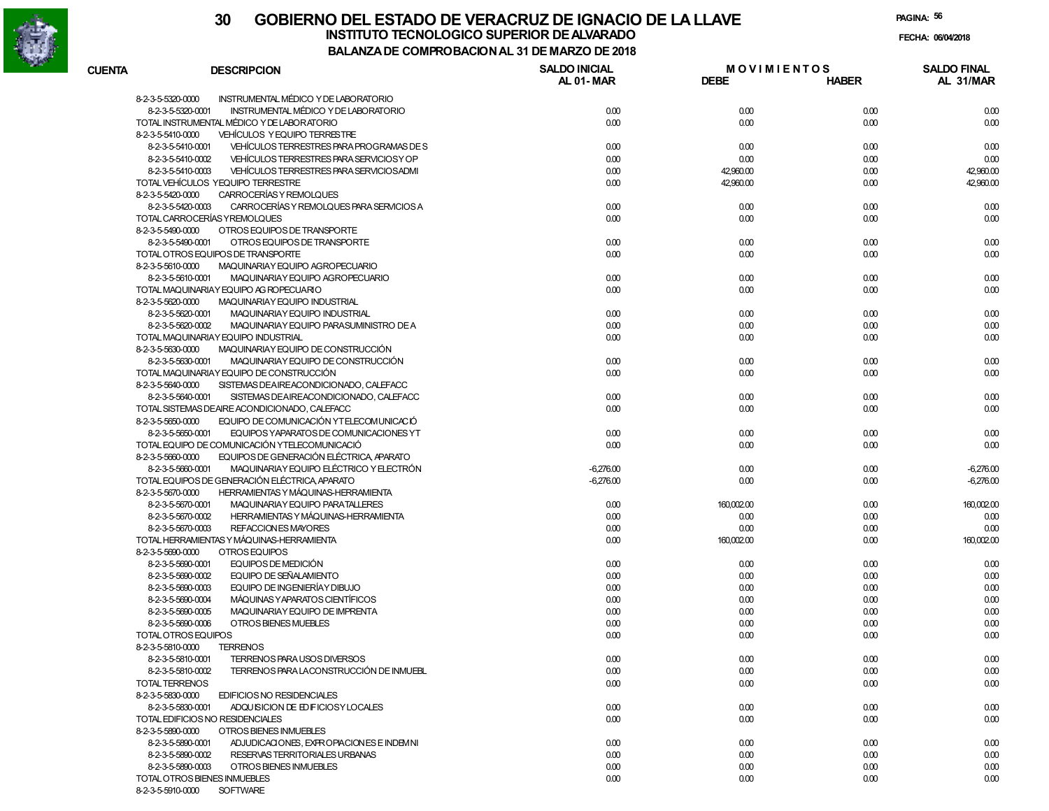

**PAGINA:56**

| <b>CUENTA</b>       | <b>DESCRIPCION</b>                            | <b>SALDO INICIAL</b><br>AL 01-MAR | <b>MOVIMIENTOS</b><br><b>DEBE</b> | <b>HABER</b> | <b>SALDO FINAL</b><br>AL 31/MAR |
|---------------------|-----------------------------------------------|-----------------------------------|-----------------------------------|--------------|---------------------------------|
| 8-2-3-5-5320-0000   | INSTRUMENTAL MÉDICO Y DE LABORATORIO          |                                   |                                   |              |                                 |
| 8-2-3-5-5320-0001   | <b>INSTRUMENTAL MÉDICO Y DE LABORATORIO</b>   | 0.00                              | 0.00                              | 0.00         | 0.00                            |
|                     | TOTAL INSTRUMENTAL MÉDICO Y DE LABORATORIO    | 0.00                              | 0.00                              | 0.00         | 0.00                            |
| 8-2-3-5-5410-0000   | VEHÍCULOS Y EQUIPO TERRESTRE                  |                                   |                                   |              |                                 |
| 8-2-3-5-5410-0001   | VEHICULOS TERRESTRES PARA PROGRAMAS DE S      | 0.00                              | 0.00                              | 0.00         | 0.00                            |
| 8-2-3-5-5410-0002   | VEHÍCULOS TERRESTRES PARA SERVICIOS Y OP      | 0.00                              | 0.00                              | 0.00         | 0.00                            |
| 8-2-3-5-5410-0003   | VEHÍCULOS TERRESTRES PARA SERVICIOSADMI       | 0.00                              | 42,960.00                         | 0.00         | 42,960.00                       |
|                     | TOTAL VEHÍCULOS YEQUIPO TERRESTRE             | 0.00                              | 42,960.00                         | 0.00         | 42,960.00                       |
| 8-2-3-5-5420-0000   | CARROCERÍAS Y REMOLQUES                       |                                   |                                   |              |                                 |
| 8-2-3-5-5420-0003   | CARROCERÍAS Y REMOLQUES PARA SERVICIOS A      | 0.00                              | 0.00                              | 0.00         | 0.00                            |
|                     | TOTAL CARROCERÍAS Y REMOLQUES                 | 0.00                              | 0.00                              | 0.00         | 0.00                            |
| 8-2-3-5-5490-0000   | OTROS EQUIPOS DE TRANSPORTE                   |                                   |                                   |              |                                 |
| 8-2-3-5-5490-0001   |                                               | 0.00                              |                                   | 0.00         |                                 |
|                     | OTROS EQUIPOS DE TRANSPORTE                   |                                   | 0.00                              |              | 0.00                            |
|                     | TOTAL OTROS EQUIPOS DE TRANSPORTE             | 0.00                              | 0.00                              | 0.00         | 0.00                            |
| 8-2-3-5-5610-0000   | MAQUINARIAY EQUIPO AGROPECUARIO               |                                   |                                   |              |                                 |
| 8-2-3-5-5610-0001   | MAQUINARIAY EQUIPO AGROPECUARIO               | 0.00                              | 0.00                              | 0.00         | 0.00                            |
|                     | TOTAL MAQUINARIAY EQUIPO AG ROPECUARIO        | 0.00                              | 0.00                              | 0.00         | 0.00                            |
| 8-2-3-5-5620-0000   | MAQUINARIAY EQUIPO INDUSTRIAL                 |                                   |                                   |              |                                 |
| 8-2-3-5-5620-0001   | MAQUINARIAY EQUIPO INDUSTRIAL                 | 0.00                              | 0.00                              | 0.00         | 0.00                            |
| 8-2-3-5-5620-0002   | MAQUINARIAY EQUIPO PARASUMINISTRO DE A        | 0.00                              | 0.00                              | 0.00         | 0.00                            |
|                     | TOTAL MAQUINARIAY EQUIPO INDUSTRIAL           | 0.00                              | 0.00                              | 0.00         | 0.00                            |
| 8-2-3-5-5630-0000   | MAQUINARIAY EQUIPO DE CONSTRUCCIÓN            |                                   |                                   |              |                                 |
| 8-2-3-5-5630-0001   | MAQUINARIAY EQUIPO DE CONSTRUCCIÓN            | 0.00                              | 0.00                              | 0.00         | 0.00                            |
|                     | TOTAL MAQUINARIAY EQUIPO DE CONSTRUCCIÓN      | 0.00                              | 0.00                              | 0.00         | 0.00                            |
| 8-2-3-5-5640-0000   | SISTEMAS DEAIREACONDICIONADO, CALEFACC        |                                   |                                   |              |                                 |
| 8-2-3-5-5640-0001   | SISTEMAS DEAIREACONDICIONADO, CALEFACC        | 0.00                              | 0.00                              | 0.00         | 0.00                            |
|                     | TOTAL SISTEMAS DEAIRE ACONDICIONADO, CALEFACC | 0.00                              | 0.00                              | 0.00         | 0.00                            |
| 8-2-3-5-5650-0000   | EQUIPO DE COMUNICACIÓN YTELECOMUNICACIÓ       |                                   |                                   |              |                                 |
| 8-2-3-5-5650-0001   | EQUIPOS YAPARATOS DE COMUNICACIONES YT        | 0.00                              | 0.00                              | 0.00         | 0.00                            |
|                     | TOTAL EQUIPO DE COMUNICACIÓN YTELECOMUNICACIÓ | 0.00                              | 0.00                              | 0.00         | 0.00                            |
| 8-2-3-5-5660-0000   | EQUIPOS DE GENERACIÓN ELÉCTRICA, APARATO      |                                   |                                   |              |                                 |
| 8-2-3-5-5660-0001   | MAQUINARIAY EQUIPO ELÉCTRICO Y ELECTRÓN       | $-6,276.00$                       |                                   |              |                                 |
|                     |                                               |                                   | 0.00                              | 0.00         | $-6,276.00$                     |
|                     | TOTAL EQUIPOS DE GENERACIÓN ELÉCTRICA APARATO | $-6,276.00$                       | 0.00                              | 0.00         | $-6,276.00$                     |
| 8-2-3-5-5670-0000   | HERRAMIENTAS Y MÁQUINAS-HERRAMIENTA           |                                   |                                   |              |                                 |
| 8-2-3-5-5670-0001   | MAQUINARIAY EQUIPO PARATALLERES               | 0.00                              | 160,002.00                        | 0.00         | 160,002.00                      |
| 8-2-3-5-5670-0002   | HERRAMIENTAS Y MÁQUINAS-HERRAMIENTA           | 0.00                              | 0.00                              | 0.00         | 0.00                            |
| 8-2-3-5-5670-0003   | REFACCION ES MAYORES                          | 0.00                              | 0.00                              | 0.00         | 0.00                            |
|                     | TOTAL HERRAMIENTAS Y MÁQUINAS-HERRAMIENTA     | 0.00                              | 160,002.00                        | 0.00         | 160,002.00                      |
| 8-2-3-5-5690-0000   | OTROS EQUIPOS                                 |                                   |                                   |              |                                 |
| 8-2-3-5-5690-0001   | EQUIPOS DE MEDICIÓN                           | 0.00                              | 0.00                              | 0.00         | 0.00                            |
| 8-2-3-5-5690-0002   | EQUIPO DE SEÑALAMIENTO                        | 0.00                              | 0.00                              | 0.00         | 0.00                            |
| 8-2-3-5-5690-0003   | EQUIPO DE INGENIERÍAY DIBUJO                  | 0.00                              | 0.00                              | 0.00         | 0.00                            |
| 8-2-3-5-5690-0004   | MÁQUINAS Y APARATOS CIENTÍFICOS               | 0.00                              | 0.00                              | 0.00         | 0.00                            |
| 8-2-3-5-5690-0005   | MAQUINARIAY EQUIPO DE IMPRENTA                | 0.00                              | 0.00                              | 0.00         | 0.00                            |
| 8-2-3-5-5690-0006   | OTROS BIENES MUEBLES                          | 0.00                              | 0.00                              | 0.00         | 0.00                            |
| TOTAL OTROS EQUIPOS |                                               | 0.00                              | 0.00                              | 0.00         | 0.00                            |
| 8-2-3-5-5810-0000   | <b>TERRENOS</b>                               |                                   |                                   |              |                                 |
|                     | TERRENOS PARA USOS DIVERSOS                   |                                   |                                   |              |                                 |
| 8-2-3-5-5810-0001   |                                               | 0.00                              | 0.00                              | 0.00         | 0.00                            |
| 8-2-3-5-5810-0002   | TERRENOS PARA LACONSTRUCCIÓN DE INMUEBL       | 0.00                              | 0.00                              | 0.00         | 0.00                            |
| TOTAL TERRENOS      |                                               | 0.00                              | 0.00                              | 0.00         | 0.00                            |
| 8-2-3-5-5830-0000   | EDIFICIOS NO RESIDENCIALES                    |                                   |                                   |              |                                 |
| 8-2-3-5-5830-0001   | ADQUISICION DE ED FICIOSY LOCALES             | 0.00                              | 0.00                              | 0.00         | 0.00                            |
|                     | TOTAL EDIFICIOS NO RESIDENCIALES              | 0.00                              | 0.00                              | 0.00         | 0.00                            |
| 8-2-3-5-5890-0000   | OTROS BIENES INMUEBLES                        |                                   |                                   |              |                                 |
| 8-2-3-5-5890-0001   | ADJUDICACIONES, EXPROPIACIONES E INDEMNI      | 0.00                              | 0.00                              | 0.00         | 0.00                            |
| 8-2-3-5-5890-0002   | RESERVAS TERRITORIALES URBANAS                | 0.00                              | 0.00                              | 0.00         | 0.00                            |
| 8-2-3-5-5890-0003   | OTROS BIENES INMUEBLES                        | 0.00                              | 0.00                              | 0.00         | 0.00                            |
|                     | TOTAL OTROS BIENES INMUEBLES                  | 0.00                              | 0.00                              | 0.00         | 0.00                            |
|                     |                                               |                                   |                                   |              |                                 |

8-2-3-5-5910-0000 SOFTWARE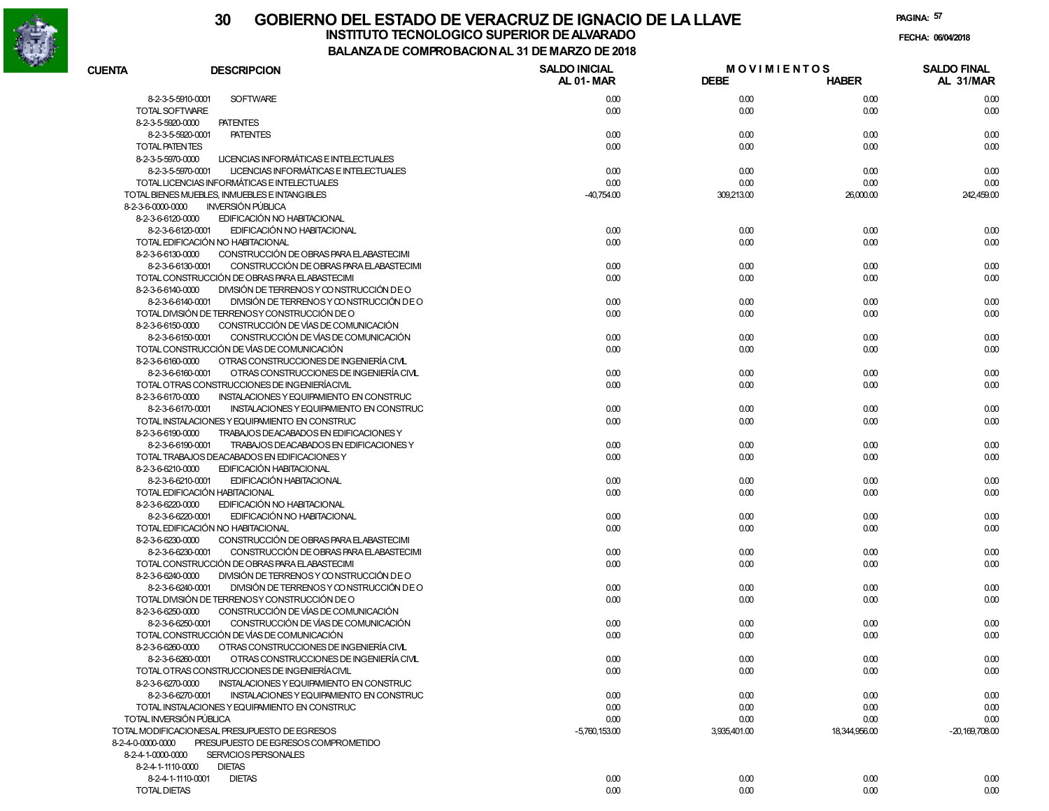

# **30 GOBIERNO DEL ESTADO DE VERACRUZ DE IGNACIO DE LA LLAVEINSTITUTO TECNOLOGICO SUPERIOR DE ALVARADO de la composición de la composición de la composición de la composición**<br>Dal aniza de composición da la de marzo de como

**PAGINA:57**

**FECHA:**

**BALANZA DE COMPROBACION AL 31 DE MARZO DE 2018**

| <b>CUENTA</b>                          | <b>DESCRIPCION</b>                                                           | <b>SALDO INICIAL</b> |              | <b>MOVIMIENTOS</b> | <b>SALDO FINAL</b> |
|----------------------------------------|------------------------------------------------------------------------------|----------------------|--------------|--------------------|--------------------|
|                                        |                                                                              | AL 01-MAR            | <b>DEBE</b>  | <b>HABER</b>       | AL 31/MAR          |
| 8-2-3-5-5910-0001                      | <b>SOFTWARE</b>                                                              | 0.00                 | 0.00         | 0.00               | 0.00               |
| TOTAL SOFTWARE                         |                                                                              | 0.00                 | 0.00         | 0.00               | 0.00               |
| 8-2-3-5-5920-0000                      | <b>PATENTES</b>                                                              |                      |              |                    |                    |
| 8-2-3-5-5920-0001                      | <b>PATENTES</b>                                                              | 0.00                 | 0.00         | 0.00               | 0.00               |
| TOTAL PATENTES                         |                                                                              | 0.00                 | 0.00         | 0.00               | 0.00               |
| 8-2-3-5-5970-0000                      | LICENCIAS INFORMÁTICAS E INTELECTUALES                                       |                      |              |                    |                    |
| 8-2-3-5-5970-0001                      | LICENCIAS INFORMÁTICAS E INTELECTUALES                                       | 0.00                 | 0.00         | 0.00               | 0.00               |
|                                        | TOTAL LICENCIAS INFORMÁTICAS E INTELECTUALES                                 | 0.00                 | 0.00         | 0.00               | 0.00               |
|                                        | TOTAL BIENES MUEBLES, INMUEBLES E INTANGIBLES                                | $-40,754.00$         | 309,213.00   | 26,000.00          | 242,459.00         |
| 8-2-3-6-0000-0000                      | <b>INVERSIÓN PÚBLICA</b>                                                     |                      |              |                    |                    |
| 8-2-3-6-6120-0000                      | EDIFICACIÓN NO HABITACIONAL                                                  |                      |              |                    |                    |
| 8-2-3-6-6120-0001                      | EDIFICACIÓN NO HABITACIONAL                                                  | 0.00                 | 0.00         | 0.00               | 0.00               |
|                                        | TOTAL EDIFICACIÓN NO HABITACIONAL                                            | 0.00                 | 0.00         | 0.00               | 0.00               |
| 8-2-3-6-6130-0000                      | CONSTRUCCIÓN DE OBRAS PARA ELABASTECIMI                                      |                      |              |                    |                    |
| 8-2-3-6-6130-0001                      | CONSTRUCCIÓN DE OBRAS PARA ELABASTECIMI                                      | 0.00                 | 0.00         | 0.00               | 0.00               |
|                                        | TOTAL CONSTRUCCIÓN DE OBRAS PARA ELABASTECIMI                                | 0.00                 | 0.00         | 0.00               | 0.00               |
| 8-2-3-6-6140-0000                      | DIVISIÓN DE TERRENOS Y CONSTRUCCIÓN DE O                                     |                      |              |                    |                    |
| 8-2-3-6-6140-0001                      | DIVISIÓN DE TERRENOS Y CONSTRUCCIÓN DE O                                     | 0.00                 | 0.00         | 0.00               | 0.00               |
|                                        | TOTAL DIVISIÓN DE TERRENOSY CONSTRUCCIÓN DE O                                | 0.00                 | 0.00         | 0.00               | 0.00               |
| 8-2-3-6-6150-0000<br>8-2-3-6-6150-0001 | CONSTRUCCIÓN DE VÍAS DE COMUNICACIÓN<br>CONSTRUCCIÓN DE VÍAS DE COMUNICACIÓN |                      |              |                    |                    |
|                                        | TOTAL CONSTRUCCIÓN DE VÍAS DE COMUNICACIÓN                                   | 0.00<br>0.00         | 0.00<br>0.00 | 0.00<br>0.00       | 0.00<br>0.00       |
| 8-2-3-6-6160-0000                      | OTRAS CONSTRUCCIONES DE INGENIERÍA CIVIL                                     |                      |              |                    |                    |
| 8-2-3-6-6160-0001                      | OTRAS CONSTRUCCIONES DE INGENIERÍA CIVL                                      | 0.00                 | 0.00         | 0.00               | 0.00               |
|                                        | TOTAL OTRAS CONSTRUCCIONES DE INGENIERÍACIVIL                                | 0.00                 | 0.00         | 0.00               | 0.00               |
| 8-2-3-6-6170-0000                      | INSTALACIONES Y EQUIPAMIENTO EN CONSTRUC                                     |                      |              |                    |                    |
| 8-2-3-6-6170-0001                      | INSTALACIONES Y EQUIPAMIENTO EN CONSTRUC                                     | 0.00                 | 0.00         | 0.00               | 0.00               |
|                                        | TOTAL INSTALACIONES Y EQUIPAMIENTO EN CONSTRUC                               | 0.00                 | 0.00         | 0.00               | 0.00               |
| 8-2-3-6-6190-0000                      | TRABAJOS DEACABADOS EN EDIFICACIONES Y                                       |                      |              |                    |                    |
| 8-2-3-6-6190-0001                      | TRABAJOS DEACABADOS EN EDIFICACIONES Y                                       | 0.00                 | 0.00         | 0.00               | 0.00               |
|                                        | TOTAL TRABAJOS DEACABADOS EN EDIFICACIONES Y                                 | 0.00                 | 0.00         | 0.00               | 0.00               |
| 8-2-3-6-6210-0000                      | EDIFICACIÓN HABITACIONAL                                                     |                      |              |                    |                    |
| 8-2-3-6-6210-0001                      | <b>EDIFICACIÓN HABITACIONAL</b>                                              | 0.00                 | 0.00         | 0.00               | 0.00               |
| TOTAL EDIFICACIÓN HABITACIONAL         |                                                                              | 0.00                 | 0.00         | 0.00               | 0.00               |
| 8-2-3-6-6220-0000                      | EDIFICACIÓN NO HABITACIONAL                                                  |                      |              |                    |                    |
| 8-2-3-6-6220-0001                      | EDIFICACIÓN NO HABITACIONAL                                                  | 0.00                 | 0.00         | 0.00               | 0.00               |
|                                        | TOTAL EDIFICACIÓN NO HABITACIONAL                                            | 0.00                 | 0.00         | 0.00               | 0.00               |
| 8-2-3-6-6230-0000                      | CONSTRUCCIÓN DE OBRAS PARA ELABASTECIMI                                      |                      |              |                    |                    |
| 8-2-3-6-6230-0001                      | CONSTRUCCIÓN DE OBRAS PARA ELABASTECIMI                                      | 0.00                 | 0.00         | 0.00               | 0.00               |
|                                        | TOTAL CONSTRUCCIÓN DE OBRAS PARA ELABASTECIMI                                | 0.00                 | 0.00         | 0.00               | 0.00               |
| 8-2-3-6-6240-0000                      | DIVISIÓN DE TERRENOS Y CONSTRUCCIÓN DE O                                     |                      |              |                    |                    |
| 8-2-3-6-6240-0001                      | DIVISIÓN DE TERRENOS Y CONSTRUCCIÓN DE O                                     | 0.00                 | 0.00         | 0.00               | 0.00               |
|                                        | TOTAL DIVISIÓN DE TERRENOSY CONSTRUCCIÓN DE O                                | 0.00                 | 0.00         | 0.00               | 0.00               |
| 8-2-3-6-6250-0000                      | CONSTRUCCIÓN DE VÍAS DE COMUNICACIÓN                                         |                      |              |                    |                    |
| 8-2-3-6-6250-0001                      | CONSTRUCCIÓN DE VÍAS DE COMUNICACIÓN                                         | 0.00                 | 0.00         | 0.00               | 0.00               |
|                                        | TOTAL CONSTRUCCIÓN DE VÍAS DE COMUNICACIÓN                                   | 0.00                 | 0.00         | 0.00               | 0.00               |
| 8-2-3-6-6260-0000                      | OTRAS CONSTRUCCIONES DE INGENIERÍA CIVL                                      |                      |              |                    |                    |
|                                        | 8-2-3-6-6260-0001 OTRAS CONSTRUCCIONES DE INGENIERÍA CIVL                    | 0.00                 | 0.00         | 0.00               | 0.00               |
|                                        | TOTAL OTRAS CONSTRUCCIONES DE INGENIERÍACIVIL                                | 0.00                 | 0.00         | 0.00               | 0.00               |
| 8-2-3-6-6270-0000                      | INSTALACIONES Y EQUIPAMIENTO EN CONSTRUC                                     |                      |              |                    |                    |
| 8-2-3-6-6270-0001                      | INSTALACIONES Y EQUIPAMIENTO EN CONSTRUC                                     | 0.00                 | 0.00         | 0.00               | 0.00               |
|                                        | TOTAL INSTALACIONES Y EQUIPAMIENTO EN CONSTRUC                               | 0.00                 | 0.00         | 0.00               | 0.00               |
| TOTAL INVERSIÓN PÚBLICA                |                                                                              | 0.00                 | 0.00         | 0.00               | 0.00               |
|                                        | TOTAL MODIFICACIONESAL PRESUPUESTO DE EGRESOS                                | $-5,760,153.00$      | 3,935,401.00 | 18,344,956.00      | $-20,169,708.00$   |
| 8-2-4-0-0000-0000                      | PRESUPUESTO DE EGRESOS COMPROMETIDO                                          |                      |              |                    |                    |
| 8-2-4-1-0000-0000                      | SERVICIOS PERSONALES                                                         |                      |              |                    |                    |
| 8-2-4-1-1110-0000                      | <b>DIETAS</b>                                                                |                      |              |                    |                    |
| 8-2-4-1-1110-0001                      | <b>DIETAS</b>                                                                | 0.00                 | 0.00         | 0.00               | 0.00               |
| <b>TOTAL DIETAS</b>                    |                                                                              | 0.00                 | 0.00         | 0.00               | 0.00               |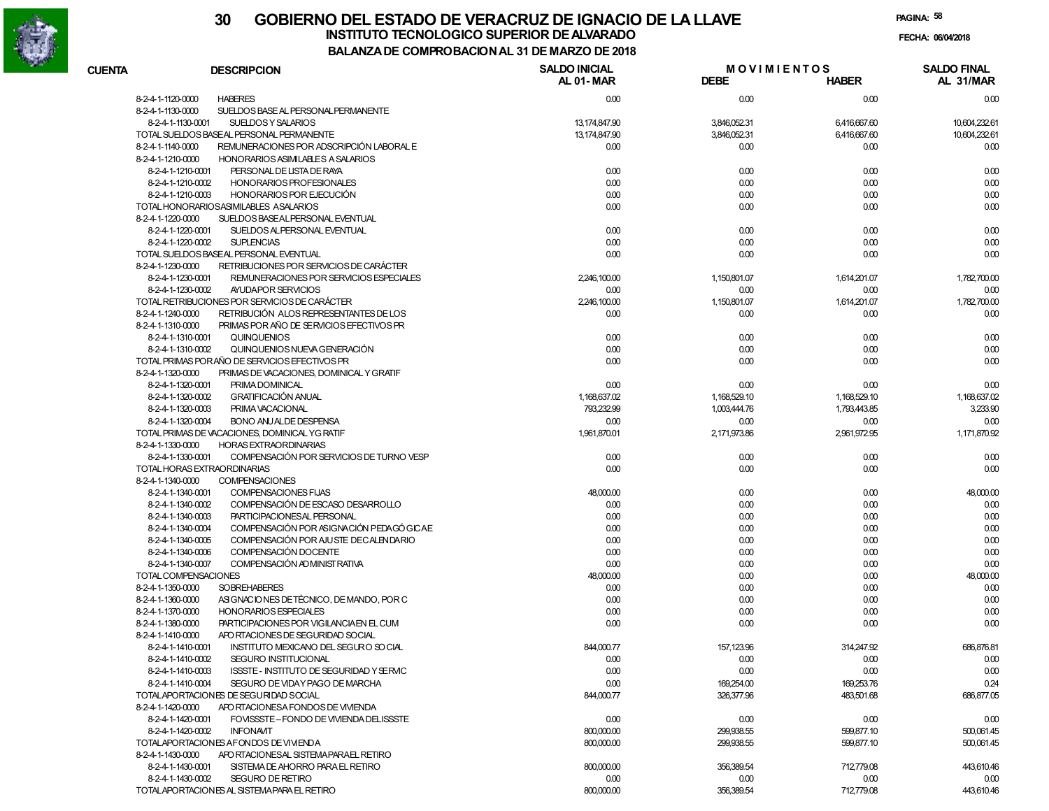

# **30 GOBIERNO DEL ESTADO DE VERACRUZ DE IGNACIO DE LA LLAVEFECHA: 06/04/2018 INSTITUTO TECNOLOGICO SUPERIOR DE ALVARADO**

**PAGINA:58**

**BALANZA DE COMPROBACION AL 31 DE MARZO DE 2018**

| <b>CUENTA</b>     | <b>DESCRIPCION</b>                                            | <b>SALDO INICIAL</b><br>AL 01-MAR | <b>MOVIMIENTOS</b><br><b>DEBE</b> | <b>HABER</b> | <b>SALDO FINAL</b><br>AL 31/MAR |
|-------------------|---------------------------------------------------------------|-----------------------------------|-----------------------------------|--------------|---------------------------------|
| 8-2-4-1-1120-0000 | <b>HABERES</b>                                                | 0.00                              | 0.00                              | 0.00         | 0.00                            |
| 8-2-4-1-1130-0000 | SUELDOS BASE AL PERSONAL PERMANENTE                           |                                   |                                   |              |                                 |
|                   | SUELDOS Y SALARIOS<br>8-2-4-1-1130-0001                       | 13,174,847.90                     | 3,846,052.31                      | 6,416,667.60 | 10,604,232.61                   |
|                   | TOTAL SUELDOS BASEAL PERSONAL PERMANENTE                      | 13,174,847.90                     | 3,846,052.31                      | 6,416,667.60 | 10,604,232.61                   |
| 8-2-4-1-1140-0000 | REMUNERACIONES POR ADSCRIPCIÓN LABORAL E                      | 0.00                              | 0.00                              | 0.00         | 0.00                            |
| 8-2-4-1-1210-0000 | HONORARIOS ASIMILABLES A SALARIOS                             |                                   |                                   |              |                                 |
|                   | PERSONAL DE LISTA DE RAYA<br>8-2-4-1-1210-0001                | 0.00                              | 0.00                              | 0.00         | 0.00                            |
|                   | 8-2-4-1-1210-0002<br>HONORARIOS PROFESIONALES                 | 0.00                              | 0.00                              | 0.00         | 0.00                            |
|                   | HONORARIOS POR EJECUCIÓN<br>8-2-4-1-1210-0003                 | 0.00                              | 0.00                              | 0.00         | 0.00                            |
|                   | TOTAL HONORARIOSASIMILABLES ASALARIOS                         | 0.00                              | 0.00                              | 0.00         | 0.00                            |
| 8-2-4-1-1220-0000 | SUELDOS BASEALPERSONAL EVENTUAL                               |                                   |                                   |              |                                 |
|                   | 8-2-4-1-1220-0001<br>SUELDOS ALPERSONAL EVENTUAL              | 0.00                              | 0.00                              | 0.00         | 0.00                            |
|                   | 8-2-4-1-1220-0002<br><b>SUPLENCIAS</b>                        | 0.00                              | 0.00                              | 0.00         | 0.00                            |
|                   | TOTAL SUELDOS BASEAL PERSONAL EVENTUAL                        | 0.00                              | 0.00                              | 0.00         | 0.00                            |
| 8-2-4-1-1230-0000 | RETRIBUCIONES POR SERVICIOS DE CARÁCTER                       |                                   |                                   |              |                                 |
|                   | REMUNERACIONES POR SERVICIOS ESPECIALES<br>8-2-4-1-1230-0001  | 2,246,100.00                      | 1,150,801.07                      | 1,614,201.07 | 1,782,700.00                    |
|                   | 8-2-4-1-1230-0002<br>AYUDAPOR SERVICIOS                       | 0.00                              | 0.00                              | 0.00         | 0.00                            |
|                   | TOTAL RETRIBUCIONES POR SERVICIOS DE CARÁCTER                 | 2,246,100.00                      | 1,150,801.07                      | 1,614,201.07 | 1,782,700.00                    |
| 8-2-4-1-1240-0000 | RETRIBUCIÓN ALOS REPRESENTANTES DE LOS                        | 0.00                              | 0.00                              | 0.00         | 0.00                            |
| 8-2-4-1-1310-0000 | PRIMAS POR AÑO DE SERVICIOS EFECTIVOS PR                      |                                   |                                   |              |                                 |
|                   | 8-2-4-1-1310-0001<br>QUINQUENIOS                              | 0.00                              | 0.00                              | 0.00         | 0.00                            |
|                   | 8-2-4-1-1310-0002<br>QUINQUENIOS NUEVA GENERACIÓN             | 0.00                              | 0.00                              | 0.00         | 0.00                            |
|                   | TOTAL PRIMAS PORAÑO DE SERVICIOS EFECTIVOS PR                 | 0.00                              | 0.00                              | 0.00         | 0.00                            |
| 8-2-4-1-1320-0000 | PRIMAS DE VACACIONES, DOMINICAL Y GRATIF                      |                                   |                                   |              |                                 |
|                   | 8-2-4-1-1320-0001<br>PRIMA DOMINICAL                          | 0.00                              | 0.00                              | 0.00         | 0.00                            |
|                   | 8-2-4-1-1320-0002<br><b>GRATIFICACIÓN ANUAL</b>               | 1,168,637.02                      | 1,168,529.10                      | 1,168,529.10 | 1,168,637.02                    |
|                   | 8-2-4-1-1320-0003<br>PRIMA VACACIONAL                         | 793.232.99                        | 1,003,444.76                      | 1,793,443.85 | 3,233.90                        |
|                   | 8-2-4-1-1320-0004<br><b>BONO ANJALDE DESPENSA</b>             | 0.00                              | 0.00                              | 0.00         | 0.00                            |
|                   | TOTAL PRIMAS DE VACACIONES. DOMINICAL YG RATIF                | 1,961,870.01                      | 2,171,973.86                      | 2.961.972.95 | 1,171,870.92                    |
| 8-2-4-1-1330-0000 | <b>HORAS EXTRAORDINARIAS</b>                                  |                                   |                                   |              |                                 |
|                   | 8-2-4-1-1330-0001<br>COMPENSACIÓN POR SERVICIOS DE TURNO VESP | 0.00                              | 0.00                              | 0.00         | 0.00                            |
|                   | TOTAL HORAS EXTRAORDINARIAS                                   | 0.00                              | 0.00                              | 0.00         | 0.00                            |
| 8-2-4-1-1340-0000 | <b>COMPENSACIONES</b>                                         |                                   |                                   |              |                                 |
|                   | 8-2-4-1-1340-0001<br><b>COMPENSACIONES FIJAS</b>              | 48,000.00                         | 0.00                              | 0.00         | 48,000.00                       |
|                   | COMPENSACIÓN DE ESCASO DESARROLLO<br>8-2-4-1-1340-0002        | 0.00                              | 0.00                              | 0.00         | 0.00                            |
|                   | PARTICIPACIONESAL PERSONAL<br>8-2-4-1-1340-0003               | 0.00                              | 0.00                              | 0.00         | 0.00                            |
|                   | COMPENSACIÓN POR ASIGNACIÓN PEDAGÓ GICAE<br>8-2-4-1-1340-0004 | 0.00                              | 0.00                              | 0.00         | 0.00                            |
|                   | COMPENSACIÓN POR AJUSTE DECALENDARIO<br>8-2-4-1-1340-0005     | 0.00                              | 0.00                              | 0.00         | 0.00                            |
|                   | COMPENSACIÓN DOCENTE<br>8-2-4-1-1340-0006                     | 0.00                              | 0.00                              | 0.00         | 0.00                            |
|                   | COMPENSACIÓN AD MINIST RATIVA<br>8-2-4-1-1340-0007            | 0.00                              | 0.00                              | 0.00         | 0.00                            |
|                   | TOTAL COMPENSACIONES                                          | 48,000.00                         | 0.00                              | 0.00         | 48,000.00                       |
| 8-2-4-1-1350-0000 | <b>SOBREHABERES</b>                                           | 0.00                              | 0.00                              | 0.00         | 0.00                            |
| 8-2-4-1-1360-0000 | ASIGNACIONES DE TÉCNICO, DE MANDO, POR C                      | 0.00                              | 0.00                              | 0.00         | 0.00                            |
| 8-2-4-1-1370-0000 | <b>HONORARIOS ESPECIALES</b>                                  | 0.00                              | 0.00                              | 0.00         | 0.00                            |
| 8-2-4-1-1380-0000 | PARTICIPACIONES POR VIGILANCIAEN EL CUM                       | 0.00                              | 0.00                              | 0.00         | 0.00                            |
| 8-2-4-1-1410-0000 | APO RTACIONES DE SEGURIDAD SOCIAL                             |                                   |                                   |              |                                 |
|                   | 8-2-4-1-1410-0001<br>INSTITUTO MEXICANO DEL SEGURO SOCIAL     | 844,000.77                        | 157,123.96                        | 314,247.92   | 686,876.81                      |
|                   | 8-2-4-1-1410-0002<br>SEGURO INSTITUCIONAL                     | 0.00                              | 0.00                              | 0.00         | 0.00                            |
|                   | 8-2-4-1-1410-0003<br>ISSSTE - INSTITUTO DE SEGURIDAD Y SERVIC | 0.00                              | 0.00                              | 0.00         | 0.00                            |
|                   | 8-2-4-1-1410-0004<br>SEGURO DE VIDAY PAGO DE MARCHA           | 0.00                              | 169,254.00                        | 169,253.76   | 0.24                            |
|                   | TOTALAPORTACIONES DE SEGURIDAD SOCIAL                         | 844,000.77                        | 326,377.96                        | 483,501.68   | 686,877.05                      |
| 8-2-4-1-1420-0000 | APO RTACIONESA FONDOS DE VIVIENDA                             |                                   |                                   |              |                                 |
|                   | 8-2-4-1-1420-0001<br>FOVISSSTE-FONDO DE VIVIENDA DELISSSTE    | 0.00                              | 0.00                              | 0.00         | 0.00                            |
|                   | 8-2-4-1-1420-0002<br><b>INFONAVIT</b>                         | 800,000.00                        | 299,938.55                        | 599,877.10   | 500,061.45                      |
|                   | TOTALAPORTACIONES AFONDOS DE VIVIENDA                         | 800,000.00                        | 299,938.55                        | 599,877.10   | 500,061.45                      |
| 8-2-4-1-1430-0000 | APO RTACIONESAL SISTEMAPARAEL RETIRO                          |                                   |                                   |              |                                 |
|                   | 8-2-4-1-1430-0001<br>SISTEMA DE AHORRO PARA EL RETIRO         | 800,000.00                        | 356,389.54                        | 712,779.08   | 443,610.46                      |
|                   | 8-2-4-1-1430-0002<br><b>SEGURO DE RETIRO</b>                  | 0.00                              | 0.00                              | 0.00         | 0.00                            |
|                   | TOTALAPORTACIONES AL SISTEMA PARA EL RETIRO                   | 800,000.00                        | 356,389.54                        | 712,779.08   | 443,610.46                      |

800,000.00 356,389.54 712,779.08 443,610.46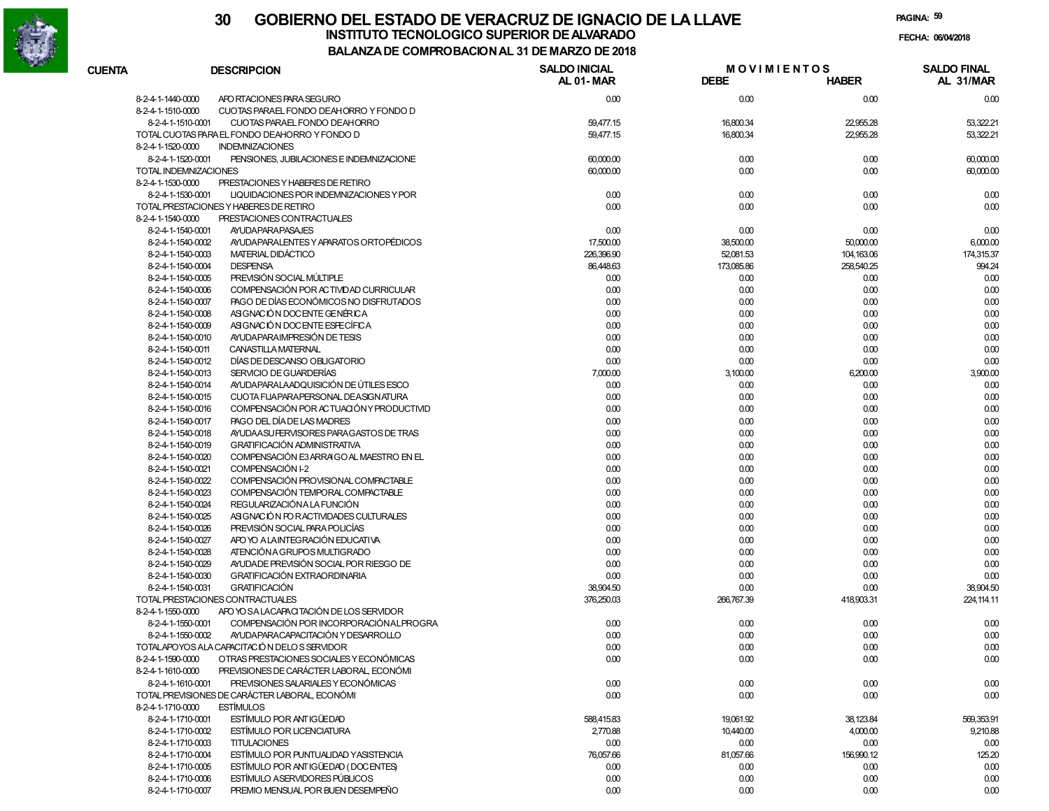

|               |                       |                                                                    | DE COMFRODACIONAL 31 DE MARZO DE 2010 |             |                                    |                                 |
|---------------|-----------------------|--------------------------------------------------------------------|---------------------------------------|-------------|------------------------------------|---------------------------------|
| <b>CUENTA</b> |                       | <b>DESCRIPCION</b>                                                 | <b>SALDO INICIAL</b><br>AL 01-MAR     | <b>DEBE</b> | <b>MOVIMIENTOS</b><br><b>HABER</b> | <b>SALDO FINAL</b><br>AL 31/MAR |
|               | 8-2-4-1-1440-0000     | APO RTACIONES PARA SEGURO                                          | 0.00                                  | 0.00        | 0.00                               | 0.00                            |
|               | 8-2-4-1-1510-0000     | CUOTAS PARAEL FONDO DEAHORRO Y FONDO D                             |                                       |             |                                    |                                 |
|               | 8-2-4-1-1510-0001     | CUOTAS PARAEL FONDO DEAHORRO                                       | 59,477.15                             | 16,800.34   | 22,955.28                          | 53,322.21                       |
|               |                       | TOTAL CUOTAS PARA EL FONDO DEAHORRO Y FONDO D                      | 59,477.15                             | 16,800.34   | 22,955.28                          | 53,322.21                       |
|               | 8-2-4-1-1520-0000     | <b>INDEMNIZACIONES</b>                                             |                                       |             |                                    |                                 |
|               | 8-2-4-1-1520-0001     | PENSIONES, JUBILACIONES E INDEMNIZACIONE                           | 60,000.00                             | 0.00        | 0.00                               | 60,000.00                       |
|               | TOTAL INDEMNIZACIONES |                                                                    | 60,000.00                             | 0.00        | 0.00                               | 60,000.00                       |
|               | 8-2-4-1-1530-0000     | PRESTACIONES Y HABERES DE RETIRO                                   |                                       |             |                                    |                                 |
|               | 8-2-4-1-1530-0001     | LIQUIDACIONES POR INDEMNIZACIONES Y POR                            | 0.00                                  | 0.00        | 0.00                               | 0.00                            |
|               |                       | TOTAL PRESTACIONES Y HABERES DE RETIRO                             | 0.00                                  | 0.00        | 0.00                               | 0.00                            |
|               | 8-2-4-1-1540-0000     | PRESTACIONES CONTRACTUALES                                         |                                       |             |                                    |                                 |
|               | 8-2-4-1-1540-0001     | <b>AYUDAPARAPASAJES</b>                                            | 0.00                                  | 0.00        | 0.00                               | 0.00                            |
|               | 8-2-4-1-1540-0002     | AYUDAPARALENTES Y APARATOS ORTOPÉDICOS                             | 17,500.00                             | 38,500.00   | 50,000.00                          | 6,000.00                        |
|               | 8-2-4-1-1540-0003     | MATERIAL DIDÁCTICO                                                 | 226,396.90                            | 52,081.53   | 104,163.06                         | 174,315.37                      |
|               | 8-2-4-1-1540-0004     | <b>DESPENSA</b>                                                    | 86,448.63                             | 173,085.86  | 258,540.25                         | 994.24                          |
|               | 8-2-4-1-1540-0005     | PREVISIÓN SOCIAL MÚLTIPLE                                          | 0.00                                  | 0.00        | 0.00                               | 0.00                            |
|               | 8-2-4-1-1540-0006     | COMPENSACIÓN POR ACTIVIDAD CURRICULAR                              | 0.00                                  | 0.00        | 0.00                               | 0.00                            |
|               | 8-2-4-1-1540-0007     | PAGO DE DÍAS ECONÓMICOS NO DISFRUTADOS                             | 0.00                                  | 0.00        | 0.00                               | 0.00                            |
|               | 8-2-4-1-1540-0008     | ASIGNACIÓN DOCENTE GENÉRICA                                        | 0.00                                  | 0.00        | 0.00                               | 0.00                            |
|               | 8-2-4-1-1540-0009     | ASIGNACIÓN DOCENTE ESPECÍFICA                                      | 0.00                                  | 0.00        | 0.00                               | 0.00                            |
|               | 8-2-4-1-1540-0010     | AYUDA PARA IMPRESIÓN DE TESIS                                      | 0.00                                  | 0.00        | 0.00                               | 0.00                            |
|               | 8-2-4-1-1540-0011     | CANASTILLA MATERNAL                                                | 0.00                                  | 0.00        | 0.00                               | 0.00                            |
|               | 8-2-4-1-1540-0012     | DÍAS DE DESCANSO OBLIGATORIO                                       | 0.00                                  | 0.00        | 0.00                               | 0.00                            |
|               | 8-2-4-1-1540-0013     | SERVICIO DE GUARDERÍAS                                             | 7,000.00                              | 3,100.00    | 6,200.00                           | 3,900.00                        |
|               | 8-2-4-1-1540-0014     | ANJDA PARA LA ADQUISICIÓN DE ÚTILES ESCO                           | 0.00                                  | 0.00        | 0.00                               | 0.00                            |
|               | 8-2-4-1-1540-0015     | CUOTA FIJAPARAPERSONAL DEASIGNATURA                                | 0.00                                  | 0.00        | 0.00                               | 0.00                            |
|               | 8-2-4-1-1540-0016     | COMPENSACIÓN POR ACTUACIÓN Y PRODUCTIVID                           | 0.00                                  | 0.00        | 0.00                               | 0.00                            |
|               | 8-2-4-1-1540-0017     | PAGO DEL DÍA DE LAS MADRES                                         | 0.00                                  | 0.00        | 0.00                               | 0.00                            |
|               | 8-2-4-1-1540-0018     | AYUDA ASU FERVISORES PARA GASTOS DE TRAS                           | 0.00                                  | 0.00        | 0.00                               | 0.00                            |
|               | 8-2-4-1-1540-0019     | <b>GRATIFICACIÓN ADMINISTRATIVA</b>                                | 0.00                                  | 0.00        | 0.00                               | 0.00                            |
|               | 8-2-4-1-1540-0020     | COMPENSACIÓN E3 ARRAIGO AL MAESTRO EN EL                           | 0.00                                  | 0.00        | 0.00                               | 0.00                            |
|               | 8-2-4-1-1540-0021     | COMPENSACIÓN I-2                                                   | 0.00                                  | 0.00        | 0.00                               | 0.00                            |
|               | 8-2-4-1-1540-0022     | COMPENSACIÓN PROVISIONAL COMPACTABLE                               | 0.00                                  | 0.00        | 0.00                               | 0.00                            |
|               | 8-2-4-1-1540-0023     | COMPENSACIÓN TEMPORAL COMPACTABLE                                  | 0.00                                  | 0.00        | 0.00                               | 0.00                            |
|               | 8-2-4-1-1540-0024     | REGULARIZACIÓNA LA FUNCIÓN                                         | 0.00                                  | 0.00        | 0.00                               | 0.00                            |
|               | 8-2-4-1-1540-0025     | ASIGNACIÓN FOR ACTIVIDADES CULTURALES                              | 0.00                                  | 0.00        | 0.00                               | 0.00                            |
|               | 8-2-4-1-1540-0026     | PREVISIÓN SOCIAL PARA POLICÍAS                                     | 0.00                                  | 0.00        | 0.00                               | 0.00                            |
|               | 8-2-4-1-1540-0027     | APO YO A LAINTEGRACIÓN EDUCATIVA                                   | 0.00                                  | 0.00        | 0.00                               | 0.00                            |
|               | 8-2-4-1-1540-0028     | ATENCIÓN A GRUPOS MULTIGRADO                                       | 0.00                                  | 0.00        | 0.00                               | 0.00                            |
|               | 8-2-4-1-1540-0029     | AYUDADE PREVISIÓN SOCIAL POR RIESGO DE                             | 0.00                                  | 0.00        | 0.00                               | 0.00                            |
|               | 8-2-4-1-1540-0030     | <b>GRATIFICACIÓN EXTRAORDINARIA</b>                                | 0.00                                  | 0.00        | 0.00                               | 0.00                            |
|               | 8-2-4-1-1540-0031     | <b>GRATIFICACIÓN</b>                                               | 38,904.50                             | 0.00        | 0.00                               | 38,904.50                       |
|               |                       | TOTAL PRESTACIONES CONTRACTUALES                                   | 376,250.03                            | 266,767.39  | 418,903.31                         | 224, 114.11                     |
|               | 8-2-4-1-1550-0000     | APO YO SA LACAPACITACIÓN DE LOS SERVIDOR                           |                                       |             |                                    |                                 |
|               | 8-2-4-1-1550-0001     | COMPENSACIÓN POR INCORPORACIÓN ALPROGRA                            | 0.00                                  | 0.00        | 0.00                               | 0.00                            |
|               | 8-2-4-1-1550-0002     | AYUDA PARA CAPACITACIÓN Y DESARROLLO                               | 0.00                                  | 0.00        | 0.00                               | 0.00                            |
|               |                       | TOTALAPOYOS ALA CAPACITACIÓN DELOS SERVIDOR                        | 0.00                                  | 0.00        | $0.00\,$                           | 0.00                            |
|               | 8-2-4-1-1590-0000     | OTRAS PRESTACIONES SOCIALES Y ECONÓMICAS                           | 0.00                                  | 0.00        | 0.00                               | 0.00                            |
|               | 8-2-4-1-1610-0000     | PREVISIONES DE CARÁCTER LABORAL, ECONÓMI                           |                                       |             |                                    |                                 |
|               | 8-2-4-1-1610-0001     | PREVISIONES SALARIALES Y ECONÓMICAS                                | 0.00                                  | 0.00        | 0.00                               | 0.00                            |
|               | 8-2-4-1-1710-0000     | TOTAL PREVISIONES DE CARÁCTER LABORAL, ECONÓMI<br><b>ESTÍMULOS</b> | 0.00                                  | 0.00        | 0.00                               | 0.00                            |
|               | 8-2-4-1-1710-0001     | ESTÍMULO POR ANTIGÜEDAD                                            | 588,415.83                            | 19,061.92   | 38,123.84                          | 569,353.91                      |
|               | 8-2-4-1-1710-0002     | ESTÍMULO POR LICENCIATURA                                          | 2,770.88                              | 10,440.00   | 4,000.00                           | 9,210.88                        |
|               | 8-2-4-1-1710-0003     | <b>TITULACIONES</b>                                                | 0.00                                  | 0.00        | 0.00                               | 0.00                            |
|               | 8-2-4-1-1710-0004     | ESTÍMULO POR PUNTUALIDAD Y ASISTENCIA                              | 76,057.66                             | 81,057.66   | 156,990.12                         | 125.20                          |
|               | 8-2-4-1-1710-0005     | ESTÍMULO POR ANTIGÜEDAD (DOCENTES)                                 | 0.00                                  | 0.00        | 0.00                               | 0.00                            |
|               | 8-2-4-1-1710-0006     | <b>ESTÍMULO ASERVIDORES PÚBLICOS</b>                               | 0.00                                  | 0.00        | 0.00                               | 0.00                            |
|               | 8-2-4-1-1710-0007     | PREMIO MENSUAL POR BUEN DESEMPEÑO                                  | 0.00                                  | 0.00        | 0.00                               | 0.00                            |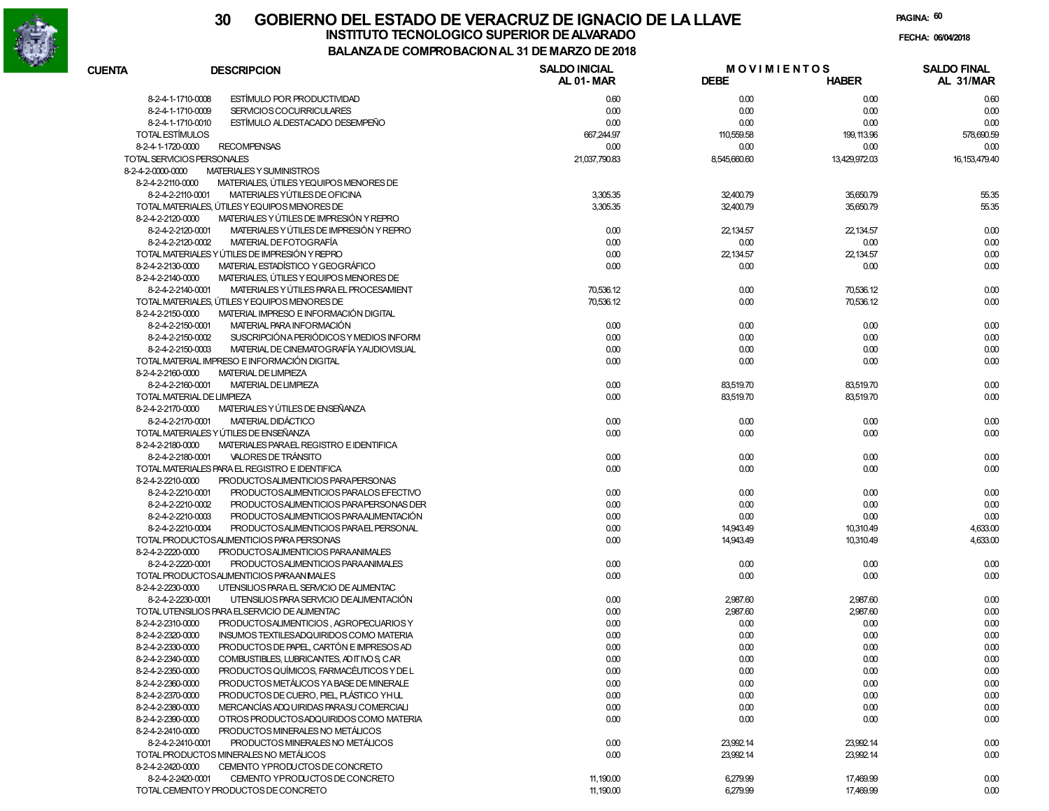

# **30 GOBIERNO DEL ESTADO DE VERACRUZ DE IGNACIO DE LA LLAVEINSTITUTO TECNOLOGICO SUPERIOR DE ALVARADO de la composición de la composición de la composición de la composición**<br>Dal aniza de composición da la de marzo de como

**PAGINA:60**

**FECHA:**

# **BALANZA DE COMPROBACION AL 31 DE MARZO DE 2018**

| <b>CUENTA</b>                          | <b>DESCRIPCION</b>                                                                      | <b>SALDO INICIAL</b><br>AL 01-MAR | <b>DEBE</b>       | <b>MOVIMIENTOS</b><br><b>HABER</b> | <b>SALDO FINAL</b><br>AL 31/MAR |
|----------------------------------------|-----------------------------------------------------------------------------------------|-----------------------------------|-------------------|------------------------------------|---------------------------------|
| 8-2-4-1-1710-0008                      | ESTÍMULO POR PRODUCTIVIDAD                                                              | 0.60                              | 0.00              | 0.00                               | 0.60                            |
| 8-2-4-1-1710-0009                      | SERVICIOS COCURRICULARES                                                                | 0.00                              | 0.00              | 0.00                               | 0.00                            |
| 8-2-4-1-1710-0010                      | ESTÍMULO ALDESTACADO DESEMPEÑO                                                          | 0.00                              | 0.00              | 0.00                               | 0.00                            |
| TOTAL ESTÍMULOS                        |                                                                                         | 667,244.97                        | 110,559.58        | 199, 113.96                        | 578,690.59                      |
| 8-2-4-1-1720-0000                      | <b>RECOMPENSAS</b>                                                                      | 0.00                              | 0.00              | 0.00                               | 0.00                            |
| TOTAL SERVICIOS PERSONALES             |                                                                                         | 21,037,790.83                     | 8,545,660.60      | 13,429,972.03                      | 16, 153, 479. 40                |
| 8-2-4-2-0000-0000                      | MATERIALES Y SUMINISTROS                                                                |                                   |                   |                                    |                                 |
| 8-2-4-2-2110-0000                      | MATERIALES, ÚTILES YEQUIPOS MENORES DE                                                  |                                   |                   |                                    |                                 |
| 8-2-4-2-2110-0001                      | MATERIALES YÚTILES DE OFICINA                                                           | 3,305.35                          | 32,400.79         | 35,650.79                          | 55.35                           |
|                                        | TOTAL MATERIALES, ÚTILES Y EQUIPOS MENORES DE                                           | 3,305.35                          | 32,400.79         | 35,650.79                          | 55.35                           |
| 8-2-4-2-2120-0000                      | MATERIALES Y ÚTILES DE IMPRESIÓN Y REPRO                                                |                                   |                   |                                    |                                 |
| 8-2-4-2-2120-0001                      | MATERIALES Y ÚTILES DE IMPRESIÓN Y REPRO                                                |                                   |                   |                                    | 0.00                            |
| 8-2-4-2-2120-0002                      | MATERIAL DE FOTOGRAFÍA                                                                  | 0.00<br>0.00                      | 22,134.57<br>0.00 | 22,134.57<br>0.00                  | 0.00                            |
|                                        | TOTAL MATERIALES Y ÚTILES DE IMPRESIÓN Y REPRO                                          |                                   |                   | 22,134.57                          | 0.00                            |
| 8-2-4-2-2130-0000                      | MATERIAL ESTADÍSTICO Y GEOGRÁFICO                                                       | 0.00<br>0.00                      | 22,134.57         | 0.00                               | 0.00                            |
|                                        |                                                                                         |                                   | 0.00              |                                    |                                 |
| 8-2-4-2-2140-0000<br>8-2-4-2-2140-0001 | MATERIALES, ÚTILES Y EQUIPOS MENORES DE<br>MATERIALES Y ÚTILES PARA EL PROCESAMIENT     |                                   |                   |                                    |                                 |
|                                        |                                                                                         | 70,536.12                         | 0.00              | 70,536.12                          | 0.00<br>0.00                    |
|                                        | TOTAL MATERIALES, ÚTILES Y EQUIPOS MENORES DE<br>MATERIAL IMPRESO E INFORMACIÓN DIGITAL | 70,536.12                         | 0.00              | 70,536.12                          |                                 |
| 8-2-4-2-2150-0000                      |                                                                                         |                                   |                   |                                    |                                 |
| 8-2-4-2-2150-0001                      | MATERIAL PARA INFORMACIÓN                                                               | 0.00                              | 0.00              | 0.00                               | 0.00                            |
| 8-2-4-2-2150-0002                      | SUSCRIPCIÓN A PERIÓDICOS Y MEDIOS INFORM                                                | 0.00                              | 0.00              | 0.00                               | 0.00                            |
| 8-2-4-2-2150-0003                      | MATERIAL DE CINEMATOGRAFÍA YAUDIOVISUAL                                                 | 0.00                              | 0.00              | 0.00                               | 0.00                            |
|                                        | TOTAL MATERIAL IMPRESO E INFORMACIÓN DIGITAL                                            | 0.00                              | 0.00              | 0.00                               | 0.00                            |
| 8-2-4-2-2160-0000                      | <b>MATERIAL DE LIMPIEZA</b>                                                             |                                   |                   |                                    |                                 |
| 8-2-4-2-2160-0001                      | <b>MATERIAL DE LIMPIEZA</b>                                                             | 0.00                              | 83,519.70         | 83,519.70                          | 0.00                            |
| TOTAL MATERIAL DE LIMPIEZA             |                                                                                         | 0.00                              | 83,519.70         | 83,519.70                          | 0.00                            |
| 8-2-4-2-2170-0000                      | MATERIALES Y ÚTILES DE ENSEÑANZA                                                        |                                   |                   |                                    |                                 |
| 8-2-4-2-2170-0001                      | MATERIAL DIDÁCTICO                                                                      | 0.00                              | 0.00              | 0.00                               | 0.00                            |
|                                        | TOTAL MATERIALES Y ÚTILES DE ENSEÑANZA                                                  | 0.00                              | 0.00              | 0.00                               | 0.00                            |
| 8-2-4-2-2180-0000                      | MATERIALES PARAEL REGISTRO E IDENTIFICA                                                 |                                   |                   |                                    |                                 |
| 8-2-4-2-2180-0001                      | VALORES DE TRÁNSITO                                                                     | 0.00                              | 0.00              | 0.00                               | 0.00                            |
|                                        | TOTAL MATERIALES PARA EL REGISTRO E IDENTIFICA                                          | 0.00                              | 0.00              | 0.00                               | 0.00                            |
| 8-2-4-2-2210-0000                      | PRODUCTOSALIMENTICIOS PARAPERSONAS                                                      |                                   |                   |                                    |                                 |
| 8-2-4-2-2210-0001                      | PRODUCTOSALIMENTICIOS PARALOS EFECTIVO                                                  | 0.00                              | 0.00              | 0.00                               | 0.00                            |
| 8-2-4-2-2210-0002                      | PRODUCTOSALIMENTICIOS PARA PERSONAS DER                                                 | 0.00                              | 0.00              | 0.00                               | 0.00                            |
| 8-2-4-2-2210-0003                      | PRODUCTOSALIMENTICIOS PARAALIMENTACIÓN                                                  | 0.00                              | 0.00              | 0.00                               | 0.00                            |
| 8-2-4-2-2210-0004                      | PRODUCTOSALIMENTICIOS PARAEL PERSONAL                                                   | 0.00                              | 14,943.49         | 10,310.49                          | 4,633.00                        |
|                                        | TOTAL PRODUCTOSALIMENTICIOS PARA PERSONAS                                               | 0.00                              | 14,943.49         | 10,310.49                          | 4,633.00                        |
| 8-2-4-2-2220-0000                      | PRODUCTOSALIMENTICIOS PARAANIMALES                                                      |                                   |                   |                                    |                                 |
| 8-2-4-2-2220-0001                      | PRODUCTOSALIMENTICIOS PARAANIMALES                                                      | 0.00                              | 0.00              | 0.00                               | 0.00                            |
|                                        | TOTAL PRODUCTOSALIMENTICIOS PARAAN IMALES                                               | 0.00                              | 0.00              | 0.00                               | 0.00                            |
| 8-2-4-2-2230-0000                      | UTENSILIOS PARA EL SERVICIO DE ALIMENTAC                                                |                                   |                   |                                    |                                 |
| 8-2-4-2-2230-0001                      | UTENSILIOS PARA SERVICIO DE ALIMENTACIÓN                                                | 0.00                              | 2,987.60          | 2,987.60                           | 0.00                            |
|                                        | TOTAL UTENSILIOS PARA EL SERVICIO DE ALIMENTAC                                          | 0.00                              | 2,987.60          | 2,987.60                           | 0.00                            |
| 8-2-4-2-2310-0000                      | PRODUCTOSALIMENTICIOS, AGROPECUARIOS Y                                                  | 0.00                              | 0.00              | 0.00                               | 0.00                            |
| 8-2-4-2-2320-0000                      | INSUMOS TEXTILESADQUIRIDOS COMO MATERIA                                                 | 0.00                              | 0.00              | 0.00                               | 0.00                            |
| 8-2-4-2-2330-0000                      | PRODUCTOS DE PAPEL, CARTÓN E IMPRESOS AD                                                | 0.00                              | 0.00              | 0.00                               | 0.00                            |
| 8-2-4-2-2340-0000                      | COMBUSTIBLES, LUBRICANTES, AD IT IVO S, CAR                                             | 0.00                              | 0.00              | 0.00                               | 0.00                            |
| 8-2-4-2-2350-0000                      | PRODUCTOS QUÍMICOS, FARMACÉUTICOS Y DE L                                                | 0.00                              | 0.00              | 0.00                               | 0.00                            |
| 8-2-4-2-2360-0000                      | PRODUCTOS METÁLICOS YA BASE DE MINERALE                                                 | 0.00                              | 0.00              | 0.00                               | 0.00                            |
| 8-2-4-2-2370-0000                      | PRODUCTOS DE CUERO, PIEL, PLÁSTICO YHUL                                                 | 0.00                              | 0.00              | 0.00                               | 0.00                            |
| 8-2-4-2-2380-0000                      | MERCANCÍAS ADQ UIRIDAS PARASU COMERCIALI                                                | 0.00                              | 0.00              | 0.00                               | 0.00                            |
| 8-2-4-2-2390-0000                      | OTROS PRODUCTOSADQUIRIDOS COMO MATERIA                                                  | 0.00                              | 0.00              | 0.00                               | 0.00                            |
| 8-2-4-2-2410-0000                      | PRODUCTOS MINERALES NO METÁLICOS                                                        |                                   |                   |                                    |                                 |
| 8-2-4-2-2410-0001                      | PRODUCTOS MINERALES NO METÁLICOS                                                        | 0.00                              | 23,992.14         | 23,992.14                          | 0.00                            |
|                                        | TOTAL PRODUCTOS MINERALES NO METÁLICOS                                                  | 0.00                              | 23,992.14         | 23,992.14                          | 0.00                            |
| 8-2-4-2-2420-0000                      | CEMENTO YPRODUCTOS DE CONCRETO                                                          |                                   |                   |                                    |                                 |
| 8-2-4-2-2420-0001                      | CEMENTO YPRODUCTOS DE CONCRETO                                                          | 11,190.00                         | 6,279.99          | 17,469.99                          | 0.00                            |
|                                        | TOTAL CEMENTO Y PRODUCTOS DE CONCRETO                                                   | 11,190.00                         | 6,279.99          | 17,469.99                          | 0.00                            |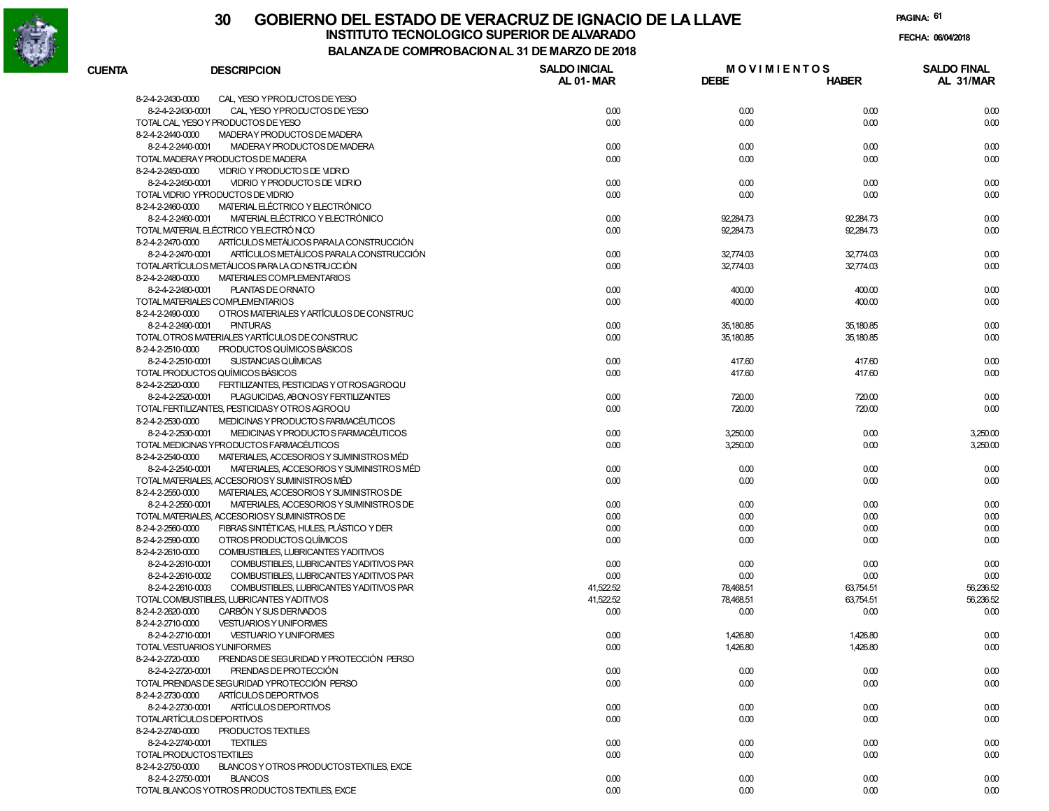

| <b>CUENTA</b>     | <b>DESCRIPCION</b>                             | <b>SALDO INICIAL</b><br>AL 01-MAR | <b>MOVIMIENTOS</b><br><b>DEBE</b> | <b>HABER</b> | <b>SALDO FINAL</b><br>AL 31/MAR |
|-------------------|------------------------------------------------|-----------------------------------|-----------------------------------|--------------|---------------------------------|
| 8-2-4-2-2430-0000 | CAL, YESO YPRODUCTOS DE YESO                   |                                   |                                   |              |                                 |
| 8-2-4-2-2430-0001 | CAL, YESO YPRODUCTOS DE YESO                   | 0.00                              | 0.00                              | 0.00         | 0.00                            |
|                   | TOTAL CAL, YESO Y PRODUCTOS DE YESO            | 0.00                              | 0.00                              | 0.00         | 0.00                            |
| 8-2-4-2-2440-0000 | MADERAY PRODUCTOS DE MADERA                    |                                   |                                   |              |                                 |
| 8-2-4-2-2440-0001 | MADERAY PRODUCTOS DE MADERA                    | 0.00                              | 0.00                              | 0.00         | 0.00                            |
|                   | TOTAL MADERAY PRODUCTOS DE MADERA              | 0.00                              | 0.00                              | 0.00         | 0.00                            |
| 8-2-4-2-2450-0000 | VIDRIO Y PRODUCTO S DE VIDRIO                  |                                   |                                   |              |                                 |
| 8-2-4-2-2450-0001 | VIDRIO Y PRODUCTO S DE VIDRIO                  | 0.00                              | 0.00                              | 0.00         | 0.00                            |
|                   | TOTAL VIDRIO YPRODUCTOS DE VIDRIO              | 0.00                              | 0.00                              | 0.00         | 0.00                            |
| 8-2-4-2-2460-0000 | MATERIAL ELÉCTRICO Y ELECTRÓNICO               |                                   |                                   |              |                                 |
| 8-2-4-2-2460-0001 | MATERIAL ELÉCTRICO Y ELECTRÓNICO               | 0.00                              | 92,284.73                         | 92,284.73    | 0.00                            |
|                   | TOTAL MATERIAL ELÉCTRICO YELECTRÓNICO          | 0.00                              | 92,284.73                         | 92,284.73    | 0.00                            |
| 8-2-4-2-2470-0000 | ARTÍCULOS METÁLICOS PARALA CONSTRUCCIÓN        |                                   |                                   |              |                                 |
| 8-2-4-2-2470-0001 | ARTÍCULOS METÁLICOS PARALA CONSTRUCCIÓN        | 0.00                              | 32,774.03                         | 32,774.03    | 0.00                            |
|                   | TOTALARTÍCULOS METÁLICOS PARA LA CONSTRUCCIÓN  | 0.00                              | 32,774.03                         | 32,774.03    | 0.00                            |
| 8-2-4-2-2480-0000 | MATERIALES COMPLEMENTARIOS                     |                                   |                                   |              |                                 |
| 8-2-4-2-2480-0001 | PLANTAS DE ORNATO                              | 0.00                              | 400.00                            | 400.00       |                                 |
|                   | TOTAL MATERIALES COMPLEMENTARIOS               | 0.00                              | 400.00                            | 400.00       | 0.00<br>0.00                    |
| 8-2-4-2-2490-0000 | OTROS MATERIALES Y ARTÍCULOS DE CONSTRUC       |                                   |                                   |              |                                 |
|                   |                                                |                                   |                                   |              |                                 |
| 8-2-4-2-2490-0001 | <b>PINTURAS</b>                                | 0.00                              | 35,180.85                         | 35,180.85    | 0.00                            |
|                   | TOTAL OTROS MATERIALES YARTÍCULOS DE CONSTRUC  | 0.00                              | 35,180.85                         | 35,180.85    | 0.00                            |
| 8-2-4-2-2510-0000 | PRODUCTOS QUÍMICOS BÁSICOS                     |                                   |                                   |              |                                 |
| 8-2-4-2-2510-0001 | SUSTANCIAS QUÍMICAS                            | 0.00                              | 417.60                            | 417.60       | 0.00                            |
|                   | TOTAL PRODUCTOS QUÍMICOS BÁSICOS               | 0.00                              | 417.60                            | 417.60       | 0.00                            |
| 8-2-4-2-2520-0000 | FERTILIZANTES, PESTICIDAS Y OT ROSAGROQU       |                                   |                                   |              |                                 |
| 8-2-4-2-2520-0001 | PLAGUICIDAS, ABONOSY FERTILIZANTES             | 0.00                              | 720.00                            | 720.00       | 0.00                            |
|                   | TOTAL FERTILIZANTES, PESTICIDAS Y OTROS AGROQU | 0.00                              | 720.00                            | 720.00       | 0.00                            |
| 8-2-4-2-2530-0000 | MEDICINAS Y PRODUCTO S FARMACÉUTICOS           |                                   |                                   |              |                                 |
| 8-2-4-2-2530-0001 | MEDICINAS Y PRODUCTO S FARMACÉUTICOS           | 0.00                              | 3,250.00                          | 0.00         | 3,250.00                        |
|                   | TOTAL MEDICINAS YPRODUCTOS FARMACÉUTICOS       | 0.00                              | 3,250.00                          | 0.00         | 3,250.00                        |
| 8-2-4-2-2540-0000 | MATERIALES, ACCESORIOS Y SUMINISTROS MÉD       |                                   |                                   |              |                                 |
| 8-2-4-2-2540-0001 | MATERIALES, ACCESORIOS Y SUMINISTROS MÉD       | 0.00                              | 0.00                              | 0.00         | 0.00                            |
|                   | TOTAL MATERIALES, ACCESORIOSY SUMINISTROS MÉD  | 0.00                              | 0.00                              | 0.00         | 0.00                            |
| 8-2-4-2-2550-0000 | MATERIALES, ACCESORIOS Y SUMINISTROS DE        |                                   |                                   |              |                                 |
| 8-2-4-2-2550-0001 | MATERIALES, ACCESORIOS Y SUMINISTROS DE        | 0.00                              | 0.00                              | 0.00         | 0.00                            |
|                   | TOTAL MATERIALES, ACCESORIOSY SUMINISTROS DE   | 0.00                              | 0.00                              | 0.00         | 0.00                            |
| 8-2-4-2-2560-0000 | FIBRAS SINTÉTICAS, HULES, PLÁSTICO Y DER       | 0.00                              | 0.00                              | 0.00         | 0.00                            |
| 8-2-4-2-2590-0000 | OTROS PRODUCTOS QUÍMICOS                       | 0.00                              | 0.00                              | 0.00         | 0.00                            |
| 8-2-4-2-2610-0000 | COMBUSTIBLES, LUBRICANTES YADITIVOS            |                                   |                                   |              |                                 |
| 8-2-4-2-2610-0001 | COMBUSTIBLES, LUBRICANTES YADITIVOS PAR        | 0.00                              | 0.00                              | 0.00         | 0.00                            |
| 8-2-4-2-2610-0002 | COMBUSTIBLES, LUBRICANTES YADITIVOS PAR        | 0.00                              | 0.00                              | 0.00         | 0.00                            |
| 8-2-4-2-2610-0003 | COMBUSTIBLES, LUBRICANTES YADITIVOS PAR        | 41,522.52                         | 78,468.51                         | 63,754.51    | 56,236.52                       |
|                   | TOTAL COMBUSTIBLES, LUBRICANTES YADITIVOS      | 41,522.52                         | 78,468.51                         | 63,754.51    | 56,236.52                       |
| 8-2-4-2-2620-0000 | CARBÓN Y SUS DERIVADOS                         | 0.00                              | 0.00                              | 0.00         | 0.00                            |
| 8-2-4-2-2710-0000 | <b>VESTUARIOS Y UNIFORMES</b>                  |                                   |                                   |              |                                 |
| 8-2-4-2-2710-0001 | <b>VESTUARIO Y UNIFORMES</b>                   | 0.00                              | 1,426.80                          | 1,426.80     | 0.00                            |
|                   |                                                |                                   |                                   |              |                                 |
|                   | TOTAL VESTUARIOS YUNIFORMES                    | 0.00                              | 1,426.80                          | 1,426.80     | 0.00                            |
| 8-2-4-2-2720-0000 | PRENDAS DE SEGURIDAD Y PROTECCIÓN PERSO        |                                   |                                   |              |                                 |
| 8-2-4-2-2720-0001 | PRENDAS DE PROTECCIÓN                          | 0.00                              | 0.00                              | 0.00         | 0.00                            |
|                   | TOTAL PRENDAS DE SEGURIDAD YPROTECCIÓN PERSO   | 0.00                              | 0.00                              | 0.00         | 0.00                            |
| 8-2-4-2-2730-0000 | ARTÍCULOS DEPORTIVOS                           |                                   |                                   |              |                                 |
| 8-2-4-2-2730-0001 | ARTÍCULOS DEPORTIVOS                           | 0.00                              | 0.00                              | 0.00         | 0.00                            |
|                   | TOTALARTÍCULOS DEPORTIVOS                      | 0.00                              | 0.00                              | 0.00         | 0.00                            |
| 8-2-4-2-2740-0000 | PRODUCTOS TEXTILES                             |                                   |                                   |              |                                 |
| 8-2-4-2-2740-0001 | <b>TEXTILES</b>                                | 0.00                              | 0.00                              | 0.00         | 0.00                            |
|                   | TOTAL PRODUCTOSTEXTILES                        | 0.00                              | 0.00                              | 0.00         | 0.00                            |
| 8-2-4-2-2750-0000 | BLANCOS Y OTROS PRODUCTOSTEXTILES, EXCE        |                                   |                                   |              |                                 |
| 8-2-4-2-2750-0001 | <b>BLANCOS</b>                                 | 0.00                              | 0.00                              | 0.00         | 0.00                            |
|                   | TOTAL BLANCOS YOTROS PRODUCTOS TEXTILES, EXCE  | 0.00                              | 0.00                              | 0.00         | 0.00                            |
|                   |                                                |                                   |                                   |              |                                 |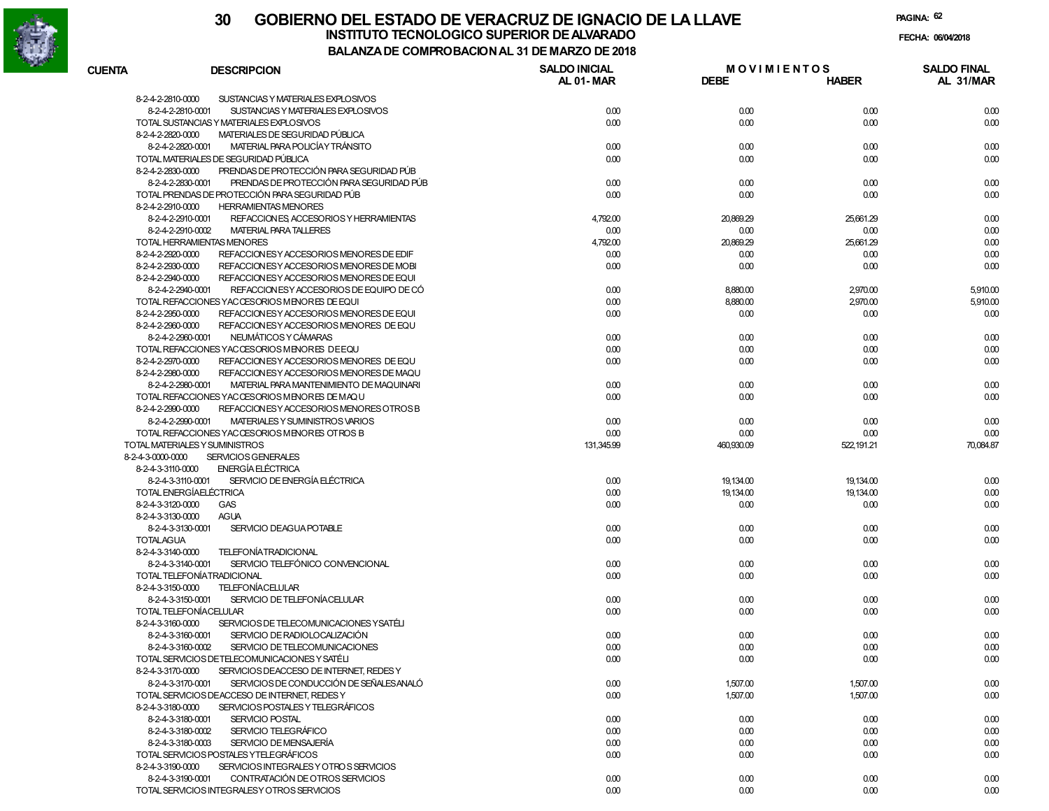

| <b>CUENTA</b>     | <b>DESCRIPCION</b>                             | <b>SALDO INICIAL</b><br><b>AL 01-MAR</b> | <b>MOVIMIENTOS</b><br><b>DEBE</b> | <b>HABER</b> | <b>SALDO FINAL</b><br>AL 31/MAR |
|-------------------|------------------------------------------------|------------------------------------------|-----------------------------------|--------------|---------------------------------|
| 8-2-4-2-2810-0000 | SUSTANCIAS Y MATERIALES EXPLOSIVOS             |                                          |                                   |              |                                 |
| 8-2-4-2-2810-0001 | SUSTANCIAS Y MATERIALES EXPLOSIVOS             | 0.00                                     | 0.00                              | 0.00         | 0.00                            |
|                   | TOTAL SUSTANCIAS Y MATERIALES EXPLOSIVOS       | 0.00                                     | 0.00                              | 0.00         | 0.00                            |
| 8-2-4-2-2820-0000 | MATERIALES DE SEGURIDAD PÚBLICA                |                                          |                                   |              |                                 |
| 8-2-4-2-2820-0001 | MATERIAL PARA POLICÍA Y TRÁNSITO               | 0.00                                     | 0.00                              | 0.00         | 0.00                            |
|                   | TOTAL MATERIALES DE SEGURIDAD PÚBLICA          | 0.00                                     | 0.00                              | 0.00         | 0.00                            |
| 8-2-4-2-2830-0000 | PRENDAS DE PROTECCIÓN PARA SEGURIDAD PÚB       |                                          |                                   |              |                                 |
| 8-2-4-2-2830-0001 | PRENDAS DE PROTECCIÓN PARA SEGURIDAD PÚB       | 0.00                                     | 0.00                              | 0.00         | 0.00                            |
|                   | TOTAL PRENDAS DE PROTECCIÓN PARA SEGURIDAD PÚB | 0.00                                     | 0.00                              | 0.00         | 0.00                            |
| 8-2-4-2-2910-0000 | <b>HERRAMIENTAS MENORES</b>                    |                                          |                                   |              |                                 |
| 8-2-4-2-2910-0001 | REFACCION ES, ACCESORIOS Y HERRAMIENTAS        | 4,792.00                                 | 20,869.29                         | 25,661.29    | 0.00                            |
| 8-2-4-2-2910-0002 | <b>MATERIAL PARA TALLERES</b>                  | 0.00                                     | 0.00                              | 0.00         | 0.00                            |
|                   | TOTAL HERRAMIENTAS MENORES                     | 4,792.00                                 | 20,869.29                         | 25,661.29    | 0.00                            |
| 8-2-4-2-2920-0000 | REFACCION ES Y ACCESORIOS MENORES DE EDIF      | 0.00                                     | 0.00                              | 0.00         | 0.00                            |
| 8-2-4-2-2930-0000 | REFACCION ES Y ACCESORIOS MENORES DE MOBI      | 0.00                                     | 0.00                              | 0.00         | 0.00                            |
| 8-2-4-2-2940-0000 | REFACCION ES Y ACCESORIOS MENORES DE EQUI      |                                          |                                   |              |                                 |
| 8-2-4-2-2940-0001 | REFACCIONESY ACCESORIOS DE EQUIPO DE CÓ        | 0.00                                     | 8,880.00                          | 2,970.00     | 5,910.00                        |
|                   | TOTAL REFACCIONES YACCESORIOS MENORES DE EQUI  | 0.00                                     | 8,880.00                          | 2,970.00     | 5,910.00                        |
| 8-2-4-2-2950-0000 | REFACCION ES Y ACCESORIOS MENORES DE EQUI      | 0.00                                     | 0.00                              | 0.00         | 0.00                            |
| 8-2-4-2-2960-0000 | REFACCION ES Y ACCESORIOS MENORES DE EQU       |                                          |                                   |              |                                 |
| 8-2-4-2-2960-0001 | NEUMÁTICOS Y CÁMARAS                           | 0.00                                     | 0.00                              | 0.00         | 0.00                            |
|                   | TOTAL REFACCIONES YACCESORIOS MENORES DEEQU    | 0.00                                     | 0.00                              |              |                                 |
|                   |                                                |                                          |                                   | 0.00         | 0.00                            |
| 8-2-4-2-2970-0000 | REFACCIONESY ACCESORIOS MENORES DE EQU         | 0.00                                     | 0.00                              | 0.00         | 0.00                            |
| 8-2-4-2-2980-0000 | REFACCION ES Y ACCESORIOS MENORES DE MAQU      |                                          |                                   |              |                                 |
| 8-2-4-2-2980-0001 | MATERIAL PARA MANTENIMIENTO DE MAQUINARI       | 0.00                                     | 0.00                              | 0.00         | 0.00                            |
|                   | TOTAL REFACCIONES YACCESORIOS MENORES DE MAQU  | 0.00                                     | 0.00                              | 0.00         | 0.00                            |
| 8-2-4-2-2990-0000 | REFACCION ES Y ACCESORIOS MENORES OTROS B      |                                          |                                   |              |                                 |
| 8-2-4-2-2990-0001 | MATERIALES Y SUMINISTROS VARIOS                | 0.00                                     | 0.00                              | 0.00         | 0.00                            |
|                   | TOTAL REFACCIONES YACCESORIOS MENORES OTROS B  | 0.00                                     | 0.00                              | 0.00         | 0.00                            |
|                   | TOTAL MATERIALES Y SUMINISTROS                 | 131,345.99                               | 460,930.09                        | 522, 191.21  | 70,084.87                       |
| 8-2-4-3-0000-0000 | <b>SERVICIOS GENERALES</b>                     |                                          |                                   |              |                                 |
| 8-2-4-3-3110-0000 | <b>ENERGÍA ELÉCTRICA</b>                       |                                          |                                   |              |                                 |
| 8-2-4-3-3110-0001 | SERVICIO DE ENERGÍA ELÉCTRICA                  | 0.00                                     | 19,134.00                         | 19,134.00    | 0.00                            |
|                   | TOTAL ENERGÍAELÉCTRICA                         | 0.00                                     | 19,134.00                         | 19,134.00    | 0.00                            |
| 8-2-4-3-3120-0000 | <b>GAS</b>                                     | 0.00                                     | 0.00                              | 0.00         | 0.00                            |
| 8-2-4-3-3130-0000 | <b>AGUA</b>                                    |                                          |                                   |              |                                 |
| 8-2-4-3-3130-0001 | SERVICIO DEAGUA POTABLE                        | 0.00                                     | 0.00                              | 0.00         | 0.00                            |
| <b>TOTALAGUA</b>  |                                                | 0.00                                     | 0.00                              | 0.00         | 0.00                            |
| 8-2-4-3-3140-0000 | <b>TELEFONÍATRADICIONAL</b>                    |                                          |                                   |              |                                 |
| 8-2-4-3-3140-0001 | SERVICIO TELEFÓNICO CONVENCIONAL               | 0.00                                     | 0.00                              | 0.00         | 0.00                            |
|                   | TOTAL TELEFONÍATRADICIONAL                     | 0.00                                     | 0.00                              | 0.00         | 0.00                            |
| 8-2-4-3-3150-0000 | <b>TELEFONÍACELULAR</b>                        |                                          |                                   |              |                                 |
| 8-2-4-3-3150-0001 | SERVICIO DE TELEFONÍACELULAR                   | 0.00                                     | 0.00                              | 0.00         | 0.00                            |
|                   | TOTAL TELEFONÍACELULAR                         | 0.00                                     | 0.00                              | 0.00         | 0.00                            |
| 8-2-4-3-3160-0000 | SERVICIOS DE TELECOMUNICACIONES YSATÉLI        |                                          |                                   |              |                                 |
| 8-2-4-3-3160-0001 | SERVICIO DE RADIOLOCALIZACIÓN                  | 0.00                                     | 0.00                              | 0.00         | 0.00                            |
| 8-2-4-3-3160-0002 | SERVICIO DE TELECOMUNICACIONES                 | 0.00                                     | 0.00                              | 0.00         | 0.00                            |
|                   | TOTAL SERVICIOS DETELECOMUNICACIONES Y SATÉLI  | 0.00                                     | 0.00                              | 0.00         | 0.00                            |
| 8-2-4-3-3170-0000 | SERVICIOS DEACCESO DE INTERNET, REDES Y        |                                          |                                   |              |                                 |
| 8-2-4-3-3170-0001 | SERVICIOS DE CONDUCCIÓN DE SEÑALES ANALÓ       | 0.00                                     | 1,507.00                          | 1,507.00     | 0.00                            |
|                   | TOTAL SERVICIOS DEACCESO DE INTERNET, REDES Y  | 0.00                                     | 1,507.00                          | 1,507.00     | 0.00                            |
| 8-2-4-3-3180-0000 | SERVICIOS POSTALES Y TELEGRÁFICOS              |                                          |                                   |              |                                 |
| 8-2-4-3-3180-0001 | SERVICIO POSTAL                                | 0.00                                     | 0.00                              | 0.00         | 0.00                            |
| 8-2-4-3-3180-0002 | SERVICIO TELEGRÁFICO                           | 0.00                                     | 0.00                              | 0.00         | 0.00                            |
| 8-2-4-3-3180-0003 | SERVICIO DE MENSAJERÍA                         | 0.00                                     | 0.00                              | 0.00         | 0.00                            |
|                   | TOTAL SERVICIOS POSTALES YTELEGRÁFICOS         | 0.00                                     | 0.00                              | 0.00         | 0.00                            |
| 8-2-4-3-3190-0000 | SERVICIOS INTEGRALES Y OTROS SERVICIOS         |                                          |                                   |              |                                 |
|                   | CONTRATACIÓN DE OTROS SERVICIOS                |                                          |                                   |              |                                 |
| 8-2-4-3-3190-0001 |                                                | 0.00                                     | 0.00                              | 0.00         | 0.00                            |
|                   | TOTAL SERVICIOS INTEGRALESY OTROS SERVICIOS    | 0.00                                     | 0.00                              | 0.00         | 0.00                            |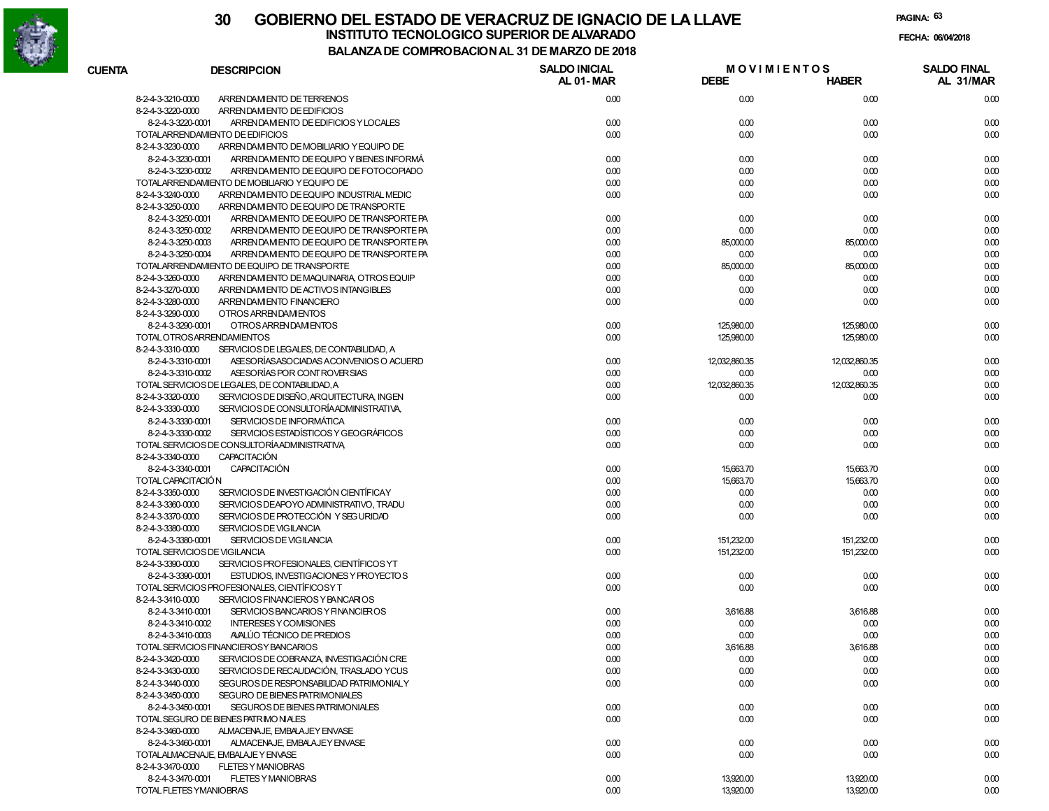

**PAGINA:63**

|                   |                                                               | <b>COMFINO DAGION AL 31 DE MANEO DE 2010</b> |                                   |               |                                 |
|-------------------|---------------------------------------------------------------|----------------------------------------------|-----------------------------------|---------------|---------------------------------|
| <b>CUENTA</b>     | <b>DESCRIPCION</b>                                            | <b>SALDO INICIAL</b><br>AL 01-MAR            | <b>MOVIMIENTOS</b><br><b>DEBE</b> | <b>HABER</b>  | <b>SALDO FINAL</b><br>AL 31/MAR |
| 8-2-4-3-3210-0000 | ARRENDAM ENTO DE TERRENOS                                     | 0.00                                         | 0.00                              | 0.00          | 0.00                            |
| 8-2-4-3-3220-0000 | ARRENDAM ENTO DE EDIFICIOS                                    |                                              |                                   |               |                                 |
|                   | 8-2-4-3-3220-0001<br>ARRENDAM ENTO DE EDIFICIOS Y LOCALES     | 0.00                                         | 0.00                              | 0.00          | 0.00                            |
|                   | TOTALARRENDAMIENTO DE EDIFICIOS                               | 0.00                                         | 0.00                              | 0.00          | 0.00                            |
| 8-2-4-3-3230-0000 | ARRENDAM ENTO DE MOBILIARIO Y EQUIPO DE                       |                                              |                                   |               |                                 |
|                   | 8-2-4-3-3230-0001<br>ARRENDAM ENTO DE EQUIPO Y BIENES INFORMÁ | 0.00                                         | 0.00                              | 0.00          | 0.00                            |
|                   | 8-2-4-3-3230-0002<br>ARRENDAM ENTO DE EQUIPO DE FOTOCOPIADO   | 0.00                                         | 0.00                              | 0.00          | 0.00                            |
|                   | TOTALARRENDAMIENTO DE MOBILIARIO Y EQUIPO DE                  | 0.00                                         | 0.00                              | 0.00          | 0.00                            |
| 8-2-4-3-3240-0000 | ARRENDAM ENTO DE EQUIPO INDUSTRIAL MEDIC                      | 0.00                                         | 0.00                              | 0.00          | 0.00                            |
| 8-2-4-3-3250-0000 | ARRENDAM ENTO DE EQUIPO DE TRANSPORTE                         |                                              |                                   |               |                                 |
|                   | 8-2-4-3-3250-0001<br>ARRENDAM ENTO DE EQUIPO DE TRANSPORTE PA | 0.00                                         | 0.00                              | 0.00          | 0.00                            |
|                   | 8-2-4-3-3250-0002<br>ARRENDAM ENTO DE EQUIPO DE TRANSPORTE PA | 0.00                                         | 0.00                              | 0.00          | 0.00                            |
|                   | 8-2-4-3-3250-0003<br>ARRENDAM ENTO DE EQUIPO DE TRANSPORTE PA | 0.00                                         | 85,000.00                         | 85,000.00     | 0.00                            |
|                   | 8-2-4-3-3250-0004<br>ARRENDAM ENTO DE EQUIPO DE TRANSPORTE PA | 0.00                                         | 0.00                              | 0.00          | 0.00                            |
|                   | TOTALARRENDAMIENTO DE EQUIPO DE TRANSPORTE                    | 0.00                                         | 85,000.00                         | 85,000.00     | 0.00                            |
| 8-2-4-3-3260-0000 | ARRENDAM ENTO DE MAQUINARIA, OTROS EQUIP                      | 0.00                                         | 0.00                              | 0.00          | 0.00                            |
| 8-2-4-3-3270-0000 | ARREN DAM ENTO DE ACTIVOS INTANGIBLES                         | 0.00                                         | 0.00                              | 0.00          | 0.00                            |
| 8-2-4-3-3280-0000 | ARREN DAM ENTO FINANCIERO                                     | 0.00                                         | 0.00                              | 0.00          | 0.00                            |
| 8-2-4-3-3290-0000 | OTROS ARRENDAM ENTOS                                          |                                              |                                   |               |                                 |
|                   | 8-2-4-3-3290-0001<br>OTROS ARRENDAM ENTOS                     | 0.00                                         | 125,980.00                        | 125,980.00    | 0.00                            |
|                   | TOTAL OTROSARRENDAMIENTOS                                     | 0.00                                         | 125,980.00                        | 125,980.00    | 0.00                            |
| 8-2-4-3-3310-0000 | SERVICIOS DE LEGALES, DE CONTABILIDAD, A                      |                                              |                                   |               |                                 |
|                   | 8-2-4-3-3310-0001<br>ASE SORÍAS ASOCIADAS ACONVENIOS O ACUERD | 0.00                                         | 12,032,860.35                     | 12,032,860.35 | 0.00                            |
|                   | 8-2-4-3-3310-0002<br>ASE SORÍAS POR CONTROVER SIAS            | 0.00                                         | 0.00                              | 0.00          | 0.00                            |
|                   | TOTAL SERVICIOS DE LEGALES, DE CONTABILIDAD, A                | 0.00                                         | 12,032,860.35                     | 12,032,860.35 | 0.00                            |
| 8-2-4-3-3320-0000 | SERVICIOS DE DISEÑO, ARQUITECTURA, INGEN                      | 0.00                                         | 0.00                              | 0.00          | 0.00                            |
| 8-2-4-3-3330-0000 | SERVICIOS DE CONSULTORÍA ADMINISTRATIVA.                      |                                              |                                   |               |                                 |
|                   | 8-2-4-3-3330-0001<br>SERVICIOS DE INFORMÁTICA                 | 0.00                                         | 0.00                              | 0.00          | 0.00                            |
|                   | 8-2-4-3-3330-0002<br>SERVICIOS ESTADÍSTICOS Y GEOGRÁFICOS     | 0.00                                         | 0.00                              | 0.00          | 0.00                            |
|                   | TOTAL SERVICIOS DE CONSULTORÍA ADMINISTRATIVA                 | 0.00                                         | 0.00                              | 0.00          | 0.00                            |
| 8-2-4-3-3340-0000 | <b>CAPACITACIÓN</b>                                           |                                              |                                   |               |                                 |
|                   | 8-2-4-3-3340-0001<br><b>CAPACITACIÓN</b>                      | 0.00                                         | 15,663.70                         | 15,663.70     | 0.00                            |
|                   | TOTAL CAPACITACIÓN                                            | 0.00                                         | 15,663.70                         | 15,663.70     | 0.00                            |
| 8-2-4-3-3350-0000 | SERVICIOS DE INVESTIGACIÓN CIENTÍFICAY                        | 0.00                                         | 0.00                              | 0.00          | 0.00                            |
| 8-2-4-3-3360-0000 | SERVICIOS DEAPOYO ADMINISTRATIVO. TRADU                       | 0.00                                         | 0.00                              | 0.00          | 0.00                            |
| 8-2-4-3-3370-0000 | SERVICIOS DE PROTECCIÓN Y SEG URIDAD                          | 0.00                                         | 0.00                              | 0.00          | 0.00                            |
| 8-2-4-3-3380-0000 | SERVICIOS DE VIGILANCIA                                       |                                              |                                   |               |                                 |
|                   | 8-2-4-3-3380-0001<br>SERVICIOS DE VIGILANCIA                  | 0.00                                         | 151,232.00                        | 151,232.00    | 0.00                            |
|                   | TOTAL SERVICIOS DE VIGILANCIA                                 | 0.00                                         | 151,232.00                        | 151,232.00    | 0.00                            |
| 8-2-4-3-3390-0000 | SERVICIOS PROFESIONALES, CIENTÍFICOS YT                       |                                              |                                   |               |                                 |
|                   | 8-2-4-3-3390-0001<br>ESTUDIOS, INVESTIGACIONES Y PROYECTOS    | 0.00                                         | 0.00                              | 0.00          | 0.00                            |
|                   | TOTAL SERVICIOS PROFESIONALES, CIENTÍFICOSY T                 | 0.00                                         | 0.00                              | 0.00          | 0.00                            |
| 8-2-4-3-3410-0000 | SERVICIOS FINANCIEROS Y BANCARIOS                             |                                              |                                   |               |                                 |
|                   | 8-2-4-3-3410-0001<br>SERVICIOS BANCARIOS Y FINANCIEROS        | 0.00                                         | 3,616.88                          | 3,616.88      | 0.00                            |
|                   | 8-2-4-3-3410-0002<br><b>INTERESES Y COMISIONES</b>            | 0.00                                         | 0.00                              | 0.00          | 0.00                            |
|                   | AVALÚO TÉCNICO DE PREDIOS<br>8-2-4-3-3410-0003                | 0.00                                         | 0.00                              | 0.00          | 0.00                            |
|                   | TOTAL SERVICIOS FINANCIEROSY BANCARIOS                        | 0.00                                         | 3,616.88                          | 3,616.88      | 0.00                            |
| 8-2-4-3-3420-0000 | SERVICIOS DE COBRANZA, INVESTIGACIÓN CRE                      | 0.00                                         | 0.00                              | 0.00          | 0.00                            |
| 8-2-4-3-3430-0000 | SERVICIOS DE RECAUDACIÓN. TRASLADO YCUS                       | 0.00                                         | 0.00                              | 0.00          | 0.00                            |
| 8-2-4-3-3440-0000 | SEGUROS DE RESPONSABILIDAD PATRIMONIALY                       | 0.00                                         | 0.00                              | 0.00          | 0.00                            |
| 8-2-4-3-3450-0000 | <b>SEGURO DE BIENES PATRIMONIALES</b>                         |                                              |                                   |               |                                 |
|                   | SEGUROS DE BIENES PATRIMONIALES<br>8-2-4-3-3450-0001          | 0.00                                         | 0.00                              | 0.00          | 0.00                            |
|                   | TOTAL SEGURO DE BIENES PATRIMONIALES                          | 0.00                                         | 0.00                              | 0.00          | 0.00                            |
| 8-2-4-3-3460-0000 | ALMACENAJE. EMBALAJEY ENVASE                                  |                                              |                                   |               |                                 |
|                   | 8-2-4-3-3460-0001<br>ALMACENAJE. EMBALAJEY ENVASE             | 0.00                                         | 0.00                              | 0.00          | 0.00                            |
|                   | TOTALALMACENAJE, EMBALAJE Y ENVASE                            | 0.00                                         | 0.00                              | 0.00          | 0.00                            |
| 8-2-4-3-3470-0000 | <b>FLETES Y MANIOBRAS</b>                                     |                                              |                                   |               |                                 |
|                   | 8-2-4-3-3470-0001<br><b>FLETES Y MANIOBRAS</b>                | 0.00                                         | 13,920.00                         | 13,920.00     | 0.00                            |
|                   | TOTAL FLETES YMANIOBRAS                                       | 0.00                                         | 13,920.00                         | 13.920.00     | 0.00                            |

 $0.00$  13,920.00 13,920.00 13,920.00 13,920.00 13,920.00 0.00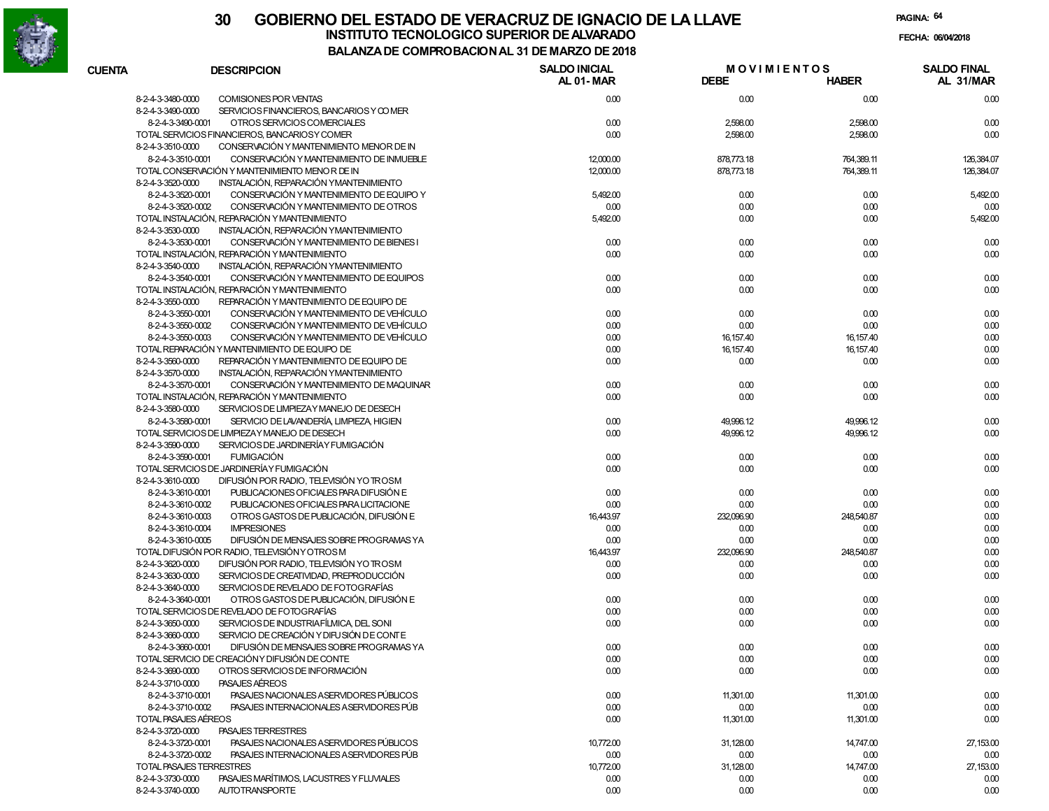

|                      |                                                | COMFINODACION AL 31 DE MANEO DE 2010 |                                   |              |                                 |
|----------------------|------------------------------------------------|--------------------------------------|-----------------------------------|--------------|---------------------------------|
| <b>CUENTA</b>        | <b>DESCRIPCION</b>                             | <b>SALDO INICIAL</b><br>AL 01-MAR    | <b>MOVIMIENTOS</b><br><b>DEBE</b> | <b>HABER</b> | <b>SALDO FINAL</b><br>AL 31/MAR |
| 8-2-4-3-3480-0000    | COMISIONES POR VENTAS                          | 0.00                                 | 0.00                              | 0.00         | 0.00                            |
| 8-2-4-3-3490-0000    | SERVICIOS FINANCIEROS, BANCARIOS Y COMER       |                                      |                                   |              |                                 |
| 8-2-4-3-3490-0001    | OTROS SERVICIOS COMERCIALES                    | 0.00                                 | 2,598.00                          | 2,598.00     | 0.00                            |
|                      | TOTAL SERVICIOS FINANCIEROS, BANCARIOSY COMER  | 0.00                                 | 2,598.00                          | 2,598.00     | 0.00                            |
| 8-2-4-3-3510-0000    | CONSERVACIÓN Y MANTENIMIENTO MENOR DE IN       |                                      |                                   |              |                                 |
| 8-2-4-3-3510-0001    | CONSERVACIÓN Y MANTENIMIENTO DE INMUEBLE       | 12,000.00                            | 878,773.18                        | 764,389.11   | 126,384.07                      |
|                      | TOTAL CONSERVACIÓN Y MANTENIMIENTO MENOR DE IN | 12,000.00                            | 878,773.18                        | 764,389.11   | 126,384.07                      |
| 8-2-4-3-3520-0000    | INSTALACIÓN, REPARACIÓN YMANTENIMIENTO         |                                      |                                   |              |                                 |
| 8-2-4-3-3520-0001    | CONSERVACIÓN Y MANTENIMIENTO DE EQUIPO Y       | 5,492.00                             | 0.00                              | 0.00         | 5,492.00                        |
| 8-2-4-3-3520-0002    | CONSERVACIÓN Y MANTENIMIENTO DE OTROS          | 0.00                                 | 0.00                              | 0.00         | 0.00                            |
|                      | TOTAL INSTALACIÓN. REPARACIÓN Y MANTENIMIENTO  | 5,492.00                             | 0.00                              | 0.00         | 5,492.00                        |
| 8-2-4-3-3530-0000    | INSTALACIÓN, REPARACIÓN YMANTENIMIENTO         |                                      |                                   |              |                                 |
| 8-2-4-3-3530-0001    | CONSERVACIÓN Y MANTENIMIENTO DE BIENES I       | 0.00                                 | 0.00                              | 0.00         | 0.00                            |
|                      | TOTAL INSTALACIÓN, REPARACIÓN Y MANTENIMIENTO  | 0.00                                 | 0.00                              | 0.00         | 0.00                            |
| 8-2-4-3-3540-0000    | INSTALACIÓN, REPARACIÓN YMANTENIMIENTO         |                                      |                                   |              |                                 |
| 8-2-4-3-3540-0001    | CONSERVACIÓN Y MANTENIMIENTO DE EQUIPOS        | 0.00                                 | 0.00                              | 0.00         | 0.00                            |
|                      | TOTAL INSTALACIÓN, REPARACIÓN Y MANTENIMIENTO  | 0.00                                 | 0.00                              | 0.00         | 0.00                            |
| 8-2-4-3-3550-0000    | REPARACIÓN Y MANTENIMIENTO DE EQUIPO DE        |                                      |                                   |              |                                 |
| 8-2-4-3-3550-0001    | CONSERVACIÓN Y MANTENIMIENTO DE VEHÍCULO       | 0.00                                 | 0.00                              | 0.00         | 0.00                            |
| 8-2-4-3-3550-0002    | CONSERVACIÓN Y MANTENIMIENTO DE VEHÍCULO       | 0.00                                 | 0.00                              | 0.00         | 0.00                            |
| 8-2-4-3-3550-0003    | CONSERVACIÓN Y MANTENIMIENTO DE VEHÍCULO       | 0.00                                 | 16, 157.40                        | 16, 157.40   | 0.00                            |
|                      | TOTAL REPARACIÓN Y MANTENIMIENTO DE EQUIPO DE  | 0.00                                 | 16, 157.40                        | 16,157.40    | 0.00                            |
| 8-2-4-3-3560-0000    | REPARACIÓN Y MANTENIMIENTO DE EQUIPO DE        | 0.00                                 | 0.00                              | 0.00         | 0.00                            |
| 8-2-4-3-3570-0000    | INSTALACIÓN, REPARACIÓN YMANTENIMIENTO         |                                      |                                   |              |                                 |
| 8-2-4-3-3570-0001    | CONSERVACIÓN Y MANTENIMIENTO DE MAQUINAR       | 0.00                                 | 0.00                              | 0.00         | 0.00                            |
|                      | TOTAL INSTALACIÓN, REPARACIÓN Y MANTENIMIENTO  | 0.00                                 | 0.00                              | 0.00         | 0.00                            |
| 8-2-4-3-3580-0000    | SERVICIOS DE LIMPIEZAY MANEJO DE DESECH        |                                      |                                   |              |                                 |
| 8-2-4-3-3580-0001    | SERVICIO DE LAVANDERÍA, LIMPIEZA, HIGIEN       | 0.00                                 | 49,996.12                         | 49,996.12    | 0.00                            |
|                      | TOTAL SERVICIOS DE LIMPIEZAY MANEJO DE DESECH  | 0.00                                 | 49,996.12                         | 49,996.12    | 0.00                            |
| 8-2-4-3-3590-0000    | SERVICIOS DE JARDINERÍA Y FUMIGACIÓN           |                                      |                                   |              |                                 |
| 8-2-4-3-3590-0001    | <b>FUMIGACIÓN</b>                              | 0.00                                 | 0.00                              | 0.00         | 0.00                            |
|                      | TOTAL SERVICIOS DE JARDINERÍA Y FUMIGACIÓN     | 0.00                                 | 0.00                              | 0.00         | 0.00                            |
| 8-2-4-3-3610-0000    | DIFUSIÓN POR RADIO, TELEVISIÓN YO TROSM        |                                      |                                   |              |                                 |
| 8-2-4-3-3610-0001    | PUBLICACIONES OFICIALES PARA DIFUSIÓN E        | 0.00                                 | 0.00                              | 0.00         | 0.00                            |
| 8-2-4-3-3610-0002    | PUBLICACIONES OFICIALES PARA LICITACIONE       | 0.00                                 | 0.00                              | 0.00         | 0.00                            |
| 8-2-4-3-3610-0003    | OTROS GASTOS DE PUBLICACIÓN, DIFUSIÓN E        | 16,443.97                            | 232,096.90                        | 248,540.87   | 0.00                            |
| 8-2-4-3-3610-0004    | <b>IMPRESIONES</b>                             | 0.00                                 | 0.00                              | 0.00         | 0.00                            |
| 8-2-4-3-3610-0005    | DIFUSIÓN DE MENSAJES SOBRE PROGRAMAS YA        | 0.00                                 | 0.00                              | 0.00         | 0.00                            |
|                      | TOTAL DIFUSIÓN POR RADIO, TELEVISIÓN Y OTROS M | 16,443.97                            | 232,096.90                        | 248,540.87   | 0.00                            |
| 8-2-4-3-3620-0000    | DIFUSIÓN POR RADIO, TELEVISIÓN YO TROSM        | 0.00                                 | 0.00                              | 0.00         | 0.00                            |
| 8-2-4-3-3630-0000    | SERVICIOS DE CREATIVIDAD, PREPRODUCCIÓN        | 0.00                                 | 0.00                              | 0.00         | 0.00                            |
| 8-2-4-3-3640-0000    | SERVICIOS DE REVELADO DE FOTOGRAFÍAS           |                                      |                                   |              |                                 |
| 8-2-4-3-3640-0001    | OTROS GASTOS DE PUBLICACIÓN, DIFUSIÓN E        | 0.00                                 | 0.00                              | 0.00         | 0.00                            |
|                      | TOTAL SERVICIOS DE REVELADO DE FOTOGRAFÍAS     | 0.00                                 | 0.00                              | 0.00         | 0.00                            |
| 8-2-4-3-3650-0000    | SERVICIOS DE INDUSTRIAFÍLMICA, DEL SONI        | 0.00                                 | 0.00                              | 0.00         | 0.00                            |
| 8-2-4-3-3660-0000    | SERVICIO DE CREACIÓN Y DIFU SIÓN DE CONTE      |                                      |                                   |              |                                 |
| 8-2-4-3-3660-0001    | DIFUSIÓN DE MENSAJES SOBRE PROGRAMAS YA        | 0.00                                 | 0.00                              | 0.00         | 0.00                            |
|                      | TOTAL SERVICIO DE CREACIÓNY DIFUSIÓN DE CONTE  | 0.00                                 | 0.00                              | 0.00         | 0.00                            |
| 8-2-4-3-3690-0000    | OTROS SERVICIOS DE INFORMACIÓN                 | 0.00                                 | 0.00                              | 0.00         | 0.00                            |
| 8-2-4-3-3710-0000    | <b>PASAJES AÉREOS</b>                          |                                      |                                   |              |                                 |
| 8-2-4-3-3710-0001    | PASAJES NACIONALES A SERVIDORES PÚBLICOS       | 0.00                                 | 11,301.00                         | 11,301.00    | 0.00                            |
| 8-2-4-3-3710-0002    | PASAJES INTERNACIONALES ASERVIDORES PÚB        | 0.00                                 | 0.00                              | 0.00         | 0.00                            |
| TOTAL PASAJES AÉREOS |                                                | 0.00                                 | 11,301.00                         | 11,301.00    | 0.00                            |
| 8-2-4-3-3720-0000    | <b>PASAJES TERRESTRES</b>                      |                                      |                                   |              |                                 |
| 8-2-4-3-3720-0001    | PASAJES NACIONALES A SERVIDORES PÚBLICOS       | 10,772.00                            | 31,128.00                         | 14,747.00    | 27,153.00                       |
| 8-2-4-3-3720-0002    | PASAJES INTERNACIONALES ASERVIDORES PÚB        | 0.00                                 | 0.00                              | 0.00         | 0.00                            |
|                      | TOTAL PASAJES TERRESTRES                       | 10,772.00                            | 31,128.00                         | 14,747.00    | 27,153.00                       |
| 8-2-4-3-3730-0000    | PASAJES MARÍTIMOS, LACUSTRES Y FLUVIALES       | 0.00                                 | 0.00                              | 0.00         | 0.00                            |
| 8-2-4-3-3740-0000    | <b>AUTOTRANSPORTE</b>                          | 0.00                                 | 0.00                              | 0.00         | 0.00                            |
|                      |                                                |                                      |                                   |              |                                 |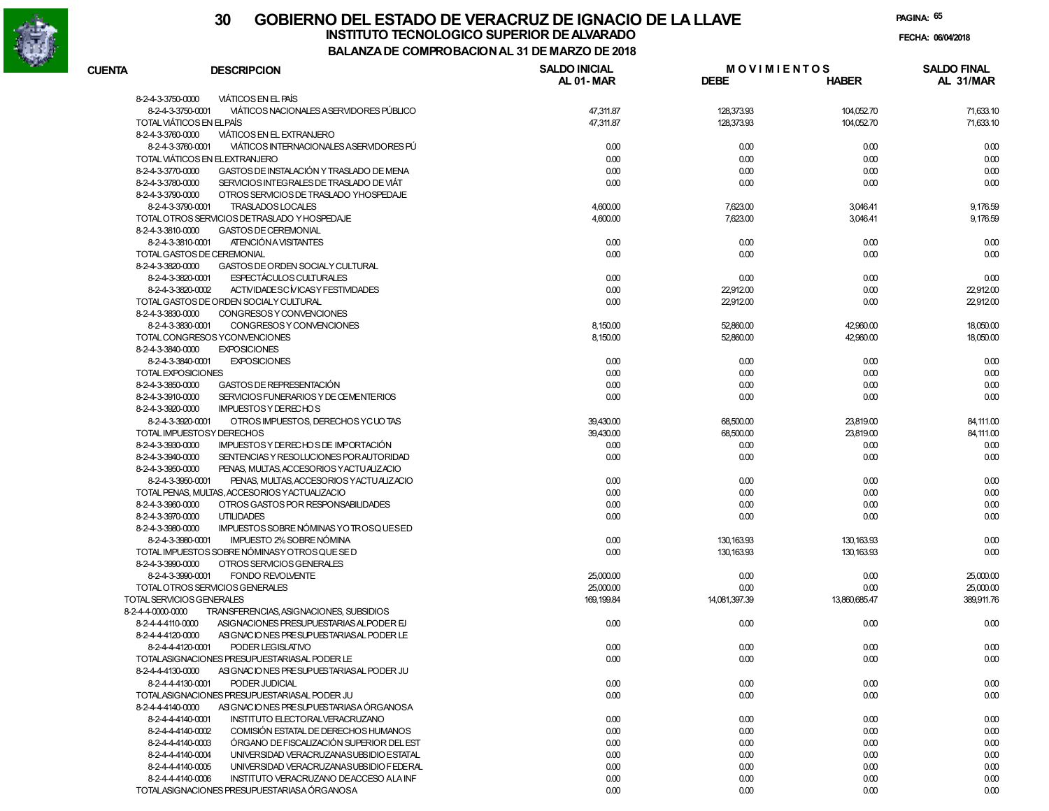

# **30 GOBIERNO DEL ESTADO DE VERACRUZ DE IGNACIO DE LA LLAVEINSTITUTO TECNOLOGICO SUPERIOR DE ALVARADO de la composición de la composición de la composición de la composición**<br>Dal aniza de composición da la de marzo de como

**PAGINA:65**

**FECHA:**

**BALANZA DE COMPROBACION AL 31 DE MARZO DE 2018**

| <b>CUENTA</b>             | <b>DESCRIPCION</b>                             | <b>SALDO INICIAL</b> | <b>MOVIMIENTOS</b> |               | <b>SALDO FINAL</b> |
|---------------------------|------------------------------------------------|----------------------|--------------------|---------------|--------------------|
|                           |                                                | <b>AL 01-MAR</b>     | <b>DEBE</b>        | <b>HABER</b>  | AL 31/MAR          |
| 8-2-4-3-3750-0000         | <b>VIÁTICOS EN EL PAÍS</b>                     |                      |                    |               |                    |
| 8-2-4-3-3750-0001         | VIÁTICOS NACIONALES A SERVIDORES PÚBLICO       | 47,311.87            | 128,373.93         | 104,052.70    | 71,633.10          |
|                           | TOTAL VIÁTICOS EN EL PAÍS                      | 47,311.87            | 128,373.93         | 104,052.70    | 71,633.10          |
| 8-2-4-3-3760-0000         | VIÁTICOS EN EL EXTRANJERO                      |                      |                    |               |                    |
| 8-2-4-3-3760-0001         | VIÁTICOS INTERNACIONALES ASERVIDORES PÚ        | 0.00                 | 0.00               | 0.00          | 0.00               |
|                           | TOTAL VIÁTICOS EN EL EXTRANJERO                | 0.00                 | 0.00               | 0.00          | 0.00               |
| 8-2-4-3-3770-0000         | GASTOS DE INSTALACIÓN Y TRASLADO DE MENA       | 0.00                 | 0.00               | 0.00          | 0.00               |
| 8-2-4-3-3780-0000         | SERVICIOS INTEGRALES DE TRASLADO DE VIÁT       | 0.00                 | 0.00               | 0.00          | 0.00               |
| 8-2-4-3-3790-0000         | OTROS SERVICIOS DE TRASLADO YHOSPEDAJE         |                      |                    |               |                    |
| 8-2-4-3-3790-0001         | TRASLADOS LOCALES                              | 4,600.00             | 7,623.00           | 3,046.41      | 9,176.59           |
|                           | TOTAL OTROS SERVICIOS DETRASLADO Y HOSPEDAJE   | 4,600.00             | 7,623.00           | 3,046.41      | 9,176.59           |
| 8-2-4-3-3810-0000         | <b>GASTOS DE CEREMONIAL</b>                    |                      |                    |               |                    |
| 8-2-4-3-3810-0001         | ATENCIÓN A VISITANTES                          | 0.00                 | 0.00               | 0.00          | 0.00               |
|                           | TOTAL GASTOS DE CEREMONIAL                     | 0.00                 | 0.00               | 0.00          | 0.00               |
| 8-2-4-3-3820-0000         | GASTOS DE ORDEN SOCIALY CULTURAL               |                      |                    |               |                    |
| 8-2-4-3-3820-0001         | ESPECTÁCULOS CULTURALES                        | 0.00                 | 0.00               | 0.00          | 0.00               |
| 8-2-4-3-3820-0002         | ACTIVIDADESC MICASY FESTIVIDADES               | 0.00                 | 22,912.00          | 0.00          | 22,912.00          |
|                           | TOTAL GASTOS DE ORDEN SOCIALY CULTURAL         | 0.00                 | 22,912.00          | 0.00          | 22,912.00          |
| 8-2-4-3-3830-0000         | CONGRESOS Y CONVENCIONES                       |                      |                    |               |                    |
| 8-2-4-3-3830-0001         | CONGRESOS Y CONVENCIONES                       | 8,150.00             | 52,860.00          | 42,960.00     | 18,050.00          |
|                           | TOTAL CONGRESOS YCONVENCIONES                  | 8,150.00             | 52,860.00          | 42,960.00     | 18,050.00          |
| 8-2-4-3-3840-0000         | <b>EXPOSICIONES</b>                            |                      |                    |               |                    |
| 8-2-4-3-3840-0001         | <b>EXPOSICIONES</b>                            | 0.00                 | 0.00               | 0.00          | 0.00               |
| TOTAL EXPOSICIONES        |                                                | 0.00                 | 0.00               | 0.00          | 0.00               |
| 8-2-4-3-3850-0000         | GASTOS DE REPRESENTACIÓN                       | 0.00                 | 0.00               | 0.00          | 0.00               |
| 8-2-4-3-3910-0000         | SERVICIOS FUNERARIOS Y DE CEMENTERIOS          | 0.00                 | 0.00               | 0.00          | 0.00               |
| 8-2-4-3-3920-0000         | <b>IMPUESTOS Y DE RECHOS</b>                   |                      |                    |               |                    |
| 8-2-4-3-3920-0001         | OTROS IMPUESTOS, DERECHOS YCUOTAS              | 39,430.00            | 68,500.00          | 23,819.00     | 84,111.00          |
|                           | TOTAL IMPUESTOSY DERECHOS                      | 39,430.00            | 68,500.00          | 23,819.00     | 84,111.00          |
| 8-2-4-3-3930-0000         | IMPUESTOS Y DERECHOS DE IMPORTACIÓN            | 0.00                 | 0.00               | 0.00          | 0.00               |
| 8-2-4-3-3940-0000         | SENTENCIAS Y RESOLUCIONES POR AUTORIDAD        | 0.00                 | 0.00               | 0.00          | 0.00               |
| 8-2-4-3-3950-0000         | PENAS, MULTAS, ACCESORIOS YACTUALIZACIO        |                      |                    |               |                    |
| 8-2-4-3-3950-0001         | PENAS, MULTAS, ACCESORIOS YACTUALIZACIO        | 0.00                 | 0.00               | 0.00          | 0.00               |
|                           | TOTAL PENAS, MULTAS, ACCESORIOS Y ACTUALIZACIO | 0.00                 | 0.00               | 0.00          | 0.00               |
| 8-2-4-3-3960-0000         | OTROS GASTOS POR RESPONSABILIDADES             | 0.00                 | 0.00               | 0.00          | 0.00               |
| 8-2-4-3-3970-0000         | <b>UTILIDADES</b>                              | 0.00                 | 0.00               | 0.00          | 0.00               |
| 8-2-4-3-3980-0000         | IMPUESTOS SOBRE NÓMINAS YO TROSQUESED          |                      |                    |               |                    |
| 8-2-4-3-3980-0001         | IMPUESTO 2% SOBRE NÓMINA                       | 0.00                 | 130, 163.93        | 130, 163.93   | 0.00               |
|                           | TOTAL IMPUESTOS SOBRE NÓMINASY OTROS QUE SE D  | 0.00                 | 130, 163.93        | 130, 163.93   | 0.00               |
| 8-2-4-3-3990-0000         | OTROS SERVICIOS GENERALES                      |                      |                    |               |                    |
| 8-2-4-3-3990-0001         | <b>FONDO REVOLVENTE</b>                        | 25,000.00            | 0.00               | 0.00          | 25,000.00          |
|                           | TOTAL OTROS SERVICIOS GENERALES                | 25,000.00            | 0.00               | 0.00          | 25,000.00          |
| TOTAL SERVICIOS GENERALES |                                                | 169, 199.84          | 14,081,397.39      | 13.860.685.47 | 389,911.76         |
| 8-2-4-4-0000-0000         | TRANSFERENCIAS, ASIGNACIONES, SUBSIDIOS        |                      |                    |               |                    |
| 8-2-4-4-4110-0000         | ASIGNACIONES PRESUPUESTARIAS ALPODER EJ        | 0.00                 | 0.00               | 0.00          | 0.00               |
| 8-2-4-4-4120-0000         | ASIGNACIONES PRESUPUESTARIAS AL PODER LE       |                      |                    |               |                    |
| 8-2-4-4-4120-0001         | PODER LEGISLATIVO                              | 0.00                 | 0.00               | 0.00          | 0.00               |
|                           | TOTALASIGNACIONES PRESUPUESTARIAS AL PODER LE  | 0.00                 | 0.00               | 0.00          | 0.00               |
| 8-2-4-4-4130-0000         | ASIGNACIONES PRESUPUESTARIASAL PODER JU        |                      |                    |               |                    |
| 8-2-4-4-4130-0001         | PODER JUDICIAL                                 | 0.00                 | 0.00               | 0.00          | 0.00               |
|                           | TOTALASIGNACIONES PRESUPUESTARIAS AL PODER JU  | 0.00                 | 0.00               | 0.00          | 0.00               |
| 8-2-4-4-4140-0000         | ASIGNACIONES PRESUPUESTARIASA ÓRGANOSA         |                      |                    |               |                    |
| 8-2-4-4-4140-0001         | INSTITUTO ELECTORALVERACRUZANO                 | 0.00                 | 0.00               | 0.00          | 0.00               |
| 8-2-4-4-4140-0002         | COMISIÓN ESTATAL DE DERECHOS HUMANOS           | 0.00                 | 0.00               | 0.00          | 0.00               |
| 8-2-4-4-4140-0003         | ÓRGANO DE FISCALIZACIÓN SUPERIOR DEL EST       | 0.00                 | 0.00               | 0.00          | 0.00               |
| 8-2-4-4-4140-0004         | UNIVERSIDAD VERACRUZANASUBSIDIO ESTATAL        | 0.00                 | 0.00               | 0.00          | 0.00               |
| 8-2-4-4-4140-0005         | UNIVERSIDAD VERACRUZANASUBSIDIO FEDERAL        | 0.00                 | 0.00               | 0.00          | 0.00               |
| 8-2-4-4-4140-0006         | INSTITUTO VERACRUZANO DEACCESO ALA INF         | 0.00                 | 0.00               | 0.00          | 0.00               |
|                           | TOTALASIGNACIONES PRESUPUESTARIASA ÓRGANOSA    | 0.00                 | 0.00               | 0.00          | 0.00               |
|                           |                                                |                      |                    |               |                    |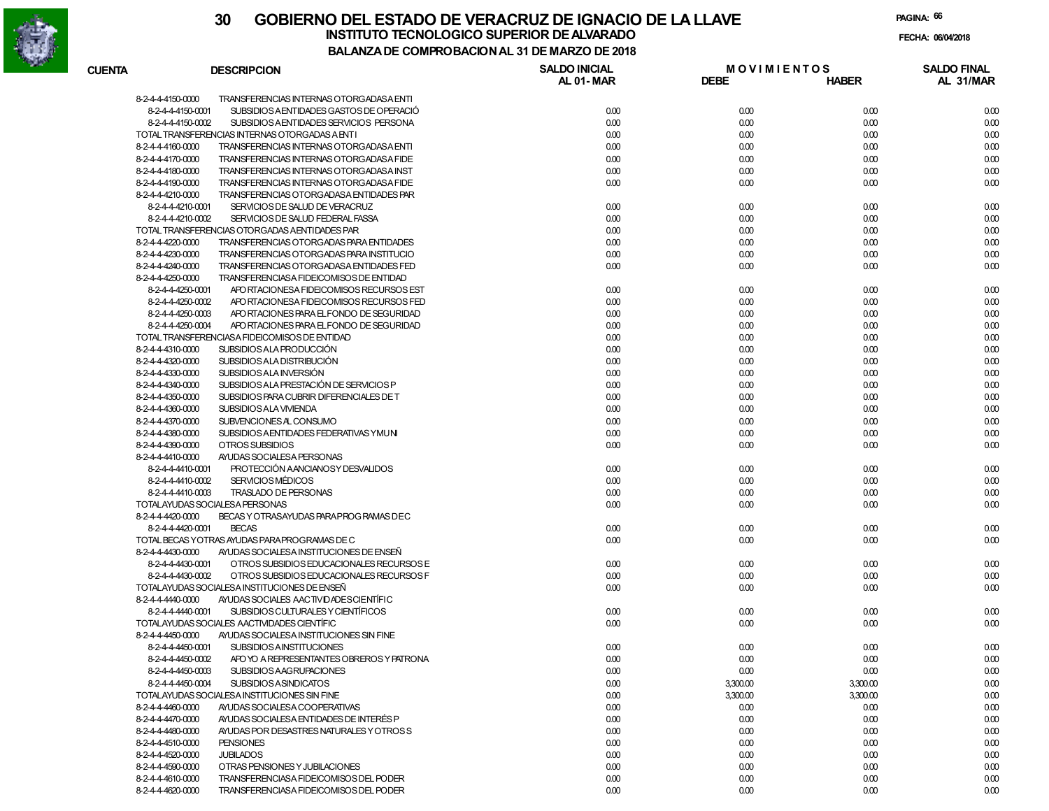

**PAGINA:66**

| <b>CUENTA</b> | <b>DESCRIPCION</b>                                                                            | <b>SALDO INICIAL</b> | <b>MOVIMIENTOS</b> |              | <b>SALDO FINAL</b> |
|---------------|-----------------------------------------------------------------------------------------------|----------------------|--------------------|--------------|--------------------|
|               |                                                                                               | <b>AL 01-MAR</b>     | <b>DEBE</b>        | <b>HABER</b> | AL 31/MAR          |
|               | 8-2-4-4-4150-0000<br>TRANSFERENCIAS INTERNAS OTORGADASA ENTI                                  |                      |                    |              |                    |
|               | 8-2-4-4-4150-0001<br>SUBSIDIOS AENTIDADES GASTOS DE OPERACIÓ                                  | 0.00                 | 0.00               | 0.00         | 0.00               |
|               | 8-2-4-4-4150-0002<br>SUBSIDIOS AENTIDADES SERVICIOS PERSONA                                   | 0.00                 | 0.00               | 0.00         | 0.00               |
|               | TOTAL TRANSFERENCIAS INTERNAS OTORGADAS A ENTI                                                | 0.00                 | 0.00               | 0.00         | 0.00               |
|               | TRANSFERENCIAS INTERNAS OTORGADASA ENTI<br>8-2-4-4-4160-0000                                  | 0.00                 | 0.00               | 0.00         | 0.00               |
|               | 8-2-4-4-4170-0000<br>TRANSFERENCIAS INTERNAS OTORGADAS A FIDE                                 | 0.00                 | 0.00               | 0.00         | 0.00               |
|               | 8-2-4-4-4180-0000<br>TRANSFERENCIAS INTERNAS OTORGADASA INST                                  | 0.00                 | 0.00               | 0.00         | 0.00               |
|               | 8-2-4-4-4190-0000<br>TRANSFERENCIAS INTERNAS OTORGADAS A FIDE                                 | 0.00                 | 0.00               | 0.00         | 0.00               |
|               | 8-2-4-4-4210-0000<br>TRANSFERENCIAS OTORGADASA ENTIDADES PAR                                  |                      |                    |              |                    |
|               | 8-2-4-4-4210-0001<br>SERVICIOS DE SALUD DE VERACRUZ                                           | 0.00                 | 0.00               | 0.00         | 0.00               |
|               | 8-2-4-4-4210-0002<br>SERVICIOS DE SALUD FEDERAL FASSA                                         | 0.00                 | 0.00               | 0.00         | 0.00               |
|               | TOTAL TRANSFERENCIAS OTORGADAS AENTIDADES PAR                                                 | 0.00                 | 0.00               | 0.00         | 0.00               |
|               | TRANSFERENCIAS OTORGADAS PARA ENTIDADES<br>8-2-4-4-4220-0000                                  | 0.00                 | 0.00               | 0.00         | 0.00               |
|               | 8-2-4-4-4230-0000<br>TRANSFERENCIAS OTORGADAS PARA INSTITUCIO                                 | 0.00                 | 0.00               | 0.00         | 0.00               |
|               | 8-2-4-4-4240-0000<br>TRANSFERENCIAS OTORGADASA ENTIDADES FED                                  | 0.00                 | 0.00               | 0.00         | 0.00               |
|               | 8-2-4-4-4250-0000<br>TRANSFERENCIASA FIDEICOMISOS DE ENTIDAD                                  |                      |                    |              |                    |
|               | 8-2-4-4-4250-0001<br>APO RTACIONESA FIDEICOMISOS RECURSOS EST                                 | 0.00                 | 0.00               | 0.00         | 0.00               |
|               | 8-2-4-4-4250-0002<br>APO RTACIONESA FIDEICOMISOS RECURSOS FED                                 | 0.00                 | 0.00               | 0.00         | 0.00               |
|               |                                                                                               |                      |                    |              |                    |
|               | 8-2-4-4-4250-0003<br>APO RTACIONES PARA EL FONDO DE SEGURIDAD<br>8-2-4-4-4250-0004            | 0.00                 | 0.00               | 0.00         | 0.00               |
|               | APO RTACIONES PARA EL FONDO DE SEGURIDAD                                                      | 0.00                 | 0.00               | 0.00         | 0.00               |
|               | TOTAL TRANSFERENCIASA FIDEICOMISOS DE ENTIDAD                                                 | 0.00                 | 0.00               | 0.00         | 0.00               |
|               | 8-2-4-4-4310-0000<br>SUBSIDIOS ALA PRODUCCIÓN                                                 | 0.00                 | 0.00               | 0.00         | 0.00               |
|               | 8-2-4-4-4320-0000<br>SUBSIDIOS ALA DISTRIBUCIÓN                                               | 0.00                 | 0.00               | 0.00         | 0.00               |
|               | 8-2-4-4-4330-0000<br>SUBSIDIOS ALA INVERSIÓN                                                  | 0.00                 | 0.00               | 0.00         | 0.00               |
|               | 8-2-4-4-4340-0000<br>SUBSIDIOS ALA PRESTACIÓN DE SERVICIOS P                                  | 0.00                 | 0.00               | 0.00         | 0.00               |
|               | 8-2-4-4-4350-0000<br>SUBSIDIOS PARA CUBRIR DIFERENCIALES DE T                                 | 0.00                 | 0.00               | 0.00         | 0.00               |
|               | 8-2-4-4-4360-0000<br>SUBSIDIOS ALA VIVIENDA                                                   | 0.00                 | 0.00               | 0.00         | 0.00               |
|               | 8-2-4-4-4370-0000<br>SUBVENCIONES AL CONSUMO                                                  | 0.00                 | 0.00               | 0.00         | 0.00               |
|               | 8-2-4-4-4380-0000<br>SUBSIDIOS AENTIDADES FEDERATIVAS YMUNI                                   | 0.00                 | 0.00               | 0.00         | 0.00               |
|               | 8-2-4-4-4390-0000<br>OTROS SUBSIDIOS                                                          | 0.00                 | 0.00               | 0.00         | 0.00               |
|               | 8-2-4-4-4410-0000<br>AYUDAS SOCIALESA PERSONAS                                                |                      |                    |              |                    |
|               | PROTECCIÓN AANCIANOSY DESVALIDOS<br>8-2-4-4-4410-0001                                         | 0.00                 | 0.00               | 0.00         | 0.00               |
|               | <b>SERVICIOS MÉDICOS</b><br>8-2-4-4-4410-0002                                                 | 0.00                 | 0.00               | 0.00         | 0.00               |
|               | 8-2-4-4-4410-0003<br>TRASLADO DE PERSONAS                                                     | 0.00                 | 0.00               | 0.00         | 0.00               |
|               | TOTALAYUDAS SOCIALESA PERSONAS                                                                | 0.00                 | 0.00               | 0.00         | 0.00               |
|               | 8-2-4-4-4420-0000<br>BECAS Y OTRASAYUDAS PARA PROG RAMAS DEC                                  |                      |                    |              |                    |
|               | 8-2-4-4-4420-0001<br><b>BECAS</b>                                                             | 0.00                 | 0.00               | 0.00         | 0.00               |
|               | TOTAL BECAS YOTRAS AYUDAS PARA PROGRAMAS DE C                                                 | 0.00                 | 0.00               | 0.00         | 0.00               |
|               | 8-2-4-4-4430-0000<br>AYUDAS SOCIALESA INSTITUCIONES DE ENSEÑ                                  |                      |                    |              |                    |
|               | 8-2-4-4-4430-0001<br>OTROS SUBSIDIOS EDUCACIONALES RECURSOS E                                 | 0.00                 | 0.00               | 0.00         | 0.00               |
|               | 8-2-4-4-4430-0002<br>OTROS SUBSIDIOS EDUCACIONALES RECURSOS F                                 | 0.00                 | 0.00               | 0.00         | 0.00               |
|               | TOTALAYUDAS SOCIALESA INSTITUCIONES DE ENSEÑ                                                  | 0.00                 | 0.00               | 0.00         | 0.00               |
|               | 8-2-4-4-4440-0000<br>AYUDAS SOCIALES AACTIVIDADES CIENTÍFIC                                   |                      |                    |              |                    |
|               | 8-2-4-4-4440-0001<br>SUBSIDIOS CULTURALES Y CIENTÍFICOS                                       | 0.00                 | 0.00               | 0.00         | 0.00               |
|               | TOTALAYUDAS SOCIALES AACTIVIDADES CIENTÍFIC                                                   | 0.00                 | 0.00               | 0.00         | 0.00               |
|               | AYUDAS SOCIALESA INSTITUCIONES SIN FINE<br>8-2-4-4-4450-0000                                  |                      |                    |              |                    |
|               | 8-2-4-4-4450-0001<br>SUBSIDIOS AINSTITUCIONES                                                 | 0.00                 | 0.00               | 0.00         | 0.00               |
|               | 8-2-4-4-4450-0002<br>APO YO A REPRESENTANTES OBREROS Y PATRONA                                | 0.00                 | 0.00               | 0.00         | 0.00               |
|               | 8-2-4-4-4450-0003<br>SUBSIDIOS AAGRUPACIONES                                                  | 0.00                 | 0.00               | 0.00         | 0.00               |
|               | 8-2-4-4-4450-0004<br><b>SUBSIDIOS ASINDICATOS</b>                                             | 0.00                 | 3,300.00           | 3,300.00     | 0.00               |
|               | TOTALAYUDAS SOCIALESA INSTITUCIONES SIN FINE                                                  | 0.00                 | 3,300.00           | 3,300.00     | 0.00               |
|               |                                                                                               |                      |                    |              |                    |
|               | 8-2-4-4-4460-0000<br>AYUDAS SOCIALESA COOPERATIVAS<br>AYUDAS SOCIALESA ENTIDADES DE INTERÉS P | 0.00                 | 0.00               | 0.00         | 0.00               |
|               | 8-2-4-4-4470-0000                                                                             | 0.00                 | 0.00               | 0.00         | 0.00               |
|               | 8-2-4-4-4480-0000<br>AYUDAS POR DESASTRES NATURALES Y OTROSS                                  | 0.00                 | 0.00               | 0.00         | 0.00               |
|               | 8-2-4-4-4510-0000<br><b>PENSIONES</b>                                                         | 0.00                 | 0.00               | 0.00         | 0.00               |
|               | 8-2-4-4-4520-0000<br><b>JUBILADOS</b>                                                         | 0.00                 | 0.00               | 0.00         | 0.00               |
|               | 8-2-4-4-4590-0000<br>OTRAS PENSIONES Y JUBILACIONES                                           | 0.00                 | 0.00               | 0.00         | 0.00               |
|               | 8-2-4-4-4610-0000<br>TRANSFERENCIASA FIDEICOMISOS DEL PODER                                   | 0.00                 | 0.00               | 0.00         | 0.00               |
|               | 8-2-4-4-4620-0000<br>TRANSFERENCIASA FIDEICOMISOS DEL PODER                                   | 0.00                 | 0.00               | 0.00         | 0.00               |

0.00 0.00 0.00 0.00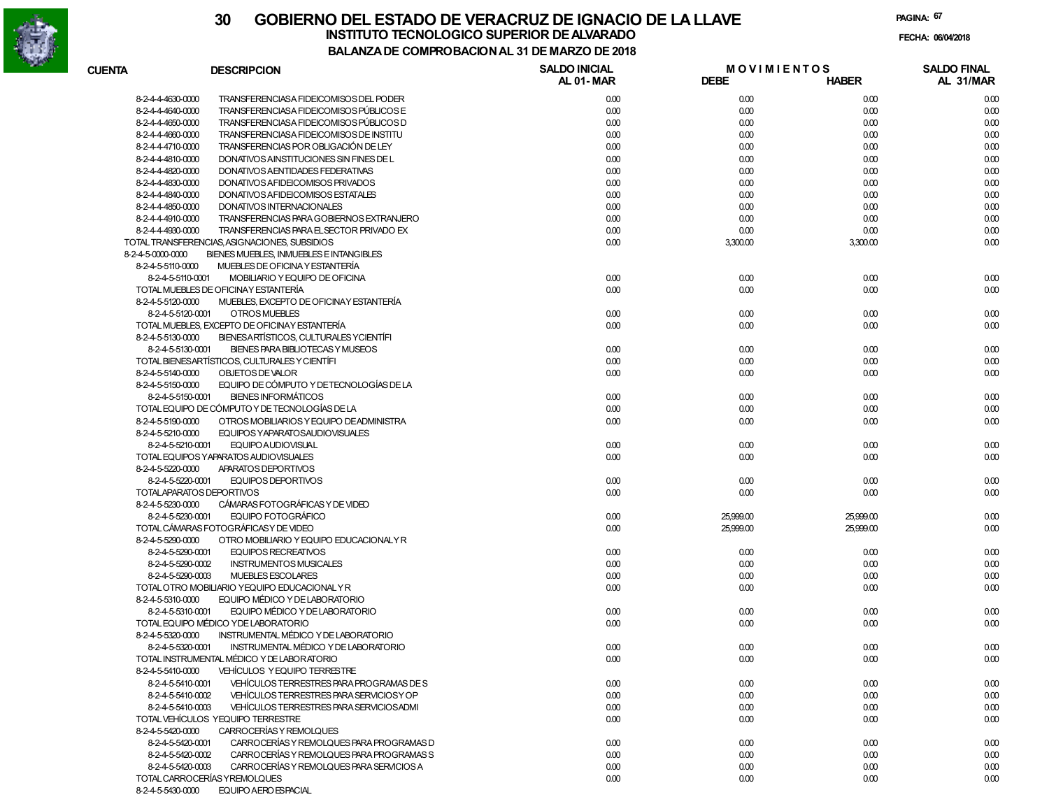

| <b>CUENTA</b>     | <b>DESCRIPCION</b>                             | <b>SALDO INICIAL</b> | <b>MOVIMIENTOS</b> |              | <b>SALDO FINAL</b> |
|-------------------|------------------------------------------------|----------------------|--------------------|--------------|--------------------|
|                   |                                                | <b>AL 01-MAR</b>     | <b>DEBE</b>        | <b>HABER</b> | AL 31/MAR          |
| 8-2-4-4-4630-0000 | TRANSFERENCIASA FIDEICOMISOS DEL PODER         | 0.00                 | 0.00               | 0.00         | 0.00               |
| 8-2-4-4-4640-0000 | TRANSFERENCIASA FIDEICOMISOS PÚBLICOS E        | 0.00                 | 0.00               | 0.00         | 0.00               |
| 8-2-4-4-4650-0000 | TRANSFERENCIASA FIDEICOMISOS PÚBLICOS D        | 0.00                 | 0.00               | 0.00         | 0.00               |
| 8-2-4-4-4660-0000 | TRANSFERENCIASA FIDEICOMISOS DE INSTITU        | 0.00                 | 0.00               | 0.00         | 0.00               |
| 8-2-4-4-4710-0000 | TRANSFERENCIAS POR OBLIGACIÓN DE LEY           | 0.00                 | 0.00               | 0.00         | 0.00               |
| 8-2-4-4-4810-0000 | DONATIVOS AINSTITUCIONES SIN FINES DE L        | 0.00                 | 0.00               | 0.00         | 0.00               |
| 8-2-4-4-4820-0000 | DONATIVOS AENTIDADES FEDERATIVAS               | 0.00                 | 0.00               | 0.00         | 0.00               |
| 8-2-4-4-4830-0000 | DONATIVOS A FIDEICOMISOS PRIVADOS              | 0.00                 | 0.00               | 0.00         | 0.00               |
| 8-2-4-4-4840-0000 | DONATIVOS A FIDEICOMISOS ESTATALES             | 0.00                 | 0.00               | 0.00         | 0.00               |
| 8-2-4-4-4850-0000 | DONATIVOS INTERNACIONALES                      | 0.00                 | 0.00               | 0.00         | 0.00               |
| 8-2-4-4-4910-0000 | TRANSFERENCIAS PARA GOBIERNOS EXTRANJERO       | 0.00                 | 0.00               | 0.00         | 0.00               |
| 8-2-4-4-4930-0000 | TRANSFERENCIAS PARA EL SECTOR PRIVADO EX       | 0.00                 | 0.00               | 0.00         | 0.00               |
|                   | TOTAL TRANSFERENCIAS, ASIGNACIONES, SUBSIDIOS  | 0.00                 | 3,300.00           | 3,300.00     | 0.00               |
| 8-2-4-5-0000-0000 | BIENES MUEBLES, INMUEBLES E INTANGIBLES        |                      |                    |              |                    |
| 8-2-4-5-5110-0000 | MUEBLES DE OFICINA Y ESTANTERÍA                |                      |                    |              |                    |
| 8-2-4-5-5110-0001 | MOBILIARIO Y EQUIPO DE OFICINA                 | 0.00                 | 0.00               | 0.00         | 0.00               |
|                   | TOTAL MUEBLES DE OFICINAY ESTANTERÍA           | 0.00                 | 0.00               | 0.00         | 0.00               |
| 8-2-4-5-5120-0000 | MUEBLES, EXCEPTO DE OFICINAY ESTANTERÍA        |                      |                    |              |                    |
| 8-2-4-5-5120-0001 | OTROS MUEBLES                                  | 0.00                 | 0.00               | 0.00         | 0.00               |
|                   | TOTAL MUEBLES, EXCEPTO DE OFICINAY ESTANTERÍA  | 0.00                 | 0.00               | 0.00         | 0.00               |
| 8-2-4-5-5130-0000 | BIENESARTÍSTICOS, CULTURALES YCIENTÍFI         |                      |                    |              |                    |
| 8-2-4-5-5130-0001 | BIENES PARA BIBLIOTECAS Y MUSEOS               | 0.00                 | 0.00               | 0.00         | 0.00               |
|                   | TOTAL BIENESARTÍSTICOS, CULTURALES Y CIENTÍFI  | 0.00                 | 0.00               | 0.00         | 0.00               |
| 8-2-4-5-5140-0000 | OBJETOS DE VALOR                               | 0.00                 | 0.00               | 0.00         | 0.00               |
| 8-2-4-5-5150-0000 | EQUIPO DE CÓMPUTO Y DE TECNOLOGÍAS DE LA       |                      |                    |              |                    |
| 8-2-4-5-5150-0001 | <b>BIENES INFORMÁTICOS</b>                     | 0.00                 | 0.00               | 0.00         | 0.00               |
|                   | TOTAL EQUIPO DE CÓMPUTO Y DE TECNOLOGÍAS DE LA | 0.00                 | 0.00               | 0.00         | 0.00               |
| 8-2-4-5-5190-0000 | OTROS MOBILIARIOS Y EQUIPO DE ADMINISTRA       | 0.00                 | 0.00               | 0.00         | 0.00               |
| 8-2-4-5-5210-0000 | EQUIPOS YAPARATOSAUDIOVISUALES                 |                      |                    |              |                    |
| 8-2-4-5-5210-0001 | <b>EQUIPO AUDIOVISUAL</b>                      | 0.00                 | 0.00               | 0.00         | 0.00               |
|                   | TOTAL EQUIPOS YAPARATOS AUDIOVISUALES          | 0.00                 | 0.00               | 0.00         | 0.00               |
| 8-2-4-5-5220-0000 | APARATOS DEPORTIVOS                            |                      |                    |              |                    |
| 8-2-4-5-5220-0001 | EQUIPOS DEPORTIVOS                             | 0.00                 | 0.00               | 0.00         | 0.00               |
|                   | TOTALAPARATOS DEPORTIVOS                       | 0.00                 | 0.00               | 0.00         | 0.00               |
| 8-2-4-5-5230-0000 | CÁMARAS FOTOGRÁFICAS Y DE VIDEO                |                      |                    |              |                    |
| 8-2-4-5-5230-0001 | <b>EQUIPO FOTOGRÁFICO</b>                      | 0.00                 | 25,999.00          | 25,999.00    | 0.00               |
|                   | TOTAL CÁMARAS FOTOGRÁFICAS Y DE VIDEO          | 0.00                 | 25,999.00          | 25,999.00    | 0.00               |
| 8-2-4-5-5290-0000 | OTRO MOBILIARIO Y EQUIPO EDUCACIONALY R        |                      |                    |              |                    |
| 8-2-4-5-5290-0001 | <b>EQUIPOS RECREATIVOS</b>                     | 0.00                 | 0.00               | 0.00         | 0.00               |
| 8-2-4-5-5290-0002 | <b>INSTRUMENTOS MUSICALES</b>                  | 0.00                 | 0.00               | 0.00         | 0.00               |
| 8-2-4-5-5290-0003 | <b>MUEBLES ESCOLARES</b>                       | 0.00                 | 0.00               | 0.00         | 0.00               |
|                   | TOTAL OTRO MOBILIARIO YEQUIPO EDUCACIONAL Y R  | 0.00                 | 0.00               | 0.00         | 0.00               |
| 8-2-4-5-5310-0000 | EQUIPO MÉDICO Y DE LABORATORIO                 |                      |                    |              |                    |
| 8-2-4-5-5310-0001 | EQUIPO MÉDICO Y DE LABORATORIO                 | 0.00                 | 0.00               | 0.00         | 0.00               |
|                   | TOTAL EQUIPO MÉDICO YDE LABORATORIO            | 0.00                 | 0.00               | 0.00         | 0.00               |
| 8-2-4-5-5320-0000 | INSTRUMENTAL MÉDICO Y DE LABORATORIO           |                      |                    |              |                    |
| 8-2-4-5-5320-0001 | INSTRUMENTAL MÉDICO Y DE LABORATORIO           | 0.00                 | 0.00               | 0.00         | 0.00               |
|                   | TOTAL INSTRUMENTAL MÉDICO Y DE LABORATORIO     | 0.00                 | 0.00               | 0.00         | 0.00               |
| 8-2-4-5-5410-0000 | VEHÍCULOS Y EQUIPO TERRESTRE                   |                      |                    |              |                    |
| 8-2-4-5-5410-0001 | VEHÍCULOS TERRESTRES PARA PROGRAMAS DE S       | 0.00                 | 0.00               | 0.00         | 0.00               |
| 8-2-4-5-5410-0002 | VEHÍCULOS TERRESTRES PARA SERVICIOS Y OP       | 0.00                 | 0.00               | 0.00         | 0.00               |
| 8-2-4-5-5410-0003 | VEHÍCULOS TERRESTRES PARA SERVICIOSADMI        | 0.00                 | 0.00               | 0.00         | 0.00               |
|                   | TOTAL VEHÍCULOS YEQUIPO TERRESTRE              | 0.00                 | 0.00               | 0.00         | 0.00               |
| 8-2-4-5-5420-0000 | CARROCERÍAS Y REMOLQUES                        |                      |                    |              |                    |
| 8-2-4-5-5420-0001 | CARROCERÍAS Y REMOLQUES PARA PROGRAMAS D       | 0.00                 | 0.00               | 0.00         | 0.00               |
| 8-2-4-5-5420-0002 | CARROCERÍAS Y REMOLQUES PARA PROGRAMAS S       | 0.00                 | 0.00               | 0.00         | 0.00               |
| 8-2-4-5-5420-0003 | CARROCERÍAS Y REMOLQUES PARA SERVICIOS A       | 0.00                 | 0.00               | 0.00         | 0.00               |
|                   | TOTAL CARROCERÍAS Y REMOLQUES                  | 0.00                 | 0.00               | 0.00         | 0.00               |
| 8-2-4-5-5430-0000 | EQUIPO A ERO ESPACIAL                          |                      |                    |              |                    |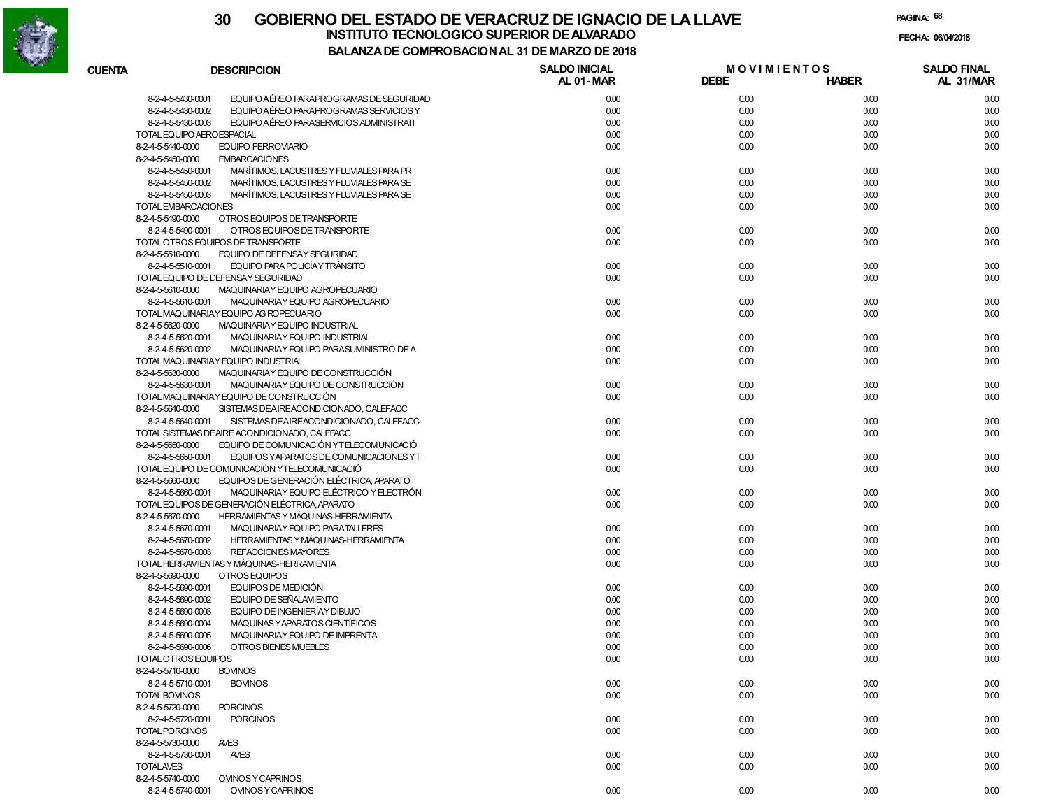

|                   |                                                               | UMI INU DAVIU IN AL JI DL MAI     |                                   |              |                                 |
|-------------------|---------------------------------------------------------------|-----------------------------------|-----------------------------------|--------------|---------------------------------|
| <b>CUENTA</b>     | <b>DESCRIPCION</b>                                            | <b>SALDO INICIAL</b><br>AL 01-MAR | <b>MOVIMIENTOS</b><br><b>DEBE</b> | <b>HABER</b> | <b>SALDO FINAL</b><br>AL 31/MAR |
|                   | EQUIPO AÉREO PARAPROGRAMAS DE SEGURIDAD<br>8-2-4-5-5430-0001  | 0.00                              | 0.00                              | 0.00         | 0.00                            |
|                   | 8-2-4-5-5430-0002<br>EQUIPO AÉREO PARAPROGRAMAS SERVICIOS Y   | 0.00                              | 0.00                              | 0.00         | 0.00                            |
|                   | 8-2-4-5-5430-0003<br>EQUIPO AÉREO PARASERVICIOS ADMINISTRATI  | 0.00                              | 0.00                              | 0.00         | 0.00                            |
|                   | TOTAL EQUIPO AEROESPACIAL                                     | 0.00                              | 0.00                              | 0.00         | 0.00                            |
| 8-2-4-5-5440-0000 | <b>EQUIPO FERROVIARIO</b>                                     | 0.00                              | 0.00                              | 0.00         | 0.00                            |
| 8-2-4-5-5450-0000 | <b>EMBARCACIONES</b>                                          |                                   |                                   |              |                                 |
|                   | MARÍTIMOS, LACUSTRES Y FLUVIALES PARA PR<br>8-2-4-5-5450-0001 | 0.00                              | 0.00                              | 0.00         | 0.00                            |
|                   | MARÍTIMOS, LACUSTRES Y FLUVIALES PARA SE<br>8-2-4-5-5450-0002 | 0.00                              | 0.00                              | 0.00         | 0.00                            |
|                   | MARÍTIMOS, LACUSTRES Y FLUVIALES PARA SE<br>8-2-4-5-5450-0003 | 0.00                              | 0.00                              | 0.00         | 0.00                            |
|                   | TOTAL EMBARCACIONES                                           | 0.00                              | 0.00                              | 0.00         | 0.00                            |
| 8-2-4-5-5490-0000 | OTROS EQUIPOS DE TRANSPORTE                                   |                                   |                                   |              |                                 |
|                   | 8-2-4-5-5490-0001<br>OTROS EQUIPOS DE TRANSPORTE              | 0.00                              | 0.00                              | 0.00         | 0.00                            |
|                   | TOTAL OTROS EQUIPOS DE TRANSPORTE                             | 0.00                              | 0.00                              | 0.00         | 0.00                            |
| 8-2-4-5-5510-0000 | EQUIPO DE DEFENSAY SEGURIDAD                                  |                                   |                                   |              |                                 |
|                   | 8-2-4-5-5510-0001<br>EQUIPO PARA POLICÍAY TRÁNSITO            | 0.00                              | 0.00                              | 0.00         | 0.00                            |
|                   |                                                               |                                   |                                   |              |                                 |
|                   | TOTAL EQUIPO DE DEFENSAY SEGURIDAD                            | 0.00                              | 0.00                              | 0.00         | 0.00                            |
| 8-2-4-5-5610-0000 | MAQUINARIAY EQUIPO AGROPECUARIO                               |                                   |                                   |              |                                 |
|                   | 8-2-4-5-5610-0001<br>MAQUINARIAY EQUIPO AGROPECUARIO          | 0.00                              | 0.00                              | 0.00         | 0.00                            |
|                   | TOTAL MAQUINARIAY EQUIPO AG ROPECUARIO                        | 0.00                              | 0.00                              | 0.00         | 0.00                            |
| 8-2-4-5-5620-0000 | MAQUINARIAY EQUIPO INDUSTRIAL                                 |                                   |                                   |              |                                 |
|                   | 8-2-4-5-5620-0001<br>MAQUINARIAY EQUIPO INDUSTRIAL            | 0.00                              | 0.00                              | 0.00         | 0.00                            |
|                   | 8-2-4-5-5620-0002<br>MAQUINARIAY EQUIPO PARASUMINISTRO DE A   | 0.00                              | 0.00                              | 0.00         | 0.00                            |
|                   | TOTAL MAQUINARIAY EQUIPO INDUSTRIAL                           | 0.00                              | 0.00                              | 0.00         | 0.00                            |
| 8-2-4-5-5630-0000 | MAQUINARIAY EQUIPO DE CONSTRUCCIÓN                            |                                   |                                   |              |                                 |
|                   | MAQUINARIAY EQUIPO DE CONSTRUCCIÓN<br>8-2-4-5-5630-0001       | 0.00                              | 0.00                              | 0.00         | 0.00                            |
|                   | TOTAL MAQUINARIAY EQUIPO DE CONSTRUCCIÓN                      | 0.00                              | 0.00                              | 0.00         | 0.00                            |
| 8-2-4-5-5640-0000 | SISTEMAS DEAIREACONDICIONADO, CALEFACC                        |                                   |                                   |              |                                 |
|                   | SISTEMAS DEAIREACONDICIONADO, CALEFACC<br>8-2-4-5-5640-0001   | 0.00                              | 0.00                              | 0.00         | 0.00                            |
|                   | TOTAL SISTEMAS DEAIRE ACONDICIONADO. CALEFACC                 | 0.00                              | 0.00                              | 0.00         | 0.00                            |
| 8-2-4-5-5650-0000 | EQUIPO DE COMUNICACIÓN YTELECOMUNICACIÓ                       |                                   |                                   |              |                                 |
|                   | 8-2-4-5-5650-0001<br>EQUIPOS YAPARATOS DE COMUNICACIONES YT   | 0.00                              | 0.00                              | 0.00         | 0.00                            |
|                   | TOTAL EQUIPO DE COMUNICACIÓN YTELECOMUNICACIÓ                 | 0.00                              | 0.00                              | 0.00         | 0.00                            |
| 8-2-4-5-5660-0000 | EQUIPOS DE GENERACIÓN ELÉCTRICA, APARATO                      |                                   |                                   |              |                                 |
|                   | 8-2-4-5-5660-0001<br>MAQUINARIAY EQUIPO ELÉCTRICO Y ELECTRÓN  | 0.00                              | 0.00                              | 0.00         | 0.00                            |
|                   | TOTAL EQUIPOS DE GENERACIÓN ELÉCTRICA, APARATO                | 0.00                              | 0.00                              | 0.00         | 0.00                            |
| 8-2-4-5-5670-0000 | HERRAMIENTAS Y MÁQUINAS-HERRAMIENTA                           |                                   |                                   |              |                                 |
|                   | MAQUINARIAY EQUIPO PARATALLERES<br>8-2-4-5-5670-0001          | 0.00                              | 0.00                              | 0.00         | 0.00                            |
|                   | 8-2-4-5-5670-0002<br>HERRAMIENTAS Y MÁQUINAS-HERRAMIENTA      | 0.00                              | 0.00                              | 0.00         | 0.00                            |
|                   | 8-2-4-5-5670-0003<br>REFACCION ES MAYORES                     | 0.00                              | 0.00                              | 0.00         | 0.00                            |
|                   | TOTAL HERRAMIENTAS Y MÁQUINAS-HERRAMIENTA                     | 0.00                              | 0.00                              | 0.00         | 0.00                            |
| 8-2-4-5-5690-0000 | OTROS EQUIPOS                                                 |                                   |                                   |              |                                 |
|                   | EQUIPOS DE MEDICIÓN<br>8-2-4-5-5690-0001                      | 0.00                              | 0.00                              | 0.00         | 0.00                            |
|                   | 8-2-4-5-5690-0002<br>EQUIPO DE SEÑALAMIENTO                   | 0.00                              | 0.00                              | 0.00         | 0.00                            |
|                   | EQUIPO DE INGENIERÍAY DIBUJO<br>8-2-4-5-5690-0003             | 0.00                              | 0.00                              | 0.00         | 0.00                            |
|                   | MÁQUINAS Y APARATOS CIENTÍFICOS<br>8-2-4-5-5690-0004          | 0.00                              | 0.00                              | 0.00         | 0.00                            |
|                   | 8-2-4-5-5690-0005<br>MAQUINARIAY EQUIPO DE IMPRENTA           | 0.00                              | 0.00                              | 0.00         | 0.00                            |
|                   | 8-2-4-5-5690-0006<br>OTROS BIENES MUEBLES                     | 0.00                              | 0.00                              | 0.00         | 0.00                            |
|                   | TOTAL OTROS EQUIPOS                                           | 0.00                              | 0.00                              | 0.00         | 0.00                            |
| 8-2-4-5-5710-0000 | <b>BOVINOS</b>                                                |                                   |                                   |              |                                 |
|                   | 8-2-4-5-5710-0001<br><b>BOVINOS</b>                           | 0.00                              | 0.00                              | 0.00         | 0.00                            |
| TOTAL BOVINOS     |                                                               | 0.00                              | 0.00                              | 0.00         | 0.00                            |
| 8-2-4-5-5720-0000 | <b>PORCINOS</b>                                               |                                   |                                   |              |                                 |
|                   | 8-2-4-5-5720-0001<br><b>PORCINOS</b>                          | 0.00                              | 0.00                              | 0.00         | 0.00                            |
| TOTAL PORCINOS    |                                                               | 0.00                              | 0.00                              | 0.00         | 0.00                            |
| 8-2-4-5-5730-0000 | <b>AVES</b>                                                   |                                   |                                   |              |                                 |
|                   | 8-2-4-5-5730-0001<br><b>AVES</b>                              |                                   |                                   | 0.00         |                                 |
| <b>TOTALAVES</b>  |                                                               | 0.00                              | 0.00                              |              | 0.00                            |
|                   |                                                               | 0.00                              | 0.00                              | 0.00         | 0.00                            |
| 8-2-4-5-5740-0000 | OVINOS Y CAPRINOS                                             |                                   |                                   |              |                                 |
|                   | 8-2-4-5-5740-0001<br>OVINOS Y CAPRINOS                        | 0.00                              | 0.00                              | 0.00         | 0.00                            |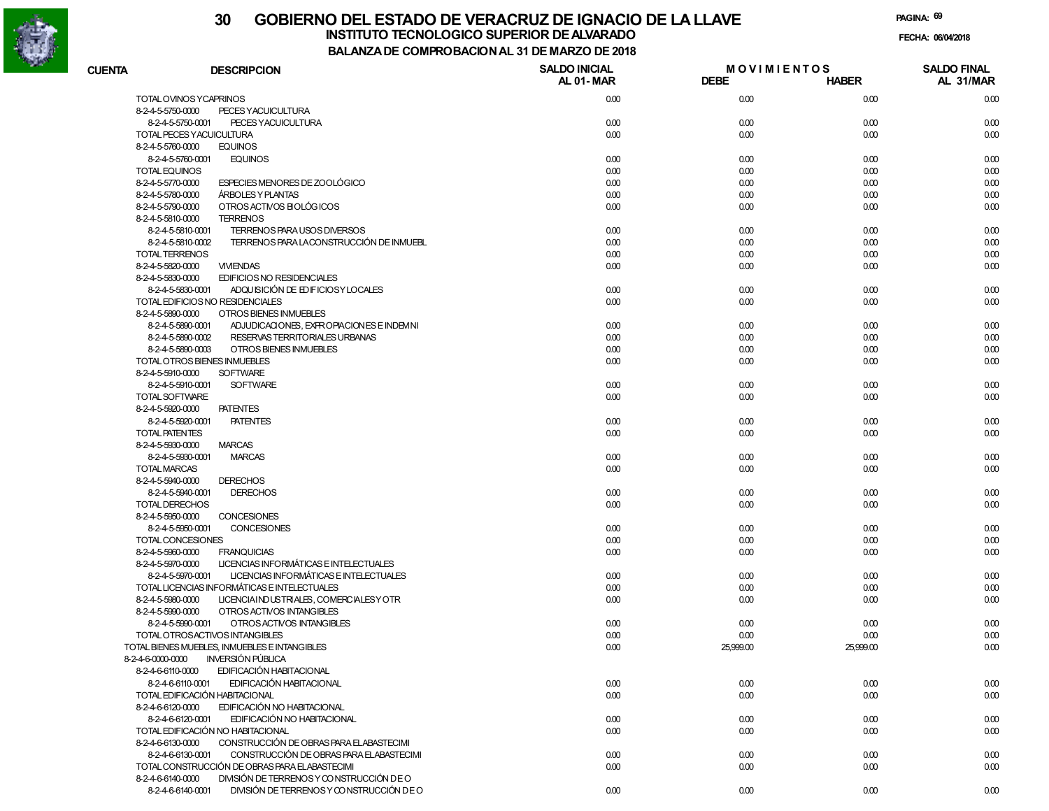

# **30 GOBIERNO DEL ESTADO DE VERACRUZ DE IGNACIO DE LA LLAVEFECHA: 06/04/2018 INSTITUTO TECNOLOGICO SUPERIOR DE ALVARADO**

**PAGINA:69**

**BALANZA DE COMPROBACION AL 31 DE MARZO DE 2018**

| <b>CUENTA</b>                       | <b>DESCRIPCION</b>                                            | <b>SALDO INICIAL</b><br><b>AL 01-MAR</b> | <b>MOVIMIENTOS</b><br><b>DEBE</b> | <b>HABER</b> | <b>SALDO FINAL</b><br>AL 31/MAR |
|-------------------------------------|---------------------------------------------------------------|------------------------------------------|-----------------------------------|--------------|---------------------------------|
|                                     |                                                               |                                          |                                   |              |                                 |
|                                     | TOTAL OVINOS YCAPRINOS                                        | 0.00                                     | 0.00                              | 0.00         | 0.00                            |
| 8-2-4-5-5750-0000                   | PECES YACUICULTURA                                            |                                          |                                   |              |                                 |
|                                     | 8-2-4-5-5750-0001<br>PECES YACUICULTURA                       | 0.00                                     | 0.00                              | 0.00         | 0.00                            |
|                                     | TOTAL PECES YACUICULTURA                                      | 0.00                                     | 0.00                              | 0.00         | 0.00                            |
| 8-2-4-5-5760-0000                   | <b>EQUINOS</b>                                                |                                          |                                   |              |                                 |
|                                     | 8-2-4-5-5760-0001<br><b>EQUINOS</b>                           | 0.00                                     | 0.00                              | 0.00         | 0.00                            |
| <b>TOTAL EQUINOS</b>                |                                                               | 0.00                                     | 0.00                              | 0.00         | 0.00                            |
| 8-2-4-5-5770-0000                   | ESPECIES MENORES DE ZOOLÓGICO                                 | 0.00                                     | 0.00                              | 0.00         | 0.00                            |
| 8-2-4-5-5780-0000                   | <b>ÁRBOLES Y PLANTAS</b>                                      | 0.00                                     | 0.00                              | 0.00         | 0.00                            |
| 8-2-4-5-5790-0000                   | OTROS ACTIVOS EI OLÓGICOS                                     | 0.00                                     | 0.00                              | 0.00         | 0.00                            |
| 8-2-4-5-5810-0000                   | <b>TERRENOS</b>                                               |                                          |                                   |              |                                 |
|                                     | 8-2-4-5-5810-0001<br>TERRENOS PARA USOS DIVERSOS              | 0.00                                     | 0.00                              | 0.00         | 0.00                            |
|                                     | 8-2-4-5-5810-0002<br>TERRENOS PARA LACONSTRUCCIÓN DE INMUEBL  | 0.00                                     | 0.00                              | 0.00         | 0.00                            |
| <b>TOTAL TERRENOS</b>               |                                                               | 0.00                                     | 0.00                              | 0.00         | 0.00                            |
| 8-2-4-5-5820-0000                   | <b>VIVIENDAS</b>                                              | 0.00                                     | 0.00                              | 0.00         | 0.00                            |
| 8-2-4-5-5830-0000                   | <b>EDIFICIOS NO RESIDENCIALES</b>                             |                                          |                                   |              |                                 |
|                                     | ADQUISICIÓN DE ED FICIOSY LOCALES<br>8-2-4-5-5830-0001        | 0.00                                     | 0.00                              | 0.00         | 0.00                            |
|                                     | TOTAL EDIFICIOS NO RESIDENCIALES                              | 0.00                                     | 0.00                              | 0.00         | 0.00                            |
| 8-2-4-5-5890-0000                   | OTROS BIENES INMUEBLES                                        |                                          |                                   |              |                                 |
|                                     | 8-2-4-5-5890-0001<br>ADJUDICACIONES, EXPROPIACIONES E INDEMNI | 0.00                                     | 0.00                              | 0.00         | 0.00                            |
|                                     | 8-2-4-5-5890-0002<br>RESERVAS TERRITORIALES URBANAS           | 0.00                                     | 0.00                              | 0.00         | 0.00                            |
|                                     | 8-2-4-5-5890-0003<br>OTROS BIENES INMUEBLES                   | 0.00                                     | 0.00                              | 0.00         | 0.00                            |
|                                     | TOTAL OTROS BIENES INMUEBLES                                  | 0.00                                     | 0.00                              | 0.00         | 0.00                            |
| 8-2-4-5-5910-0000                   | <b>SOFTWARE</b>                                               |                                          |                                   |              |                                 |
|                                     | 8-2-4-5-5910-0001<br><b>SOFTWARE</b>                          | 0.00                                     | 0.00                              | 0.00         | 0.00                            |
| TOTAL SOFTWARE                      |                                                               | 0.00                                     | 0.00                              | 0.00         | 0.00                            |
| 8-2-4-5-5920-0000                   | <b>PATENTES</b>                                               |                                          |                                   |              |                                 |
|                                     | 8-2-4-5-5920-0001<br><b>PATENTES</b>                          | 0.00                                     | 0.00                              | 0.00         | 0.00                            |
| TOTAL PATENTES                      |                                                               | 0.00                                     | 0.00                              | 0.00         | 0.00                            |
| 8-2-4-5-5930-0000                   | <b>MARCAS</b>                                                 |                                          |                                   |              |                                 |
|                                     | 8-2-4-5-5930-0001<br><b>MARCAS</b>                            | 0.00                                     | 0.00                              | 0.00         | 0.00                            |
| <b>TOTAL MARCAS</b>                 |                                                               | 0.00                                     | 0.00                              | 0.00         | 0.00                            |
| 8-2-4-5-5940-0000                   | <b>DERECHOS</b><br>8-2-4-5-5940-0001<br><b>DERECHOS</b>       | 0.00                                     | 0.00                              | 0.00         | 0.00                            |
|                                     |                                                               |                                          |                                   |              |                                 |
| TOTAL DERECHOS<br>8-2-4-5-5950-0000 | <b>CONCESIONES</b>                                            | 0.00                                     | 0.00                              | 0.00         | 0.00                            |
|                                     | 8-2-4-5-5950-0001<br>CONCESIONES                              | 0.00                                     | 0.00                              | 0.00         |                                 |
|                                     | TOTAL CONCESIONES                                             | 0.00                                     | 0.00                              | 0.00         | 0.00<br>0.00                    |
| 8-2-4-5-5960-0000                   | <b>FRANQUICIAS</b>                                            | 0.00                                     | 0.00                              | 0.00         | 0.00                            |
| 8-2-4-5-5970-0000                   | LICENCIAS INFORMÁTICAS E INTELECTUALES                        |                                          |                                   |              |                                 |
|                                     | 8-2-4-5-5970-0001<br>LICENCIAS INFORMÁTICAS E INTELECTUALES   | 0.00                                     | 0.00                              | 0.00         | 0.00                            |
|                                     | TOTAL LICENCIAS INFORMÁTICAS E INTELECTUALES                  | 0.00                                     | 0.00                              | 0.00         | 0.00                            |
| 8-2-4-5-5980-0000                   | LICENCIAIND USTRIALES, COMERCIALESY OTR                       | 0.00                                     | 0.00                              | 0.00         | 0.00                            |
| 8-2-4-5-5990-0000                   | OTROS ACTIVOS INTANGIBLES                                     |                                          |                                   |              |                                 |
|                                     | 8-2-4-5-5990-0001<br>OTROS ACTIVOS INTANGIBLES                | 0.00                                     | 0.00                              | 0.00         | 0.00                            |
|                                     | TOTAL OTROSACTIVOS INTANGIBLES                                | 0.00                                     | 0.00                              | 0.00         | 0.00                            |
|                                     | TOTAL BIENES MUEBLES, INMUEBLES E INTANGIBLES                 | 0.00                                     | 25,999.00                         | 25,999.00    | 0.00                            |
| 8-2-4-6-0000-0000                   | <b>INVERSION PUBLICA</b>                                      |                                          |                                   |              |                                 |
| 8-2-4-6-6110-0000                   | EDIFICACIÓN HABITACIONAL                                      |                                          |                                   |              |                                 |
|                                     | EDIFICACIÓN HABITACIONAL<br>8-2-4-6-6110-0001                 | 0.00                                     | 0.00                              | 0.00         | 0.00                            |
|                                     | TOTAL EDIFICACIÓN HABITACIONAL                                | 0.00                                     | 0.00                              | 0.00         | 0.00                            |
| 8-2-4-6-6120-0000                   | EDIFICACIÓN NO HABITACIONAL                                   |                                          |                                   |              |                                 |
|                                     | EDIFICACIÓN NO HABITACIONAL<br>8-2-4-6-6120-0001              | 0.00                                     | 0.00                              | 0.00         | 0.00                            |
|                                     | TOTAL EDIFICACIÓN NO HABITACIONAL                             | 0.00                                     | 0.00                              | 0.00         | 0.00                            |
| 8-2-4-6-6130-0000                   | CONSTRUCCIÓN DE OBRAS PARA ELABASTECIMI                       |                                          |                                   |              |                                 |
|                                     | CONSTRUCCIÓN DE OBRAS PARA ELABASTECIMI<br>8-2-4-6-6130-0001  | 0.00                                     | 0.00                              | 0.00         | 0.00                            |
|                                     | TOTAL CONSTRUCCIÓN DE OBRAS PARA ELABASTECIMI                 | 0.00                                     | 0.00                              | 0.00         | 0.00                            |
| 8-2-4-6-6140-0000                   | DIVISIÓN DE TERRENOS Y CONSTRUCCIÓN DE O                      |                                          |                                   |              |                                 |
|                                     | DIVISIÓN DE TERRENOS Y CONSTRUCCIÓN DE O<br>8-2-4-6-6140-0001 | 0.00                                     | 0.00                              | 0.00         | 0.00                            |
|                                     |                                                               |                                          |                                   |              |                                 |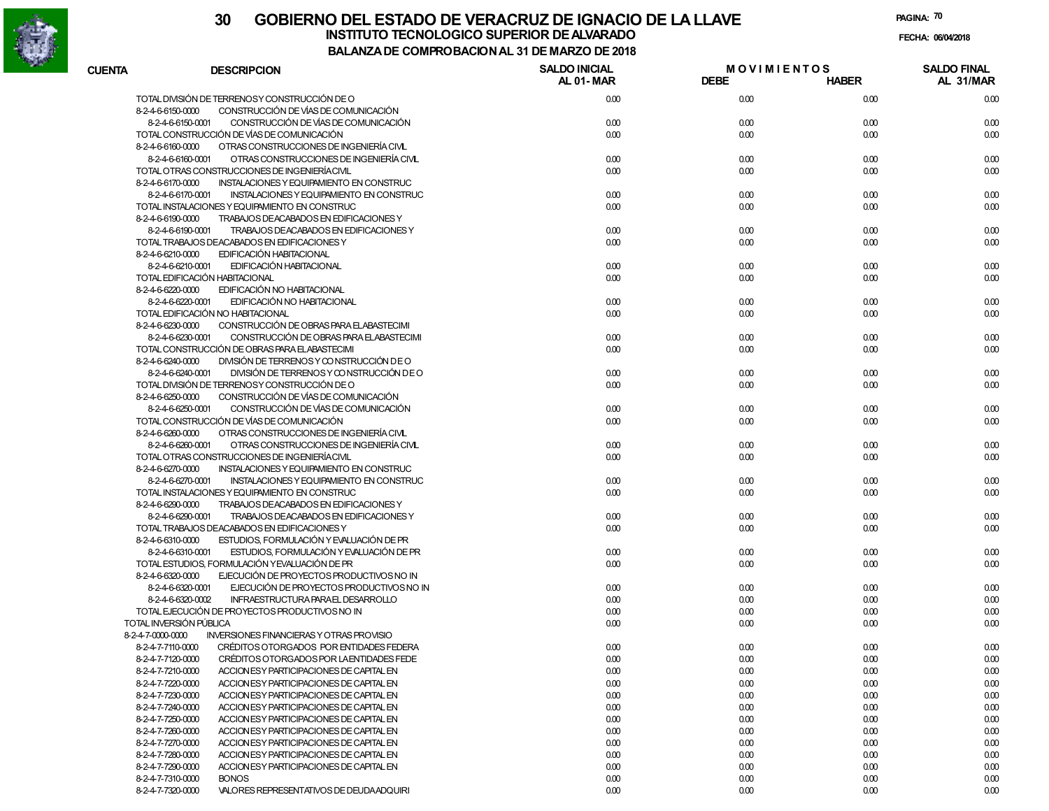

|               |                                                                                                             | 9981186 91 DE 1181                       |                                   |              |                                 |
|---------------|-------------------------------------------------------------------------------------------------------------|------------------------------------------|-----------------------------------|--------------|---------------------------------|
| <b>CUENTA</b> | <b>DESCRIPCION</b>                                                                                          | <b>SALDO INICIAL</b><br><b>AL 01-MAR</b> | <b>MOVIMIENTOS</b><br><b>DEBE</b> | <b>HABER</b> | <b>SALDO FINAL</b><br>AL 31/MAR |
|               | TOTAL DIVISIÓN DE TERRENOSY CONSTRUCCIÓN DE O                                                               | 0.00                                     | 0.00                              | 0.00         | 0.00                            |
|               | 8-2-4-6-6150-0000<br>CONSTRUCCIÓN DE VÍAS DE COMUNICACIÓN                                                   |                                          |                                   |              |                                 |
|               | 8-2-4-6-6150-0001<br>CONSTRUCCIÓN DE VÍAS DE COMUNICACIÓN                                                   | 0.00                                     | 0.00                              | 0.00         | 0.00                            |
|               | TOTAL CONSTRUCCIÓN DE VÍAS DE COMUNICACIÓN                                                                  | 0.00                                     | 0.00                              | 0.00         | 0.00                            |
|               | 8-2-4-6-6160-0000<br>OTRAS CONSTRUCCIONES DE INGENIERÍA CIVL                                                |                                          |                                   |              |                                 |
|               | 8-2-4-6-6160-0001<br>OTRAS CONSTRUCCIONES DE INGENIERÍA CIVL                                                | 0.00                                     | 0.00                              | 0.00         | 0.00                            |
|               | TOTAL OTRAS CONSTRUCCIONES DE INGENIERÍACIVIL                                                               | 0.00                                     | 0.00                              | 0.00         | 0.00                            |
|               | 8-2-4-6-6170-0000<br>INSTALACIONES Y EQUIPAMIENTO EN CONSTRUC                                               |                                          |                                   |              |                                 |
|               | INSTALACIONES Y EQUIPAMIENTO EN CONSTRUC<br>8-2-4-6-6170-0001                                               | 0.00                                     | 0.00                              | 0.00         | 0.00                            |
|               | TOTAL INSTALACIONES Y EQUIPAMIENTO EN CONSTRUC                                                              | 0.00                                     | 0.00                              | 0.00         | 0.00                            |
|               | 8-2-4-6-6190-0000<br>TRABAJOS DEACABADOS EN EDIFICACIONES Y                                                 |                                          |                                   |              |                                 |
|               | TRABAJOS DEACABADOS EN EDIFICACIONES Y<br>8-2-4-6-6190-0001<br>TOTAL TRABAJOS DEACABADOS EN EDIFICACIONES Y | 0.00<br>0.00                             | 0.00                              | 0.00<br>0.00 | 0.00<br>0.00                    |
|               | 8-2-4-6-6210-0000<br>EDIFICACIÓN HABITACIONAL                                                               |                                          | 0.00                              |              |                                 |
|               | 8-2-4-6-6210-0001<br>EDIFICACIÓN HABITACIONAL                                                               | 0.00                                     | 0.00                              | 0.00         | 0.00                            |
|               | TOTAL EDIFICACIÓN HABITACIONAL                                                                              | 0.00                                     | 0.00                              | 0.00         | 0.00                            |
|               | 8-2-4-6-6220-0000<br>EDIFICACIÓN NO HABITACIONAL                                                            |                                          |                                   |              |                                 |
|               | 8-2-4-6-6220-0001<br>EDIFICACIÓN NO HABITACIONAL                                                            | 0.00                                     | 0.00                              | 0.00         | 0.00                            |
|               | TOTAL EDIFICACIÓN NO HABITACIONAL                                                                           | 0.00                                     | 0.00                              | 0.00         | 0.00                            |
|               | 8-2-4-6-6230-0000<br>CONSTRUCCIÓN DE OBRAS PARA ELABASTECIMI                                                |                                          |                                   |              |                                 |
|               | 8-2-4-6-6230-0001<br>CONSTRUCCIÓN DE OBRAS PARA ELABASTECIMI                                                | 0.00                                     | 0.00                              | 0.00         | 0.00                            |
|               | TOTAL CONSTRUCCIÓN DE OBRAS PARA ELABASTECIMI                                                               | 0.00                                     | 0.00                              | 0.00         | 0.00                            |
|               | 8-2-4-6-6240-0000<br>DIVISIÓN DE TERRENOS Y CONSTRUCCIÓN DE O                                               |                                          |                                   |              |                                 |
|               | DIVISIÓN DE TERRENOS Y CONSTRUCCIÓN DE O<br>8-2-4-6-6240-0001                                               | 0.00                                     | 0.00                              | 0.00         | 0.00                            |
|               | TOTAL DIVISIÓN DE TERRENOSY CONSTRUCCIÓN DE O                                                               | 0.00                                     | 0.00                              | 0.00         | 0.00                            |
|               | 8-2-4-6-6250-0000<br>CONSTRUCCIÓN DE VÍAS DE COMUNICACIÓN                                                   |                                          |                                   |              |                                 |
|               | CONSTRUCCIÓN DE VÍAS DE COMUNICACIÓN<br>8-2-4-6-6250-0001                                                   | 0.00                                     | 0.00                              | 0.00         | 0.00                            |
|               | TOTAL CONSTRUCCIÓN DE VÍAS DE COMUNICACIÓN                                                                  | 0.00                                     | 0.00                              | 0.00         | 0.00                            |
|               | 8-2-4-6-6260-0000<br>OTRAS CONSTRUCCIONES DE INGENIERÍA CIVL                                                |                                          |                                   |              |                                 |
|               | 8-2-4-6-6260-0001<br>OTRAS CONSTRUCCIONES DE INGENIERÍA CIVL                                                | 0.00                                     | 0.00                              | 0.00         | 0.00                            |
|               | TOTAL OTRAS CONSTRUCCIONES DE INGENIERÍACIVIL                                                               | 0.00                                     | 0.00                              | 0.00         | 0.00                            |
|               | 8-2-4-6-6270-0000<br>INSTALACIONES Y EQUIPAMIENTO EN CONSTRUC                                               |                                          |                                   |              |                                 |
|               | 8-2-4-6-6270-0001<br>INSTALACIONES Y EQUIPAMIENTO EN CONSTRUC                                               | 0.00                                     | 0.00                              | 0.00         | 0.00                            |
|               | TOTAL INSTALACIONES Y EQUIPAMIENTO EN CONSTRUC                                                              | 0.00                                     | 0.00                              | 0.00         | 0.00                            |
|               | 8-2-4-6-6290-0000<br>TRABAJOS DEACABADOS EN EDIFICACIONES Y<br>TRABAJOS DEACABADOS EN EDIFICACIONES Y       | 0.00                                     | 0.00                              | 0.00         |                                 |
|               | 8-2-4-6-6290-0001<br>TOTAL TRABAJOS DEACABADOS EN EDIFICACIONES Y                                           | 0.00                                     | 0.00                              | 0.00         | 0.00<br>0.00                    |
|               | 8-2-4-6-6310-0000<br>ESTUDIOS, FORMULACIÓN Y EVALUACIÓN DE PR                                               |                                          |                                   |              |                                 |
|               | 8-2-4-6-6310-0001<br>ESTUDIOS, FORMULACIÓN Y EVALUACIÓN DE PR                                               | 0.00                                     | 0.00                              | 0.00         | 0.00                            |
|               | TOTAL ESTUDIOS, FORMULACIÓN YEVALUACIÓN DE PR                                                               | 0.00                                     | 0.00                              | 0.00         | 0.00                            |
|               | 8-2-4-6-6320-0000<br>EJECUCIÓN DE PROYECTOS PRODUCTIVOS NO IN                                               |                                          |                                   |              |                                 |
|               | EJECUCIÓN DE PROYECTOS PRODUCTIVOS NO IN<br>8-2-4-6-6320-0001                                               | 0.00                                     | 0.00                              | 0.00         | 0.00                            |
|               | INFRAESTRUCTURA PARAEL DESARROLLO<br>8-2-4-6-6320-0002                                                      | 0.00                                     | 0.00                              | 0.00         | 0.00                            |
|               | TOTAL EJECUCIÓN DE PROYECTOS PRODUCTIVOS NO IN                                                              | 0.00                                     | 0.00                              | 0.00         | 0.00                            |
|               | TOTAL INVERSIÓN PÚBLICA                                                                                     | 0.00                                     | 0.00                              | 0.00         | 0.00                            |
|               | 8-2-4-7-0000-0000<br><b>INVERSIONES FINANCIERAS Y OTRAS PROVISIO</b>                                        |                                          |                                   |              |                                 |
|               | CRÉDITOS OTORGADOS POR ENTIDADES FEDERA<br>8-2-4-7-7110-0000                                                | 0.00                                     | 0.00                              | 0.00         | 0.00                            |
|               | 8-2-4-7-7120-0000<br>CRÉDITOS OTORGADOS POR LA ENTIDADES FEDE                                               | 0.00                                     | 0.00                              | 0.00         | 0.00                            |
|               | 8-2-4-7-7210-0000<br>ACCION ES Y PARTICIPACIONES DE CAPITAL EN                                              | 0.00                                     | 0.00                              | 0.00         | 0.00                            |
|               | 8-2-4-7-7220-0000<br>ACCION ESY PARTICIPACIONES DE CAPITAL EN                                               | 0.00                                     | 0.00                              | 0.00         | 0.00                            |
|               | 8-2-4-7-7230-0000<br>ACCION ES Y PARTICIPACIONES DE CAPITAL EN                                              | 0.00                                     | 0.00                              | 0.00         | 0.00                            |
|               | 8-2-4-7-7240-0000<br>ACCION ESY PARTICIPACIONES DE CAPITAL EN                                               | 0.00                                     | 0.00                              | 0.00         | 0.00                            |
|               | 8-2-4-7-7250-0000<br>ACCION ES Y PARTICIPACIONES DE CAPITAL EN                                              | 0.00                                     | 0.00                              | 0.00         | 0.00                            |
|               | 8-2-4-7-7260-0000<br>ACCION ESY PARTICIPACIONES DE CAPITAL EN                                               | 0.00                                     | 0.00                              | 0.00         | 0.00                            |
|               | 8-2-4-7-7270-0000<br>ACCION ES Y PARTICIPACIONES DE CAPITAL EN                                              | 0.00                                     | 0.00                              | 0.00         | 0.00                            |
|               | 8-2-4-7-7280-0000<br>ACCION ESY PARTICIPACIONES DE CAPITAL EN                                               | 0.00                                     | 0.00                              | 0.00         | 0.00                            |
|               | 8-2-4-7-7290-0000<br>ACCION ES Y PARTICIPACIONES DE CAPITAL EN                                              | 0.00                                     | 0.00                              | 0.00         | 0.00                            |
|               | 8-2-4-7-7310-0000<br><b>BONOS</b>                                                                           | 0.00                                     | 0.00                              | 0.00         | 0.00                            |
|               | 8-2-4-7-7320-0000<br>VALORES REPRESENTATIVOS DE DEUDA ADQUIRI                                               | 0.00                                     | 0.00                              | 0.00         | 0.00                            |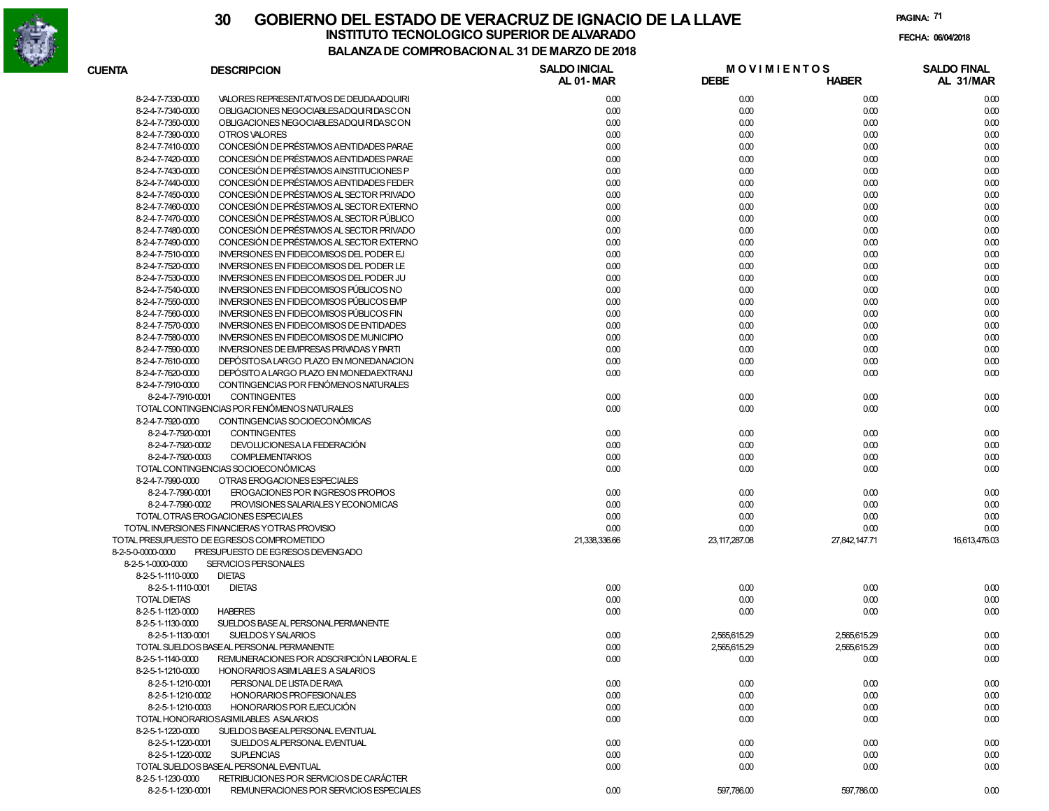

| <b>CUENTA</b>     |                     | <b>DESCRIPCION</b>                              | <b>SALDO INICIAL</b><br>AL 01-MAR | <b>DEBE</b>     | <b>MOVIMIENTOS</b><br><b>HABER</b> | <b>SALDO FINAL</b><br>AL 31/MAR |
|-------------------|---------------------|-------------------------------------------------|-----------------------------------|-----------------|------------------------------------|---------------------------------|
|                   | 8-2-4-7-7330-0000   | VALORES REPRESENTATIVOS DE DEUDA ADQUIRI        | 0.00                              | 0.00            | 0.00                               | 0.00                            |
|                   | 8-2-4-7-7340-0000   | OBLIGACIONES NEGOCIABLESADQUIRIDASCON           | 0.00                              | 0.00            | 0.00                               | 0.00                            |
|                   | 8-2-4-7-7350-0000   | OBLIGACIONES NEGOCIABLESADQUIRIDASCON           | 0.00                              | 0.00            | 0.00                               | 0.00                            |
|                   | 8-2-4-7-7390-0000   | OTROS VALORES                                   | 0.00                              | 0.00            | 0.00                               | 0.00                            |
|                   | 8-2-4-7-7410-0000   | CONCESIÓN DE PRÉSTAMOS A ENTIDADES PARAE        | 0.00                              | 0.00            | 0.00                               | 0.00                            |
|                   | 8-2-4-7-7420-0000   | CONCESIÓN DE PRÉSTAMOS A ENTIDADES PARAE        | 0.00                              | 0.00            | 0.00                               | 0.00                            |
|                   | 8-2-4-7-7430-0000   | CONCESIÓN DE PRÉSTAMOS AINSTITUCIONES P         | 0.00                              | 0.00            | 0.00                               | 0.00                            |
|                   | 8-2-4-7-7440-0000   | CONCESIÓN DE PRÉSTAMOS A ENTIDADES FEDER        | 0.00                              | 0.00            | 0.00                               | 0.00                            |
|                   | 8-2-4-7-7450-0000   | CONCESIÓN DE PRÉSTAMOS AL SECTOR PRIVADO        | 0.00                              | 0.00            | 0.00                               | 0.00                            |
|                   | 8-2-4-7-7460-0000   | CONCESIÓN DE PRÉSTAMOS AL SECTOR EXTERNO        | 0.00                              | 0.00            | 0.00                               | 0.00                            |
|                   | 8-2-4-7-7470-0000   | CONCESIÓN DE PRÉSTAMOS AL SECTOR PÚBLICO        | 0.00                              | 0.00            | 0.00                               | 0.00                            |
|                   | 8-2-4-7-7480-0000   | CONCESIÓN DE PRÉSTAMOS AL SECTOR PRIVADO        | 0.00                              | 0.00            | 0.00                               | 0.00                            |
|                   | 8-2-4-7-7490-0000   | CONCESIÓN DE PRÉSTAMOS AL SECTOR EXTERNO        | 0.00                              | 0.00            | 0.00                               | 0.00                            |
|                   | 8-2-4-7-7510-0000   | INVERSIONES EN FIDEICOMISOS DEL PODER EJ        | 0.00                              | 0.00            | 0.00                               | 0.00                            |
|                   | 8-2-4-7-7520-0000   | INVERSIONES EN FIDEICOMISOS DEL PODER LE        | 0.00                              | 0.00            | 0.00                               | 0.00                            |
|                   | 8-2-4-7-7530-0000   | <b>INVERSIONES EN FIDEICOMISOS DEL PODER JU</b> | 0.00                              | 0.00            | 0.00                               | 0.00                            |
|                   | 8-2-4-7-7540-0000   | INVERSIONES EN FIDEICOMISOS PÚBLICOS NO         | 0.00                              | 0.00            | 0.00                               | 0.00                            |
|                   | 8-2-4-7-7550-0000   | <b>INVERSIONES EN FIDEICOMISOS PÚBLICOS EMP</b> | 0.00                              | 0.00            | 0.00                               | 0.00                            |
|                   | 8-2-4-7-7560-0000   | INVERSIONES EN FIDEICOMISOS PÚBLICOS FIN        | 0.00                              | 0.00            | 0.00                               | 0.00                            |
|                   | 8-2-4-7-7570-0000   | <b>INVERSIONES EN FIDEICOMISOS DE ENTIDADES</b> | 0.00                              | 0.00            | 0.00                               | 0.00                            |
|                   | 8-2-4-7-7580-0000   | INVERSIONES EN FIDEICOMISOS DE MUNICIPIO        | 0.00                              | 0.00            | 0.00                               | 0.00                            |
|                   | 8-2-4-7-7590-0000   | <b>INVERSIONES DE EMPRESAS PRIVADAS Y PARTI</b> | 0.00                              | 0.00            | 0.00                               | 0.00                            |
|                   | 8-2-4-7-7610-0000   | DEPÓSITOSA LARGO PLAZO EN MONEDANACION          | 0.00                              | 0.00            | 0.00                               | 0.00                            |
|                   | 8-2-4-7-7620-0000   | DEPÓSITO A LARGO PLAZO EN MONEDA EXTRANJ        | 0.00                              | 0.00            | 0.00                               | 0.00                            |
|                   | 8-2-4-7-7910-0000   | CONTINGENCIAS POR FENÓMENOS NATURALES           |                                   |                 |                                    |                                 |
|                   | 8-2-4-7-7910-0001   | <b>CONTINGENTES</b>                             | 0.00                              | 0.00            | 0.00                               | 0.00                            |
|                   |                     | TOTAL CONTINGENCIAS POR FENÓMENOS NATURALES     | 0.00                              | 0.00            | 0.00                               | 0.00                            |
|                   | 8-2-4-7-7920-0000   | CONTINGENCIAS SOCIOECONÓMICAS                   |                                   |                 |                                    |                                 |
|                   | 8-2-4-7-7920-0001   | <b>CONTINGENTES</b>                             | 0.00                              | 0.00            | 0.00                               | 0.00                            |
|                   | 8-2-4-7-7920-0002   | DEVOLUCIONESA LA FEDERACIÓN                     | 0.00                              | 0.00            | 0.00                               | 0.00                            |
|                   | 8-2-4-7-7920-0003   | <b>COMPLEMENTARIOS</b>                          | 0.00                              | 0.00            | 0.00                               | 0.00                            |
|                   |                     | TOTAL CONTINGENCIAS SOCIOECONÓMICAS             | 0.00                              | 0.00            | 0.00                               | 0.00                            |
|                   | 8-2-4-7-7990-0000   | OTRAS EROGACIONES ESPECIALES                    |                                   |                 |                                    |                                 |
|                   | 8-2-4-7-7990-0001   | EROGACIONES POR INGRESOS PROPIOS                | 0.00                              | 0.00            | 0.00                               | 0.00                            |
|                   | 8-2-4-7-7990-0002   | PROVISIONES SALARIALES Y ECONOMICAS             | 0.00                              | 0.00            | 0.00                               | 0.00                            |
|                   |                     | TOTAL OTRAS EROGACIONES ESPECIALES              | 0.00                              | 0.00            | 0.00                               | 0.00                            |
|                   |                     | TOTAL INVERSIONES FINANCIERAS YOTRAS PROVISIO   | 0.00                              | 0.00            | 0.00                               | 0.00                            |
|                   |                     | TOTAL PRESUPUESTO DE EGRESOS COMPROMETIDO       | 21,338,336.66                     | 23, 117, 287.08 | 27,842,147.71                      | 16,613,476.03                   |
| 8-2-5-0-0000-0000 |                     | PRESUPUESTO DE EGRESOS DEVENGADO                |                                   |                 |                                    |                                 |
|                   | 8-2-5-1-0000-0000   | SERVICIOS PERSONALES                            |                                   |                 |                                    |                                 |
|                   | 8-2-5-1-1110-0000   | <b>DIETAS</b>                                   |                                   |                 |                                    |                                 |
|                   | 8-2-5-1-1110-0001   | <b>DIETAS</b>                                   | 0.00                              | 0.00            | 0.00                               | 0.00                            |
|                   | <b>TOTAL DIETAS</b> |                                                 | 0.00                              | 0.00            | 0.00                               | 0.00                            |
|                   | 8-2-5-1-1120-0000   | <b>HABERES</b>                                  | 0.00                              | 0.00            | 0.00                               | 0.00                            |
|                   | 8-2-5-1-1130-0000   | SUELDOS BASE AL PERSONAL PERMANENTE             |                                   |                 |                                    |                                 |
|                   | 8-2-5-1-1130-0001   | SUELDOS Y SALARIOS                              | 0.00                              | 2,565,615.29    | 2,565,615.29                       | 0.00                            |
|                   |                     | TOTAL SUELDOS BASEAL PERSONAL PERMANENTE        | 0.00                              | 2,565,615.29    | 2,565,615.29                       | 0.00                            |
|                   | 8-2-5-1-1140-0000   | REMUNERACIONES POR ADSCRIPCIÓN LABORAL E        | 0.00                              | 0.00            | 0.00                               | 0.00                            |
|                   | 8-2-5-1-1210-0000   | HONORARIOS ASIMILABLES A SALARIOS               |                                   |                 |                                    |                                 |
|                   | 8-2-5-1-1210-0001   | PERSONAL DE LISTA DE RAYA                       | 0.00                              | 0.00            | 0.00                               | 0.00                            |
|                   | 8-2-5-1-1210-0002   | HONORARIOS PROFESIONALES                        | 0.00                              | 0.00            | 0.00                               | 0.00                            |
|                   | 8-2-5-1-1210-0003   | HONORARIOS POR EJECUCIÓN                        | 0.00                              | 0.00            | 0.00                               | 0.00                            |
|                   |                     | TOTAL HONORARIOSASIMILABLES ASALARIOS           | 0.00                              | 0.00            | 0.00                               | 0.00                            |
|                   | 8-2-5-1-1220-0000   | SUELDOS BASEALPERSONAL EVENTUAL                 |                                   |                 |                                    |                                 |
|                   | 8-2-5-1-1220-0001   | SUELDOS AL PERSONAL EVENTUAL                    | 0.00                              | 0.00            | 0.00                               | 0.00                            |
|                   | 8-2-5-1-1220-0002   | <b>SUPLENCIAS</b>                               | 0.00                              | 0.00            | 0.00                               | 0.00                            |
|                   |                     | TOTAL SUELDOS BASEAL PERSONAL EVENTUAL          | 0.00                              | 0.00            | 0.00                               | 0.00                            |
|                   | 8-2-5-1-1230-0000   | RETRIBUCIONES POR SERVICIOS DE CARÁCTER         |                                   |                 |                                    |                                 |
|                   | 8-2-5-1-1230-0001   | REMUNERACIONES POR SERVICIOS ESPECIALES         | 0.00                              | 597,786.00      | 597,786.00                         | 0.00                            |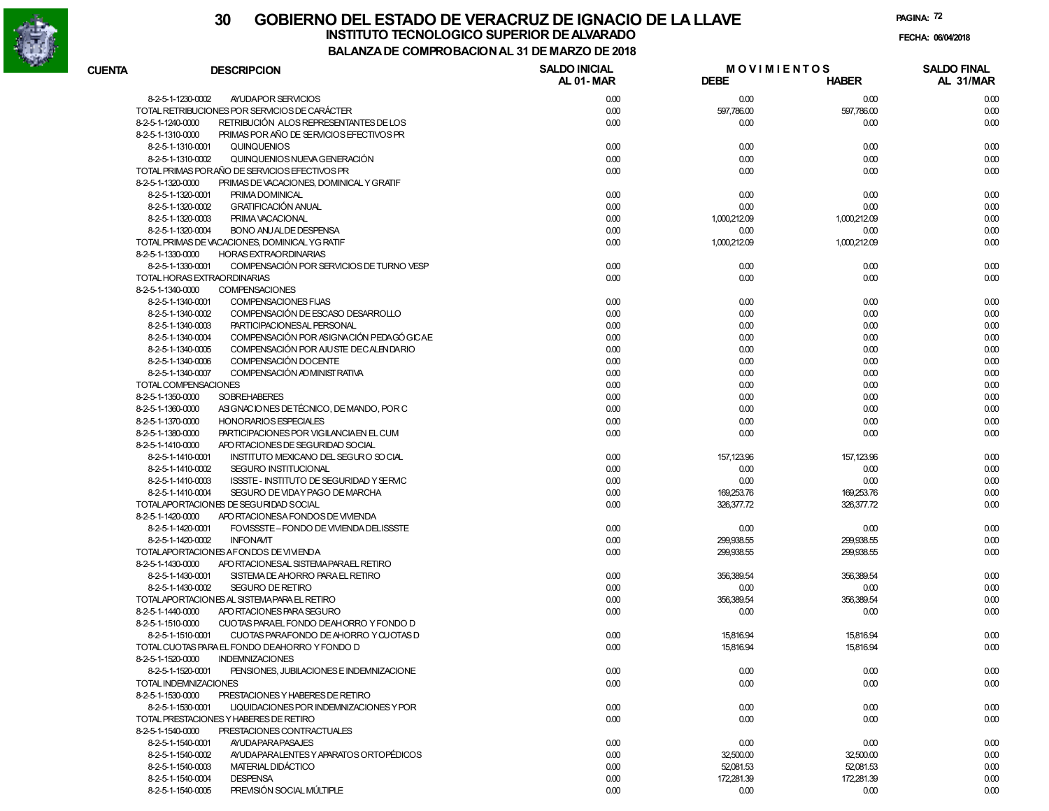

|                       |                                                | MI INY DAYIY NALIYI DLIMAI        |                                   |              |                                 |
|-----------------------|------------------------------------------------|-----------------------------------|-----------------------------------|--------------|---------------------------------|
| <b>CUENTA</b>         | <b>DESCRIPCION</b>                             | <b>SALDO INICIAL</b><br>AL 01-MAR | <b>MOVIMIENTOS</b><br><b>DEBE</b> | <b>HABER</b> | <b>SALDO FINAL</b><br>AL 31/MAR |
| 8-2-5-1-1230-0002     | AYUDAPOR SERVICIOS                             | 0.00                              | 0.00                              | 0.00         | 0.00                            |
|                       | TOTAL RETRIBUCIONES POR SERVICIOS DE CARÁCTER  | 0.00                              | 597,786.00                        | 597,786.00   | 0.00                            |
| 8-2-5-1-1240-0000     | RETRIBUCIÓN ALOS REPRESENTANTES DE LOS         | 0.00                              | 0.00                              | 0.00         | 0.00                            |
| 8-2-5-1-1310-0000     | PRIMAS POR AÑO DE SERVICIOS EFECTIVOS PR       |                                   |                                   |              |                                 |
| 8-2-5-1-1310-0001     | <b>QUINQUENIOS</b>                             | 0.00                              | 0.00                              | 0.00         | 0.00                            |
| 8-2-5-1-1310-0002     | QUINQUENIOS NUEVA GENERACIÓN                   | 0.00                              | 0.00                              | 0.00         | 0.00                            |
|                       | TOTAL PRIMAS PORAÑO DE SERVICIOS EFECTIVOS PR  | 0.00                              | 0.00                              | 0.00         | 0.00                            |
| 8-2-5-1-1320-0000     | PRIMAS DE VACACIONES, DOMINICAL Y GRATIF       |                                   |                                   |              |                                 |
| 8-2-5-1-1320-0001     | PRIMA DOMINICAL                                | 0.00                              | 0.00                              | 0.00         | 0.00                            |
| 8-2-5-1-1320-0002     | <b>GRATIFICACIÓN ANUAL</b>                     | 0.00                              | 0.00                              | 0.00         | 0.00                            |
| 8-2-5-1-1320-0003     | PRIMA VACACIONAL                               | 0.00                              | 1,000,212.09                      | 1.000.212.09 | 0.00                            |
| 8-2-5-1-1320-0004     | <b>BONO ANUALDE DESPENSA</b>                   | 0.00                              | 0.00                              | 0.00         | 0.00                            |
|                       | TOTAL PRIMAS DE VACACIONES, DOMINICAL YG RATIF | 0.00                              | 1,000,212.09                      | 1,000,212.09 | 0.00                            |
| 8-2-5-1-1330-0000     | <b>HORAS EXTRAORDINARIAS</b>                   |                                   |                                   |              |                                 |
| 8-2-5-1-1330-0001     | COMPENSACIÓN POR SERVICIOS DE TURNO VESP       | 0.00                              | 0.00                              | 0.00         | 0.00                            |
|                       | TOTAL HORAS EXTRAORDINARIAS                    | 0.00                              | 0.00                              | 0.00         | 0.00                            |
| 8-2-5-1-1340-0000     | <b>COMPENSACIONES</b>                          |                                   |                                   |              |                                 |
| 8-2-5-1-1340-0001     | COMPENSACIONES FIJAS                           | 0.00                              | 0.00                              | 0.00         | 0.00                            |
| 8-2-5-1-1340-0002     | COMPENSACIÓN DE ESCASO DESARROLLO              | 0.00                              | 0.00                              | 0.00         | 0.00                            |
| 8-2-5-1-1340-0003     | <b>PARTICIPACIONESAL PERSONAL</b>              | 0.00                              | 0.00                              | 0.00         | 0.00                            |
| 8-2-5-1-1340-0004     | COMPENSACIÓN POR ASIGNACIÓN PEDAGÓ GICAE       | 0.00                              | 0.00                              | 0.00         | 0.00                            |
| 8-2-5-1-1340-0005     | COMPENSACIÓN POR AJUSTE DECALENDARIO           | 0.00                              | 0.00                              | 0.00         | 0.00                            |
| 8-2-5-1-1340-0006     | COMPENSACIÓN DOCENTE                           | 0.00                              | 0.00                              | 0.00         | 0.00                            |
| 8-2-5-1-1340-0007     | COMPENSACIÓN AD MINIST RATIVA                  | 0.00                              | 0.00                              | 0.00         | 0.00                            |
|                       | TOTAL COMPENSACIONES                           | 0.00                              | 0.00                              | 0.00         | 0.00                            |
| 8-2-5-1-1350-0000     | <b>SOBREHABERES</b>                            | 0.00                              | 0.00                              | 0.00         | 0.00                            |
| 8-2-5-1-1360-0000     | ASIGNACIONES DE TÉCNICO, DE MANDO, POR C       | 0.00                              | 0.00                              | 0.00         | 0.00                            |
| 8-2-5-1-1370-0000     | <b>HONORARIOS ESPECIALES</b>                   | 0.00                              | 0.00                              | 0.00         | 0.00                            |
| 8-2-5-1-1380-0000     | PARTICIPACIONES POR VIGILANCIA EN EL CUM       | 0.00                              | 0.00                              | 0.00         | 0.00                            |
| 8-2-5-1-1410-0000     | APO RTACIONES DE SEGURIDAD SOCIAL              |                                   |                                   |              |                                 |
| 8-2-5-1-1410-0001     | INSTITUTO MEXICANO DEL SEGURO SO CIAL          | 0.00                              | 157,123.96                        | 157,123.96   | 0.00                            |
| 8-2-5-1-1410-0002     | SEGURO INSTITUCIONAL                           | 0.00                              | 0.00                              | 0.00         | 0.00                            |
| 8-2-5-1-1410-0003     | ISSSTE - INSTITUTO DE SEGURIDAD Y SERVIC       | 0.00                              | 0.00                              | 0.00         | 0.00                            |
| 8-2-5-1-1410-0004     | SEGURO DE VIDAY PAGO DE MARCHA                 | 0.00                              | 169,253.76                        | 169,253.76   | 0.00                            |
|                       | TOTALAPORTACIONES DE SEGURIDAD SOCIAL          | 0.00                              | 326,377.72                        | 326,377.72   | 0.00                            |
| 8-2-5-1-1420-0000     | APO RTACIONESA FONDOS DE VIVIENDA              |                                   |                                   |              |                                 |
| 8-2-5-1-1420-0001     | FOVISSSTE-FONDO DE VIVIENDA DELISSSTE          | 0.00                              | 0.00                              | 0.00         | 0.00                            |
| 8-2-5-1-1420-0002     | <b>INFONAVIT</b>                               | 0.00                              | 299,938.55                        | 299,938.55   | 0.00                            |
|                       | TOTALAPORTACIONES AFONDOS DE VIVIENDA          | 0.00                              | 299,938.55                        | 299,938.55   | 0.00                            |
| 8-2-5-1-1430-0000     | APO RTACIONESAL SISTEMA PARAEL RETIRO          |                                   |                                   |              |                                 |
| 8-2-5-1-1430-0001     | SISTEMA DE AHORRO PARA EL RETIRO               | 0.00                              | 356,389.54                        | 356,389.54   | 0.00                            |
| 8-2-5-1-1430-0002     | <b>SEGURO DE RETIRO</b>                        | 0.00                              | 0.00                              | 0.00         | 0.00                            |
|                       | TOTALAPORTACIONES AL SISTEMA PARA EL RETIRO    | 0.00                              | 356,389.54                        | 356,389.54   | 0.00                            |
| 8-2-5-1-1440-0000     | APO RTACIONES PARA SEGURO                      | 0.00                              | 0.00                              | 0.00         | 0.00                            |
| 8-2-5-1-1510-0000     | CUOTAS PARAEL FONDO DEAHORRO Y FONDO D         |                                   |                                   |              |                                 |
| 8-2-5-1-1510-0001     | CUOTAS PARAFONDO DE AHORRO Y CUOTAS D          | 0.00                              | 15,816.94                         | 15,816.94    | 0.00                            |
|                       | TOTAL CUOTAS PARA EL FONDO DEAHORRO Y FONDO D  | 0.00                              | 15,816.94                         | 15,816.94    | 0.00                            |
| 8-2-5-1-1520-0000     | <b>INDEMNIZACIONES</b>                         |                                   |                                   |              |                                 |
| 8-2-5-1-1520-0001     | PENSIONES, JUBILACIONES E INDEMNIZACIONE       | 0.00                              | 0.00                              | 0.00         | 0.00                            |
| TOTAL INDEMNIZACIONES |                                                | 0.00                              | 0.00                              | 0.00         | 0.00                            |
| 8-2-5-1-1530-0000     | PRESTACIONES Y HABERES DE RETIRO               |                                   |                                   |              |                                 |
| 8-2-5-1-1530-0001     | LIQUIDACIONES POR INDEMNIZACIONES Y POR        | 0.00                              | 0.00                              | 0.00         | 0.00                            |
|                       | TOTAL PRESTACIONES Y HABERES DE RETIRO         | 0.00                              | 0.00                              | 0.00         | 0.00                            |
| 8-2-5-1-1540-0000     | PRESTACIONES CONTRACTUALES                     |                                   |                                   |              |                                 |
| 8-2-5-1-1540-0001     | <b>AYUDAPARAPASAJES</b>                        | 0.00                              | 0.00                              | 0.00         | 0.00                            |
| 8-2-5-1-1540-0002     | AYUDAPARALENTES Y APARATOS ORTOPÉDICOS         | 0.00                              | 32,500.00                         | 32,500.00    | 0.00                            |
| 8-2-5-1-1540-0003     | MATERIAL DIDÁCTICO                             | 0.00                              | 52,081.53                         | 52,081.53    | 0.00                            |
| 8-2-5-1-1540-0004     | <b>DESPENSA</b>                                | 0.00                              | 172,281.39                        | 172,281.39   | 0.00                            |
| 8-2-5-1-1540-0005     | PREVISIÓN SOCIAL MÚLTIPLE                      | 0.00                              | 0.00                              | 0.00         | 0.00                            |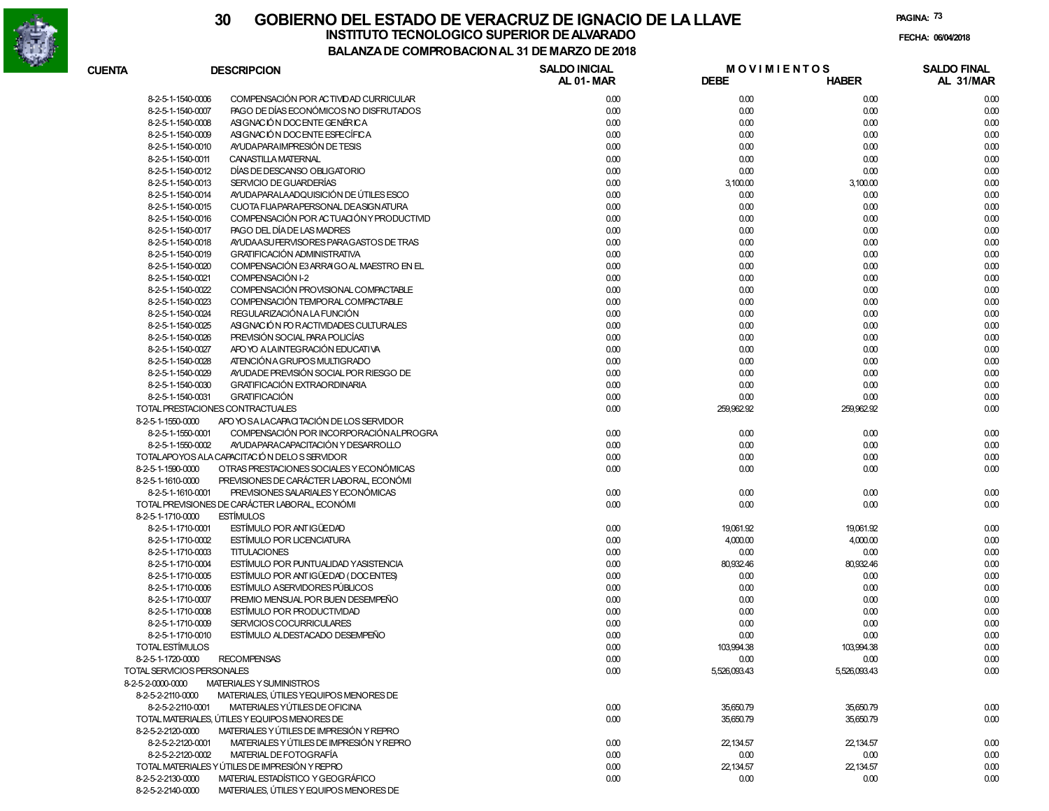

**PAGINA:73**

| <b>CUENTA</b>              | <b>DESCRIPCION</b>                             | <b>SALDO INICIAL</b><br>AL 01-MAR | <b>MOVIMIENTOS</b><br><b>DEBE</b> | <b>HABER</b> | <b>SALDO FINAL</b><br>AL 31/MAR |
|----------------------------|------------------------------------------------|-----------------------------------|-----------------------------------|--------------|---------------------------------|
| 8-2-5-1-1540-0006          | COMPENSACIÓN POR ACTIVIDAD CURRICULAR          | 0.00                              | 0.00                              | 0.00         | 0.00                            |
| 8-2-5-1-1540-0007          | PAGO DE DÍAS ECONÓMICOS NO DISFRUTADOS         | 0.00                              | 0.00                              | 0.00         | 0.00                            |
| 8-2-5-1-1540-0008          | ASIGNACIÓN DOCENTE GENÉRICA                    | 0.00                              | 0.00                              | 0.00         | 0.00                            |
| 8-2-5-1-1540-0009          | ASIGNACIÓN DOCENTE ESFECÍFICA                  | 0.00                              | 0.00                              | 0.00         | 0.00                            |
| 8-2-5-1-1540-0010          | AYUDA PARAIMPRESIÓN DE TESIS                   | 0.00                              | 0.00                              | 0.00         | 0.00                            |
| 8-2-5-1-1540-0011          | CANASTILLA MATERNAL                            | 0.00                              | 0.00                              | 0.00         | 0.00                            |
| 8-2-5-1-1540-0012          | DÍAS DE DESCANSO OBLIGATORIO                   | 0.00                              | 0.00                              | 0.00         | 0.00                            |
| 8-2-5-1-1540-0013          | SERVICIO DE GUARDERÍAS                         | 0.00                              | 3,100.00                          | 3,100.00     | 0.00                            |
| 8-2-5-1-1540-0014          | AYUDA PARALA ADQUISICIÓN DE ÚTILES ESCO        | 0.00                              | 0.00                              | 0.00         | 0.00                            |
| 8-2-5-1-1540-0015          | CUOTA FIJAPARAPERSONAL DEASIGNATURA            | 0.00                              | 0.00                              | 0.00         | 0.00                            |
| 8-2-5-1-1540-0016          | COMPENSACIÓN POR ACTUACIÓN Y PRODUCTIVID       | 0.00                              | 0.00                              | 0.00         | 0.00                            |
| 8-2-5-1-1540-0017          | PAGO DEL DÍA DE LAS MADRES                     | 0.00                              | 0.00                              | 0.00         | 0.00                            |
| 8-2-5-1-1540-0018          | AYUDA ASU FERVISORES PARA GASTOS DE TRAS       | 0.00                              | 0.00                              | 0.00         | 0.00                            |
| 8-2-5-1-1540-0019          | <b>GRATIFICACIÓN ADMINISTRATIVA</b>            | 0.00                              | 0.00                              | 0.00         | 0.00                            |
| 8-2-5-1-1540-0020          | COMPENSACIÓN E3 ARRAIGO AL MAESTRO EN EL       | 0.00                              | 0.00                              | 0.00         | 0.00                            |
| 8-2-5-1-1540-0021          | COMPENSACIÓN I-2                               | 0.00                              | 0.00                              | 0.00         | 0.00                            |
| 8-2-5-1-1540-0022          | COMPENSACIÓN PROVISIONAL COMPACTABLE           | 0.00                              | 0.00                              | 0.00         | 0.00                            |
| 8-2-5-1-1540-0023          | COMPENSACIÓN TEMPORAL COMPACTABLE              | 0.00                              | 0.00                              | 0.00         |                                 |
|                            | REGULARIZACIÓN A LA FUNCIÓN                    | 0.00                              |                                   |              | 0.00                            |
| 8-2-5-1-1540-0024          | ASIGNACIÓN PO RACTIVIDADES CULTURALES          |                                   | 0.00                              | 0.00         | 0.00                            |
| 8-2-5-1-1540-0025          |                                                | 0.00                              | 0.00                              | 0.00         | 0.00                            |
| 8-2-5-1-1540-0026          | PREVISIÓN SOCIAL PARA POLICÍAS                 | 0.00                              | 0.00                              | 0.00         | 0.00                            |
| 8-2-5-1-1540-0027          | APO YO A LAINTEGRACIÓN EDUCATIVA               | 0.00                              | 0.00                              | 0.00         | 0.00                            |
| 8-2-5-1-1540-0028          | ATENCIÓN A GRUPOS MULTIGRADO                   | 0.00                              | 0.00                              | 0.00         | 0.00                            |
| 8-2-5-1-1540-0029          | AYUDADE PREVISIÓN SOCIAL POR RIESGO DE         | 0.00                              | 0.00                              | 0.00         | 0.00                            |
| 8-2-5-1-1540-0030          | <b>GRATIFICACIÓN EXTRAORDINARIA</b>            | 0.00                              | 0.00                              | 0.00         | 0.00                            |
| 8-2-5-1-1540-0031          | <b>GRATIFICACIÓN</b>                           | 0.00                              | 0.00                              | 0.00         | 0.00                            |
|                            | TOTAL PRESTACIONES CONTRACTUALES               | 0.00                              | 259,962.92                        | 259,962.92   | 0.00                            |
| 8-2-5-1-1550-0000          | APO YO SA LACAPACITACIÓN DE LOS SERVIDOR       |                                   |                                   |              |                                 |
| 8-2-5-1-1550-0001          | COMPENSACIÓN POR INCORPORACIÓN ALPROGRA        | 0.00                              | 0.00                              | 0.00         | 0.00                            |
| 8-2-5-1-1550-0002          | AYUDA PARA CAPACITACIÓN Y DESARROLLO           | 0.00                              | 0.00                              | 0.00         | 0.00                            |
|                            | TOTALAPOYOS ALA CAPACITACIÓN DELOS SERVIDOR    | 0.00                              | 0.00                              | 0.00         | 0.00                            |
| 8-2-5-1-1590-0000          | OTRAS PRESTACIONES SOCIALES Y ECONÓMICAS       | 0.00                              | 0.00                              | 0.00         | 0.00                            |
| 8-2-5-1-1610-0000          | PREVISIONES DE CARÁCTER LABORAL, ECONÓMI       |                                   |                                   |              |                                 |
| 8-2-5-1-1610-0001          | PREVISIONES SALARIALES Y ECONÓMICAS            | 0.00                              | 0.00                              | 0.00         | 0.00                            |
|                            | TOTAL PREVISIONES DE CARÁCTER LABORAL, ECONÓMI | 0.00                              | 0.00                              | 0.00         | 0.00                            |
| 8-2-5-1-1710-0000          | <b>ESTÍMULOS</b>                               |                                   |                                   |              |                                 |
| 8-2-5-1-1710-0001          | ESTÍMULO POR ANTIGÜEDAD                        | 0.00                              | 19,061.92                         | 19,061.92    | 0.00                            |
| 8-2-5-1-1710-0002          | <b>ESTÍMULO POR LICENCIATURA</b>               | 0.00                              | 4,000.00                          | 4,000.00     | 0.00                            |
| 8-2-5-1-1710-0003          | <b>TITULACIONES</b>                            | 0.00                              | 0.00                              | 0.00         | 0.00                            |
| 8-2-5-1-1710-0004          | ESTÍMULO POR PUNTUALIDAD Y ASISTENCIA          | 0.00                              | 80,932.46                         | 80,932.46    | 0.00                            |
| 8-2-5-1-1710-0005          | ESTÍMULO POR ANTIGÜEDAD (DOCENTES)             | 0.00                              | 0.00                              | 0.00         | 0.00                            |
| 8-2-5-1-1710-0006          | <b>ESTÍMULO ASERVIDORES PÚBLICOS</b>           | 0.00                              | 0.00                              | 0.00         | 0.00                            |
| 8-2-5-1-1710-0007          | PREMIO MENSUAL POR BUEN DESEMPEÑO              | 0.00                              | 0.00                              | 0.00         | 0.00                            |
| 8-2-5-1-1710-0008          | ESTÍMULO POR PRODUCTIVIDAD                     | 0.00                              | 0.00                              | 0.00         | 0.00                            |
| 8-2-5-1-1710-0009          | SERVICIOS COCURRICULARES                       | 0.00                              | 0.00                              | 0.00         | 0.00                            |
| 8-2-5-1-1710-0010          | ESTÍMULO ALDESTACADO DESEMPEÑO                 | 0.00                              | 0.00                              | 0.00         | 0.00                            |
| TOTAL ESTÍMULOS            |                                                | 0.00                              | 103,994.38                        | 103,994.38   | 0.00                            |
| 8-2-5-1-1720-0000          | <b>RECOMPENSAS</b>                             | 0.00                              | 0.00                              | 0.00         | 0.00                            |
| TOTAL SERVICIOS PERSONALES |                                                | 0.00                              | 5,526,093.43                      | 5,526,093.43 | 0.00                            |
| 8-2-5-2-0000-0000          | MATERIALES Y SUMINISTROS                       |                                   |                                   |              |                                 |
| 8-2-5-2-2110-0000          | MATERIALES, ÚTILES YEQUIPOS MENORES DE         |                                   |                                   |              |                                 |
| 8-2-5-2-2110-0001          | MATERIALES YÚTILES DE OFICINA                  | 0.00                              | 35,650.79                         | 35,650.79    | 0.00                            |
|                            | TOTAL MATERIALES, ÚTILES Y EQUIPOS MENORES DE  | 0.00                              | 35,650.79                         | 35,650.79    | 0.00                            |
| 8-2-5-2-2120-0000          | MATERIALES Y ÚTILES DE IMPRESIÓN Y REPRO       |                                   |                                   |              |                                 |
| 8-2-5-2-2120-0001          | MATERIALES Y ÚTILES DE IMPRESIÓN Y REPRO       | 0.00                              | 22,134.57                         | 22,134.57    | 0.00                            |
| 8-2-5-2-2120-0002          | MATERIAL DE FOTOGRAFÍA                         | 0.00                              | 0.00                              | 0.00         | 0.00                            |
|                            | TOTAL MATERIALES Y ÚTILES DE IMPRESIÓN Y REPRO | 0.00                              | 22,134.57                         | 22,134.57    | 0.00                            |
| 8-2-5-2-2130-0000          | MATERIAL ESTADÍSTICO Y GEOGRÁFICO              | 0.00                              | 0.00                              | 0.00         | 0.00                            |
|                            |                                                |                                   |                                   |              |                                 |

8-2-5-2-2140-0000 MATERIALES, ÚTILES Y EQUIPOS MENORES DE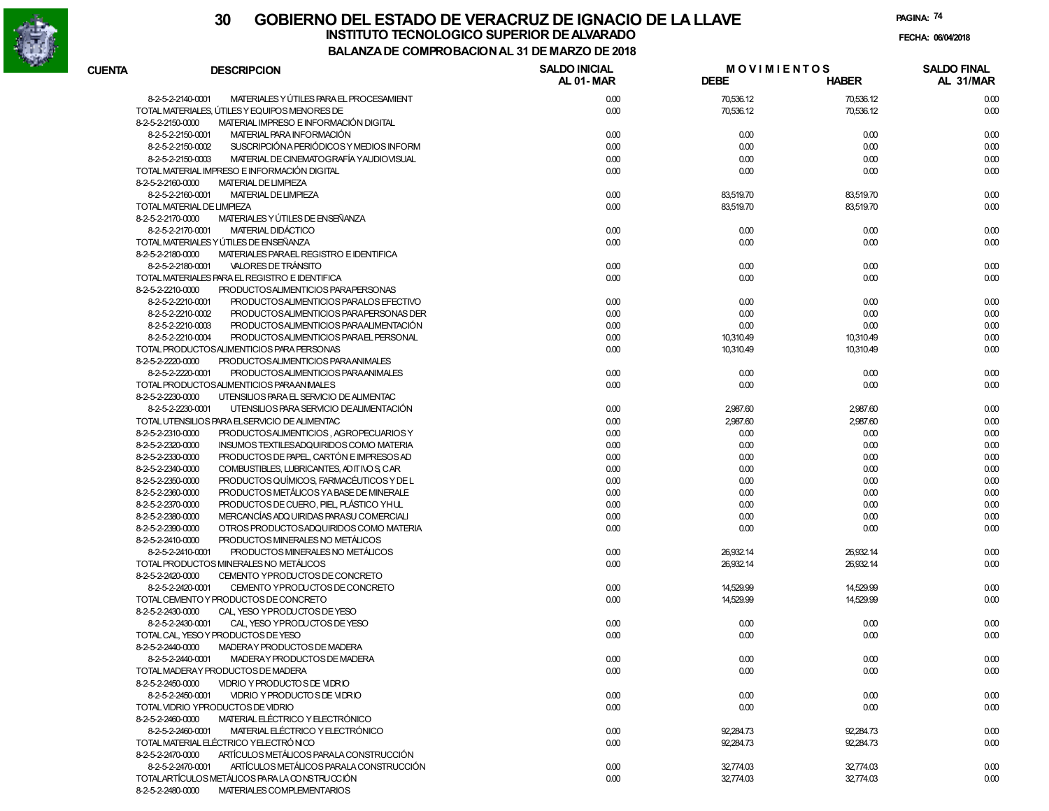

| <b>CUENTA</b>     | <b>DESCRIPCION</b>                                                                                            | <b>SALDO INICIAL</b><br>AL 01-MAR | <b>MOVIMIENTOS</b><br><b>DEBE</b> | <b>HABER</b> | <b>SALDO FINAL</b><br>AL 31/MAR |
|-------------------|---------------------------------------------------------------------------------------------------------------|-----------------------------------|-----------------------------------|--------------|---------------------------------|
|                   | MATERIALES Y ÚTILES PARA EL PROCESAMIENT<br>8-2-5-2-2140-0001                                                 | 0.00                              | 70,536.12                         | 70,536.12    | 0.00                            |
|                   | TOTAL MATERIALES, ÚTILES Y EQUIPOS MENORES DE                                                                 | 0.00                              | 70,536.12                         | 70,536.12    | 0.00                            |
| 8-2-5-2-2150-0000 | MATERIAL IMPRESO E INFORMACIÓN DIGITAL                                                                        |                                   |                                   |              |                                 |
|                   | MATERIAL PARA INFORMACIÓN<br>8-2-5-2-2150-0001                                                                | 0.00                              | 0.00                              | 0.00         | 0.00                            |
|                   | SUSCRIPCIÓNA PERIÓDICOS Y MEDIOS INFORM<br>8-2-5-2-2150-0002                                                  | 0.00                              | 0.00                              | 0.00         | 0.00                            |
|                   | 8-2-5-2-2150-0003<br>MATERIAL DE CINEMATOGRAFÍA YAUDIOVISUAL                                                  | 0.00                              | 0.00                              | 0.00         | 0.00                            |
|                   | TOTAL MATERIAL IMPRESO E INFORMACIÓN DIGITAL                                                                  | 0.00                              | 0.00                              | 0.00         | 0.00                            |
| 8-2-5-2-2160-0000 | <b>MATERIAL DE LIMPIEZA</b>                                                                                   |                                   |                                   |              |                                 |
|                   | <b>MATERIAL DE LIMPIEZA</b><br>8-2-5-2-2160-0001                                                              | 0.00                              | 83,519.70                         | 83,519.70    | 0.00                            |
|                   | TOTAL MATERIAL DE LIMPIEZA                                                                                    | 0.00                              | 83,519.70                         | 83,519.70    | 0.00                            |
| 8-2-5-2-2170-0000 | MATERIALES Y ÚTILES DE ENSEÑANZA                                                                              |                                   |                                   |              |                                 |
|                   | MATERIAL DIDÁCTICO<br>8-2-5-2-2170-0001                                                                       | 0.00                              | 0.00                              | 0.00         | 0.00                            |
|                   | TOTAL MATERIALES Y ÚTILES DE ENSEÑANZA                                                                        | 0.00                              | 0.00                              | 0.00         | 0.00                            |
| 8-2-5-2-2180-0000 | MATERIALES PARAEL REGISTRO E IDENTIFICA                                                                       |                                   |                                   |              |                                 |
|                   | VALORES DE TRÁNSITO<br>8-2-5-2-2180-0001                                                                      | 0.00                              | 0.00                              | 0.00         | 0.00                            |
|                   | TOTAL MATERIALES PARA EL REGISTRO E IDENTIFICA                                                                | 0.00                              | 0.00                              | 0.00         | 0.00                            |
| 8-2-5-2-2210-0000 | PRODUCTOSALIMENTICIOS PARAPERSONAS                                                                            |                                   |                                   |              |                                 |
|                   | 8-2-5-2-2210-0001<br>PRODUCTOSALIMENTICIOS PARALOS EFECTIVO                                                   | 0.00                              | 0.00                              | 0.00         | 0.00                            |
|                   | 8-2-5-2-2210-0002<br>PRODUCTOSALIMENTICIOS PARA PERSONAS DER                                                  | 0.00                              | 0.00                              | 0.00         | 0.00                            |
|                   | 8-2-5-2-2210-0003<br>PRODUCTOSALIMENTICIOS PARA ALIMENTACIÓN                                                  | 0.00                              | 0.00                              | 0.00         | 0.00                            |
|                   | 8-2-5-2-2210-0004<br>PRODUCTOSALIMENTICIOS PARAEL PERSONAL                                                    | 0.00                              | 10,310.49                         | 10,310.49    | 0.00                            |
|                   | TOTAL PRODUCTOSALIMENTICIOS PARA PERSONAS                                                                     | 0.00                              | 10,310.49                         | 10,310.49    | 0.00                            |
| 8-2-5-2-2220-0000 | PRODUCTOSALIMENTICIOS PARAANIMALES                                                                            |                                   |                                   |              |                                 |
|                   | 8-2-5-2-2220-0001<br>PRODUCTOSALIMENTICIOS PARAANIMALES                                                       | 0.00                              | 0.00                              | 0.00         | 0.00                            |
|                   | TOTAL PRODUCTOSALIMENTICIOS PARAAN IMALES                                                                     | 0.00                              | 0.00                              | 0.00         | 0.00                            |
| 8-2-5-2-2230-0000 | UTENSILIOS PARA EL SERVICIO DE ALIMENTAC                                                                      |                                   |                                   |              |                                 |
|                   | UTENSILIOS PARA SERVICIO DE ALIMENTACIÓN<br>8-2-5-2-2230-0001                                                 | 0.00                              | 2,987.60                          | 2,987.60     | 0.00                            |
|                   | TOTAL UTENSILIOS PARA ELSERVICIO DE ALIMENTAC                                                                 | 0.00                              | 2,987.60                          | 2,987.60     | 0.00                            |
| 8-2-5-2-2310-0000 | PRODUCTOSALIMENTICIOS, AGROPECUARIOS Y                                                                        | 0.00                              | 0.00                              | 0.00         | 0.00                            |
| 8-2-5-2-2320-0000 | INSUMOS TEXTILESADQUIRIDOS COMO MATERIA                                                                       | 0.00                              | 0.00                              | 0.00         | 0.00                            |
| 8-2-5-2-2330-0000 | PRODUCTOS DE PAPEL, CARTÓN E IMPRESOS AD                                                                      | 0.00                              | 0.00                              | 0.00         | 0.00                            |
| 8-2-5-2-2340-0000 | COMBUSTIBLES, LUBRICANTES, AD IT IVO S, CAR                                                                   | 0.00                              | 0.00                              | 0.00         | 0.00                            |
| 8-2-5-2-2350-0000 | PRODUCTOS QUÍMICOS, FARMACÉUTICOS Y DE L                                                                      | 0.00                              | 0.00                              | 0.00         | 0.00                            |
| 8-2-5-2-2360-0000 | PRODUCTOS METÁLICOS YA BASE DE MINERALE                                                                       | 0.00                              | 0.00                              | 0.00         | 0.00                            |
| 8-2-5-2-2370-0000 | PRODUCTOS DE CUERO, PIEL, PLÁSTICO YHUL                                                                       | 0.00                              | 0.00                              | 0.00         | 0.00                            |
| 8-2-5-2-2380-0000 | MERCANCÍAS ADQ UIRIDAS PARASU COMERCIALI                                                                      | 0.00                              | 0.00                              | 0.00         | 0.00                            |
| 8-2-5-2-2390-0000 | OTROS PRODUCTOSADQUIRIDOS COMO MATERIA                                                                        | 0.00                              | 0.00                              | 0.00         | 0.00                            |
| 8-2-5-2-2410-0000 | PRODUCTOS MINERALES NO METÁLICOS                                                                              |                                   |                                   |              |                                 |
|                   | PRODUCTOS MINERALES NO METÁLICOS<br>8-2-5-2-2410-0001                                                         | 0.00                              | 26,932.14                         | 26,932.14    | 0.00                            |
|                   | TOTAL PRODUCTOS MINERALES NO METÁLICOS                                                                        | 0.00                              | 26,932.14                         | 26,932.14    | 0.00                            |
| 8-2-5-2-2420-0000 | CEMENTO YPRODUCTOS DE CONCRETO                                                                                |                                   |                                   |              |                                 |
|                   | 8-2-5-2-2420-0001<br>CEMENTO YPRODUCTOS DE CONCRETO                                                           | 0.00                              | 14,529.99                         | 14,529.99    | 0.00                            |
|                   | TOTAL CEMENTO Y PRODUCTOS DE CONCRETO                                                                         | 0.00                              | 14,529.99                         | 14,529.99    | 0.00                            |
| 8-2-5-2-2430-0000 | CAL. YESO YPRODUCTOS DE YESO                                                                                  |                                   |                                   |              |                                 |
|                   | 8-2-5-2-2430-0001<br>CAL. YESO YPRODUCTOS DE YESO                                                             | 0.00                              | 0.00                              | 0.00         | 0.00                            |
|                   | TOTAL CAL, YESO Y PRODUCTOS DE YESO                                                                           | 0.00                              | 0.00                              | 0.00         | 0.00                            |
| 8-2-5-2-2440-0000 | MADERAY PRODUCTOS DE MADERA<br>MADERAY PRODUCTOS DE MADERA                                                    |                                   |                                   |              |                                 |
|                   | 8-2-5-2-2440-0001                                                                                             | 0.00                              | 0.00                              | 0.00         | 0.00                            |
|                   | TOTAL MADERAY PRODUCTOS DE MADERA                                                                             | 0.00                              | 0.00                              | 0.00         | 0.00                            |
| 8-2-5-2-2450-0000 | VIDRIO Y PRODUCTO S DE VIDRIO                                                                                 |                                   |                                   |              |                                 |
|                   | 8-2-5-2-2450-0001<br>VIDRIO Y PRODUCTO S DE VIDRIO<br>TOTAL VIDRIO YPRODUCTOS DE VIDRIO                       | 0.00                              | 0.00                              | 0.00         | 0.00                            |
|                   | MATERIAL ELÉCTRICO Y ELECTRÓNICO                                                                              | 0.00                              | 0.00                              | 0.00         | 0.00                            |
| 8-2-5-2-2460-0000 | MATERIAL ELÉCTRICO Y ELECTRÓNICO                                                                              |                                   |                                   |              |                                 |
|                   | 8-2-5-2-2460-0001<br>TOTAL MATERIAL ELÉCTRICO YELECTRÓNICO                                                    | 0.00                              | 92,284.73                         | 92,284.73    | 0.00                            |
|                   |                                                                                                               | 0.00                              | 92,284.73                         | 92,284.73    | 0.00                            |
| 8-2-5-2-2470-0000 | ARTÍCULOS METÁLICOS PARALA CONSTRUCCIÓN                                                                       |                                   |                                   |              |                                 |
|                   | ARTÍCULOS METÁLICOS PARALA CONSTRUCCIÓN<br>8-2-5-2-2470-0001<br>TOTALARTÍCULOS METÁLICOS PARA LA CONSTRUCCIÓN | 0.00<br>0.00                      | 32,774.03                         | 32,774.03    | 0.00<br>0.00                    |
| 8-2-5-2-2480-0000 | MATERIALES COMPLEMENTARIOS                                                                                    |                                   | 32,774.03                         | 32,774.03    |                                 |
|                   |                                                                                                               |                                   |                                   |              |                                 |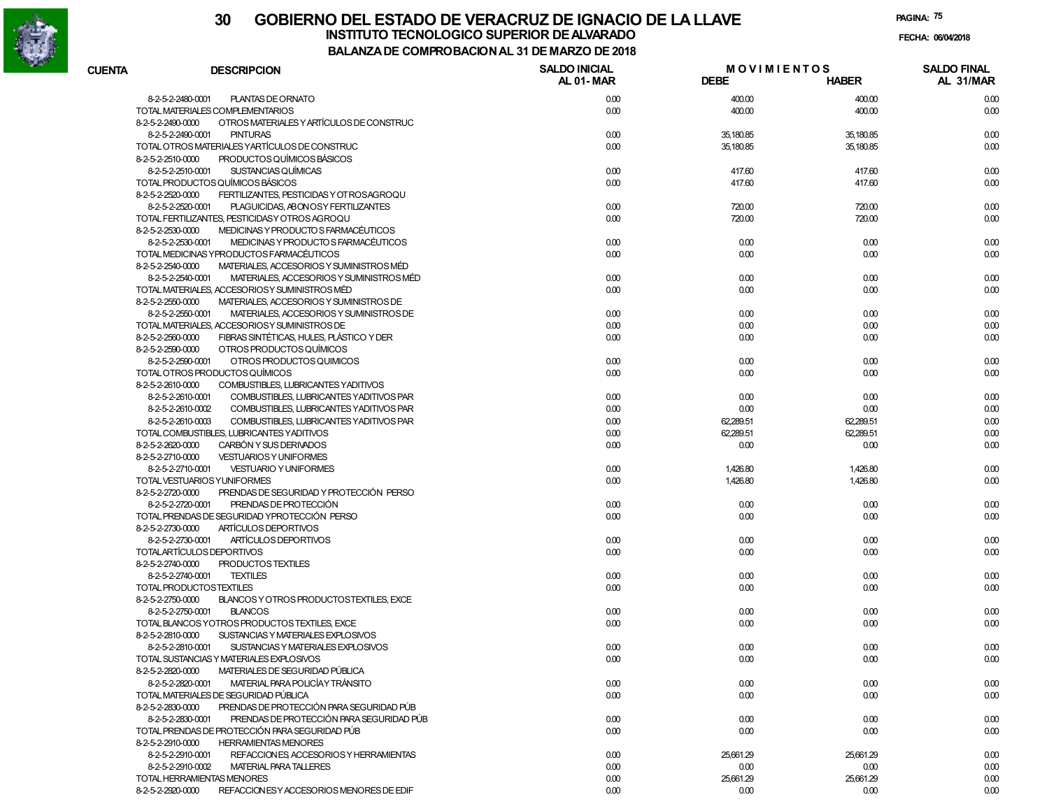

# **30 GOBIERNO DEL ESTADO DE VERACRUZ DE IGNACIO DE LA LLAVEFECHA: 06/04/2018 INSTITUTO TECNOLOGICO SUPERIOR DE ALVARADO**

**PAGINA:75**

| <b>CUENTA</b> | <b>DESCRIPCION</b>                                                                                                           | <b>SALDO INICIAL</b><br><b>AL 01-MAR</b> | <b>MOVIMIENTOS</b><br><b>DEBE</b> | <b>HABER</b>      | <b>SALDO FINAL</b><br>AL 31/MAR |
|---------------|------------------------------------------------------------------------------------------------------------------------------|------------------------------------------|-----------------------------------|-------------------|---------------------------------|
|               | 8-2-5-2-2480-0001<br>PLANTAS DE ORNATO                                                                                       | 0.00                                     | 400.00                            | 400.00            | 0.00                            |
|               | TOTAL MATERIALES COMPLEMENTARIOS                                                                                             | 0.00                                     | 400.00                            | 400.00            | 0.00                            |
|               | OTROS MATERIALES Y ARTÍCULOS DE CONSTRUC<br>8-2-5-2-2490-0000                                                                |                                          |                                   |                   |                                 |
|               | <b>PINTURAS</b><br>8-2-5-2-2490-0001                                                                                         | 0.00                                     | 35,180.85                         | 35,180.85         | 0.00                            |
|               | TOTAL OTROS MATERIALES YARTÍCULOS DE CONSTRUC                                                                                | 0.00                                     | 35,180.85                         | 35,180.85         | 0.00                            |
|               | PRODUCTOS QUÍMICOS BÁSICOS<br>8-2-5-2-2510-0000                                                                              |                                          |                                   |                   |                                 |
|               | SUSTANCIAS QUÍMICAS<br>8-2-5-2-2510-0001                                                                                     | 0.00                                     | 417.60                            | 417.60            | 0.00                            |
|               | TOTAL PRODUCTOS QUÍMICOS BÁSICOS                                                                                             | 0.00                                     | 417.60                            | 417.60            | 0.00                            |
|               | FERTILIZANTES, PESTICIDAS Y OT ROSAGROQU<br>8-2-5-2-2520-0000                                                                |                                          |                                   |                   |                                 |
|               | 8-2-5-2-2520-0001<br>PLAGUICIDAS, ABONOSY FERTILIZANTES                                                                      | 0.00                                     | 720.00                            | 720.00            | 0.00                            |
|               | TOTAL FERTILIZANTES, PESTICIDASY OTROS AGROQU                                                                                | 0.00                                     | 720.00                            | 720.00            | 0.00                            |
|               | MEDICINAS Y PRODUCTO S FARMACÉUTICOS<br>8-2-5-2-2530-0000                                                                    |                                          |                                   |                   |                                 |
|               | 8-2-5-2-2530-0001<br>MEDICINAS Y PRODUCTO S FARMACÉUTICOS                                                                    | 0.00                                     | 0.00                              | 0.00              | 0.00                            |
|               | TOTAL MEDICINAS YPRODUCTOS FARMACÉUTICOS                                                                                     | 0.00                                     | 0.00                              | 0.00              | 0.00                            |
|               | MATERIALES, ACCESORIOS Y SUMINISTROS MÉD<br>8-2-5-2-2540-0000                                                                |                                          |                                   |                   |                                 |
|               | MATERIALES, ACCESORIOS Y SUMINISTROS MÉD<br>8-2-5-2-2540-0001                                                                | 0.00                                     | 0.00                              | 0.00              | 0.00                            |
|               | TOTAL MATERIALES, ACCESORIOSY SUMINISTROS MÉD                                                                                | 0.00                                     | 0.00                              | 0.00              | 0.00                            |
|               | MATERIALES, ACCESORIOS Y SUMINISTROS DE<br>8-2-5-2-2550-0000                                                                 |                                          |                                   |                   |                                 |
|               | 8-2-5-2-2550-0001<br>MATERIALES, ACCESORIOS Y SUMINISTROS DE                                                                 | 0.00                                     | 0.00                              | 0.00              | 0.00                            |
|               | TOTAL MATERIALES, ACCESORIOSY SUMINISTROS DE                                                                                 | 0.00                                     | 0.00                              | 0.00              | 0.00                            |
|               | FIBRAS SINTÉTICAS, HULES, PLÁSTICO Y DER<br>8-2-5-2-2560-0000                                                                | 0.00                                     | 0.00                              | 0.00              | 0.00                            |
|               | 8-2-5-2-2590-0000<br>OTROS PRODUCTOS QUÍMICOS                                                                                |                                          |                                   |                   |                                 |
|               | OTROS PRODUCTOS QUIMICOS<br>8-2-5-2-2590-0001<br>TOTAL OTROS PRODUCTOS QUÍMICOS                                              | 0.00                                     | 0.00                              | 0.00              | 0.00                            |
|               |                                                                                                                              | 0.00                                     | 0.00                              | 0.00              | 0.00                            |
|               | COMBUSTIBLES, LUBRICANTES YADITIVOS<br>8-2-5-2-2610-0000                                                                     |                                          |                                   |                   |                                 |
|               | 8-2-5-2-2610-0001<br>COMBUSTIBLES, LUBRICANTES YADITIVOS PAR                                                                 | 0.00<br>0.00                             | 0.00                              | 0.00              | 0.00                            |
|               | 8-2-5-2-2610-0002<br>COMBUSTIBLES, LUBRICANTES YADITIVOS PAR<br>8-2-5-2-2610-0003<br>COMBUSTIBLES, LUBRICANTES YADITIVOS PAR | 0.00                                     | 0.00<br>62,289.51                 | 0.00<br>62,289.51 | 0.00<br>0.00                    |
|               | TOTAL COMBUSTIBLES, LUBRICANTES YADITIVOS                                                                                    | 0.00                                     | 62,289.51                         | 62,289.51         | 0.00                            |
|               | CARBÓN Y SUS DERIVADOS<br>8-2-5-2-2620-0000                                                                                  | 0.00                                     | 0.00                              | 0.00              | 0.00                            |
|               | 8-2-5-2-2710-0000<br><b>VESTUARIOS Y UNIFORMES</b>                                                                           |                                          |                                   |                   |                                 |
|               | 8-2-5-2-2710-0001<br><b>VESTUARIO Y UNIFORMES</b>                                                                            | 0.00                                     | 1,426.80                          | 1,426.80          | 0.00                            |
|               | TOTAL VESTUARIOS YUNIFORMES                                                                                                  | 0.00                                     | 1,426.80                          | 1,426.80          | 0.00                            |
|               | PRENDAS DE SEGURIDAD Y PROTECCIÓN PERSO<br>8-2-5-2-2720-0000                                                                 |                                          |                                   |                   |                                 |
|               | PRENDAS DE PROTECCIÓN<br>8-2-5-2-2720-0001                                                                                   | 0.00                                     | 0.00                              | 0.00              | 0.00                            |
|               | TOTAL PRENDAS DE SEGURIDAD YPROTECCIÓN PERSO                                                                                 | 0.00                                     | 0.00                              | 0.00              | 0.00                            |
|               | 8-2-5-2-2730-0000<br>ARTÍCULOS DEPORTIVOS                                                                                    |                                          |                                   |                   |                                 |
|               | 8-2-5-2-2730-0001<br>ARTÍCULOS DEPORTIVOS                                                                                    | 0.00                                     | 0.00                              | 0.00              | 0.00                            |
|               | TOTALARTÍCULOS DEPORTIVOS                                                                                                    | 0.00                                     | 0.00                              | 0.00              | 0.00                            |
|               | PRODUCTOS TEXTILES<br>8-2-5-2-2740-0000                                                                                      |                                          |                                   |                   |                                 |
|               | <b>TEXTILES</b><br>8-2-5-2-2740-0001                                                                                         | 0.00                                     | 0.00                              | 0.00              | 0.00                            |
|               | TOTAL PRODUCTOSTEXTILES                                                                                                      | 0.00                                     | 0.00                              | 0.00              | 0.00                            |
|               | 8-2-5-2-2750-0000<br>BLANCOS Y OTROS PRODUCTOSTEXTILES. EXCE                                                                 |                                          |                                   |                   |                                 |
|               | 8-2-5-2-2750-0001<br><b>BLANCOS</b>                                                                                          | 0.00                                     | 0.00                              | 0.00              | 0.00                            |
|               | TOTAL BLANCOS YOTROS PRODUCTOS TEXTILES, EXCE                                                                                | 0.00                                     | 0.00                              | 0.00              | 0.00                            |
|               | 8-2-5-2-2810-0000<br>SUSTANCIAS Y MATERIALES EXPLOSIVOS                                                                      |                                          |                                   |                   |                                 |
|               | 8-2-5-2-2810-0001<br>SUSTANCIAS Y MATERIALES EXPLOSIVOS                                                                      | 0.00                                     | 0.00                              | 0.00              | 0.00                            |
|               | TOTAL SUSTANCIAS Y MATERIALES EXPLOSIVOS                                                                                     | 0.00                                     | 0.00                              | 0.00              | 0.00                            |
|               | MATERIALES DE SEGURIDAD PÚBLICA<br>8-2-5-2-2820-0000                                                                         |                                          |                                   |                   |                                 |
|               | MATERIAL PARA POLICÍA Y TRÁNSITO<br>8-2-5-2-2820-0001                                                                        | 0.00                                     | 0.00                              | 0.00              | 0.00                            |
|               | TOTAL MATERIALES DE SEGURIDAD PÚBLICA                                                                                        | 0.00                                     | 0.00                              | 0.00              | 0.00                            |
|               | PRENDAS DE PROTECCIÓN PARA SEGURIDAD PÚB<br>8-2-5-2-2830-0000                                                                |                                          |                                   |                   |                                 |
|               | PRENDAS DE PROTECCIÓN PARA SEGURIDAD PÚB<br>8-2-5-2-2830-0001                                                                | 0.00                                     | 0.00                              | 0.00              | 0.00                            |
|               | TOTAL PRENDAS DE PROTECCIÓN PARA SEGURIDAD PÚB                                                                               | 0.00                                     | 0.00                              | 0.00              | 0.00                            |
|               | 8-2-5-2-2910-0000<br><b>HERRAMIENTAS MENORES</b>                                                                             |                                          |                                   |                   |                                 |
|               | 8-2-5-2-2910-0001<br>REFACCION ES ACCESORIOS Y HERRAMIENTAS                                                                  | 0.00                                     | 25,661.29                         | 25,661.29         | 0.00                            |
|               | 8-2-5-2-2910-0002<br><b>MATERIAL PARA TALLERES</b>                                                                           | 0.00                                     | 0.00                              | 0.00              | 0.00                            |
|               | TOTAL HERRAMIENTAS MENORES                                                                                                   | 0.00                                     | 25,661.29                         | 25,661.29         | 0.00                            |
|               | REFACCION ES Y ACCESO RIOS MENORES DE EDIF<br>8-2-5-2-2920-0000                                                              | 0.00                                     | 0.00                              | 0.00              | 0.00                            |
|               |                                                                                                                              |                                          |                                   |                   |                                 |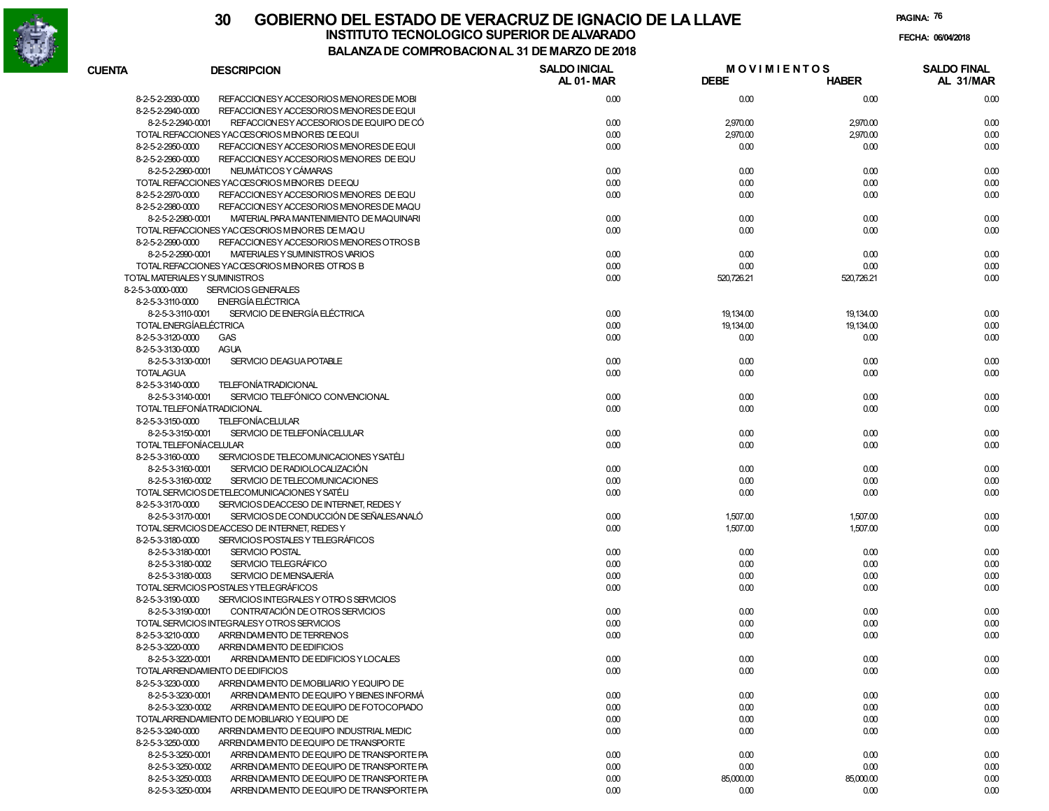

**PAGINA:76**

|                   |                                                                                     | UMI INU DAVIU IN AL JI DL MAI     |                                   |              |                                 |
|-------------------|-------------------------------------------------------------------------------------|-----------------------------------|-----------------------------------|--------------|---------------------------------|
| <b>CUENTA</b>     | <b>DESCRIPCION</b>                                                                  | <b>SALDO INICIAL</b><br>AL 01-MAR | <b>MOVIMIENTOS</b><br><b>DEBE</b> | <b>HABER</b> | <b>SALDO FINAL</b><br>AL 31/MAR |
| 8-2-5-2-2930-0000 | REFACCION ES Y ACCESORIOS MENORES DE MOBI                                           | 0.00                              | 0.00                              | 0.00         | 0.00                            |
| 8-2-5-2-2940-0000 | REFACCION ES Y ACCESORIOS MENORES DE EQUI                                           |                                   |                                   |              |                                 |
|                   | REFACCION ES Y ACCESO RIOS DE EQUIPO DE CÓ<br>8-2-5-2-2940-0001                     | 0.00                              | 2,970.00                          | 2,970.00     | 0.00                            |
|                   | TOTAL REFACCIONES YACCESORIOS MENORES DE EQUI                                       | 0.00                              | 2,970.00                          | 2,970.00     | 0.00                            |
| 8-2-5-2-2950-0000 | REFACCION ES Y ACCESORIOS MENORES DE EQUI                                           | 0.00                              | 0.00                              | 0.00         | 0.00                            |
| 8-2-5-2-2960-0000 | REFACCION ES Y ACCESORIOS MENORES DE EQU                                            |                                   |                                   |              |                                 |
|                   | 8-2-5-2-2960-0001<br>NEUMÁTICOS Y CÁMARAS                                           | 0.00                              | 0.00                              | 0.00         | 0.00                            |
|                   | TOTAL REFACCIONES YACCESORIOS MENORES DE EQU                                        | 0.00                              | 0.00                              | 0.00         | 0.00                            |
| 8-2-5-2-2970-0000 | REFACCION ESY ACCESORIOS MENORES DE EQU                                             | 0.00                              | 0.00                              | 0.00         | 0.00                            |
| 8-2-5-2-2980-0000 | REFACCION ES Y ACCESORIOS MENORES DE MAQU                                           |                                   |                                   |              |                                 |
|                   | 8-2-5-2-2980-0001<br>MATERIAL PARA MANTENIMIENTO DE MAQUINARI                       | 0.00                              | 0.00                              | 0.00         | 0.00                            |
|                   | TOTAL REFACCIONES YACCESORIOS MENORES DE MAQU                                       | 0.00                              | 0.00                              | 0.00         | 0.00                            |
| 8-2-5-2-2990-0000 | REFACCION ES Y ACCESORIOS MENORES OTROS B                                           |                                   |                                   |              |                                 |
|                   | 8-2-5-2-2990-0001<br>MATERIALES Y SUMINISTROS VARIOS                                | 0.00                              | 0.00                              | 0.00         | 0.00                            |
|                   | TOTAL REFACCIONES YACCESORIOS MENORES OTROS B                                       | 0.00                              | 0.00                              | 0.00         | 0.00                            |
|                   | TOTAL MATERIALES Y SUMINISTROS                                                      | 0.00                              | 520,726.21                        | 520,726.21   | 0.00                            |
| 8-2-5-3-0000-0000 | <b>SERVICIOS GENERALES</b>                                                          |                                   |                                   |              |                                 |
| 8-2-5-3-3110-0000 | <b>ENERGÍA ELÉCTRICA</b>                                                            |                                   |                                   |              |                                 |
|                   | SERVICIO DE ENERGÍA ELÉCTRICA<br>8-2-5-3-3110-0001                                  | 0.00                              | 19,134.00                         | 19,134.00    | 0.00                            |
|                   | TOTAL ENERGÍAELÉCTRICA                                                              | 0.00                              | 19,134.00                         | 19,134.00    | 0.00                            |
| 8-2-5-3-3120-0000 | <b>GAS</b>                                                                          | 0.00                              | 0.00                              | 0.00         | 0.00                            |
| 8-2-5-3-3130-0000 | <b>AGUA</b>                                                                         |                                   |                                   |              |                                 |
|                   | SERVICIO DEAGUA POTABLE<br>8-2-5-3-3130-0001                                        | 0.00                              | 0.00                              | 0.00         | 0.00                            |
| <b>TOTALAGUA</b>  |                                                                                     | 0.00                              | 0.00                              | 0.00         | 0.00                            |
| 8-2-5-3-3140-0000 | <b>TELEFONÍATRADICIONAL</b>                                                         |                                   |                                   |              |                                 |
|                   |                                                                                     |                                   |                                   |              |                                 |
|                   | SERVICIO TELEFÓNICO CONVENCIONAL<br>8-2-5-3-3140-0001<br>TOTAL TELEFONÍATRADICIONAL | 0.00                              | 0.00                              | 0.00         | 0.00                            |
|                   | <b>TELEFONÍACELULAR</b>                                                             | 0.00                              | 0.00                              | 0.00         | 0.00                            |
| 8-2-5-3-3150-0000 |                                                                                     |                                   |                                   |              |                                 |
|                   | SERVICIO DE TELEFONÍACELULAR<br>8-2-5-3-3150-0001                                   | 0.00                              | 0.00                              | 0.00         | 0.00                            |
|                   | TOTAL TELEFONÍACELULAR                                                              | 0.00                              | 0.00                              | 0.00         | 0.00                            |
| 8-2-5-3-3160-0000 | SERVICIOS DE TELECOMUNICACIONES YSATÉLI                                             |                                   |                                   |              |                                 |
|                   | 8-2-5-3-3160-0001<br>SERVICIO DE RADIOLOCALIZACIÓN                                  | 0.00                              | 0.00                              | 0.00         | 0.00                            |
|                   | SERVICIO DE TELECOMUNICACIONES<br>8-2-5-3-3160-0002                                 | 0.00                              | 0.00                              | 0.00         | 0.00                            |
|                   | TOTAL SERVICIOS DETELECOMUNICACIONES Y SATÉLI                                       | 0.00                              | 0.00                              | 0.00         | 0.00                            |
| 8-2-5-3-3170-0000 | SERVICIOS DEACCESO DE INTERNET, REDES Y                                             |                                   |                                   |              |                                 |
|                   | SERVICIOS DE CONDUCCIÓN DE SEÑALES ANALÓ<br>8-2-5-3-3170-0001                       | 0.00                              | 1,507.00                          | 1,507.00     | 0.00                            |
|                   | TOTAL SERVICIOS DEACCESO DE INTERNET, REDES Y                                       | 0.00                              | 1,507.00                          | 1,507.00     | 0.00                            |
| 8-2-5-3-3180-0000 | SERVICIOS POSTALES Y TELEGRÁFICOS                                                   |                                   |                                   |              |                                 |
|                   | <b>SERVICIO POSTAL</b><br>8-2-5-3-3180-0001                                         | 0.00                              | 0.00                              | 0.00         | 0.00                            |
|                   | SERVICIO TELEGRÁFICO<br>8-2-5-3-3180-0002                                           | 0.00                              | 0.00                              | 0.00         | 0.00                            |
|                   | SERVICIO DE MENSAJERÍA<br>8-2-5-3-3180-0003                                         | 0.00                              | 0.00                              | 0.00         | 0.00                            |
|                   | TOTAL SERVICIOS POSTALES YTELEGRÁFICOS                                              | 0.00                              | 0.00                              | 0.00         | 0.00                            |
| 8-2-5-3-3190-0000 | SERVICIOS INTEGRALES Y OTROS SERVICIOS                                              |                                   |                                   |              |                                 |
|                   | CONTRATACIÓN DE OTROS SERVICIOS<br>8-2-5-3-3190-0001                                | 0.00                              | 0.00                              | 0.00         | 0.00                            |
|                   | TOTAL SERVICIOS INTEGRALESY OTROS SERVICIOS                                         | 0.00                              | 0.00                              | 0.00         | 0.00                            |
| 8-2-5-3-3210-0000 | ARRENDAM ENTO DE TERRENOS                                                           | 0.00                              | 0.00                              | 0.00         | 0.00                            |
| 8-2-5-3-3220-0000 | ARRENDAM ENTO DE EDIFICIOS                                                          |                                   |                                   |              |                                 |
|                   | 8-2-5-3-3220-0001<br>ARRENDAM ENTO DE EDIFICIOS Y LOCALES                           | 0.00                              | 0.00                              | 0.00         | 0.00                            |
|                   | TOTALARRENDAMIENTO DE EDIFICIOS                                                     | 0.00                              | 0.00                              | 0.00         | 0.00                            |
| 8-2-5-3-3230-0000 | ARRENDAM ENTO DE MOBILIARIO Y EQUIPO DE                                             |                                   |                                   |              |                                 |
|                   | 8-2-5-3-3230-0001<br>ARRENDAM ENTO DE EQUIPO Y BIENES INFORMÁ                       | 0.00                              | 0.00                              | 0.00         | 0.00                            |
|                   | 8-2-5-3-3230-0002<br>ARRENDAM ENTO DE EQUIPO DE FOTOCOPIADO                         | 0.00                              | 0.00                              | 0.00         | 0.00                            |
|                   | TOTALARRENDAMIENTO DE MOBILIARIO Y EQUIPO DE                                        | 0.00                              | 0.00                              | 0.00         | 0.00                            |
| 8-2-5-3-3240-0000 | ARRENDAM ENTO DE EQUIPO INDUSTRIAL MEDIC                                            | 0.00                              | 0.00                              | 0.00         | 0.00                            |
| 8-2-5-3-3250-0000 | ARRENDAM ENTO DE EQUIPO DE TRANSPORTE                                               |                                   |                                   |              |                                 |
|                   | 8-2-5-3-3250-0001<br>ARRENDAM ENTO DE EQUIPO DE TRANSPORTE PA                       | 0.00                              | 0.00                              | 0.00         | 0.00                            |
|                   | 8-2-5-3-3250-0002<br>ARRENDAM ENTO DE EQUIPO DE TRANSPORTE PA                       | 0.00                              | 0.00                              | 0.00         | 0.00                            |
|                   | 8-2-5-3-3250-0003<br>ARRENDAM ENTO DE EQUIPO DE TRANSPORTE PA                       | 0.00                              | 85,000.00                         | 85,000.00    |                                 |
|                   | 8-2-5-3-3250-0004<br>ARRENDAM ENTO DE EQUIPO DE TRANSPORTE PA                       | 0.00                              | 0.00                              | 0.00         | 0.00<br>0.00                    |
|                   |                                                                                     |                                   |                                   |              |                                 |

0.00 0.00 0.00 0.00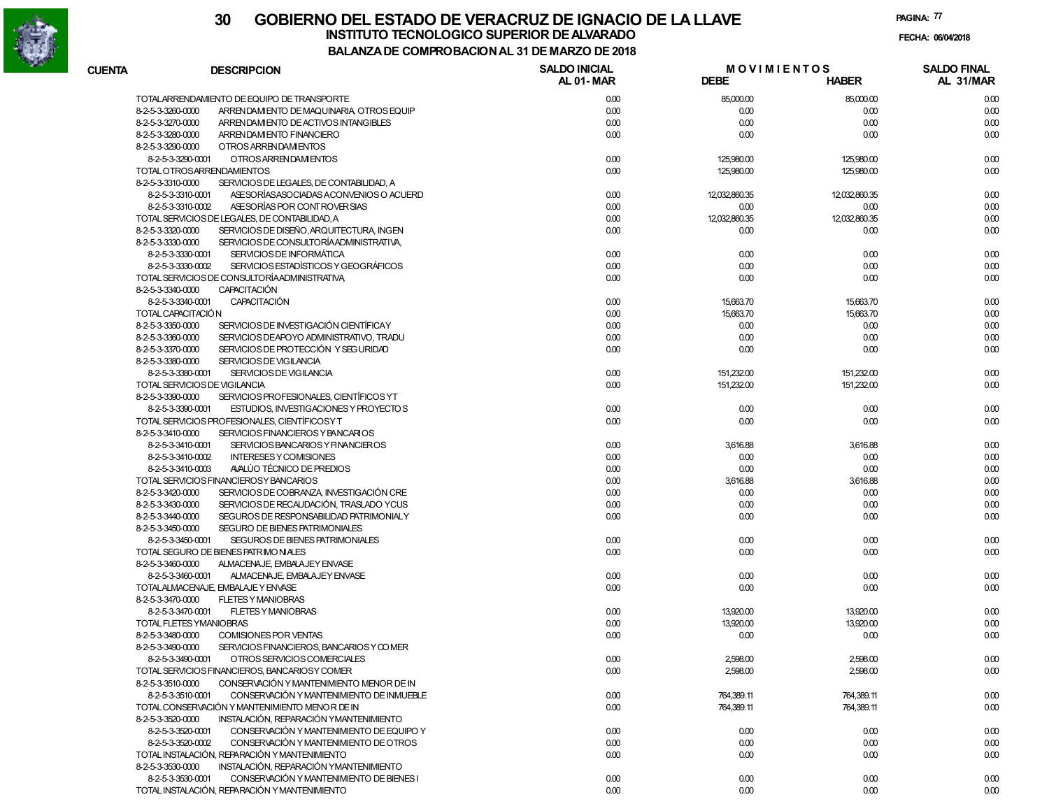

8-2-5-3-3530-0001 CONSERVACIÓN Y MANTENIMIENTO DE BIENES I

TOTAL INSTALACIÓN, REPARACIÓN Y MANTENIMIENTO

#### **30 GOBIERNO DEL ESTADO DE VERACRUZ DE IGNACIO DE LA LLAVEFECHA: 06/04/2018 BALANZA DE COMPROBACION AL 31 DE MARZO DE 2018INSTITUTO TECNOLOGICO SUPERIOR DE ALVARADO**

**PAGINA:77**

0.00 0.00 0.00

0.00 0.00 0.00 0.00

|                   |                                                               | DE COMFRODACIONAL 31 DE MARZO DE 2010 |                                   |               |                                 |
|-------------------|---------------------------------------------------------------|---------------------------------------|-----------------------------------|---------------|---------------------------------|
| <b>CUENTA</b>     | <b>DESCRIPCION</b>                                            | <b>SALDO INICIAL</b><br>AL 01-MAR     | <b>MOVIMIENTOS</b><br><b>DEBE</b> | <b>HABER</b>  | <b>SALDO FINAL</b><br>AL 31/MAR |
|                   | TOTALARRENDAMIENTO DE EQUIPO DE TRANSPORTE                    | 0.00                                  | 85,000.00                         | 85,000.00     | 0.00                            |
| 8-2-5-3-3260-0000 | ARRENDAM ENTO DE MAQUINARIA, OTROS EQUIP                      | 0.00                                  | 0.00                              | 0.00          | 0.00                            |
| 8-2-5-3-3270-0000 | ARREN DAM ENTO DE ACTIVOS INTANGIBLES                         | 0.00                                  | 0.00                              | 0.00          | 0.00                            |
| 8-2-5-3-3280-0000 | ARREN DAM ENTO FINANCIERO                                     | 0.00                                  | 0.00                              | 0.00          | 0.00                            |
| 8-2-5-3-3290-0000 | OTROS ARRENDAM ENTOS                                          |                                       |                                   |               |                                 |
|                   | 8-2-5-3-3290-0001<br>OTROS ARRENDAM ENTOS                     | 0.00                                  | 125,980.00                        | 125,980.00    | 0.00                            |
|                   | TOTAL OTROSARRENDAMIENTOS                                     | 0.00                                  | 125,980.00                        | 125,980.00    | 0.00                            |
| 8-2-5-3-3310-0000 | SERVICIOS DE LEGALES, DE CONTABILIDAD, A                      |                                       |                                   |               |                                 |
|                   | ASE SORÍAS ASOCIADAS ACONVENIOS O ACUERD<br>8-2-5-3-3310-0001 | 0.00                                  | 12,032,860.35                     | 12,032,860.35 | 0.00                            |
|                   | ASE SORÍAS POR CONTROVER SIAS<br>8-2-5-3-3310-0002            | 0.00                                  | 0.00                              | 0.00          | 0.00                            |
|                   | TOTAL SERVICIOS DE LEGALES. DE CONTABILIDAD. A                | 0.00                                  | 12,032,860.35                     | 12,032,860.35 | 0.00                            |
| 8-2-5-3-3320-0000 | SERVICIOS DE DISEÑO, ARQUITECTURA, INGEN                      | 0.00                                  | 0.00                              | 0.00          | 0.00                            |
| 8-2-5-3-3330-0000 | SERVICIOS DE CONSULTORÍAADMINISTRATIVA.                       |                                       |                                   |               |                                 |
|                   | SERVICIOS DE INFORMÁTICA<br>8-2-5-3-3330-0001                 | 0.00                                  | 0.00                              | 0.00          | 0.00                            |
|                   | SERVICIOS ESTADÍSTICOS Y GEOGRÁFICOS<br>8-2-5-3-3330-0002     | 0.00                                  | 0.00                              | 0.00          | 0.00                            |
|                   | TOTAL SERVICIOS DE CONSULTORÍA ADMINISTRATIVA                 | 0.00                                  | 0.00                              | 0.00          | 0.00                            |
| 8-2-5-3-3340-0000 | <b>CAPACITACIÓN</b>                                           |                                       |                                   |               |                                 |
|                   | <b>CAPACITACIÓN</b><br>8-2-5-3-3340-0001                      | 0.00                                  | 15,663.70                         | 15,663.70     | 0.00                            |
|                   | TOTAL CAPACITACIÓN                                            | 0.00                                  | 15,663.70                         | 15,663.70     | 0.00                            |
| 8-2-5-3-3350-0000 | SERVICIOS DE INVESTIGACIÓN CIENTÍFICAY                        | 0.00                                  | 0.00                              | 0.00          | 0.00                            |
| 8-2-5-3-3360-0000 | SERVICIOS DEAPOYO ADMINISTRATIVO. TRADU                       | 0.00                                  | 0.00                              | 0.00          | 0.00                            |
| 8-2-5-3-3370-0000 | SERVICIOS DE PROTECCIÓN Y SEG URIDAD                          | 0.00                                  | 0.00                              | 0.00          | 0.00                            |
| 8-2-5-3-3380-0000 | SERVICIOS DE VIGILANCIA                                       |                                       |                                   |               |                                 |
|                   | SERVICIOS DE VIGILANCIA<br>8-2-5-3-3380-0001                  | 0.00                                  | 151,232.00                        | 151,232.00    | 0.00                            |
|                   | TOTAL SERVICIOS DE VIGILANCIA                                 | 0.00                                  | 151,232.00                        | 151,232.00    | 0.00                            |
| 8-2-5-3-3390-0000 | SERVICIOS PROFESIONALES, CIENTÍFICOS YT                       |                                       |                                   |               |                                 |
|                   | 8-2-5-3-3390-0001<br>ESTUDIOS, INVESTIGACIONES Y PROYECTOS    | 0.00                                  | 0.00                              | 0.00          | 0.00                            |
|                   | TOTAL SERVICIOS PROFESIONALES, CIENTÍFICOS Y T                | 0.00                                  | 0.00                              | 0.00          | 0.00                            |
| 8-2-5-3-3410-0000 | SERVICIOS FINANCIEROS Y BANCARIOS                             |                                       |                                   |               |                                 |
|                   | 8-2-5-3-3410-0001<br>SERVICIOS BANCARIOS Y FINANCIEROS        | 0.00                                  | 3,616.88                          | 3,616.88      | 0.00                            |
|                   | <b>INTERESES Y COMISIONES</b><br>8-2-5-3-3410-0002            | 0.00                                  | 0.00                              | 0.00          | 0.00                            |
|                   | AVALÚO TÉCNICO DE PREDIOS<br>8-2-5-3-3410-0003                | 0.00                                  | 0.00                              | 0.00          | 0.00                            |
|                   | TOTAL SERVICIOS FINANCIEROSY BANCARIOS                        | 0.00                                  | 3,616.88                          | 3,616.88      | 0.00                            |
| 8-2-5-3-3420-0000 | SERVICIOS DE COBRANZA, INVESTIGACIÓN CRE                      | 0.00                                  | 0.00                              | 0.00          | 0.00                            |
| 8-2-5-3-3430-0000 | SERVICIOS DE RECAUDACIÓN, TRASLADO YCUS                       | 0.00                                  | 0.00                              | 0.00          | 0.00                            |
| 8-2-5-3-3440-0000 | SEGUROS DE RESPONSABILIDAD PATRIMONIALY                       | 0.00                                  | 0.00                              | 0.00          | 0.00                            |
| 8-2-5-3-3450-0000 | SEGURO DE BIENES PATRIMONIALES                                |                                       |                                   |               |                                 |
|                   | 8-2-5-3-3450-0001<br>SEGUROS DE BIENES PATRIMONIALES          | 0.00                                  | 0.00                              | 0.00          | 0.00                            |
|                   | TOTAL SEGURO DE BIENES PATRIMONIALES                          | 0.00                                  | 0.00                              | 0.00          | 0.00                            |
| 8-2-5-3-3460-0000 | ALMACENAJE, EMBALAJEY ENVASE                                  |                                       |                                   |               |                                 |
|                   | 8-2-5-3-3460-0001<br>ALMACENAJE, EMBALAJEY ENVASE             | 0.00                                  | 0.00                              | 0.00          | 0.00                            |
|                   | TOTALALMACENAJE, EMBALAJE Y ENVASE                            | 0.00                                  | 0.00                              | 0.00          | 0.00                            |
| 8-2-5-3-3470-0000 | <b>FLETES Y MANIOBRAS</b>                                     |                                       |                                   |               |                                 |
|                   | <b>FLETES Y MANIOBRAS</b><br>8-2-5-3-3470-0001                | 0.00                                  | 13,920.00                         | 13,920.00     | 0.00                            |
|                   | TOTAL FLETES YMANIOBRAS                                       | 0.00                                  | 13,920.00                         | 13,920.00     | 0.00                            |
| 8-2-5-3-3480-0000 | COMISIONES POR VENTAS                                         | 0.00                                  | 0.00                              | 0.00          | 0.00                            |
| 8-2-5-3-3490-0000 | SERVICIOS FINANCIEROS, BANCARIOS Y COMER                      |                                       |                                   |               |                                 |
|                   | OTROS SERVICIOS COMERCIALES<br>8-2-5-3-3490-0001              | 0.00                                  | 2,598.00                          | 2,598.00      | 0.00                            |
|                   | TOTAL SERVICIOS FINANCIEROS, BANCARIOSY COMER                 | 0.00                                  | 2,598.00                          | 2,598.00      | 0.00                            |
| 8-2-5-3-3510-0000 | CONSERVACIÓN Y MANTENIMIENTO MENOR DE IN                      |                                       |                                   |               |                                 |
|                   | CONSERVACIÓN Y MANTENIMIENTO DE INMUEBLE                      |                                       |                                   |               |                                 |
|                   | 8-2-5-3-3510-0001                                             | 0.00                                  | 764,389.11                        | 764,389.11    | 0.00                            |
|                   | TOTAL CONSERVACIÓN Y MANTENIMIENTO MENOR DE IN                | 0.00                                  | 764,389.11                        | 764,389.11    | 0.00                            |
| 8-2-5-3-3520-0000 | INSTALACIÓN, REPARACIÓN YMANTENIMIENTO                        |                                       |                                   |               |                                 |
|                   | 8-2-5-3-3520-0001<br>CONSERVACIÓN Y MANTENIMIENTO DE EQUIPO Y | 0.00                                  | 0.00                              | 0.00          | 0.00                            |
|                   | CONSERVACIÓN Y MANTENIMIENTO DE OTROS<br>8-2-5-3-3520-0002    | 0.00                                  | 0.00                              | 0.00          | 0.00                            |
|                   | TOTAL INSTALACIÓN, REPARACIÓN Y MANTENIMIENTO                 | 0.00                                  | 0.00                              | 0.00          | 0.00                            |
| 8-2-5-3-3530-0000 | INSTALACIÓN, REPARACIÓN YMANTENIMIENTO                        |                                       |                                   |               |                                 |

0.00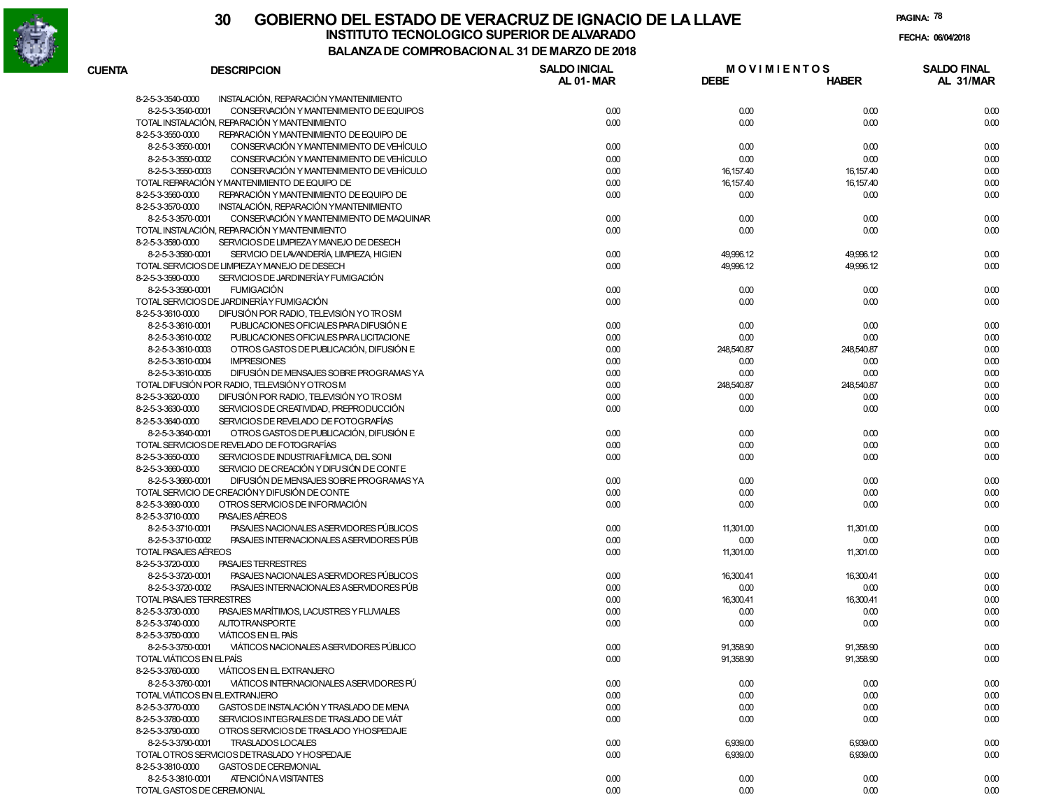

**PAGINA:78**

| <b>CUENTA</b>        | <b>DESCRIPCION</b>                             | <b>SALDO INICIAL</b><br>AL 01-MAR | <b>MOVIMIENTOS</b><br><b>DEBE</b> |              | <b>SALDO FINAL</b> |
|----------------------|------------------------------------------------|-----------------------------------|-----------------------------------|--------------|--------------------|
|                      |                                                |                                   |                                   | <b>HABER</b> | AL 31/MAR          |
| 8-2-5-3-3540-0000    | INSTALACIÓN, REPARACIÓN YMANTENIMIENTO         |                                   |                                   |              |                    |
| 8-2-5-3-3540-0001    | CONSERVACIÓN Y MANTENIMIENTO DE EQUIPOS        | 0.00                              | 0.00                              | 0.00         | 0.00               |
|                      | TOTAL INSTALACIÓN, REPARACIÓN Y MANTENIMIENTO  | 0.00                              | 0.00                              | 0.00         | 0.00               |
| 8-2-5-3-3550-0000    | REPARACIÓN Y MANTENIMIENTO DE EQUIPO DE        |                                   |                                   |              |                    |
| 8-2-5-3-3550-0001    | CONSERVACIÓN Y MANTENIMIENTO DE VEHÍCULO       | 0.00                              | 0.00                              | 0.00         | 0.00               |
| 8-2-5-3-3550-0002    | CONSERVACIÓN Y MANTENIMIENTO DE VEHÍCULO       | 0.00                              | 0.00                              | 0.00         | 0.00               |
| 8-2-5-3-3550-0003    | CONSERVACIÓN Y MANTENIMIENTO DE VEHÍCULO       | 0.00                              | 16,157.40                         | 16, 157.40   | 0.00               |
|                      | TOTAL REPARACIÓN Y MANTENIMIENTO DE EQUIPO DE  | 0.00                              | 16,157.40                         | 16, 157.40   | 0.00               |
| 8-2-5-3-3560-0000    | REPARACIÓN Y MANTENIMIENTO DE EQUIPO DE        | 0.00                              | 0.00                              | 0.00         | 0.00               |
| 8-2-5-3-3570-0000    | INSTALACIÓN, REPARACIÓN YMANTENIMIENTO         |                                   |                                   |              |                    |
| 8-2-5-3-3570-0001    | CONSERVACIÓN Y MANTENIMIENTO DE MAQUINAR       | 0.00                              | 0.00                              | 0.00         | 0.00               |
|                      | TOTAL INSTALACIÓN, REPARACIÓN Y MANTENIMIENTO  | 0.00                              | 0.00                              | 0.00         | 0.00               |
| 8-2-5-3-3580-0000    | SERVICIOS DE LIMPIEZAY MANEJO DE DESECH        |                                   |                                   |              |                    |
| 8-2-5-3-3580-0001    | SERVICIO DE LAVANDERÍA, LIMPIEZA, HIGIEN       | 0.00                              | 49,996.12                         | 49,996.12    | 0.00               |
|                      | TOTAL SERVICIOS DE LIMPIEZAY MANEJO DE DESECH  | 0.00                              | 49,996.12                         | 49,996.12    | 0.00               |
| 8-2-5-3-3590-0000    | SERVICIOS DE JARDINERÍA Y FUMIGACIÓN           |                                   |                                   |              |                    |
| 8-2-5-3-3590-0001    | <b>FUMIGACIÓN</b>                              | 0.00                              | 0.00                              | 0.00         | 0.00               |
|                      | TOTAL SERVICIOS DE JARDINERÍA Y FUMIGACIÓN     | 0.00                              | 0.00                              | 0.00         | 0.00               |
| 8-2-5-3-3610-0000    | DIFUSIÓN POR RADIO, TELEVISIÓN YO TROSM        |                                   |                                   |              |                    |
|                      |                                                |                                   |                                   |              |                    |
| 8-2-5-3-3610-0001    | PUBLICACIONES OFICIALES PARA DIFUSIÓN E        | 0.00                              | 0.00                              | 0.00         | 0.00               |
| 8-2-5-3-3610-0002    | PUBLICACIONES OFICIALES PARA LICITACIONE       | 0.00                              | 0.00                              | 0.00         | 0.00               |
| 8-2-5-3-3610-0003    | OTROS GASTOS DE PUBLICACIÓN, DIFUSIÓN E        | 0.00                              | 248,540.87                        | 248,540.87   | 0.00               |
| 8-2-5-3-3610-0004    | <b>IMPRESIONES</b>                             | 0.00                              | 0.00                              | 0.00         | 0.00               |
| 8-2-5-3-3610-0005    | DIFUSIÓN DE MENSAJES SOBRE PROGRAMAS YA        | 0.00                              | 0.00                              | 0.00         | 0.00               |
|                      | TOTAL DIFUSIÓN POR RADIO, TELEVISIÓN Y OTROS M | 0.00                              | 248,540.87                        | 248,540.87   | 0.00               |
| 8-2-5-3-3620-0000    | DIFUSIÓN POR RADIO. TELEVISIÓN YO TROSM        | 0.00                              | 0.00                              | 0.00         | 0.00               |
| 8-2-5-3-3630-0000    | SERVICIOS DE CREATIVIDAD, PREPRODUCCIÓN        | 0.00                              | 0.00                              | 0.00         | 0.00               |
| 8-2-5-3-3640-0000    | SERVICIOS DE REVELADO DE FOTOGRAFÍAS           |                                   |                                   |              |                    |
| 8-2-5-3-3640-0001    | OTROS GASTOS DE PUBLICACIÓN. DIFUSIÓN E        | 0.00                              | 0.00                              | 0.00         | 0.00               |
|                      | TOTAL SERVICIOS DE REVELADO DE FOTOGRAFÍAS     | 0.00                              | 0.00                              | 0.00         | 0.00               |
| 8-2-5-3-3650-0000    | SERVICIOS DE INDUSTRIAFÍLMICA, DEL SONI        | 0.00                              | 0.00                              | 0.00         | 0.00               |
| 8-2-5-3-3660-0000    | SERVICIO DE CREACIÓN Y DIFU SIÓN DE CONTE      |                                   |                                   |              |                    |
| 8-2-5-3-3660-0001    | DIFUSIÓN DE MENSAJES SOBRE PROGRAMAS YA        | 0.00                              | 0.00                              | 0.00         | 0.00               |
|                      | TOTAL SERVICIO DE CREACIÓNY DIFUSIÓN DE CONTE  | 0.00                              | 0.00                              | 0.00         | 0.00               |
| 8-2-5-3-3690-0000    | OTROS SERVICIOS DE INFORMACIÓN                 | 0.00                              | 0.00                              | 0.00         | 0.00               |
| 8-2-5-3-3710-0000    | PASAJES AEREOS                                 |                                   |                                   |              |                    |
| 8-2-5-3-3710-0001    | PASAJES NACIONALES A SERVIDORES PÚBLICOS       | 0.00                              | 11,301.00                         | 11,301.00    | 0.00               |
| 8-2-5-3-3710-0002    | PASAJES INTERNACIONALES ASERVIDORES PÚB        | 0.00                              | 0.00                              | 0.00         | 0.00               |
| TOTAL PASAJES AÉREOS |                                                | 0.00                              | 11,301.00                         | 11,301.00    | 0.00               |
|                      | <b>PASAJES TERRESTRES</b>                      |                                   |                                   |              |                    |
| 8-2-5-3-3720-0000    |                                                |                                   |                                   |              |                    |
| 8-2-5-3-3720-0001    | PASAJES NACIONALES A SERVIDORES PÚBLICOS       | 0.00                              | 16,300.41                         | 16,300.41    | 0.00               |
| 8-2-5-3-3720-0002    | PASAJES INTERNACIONALES ASERVIDORES PÚB        | 0.00                              | 0.00                              | 0.00         | 0.00               |
|                      | TOTAL PASAJES TERRESTRES                       | 0.00                              | 16,300.41                         | 16,300.41    | 0.00               |
| 8-2-5-3-3730-0000    | PASAJES MARÍTIMOS, LACUSTRES Y FLUVIALES       | 0.00                              | 0.00                              | 0.00         | 0.00               |
| 8-2-5-3-3740-0000    | <b>AUTOTRANSPORTE</b>                          | 0.00                              | 0.00                              | 0.00         | 0.00               |
| 8-2-5-3-3750-0000    | <b>VIÁTICOS EN EL PAÍS</b>                     |                                   |                                   |              |                    |
| 8-2-5-3-3750-0001    | VIÁTICOS NACIONALES A SERVIDORES PÚBLICO       | 0.00                              | 91,358.90                         | 91,358.90    | 0.00               |
|                      | TOTAL VIÁTICOS EN ELPAÍS                       | 0.00                              | 91,358.90                         | 91,358.90    | 0.00               |
| 8-2-5-3-3760-0000    | VIÁTICOS EN EL EXTRANJERO                      |                                   |                                   |              |                    |
| 8-2-5-3-3760-0001    | VIÁTICOS INTERNACIONALES ASERVIDORES PÚ        | 0.00                              | 0.00                              | 0.00         | 0.00               |
|                      | TOTAL VIÁTICOS EN EL EXTRANJERO                | 0.00                              | 0.00                              | 0.00         | 0.00               |
| 8-2-5-3-3770-0000    | GASTOS DE INSTALACIÓN Y TRASLADO DE MENA       | 0.00                              | 0.00                              | 0.00         | 0.00               |
| 8-2-5-3-3780-0000    | SERVICIOS INTEGRALES DE TRASLADO DE VIÁT       | 0.00                              | 0.00                              | 0.00         | 0.00               |
| 8-2-5-3-3790-0000    | OTROS SERVICIOS DE TRASLADO YHOSPEDAJE         |                                   |                                   |              |                    |
| 8-2-5-3-3790-0001    | TRASLADOS LOCALES                              | 0.00                              | 6,939.00                          | 6,939.00     | 0.00               |
|                      | TOTAL OTROS SERVICIOS DETRASLADO Y HOSPEDAJE   | 0.00                              |                                   |              |                    |
|                      |                                                |                                   | 6,939.00                          | 6,939.00     | 0.00               |
| 8-2-5-3-3810-0000    | <b>GASTOS DE CEREMONIAL</b>                    |                                   |                                   |              |                    |
| 8-2-5-3-3810-0001    | ATENCIÓN A VISITANTES                          | 0.00                              | 0.00                              | 0.00         | 0.00               |
|                      | TOTAL GASTOS DE CEREMONIAL                     | 0.00                              | 0.00                              | 0.00         | 0.00               |

0.00 0.00 0.00 0.00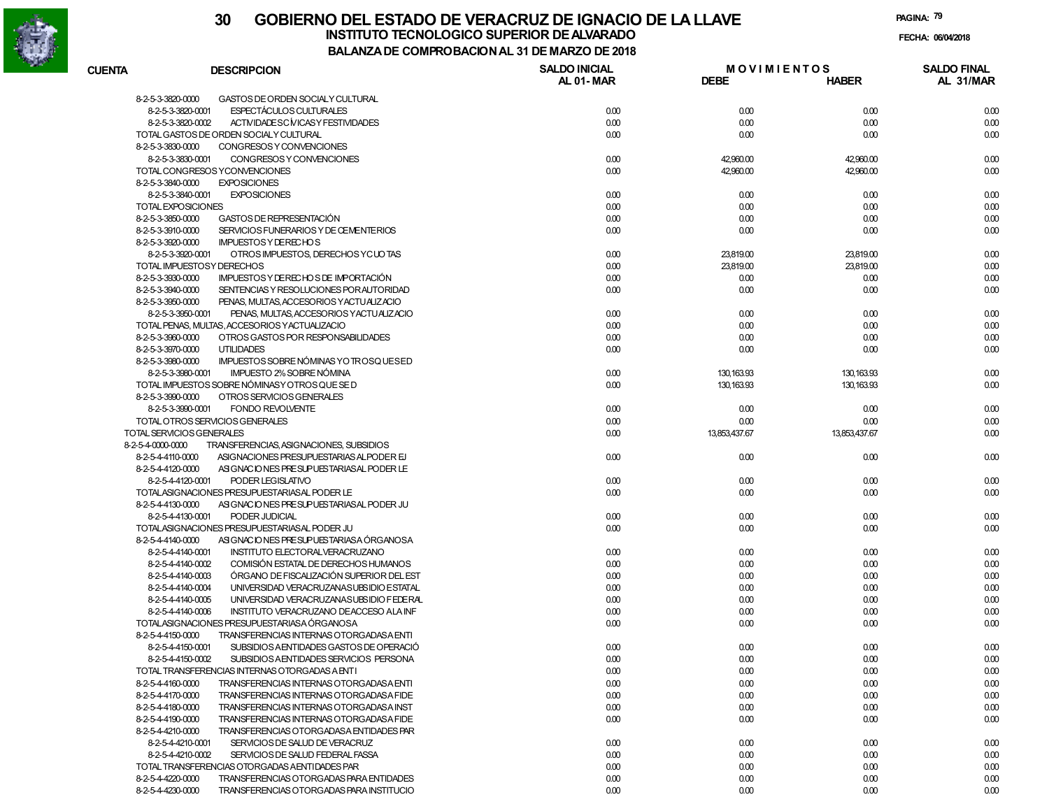

# **30 GOBIERNO DEL ESTADO DE VERACRUZ DE IGNACIO DE LA LLAVEFECHA: 06/04/2018 INSTITUTO TECNOLOGICO SUPERIOR DE ALVARADO**

8-2-5-4-4220-0000 TRANSFERENCIAS OTORGADAS PARA ENTIDADES

8-2-5-4-4230-0000 TRANSFERENCIAS OTORGADAS PARA INSTITUCIO

**PAGINA:79**

**M O V I M I E N T O SAL 01-DEBEBALANZA DE COMPROBACION AL 31 DE MARZO DE 2018MARDESCRIPCION SALDO INICIAL**

| <b>CUENTA</b>             | <b>DESCRIPCION</b>                                          | <b>SALDO INICIAL</b> | <b>MOVIMIENTOS</b> |               | <b>SALDO FINAL</b> |
|---------------------------|-------------------------------------------------------------|----------------------|--------------------|---------------|--------------------|
|                           |                                                             | <b>AL 01-MAR</b>     | <b>DEBE</b>        | <b>HABER</b>  | AL 31/MAR          |
| 8-2-5-3-3820-0000         | GASTOS DE ORDEN SOCIALY CULTURAL                            |                      |                    |               |                    |
| 8-2-5-3-3820-0001         | <b>ESPECTÁCULOS CULTURALES</b>                              | 0.00                 | 0.00               | 0.00          | 0.00               |
| 8-2-5-3-3820-0002         | ACTIVIDADESC MICASY FESTIVIDADES                            | 0.00                 | 0.00               | 0.00          | 0.00               |
|                           | TOTAL GASTOS DE ORDEN SOCIALY CULTURAL                      | 0.00                 | 0.00               | 0.00          | 0.00               |
| 8-2-5-3-3830-0000         | CONGRESOS Y CONVENCIONES                                    |                      |                    |               |                    |
| 8-2-5-3-3830-0001         | CONGRESOS Y CONVENCIONES                                    | 0.00                 | 42,960.00          | 42,960.00     | 0.00               |
|                           | TOTAL CONGRESOS YCONVENCIONES                               | 0.00                 | 42,960.00          | 42,960.00     | 0.00               |
| 8-2-5-3-3840-0000         | <b>EXPOSICIONES</b>                                         |                      |                    |               |                    |
| 8-2-5-3-3840-0001         | <b>EXPOSICIONES</b>                                         | 0.00                 | 0.00               | 0.00          | 0.00               |
| <b>TOTAL EXPOSICIONES</b> |                                                             | 0.00                 | 0.00               | 0.00          | 0.00               |
| 8-2-5-3-3850-0000         | GASTOS DE REPRESENTACIÓN                                    | 0.00                 | 0.00               | 0.00          | 0.00               |
| 8-2-5-3-3910-0000         | SERVICIOS FUNERARIOS Y DE CEMENTERIOS                       | 0.00                 | 0.00               | 0.00          | 0.00               |
|                           | <b>IMPUESTOS Y DERECHOS</b>                                 |                      |                    |               |                    |
| 8-2-5-3-3920-0000         |                                                             |                      |                    |               |                    |
| 8-2-5-3-3920-0001         | OTROS IMPUESTOS, DERECHOS YCUOTAS                           | 0.00                 | 23,819.00          | 23,819.00     | 0.00               |
|                           | TOTAL IMPUESTOSY DERECHOS                                   | 0.00                 | 23,819.00          | 23,819.00     | 0.00               |
| 8-2-5-3-3930-0000         | IMPUESTOS Y DE RECHOS DE IMPORTACIÓN                        | 0.00                 | 0.00               | 0.00          | 0.00               |
| 8-2-5-3-3940-0000         | SENTENCIAS Y RESOLUCIONES POR AUTORIDAD                     | 0.00                 | 0.00               | 0.00          | 0.00               |
| 8-2-5-3-3950-0000         | PENAS, MULTAS, ACCESORIOS YACTUALIZACIO                     |                      |                    |               |                    |
| 8-2-5-3-3950-0001         | PENAS, MULTAS, ACCESORIOS YACTUALIZACIO                     | 0.00                 | 0.00               | 0.00          | 0.00               |
|                           | TOTAL PENAS, MULTAS, ACCESORIOS Y ACTUALIZACIO              | 0.00                 | 0.00               | 0.00          | 0.00               |
| 8-2-5-3-3960-0000         | OTROS GASTOS POR RESPONSABILIDADES                          | 0.00                 | 0.00               | 0.00          | 0.00               |
| 8-2-5-3-3970-0000         | <b>UTILIDADES</b>                                           | 0.00                 | 0.00               | 0.00          | 0.00               |
| 8-2-5-3-3980-0000         | IMPUESTOS SOBRE NÓMINAS YO TROSQUESED                       |                      |                    |               |                    |
| 8-2-5-3-3980-0001         | IMPUESTO 2% SOBRE NÓMINA                                    | 0.00                 | 130, 163.93        | 130, 163.93   | 0.00               |
|                           | TOTAL IMPUESTOS SOBRE NÓMINASY OTROS QUE SE D               | 0.00                 | 130, 163.93        | 130, 163.93   | 0.00               |
| 8-2-5-3-3990-0000         | OTROS SERVICIOS GENERALES                                   |                      |                    |               |                    |
|                           | 8-2-5-3-3990-0001<br><b>FONDO REVOLVENTE</b>                | 0.00                 | 0.00               | 0.00          | 0.00               |
|                           | TOTAL OTROS SERVICIOS GENERALES                             | 0.00                 | 0.00               | 0.00          | 0.00               |
|                           | TOTAL SERVICIOS GENERALES                                   | 0.00                 | 13,853,437.67      | 13,853,437.67 | 0.00               |
| 8-2-5-4-0000-0000         | TRANSFERENCIAS, ASIGNACIONES, SUBSIDIOS                     |                      |                    |               |                    |
| 8-2-5-4-4110-0000         | ASIGNACIONES PRESUPUESTARIAS ALPODER EJ                     | 0.00                 | 0.00               | 0.00          | 0.00               |
| 8-2-5-4-4120-0000         | ASIGNACIONES PRESUPUESTARIAS AL PODER LE                    |                      |                    |               |                    |
| 8-2-5-4-4120-0001         | PODER LEGISLATIVO                                           | 0.00                 | 0.00               | 0.00          | 0.00               |
|                           | TOTALASIGNACIONES PRESUPUESTARIAS AL PODER LE               | 0.00                 | 0.00               | 0.00          | 0.00               |
| 8-2-5-4-4130-0000         | ASIGNACIONES PRESUPUESTARIAS AL PODER JU                    |                      |                    |               |                    |
| 8-2-5-4-4130-0001         | PODER JUDICIAL                                              | 0.00                 | 0.00               | 0.00          | 0.00               |
|                           | TOTALASIGNACIONES PRESUPUESTARIAS AL PODER JU               | 0.00                 | 0.00               | 0.00          | 0.00               |
| 8-2-5-4-4140-0000         | ASIGNACIONES PRESUPUESTARIASA ÓRGANOSA                      |                      |                    |               |                    |
| 8-2-5-4-4140-0001         | INSTITUTO ELECTORALVERACRUZANO                              | 0.00                 | 0.00               | 0.00          | 0.00               |
| 8-2-5-4-4140-0002         | COMISIÓN ESTATAL DE DERECHOS HUMANOS                        | 0.00                 | 0.00               | 0.00          | 0.00               |
| 8-2-5-4-4140-0003         | ÓRGANO DE FISCALIZACIÓN SUPERIOR DEL EST                    |                      | 0.00               |               |                    |
|                           |                                                             | 0.00                 |                    | 0.00          | 0.00               |
| 8-2-5-4-4140-0004         | UNIVERSIDAD VERACRUZANASUBSIDIO ESTATAL                     | 0.00                 | 0.00               | 0.00          | 0.00               |
| 8-2-5-4-4140-0005         | UNIVERSIDAD VERACRUZANASUBSIDIO FEDERAL                     | 0.00                 | 0.00               | 0.00          | 0.00               |
| 8-2-5-4-4140-0006         | INSTITUTO VERACRUZANO DEACCESO ALA INF                      | 0.00                 | 0.00               | 0.00          | 0.00               |
|                           | TOTALASIGNACIONES PRESUPUESTARIASA ÓRGANOSA                 | 0.00                 | 0.00               | 0.00          | 0.00               |
| 8-2-5-4-4150-0000         | TRANSFERENCIAS INTERNAS OTORGADASA ENTI                     |                      |                    |               |                    |
| 8-2-5-4-4150-0001         | SUBSIDIOS AENTIDADES GASTOS DE OPERACIÓ                     | 0.00                 | 0.00               | 0.00          | 0.00               |
|                           | 8-2-5-4-4150-0002<br>SUBSIDIOS AENTIDADES SERVICIOS PERSONA | 0.00                 | 0.00               | 0.00          | 0.00               |
|                           | TOTAL TRANSFERENCIAS INTERNAS OTORGADAS A ENTI              | 0.00                 | 0.00               | 0.00          | 0.00               |
| 8-2-5-4-4160-0000         | TRANSFERENCIAS INTERNAS OTORGADASA ENTI                     | 0.00                 | 0.00               | 0.00          | 0.00               |
| 8-2-5-4-4170-0000         | TRANSFERENCIAS INTERNAS OTORGADAS A FIDE                    | 0.00                 | 0.00               | 0.00          | 0.00               |
| 8-2-5-4-4180-0000         | TRANSFERENCIAS INTERNAS OTORGADASA INST                     | 0.00                 | 0.00               | 0.00          | 0.00               |
| 8-2-5-4-4190-0000         | TRANSFERENCIAS INTERNAS OTORGADASA FIDE                     | 0.00                 | 0.00               | 0.00          | 0.00               |
| 8-2-5-4-4210-0000         | TRANSFERENCIAS OTORGADASA ENTIDADES PAR                     |                      |                    |               |                    |
| 8-2-5-4-4210-0001         | SERVICIOS DE SALUD DE VERACRUZ                              | 0.00                 | 0.00               | 0.00          | 0.00               |
| 8-2-5-4-4210-0002         | SERVICIOS DE SALUD FEDERAL FASSA                            | 0.00                 | 0.00               | 0.00          | 0.00               |
|                           | TOTAL TRANSFERENCIAS OTORGADAS A ENTIDADES PAR              | 0.00                 | 0.00               | 0.00          | 0.00               |
|                           |                                                             |                      |                    |               |                    |

0.00 0.00 0.00 0.00

0.00 0.00 0.00 0.00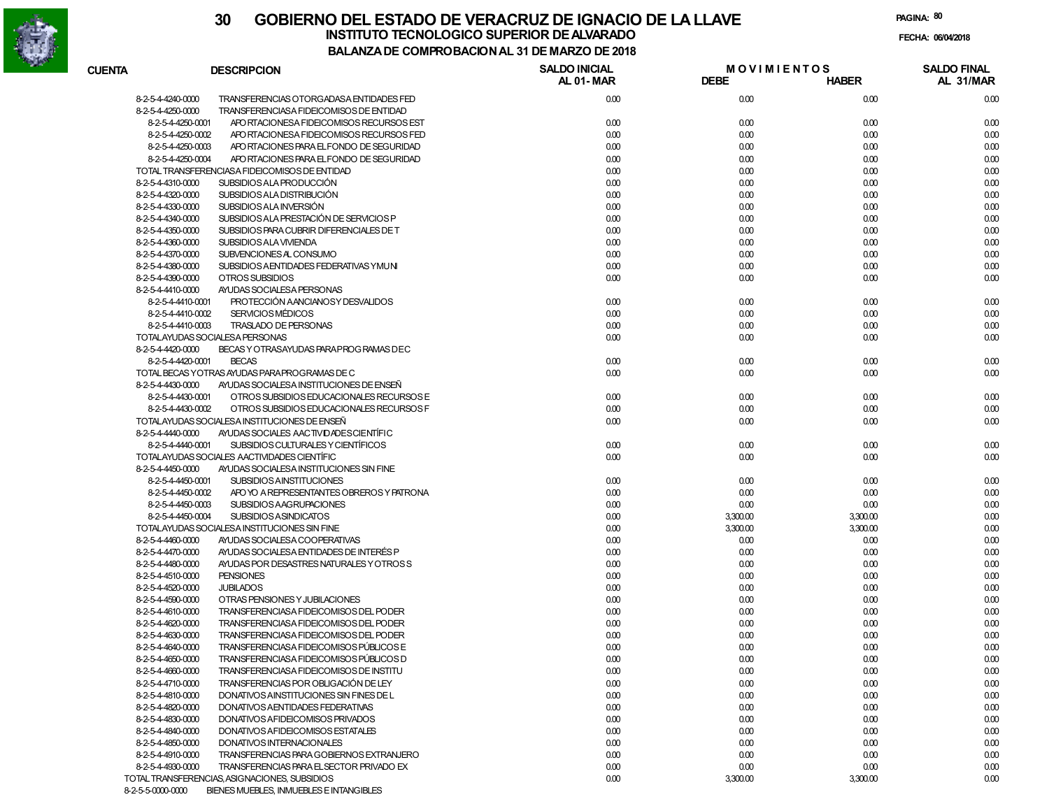

| <b>CUENTA</b> | <b>DESCRIPCION</b>                                             | <b>SALDO INICIAL</b><br>AL 01-MAR | <b>MOVIMIENTOS</b><br><b>DEBE</b> | <b>HABER</b> | <b>SALDO FINAL</b><br>AL 31/MAR |
|---------------|----------------------------------------------------------------|-----------------------------------|-----------------------------------|--------------|---------------------------------|
|               | 8-2-5-4-4240-0000<br>TRANSFERENCIAS OTORGADASA ENTIDADES FED   | 0.00                              | 0.00                              | 0.00         | 0.00                            |
|               | 8-2-5-4-4250-0000<br>TRANSFERENCIASA FIDEICOMISOS DE ENTIDAD   |                                   |                                   |              |                                 |
|               | 8-2-5-4-4250-0001<br>APO RTACIONESA FIDEICOMISOS RECURSOS EST  | 0.00                              | 0.00                              | 0.00         | 0.00                            |
|               | 8-2-5-4-4250-0002<br>APO RTACIONESA FIDEICOMISOS RECURSOS FED  | 0.00                              | 0.00                              | 0.00         | 0.00                            |
|               | 8-2-5-4-4250-0003<br>APO RTACIONES PARA EL FONDO DE SEGURIDAD  | 0.00                              | 0.00                              | 0.00         | 0.00                            |
|               | 8-2-5-4-4250-0004<br>APO RTACIONES PARA EL FONDO DE SEGURIDAD  | 0.00                              | 0.00                              | 0.00         | 0.00                            |
|               | TOTAL TRANSFERENCIASA FIDEICOMISOS DE ENTIDAD                  | 0.00                              | 0.00                              | 0.00         | 0.00                            |
|               | 8-2-5-4-4310-0000<br>SUBSIDIOS ALA PRODUCCIÓN                  | 0.00                              | 0.00                              | 0.00         | 0.00                            |
|               | 8-2-5-4-4320-0000<br>SUBSIDIOS ALA DISTRIBUCIÓN                | 0.00                              | 0.00                              | 0.00         | 0.00                            |
|               | 8-2-5-4-4330-0000<br>SUBSIDIOS ALA INVERSIÓN                   | 0.00                              | 0.00                              | 0.00         | 0.00                            |
|               | 8-2-5-4-4340-0000<br>SUBSIDIOS ALA PRESTACIÓN DE SERVICIOS P   | 0.00                              | 0.00                              | 0.00         | 0.00                            |
|               | 8-2-5-4-4350-0000<br>SUBSIDIOS PARA CUBRIR DIFERENCIALES DE T  | 0.00                              | 0.00                              | 0.00         | 0.00                            |
|               | 8-2-5-4-4360-0000<br>SUBSIDIOS ALA VIVIENDA                    | 0.00                              | 0.00                              | 0.00         | 0.00                            |
|               | 8-2-5-4-4370-0000<br>SUBVENCIONES AL CONSUMO                   | 0.00                              | 0.00                              | 0.00         | 0.00                            |
|               | 8-2-5-4-4380-0000<br>SUBSIDIOS AENTIDADES FEDERATIVAS YMUNI    | 0.00                              | 0.00                              | 0.00         | 0.00                            |
|               | 8-2-5-4-4390-0000<br>OTROS SUBSIDIOS                           | 0.00                              | 0.00                              | 0.00         | 0.00                            |
|               | 8-2-5-4-4410-0000<br>AYUDAS SOCIALESA PERSONAS                 |                                   |                                   |              |                                 |
|               | PROTECCIÓN AANCIANOSY DESVALIDOS<br>8-2-5-4-4410-0001          | 0.00                              | 0.00                              | 0.00         | 0.00                            |
|               | 8-2-5-4-4410-0002<br><b>SERVICIOS MÉDICOS</b>                  | 0.00                              | 0.00                              | 0.00         | 0.00                            |
|               | 8-2-5-4-4410-0003<br>TRASLADO DE PERSONAS                      | 0.00                              | 0.00                              | 0.00         | 0.00                            |
|               | TOTALAYUDAS SOCIALESA PERSONAS                                 | 0.00                              | 0.00                              | 0.00         | 0.00                            |
|               | 8-2-5-4-4420-0000<br>BECAS Y OTRASAYUDAS PARA PROG RAMAS DEC   |                                   |                                   |              |                                 |
|               | 8-2-5-4-4420-0001<br><b>BECAS</b>                              | 0.00                              | 0.00                              | 0.00         | 0.00                            |
|               | TOTAL BECAS YOTRAS AYUDAS PARA PROGRAMAS DE C                  | 0.00                              | 0.00                              | 0.00         | 0.00                            |
|               |                                                                |                                   |                                   |              |                                 |
|               | 8-2-5-4-4430-0000<br>AYUDAS SOCIALESA INSTITUCIONES DE ENSEÑ   |                                   |                                   |              |                                 |
|               | 8-2-5-4-4430-0001<br>OTROS SUBSIDIOS EDUCACIONALES RECURSOS E  | 0.00                              | 0.00                              | 0.00         | 0.00                            |
|               | 8-2-5-4-4430-0002<br>OTROS SUBSIDIOS EDUCACIONALES RECURSOS F  | 0.00                              | 0.00                              | 0.00         | 0.00                            |
|               | TOTALAYUDAS SOCIALESA INSTITUCIONES DE ENSEÑ                   | 0.00                              | 0.00                              | 0.00         | 0.00                            |
|               | 8-2-5-4-4440-0000<br>AYUDAS SOCIALES AACTIVIDADES CIENTÍFIC    |                                   |                                   |              |                                 |
|               | 8-2-5-4-4440-0001<br>SUBSIDIOS CULTURALES Y CIENTÍFICOS        | 0.00                              | 0.00                              | 0.00         | 0.00                            |
|               | TOTALAYUDAS SOCIALES AACTIVIDADES CIENTÍFIC                    | 0.00                              | 0.00                              | 0.00         | 0.00                            |
|               | 8-2-5-4-4450-0000<br>AYUDAS SOCIALESA INSTITUCIONES SIN FINE   |                                   |                                   |              |                                 |
|               | 8-2-5-4-4450-0001<br><b>SUBSIDIOS AINSTITUCIONES</b>           | 0.00                              | 0.00                              | 0.00         | 0.00                            |
|               | 8-2-5-4-4450-0002<br>APO YO A REPRESENTANTES OBREROS Y PATRONA | 0.00                              | 0.00                              | 0.00         | 0.00                            |
|               | 8-2-5-4-4450-0003<br>SUBSIDIOS AAGRUPACIONES                   | 0.00                              | 0.00                              | 0.00         | 0.00                            |
|               | 8-2-5-4-4450-0004<br><b>SUBSIDIOS ASINDICATOS</b>              | 0.00                              | 3,300.00                          | 3,300.00     | 0.00                            |
|               | TOTALAYUDAS SOCIALESA INSTITUCIONES SIN FINE                   | 0.00                              | 3,300.00                          | 3,300.00     | 0.00                            |
|               | 8-2-5-4-4460-0000<br>AYUDAS SOCIALESA COOPERATIVAS             | 0.00                              | 0.00                              | 0.00         | 0.00                            |
|               | 8-2-5-4-4470-0000<br>AYUDAS SOCIALESA ENTIDADES DE INTERÉS P   | 0.00                              | 0.00                              | 0.00         | 0.00                            |
|               | 8-2-5-4-4480-0000<br>AYUDAS POR DESASTRES NATURALES Y OTROSS   | 0.00                              | 0.00                              | 0.00         | 0.00                            |
|               | 8-2-5-4-4510-0000<br><b>PENSIONES</b>                          | 0.00                              | 0.00                              | 0.00         | 0.00                            |
|               | 8-2-5-4-4520-0000<br><b>JUBILADOS</b>                          | 0.00                              | 0.00                              | 0.00         | 0.00                            |
|               | 8-2-5-4-4590-0000<br>OTRAS PENSIONES Y JUBILACIONES            | 0.00                              | 0.00                              | 0.00         | 0.00                            |
|               | 8-2-5-4-4610-0000<br>TRANSFERENCIASA FIDEICOMISOS DEL PODER    | 0.00                              | 0.00                              | 0.00         | 0.00                            |
|               | 8-2-5-4-4620-0000<br>TRANSFERENCIASA FIDEICOMISOS DEL PODER    | 0.00                              | 0.00                              | 0.00         | 0.00                            |
|               | 8-2-5-4-4630-0000<br>TRANSFERENCIASA FIDEICOMISOS DEL PODER    | 0.00                              | 0.00                              | 0.00         | 0.00                            |
|               | TRANSFERENCIASA FIDEICOMISOS PÚBLICOS E<br>8-2-5-4-4640-0000   | 0.00                              | 0.00                              | 0.00         | 0.00                            |
|               | TRANSFERENCIASA FIDEICOMISOS PÚBLICOS D<br>8-2-5-4-4650-0000   | 0.00                              | 0.00                              | 0.00         | 0.00                            |
|               | 8-2-5-4-4660-0000<br>TRANSFERENCIASA FIDEICOMISOS DE INSTITU   | 0.00                              | 0.00                              | 0.00         | 0.00                            |
|               | 8-2-5-4-4710-0000<br>TRANSFERENCIAS POR OBLIGACIÓN DE LEY      | 0.00                              | 0.00                              | 0.00         | 0.00                            |
|               | 8-2-5-4-4810-0000<br>DONATIVOS AINSTITUCIONES SIN FINES DE L   | 0.00                              | 0.00                              | 0.00         | 0.00                            |
|               | 8-2-5-4-4820-0000<br>DONATIVOS AENTIDADES FEDERATIVAS          | 0.00                              | 0.00                              | 0.00         | 0.00                            |
|               | 8-2-5-4-4830-0000<br>DONATIVOS A FIDEICOMISOS PRIVADOS         | 0.00                              | 0.00                              | 0.00         | 0.00                            |
|               | 8-2-5-4-4840-0000<br>DONATIVOS AFIDEICOMISOS ESTATALES         | 0.00                              | 0.00                              | 0.00         | 0.00                            |
|               | 8-2-5-4-4850-0000<br>DONATIVOS INTERNACIONALES                 | 0.00                              | 0.00                              | 0.00         | 0.00                            |
|               | 8-2-5-4-4910-0000<br>TRANSFERENCIAS PARA GOBIERNOS EXTRANJERO  | 0.00                              | 0.00                              | 0.00         | 0.00                            |
|               | 8-2-5-4-4930-0000<br>TRANSFERENCIAS PARA EL SECTOR PRIVADO EX  | 0.00                              | 0.00                              | 0.00         | 0.00                            |
|               | TOTAL TRANSFERENCIAS, ASIGNACIONES, SUBSIDIOS                  | 0.00                              | 3,300.00                          | 3,300.00     | 0.00                            |
|               | 8-2-5-5-0000-0000<br>BIENES MUEBLES, INMUEBLES E INTANGIBLES   |                                   |                                   |              |                                 |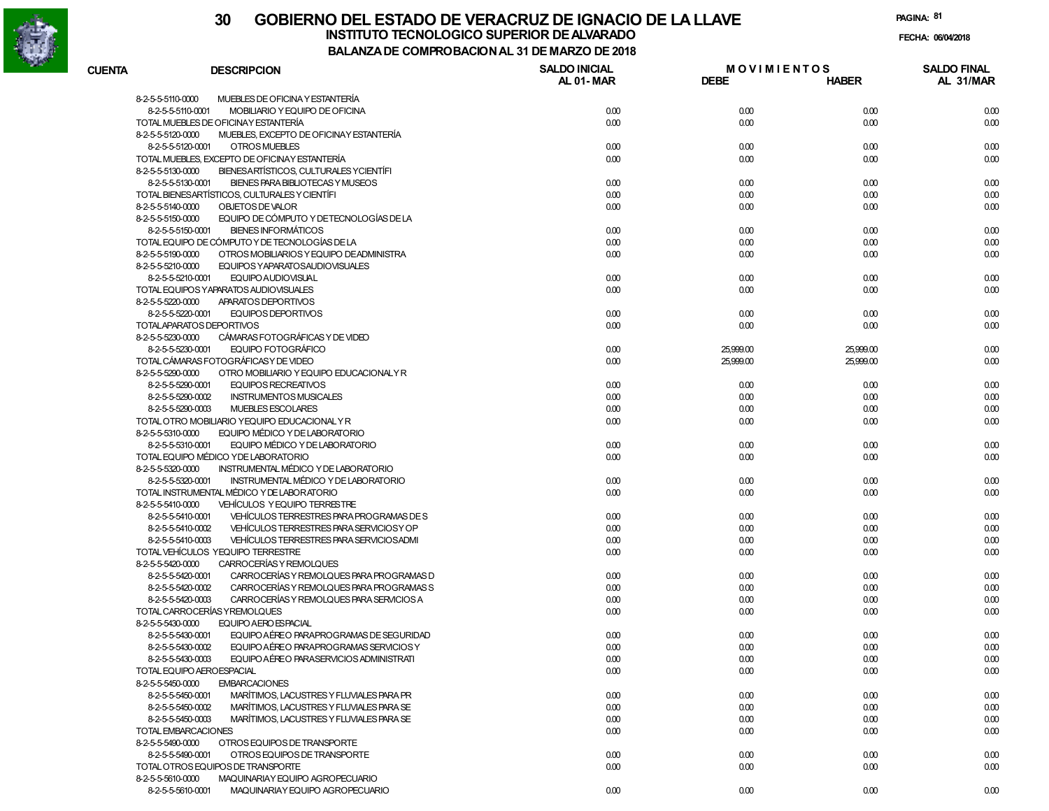

| <b>CUENTA</b> | <b>DESCRIPCION</b>                                                                          | <b>SALDO INICIAL</b><br>AL 01-MAR | <b>MOVIMIENTOS</b><br><b>DEBE</b> | <b>HABER</b> | <b>SALDO FINAL</b><br>AL 31/MAR |
|---------------|---------------------------------------------------------------------------------------------|-----------------------------------|-----------------------------------|--------------|---------------------------------|
|               | MUEBLES DE OFICINA Y ESTANTERÍA<br>8-2-5-5-5110-0000                                        |                                   |                                   |              |                                 |
|               | MOBILIARIO Y EQUIPO DE OFICINA<br>8-2-5-5-5110-0001                                         | 0.00                              | 0.00                              | 0.00         | 0.00                            |
|               | TOTAL MUEBLES DE OFICINAY ESTANTERÍA                                                        | 0.00                              | 0.00                              | 0.00         | 0.00                            |
|               | MUEBLES, EXCEPTO DE OFICINAY ESTANTERÍA<br>8-2-5-5-5120-0000                                |                                   |                                   |              |                                 |
|               | 8-2-5-5-5120-0001<br>OTROS MUEBLES                                                          | 0.00                              | 0.00                              | 0.00         | 0.00                            |
|               | TOTAL MUEBLES, EXCEPTO DE OFICINAY ESTANTERÍA                                               | 0.00                              | 0.00                              | 0.00         | 0.00                            |
|               | 8-2-5-5-5130-0000<br>BIENESARTÍSTICOS, CULTURALES YCIENTÍFI                                 |                                   |                                   |              |                                 |
|               | 8-2-5-5-5130-0001<br>BIENES PARA BIBLIOTECAS Y MUSEOS                                       | 0.00                              | 0.00                              | 0.00         | 0.00                            |
|               | TOTAL BIENESARTÍSTICOS, CULTURALES Y CIENTÍFI                                               | 0.00                              | 0.00                              | 0.00         | 0.00                            |
|               | 8-2-5-5-5140-0000<br>OBJETOS DE VALOR                                                       | 0.00                              | 0.00                              | 0.00         | 0.00                            |
|               | 8-2-5-5-5150-0000<br>EQUIPO DE CÓMPUTO Y DE TECNOLOGÍAS DE LA                               |                                   |                                   |              |                                 |
|               | 8-2-5-5-5150-0001 BIENES INFORMÁTICOS                                                       | 0.00                              | 0.00                              | 0.00         | 0.00                            |
|               | TOTAL EQUIPO DE CÓMPUTO Y DE TECNOLOGÍAS DE LA                                              | 0.00                              | 0.00                              | 0.00         | 0.00                            |
|               | 8-2-5-5-5190-0000<br>OTROS MOBILIARIOS Y EQUIPO DE ADMINISTRA                               | 0.00                              | 0.00                              | 0.00         | 0.00                            |
|               | 8-2-5-5-5210-0000<br>EQUIPOS YAPARATOSAUDIOVISUALES<br>8-2-5-5-5210-0001 EQUIPO AUDIOVISUAL | 0.00                              |                                   | 0.00         |                                 |
|               | TOTAL EQUIPOS YAPARATOS AUDIOVISUALES                                                       | 0.00                              | 0.00<br>0.00                      | 0.00         | 0.00<br>0.00                    |
|               | 8-2-5-5-5220-0000<br>APARATOS DEPORTIVOS                                                    |                                   |                                   |              |                                 |
|               | 8-2-5-5-5220-0001<br>EQUIPOS DEPORTIVOS                                                     | 0.00                              | 0.00                              | 0.00         | 0.00                            |
|               | TOTALAPARATOS DEPORTIVOS                                                                    | 0.00                              | 0.00                              | 0.00         | 0.00                            |
|               | 8-2-5-5-5230-0000<br>CÁMARAS FOTOGRÁFICAS Y DE VIDEO                                        |                                   |                                   |              |                                 |
|               | 8-2-5-5-5230-0001<br>EQUIPO FOTOGRÁFICO                                                     | 0.00                              | 25,999.00                         | 25,999.00    | 0.00                            |
|               | TOTAL CÁMARAS FOTOGRÁFICAS Y DE VIDEO                                                       | 0.00                              | 25,999.00                         | 25,999.00    | 0.00                            |
|               | 8-2-5-5-5290-0000<br>OTRO MOBILIARIO Y EQUIPO EDUCACIONALY R                                |                                   |                                   |              |                                 |
|               | 8-2-5-5-5290-0001<br><b>EQUIPOS RECREATIVOS</b>                                             | 0.00                              | 0.00                              | 0.00         | 0.00                            |
|               | 8-2-5-5-5290-0002<br><b>INSTRUMENTOS MUSICALES</b>                                          | 0.00                              | 0.00                              | 0.00         | 0.00                            |
|               | 8-2-5-5-5290-0003<br>MUEBLES ESCOLARES                                                      | 0.00                              | 0.00                              | 0.00         | 0.00                            |
|               | TOTAL OTRO MOBILIARIO YEQUIPO EDUCACIONAL Y R                                               | 0.00                              | 0.00                              | 0.00         | 0.00                            |
|               | 8-2-5-5-5310-0000<br>EQUIPO MÉDICO Y DE LABORATORIO                                         |                                   |                                   |              |                                 |
|               | 8-2-5-5-5310-0001<br>EQUIPO MÉDICO Y DE LABORATORIO                                         | 0.00                              | 0.00                              | 0.00         | 0.00                            |
|               | TOTAL EQUIPO MÉDICO Y DE LABORATORIO                                                        | 0.00                              | 0.00                              | 0.00         | 0.00                            |
|               | 8-2-5-5-5320-0000<br>INSTRUMENTAL MÉDICO Y DE LABORATORIO                                   |                                   |                                   |              |                                 |
|               | 8-2-5-5-5320-0001<br>INSTRUMENTAL MÉDICO Y DE LABORATORIO                                   | 0.00                              | 0.00                              | 0.00         | 0.00                            |
|               | TOTAL INSTRUMENTAL MÉDICO Y DE LABORATORIO                                                  | 0.00                              | 0.00                              | 0.00         | 0.00                            |
|               | 8-2-5-5-5410-0000<br>VEHÍCULOS Y EQUIPO TERRESTRE                                           |                                   |                                   |              |                                 |
|               | VEHÍCULOS TERRESTRES PARA PROGRAMAS DE S<br>8-2-5-5-5410-0001                               | 0.00                              | 0.00                              | 0.00         | 0.00                            |
|               | 8-2-5-5-5410-0002<br>VEHÍCULOS TERRESTRES PARA SERVICIOS Y OP                               | 0.00                              | 0.00                              | 0.00         | 0.00                            |
|               | 8-2-5-5-5410-0003<br>VEHÍCULOS TERRESTRES PARA SERVICIOSADMI                                | 0.00                              | 0.00                              | 0.00         | 0.00                            |
|               | TOTAL VEHÍCULOS YEQUIPO TERRESTRE                                                           | 0.00                              | 0.00                              | 0.00         | 0.00                            |
|               | 8-2-5-5-5420-0000<br>CARROCERÍAS Y REMOLQUES                                                |                                   |                                   |              |                                 |
|               | 8-2-5-5-5420-0001<br>CARROCERÍAS Y REMOLQUES PARA PROGRAMAS D                               | 0.00                              | 0.00                              | 0.00         | 0.00                            |
|               | 8-2-5-5-5420-0002<br>CARROCERÍAS Y REMOLQUES PARA PROGRAMAS S                               | 0.00                              | 0.00                              | 0.00         | 0.00                            |
|               | 8-2-5-5-5420-0003<br>CARROCERÍAS Y REMOLQUES PARA SERVICIOS A                               | 0.00                              | 0.00                              | 0.00         | 0.00                            |
|               | TOTAL CARROCERÍAS Y REMOLQUES                                                               | 0.00                              | 0.00                              | 0.00         | 0.00                            |
|               | 8-2-5-5-5430-0000<br>EQUIPO AERO ES PACIAL                                                  |                                   |                                   |              |                                 |
|               | EQUIPO AÉREO PARAPROGRAMAS DE SEGURIDAD<br>8-2-5-5-5430-0001                                | 0.00                              | 0.00                              | 0.00         | 0.00                            |
|               | EQUIPO AÉREO PARAPROGRAMAS SERVICIOS Y<br>8-2-5-5-5430-0002                                 | 0.00                              | 0.00                              | 0.00         | 0.00                            |
|               | 8-2-5-5-5430-0003<br>EQUIPO AÉREO PARASERVICIOS ADMINISTRATI                                | 0.00                              | 0.00                              | 0.00         | 0.00                            |
|               | TOTAL EQUIPO AEROESPACIAL                                                                   | 0.00                              | 0.00                              | 0.00         | 0.00                            |
|               | <b>EMBARCACIONES</b><br>8-2-5-5-5450-0000                                                   |                                   |                                   |              |                                 |
|               | MARÍTIMOS, LACUSTRES Y FLUVIALES PARA PR<br>8-2-5-5-5450-0001                               | 0.00                              | 0.00                              | 0.00         | 0.00                            |
|               | 8-2-5-5-5450-0002<br>MARÍTIMOS. LACUSTRES Y FLUVIALES PARA SE                               | 0.00                              | 0.00                              | 0.00         | 0.00                            |
|               | 8-2-5-5-5450-0003<br>MARÍTIMOS, LACUSTRES Y FLUVIALES PARA SE                               | 0.00                              | 0.00                              | 0.00         | 0.00                            |
|               | TOTAL EMBARCACIONES                                                                         | 0.00                              | 0.00                              | 0.00         | 0.00                            |
|               | 8-2-5-5-5490-0000<br>OTROS EQUIPOS DE TRANSPORTE                                            |                                   |                                   |              |                                 |
|               | 8-2-5-5-5490-0001<br>OTROS EQUIPOS DE TRANSPORTE                                            | 0.00                              | 0.00                              | 0.00         | 0.00                            |
|               | TOTAL OTROS EQUIPOS DE TRANSPORTE                                                           | 0.00                              | 0.00                              | 0.00         | 0.00                            |
|               | 8-2-5-5-5610-0000<br>MAQUINARIAY EQUIPO AGROPECUARIO                                        |                                   |                                   |              |                                 |
|               | 8-2-5-5-5610-0001<br>MAQUINARIAY EQUIPO AGROPECUARIO                                        | 0.00                              | 0.00                              | 0.00         | 0.00                            |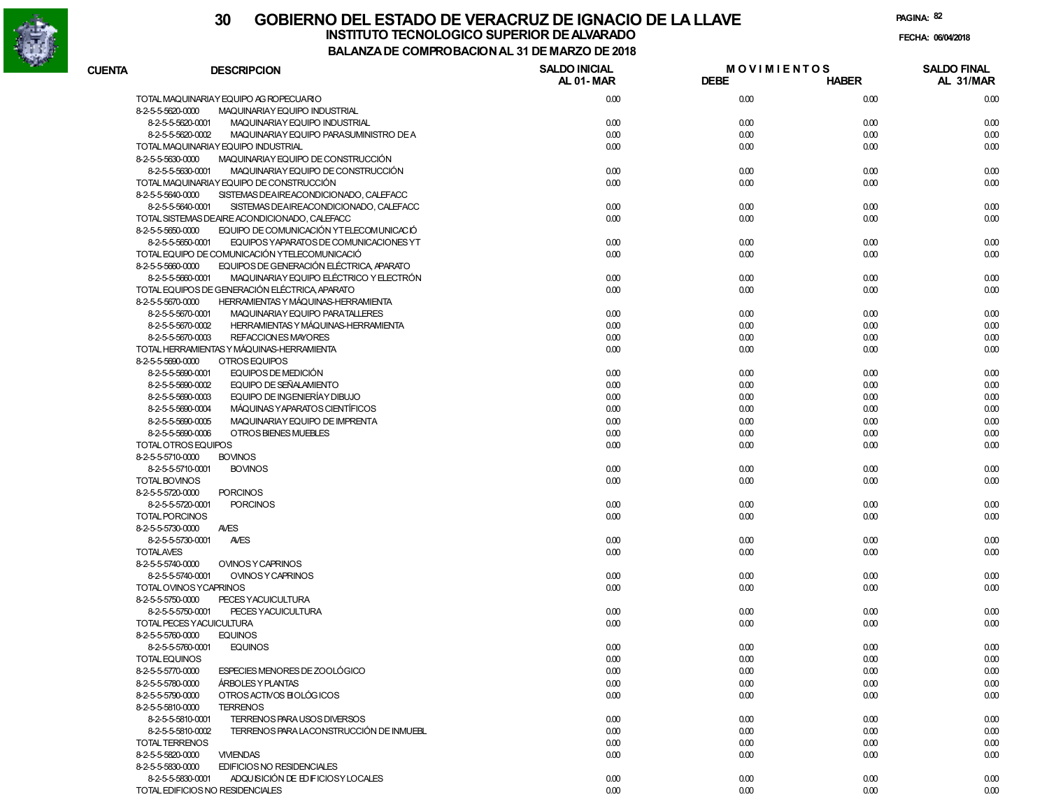

# **30 GOBIERNO DEL ESTADO DE VERACRUZ DE IGNACIO DE LA LLAVEINSTITUTO TECNOLOGICO SUPERIOR DE ALVARADO de la composición de la composición de la composición de la composición**<br>Dal aniza de composición da la de marzo de como

**PAGINA:82**

**FECHA:**

| <b>CUENTA</b> | <b>DESCRIPCION</b>                                            | <b>SALDO INICIAL</b> | <b>MOVIMIENTOS</b> |              | <b>SALDO FINAL</b> |
|---------------|---------------------------------------------------------------|----------------------|--------------------|--------------|--------------------|
|               |                                                               | <b>AL 01-MAR</b>     | <b>DEBE</b>        | <b>HABER</b> | AL 31/MAR          |
|               | TOTAL MAQUINARIAY EQUIPO AG ROPECUARIO                        | 0.00                 | 0.00               | 0.00         | 0.00               |
|               | 8-2-5-5-5620-0000<br>MAQUINARIAY EQUIPO INDUSTRIAL            |                      |                    |              |                    |
|               | 8-2-5-5-5620-0001<br>MAQUINARIAY EQUIPO INDUSTRIAL            | 0.00                 | 0.00               | 0.00         | 0.00               |
|               | 8-2-5-5-5620-0002<br>MAQUINARIAY EQUIPO PARASUMINISTRO DE A   | 0.00                 | 0.00               | 0.00         | 0.00               |
|               | TOTAL MAQUINARIAY EQUIPO INDUSTRIAL                           | 0.00                 | 0.00               | 0.00         | 0.00               |
|               | MAQUINARIAY EQUIPO DE CONSTRUCCIÓN<br>8-2-5-5-5630-0000       |                      |                    |              |                    |
|               | 8-2-5-5-5630-0001<br>MAQUINARIAY EQUIPO DE CONSTRUCCIÓN       | 0.00                 | 0.00               | 0.00         | 0.00               |
|               | TOTAL MAQUINARIAY EQUIPO DE CONSTRUCCIÓN                      | 0.00                 | 0.00               | 0.00         | 0.00               |
|               | 8-2-5-5-5640-0000<br>SISTEMAS DEAIREACONDICIONADO, CALEFACC   |                      |                    |              |                    |
|               | 8-2-5-5-5640-0001<br>SISTEMAS DEAIREACONDICIONADO, CALEFACC   | 0.00                 | 0.00               | 0.00         | 0.00               |
|               | TOTAL SISTEMAS DEAIRE ACONDICIONADO, CALEFACC                 | 0.00                 | 0.00               | 0.00         | 0.00               |
|               | EQUIPO DE COMUNICACIÓN YTELECOMUNICACIÓ<br>8-2-5-5-5650-0000  |                      |                    |              |                    |
|               | 8-2-5-5-5650-0001<br>EQUIPOS YAPARATOS DE COMUNICACIONES YT   | 0.00                 | 0.00               | 0.00         | 0.00               |
|               | TOTAL EQUIPO DE COMUNICACIÓN YTELECOMUNICACIÓ                 | 0.00                 | 0.00               | 0.00         | 0.00               |
|               | EQUIPOS DE GENERACIÓN ELÉCTRICA, APARATO<br>8-2-5-5-5660-0000 |                      |                    |              |                    |
|               | 8-2-5-5-5660-0001<br>MAQUINARIAY EQUIPO ELÉCTRICO Y ELECTRÓN  | 0.00                 | 0.00               | 0.00         | 0.00               |
|               | TOTAL EQUIPOS DE GENERACIÓN ELÉCTRICA, APARATO                | 0.00                 | 0.00               | 0.00         | 0.00               |
|               | HERRAMIENTAS Y MÁQUINAS-HERRAMIENTA<br>8-2-5-5-5670-0000      |                      |                    |              |                    |
|               | 8-2-5-5-5670-0001<br>MAQUINARIAY EQUIPO PARATALLERES          | 0.00                 | 0.00               | 0.00         | 0.00               |
|               | 8-2-5-5-5670-0002<br>HERRAMIENTAS Y MÁQUINAS-HERRAMIENTA      | 0.00                 | 0.00               | 0.00         | 0.00               |
|               | <b>REFACCION ES MAYORES</b><br>8-2-5-5-5670-0003              | 0.00                 | 0.00               | 0.00         | 0.00               |
|               | TOTAL HERRAMIENTAS Y MÁQUINAS-HERRAMIENTA                     | 0.00                 | 0.00               | 0.00         | 0.00               |
|               | OTROS EQUIPOS<br>8-2-5-5-5690-0000                            |                      |                    |              |                    |
|               | 8-2-5-5-5690-0001<br>EQUIPOS DE MEDICIÓN                      | 0.00                 | 0.00               | 0.00         | 0.00               |
|               | EQUIPO DE SEÑALAMIENTO<br>8-2-5-5-5690-0002                   | 0.00                 | 0.00               | 0.00         | 0.00               |
|               | EQUIPO DE INGENIERÍAY DIBUJO<br>8-2-5-5-5690-0003             | 0.00                 | 0.00               | 0.00         | 0.00               |
|               | MÁQUINAS Y APARATOS CIENTÍFICOS<br>8-2-5-5-5690-0004          | 0.00                 |                    | 0.00         | 0.00               |
|               | MAQUINARIAY EQUIPO DE IMPRENTA                                |                      | 0.00               |              |                    |
|               | 8-2-5-5-5690-0005<br>OTROS BIENES MUEBLES                     | 0.00<br>0.00         | 0.00               | 0.00         | 0.00               |
|               | 8-2-5-5-5690-0006                                             |                      | 0.00               | 0.00         | 0.00               |
|               | TOTAL OTROS EQUIPOS                                           | 0.00                 | 0.00               | 0.00         | 0.00               |
|               | 8-2-5-5-5710-0000<br><b>BOVINOS</b>                           |                      |                    |              |                    |
|               | 8-2-5-5-5710-0001<br><b>BOVINOS</b>                           | 0.00<br>0.00         | 0.00               | 0.00         | 0.00               |
|               | TOTAL BOVINOS                                                 |                      | 0.00               | 0.00         | 0.00               |
|               | 8-2-5-5-5720-0000<br><b>PORCINOS</b>                          |                      |                    |              |                    |
|               | <b>PORCINOS</b><br>8-2-5-5-5720-0001                          | 0.00<br>0.00         | 0.00               | 0.00         | 0.00               |
|               | TOTAL PORCINOS                                                |                      | 0.00               | 0.00         | 0.00               |
|               | 8-2-5-5-5730-0000<br><b>AVES</b>                              |                      |                    |              |                    |
|               | 8-2-5-5-5730-0001<br><b>AVES</b>                              | 0.00                 | 0.00               | 0.00         | 0.00               |
|               | <b>TOTALAVES</b>                                              | 0.00                 | 0.00               | 0.00         | 0.00               |
|               | 8-2-5-5-5740-0000<br><b>OVINOS Y CAPRINOS</b>                 |                      |                    |              |                    |
|               | 8-2-5-5-5740-0001<br><b>OVINOS Y CAPRINOS</b>                 | 0.00                 | 0.00               | 0.00         | 0.00               |
|               | TOTAL OVINOS YCAPRINOS                                        | 0.00                 | 0.00               | 0.00         | 0.00               |
|               | 8-2-5-5-5750-0000<br>PECES YACUICULTURA                       |                      |                    |              |                    |
|               | 8-2-5-5-5750-0001<br>PECES YACUICULTURA                       | 0.00                 | 0.00               | 0.00         | 0.00               |
|               | TOTAL PECES YACUICULTURA                                      | 0.00                 | 0.00               | 0.00         | 0.00               |
|               | 8-2-5-5-5760-0000<br><b>EQUINOS</b>                           |                      |                    |              |                    |
|               | 8-2-5-5-5760-0001<br><b>EQUINOS</b>                           | 0.00                 | 0.00               | 0.00         | 0.00               |
|               | <b>TOTAL EQUINOS</b>                                          | 0.00                 | 0.00               | 0.00         | 0.00               |
|               | 8-2-5-5-5770-0000<br>ESPECIES MENORES DE ZOOLÓGICO            | 0.00                 | 0.00               | 0.00         | 0.00               |
|               | 8-2-5-5-5780-0000<br>ARBOLES Y PLANTAS                        | 0.00                 | 0.00               | 0.00         | 0.00               |
|               | OTROS ACTIVOS BIOLÓGICOS<br>8-2-5-5-5790-0000                 | 0.00                 | 0.00               | 0.00         | 0.00               |
|               | 8-2-5-5-5810-0000<br><b>TERRENOS</b>                          |                      |                    |              |                    |
|               | TERRENOS PARA USOS DIVERSOS<br>8-2-5-5-5810-0001              | 0.00                 | 0.00               | 0.00         | 0.00               |
|               | 8-2-5-5-5810-0002<br>TERRENOS PARA LACONSTRUCCIÓN DE INMUEBL  | 0.00                 | 0.00               | 0.00         | 0.00               |
|               | <b>TOTAL TERRENOS</b>                                         | 0.00                 | 0.00               | 0.00         | 0.00               |
|               | 8-2-5-5-5820-0000<br><b>VIVIENDAS</b>                         | 0.00                 | 0.00               | 0.00         | 0.00               |
|               | EDIFICIOS NO RESIDENCIALES<br>8-2-5-5-5830-0000               |                      |                    |              |                    |
|               | ADQUISICIÓN DE EDIFICIOSY LOCALES<br>8-2-5-5-5830-0001        | 0.00                 | 0.00               | 0.00         | 0.00               |
|               | TOTAL EDIFICIOS NO RESIDENCIALES                              | 0.00                 | 0.00               | 0.00         | 0.00               |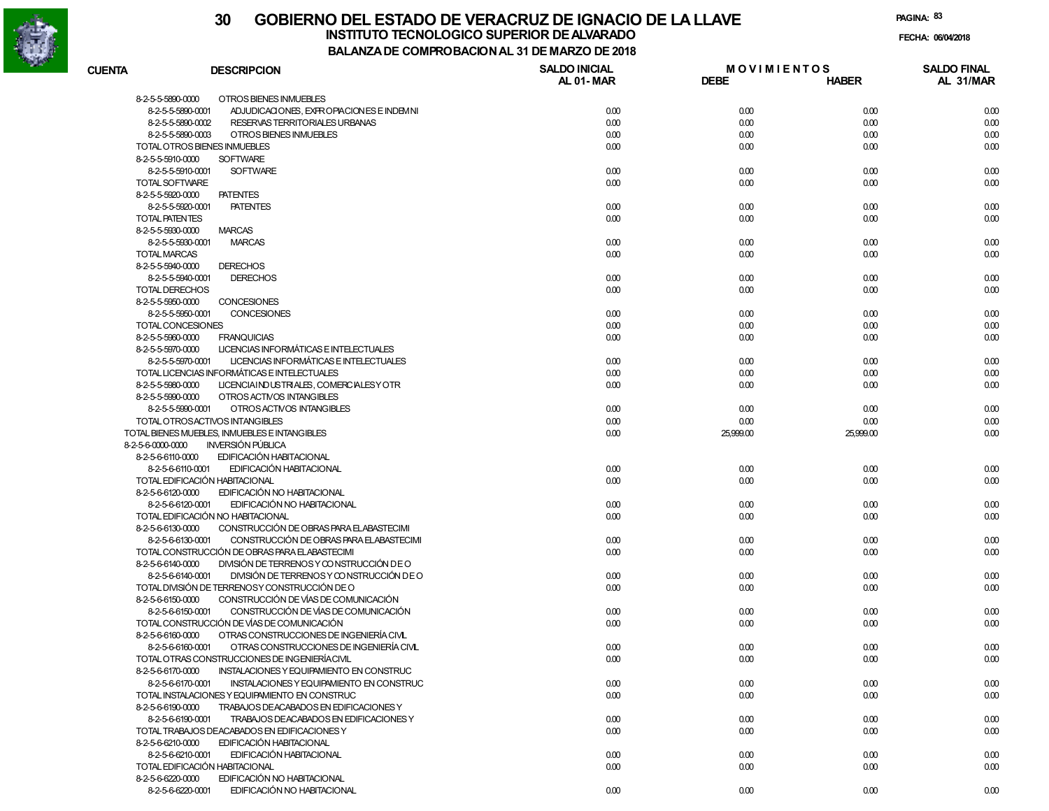

# **30 GOBIERNO DEL ESTADO DE VERACRUZ DE IGNACIO DE LA LLAVEFECHA: 06/04/2018 INSTITUTO TECNOLOGICO SUPERIOR DE ALVARADO**

**PAGINA:83**

| <b>CUENTA</b>            | <b>DESCRIPCION</b>                             | <b>SALDO INICIAL</b> | <b>MOVIMIENTOS</b> |              | <b>SALDO FINAL</b> |
|--------------------------|------------------------------------------------|----------------------|--------------------|--------------|--------------------|
|                          |                                                | AL 01-MAR            | <b>DEBE</b>        | <b>HABER</b> | AL 31/MAR          |
| 8-2-5-5-5890-0000        | OTROS BIENES INMUEBLES                         |                      |                    |              |                    |
| 8-2-5-5-5890-0001        | ADJUDICACIONES, EXPROPIACIONES E INDEMNI       | 0.00                 | 0.00               | 0.00         | 0.00               |
| 8-2-5-5-5890-0002        | RESERVAS TERRITORIALES URBANAS                 | 0.00                 | 0.00               | 0.00         | 0.00               |
| 8-2-5-5-5890-0003        | OTROS BIENES INMUEBLES                         | 0.00                 | 0.00               | 0.00         | 0.00               |
|                          | TOTAL OTROS BIENES INMUEBLES                   | 0.00                 | 0.00               | 0.00         | 0.00               |
| 8-2-5-5-5910-0000        | <b>SOFTWARE</b>                                |                      |                    |              |                    |
| 8-2-5-5-5910-0001        | <b>SOFTWARE</b>                                | 0.00                 | 0.00               | 0.00         | 0.00               |
| TOTAL SOFTWARE           |                                                | 0.00                 | 0.00               | 0.00         | 0.00               |
| 8-2-5-5-5920-0000        | <b>PATENTES</b>                                |                      |                    |              |                    |
| 8-2-5-5-5920-0001        | <b>PATENTES</b>                                | 0.00                 | 0.00               | 0.00         | 0.00               |
| <b>TOTAL PATENTES</b>    |                                                | 0.00                 | 0.00               | 0.00         | 0.00               |
| 8-2-5-5-5930-0000        | <b>MARCAS</b>                                  |                      |                    |              |                    |
|                          |                                                |                      |                    |              | 0.00               |
| 8-2-5-5-5930-0001        | <b>MARCAS</b>                                  | 0.00                 | 0.00               | 0.00         |                    |
| TOTAL MARCAS             |                                                | 0.00                 | 0.00               | 0.00         | 0.00               |
| 8-2-5-5-5940-0000        | <b>DERECHOS</b>                                |                      |                    |              |                    |
| 8-2-5-5-5940-0001        | <b>DERECHOS</b>                                | 0.00                 | 0.00               | 0.00         | 0.00               |
| <b>TOTAL DERECHOS</b>    |                                                | 0.00                 | 0.00               | 0.00         | 0.00               |
| 8-2-5-5-5950-0000        | CONCESIONES                                    |                      |                    |              |                    |
| 8-2-5-5-5950-0001        | CONCESIONES                                    | 0.00                 | 0.00               | 0.00         | 0.00               |
| <b>TOTAL CONCESIONES</b> |                                                | 0.00                 | 0.00               | 0.00         | 0.00               |
| 8-2-5-5-5960-0000        | <b>FRANQUICIAS</b>                             | 0.00                 | 0.00               | 0.00         | 0.00               |
| 8-2-5-5-5970-0000        | LICENCIAS INFORMÁTICAS E INTELECTUALES         |                      |                    |              |                    |
| 8-2-5-5-5970-0001        | LICENCIAS INFORMÁTICAS E INTELECTUALES         | 0.00                 | 0.00               | 0.00         | 0.00               |
|                          | TOTAL LICENCIAS INFORMÁTICAS E INTELECTUALES   | 0.00                 | 0.00               | 0.00         | 0.00               |
| 8-2-5-5-5980-0000        | LICENCIAINDUSTRIALES, COMERCIALESY OTR         | 0.00                 | 0.00               | 0.00         | 0.00               |
| 8-2-5-5-5990-0000        | OTROS ACTIVOS INTANGIBLES                      |                      |                    |              |                    |
| 8-2-5-5-5990-0001        | OTROS ACTIVOS INTANGIBLES                      | 0.00                 | 0.00               | 0.00         | 0.00               |
|                          | TOTAL OTROSACTIVOS INTANGIBLES                 | 0.00                 | 0.00               | 0.00         | 0.00               |
|                          | TOTAL BIENES MUEBLES, INMUEBLES E INTANGIBLES  | 0.00                 | 25,999.00          | 25,999.00    | 0.00               |
| 8-2-5-6-0000-0000        | <b>INVERSIÓN PÚBLICA</b>                       |                      |                    |              |                    |
| 8-2-5-6-6110-0000        | EDIFICACIÓN HABITACIONAL                       |                      |                    |              |                    |
| 8-2-5-6-6110-0001        | EDIFICACIÓN HABITACIONAL                       | 0.00                 | 0.00               | 0.00         | 0.00               |
|                          | TOTAL EDIFICACIÓN HABITACIONAL                 | 0.00                 | 0.00               | 0.00         | 0.00               |
| 8-2-5-6-6120-0000        | EDIFICACIÓN NO HABITACIONAL                    |                      |                    |              |                    |
| 8-2-5-6-6120-0001        | EDIFICACIÓN NO HABITACIONAL                    | 0.00                 | 0.00               | 0.00         | 0.00               |
|                          | TOTAL EDIFICACIÓN NO HABITACIONAL              | 0.00                 | 0.00               | 0.00         | 0.00               |
| 8-2-5-6-6130-0000        | CONSTRUCCIÓN DE OBRAS PARA ELABASTECIMI        |                      |                    |              |                    |
|                          | CONSTRUCCIÓN DE OBRAS PARA ELABASTECIMI        |                      |                    |              |                    |
| 8-2-5-6-6130-0001        |                                                | 0.00                 | 0.00               | 0.00         | 0.00               |
|                          | TOTAL CONSTRUCCIÓN DE OBRAS PARA ELABASTECIMI  | 0.00                 | 0.00               | 0.00         | 0.00               |
| 8-2-5-6-6140-0000        | DIVISIÓN DE TERRENOS Y CONSTRUCCIÓN DE O       |                      |                    |              |                    |
| 8-2-5-6-6140-0001        | DIVISIÓN DE TERRENOS Y CONSTRUCCIÓN DE O       | 0.00                 | 0.00               | 0.00         | 0.00               |
|                          | TOTAL DIVISIÓN DE TERRENOSY CONSTRUCCIÓN DE O  | 0.00                 | 0.00               | 0.00         | 0.00               |
| 8-2-5-6-6150-0000        | CONSTRUCCIÓN DE VÍAS DE COMUNICACIÓN           |                      |                    |              |                    |
| 8-2-5-6-6150-0001        | CONSTRUCCIÓN DE VÍAS DE COMUNICACIÓN           | 0.00                 | 0.00               | 0.00         | 0.00               |
|                          | TOTAL CONSTRUCCIÓN DE VÍAS DE COMUNICACIÓN     | 0.00                 | 0.00               | 0.00         | 0.00               |
| 8-2-5-6-6160-0000        | OTRAS CONSTRUCCIONES DE INGENIERÍA CIVL        |                      |                    |              |                    |
| 8-2-5-6-6160-0001        | OTRAS CONSTRUCCIONES DE INGENIERÍA CIVIL       | 0.00                 | 0.00               | 0.00         | 0.00               |
|                          | TOTAL OTRAS CONSTRUCCIONES DE INGENIERÍACIVIL  | 0.00                 | 0.00               | 0.00         | 0.00               |
| 8-2-5-6-6170-0000        | INSTALACIONES Y EQUIPAMIENTO EN CONSTRUC       |                      |                    |              |                    |
| 8-2-5-6-6170-0001        | INSTALACIONES Y EQUIPAMIENTO EN CONSTRUC       | 0.00                 | 0.00               | 0.00         | 0.00               |
|                          | TOTAL INSTALACIONES Y EQUIPAMIENTO EN CONSTRUC | 0.00                 | 0.00               | 0.00         | 0.00               |
| 8-2-5-6-6190-0000        | TRABAJOS DEACABADOS EN EDIFICACIONES Y         |                      |                    |              |                    |
| 8-2-5-6-6190-0001        | TRABAJOS DEACABADOS EN EDIFICACIONES Y         | 0.00                 | 0.00               | 0.00         | 0.00               |
|                          | TOTAL TRABAJOS DEACABADOS EN EDIFICACIONES Y   | 0.00                 | 0.00               | 0.00         | 0.00               |
| 8-2-5-6-6210-0000        | EDIFICACIÓN HABITACIONAL                       |                      |                    |              |                    |
| 8-2-5-6-6210-0001        | EDIFICACIÓN HABITACIONAL                       | 0.00                 | 0.00               | 0.00         | 0.00               |
|                          | TOTAL EDIFICACIÓN HABITACIONAL                 | 0.00                 | 0.00               | 0.00         | 0.00               |
| 8-2-5-6-6220-0000        | EDIFICACIÓN NO HABITACIONAL                    |                      |                    |              |                    |
| 8-2-5-6-6220-0001        | EDIFICACIÓN NO HABITACIONAL                    |                      |                    |              |                    |
|                          |                                                | 0.00                 | 0.00               | 0.00         | 0.00               |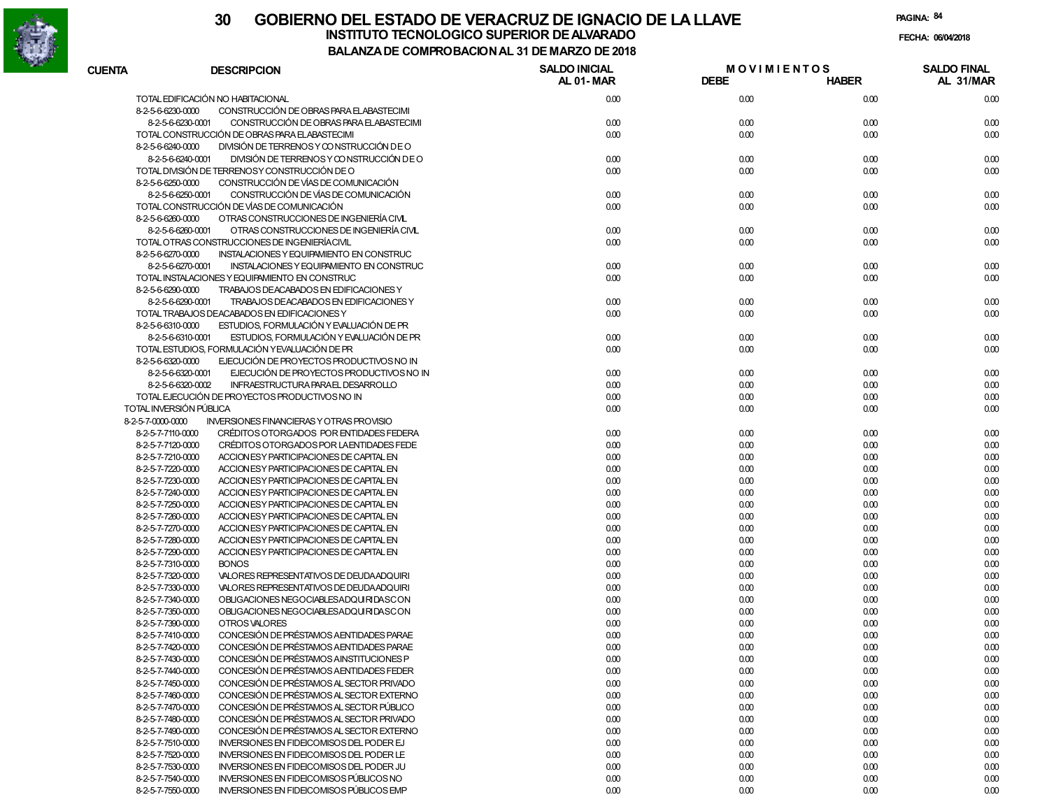

# **30 GOBIERNO DEL ESTADO DE VERACRUZ DE IGNACIO DE LA LLAVEFECHA: 06/04/2018 INSTITUTO TECNOLOGICO SUPERIOR DE ALVARADO**

**PAGINA:84**

| <b>CUENTA</b>                          | <b>DESCRIPCION</b>                                                                          | <b>SALDO INICIAL</b><br>AL 01-MAR | <b>MOVIMIENTOS</b><br><b>DEBE</b> | <b>HABER</b> | <b>SALDO FINAL</b><br>AL 31/MAR |
|----------------------------------------|---------------------------------------------------------------------------------------------|-----------------------------------|-----------------------------------|--------------|---------------------------------|
|                                        | TOTAL EDIFICACIÓN NO HABITACIONAL                                                           | 0.00                              | 0.00                              | 0.00         | 0.00                            |
| 8-2-5-6-6230-0000                      | CONSTRUCCIÓN DE OBRAS PARA ELABASTECIMI                                                     |                                   |                                   |              |                                 |
| 8-2-5-6-6230-0001                      | CONSTRUCCIÓN DE OBRAS PARA ELABASTECIMI                                                     | 0.00                              | 0.00                              | 0.00         | 0.00                            |
|                                        | TOTAL CONSTRUCCIÓN DE OBRAS PARA ELABASTECIMI                                               | 0.00                              | 0.00                              | 0.00         | 0.00                            |
| 8-2-5-6-6240-0000                      | DIVISIÓN DE TERRENOS Y CONSTRUCCIÓN DE O                                                    |                                   |                                   |              |                                 |
| 8-2-5-6-6240-0001                      | DIVISIÓN DE TERRENOS Y CONSTRUCCIÓN DE O                                                    | 0.00                              | 0.00                              | 0.00         | 0.00                            |
|                                        | TOTAL DIVISIÓN DE TERRENOSY CONSTRUCCIÓN DE O                                               | 0.00                              | 0.00                              | 0.00         | 0.00                            |
| 8-2-5-6-6250-0000                      | CONSTRUCCIÓN DE VÍAS DE COMUNICACIÓN                                                        |                                   |                                   |              |                                 |
| 8-2-5-6-6250-0001                      | CONSTRUCCIÓN DE VÍAS DE COMUNICACIÓN                                                        | 0.00                              | 0.00                              | 0.00         | 0.00                            |
|                                        | TOTAL CONSTRUCCIÓN DE VÍAS DE COMUNICACIÓN                                                  | 0.00                              | 0.00                              | 0.00         | 0.00                            |
| 8-2-5-6-6260-0000                      | OTRAS CONSTRUCCIONES DE INGENIERÍA CIVL                                                     |                                   |                                   |              |                                 |
| 8-2-5-6-6260-0001                      | OTRAS CONSTRUCCIONES DE INGENIERÍA CIVL                                                     | 0.00                              | 0.00                              | 0.00         | 0.00                            |
|                                        | TOTAL OTRAS CONSTRUCCIONES DE INGENIERÍACIVIL                                               | 0.00                              | 0.00                              | 0.00         | 0.00                            |
| 8-2-5-6-6270-0000                      | INSTALACIONES Y EQUIPAMIENTO EN CONSTRUC                                                    |                                   |                                   |              |                                 |
| 8-2-5-6-6270-0001                      | INSTALACIONES Y EQUIPAMIENTO EN CONSTRUC                                                    | 0.00                              | 0.00                              | 0.00         | 0.00                            |
|                                        | TOTAL INSTALACIONES Y EQUIPAMIENTO EN CONSTRUC                                              | 0.00                              | 0.00                              | 0.00         | 0.00                            |
| 8-2-5-6-6290-0000                      | TRABAJOS DEACABADOS EN EDIFICACIONES Y                                                      |                                   |                                   |              |                                 |
| 8-2-5-6-6290-0001                      | TRABAJOS DEACABADOS EN EDIFICACIONES Y                                                      | 0.00                              | 0.00                              | 0.00         | 0.00                            |
|                                        | TOTAL TRABAJOS DEACABADOS EN EDIFICACIONES Y                                                | 0.00                              | 0.00                              | 0.00         | 0.00                            |
| 8-2-5-6-6310-0000                      | ESTUDIOS, FORMULACIÓN Y EVALUACIÓN DE PR                                                    |                                   |                                   |              |                                 |
| 8-2-5-6-6310-0001                      | ESTUDIOS, FORMULACIÓN Y EVALUACIÓN DE PR                                                    | 0.00                              | 0.00                              | 0.00         | 0.00                            |
|                                        | TOTAL ESTUDIOS, FORMULACIÓN YEVALUACIÓN DE PR                                               | 0.00                              | 0.00                              | 0.00         | 0.00                            |
| 8-2-5-6-6320-0000                      | EJECUCIÓN DE PROYECTOS PRODUCTIVOS NO IN                                                    |                                   |                                   |              |                                 |
| 8-2-5-6-6320-0001                      | EJECUCIÓN DE PROYECTOS PRODUCTIVOS NO IN                                                    | 0.00                              | 0.00                              | 0.00         | 0.00                            |
| 8-2-5-6-6320-0002                      | INFRAESTRUCTURA PARAEL DESARROLLO                                                           | 0.00                              | 0.00                              | 0.00         | 0.00                            |
|                                        | TOTAL EJECUCIÓN DE PROYECTOS PRODUCTIVOS NO IN                                              | 0.00                              | 0.00                              | 0.00         | 0.00                            |
| TOTAL INVERSIÓN PÚBLICA                |                                                                                             | 0.00                              | 0.00                              | 0.00         | 0.00                            |
| 8-2-5-7-0000-0000                      | <b>INVERSIONES FINANCIERAS Y OTRAS PROVISIO</b>                                             |                                   |                                   |              |                                 |
| 8-2-5-7-7110-0000                      | CRÉDITOS OTORGADOS POR ENTIDADES FEDERA                                                     | 0.00                              | 0.00                              | 0.00         | 0.00                            |
| 8-2-5-7-7120-0000                      | CRÉDITOS OTORGADOS POR LA ENTIDADES FEDE                                                    | 0.00                              | 0.00                              | 0.00         | 0.00                            |
| 8-2-5-7-7210-0000                      | ACCION ES Y PARTICIPACIONES DE CAPITAL EN                                                   | 0.00                              | 0.00                              | 0.00         | 0.00                            |
| 8-2-5-7-7220-0000                      | ACCION ES Y PARTICIPACIONES DE CAPITAL EN                                                   | 0.00                              | 0.00                              | 0.00         | 0.00                            |
| 8-2-5-7-7230-0000                      | ACCION ESY PARTICIPACIONES DE CAPITAL EN                                                    | 0.00                              | 0.00                              | 0.00         | 0.00                            |
| 8-2-5-7-7240-0000                      | ACCION ESY PARTICIPACIONES DE CAPITAL EN                                                    | 0.00                              | 0.00                              | 0.00         | 0.00                            |
| 8-2-5-7-7250-0000                      | ACCION ES Y PARTICIPACIONES DE CAPITAL EN                                                   | 0.00                              | 0.00                              | 0.00         | 0.00                            |
| 8-2-5-7-7260-0000                      | ACCION ES Y PARTICIPACIONES DE CAPITAL EN                                                   | 0.00                              | 0.00                              | 0.00         | 0.00                            |
| 8-2-5-7-7270-0000                      | ACCION ES Y PARTICIPACIONES DE CAPITAL EN                                                   | 0.00                              | 0.00                              | 0.00         | 0.00                            |
| 8-2-5-7-7280-0000                      | ACCION ESY PARTICIPACIONES DE CAPITAL EN                                                    | 0.00                              | 0.00                              | 0.00         | 0.00                            |
| 8-2-5-7-7290-0000                      | ACCION ESY PARTICIPACIONES DE CAPITAL EN                                                    | 0.00                              | 0.00                              | 0.00         | 0.00                            |
| 8-2-5-7-7310-0000<br>8-2-5-7-7320-0000 | <b>BONOS</b><br>VALORES REPRESENTATIVOS DE DEUDA ADQUIRI                                    | 0.00                              | 0.00                              | 0.00         | 0.00                            |
| 8-2-5-7-7330-0000                      | VALORES REPRESENTATIVOS DE DEUDA ADQUIRI                                                    | 0.00<br>0.00                      | 0.00<br>0.00                      | 0.00<br>0.00 | 0.00<br>0.00                    |
| 8-2-5-7-7340-0000                      | OBLIGACIONES NEGOCIABLESADQUIRIDASCON                                                       | 0.00                              | 0.00                              | 0.00         | 0.00                            |
| 8-2-5-7-7350-0000                      | OBLIGACIONES NEGOCIABLESADQUIRIDASCON                                                       | 0.00                              | 0.00                              | 0.00         | 0.00                            |
| 8-2-5-7-7390-0000                      | OTROS VALORES                                                                               | 0.00                              | 0.00                              | 0.00         | 0.00                            |
| 8-2-5-7-7410-0000                      | CONCESIÓN DE PRÉSTAMOS A ENTIDADES PARAE                                                    | 0.00                              | 0.00                              | 0.00         | 0.00                            |
| 8-2-5-7-7420-0000                      | CONCESIÓN DE PRÉSTAMOS A ENTIDADES PARAE                                                    | 0.00                              | 0.00                              | 0.00         | 0.00                            |
| 8-2-5-7-7430-0000                      |                                                                                             |                                   | 0.00                              |              | 0.00                            |
| 8-2-5-7-7440-0000                      | CONCESION DE PRESTAMOS AINSTITUCIONES P<br>CONCESIÓN DE PRÉSTAMOS A ENTIDADES FEDER         | 0.00<br>0.00                      | 0.00                              | 0.00<br>0.00 | 0.00                            |
| 8-2-5-7-7450-0000                      | CONCESIÓN DE PRÉSTAMOS AL SECTOR PRIVADO                                                    | 0.00                              | 0.00                              | 0.00         | 0.00                            |
| 8-2-5-7-7460-0000                      | CONCESIÓN DE PRÉSTAMOS AL SECTOR EXTERNO                                                    | 0.00                              | 0.00                              | 0.00         | 0.00                            |
| 8-2-5-7-7470-0000                      | CONCESIÓN DE PRÉSTAMOS AL SECTOR PÚBLICO                                                    | 0.00                              | 0.00                              | 0.00         | 0.00                            |
|                                        | CONCESIÓN DE PRÉSTAMOS AL SECTOR PRIVADO                                                    |                                   |                                   |              |                                 |
| 8-2-5-7-7480-0000                      | CONCESIÓN DE PRÉSTAMOS AL SECTOR EXTERNO                                                    | 0.00                              | 0.00                              | 0.00         | 0.00                            |
| 8-2-5-7-7490-0000<br>8-2-5-7-7510-0000 | <b>INVERSIONES EN FIDEICOMISOS DEL PODER EJ</b>                                             | 0.00                              | 0.00                              | 0.00         | 0.00                            |
| 8-2-5-7-7520-0000                      |                                                                                             | 0.00                              | 0.00                              | 0.00         | 0.00                            |
| 8-2-5-7-7530-0000                      | INVERSIONES EN FIDEICOMISOS DEL PODER LE<br><b>INVERSIONES EN FIDEICOMISOS DEL PODER JU</b> | 0.00                              | 0.00                              | 0.00         | 0.00                            |
|                                        |                                                                                             | 0.00                              | 0.00                              | 0.00         | 0.00                            |
| 8-2-5-7-7540-0000                      | INVERSIONES EN FIDEICOMISOS PÚBLICOS NO                                                     | 0.00                              | 0.00                              | 0.00         | 0.00                            |
| 8-2-5-7-7550-0000                      | <b>INVERSIONES EN FIDEICOMISOS PÚBLICOS EMP</b>                                             | 0.00                              | 0.00                              | 0.00         | 0.00                            |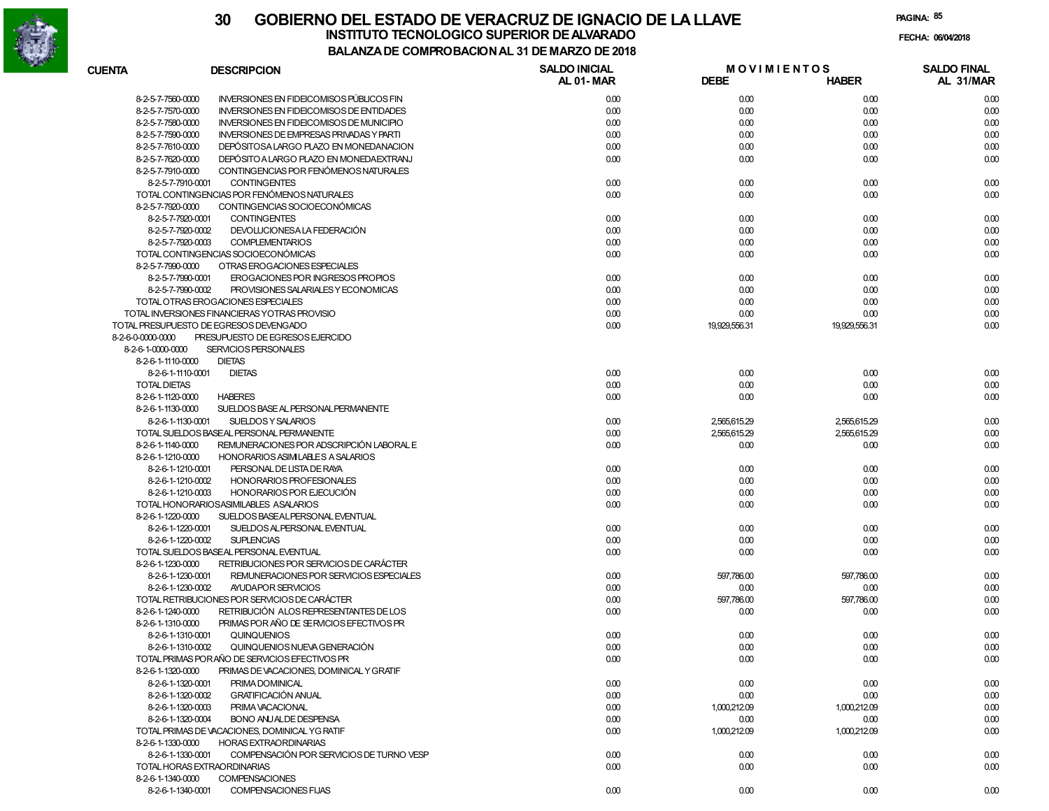

| <b>CUENTA</b>       | <b>DESCRIPCION</b>                              | <b>SALDO INICIAL</b><br>AL 01-MAR | <b>MOVIMIENTOS</b><br><b>DEBE</b> | <b>HABER</b>  | <b>SALDO FINAL</b><br>AL 31/MAR |
|---------------------|-------------------------------------------------|-----------------------------------|-----------------------------------|---------------|---------------------------------|
| 8-2-5-7-7560-0000   | <b>INVERSIONES EN FIDEICOMISOS PÚBLICOS FIN</b> | 0.00                              | 0.00                              | 0.00          | 0.00                            |
| 8-2-5-7-7570-0000   | <b>INVERSIONES EN FIDEICOMISOS DE ENTIDADES</b> | 0.00                              | 0.00                              | 0.00          | 0.00                            |
| 8-2-5-7-7580-0000   | INVERSIONES EN FIDEICOMISOS DE MUNICIPIO        | 0.00                              | 0.00                              | 0.00          | 0.00                            |
| 8-2-5-7-7590-0000   | <b>INVERSIONES DE EMPRESAS PRIVADAS Y PARTI</b> | 0.00                              | 0.00                              | 0.00          | 0.00                            |
| 8-2-5-7-7610-0000   | DEPÓSITOSA LARGO PLAZO EN MONEDANACION          | 0.00                              | 0.00                              | 0.00          | 0.00                            |
| 8-2-5-7-7620-0000   | DEPÓSITO A LARGO PLAZO EN MONEDA EXTRANJ        | 0.00                              | 0.00                              | 0.00          | 0.00                            |
| 8-2-5-7-7910-0000   | CONTINGENCIAS POR FENÓMENOS NATURALES           |                                   |                                   |               |                                 |
| 8-2-5-7-7910-0001   | <b>CONTINGENTES</b>                             | 0.00                              | 0.00                              | 0.00          | 0.00                            |
|                     | TOTAL CONTINGENCIAS POR FENÓMENOS NATURALES     | 0.00                              | 0.00                              | 0.00          | 0.00                            |
| 8-2-5-7-7920-0000   | CONTINGENCIAS SOCIOECONÓMICAS                   |                                   |                                   |               |                                 |
| 8-2-5-7-7920-0001   | <b>CONTINGENTES</b>                             | 0.00                              | 0.00                              | 0.00          | 0.00                            |
| 8-2-5-7-7920-0002   | DEVOLUCIONESA LA FEDERACIÓN                     | 0.00                              | 0.00                              | 0.00          | 0.00                            |
| 8-2-5-7-7920-0003   | <b>COMPLEMENTARIOS</b>                          | 0.00                              | 0.00                              | 0.00          | 0.00                            |
|                     | TOTAL CONTINGENCIAS SOCIOECONÓMICAS             | 0.00                              | 0.00                              | 0.00          | 0.00                            |
| 8-2-5-7-7990-0000   | OTRAS EROGACIONES ESPECIALES                    |                                   |                                   |               |                                 |
| 8-2-5-7-7990-0001   | EROGACIONES POR INGRESOS PROPIOS                | 0.00                              | 0.00                              | 0.00          | 0.00                            |
| 8-2-5-7-7990-0002   | PROVISIONES SALARIALES Y ECONOMICAS             | 0.00                              | 0.00                              | 0.00          | 0.00                            |
|                     | TOTAL OTRAS EROGACIONES ESPECIALES              | 0.00                              | 0.00                              | 0.00          | 0.00                            |
|                     | TOTAL INVERSIONES FINANCIERAS YOTRAS PROVISIO   | 0.00                              | 0.00                              | 0.00          | 0.00                            |
|                     | TOTAL PRESUPUESTO DE EGRESOS DEVENGADO          | 0.00                              | 19,929,556.31                     | 19.929.556.31 | 0.00                            |
| 8-2-6-0-0000-0000   | PRESUPUESTO DE EGRESOS EJERCIDO                 |                                   |                                   |               |                                 |
| 8-2-6-1-0000-0000   | SERVICIOS PERSONALES                            |                                   |                                   |               |                                 |
| 8-2-6-1-1110-0000   | <b>DIETAS</b>                                   |                                   |                                   |               |                                 |
| 8-2-6-1-1110-0001   | <b>DIETAS</b>                                   | 0.00                              | 0.00                              | 0.00          | 0.00                            |
|                     |                                                 | 0.00                              |                                   |               |                                 |
| <b>TOTAL DIETAS</b> |                                                 |                                   | 0.00                              | 0.00          | 0.00                            |
| 8-2-6-1-1120-0000   | <b>HABERES</b>                                  | 0.00                              | 0.00                              | 0.00          | 0.00                            |
| 8-2-6-1-1130-0000   | SUELDOS BASE AL PERSONAL PERMANENTE             |                                   |                                   |               |                                 |
| 8-2-6-1-1130-0001   | SUELDOS Y SALARIOS                              | 0.00                              | 2.565.615.29                      | 2,565,615.29  | 0.00                            |
|                     | TOTAL SUELDOS BASEAL PERSONAL PERMANENTE        | 0.00                              | 2,565,615.29                      | 2,565,615.29  | 0.00                            |
| 8-2-6-1-1140-0000   | REMUNERACIONES POR ADSCRIPCIÓN LABORAL E        | 0.00                              | 0.00                              | 0.00          | 0.00                            |
| 8-2-6-1-1210-0000   | HONORARIOS ASIMILABLES A SALARIOS               |                                   |                                   |               |                                 |
| 8-2-6-1-1210-0001   | PERSONAL DE LISTA DE RAYA                       | 0.00                              | 0.00                              | 0.00          | 0.00                            |
| 8-2-6-1-1210-0002   | HONORARIOS PROFESIONALES                        | 0.00                              | 0.00                              | 0.00          | 0.00                            |
| 8-2-6-1-1210-0003   | HONORARIOS POR EJECUCIÓN                        | 0.00                              | 0.00                              | 0.00          | 0.00                            |
|                     | TOTAL HONORARIOSASIMILABLES ASALARIOS           | 0.00                              | 0.00                              | 0.00          | 0.00                            |
| 8-2-6-1-1220-0000   | SUELDOS BASEALPERSONAL EVENTUAL                 |                                   |                                   |               |                                 |
| 8-2-6-1-1220-0001   | SUELDOS ALPERSONAL EVENTUAL                     | 0.00                              | 0.00                              | 0.00          | 0.00                            |
| 8-2-6-1-1220-0002   | <b>SUPLENCIAS</b>                               | 0.00                              | 0.00                              | 0.00          | 0.00                            |
|                     | TOTAL SUELDOS BASEAL PERSONAL EVENTUAL          | 0.00                              | 0.00                              | 0.00          | 0.00                            |
| 8-2-6-1-1230-0000   | RETRIBUCIONES POR SERVICIOS DE CARÁCTER         |                                   |                                   |               |                                 |
| 8-2-6-1-1230-0001   | REMUNERACIONES POR SERVICIOS ESPECIALES         | 0.00                              | 597,786.00                        | 597,786.00    | 0.00                            |
| 8-2-6-1-1230-0002   | AYUDAPOR SERVICIOS                              | 0.00                              | 0.00                              | 0.00          | 0.00                            |
|                     | TOTAL RETRIBUCIONES POR SERVICIOS DE CARÁCTER   | 0.00                              | 597.786.00                        | 597,786.00    | 0.00                            |
| 8-2-6-1-1240-0000   | RETRIBUCIÓN ALOS REPRESENTANTES DE LOS          | 0.00                              | 0.00                              | 0.00          | 0.00                            |
| 8-2-6-1-1310-0000   | PRIMAS POR AÑO DE SERVICIOS EFECTIVOS PR        |                                   |                                   |               |                                 |
| 8-2-6-1-1310-0001   | QUINQUENIOS                                     | 0.00                              | 0.00                              | 0.00          | 0.00                            |
| 8-2-6-1-1310-0002   | QUINQUENIOS NUEVA GENERACIÓN                    | 0.00                              | 0.00                              | 0.00          | 0.00                            |
|                     | TOTAL PRIMAS PORAÑO DE SERVICIOS EFECTIVOS PR   | 0.00                              | 0.00                              | 0.00          | 0.00                            |
| 8-2-6-1-1320-0000   | PRIMAS DE VACACIONES, DOMINICAL Y GRATIF        |                                   |                                   |               |                                 |
| 8-2-6-1-1320-0001   | PRIMA DOMINICAL                                 | 0.00                              | 0.00                              | 0.00          | 0.00                            |
| 8-2-6-1-1320-0002   | <b>GRATIFICACIÓN ANUAL</b>                      | 0.00                              | 0.00                              | 0.00          | 0.00                            |
| 8-2-6-1-1320-0003   | PRIMA VACACIONAL                                | 0.00                              | 1.000.212.09                      | 1.000.212.09  | 0.00                            |
| 8-2-6-1-1320-0004   | BONO ANJALDE DESPENSA                           | 0.00                              | 0.00                              | 0.00          | 0.00                            |
|                     | TOTAL PRIMAS DE VACACIONES, DOMINICAL YG RATIF  | 0.00                              | 1,000,212.09                      | 1,000,212.09  | 0.00                            |
| 8-2-6-1-1330-0000   | <b>HORAS EXTRAORDINARIAS</b>                    |                                   |                                   |               |                                 |
| 8-2-6-1-1330-0001   | COMPENSACIÓN POR SERVICIOS DE TURNO VESP        | 0.00                              | 0.00                              | 0.00          | 0.00                            |
|                     | TOTAL HORAS EXTRAORDINARIAS                     | 0.00                              | 0.00                              | 0.00          | 0.00                            |
| 8-2-6-1-1340-0000   | <b>COMPENSACIONES</b>                           |                                   |                                   |               |                                 |
| 8-2-6-1-1340-0001   | COMPENSACIONES FIJAS                            | 0.00                              | 0.00                              | 0.00          | 0.00                            |
|                     |                                                 |                                   |                                   |               |                                 |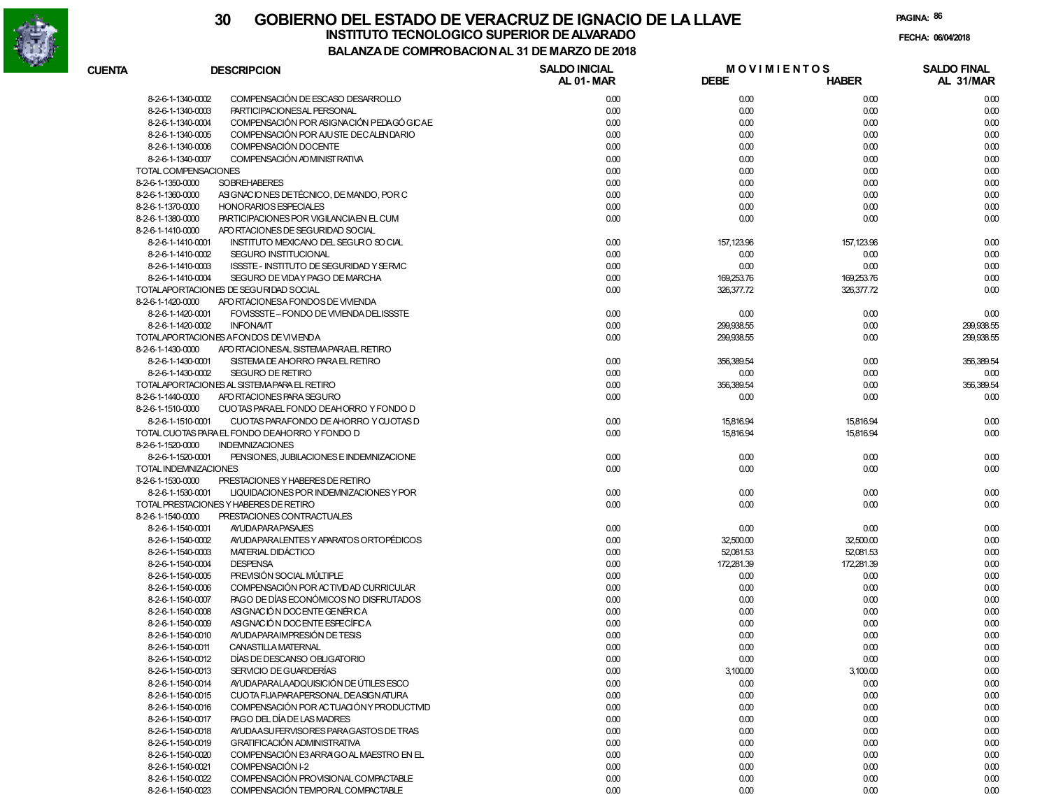

| <b>CUENTA</b>                | <b>DESCRIPCION</b>                            | <b>SALDO INICIAL</b><br>AL 01-MAR | <b>MOVIMIENTOS</b><br><b>DEBE</b> | <b>HABER</b> | <b>SALDO FINAL</b><br>AL 31/MAR |
|------------------------------|-----------------------------------------------|-----------------------------------|-----------------------------------|--------------|---------------------------------|
| 8-2-6-1-1340-0002            | COMPENSACIÓN DE ESCASO DESARROLLO             | 0.00                              | 0.00                              | 0.00         | 0.00                            |
| 8-2-6-1-1340-0003            | PARTICIPACIONESAL PERSONAL                    | 0.00                              | 0.00                              | 0.00         | 0.00                            |
| 8-2-6-1-1340-0004            | COMPENSACIÓN POR ASIGNACIÓN PEDAGÓ GICAE      | 0.00                              | 0.00                              | 0.00         | 0.00                            |
| 8-2-6-1-1340-0005            | COMPENSACIÓN POR AJUSTE DECALENDARIO          | 0.00                              | 0.00                              | 0.00         | 0.00                            |
| 8-2-6-1-1340-0006            | COMPENSACIÓN DOCENTE                          | 0.00                              | 0.00                              | 0.00         | 0.00                            |
| 8-2-6-1-1340-0007            | COMPENSACIÓN AD MINIST RATIVA                 | 0.00                              | 0.00                              | 0.00         | 0.00                            |
| TOTAL COMPENSACIONES         |                                               | 0.00                              | 0.00                              | 0.00         | 0.00                            |
| 8-2-6-1-1350-0000            | <b>SOBREHABERES</b>                           | 0.00                              | 0.00                              | 0.00         | 0.00                            |
| 8-2-6-1-1360-0000            | ASIGNACIONES DE TÉCNICO, DE MANDO, POR C      | 0.00                              | 0.00                              | 0.00         | 0.00                            |
| 8-2-6-1-1370-0000            | <b>HONORARIOS ESPECIALES</b>                  | 0.00                              | 0.00                              | 0.00         | 0.00                            |
| 8-2-6-1-1380-0000            | PARTICIPACIONES POR VIGILANCIA EN EL CUM      | 0.00                              | 0.00                              | 0.00         | 0.00                            |
| 8-2-6-1-1410-0000            | APO RTACIONES DE SEGURIDAD SOCIAL             |                                   |                                   |              |                                 |
| 8-2-6-1-1410-0001            | INSTITUTO MEXICANO DEL SEGURO SO CIAL         | 0.00                              | 157,123.96                        | 157,123.96   | 0.00                            |
| 8-2-6-1-1410-0002            | SEGURO INSTITUCIONAL                          | 0.00                              | 0.00                              | 0.00         | 0.00                            |
| 8-2-6-1-1410-0003            | ISSSTE - INSTITUTO DE SEGURIDAD Y SERVIC      | 0.00                              | 0.00                              | 0.00         | 0.00                            |
| 8-2-6-1-1410-0004            | SEGURO DE VIDAY PAGO DE MARCHA                | 0.00                              | 169,253.76                        | 169,253.76   | 0.00                            |
|                              | TOTALAPORTACIONES DE SEGURIDAD SOCIAL         | 0.00                              | 326, 377.72                       | 326,377.72   | 0.00                            |
| 8-2-6-1-1420-0000            | APO RTACIONESA FONDOS DE VIVIENDA             |                                   |                                   |              |                                 |
| 8-2-6-1-1420-0001            | FOVISSSTE-FONDO DE VIVIENDA DELISSSTE         | 0.00                              | 0.00                              | 0.00         | 0.00                            |
| 8-2-6-1-1420-0002            | <b>INFONAVIT</b>                              | 0.00                              | 299,938.55                        | 0.00         | 299,938.55                      |
|                              |                                               |                                   |                                   |              |                                 |
| 8-2-6-1-1430-0000            | TOTALAPORTACIONES AFONDOS DE VIVIENDA         | 0.00                              | 299,938.55                        | 0.00         | 299,938.55                      |
|                              | APO RTACIONESAL SISTEMAPARAEL RETIRO          |                                   |                                   |              |                                 |
| 8-2-6-1-1430-0001            | SISTEMA DE AHORRO PARA EL RETIRO              | 0.00                              | 356,389.54                        | 0.00         | 356,389.54                      |
| 8-2-6-1-1430-0002            | <b>SEGURO DE RETIRO</b>                       | 0.00                              | 0.00                              | 0.00         | 0.00                            |
|                              | TOTALAPORTACIONES AL SISTEMA PARA EL RETIRO   | 0.00                              | 356,389.54                        | 0.00         | 356,389.54                      |
| 8-2-6-1-1440-0000            | APO RTACIONES PARA SEGURO                     | 0.00                              | 0.00                              | 0.00         | 0.00                            |
| 8-2-6-1-1510-0000            | CUOTAS PARAEL FONDO DEAHORRO Y FONDO D        |                                   |                                   |              |                                 |
| 8-2-6-1-1510-0001            | CUOTAS PARAFONDO DE AHORRO Y CUOTAS D         | 0.00                              | 15,816.94                         | 15,816.94    | 0.00                            |
|                              | TOTAL CUOTAS PARA EL FONDO DEAHORRO Y FONDO D | 0.00                              | 15,816.94                         | 15,816.94    | 0.00                            |
| 8-2-6-1-1520-0000            | <b>INDEMNIZACIONES</b>                        |                                   |                                   |              |                                 |
| 8-2-6-1-1520-0001            | PENSIONES, JUBILACIONES E INDEMNIZACIONE      | 0.00                              | 0.00                              | 0.00         | 0.00                            |
| <b>TOTAL INDEMNIZACIONES</b> |                                               | 0.00                              | 0.00                              | 0.00         | 0.00                            |
| 8-2-6-1-1530-0000            | PRESTACIONES Y HABERES DE RETIRO              |                                   |                                   |              |                                 |
| 8-2-6-1-1530-0001            | LIQUIDACIONES POR INDEMNIZACIONES Y POR       | 0.00                              | 0.00                              | 0.00         | 0.00                            |
|                              | TOTAL PRESTACIONES Y HABERES DE RETIRO        | 0.00                              | 0.00                              | 0.00         | 0.00                            |
| 8-2-6-1-1540-0000            | PRESTACIONES CONTRACTUALES                    |                                   |                                   |              |                                 |
| 8-2-6-1-1540-0001            | <b>AYUDAPARAPASAJES</b>                       | 0.00                              | 0.00                              | 0.00         | 0.00                            |
| 8-2-6-1-1540-0002            | AYUDA PARALENTES Y APARATOS ORTOPÉDICOS       | 0.00                              | 32,500.00                         | 32,500.00    | 0.00                            |
| 8-2-6-1-1540-0003            | MATERIAL DIDÁCTICO                            | 0.00                              | 52,081.53                         | 52,081.53    | 0.00                            |
| 8-2-6-1-1540-0004            | <b>DESPENSA</b>                               | 0.00                              | 172,281.39                        | 172,281.39   | 0.00                            |
| 8-2-6-1-1540-0005            | PREVISIÓN SOCIAL MÚLTIPLE                     | 0.00                              | 0.00                              | 0.00         | 0.00                            |
| 8-2-6-1-1540-0006            | COMPENSACIÓN POR ACTIVIDAD CURRICULAR         | 0.00                              | 0.00                              | 0.00         | 0.00                            |
| 8-2-6-1-1540-0007            | PAGO DE DÍAS ECONÓMICOS NO DISFRUTADOS        | 0.00                              | 0.00                              | 0.00         | 0.00                            |
| 8-2-6-1-1540-0008            | ASIGNACIÓN DOCENTE GENÉRICA                   | 0.00                              | 0.00                              | 0.00         | 0.00                            |
| 8-2-6-1-1540-0009            | ASIGNACIÓN DOCENTE ESPECÍFICA                 | 0.00                              | 0.00                              | 0.00         | 0.00                            |
| 8-2-6-1-1540-0010            | AYUDA PARAIMPRESIÓN DE TESIS                  | 0.00                              | 0.00                              | 0.00         | 0.00                            |
| 8-2-6-1-1540-0011            | CANASTILLA MATERNAL                           | 0.00                              | 0.00                              | 0.00         | 0.00                            |
| 8-2-6-1-1540-0012            | DÍAS DE DESCANSO OBLIGATORIO                  | 0.00                              | 0.00                              | 0.00         | 0.00                            |
| 8-2-6-1-1540-0013            | SERVICIO DE GUARDERÍAS                        | 0.00                              | 3,100.00                          | 3,100.00     | 0.00                            |
| 8-2-6-1-1540-0014            | AYUDA PARALA ADQUISICIÓN DE ÚTILES ESCO       | 0.00                              | 0.00                              | 0.00         | 0.00                            |
| 8-2-6-1-1540-0015            | CUOTA FIJAPARAPERSONAL DEASIGNATURA           | 0.00                              | 0.00                              | 0.00         | 0.00                            |
| 8-2-6-1-1540-0016            | COMPENSACIÓN POR ACTUACIÓN Y PRODUCTIVID      | 0.00                              | 0.00                              | 0.00         | 0.00                            |
| 8-2-6-1-1540-0017            | PAGO DEL DÍA DE LAS MADRES                    | 0.00                              | 0.00                              | 0.00         | 0.00                            |
| 8-2-6-1-1540-0018            | AYUDA ASU FERVISORES PARA GASTOS DE TRAS      | 0.00                              | 0.00                              | 0.00         | 0.00                            |
| 8-2-6-1-1540-0019            | <b>GRATIFICACIÓN ADMINISTRATIVA</b>           | 0.00                              | 0.00                              | 0.00         | 0.00                            |
| 8-2-6-1-1540-0020            | COMPENSACIÓN E3 ARRAIGO AL MAESTRO EN EL      | 0.00                              | 0.00                              | 0.00         | 0.00                            |
| 8-2-6-1-1540-0021            | COMPENSACIÓN I-2                              | 0.00                              | 0.00                              | 0.00         | 0.00                            |
| 8-2-6-1-1540-0022            | COMPENSACIÓN PROVISIONAL COMPACTABLE          | 0.00                              | 0.00                              | 0.00         | 0.00                            |
| 8-2-6-1-1540-0023            | COMPENSACIÓN TEMPORAL COMPACTABLE             | 0.00                              | 0.00                              | 0.00         | 0.00                            |
|                              |                                               |                                   |                                   |              |                                 |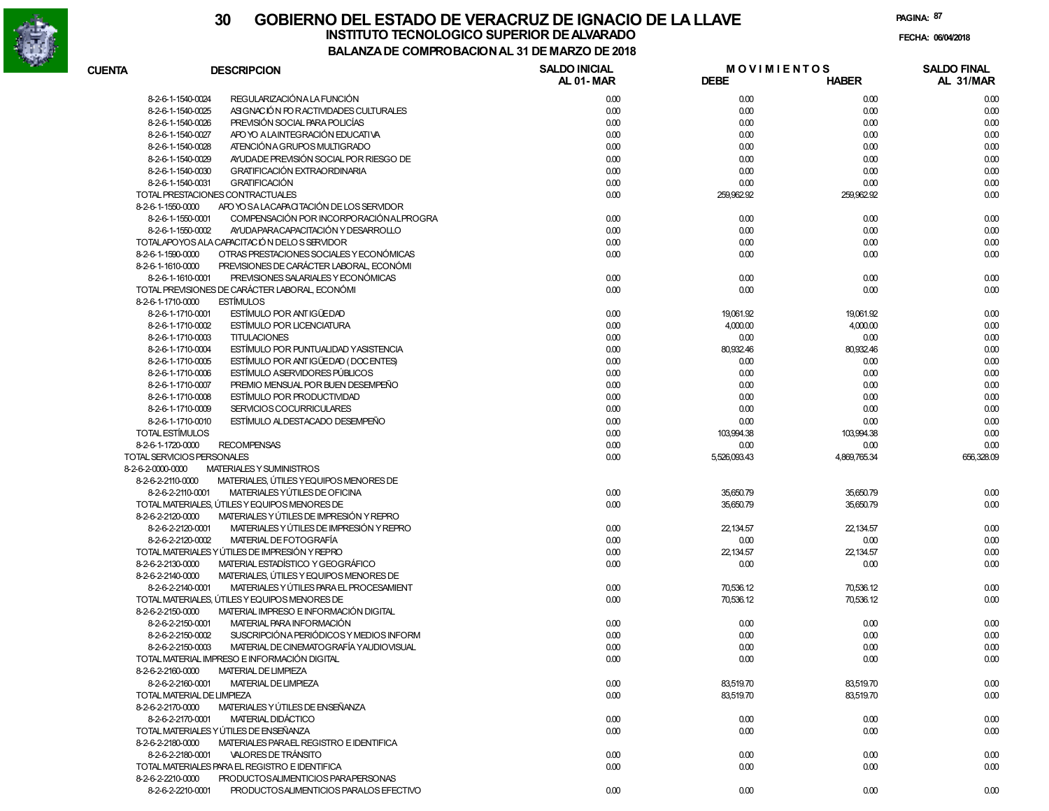

| <b>CUENTA</b>              | <b>DESCRIPCION</b>                             | <b>SALDO INICIAL</b> | <b>MOVIMIENTOS</b> |              | <b>SALDO FINAL</b> |
|----------------------------|------------------------------------------------|----------------------|--------------------|--------------|--------------------|
|                            |                                                | AL 01-MAR            | <b>DEBE</b>        | <b>HABER</b> | AL 31/MAR          |
| 8-2-6-1-1540-0024          | REGULARIZACIÓN A LA FUNCIÓN                    | 0.00                 | 0.00               | 0.00         | 0.00               |
| 8-2-6-1-1540-0025          | ASIGNACIÓN FOR ACTIVIDADES CULTURALES          | 0.00                 | 0.00               | 0.00         | 0.00               |
| 8-2-6-1-1540-0026          | PREVISIÓN SOCIAL PARA POLICÍAS                 | 0.00                 | 0.00               | 0.00         | 0.00               |
| 8-2-6-1-1540-0027          | APO YO A LAINTEGRACIÓN EDUCATIVA               | 0.00                 | 0.00               | 0.00         | 0.00               |
| 8-2-6-1-1540-0028          | ATENCIÓN A GRUPOS MULTIGRADO                   | 0.00                 | 0.00               | 0.00         | 0.00               |
| 8-2-6-1-1540-0029          | AYUDADE PREVISIÓN SOCIAL POR RIESGO DE         | 0.00                 | 0.00               | 0.00         | 0.00               |
| 8-2-6-1-1540-0030          | <b>GRATIFICACIÓN EXTRAORDINARIA</b>            | 0.00                 | 0.00               | 0.00         | 0.00               |
| 8-2-6-1-1540-0031          | <b>GRATIFICACIÓN</b>                           | 0.00                 | 0.00               | 0.00         | 0.00               |
|                            | TOTAL PRESTACIONES CONTRACTUALES               | 0.00                 | 259,962.92         | 259,962.92   | 0.00               |
| 8-2-6-1-1550-0000          | APO YO SA LACAPACITACIÓN DE LOS SERVIDOR       |                      |                    |              |                    |
| 8-2-6-1-1550-0001          | COMPENSACIÓN POR INCORPORACIÓN ALPROGRA        | 0.00                 | 0.00               | 0.00         | 0.00               |
| 8-2-6-1-1550-0002          | AYUDA PARA CAPACITACIÓN Y DESARROLLO           | 0.00                 | 0.00               | 0.00         | 0.00               |
|                            | TOTALAPOYOS ALA CAPACITACIÓN DELOS SERVIDOR    | 0.00                 | 0.00               | 0.00         | 0.00               |
| 8-2-6-1-1590-0000          | OTRAS PRESTACIONES SOCIALES Y ECONÓMICAS       | 0.00                 | 0.00               | 0.00         | 0.00               |
| 8-2-6-1-1610-0000          | PREVISIONES DE CARÁCTER LABORAL, ECONÓMI       |                      |                    |              |                    |
| 8-2-6-1-1610-0001          | PREVISIONES SALARIALES Y ECONÓMICAS            | 0.00                 | 0.00               | 0.00         | 0.00               |
|                            | TOTAL PREVISIONES DE CARÁCTER LABORAL. ECONÓMI | 0.00                 | 0.00               | 0.00         | 0.00               |
| 8-2-6-1-1710-0000          | <b>ESTÍMULOS</b>                               |                      |                    |              |                    |
| 8-2-6-1-1710-0001          | ESTÍMULO POR ANTIGÜEDAD                        | 0.00                 | 19,061.92          | 19,061.92    | 0.00               |
| 8-2-6-1-1710-0002          | <b>ESTÍMULO POR LICENCIATURA</b>               | 0.00                 | 4,000.00           | 4,000.00     | 0.00               |
|                            | <b>TITULACIONES</b>                            |                      |                    |              |                    |
| 8-2-6-1-1710-0003          |                                                | 0.00                 | 0.00               | 0.00         | 0.00               |
| 8-2-6-1-1710-0004          | ESTÍMULO POR PUNTUALIDAD Y ASISTENCIA          | 0.00                 | 80,932.46          | 80,932.46    | 0.00               |
| 8-2-6-1-1710-0005          | ESTÍMULO POR ANTIGÜEDAD (DOCENTES)             | 0.00                 | 0.00               | 0.00         | 0.00               |
| 8-2-6-1-1710-0006          | <b>ESTÍMULO ASERVIDORES PÚBLICOS</b>           | 0.00                 | 0.00               | 0.00         | 0.00               |
| 8-2-6-1-1710-0007          | PREMIO MENSUAL POR BUEN DESEMPEÑO              | 0.00                 | 0.00               | 0.00         | 0.00               |
| 8-2-6-1-1710-0008          | ESTÍMULO POR PRODUCTIVIDAD                     | 0.00                 | 0.00               | 0.00         | 0.00               |
| 8-2-6-1-1710-0009          | SERVICIOS COCURRICULARES                       | 0.00                 | 0.00               | 0.00         | 0.00               |
| 8-2-6-1-1710-0010          | ESTÍMULO ALDESTACADO DESEMPEÑO                 | 0.00                 | 0.00               | 0.00         | 0.00               |
| TOTAL ESTÍMULOS            |                                                | 0.00                 | 103,994.38         | 103,994.38   | 0.00               |
| 8-2-6-1-1720-0000          | <b>RECOMPENSAS</b>                             | 0.00                 | 0.00               | 0.00         | 0.00               |
| TOTAL SERVICIOS PERSONALES |                                                | 0.00                 | 5,526,093.43       | 4,869,765.34 | 656,328.09         |
| 8-2-6-2-0000-0000          | <b>MATERIALES Y SUMINISTROS</b>                |                      |                    |              |                    |
| 8-2-6-2-2110-0000          | MATERIALES, ÚTILES Y EQUIPOS MENORES DE        |                      |                    |              |                    |
| 8-2-6-2-2110-0001          | MATERIALES YÚTILES DE OFICINA                  | 0.00                 | 35,650.79          | 35,650.79    | 0.00               |
|                            | TOTAL MATERIALES, ÚTILES Y EQUIPOS MENORES DE  | 0.00                 | 35,650.79          | 35,650.79    | 0.00               |
| 8-2-6-2-2120-0000          | MATERIALES Y ÚTILES DE IMPRESIÓN Y REPRO       |                      |                    |              |                    |
| 8-2-6-2-2120-0001          | MATERIALES Y ÚTILES DE IMPRESIÓN Y REPRO       | 0.00                 | 22,134.57          | 22,134.57    | 0.00               |
| 8-2-6-2-2120-0002          | MATERIAL DE FOTOGRAFÍA                         | 0.00                 | 0.00               | 0.00         | 0.00               |
|                            | TOTAL MATERIALES Y ÚTILES DE IMPRESIÓN Y REPRO | 0.00                 | 22,134.57          | 22,134.57    | 0.00               |
| 8-2-6-2-2130-0000          | MATERIAL ESTADÍSTICO Y GEOGRÁFICO              | 0.00                 | 0.00               | 0.00         | 0.00               |
| 8-2-6-2-2140-0000          | MATERIALES, ÚTILES Y EQUIPOS MENORES DE        |                      |                    |              |                    |
| 8-2-6-2-2140-0001          | MATERIALES Y ÚTILES PARA EL PROCESAMIENT       | 0.00                 | 70,536.12          | 70,536.12    | 0.00               |
|                            | TOTAL MATERIALES. ÚTILES Y EQUIPOS MENORES DE  | 0.00                 | 70,536.12          | 70,536.12    | 0.00               |
| 8-2-6-2-2150-0000          | MATERIAL IMPRESO E INFORMACIÓN DIGITAL         |                      |                    |              |                    |
| 8-2-6-2-2150-0001          | MATERIAL PARA INFORMACIÓN                      | 0.00                 | 0.00               | 0.00         | 0.00               |
| 8-2-6-2-2150-0002          | SUSCRIPCIÓNA PERIÓDICOS Y MEDIOS INFORM        | 0.00                 | 0.00               | 0.00         | 0.00               |
| 8-2-6-2-2150-0003          | MATERIAL DE CINEMATOGRAFÍA YAUDIOVISUAL        | 0.00                 | 0.00               | 0.00         | 0.00               |
|                            | TOTAL MATERIAL IMPRESO E INFORMACIÓN DIGITAL   | 0.00                 | 0.00               | 0.00         | 0.00               |
| 8-2-6-2-2160-0000          | <b>MATERIAL DE LIMPIEZA</b>                    |                      |                    |              |                    |
| 8-2-6-2-2160-0001          | <b>MATERIAL DE LIMPIEZA</b>                    | 0.00                 | 83,519.70          | 83,519.70    | 0.00               |
| TOTAL MATERIAL DE LIMPIEZA |                                                | 0.00                 | 83,519.70          | 83,519.70    | 0.00               |
| 8-2-6-2-2170-0000          | MATERIALES Y ÚTILES DE ENSEÑANZA               |                      |                    |              |                    |
| 8-2-6-2-2170-0001          | MATERIAL DIDÁCTICO                             | 0.00                 | 0.00               | 0.00         | 0.00               |
|                            | TOTAL MATERIALES Y ÚTILES DE ENSEÑANZA         | 0.00                 | 0.00               | 0.00         | 0.00               |
| 8-2-6-2-2180-0000          | MATERIALES PARAEL REGISTRO E IDENTIFICA        |                      |                    |              |                    |
| 8-2-6-2-2180-0001          | VALORES DE TRÁNSITO                            | 0.00                 | 0.00               | 0.00         | 0.00               |
|                            | TOTAL MATERIALES PARA EL REGISTRO E IDENTIFICA | 0.00                 |                    | 0.00         |                    |
| 8-2-6-2-2210-0000          |                                                |                      | 0.00               |              | 0.00               |
|                            | PRODUCTOSALIMENTICIOS PARAPERSONAS             |                      |                    |              |                    |
| 8-2-6-2-2210-0001          | PRODUCTOSALIMENTICIOS PARALOS EFECTIVO         | 0.00                 | 0.00               | 0.00         | 0.00               |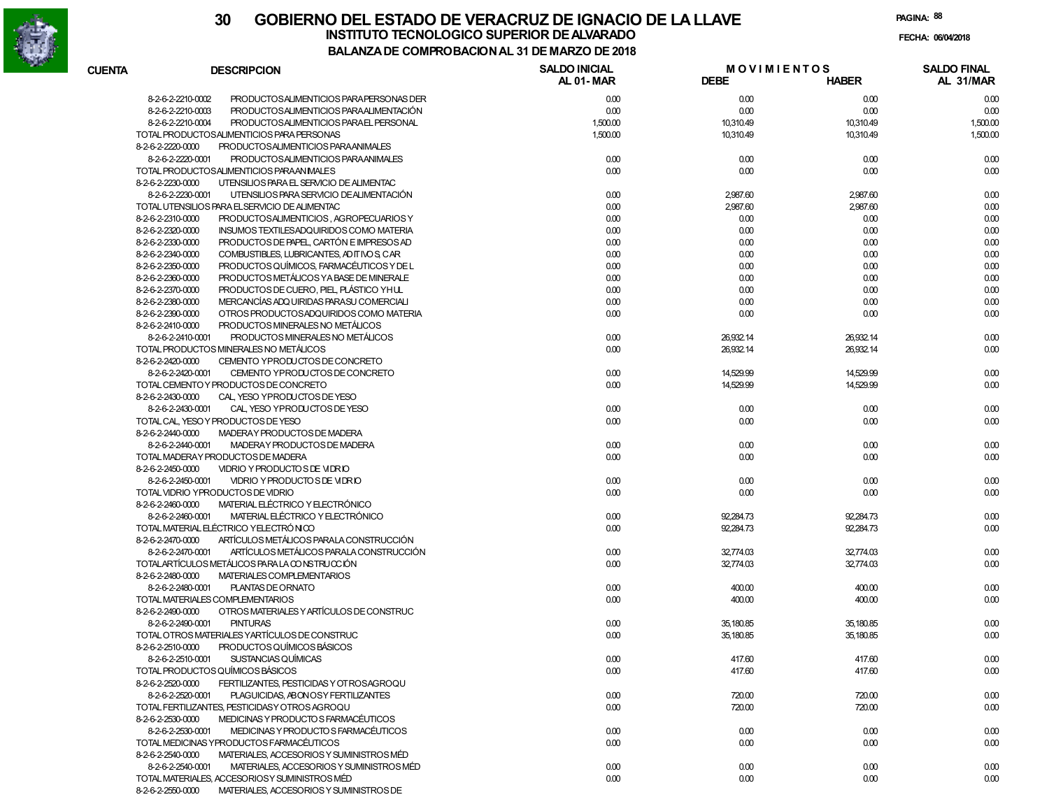

|               |                                                                  | <b>COMFINO DAGION AL 31 DE MANEO DE 2010</b> |                                   |              |                                 |
|---------------|------------------------------------------------------------------|----------------------------------------------|-----------------------------------|--------------|---------------------------------|
| <b>CUENTA</b> | <b>DESCRIPCION</b>                                               | <b>SALDO INICIAL</b><br>AL 01-MAR            | <b>MOVIMIENTOS</b><br><b>DEBE</b> | <b>HABER</b> | <b>SALDO FINAL</b><br>AL 31/MAR |
|               | 8-2-6-2-2210-0002<br>PRODUCTOSALIMENTICIOS PARA PERSONAS DER     | 0.00                                         | 0.00                              | 0.00         | 0.00                            |
|               | 8-2-6-2-2210-0003<br>PRODUCTOSALIMENTICIOS PARAALIMENTACIÓN      | 0.00                                         | 0.00                              | 0.00         | 0.00                            |
|               | 8-2-6-2-2210-0004<br>PRODUCTOSALIMENTICIOS PARAEL PERSONAL       | 1,500.00                                     | 10,310.49                         | 10,310.49    | 1,500.00                        |
|               | TOTAL PRODUCTOSALIMENTICIOS PARA PERSONAS                        | 1,500.00                                     | 10,310.49                         | 10,310.49    | 1,500.00                        |
|               | 8-2-6-2-2220-0000<br>PRODUCTOSALIMENTICIOS PARAANIMALES          |                                              |                                   |              |                                 |
|               | 8-2-6-2-2220-0001<br>PRODUCTOSALIMENTICIOS PARAANIMALES          | 0.00                                         | 0.00                              | 0.00         | 0.00                            |
|               | TOTAL PRODUCTOSALIMENTICIOS PARAAN MALES                         | 0.00                                         | 0.00                              | 0.00         | 0.00                            |
|               | 8-2-6-2-2230-0000<br>UTENSILIOS PARA EL SERVICIO DE ALIMENTAC    |                                              |                                   |              |                                 |
|               | 8-2-6-2-2230-0001<br>UTENSILIOS PARA SERVICIO DE ALIMENTACIÓN    | 0.00                                         | 2,987.60                          | 2,987.60     | 0.00                            |
|               | TOTAL UTENSILIOS PARA EL SERVICIO DE ALIMENTAC                   | 0.00                                         | 2,987.60                          | 2,987.60     | 0.00                            |
|               | 8-2-6-2-2310-0000<br>PRODUCTOSALIMENTICIOS, AGROPECUARIOS Y      | 0.00                                         | 0.00                              | 0.00         | 0.00                            |
|               | 8-2-6-2-2320-0000<br>INSUMOS TEXTILESADQUIRIDOS COMO MATERIA     | 0.00                                         | 0.00                              | 0.00         | 0.00                            |
|               | 8-2-6-2-2330-0000<br>PRODUCTOS DE PAPEL, CARTÓN E IMPRESOS AD    | 0.00                                         | 0.00                              | 0.00         | 0.00                            |
|               | 8-2-6-2-2340-0000<br>COMBUSTIBLES, LUBRICANTES, AD IT IVO S, CAR | 0.00                                         | 0.00                              | 0.00         | 0.00                            |
|               | 8-2-6-2-2350-0000<br>PRODUCTOS QUÍMICOS, FARMACÉUTICOS Y DE L    | 0.00                                         | 0.00                              | 0.00         | 0.00                            |
|               | 8-2-6-2-2360-0000<br>PRODUCTOS METÁLICOS YA BASE DE MINERALE     | 0.00                                         | 0.00                              | 0.00         | 0.00                            |
|               | 8-2-6-2-2370-0000<br>PRODUCTOS DE CUERO, PIEL, PLÁSTICO YHUL     | 0.00                                         | 0.00                              | 0.00         | 0.00                            |
|               | 8-2-6-2-2380-0000<br>MERCANCÍAS ADQ UIRIDAS PARASU COMERCIALI    | 0.00                                         | 0.00                              | 0.00         | 0.00                            |
|               | 8-2-6-2-2390-0000<br>OTROS PRODUCTOSADQUIRIDOS COMO MATERIA      | 0.00                                         | 0.00                              | 0.00         | 0.00                            |
|               | 8-2-6-2-2410-0000<br>PRODUCTOS MINERALES NO METÁLICOS            |                                              |                                   |              |                                 |
|               | 8-2-6-2-2410-0001<br>PRODUCTOS MINERALES NO METÁLICOS            | 0.00                                         | 26,932.14                         | 26,932.14    | 0.00                            |
|               | TOTAL PRODUCTOS MINERALES NO METÁLICOS                           | 0.00                                         | 26,932.14                         | 26,932.14    | 0.00                            |
|               | 8-2-6-2-2420-0000<br>CEMENTO YPRODUCTOS DE CONCRETO              |                                              |                                   |              |                                 |
|               | 8-2-6-2-2420-0001<br>CEMENTO YPRODUCTOS DE CONCRETO              | 0.00                                         | 14,529.99                         | 14,529.99    | 0.00                            |
|               | TOTAL CEMENTO Y PRODUCTOS DE CONCRETO                            | 0.00                                         | 14,529.99                         | 14,529.99    | 0.00                            |
|               | 8-2-6-2-2430-0000<br>CAL, YESO YPRODUCTOS DE YESO                |                                              |                                   |              |                                 |
|               | 8-2-6-2-2430-0001<br>CAL YESO YPRODUCTOS DE YESO                 | 0.00                                         | 0.00                              | 0.00         | 0.00                            |
|               | TOTAL CAL, YESO Y PRODUCTOS DE YESO                              | 0.00                                         | 0.00                              | 0.00         | 0.00                            |
|               | 8-2-6-2-2440-0000<br>MADERAY PRODUCTOS DE MADERA                 |                                              |                                   |              |                                 |
|               | 8-2-6-2-2440-0001<br>MADERAY PRODUCTOS DE MADERA                 | 0.00                                         | 0.00                              | 0.00         | 0.00                            |
|               | TOTAL MADERAY PRODUCTOS DE MADERA                                | 0.00                                         | 0.00                              | 0.00         | 0.00                            |
|               | 8-2-6-2-2450-0000<br>VIDRIO Y PRODUCTO S DE VIDRIO               |                                              |                                   |              |                                 |
|               | 8-2-6-2-2450-0001<br><b>VIDRIO Y PRODUCTO S DE VIDRIO</b>        | 0.00                                         | 0.00                              | 0.00         | 0.00                            |
|               | TOTAL VIDRIO YPRODUCTOS DE VIDRIO                                | 0.00                                         | 0.00                              | 0.00         | 0.00                            |
|               | MATERIAL ELÉCTRICO Y ELECTRÓNICO<br>8-2-6-2-2460-0000            |                                              |                                   |              |                                 |
|               | 8-2-6-2-2460-0001<br>MATERIAL ELÉCTRICO Y ELECTRÓNICO            | 0.00                                         | 92,284.73                         | 92,284.73    | 0.00                            |
|               | TOTAL MATERIAL ELÉCTRICO YELECTRÓNICO                            | 0.00                                         | 92,284.73                         | 92,284.73    | 0.00                            |
|               | 8-2-6-2-2470-0000<br>ARTÍCULOS METÁLICOS PARALA CONSTRUCCIÓN     |                                              |                                   |              |                                 |
|               | 8-2-6-2-2470-0001<br>ARTÍCULOS METÁLICOS PARALA CONSTRUCCIÓN     | 0.00                                         | 32,774.03                         | 32,774.03    | 0.00                            |
|               | TOTALARTÍCULOS METÁLICOS PARA LA CONSTRUCCIÓN                    | 0.00                                         | 32,774.03                         | 32,774.03    | 0.00                            |
|               | 8-2-6-2-2480-0000<br>MATERIALES COMPLEMENTARIOS                  |                                              |                                   |              |                                 |
|               | 8-2-6-2-2480-0001<br>PLANTAS DE ORNATO                           | 0.00                                         | 400.00                            | 400.00       | 0.00                            |
|               | TOTAL MATERIALES COMPLEMENTARIOS                                 | 0.00                                         | 400.00                            | 400.00       | 0.00                            |
|               | OTROS MATERIALES Y ARTÍCULOS DE CONSTRUC<br>8-2-6-2-2490-0000    |                                              |                                   |              |                                 |
|               | 8-2-6-2-2490-0001<br><b>PINTURAS</b>                             | 0.00                                         | 35,180.85                         | 35,180.85    | 0.00                            |
|               | TOTAL OTROS MATERIALES YARTÍCULOS DE CONSTRUC                    | 0.00                                         | 35,180.85                         | 35,180.85    | 0.00                            |
|               | 8-2-6-2-2510-0000 PRODUCTOS QUÍMICOS BÁSICOS                     |                                              |                                   |              |                                 |
|               | 8-2-6-2-2510-0001<br><b>SUSTANCIAS QUÍMICAS</b>                  | 0.00                                         | 417.60                            | 417.60       | 0.00                            |
|               | TOTAL PRODUCTOS QUÍMICOS BÁSICOS                                 | 0.00                                         | 417.60                            | 417.60       | 0.00                            |
|               | 8-2-6-2-2520-0000<br>FERTILIZANTES, PESTICIDAS Y OT ROSAGROQU    |                                              |                                   |              |                                 |
|               | 8-2-6-2-2520-0001<br>PLAGUICIDAS, ABONOSY FERTILIZANTES          | 0.00                                         | 720.00                            | 720.00       | 0.00                            |
|               | TOTAL FERTILIZANTES, PESTICIDAS Y OTROS AGROQU                   | 0.00                                         | 720.00                            | 720.00       | 0.00                            |
|               | 8-2-6-2-2530-0000<br>MEDICINAS Y PRODUCTO S FARMACÉUTICOS        |                                              |                                   |              |                                 |
|               | 8-2-6-2-2530-0001<br>MEDICINAS Y PRODUCTO S FARMACÉUTICOS        | 0.00                                         | 0.00                              | 0.00         | 0.00                            |
|               | TOTAL MEDICINAS YPRODUCTOS FARMACÉUTICOS                         | 0.00                                         | 0.00                              | 0.00         | 0.00                            |
|               | 8-2-6-2-2540-0000<br>MATERIALES, ACCESORIOS Y SUMINISTROS MÉD    |                                              |                                   |              |                                 |
|               | 8-2-6-2-2540-0001<br>MATERIALES, ACCESORIOS Y SUMINISTROS MÉD    | 0.00                                         | 0.00                              | 0.00         | 0.00                            |
|               | TOTAL MATERIALES, ACCESORIOS Y SUMINISTROS MÉD                   | 0.00                                         | 0.00                              | 0.00         | 0.00                            |
|               | 8-2-6-2-2550-0000<br>MATERIALES, ACCESORIOS Y SUMINISTROS DE     |                                              |                                   |              |                                 |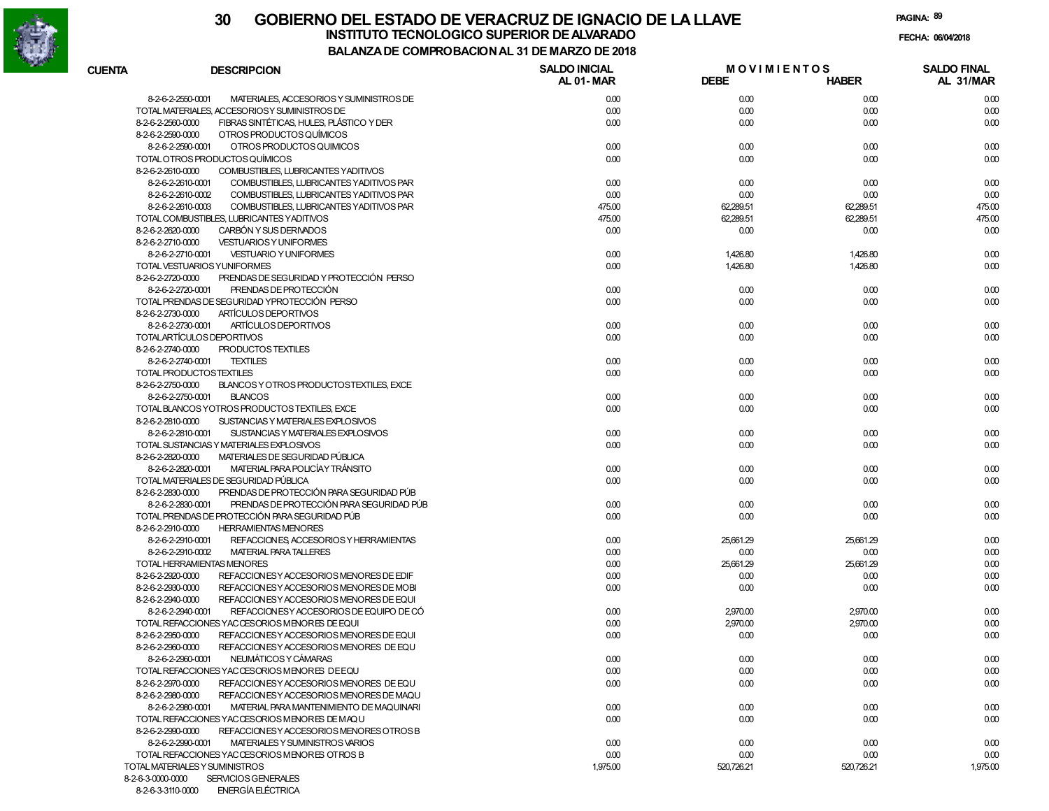

**PAGINA:89**

| <b>CUENTA</b> | <b>DESCRIPCION</b>                                                                 | DE COMFRODACIONAL 31 DE MARZO DE 2010<br><b>SALDO INICIAL</b><br><b>MOVIMIENTOS</b> |             |              | <b>SALDO FINAL</b> |  |
|---------------|------------------------------------------------------------------------------------|-------------------------------------------------------------------------------------|-------------|--------------|--------------------|--|
|               |                                                                                    | AL 01-MAR                                                                           | <b>DEBE</b> | <b>HABER</b> | AL 31/MAR          |  |
|               | 8-2-6-2-2550-0001<br>MATERIALES, ACCESORIOS Y SUMINISTROS DE                       | 0.00                                                                                | 0.00        | 0.00         | 0.00               |  |
|               | TOTAL MATERIALES, ACCESORIOSY SUMINISTROS DE                                       | 0.00                                                                                | 0.00        | 0.00         | 0.00               |  |
|               | FIBRAS SINTÉTICAS. HULES. PLÁSTICO Y DER<br>8-2-6-2-2560-0000                      | 0.00                                                                                | 0.00        | 0.00         | 0.00               |  |
|               | OTROS PRODUCTOS QUÍMICOS<br>8-2-6-2-2590-0000                                      |                                                                                     |             |              |                    |  |
|               | 8-2-6-2-2590-0001<br>OTROS PRODUCTOS QUIMICOS                                      | 0.00                                                                                | 0.00        | 0.00         | 0.00               |  |
|               | TOTAL OTROS PRODUCTOS QUÍMICOS                                                     | 0.00                                                                                | 0.00        | 0.00         | 0.00               |  |
|               | 8-2-6-2-2610-0000<br>COMBUSTIBLES, LUBRICANTES YADITIVOS                           |                                                                                     |             |              |                    |  |
|               | 8-2-6-2-2610-0001<br>COMBUSTIBLES, LUBRICANTES YADITIVOS PAR                       | 0.00                                                                                | 0.00        | 0.00         | 0.00               |  |
|               | 8-2-6-2-2610-0002<br>COMBUSTIBLES, LUBRICANTES YADITIVOS PAR                       | 0.00                                                                                | 0.00        | 0.00         | 0.00               |  |
|               | 8-2-6-2-2610-0003<br>COMBUSTIBLES, LUBRICANTES YADITIVOS PAR                       | 475.00                                                                              | 62,289.51   | 62,289.51    | 475.00             |  |
|               | TOTAL COMBUSTIBLES, LUBRICANTES YADITIVOS                                          | 475.00                                                                              | 62,289.51   | 62,289.51    | 475.00             |  |
|               | CARBÓN Y SUS DERIVADOS<br>8-2-6-2-2620-0000                                        | 0.00                                                                                | 0.00        | 0.00         | 0.00               |  |
|               | 8-2-6-2-2710-0000<br><b>VESTUARIOS Y UNIFORMES</b>                                 |                                                                                     |             |              |                    |  |
|               | 8-2-6-2-2710-0001<br><b>VESTUARIO Y UNIFORMES</b>                                  | 0.00                                                                                | 1,426.80    | 1,426.80     | 0.00               |  |
|               | TOTAL VESTUARIOS YUNIFORMES                                                        | 0.00                                                                                | 1,426.80    | 1,426.80     | 0.00               |  |
|               | 8-2-6-2-2720-0000<br>PRENDAS DE SEGURIDAD Y PROTECCIÓN PERSO                       |                                                                                     |             |              |                    |  |
|               | PRENDAS DE PROTECCIÓN<br>8-2-6-2-2720-0001                                         | 0.00                                                                                | 0.00        | 0.00         | 0.00               |  |
|               | TOTAL PRENDAS DE SEGURIDAD YPROTECCIÓN PERSO                                       | 0.00                                                                                | 0.00        | 0.00         | 0.00               |  |
|               | 8-2-6-2-2730-0000<br>ARTÍCULOS DEPORTIVOS                                          |                                                                                     |             |              |                    |  |
|               | ARTÍCULOS DEPORTIVOS<br>8-2-6-2-2730-0001                                          | 0.00                                                                                | 0.00        | 0.00         | 0.00               |  |
|               | TOTALARTÍCULOS DEPORTIVOS                                                          | 0.00                                                                                | 0.00        | 0.00         | 0.00               |  |
|               | PRODUCTOS TEXTILES<br>8-2-6-2-2740-0000                                            |                                                                                     |             |              |                    |  |
|               | 8-2-6-2-2740-0001<br><b>TEXTILES</b>                                               | 0.00                                                                                | 0.00        | 0.00         | 0.00               |  |
|               | TOTAL PRODUCTOSTEXTILES                                                            | 0.00                                                                                | 0.00        | 0.00         | 0.00               |  |
|               | 8-2-6-2-2750-0000<br>BLANCOS Y OTROS PRODUCTOSTEXTILES, EXCE                       |                                                                                     |             |              |                    |  |
|               | 8-2-6-2-2750-0001<br><b>BLANCOS</b>                                                | 0.00                                                                                | 0.00        | 0.00         | 0.00               |  |
|               | TOTAL BLANCOS YOTROS PRODUCTOS TEXTILES, EXCE                                      | 0.00                                                                                | 0.00        | 0.00         | 0.00               |  |
|               | 8-2-6-2-2810-0000<br>SUSTANCIAS Y MATERIALES EXPLOSIVOS                            |                                                                                     |             |              |                    |  |
|               | 8-2-6-2-2810-0001<br>SUSTANCIAS Y MATERIALES EXPLOSIVOS                            | 0.00                                                                                | 0.00        | 0.00         | 0.00               |  |
|               | TOTAL SUSTANCIAS Y MATERIALES EXPLOSIVOS                                           | 0.00                                                                                | 0.00        | 0.00         | 0.00               |  |
|               | MATERIALES DE SEGURIDAD PÚBLICA<br>8-2-6-2-2820-0000                               |                                                                                     |             |              |                    |  |
|               | MATERIAL PARA POLICÍA Y TRÁNSITO<br>8-2-6-2-2820-0001                              | 0.00                                                                                | 0.00        | 0.00         | 0.00               |  |
|               | TOTAL MATERIALES DE SEGURIDAD PÚBLICA<br>PRENDAS DE PROTECCIÓN PARA SEGURIDAD PÚB  | 0.00                                                                                | 0.00        | 0.00         | 0.00               |  |
|               | 8-2-6-2-2830-0000<br>PRENDAS DE PROTECCIÓN PARA SEGURIDAD PÚB<br>8-2-6-2-2830-0001 |                                                                                     |             |              |                    |  |
|               | TOTAL PRENDAS DE PROTECCIÓN PARA SEGURIDAD PÚB                                     | 0.00<br>0.00                                                                        | 0.00        | 0.00         | 0.00               |  |
|               | <b>HERRAMIENTAS MENORES</b><br>8-2-6-2-2910-0000                                   |                                                                                     | 0.00        | 0.00         | 0.00               |  |
|               | 8-2-6-2-2910-0001<br>REFACCIONES ACCESORIOS Y HERRAMIENTAS                         | 0.00                                                                                | 25,661.29   | 25,661.29    | 0.00               |  |
|               | 8-2-6-2-2910-0002<br><b>MATERIAL PARA TALLERES</b>                                 | 0.00                                                                                | 0.00        | 0.00         | 0.00               |  |
|               | <b>TOTAL HERRAMIENTAS MENORES</b>                                                  | 0.00                                                                                | 25,661.29   | 25,661.29    | 0.00               |  |
|               | 8-2-6-2-2920-0000<br>REFACCION ES Y ACCESORIOS MENORES DE EDIF                     | 0.00                                                                                | 0.00        | 0.00         | 0.00               |  |
|               | 8-2-6-2-2930-0000<br>REFACCION ES Y ACCESORIOS MENORES DE MOBI                     | 0.00                                                                                | 0.00        | 0.00         | 0.00               |  |
|               | 8-2-6-2-2940-0000<br>REFACCION ESY ACCESORIOS MENORES DE EQUI                      |                                                                                     |             |              |                    |  |
|               | REFACCIONESY ACCESORIOS DE EQUIPO DE CÓ<br>8-2-6-2-2940-0001                       | 0.00                                                                                | 2,970.00    | 2,970.00     | 0.00               |  |
|               | TOTAL REFACCIONES YACCESORIOS MENORES DE EQUI                                      | 0.00                                                                                | 2,970.00    | 2,970.00     | 0.00               |  |
|               | 8-2-6-2-2950-0000<br>REFACCION ES Y ACCESORIOS MENORES DE EQUI                     | 0.00                                                                                | 0.00        | 0.00         | 0.00               |  |
|               | 8-2-6-2-2960-0000<br>REFACCION ESY ACCESORIOS MENORES DE EQU                       |                                                                                     |             |              |                    |  |
|               | NEUMÁTICOS Y CÁMARAS<br>8-2-6-2-2960-0001                                          | 0.00                                                                                | 0.00        | 0.00         | 0.00               |  |
|               | TOTAL REFACCIONES YACCESORIOS MENORES DE EQU                                       | 0.00                                                                                | 0.00        | 0.00         | 0.00               |  |
|               | 8-2-6-2-2970-0000<br>REFACCION ESY ACCESORIOS MENORES DE EQU                       | 0.00                                                                                | 0.00        | 0.00         | 0.00               |  |
|               | 8-2-6-2-2980-0000<br>REFACCION ES Y ACCESORIOS MENORES DE MAQU                     |                                                                                     |             |              |                    |  |
|               | 8-2-6-2-2980-0001<br>MATERIAL PARA MANTENIMIENTO DE MAQUINARI                      | 0.00                                                                                | 0.00        | 0.00         | 0.00               |  |
|               | TOTAL REFACCIONES YACCESORIOS MENORES DE MAQU                                      | 0.00                                                                                | 0.00        | 0.00         | 0.00               |  |
|               | 8-2-6-2-2990-0000<br>REFACCION ESY ACCESORIOS MENORES OTROS B                      |                                                                                     |             |              |                    |  |
|               | 8-2-6-2-2990-0001<br>MATERIALES Y SUMINISTROS VARIOS                               | 0.00                                                                                | 0.00        | 0.00         | 0.00               |  |
|               | TOTAL REFACCIONES YACCESORIOS MENORES OTROS B                                      | 0.00                                                                                | 0.00        | 0.00         | 0.00               |  |
|               | TOTAL MATERIALES Y SUMINISTROS                                                     | 1,975.00                                                                            | 520,726.21  | 520,726.21   | 1,975.00           |  |
|               | 8-2-6-3-0000-0000 SERVICIOS GENERALES                                              |                                                                                     |             |              |                    |  |

8-2-6-3-3110-0000 ENERGÍA ELÉCTRICA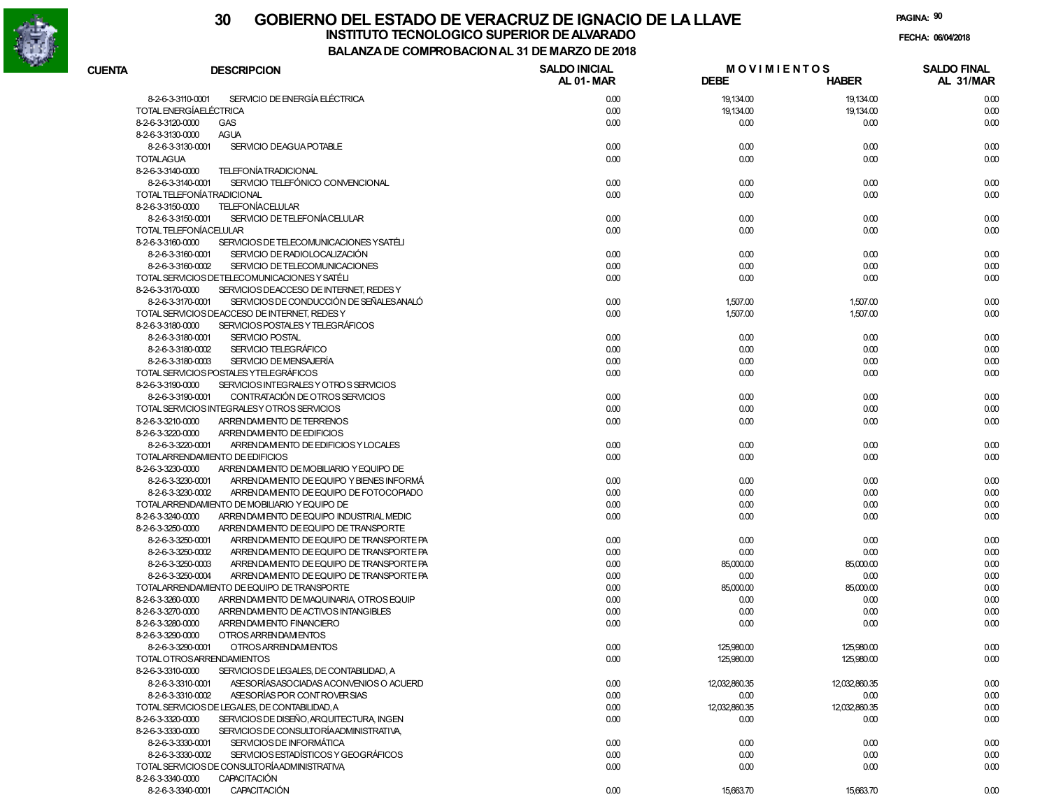

| <b>CUENTA</b> | <b>DESCRIPCION</b>                                            | <b>SALDO INICIAL</b><br><b>AL 01-MAR</b> | <b>MOVIMIENTOS</b><br><b>DEBE</b> | <b>HABER</b>  | <b>SALDO FINAL</b><br>AL 31/MAR |
|---------------|---------------------------------------------------------------|------------------------------------------|-----------------------------------|---------------|---------------------------------|
|               | SERVICIO DE ENERGÍA ELÉCTRICA<br>8-2-6-3-3110-0001            | 0.00                                     | 19,134.00                         | 19,134.00     | 0.00                            |
|               | <b>TOTAL ENERGÍAELÉCTRICA</b>                                 | 0.00                                     | 19,134.00                         | 19,134.00     | 0.00                            |
|               | 8-2-6-3-3120-0000<br><b>GAS</b>                               | 0.00                                     | 0.00                              | 0.00          | 0.00                            |
|               | 8-2-6-3-3130-0000<br><b>AGUA</b>                              |                                          |                                   |               |                                 |
|               | SERVICIO DEAGUA POTABLE<br>8-2-6-3-3130-0001                  | 0.00                                     | 0.00                              | 0.00          | 0.00                            |
|               | <b>TOTALAGUA</b>                                              | 0.00                                     | 0.00                              | 0.00          | 0.00                            |
|               | <b>TELEFONÍATRADICIONAL</b><br>8-2-6-3-3140-0000              |                                          |                                   |               |                                 |
|               | SERVICIO TELEFÓNICO CONVENCIONAL<br>8-2-6-3-3140-0001         | 0.00                                     | 0.00                              | 0.00          | 0.00                            |
|               | TOTAL TELEFONÍATRADICIONAL                                    | 0.00                                     |                                   | 0.00          |                                 |
|               | <b>TELEFONÍACELULAR</b>                                       |                                          | 0.00                              |               | 0.00                            |
|               | 8-2-6-3-3150-0000<br>SERVICIO DE TELEFONÍACE LULAR            |                                          |                                   |               |                                 |
|               | 8-2-6-3-3150-0001                                             | 0.00                                     | 0.00                              | 0.00          | 0.00                            |
|               | TOTAL TELEFONÍACELULAR                                        | 0.00                                     | 0.00                              | 0.00          | 0.00                            |
|               | SERVICIOS DE TELECOMUNICACIONES YSATÉLI<br>8-2-6-3-3160-0000  |                                          |                                   |               |                                 |
|               | 8-2-6-3-3160-0001<br>SERVICIO DE RADIOLOCALIZACIÓN            | 0.00                                     | 0.00                              | 0.00          | 0.00                            |
|               | 8-2-6-3-3160-0002<br>SERVICIO DE TELECOMUNICACIONES           | 0.00                                     | 0.00                              | 0.00          | 0.00                            |
|               | TOTAL SERVICIOS DETELECOMUNICACIONES Y SATÉLI                 | 0.00                                     | 0.00                              | 0.00          | 0.00                            |
|               | 8-2-6-3-3170-0000<br>SERVICIOS DEACCESO DE INTERNET, REDES Y  |                                          |                                   |               |                                 |
|               | SERVICIOS DE CONDUCCIÓN DE SEÑALES ANALÓ<br>8-2-6-3-3170-0001 | 0.00                                     | 1,507.00                          | 1,507.00      | 0.00                            |
|               | TOTAL SERVICIOS DEACCESO DE INTERNET, REDES Y                 | 0.00                                     | 1,507.00                          | 1,507.00      | 0.00                            |
|               | SERVICIOS POSTALES Y TELEGRÁFICOS<br>8-2-6-3-3180-0000        |                                          |                                   |               |                                 |
|               | <b>SERVICIO POSTAL</b><br>8-2-6-3-3180-0001                   | 0.00                                     | 0.00                              | 0.00          | 0.00                            |
|               | SERVICIO TELEGRÁFICO<br>8-2-6-3-3180-0002                     | 0.00                                     | 0.00                              | 0.00          | 0.00                            |
|               | 8-2-6-3-3180-0003<br>SERVICIO DE MENSAJERÍA                   | 0.00                                     | 0.00                              | 0.00          | 0.00                            |
|               | TOTAL SERVICIOS POSTALES YTELEGRÁFICOS                        | 0.00                                     | 0.00                              | 0.00          | 0.00                            |
|               | 8-2-6-3-3190-0000<br>SERVICIOS INTEGRALES Y OTROS SERVICIOS   |                                          |                                   |               |                                 |
|               | CONTRATACIÓN DE OTROS SERVICIOS<br>8-2-6-3-3190-0001          | 0.00                                     | 0.00                              | 0.00          | 0.00                            |
|               | TOTAL SERVICIOS INTEGRALESY OTROS SERVICIOS                   | 0.00                                     | 0.00                              | 0.00          | 0.00                            |
|               | 8-2-6-3-3210-0000<br>ARRENDAM ENTO DE TERRENOS                | 0.00                                     | 0.00                              | 0.00          | 0.00                            |
|               | 8-2-6-3-3220-0000<br>ARRENDAM ENTO DE EDIFICIOS               |                                          |                                   |               |                                 |
|               | 8-2-6-3-3220-0001<br>ARRENDAMENTO DE EDIFICIOS Y LOCALES      | 0.00                                     | 0.00                              | 0.00          | 0.00                            |
|               | TOTALARRENDAMIENTO DE EDIFICIOS                               | 0.00                                     | 0.00                              | 0.00          | 0.00                            |
|               | 8-2-6-3-3230-0000<br>ARRENDAM ENTO DE MOBILIARIO Y EQUIPO DE  |                                          |                                   |               |                                 |
|               | ARRENDAM ENTO DE EQUIPO Y BIENES INFORMÁ<br>8-2-6-3-3230-0001 | 0.00                                     | 0.00                              | 0.00          | 0.00                            |
|               | 8-2-6-3-3230-0002<br>ARRENDAM ENTO DE EQUIPO DE FOTOCOPIADO   | 0.00                                     | 0.00                              | 0.00          | 0.00                            |
|               | TOTALARRENDAMIENTO DE MOBILIARIO Y EQUIPO DE                  | 0.00                                     | 0.00                              | 0.00          | 0.00                            |
|               | 8-2-6-3-3240-0000<br>ARRENDAM ENTO DE EQUIPO INDUSTRIAL MEDIC | 0.00                                     | 0.00                              | 0.00          | 0.00                            |
|               | 8-2-6-3-3250-0000<br>ARRENDAM ENTO DE EQUIPO DE TRANSPORTE    |                                          |                                   |               |                                 |
|               | 8-2-6-3-3250-0001<br>ARRENDAM ENTO DE EQUIPO DE TRANSPORTE PA | 0.00                                     | 0.00                              | 0.00          | 0.00                            |
|               | 8-2-6-3-3250-0002<br>ARRENDAM ENTO DE EQUIPO DE TRANSPORTE PA | 0.00                                     | 0.00                              | 0.00          | 0.00                            |
|               | 8-2-6-3-3250-0003<br>ARRENDAM ENTO DE EQUIPO DE TRANSPORTE PA | 0.00                                     | 85,000.00                         | 85,000.00     | 0.00                            |
|               | 8-2-6-3-3250-0004<br>ARRENDAM ENTO DE EQUIPO DE TRANSPORTE PA | 0.00                                     | 0.00                              | 0.00          | 0.00                            |
|               | TOTALARRENDAMIENTO DE EQUIPO DE TRANSPORTE                    | 0.00                                     | 85,000.00                         | 85,000.00     | 0.00                            |
|               | 8-2-6-3-3260-0000<br>ARRENDAM ENTO DE MAQUINARIA, OTROS EQUIP | 0.00                                     | 0.00                              | 0.00          | 0.00                            |
|               | 8-2-6-3-3270-0000<br>ARREN DAM ENTO DE ACTIVOS INTANGIBLES    | 0.00                                     | 0.00                              | 0.00          | 0.00                            |
|               | 8-2-6-3-3280-0000<br>ARREN DAM ENTO FINANCIERO                | 0.00                                     | 0.00                              | 0.00          | 0.00                            |
|               | OTROS ARRENDAM ENTOS<br>8-2-6-3-3290-0000                     |                                          |                                   |               |                                 |
|               | 8-2-6-3-3290-0001<br>OTROS ARRENDAM ENTOS                     | 0.00                                     | 125,980.00                        | 125,980.00    | 0.00                            |
|               | TOTAL OTROSARRENDAMIENTOS                                     | 0.00                                     | 125,980.00                        | 125,980.00    | 0.00                            |
|               | SERVICIOS DE LEGALES. DE CONTABILIDAD. A                      |                                          |                                   |               |                                 |
|               | 8-2-6-3-3310-0000<br>ASE SORÍAS ASOCIADAS ACONVENIOS O ACUERD |                                          |                                   |               |                                 |
|               | 8-2-6-3-3310-0001                                             | 0.00                                     | 12,032,860.35                     | 12,032,860.35 | 0.00                            |
|               | ASE SORÍAS POR CONTROVER SIAS<br>8-2-6-3-3310-0002            | 0.00                                     | 0.00                              | 0.00          | 0.00                            |
|               | TOTAL SERVICIOS DE LEGALES, DE CONTABILIDAD, A                | 0.00                                     | 12,032,860.35                     | 12,032,860.35 | 0.00                            |
|               | SERVICIOS DE DISEÑO, ARQUITECTURA, INGEN<br>8-2-6-3-3320-0000 | 0.00                                     | 0.00                              | 0.00          | 0.00                            |
|               | SERVICIOS DE CONSULTORÍAADMINISTRATIVA.<br>8-2-6-3-3330-0000  |                                          |                                   |               |                                 |
|               | SERVICIOS DE INFORMÁTICA<br>8-2-6-3-3330-0001                 | 0.00                                     | 0.00                              | 0.00          | 0.00                            |
|               | SERVICIOS ESTADÍSTICOS Y GEOGRÁFICOS<br>8-2-6-3-3330-0002     | 0.00                                     | 0.00                              | 0.00          | 0.00                            |
|               | TOTAL SERVICIOS DE CONSULTORÍA ADMINISTRATIVA                 | 0.00                                     | 0.00                              | 0.00          | 0.00                            |
|               | <b>CAPACITACIÓN</b><br>8-2-6-3-3340-0000                      |                                          |                                   |               |                                 |
|               | <b>CAPACITACIÓN</b><br>8-2-6-3-3340-0001                      | 0.00                                     | 15,663.70                         | 15,663.70     | 0.00                            |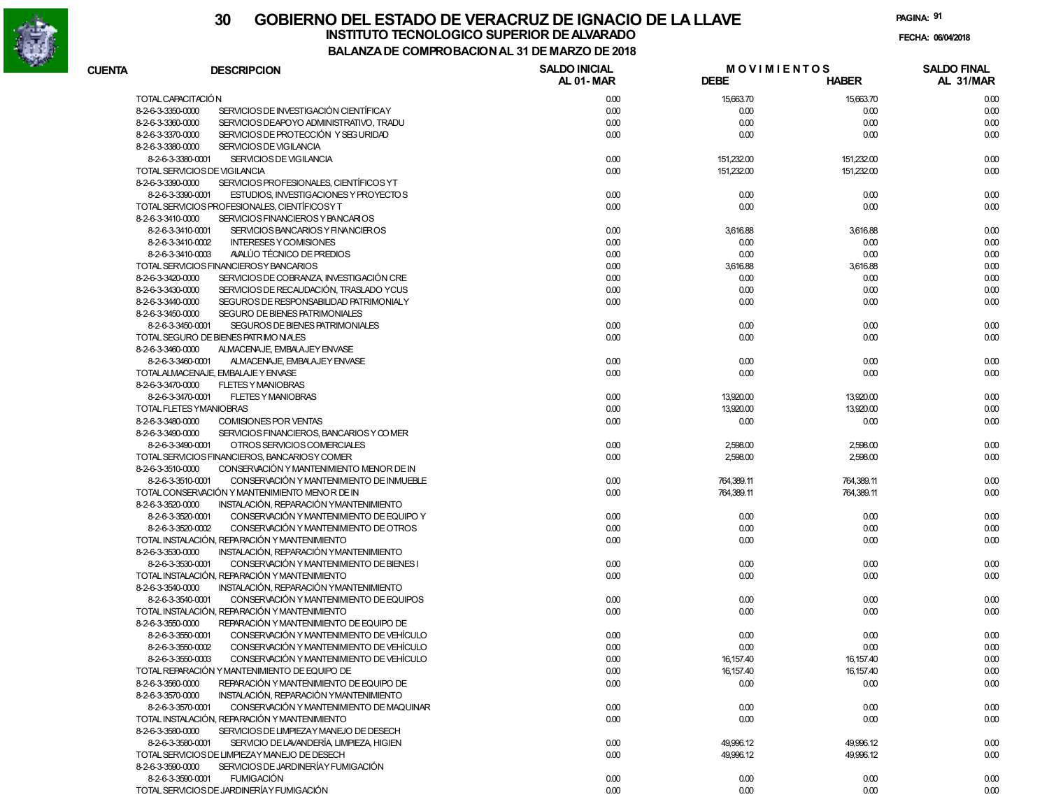

# **30 GOBIERNO DEL ESTADO DE VERACRUZ DE IGNACIO DE LA LLAVEINSTITUTO TECNOLOGICO SUPERIOR DE ALVARADO de la composición de la composición de la composición de la composición**<br>Dal aniza de composición da la de marzo de como

**PAGINA:91**

**FECHA:**

| <b>CUENTA</b> | <b>DESCRIPCION</b>                                            | <b>SALDO INICIAL</b> | <b>MOVIMIENTOS</b> |              | <b>SALDO FINAL</b> |
|---------------|---------------------------------------------------------------|----------------------|--------------------|--------------|--------------------|
|               |                                                               | AL 01-MAR            | <b>DEBE</b>        | <b>HABER</b> | AL 31/MAR          |
|               | TOTAL CAPACITACIÓN                                            | 0.00                 | 15,663.70          | 15,663.70    | 0.00               |
|               | SERVICIOS DE INVESTIGACIÓN CIENTÍFICAY<br>8-2-6-3-3350-0000   | 0.00                 | 0.00               | 0.00         | 0.00               |
|               | 8-2-6-3-3360-0000<br>SERVICIOS DEAPOYO ADMINISTRATIVO, TRADU  | 0.00                 | 0.00               | 0.00         | 0.00               |
|               | 8-2-6-3-3370-0000<br>SERVICIOS DE PROTECCIÓN Y SEG URIDAD     | 0.00                 | 0.00               | 0.00         | 0.00               |
|               | 8-2-6-3-3380-0000<br>SERVICIOS DE VIGILANCIA                  |                      |                    |              |                    |
|               | SERVICIOS DE VIGILANCIA<br>8-2-6-3-3380-0001                  | 0.00                 | 151,232.00         | 151,232.00   | 0.00               |
|               | TOTAL SERVICIOS DE VIGILANCIA                                 | 0.00                 | 151,232.00         | 151,232.00   | 0.00               |
|               | SERVICIOS PROFESIONALES, CIENTÍFICOS YT<br>8-2-6-3-3390-0000  |                      |                    |              |                    |
|               | 8-2-6-3-3390-0001<br>ESTUDIOS, INVESTIGACIONES Y PROYECTOS    | 0.00                 | 0.00               | 0.00         | 0.00               |
|               | TOTAL SERVICIOS PROFESIONALES, CIENTÍFICOSY T                 | 0.00                 | 0.00               | 0.00         | 0.00               |
|               | SERVICIOS FINANCIEROS Y BANCARIOS<br>8-2-6-3-3410-0000        |                      |                    |              |                    |
|               | SERVICIOS BANCARIOS Y FINANCIEROS<br>8-2-6-3-3410-0001        | 0.00                 | 3,616.88           | 3,616.88     | 0.00               |
|               | <b>INTERESES Y COMISIONES</b><br>8-2-6-3-3410-0002            | 0.00                 | 0.00               | 0.00         | 0.00               |
|               | AVALÚO TÉCNICO DE PREDIOS<br>8-2-6-3-3410-0003                | 0.00                 | 0.00               | 0.00         | 0.00               |
|               | TOTAL SERVICIOS FINANCIEROSY BANCARIOS                        |                      |                    |              |                    |
|               |                                                               | 0.00                 | 3,616.88           | 3,616.88     | 0.00               |
|               | SERVICIOS DE COBRANZA, INVESTIGACIÓN CRE<br>8-2-6-3-3420-0000 | 0.00                 | 0.00               | 0.00         | 0.00               |
|               | SERVICIOS DE RECAUDACIÓN, TRASLADO YCUS<br>8-2-6-3-3430-0000  | 0.00                 | 0.00               | 0.00         | 0.00               |
|               | SEGUROS DE RESPONSABILIDAD PATRIMONIALY<br>8-2-6-3-3440-0000  | 0.00                 | 0.00               | 0.00         | 0.00               |
|               | SEGURO DE BIENES PATRIMONIALES<br>8-2-6-3-3450-0000           |                      |                    |              |                    |
|               | 8-2-6-3-3450-0001<br>SEGUROS DE BIENES PATRIMONIALES          | 0.00                 | 0.00               | 0.00         | 0.00               |
|               | TOTAL SEGURO DE BIENES PATRIMONIALES                          | 0.00                 | 0.00               | 0.00         | 0.00               |
|               | 8-2-6-3-3460-0000<br>ALMACENAJE, EMBALAJEY ENVASE             |                      |                    |              |                    |
|               | 8-2-6-3-3460-0001<br>ALMACENAJE, EMBALAJEY ENVASE             | 0.00                 | 0.00               | 0.00         | 0.00               |
|               | TOTALALMACENAJE. EMBALAJE Y ENVASE                            | 0.00                 | 0.00               | 0.00         | 0.00               |
|               | 8-2-6-3-3470-0000<br><b>FLETES Y MANIOBRAS</b>                |                      |                    |              |                    |
|               | 8-2-6-3-3470-0001<br><b>FLETES Y MANIOBRAS</b>                | 0.00                 | 13,920.00          | 13,920.00    | 0.00               |
|               | TOTAL FLETES YMANIOBRAS                                       | 0.00                 | 13,920.00          | 13,920.00    | 0.00               |
|               | 8-2-6-3-3480-0000<br>COMISIONES POR VENTAS                    | 0.00                 | 0.00               | 0.00         | 0.00               |
|               | 8-2-6-3-3490-0000<br>SERVICIOS FINANCIEROS, BANCARIOS Y COMER |                      |                    |              |                    |
|               | 8-2-6-3-3490-0001<br>OTROS SERVICIOS COMERCIALES              | 0.00                 | 2,598.00           | 2,598.00     | 0.00               |
|               | TOTAL SERVICIOS FINANCIEROS, BANCARIOS Y COMER                | 0.00                 | 2,598.00           | 2,598.00     | 0.00               |
|               | 8-2-6-3-3510-0000<br>CONSERVACIÓN Y MANTENIMIENTO MENOR DE IN |                      |                    |              |                    |
|               | CONSERVACIÓN Y MANTENIMIENTO DE INMUEBLE<br>8-2-6-3-3510-0001 | 0.00                 | 764,389.11         | 764,389.11   | 0.00               |
|               | TOTAL CONSERVACIÓN Y MANTENIMIENTO MENOR DE IN                | 0.00                 | 764,389.11         | 764,389.11   | 0.00               |
|               | INSTALACIÓN, REPARACIÓN YMANTENIMIENTO<br>8-2-6-3-3520-0000   |                      |                    |              |                    |
|               | CONSERVACIÓN Y MANTENIMIENTO DE EQUIPO Y<br>8-2-6-3-3520-0001 | 0.00                 | 0.00               | 0.00         | 0.00               |
|               | 8-2-6-3-3520-0002<br>CONSERVACIÓN Y MANTENIMIENTO DE OTROS    | 0.00                 | 0.00               | 0.00         | 0.00               |
|               | TOTAL INSTALACIÓN, REPARACIÓN Y MANTENIMIENTO                 | 0.00                 | 0.00               | 0.00         | 0.00               |
|               | 8-2-6-3-3530-0000<br>INSTALACIÓN, REPARACIÓN YMANTENIMIENTO   |                      |                    |              |                    |
|               | 8-2-6-3-3530-0001<br>CONSERVACIÓN Y MANTENIMIENTO DE BIENES I | 0.00                 | 0.00               | 0.00         | 0.00               |
|               | TOTAL INSTALACIÓN, REPARACIÓN Y MANTENIMIENTO                 | 0.00                 | 0.00               | 0.00         | 0.00               |
|               | 8-2-6-3-3540-0000<br>INSTALACIÓN, REPARACIÓN YMANTENIMIENTO   |                      |                    |              |                    |
|               | CONSERVACIÓN Y MANTENIMIENTO DE EQUIPOS<br>8-2-6-3-3540-0001  | 0.00                 |                    | 0.00         | 0.00               |
|               |                                                               |                      | 0.00               |              |                    |
|               | TOTAL INSTALACIÓN, REPARACIÓN Y MANTENIMIENTO                 | 0.00                 | 0.00               | 0.00         | 0.00               |
|               | 8-2-6-3-3550-0000<br>REPARACIÓN Y MANTENIMIENTO DE EQUIPO DE  |                      |                    |              |                    |
|               | CONSERVACIÓN Y MANTENIMIENTO DE VEHÍCULO<br>8-2-6-3-3550-0001 | 0.00                 | 0.00               | 0.00         | 0.00               |
|               | 8-2-6-3-3550-0002<br>CONSERVACIÓN Y MANTENIMIENTO DE VEHÍCULO | 0.00                 | 0.00               | 0.00         | 0.00               |
|               | 8-2-6-3-3550-0003<br>CONSERVACION Y MANTENIMIENTO DE VEHICULO | 0.00                 | 16,157.40          | 16, 157.40   | 0.00               |
|               | TOTAL REPARACIÓN Y MANTENIMIENTO DE EQUIPO DE                 | 0.00                 | 16,157.40          | 16, 157.40   | 0.00               |
|               | REPARACIÓN Y MANTENIMIENTO DE EQUIPO DE<br>8-2-6-3-3560-0000  | 0.00                 | 0.00               | 0.00         | 0.00               |
|               | INSTALACIÓN, REPARACIÓN YMANTENIMIENTO<br>8-2-6-3-3570-0000   |                      |                    |              |                    |
|               | CONSERVACIÓN Y MANTENIMIENTO DE MAQUINAR<br>8-2-6-3-3570-0001 | 0.00                 | 0.00               | 0.00         | 0.00               |
|               | TOTAL INSTALACIÓN. REPARACIÓN Y MANTENIMIENTO                 | 0.00                 | 0.00               | 0.00         | 0.00               |
|               | SERVICIOS DE LIMPIEZAY MANEJO DE DESECH<br>8-2-6-3-3580-0000  |                      |                    |              |                    |
|               | SERVICIO DE LAVANDERÍA, LIMPIEZA, HIGIEN<br>8-2-6-3-3580-0001 | 0.00                 | 49,996.12          | 49,996.12    | 0.00               |
|               | TOTAL SERVICIOS DE LIMPIEZAY MANEJO DE DESECH                 | 0.00                 | 49,996.12          | 49,996.12    | 0.00               |
|               | SERVICIOS DE JARDINERÍA Y FUMIGACIÓN<br>8-2-6-3-3590-0000     |                      |                    |              |                    |
|               | 8-2-6-3-3590-0001<br><b>FUMIGACIÓN</b>                        | 0.00                 | 0.00               | 0.00         | 0.00               |
|               | TOTAL SERVICIOS DE JARDINERÍA Y FUMIGACIÓN                    | 0.00                 | 0.00               | 0.00         | 0.00               |
|               |                                                               |                      |                    |              |                    |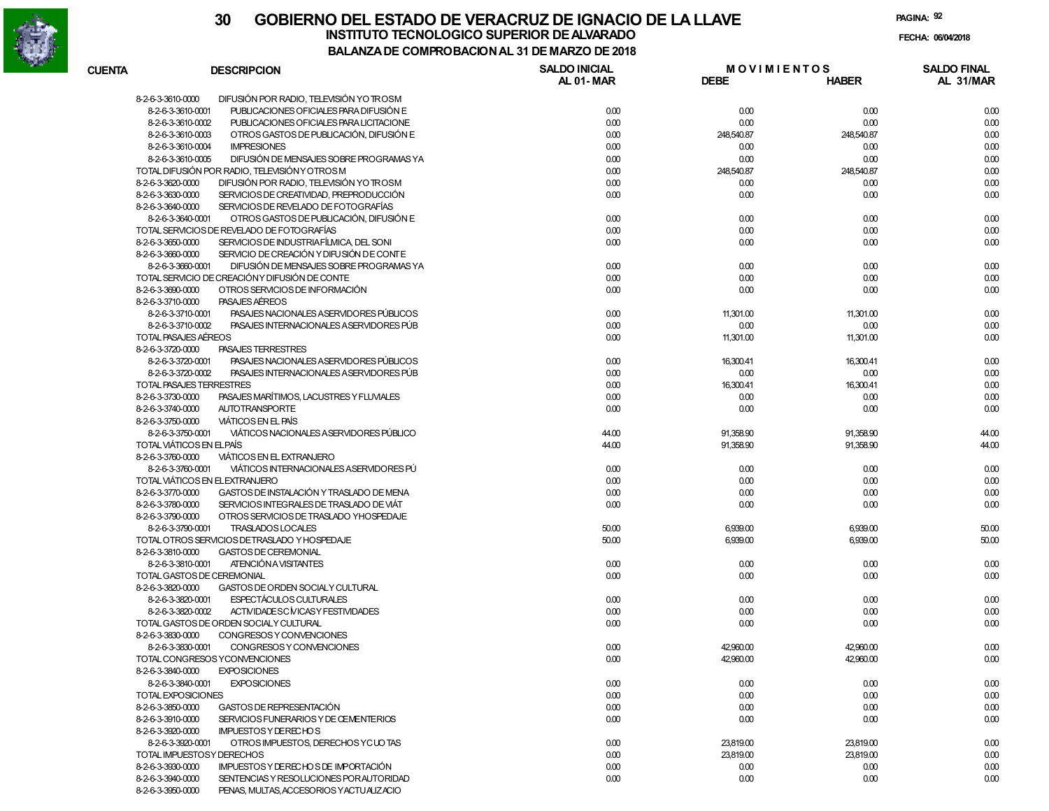

| <b>CUENTA</b>     | <b>DESCRIPCION</b>                                            | <b>SALDO INICIAL</b><br>AL 01-MAR | <b>MOVIMIENTOS</b><br><b>DEBE</b> | <b>HABER</b> | <b>SALDO FINAL</b><br>AL 31/MAR |
|-------------------|---------------------------------------------------------------|-----------------------------------|-----------------------------------|--------------|---------------------------------|
| 8-2-6-3-3610-0000 | DIFUSIÓN POR RADIO, TELEVISIÓN YO TROSM                       |                                   |                                   |              |                                 |
|                   | PUBLICACIONES OFICIALES PARA DIFUSIÓN E<br>8-2-6-3-3610-0001  | 0.00                              | 0.00                              | 0.00         | 0.00                            |
|                   | PUBLICACIONES OFICIALES PARA LICITACIONE<br>8-2-6-3-3610-0002 | 0.00                              | 0.00                              | 0.00         | 0.00                            |
|                   | OTROS GASTOS DE PUBLICACIÓN, DIFUSIÓN E<br>8-2-6-3-3610-0003  | 0.00                              | 248,540.87                        | 248,540.87   | 0.00                            |
|                   | <b>IMPRESIONES</b><br>8-2-6-3-3610-0004                       | 0.00                              | 0.00                              | 0.00         | 0.00                            |
|                   | DIFUSIÓN DE MENSAJES SOBRE PROGRAMAS YA<br>8-2-6-3-3610-0005  | 0.00                              | 0.00                              | 0.00         | 0.00                            |
|                   | TOTAL DIFUSIÓN POR RADIO, TELEVISIÓN Y OTROS M                | 0.00                              | 248,540.87                        | 248,540.87   | 0.00                            |
| 8-2-6-3-3620-0000 | DIFUSIÓN POR RADIO, TELEVISIÓN YO TROSM                       | 0.00                              | 0.00                              | 0.00         | 0.00                            |
| 8-2-6-3-3630-0000 | SERVICIOS DE CREATIVIDAD, PREPRODUCCIÓN                       | 0.00                              | 0.00                              | 0.00         | 0.00                            |
| 8-2-6-3-3640-0000 | SERVICIOS DE REVELADO DE FOTOGRAFÍAS                          |                                   |                                   |              |                                 |
|                   | OTROS GASTOS DE PUBLICACIÓN, DIFUSIÓN E<br>8-2-6-3-3640-0001  | 0.00                              | 0.00                              | 0.00         | 0.00                            |
|                   | TOTAL SERVICIOS DE REVELADO DE FOTOGRAFÍAS                    | 0.00                              | 0.00                              | 0.00         | 0.00                            |
| 8-2-6-3-3650-0000 | SERVICIOS DE INDUSTRIAFÍLMICA DEL SONI                        | 0.00                              | 0.00                              | 0.00         |                                 |
| 8-2-6-3-3660-0000 | SERVICIO DE CREACIÓN Y DIFU SIÓN DE CONTE                     |                                   |                                   |              | 0.00                            |
|                   |                                                               |                                   |                                   |              |                                 |
|                   | DIFUSIÓN DE MENSAJES SOBRE PROGRAMAS YA<br>8-2-6-3-3660-0001  | 0.00                              | 0.00                              | 0.00         | 0.00                            |
|                   | TOTAL SERVICIO DE CREACIÓN Y DIFUSIÓN DE CONTE                | 0.00                              | 0.00                              | 0.00         | 0.00                            |
| 8-2-6-3-3690-0000 | OTROS SERVICIOS DE INFORMACIÓN                                | 0.00                              | 0.00                              | 0.00         | 0.00                            |
| 8-2-6-3-3710-0000 | PASAJES AEREOS                                                |                                   |                                   |              |                                 |
|                   | PASAJES NACIONALES A SERVIDORES PÚBLICOS<br>8-2-6-3-3710-0001 | 0.00                              | 11,301.00                         | 11,301.00    | 0.00                            |
|                   | PASAJES INTERNACIONALES ASERVIDORES PÚB<br>8-2-6-3-3710-0002  | 0.00                              | 0.00                              | 0.00         | 0.00                            |
|                   | TOTAL PASAJES AÉREOS                                          | 0.00                              | 11,301.00                         | 11,301.00    | 0.00                            |
| 8-2-6-3-3720-0000 | <b>PASAJES TERRESTRES</b>                                     |                                   |                                   |              |                                 |
|                   | PASAJES NACIONALES ASERVIDORES PÚBLICOS<br>8-2-6-3-3720-0001  | 0.00                              | 16,300.41                         | 16,300.41    | 0.00                            |
|                   | 8-2-6-3-3720-0002<br>PASAJES INTERNACIONALES ASERVIDORES PÚB  | 0.00                              | 0.00                              | 0.00         | 0.00                            |
|                   | TOTAL PASAJES TERRESTRES                                      | 0.00                              | 16,300.41                         | 16,300.41    | 0.00                            |
| 8-2-6-3-3730-0000 | PASAJES MARÍTIMOS, LACUSTRES Y FLUVIALES                      | 0.00                              | 0.00                              | 0.00         | 0.00                            |
| 8-2-6-3-3740-0000 | <b>AUTOTRANSPORTE</b>                                         | 0.00                              | 0.00                              | 0.00         | 0.00                            |
| 8-2-6-3-3750-0000 | <b>VIÁTICOS EN EL PAÍS</b>                                    |                                   |                                   |              |                                 |
|                   | VIÁTICOS NACIONALES A SERVIDORES PÚBLICO<br>8-2-6-3-3750-0001 | 44.00                             | 91,358.90                         | 91,358.90    | 44.00                           |
|                   | TOTAL VIÁTICOS EN ELPAÍS                                      | 44.00                             | 91,358.90                         | 91,358.90    | 44.00                           |
| 8-2-6-3-3760-0000 | VIÁTICOS EN EL EXTRANJERO                                     |                                   |                                   |              |                                 |
|                   | 8-2-6-3-3760-0001<br>VIÁTICOS INTERNACIONALES ASERVIDORES PÚ  | 0.00                              | 0.00                              | 0.00         | 0.00                            |
|                   | TOTAL VIÁTICOS EN EL EXTRANJERO                               | 0.00                              | 0.00                              | 0.00         | 0.00                            |
| 8-2-6-3-3770-0000 | GASTOS DE INSTALACIÓN Y TRASLADO DE MENA                      | 0.00                              | 0.00                              | 0.00         | 0.00                            |
| 8-2-6-3-3780-0000 | SERVICIOS INTEGRALES DE TRASLADO DE VIÁT                      | 0.00                              | 0.00                              | 0.00         | 0.00                            |
| 8-2-6-3-3790-0000 | OTROS SERVICIOS DE TRASLADO YHOSPEDAJE                        |                                   |                                   |              |                                 |
|                   | TRASLADOS LOCALES<br>8-2-6-3-3790-0001                        | 50.00                             | 6,939.00                          | 6,939.00     | 50.00                           |
|                   | TOTAL OTROS SERVICIOS DETRASLADO Y HOSPEDAJE                  | 50.00                             | 6,939.00                          | 6,939.00     | 50.00                           |
| 8-2-6-3-3810-0000 | <b>GASTOS DE CEREMONIAL</b>                                   |                                   |                                   |              |                                 |
|                   | ATENCIÓN A VISITANTES<br>8-2-6-3-3810-0001                    | 0.00                              | 0.00                              | 0.00         | 0.00                            |
|                   | TOTAL GASTOS DE CEREMONIAL                                    | 0.00                              | 0.00                              | 0.00         | 0.00                            |
| 8-2-6-3-3820-0000 | GASTOS DE ORDEN SOCIALY CULTURAL                              |                                   |                                   |              |                                 |
|                   | ESPECTÁCULOS CULTURALES<br>8-2-6-3-3820-0001                  | 0.00                              | 0.00                              | 0.00         | 0.00                            |
|                   | ACTIVIDADESC MICASY FESTIVIDADES<br>8-2-6-3-3820-0002         |                                   |                                   |              | 0.00                            |
|                   |                                                               | 0.00                              | 0.00                              | 0.00         |                                 |
|                   | TOTAL GASTOS DE ORDEN SOCIALY CULTURAL                        | 0.00                              | 0.00                              | 0.00         | 0.00                            |
| 8-2-6-3-3830-0000 | CONGRESOS Y CONVENCIONES                                      |                                   |                                   |              |                                 |
|                   | CONGRESOS Y CONVENCIONES<br>8-2-6-3-3830-0001                 | 0.00                              | 42,960.00                         | 42,960.00    | 0.00                            |
|                   | TOTAL CONGRESOS YCONVENCIONES                                 | 0.00                              | 42,960.00                         | 42,960.00    | 0.00                            |
| 8-2-6-3-3840-0000 | <b>EXPOSICIONES</b>                                           |                                   |                                   |              |                                 |
|                   | 8-2-6-3-3840-0001<br><b>EXPOSICIONES</b>                      | 0.00                              | 0.00                              | 0.00         | 0.00                            |
|                   | TOTAL EXPOSICIONES                                            | 0.00                              | 0.00                              | 0.00         | 0.00                            |
| 8-2-6-3-3850-0000 | GASTOS DE REPRESENTACIÓN                                      | 0.00                              | 0.00                              | 0.00         | 0.00                            |
| 8-2-6-3-3910-0000 | SERVICIOS FUNERARIOS Y DE CEMENTERIOS                         | 0.00                              | 0.00                              | 0.00         | 0.00                            |
| 8-2-6-3-3920-0000 | <b>IMPUESTOS Y DERECHOS</b>                                   |                                   |                                   |              |                                 |
|                   | 8-2-6-3-3920-0001<br>OTROS IMPUESTOS, DERECHOS YCUOTAS        | 0.00                              | 23,819.00                         | 23,819.00    | 0.00                            |
|                   | TOTAL IMPUESTOSY DERECHOS                                     | 0.00                              | 23,819.00                         | 23,819.00    | 0.00                            |
| 8-2-6-3-3930-0000 | IMPUESTOS Y DERECHOS DE IMPORTACIÓN                           | 0.00                              | 0.00                              | 0.00         | 0.00                            |
| 8-2-6-3-3940-0000 | SENTENCIAS Y RESOLUCIONES POR AUTORIDAD                       | 0.00                              | 0.00                              | 0.00         | 0.00                            |
| 8-2-6-3-3950-0000 | PENAS, MULTAS, ACCESORIOS YACTUALIZACIO                       |                                   |                                   |              |                                 |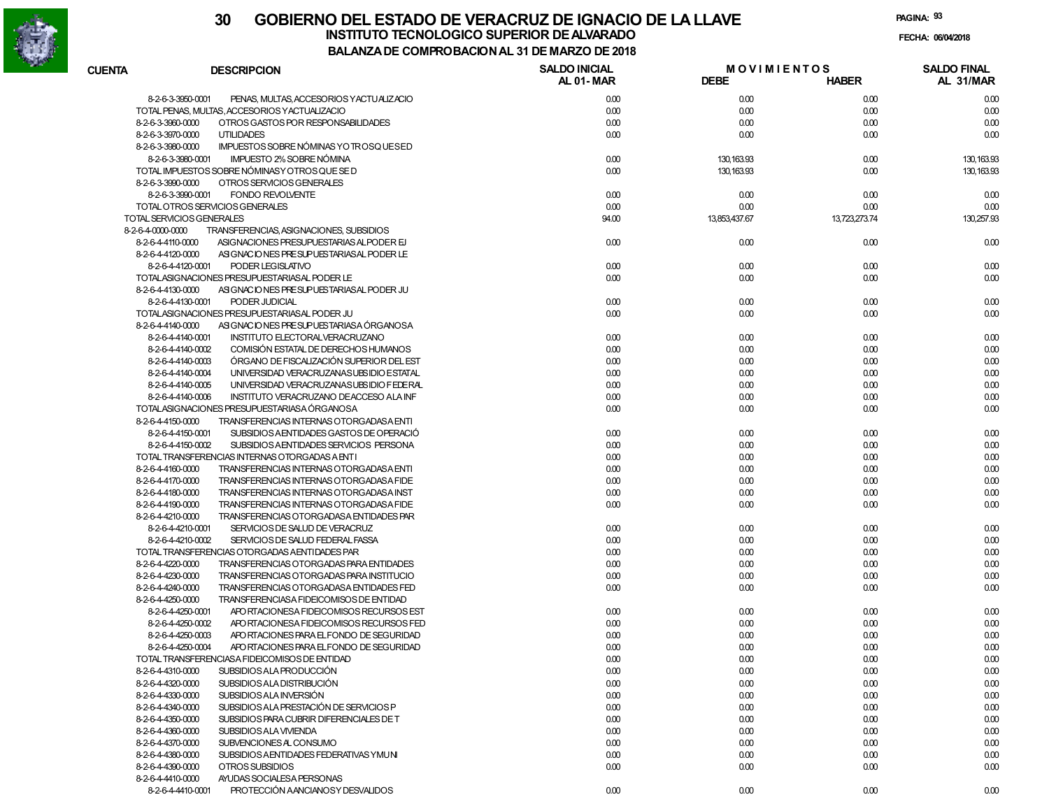

| <b>CUENTA</b>                          | <b>DESCRIPCION</b>                                                                 | <b>SALDO INICIAL</b><br>AL 01-MAR | <b>MOVIMIENTOS</b><br><b>DEBE</b> | <b>HABER</b>  | <b>SALDO FINAL</b><br>AL 31/MAR |
|----------------------------------------|------------------------------------------------------------------------------------|-----------------------------------|-----------------------------------|---------------|---------------------------------|
|                                        | 8-2-6-3-3950-0001<br>PENAS, MULTAS, ACCESORIOS YACTUALIZACIO                       | 0.00                              | 0.00                              | 0.00          | 0.00                            |
|                                        | TOTAL PENAS, MULTAS, ACCESORIOS Y ACTUALIZACIO                                     | 0.00                              | 0.00                              | 0.00          | 0.00                            |
| 8-2-6-3-3960-0000                      | OTROS GASTOS POR RESPONSABILIDADES                                                 | 0.00                              | 0.00                              | 0.00          | 0.00                            |
| 8-2-6-3-3970-0000                      | <b>UTILIDADES</b>                                                                  | 0.00                              | 0.00                              | 0.00          | 0.00                            |
| 8-2-6-3-3980-0000                      | IMPUESTOS SOBRE NÓMINAS YO TROSQUESED                                              |                                   |                                   |               |                                 |
|                                        | IMPUESTO 2% SOBRE NÓMINA<br>8-2-6-3-3980-0001                                      | 0.00                              | 130, 163.93                       | 0.00          | 130, 163.93                     |
|                                        | TOTAL IMPUESTOS SOBRE NÓMINASY OTROS QUE SE D                                      | 0.00                              | 130, 163.93                       | 0.00          | 130, 163.93                     |
| 8-2-6-3-3990-0000                      | OTROS SERVICIOS GENERALES                                                          |                                   |                                   |               |                                 |
|                                        | 8-2-6-3-3990-0001<br><b>FONDO REVOLVENTE</b>                                       | 0.00                              | 0.00                              | 0.00          | 0.00                            |
|                                        | TOTAL OTROS SERVICIOS GENERALES                                                    | 0.00                              | 0.00                              | 0.00          | 0.00                            |
|                                        | TOTAL SERVICIOS GENERALES                                                          | 94.00                             | 13,853,437.67                     | 13,723,273.74 | 130,257.93                      |
| 8-2-6-4-0000-0000                      | TRANSFERENCIAS, ASIGNACIONES, SUBSIDIOS                                            |                                   |                                   |               |                                 |
| 8-2-6-4-4110-0000                      | ASIGNACIONES PRESUPUESTARIAS ALPODER EJ                                            | 0.00                              | 0.00                              | 0.00          | 0.00                            |
| 8-2-6-4-4120-0000                      | ASIGNACIONES PRESUPUESTARIAS AL PODER LE                                           |                                   |                                   |               |                                 |
|                                        | 8-2-6-4-4120-0001<br>PODER LEGISLATIVO                                             | 0.00                              | 0.00                              | 0.00          | 0.00                            |
|                                        | TOTALASIGNACIONES PRESUPUESTARIAS AL PODER LE                                      | 0.00                              | 0.00                              | 0.00          | 0.00                            |
| 8-2-6-4-4130-0000                      | ASIGNACIONES PRESUPUESTARIAS AL PODER JU                                           |                                   |                                   |               |                                 |
|                                        | 8-2-6-4-4130-0001<br>PODER JUDICIAL                                                | 0.00                              | 0.00                              | 0.00          | 0.00                            |
|                                        | TOTALASIGNACIONES PRESUPUESTARIAS AL PODER JU                                      | 0.00                              | 0.00                              | 0.00          | 0.00                            |
| 8-2-6-4-4140-0000                      | ASIGNACIONES PRESUPUESTARIASA ÓRGANOSA                                             |                                   |                                   |               |                                 |
|                                        | 8-2-6-4-4140-0001<br>INSTITUTO ELECTORALVERACRUZANO                                | 0.00                              | 0.00                              | 0.00          | 0.00                            |
|                                        | 8-2-6-4-4140-0002<br>COMISIÓN ESTATAL DE DERECHOS HUMANOS                          | 0.00                              | 0.00                              | 0.00          | 0.00                            |
|                                        | ÓRGANO DE FISCALIZACIÓN SUPERIOR DEL EST<br>8-2-6-4-4140-0003                      | 0.00                              | 0.00                              | 0.00          | 0.00                            |
|                                        | 8-2-6-4-4140-0004<br>UNIVERSIDAD VERACRUZANASUBSIDIO ESTATAL                       | 0.00                              | 0.00                              | 0.00          | 0.00                            |
|                                        | 8-2-6-4-4140-0005<br>UNIVERSIDAD VERACRUZANASUBSIDIO FEDERAL                       | 0.00                              | 0.00                              | 0.00          | 0.00                            |
|                                        | 8-2-6-4-4140-0006<br>INSTITUTO VERACRUZANO DEACCESO ALA INF                        | 0.00                              | 0.00                              | 0.00          | 0.00                            |
|                                        | TOTALASIGNACIONES PRESUPUESTARIASA ÓRGANOSA                                        | 0.00                              | 0.00                              | 0.00          | 0.00                            |
| 8-2-6-4-4150-0000                      | TRANSFERENCIAS INTERNAS OTORGADASA ENTI                                            |                                   |                                   |               |                                 |
|                                        | 8-2-6-4-4150-0001<br>SUBSIDIOS AENTIDADES GASTOS DE OPERACIÓ                       | 0.00                              | 0.00                              | 0.00          | 0.00                            |
|                                        | 8-2-6-4-4150-0002<br>SUBSIDIOS AENTIDADES SERVICIOS PERSONA                        | 0.00                              | 0.00                              | 0.00          | 0.00                            |
|                                        | TOTAL TRANSFERENCIAS INTERNAS OTORGADAS A ENTI                                     | 0.00                              | 0.00                              | 0.00          | 0.00                            |
| 8-2-6-4-4160-0000                      | TRANSFERENCIAS INTERNAS OTORGADASA ENTI                                            | 0.00                              | 0.00                              | 0.00          | 0.00                            |
| 8-2-6-4-4170-0000                      | TRANSFERENCIAS INTERNAS OTORGADASA FIDE                                            | 0.00                              | 0.00                              | 0.00          | 0.00                            |
| 8-2-6-4-4180-0000<br>8-2-6-4-4190-0000 | TRANSFERENCIAS INTERNAS OTORGADASA INST<br>TRANSFERENCIAS INTERNAS OTORGADASA FIDE | 0.00<br>0.00                      | 0.00<br>0.00                      | 0.00<br>0.00  | 0.00<br>0.00                    |
| 8-2-6-4-4210-0000                      | TRANSFERENCIAS OTORGADASA ENTIDADES PAR                                            |                                   |                                   |               |                                 |
|                                        | 8-2-6-4-4210-0001<br>SERVICIOS DE SALUD DE VERACRUZ                                | 0.00                              | 0.00                              | 0.00          | 0.00                            |
|                                        | 8-2-6-4-4210-0002<br>SERVICIOS DE SALUD FEDERAL FASSA                              | 0.00                              | 0.00                              | 0.00          | 0.00                            |
|                                        | TOTAL TRANSFERENCIAS OTORGADAS AENTIDADES PAR                                      | 0.00                              | 0.00                              | 0.00          | 0.00                            |
| 8-2-6-4-4220-0000                      | TRANSFERENCIAS OTORGADAS PARA ENTIDADES                                            | 0.00                              | 0.00                              | 0.00          | 0.00                            |
| 8-2-6-4-4230-0000                      | TRANSFERENCIAS OTORGADAS PARA INSTITUCIO                                           | 0.00                              | 0.00                              | 0.00          | 0.00                            |
| 8-2-6-4-4240-0000                      | TRANSFERENCIAS OTORGADASA ENTIDADES FED                                            | 0.00                              | 0.00                              | 0.00          | 0.00                            |
| 8-2-6-4-4250-0000                      | TRANSFERENCIASA FIDEICOMISOS DE ENTIDAD                                            |                                   |                                   |               |                                 |
|                                        | 8-2-6-4-4250-0001<br>APO RTACIONESA FIDEICOMISOS RECURSOS EST                      | 0.00                              | 0.00                              | 0.00          | 0.00                            |
|                                        | 8-2-6-4-4250-0002<br>APO RTACIONESA FIDEICOMISOS RECURSOS FED                      | 0.00                              | 0.00                              | 0.00          | 0.00                            |
|                                        | 8-2-6-4-4250-0003<br>APO RTACIONES PARA EL FONDO DE SEGURIDAD                      | 0.00                              | 0.00                              | 0.00          | 0.00                            |
|                                        | APO RTACIONES PARA ELFONDO DE SEGURIDAD<br>8-2-6-4-4250-0004                       | 0.00                              | 0.00                              | 0.00          | 0.00                            |
|                                        | TOTAL TRANSFERENCIASA FIDEICOMISOS DE ENTIDAD                                      | 0.00                              | 0.00                              | 0.00          | 0.00                            |
| 8-2-6-4-4310-0000                      | SUBSIDIOS ALA PRODUCCIÓN                                                           | 0.00                              | 0.00                              | 0.00          | 0.00                            |
| 8-2-6-4-4320-0000                      | SUBSIDIOS ALA DISTRIBUCIÓN                                                         | 0.00                              | 0.00                              | 0.00          | 0.00                            |
| 8-2-6-4-4330-0000                      | SUBSIDIOS ALA INVERSIÓN                                                            | 0.00                              | 0.00                              | 0.00          | 0.00                            |
| 8-2-6-4-4340-0000                      | SUBSIDIOS ALA PRESTACIÓN DE SERVICIOS P                                            | 0.00                              | 0.00                              | 0.00          | 0.00                            |
| 8-2-6-4-4350-0000                      | SUBSIDIOS PARA CUBRIR DIFERENCIALES DE T                                           | 0.00                              | 0.00                              | 0.00          | 0.00                            |
| 8-2-6-4-4360-0000                      | SUBSIDIOS ALA VIVIENDA                                                             | 0.00                              | 0.00                              | 0.00          | 0.00                            |
| 8-2-6-4-4370-0000                      | SUBVENCIONES AL CONSUMO                                                            | 0.00                              | 0.00                              | 0.00          | 0.00                            |
| 8-2-6-4-4380-0000                      | SUBSIDIOS AENTIDADES FEDERATIVAS YMUNI                                             | 0.00                              | 0.00                              | 0.00          | 0.00                            |
| 8-2-6-4-4390-0000                      | OTROS SUBSIDIOS                                                                    | 0.00                              | 0.00                              | 0.00          | 0.00                            |
| 8-2-6-4-4410-0000                      | AYUDAS SOCIALESA PERSONAS                                                          |                                   |                                   |               |                                 |
|                                        | PROTECCIÓN AANCIANOSY DESVALIDOS<br>8-2-6-4-4410-0001                              | 0.00                              | 0.00                              | 0.00          | 0.00                            |
|                                        |                                                                                    |                                   |                                   |               |                                 |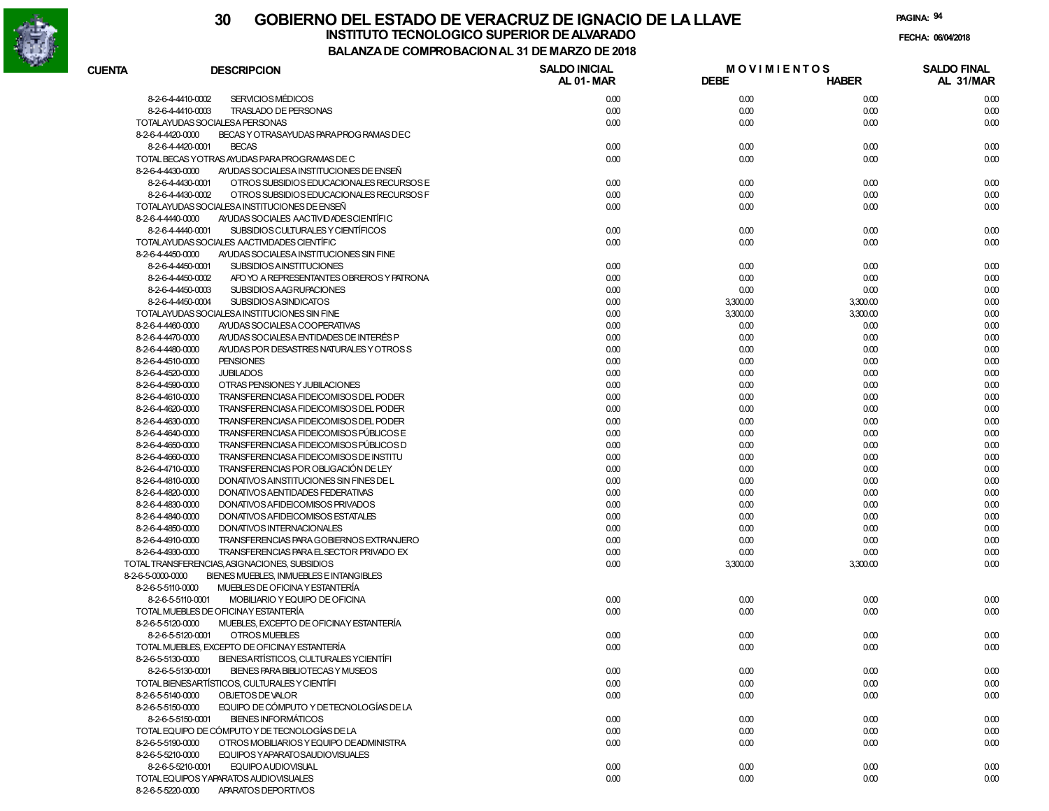

| <b>CUENTA</b>                          | <b>DESCRIPCION</b>                                                                          | <b>SALDO INICIAL</b> | <b>MOVIMIENTOS</b> |              | <b>SALDO FINAL</b> |
|----------------------------------------|---------------------------------------------------------------------------------------------|----------------------|--------------------|--------------|--------------------|
|                                        |                                                                                             | <b>AL 01-MAR</b>     | <b>DEBE</b>        | <b>HABER</b> | AL 31/MAR          |
|                                        | <b>SERVICIOS MÉDICOS</b><br>8-2-6-4-4410-0002                                               | 0.00                 | 0.00               | 0.00         | 0.00               |
|                                        | 8-2-6-4-4410-0003<br><b>TRASLADO DE PERSONAS</b>                                            | 0.00                 | 0.00               | 0.00         | 0.00               |
|                                        | TOTALAYUDAS SOCIALESA PERSONAS                                                              | 0.00                 | 0.00               | 0.00         | 0.00               |
| 8-2-6-4-4420-0000                      | BECAS Y OTRASAYUDAS PARA PROG RAMAS DEC                                                     |                      |                    |              |                    |
|                                        | 8-2-6-4-4420-0001<br><b>BECAS</b>                                                           | 0.00                 | 0.00               | 0.00         | 0.00               |
|                                        | TOTAL BECAS YOTRAS AYUDAS PARA PROGRAMAS DE C                                               | 0.00                 | 0.00               | 0.00         | 0.00               |
| 8-2-6-4-4430-0000                      | AYUDAS SOCIALESA INSTITUCIONES DE ENSEÑ                                                     |                      |                    |              |                    |
|                                        | 8-2-6-4-4430-0001<br>OTROS SUBSIDIOS EDUCACIONALES RECURSOS E                               | 0.00                 | 0.00               | 0.00         | 0.00               |
|                                        | 8-2-6-4-4430-0002<br>OTROS SUBSIDIOS EDUCACIONALES RECURSOS F                               | 0.00                 | 0.00               | 0.00         | 0.00               |
|                                        | TOTALAYUDAS SOCIALESA INSTITUCIONES DE ENSEÑ                                                | 0.00                 | 0.00               | 0.00         | 0.00               |
| 8-2-6-4-4440-0000                      | AYUDAS SOCIALES AACTIVIDADES CIENTÍFIC                                                      |                      |                    |              |                    |
|                                        | SUBSIDIOS CULTURALES Y CIENTÍFICOS<br>8-2-6-4-4440-0001                                     | 0.00                 | 0.00               | 0.00         | 0.00               |
|                                        | TOTALAYUDAS SOCIALES AACTIVIDADES CIENTÍFIC                                                 | 0.00                 | 0.00               | 0.00         | 0.00               |
| 8-2-6-4-4450-0000                      | AYUDAS SOCIALESA INSTITUCIONES SIN FINE                                                     |                      |                    |              |                    |
|                                        | 8-2-6-4-4450-0001<br><b>SUBSIDIOS AINSTITUCIONES</b>                                        | 0.00                 | 0.00               | 0.00         | 0.00               |
|                                        | 8-2-6-4-4450-0002<br>APO YO A REPRESENTANTES OBREROS Y PATRONA                              | 0.00                 | 0.00               | 0.00         | 0.00               |
|                                        | SUBSIDIOS AAGRUPACIONES<br>8-2-6-4-4450-0003                                                | 0.00                 | 0.00               | 0.00         | 0.00               |
|                                        | 8-2-6-4-4450-0004<br><b>SUBSIDIOS ASINDICATOS</b>                                           | 0.00                 | 3,300.00           | 3,300.00     | 0.00               |
|                                        | TOTALAYUDAS SOCIALESA INSTITUCIONES SIN FINE                                                | 0.00                 | 3,300.00           | 3,300.00     | 0.00               |
|                                        |                                                                                             | 0.00                 |                    | 0.00         |                    |
| 8-2-6-4-4460-0000<br>8-2-6-4-4470-0000 | AYUDAS SOCIALESA COOPERATIVAS<br>AYUDAS SOCIALESA ENTIDADES DE INTERÉS P                    | 0.00                 | 0.00<br>0.00       | 0.00         | 0.00<br>0.00       |
|                                        |                                                                                             |                      |                    |              |                    |
| 8-2-6-4-4480-0000                      | AYUDAS POR DESASTRES NATURALES Y OTROSS<br><b>PENSIONES</b>                                 | 0.00                 | 0.00               | 0.00         | 0.00               |
| 8-2-6-4-4510-0000                      |                                                                                             | 0.00                 | 0.00               | 0.00         | 0.00               |
| 8-2-6-4-4520-0000                      | <b>JUBILADOS</b>                                                                            | 0.00                 | 0.00               | 0.00         | 0.00               |
| 8-2-6-4-4590-0000                      | OTRAS PENSIONES Y JUBILACIONES                                                              | 0.00                 | 0.00               | 0.00         | 0.00               |
| 8-2-6-4-4610-0000                      | TRANSFERENCIASA FIDEICOMISOS DEL PODER<br>TRANSFERENCIASA FIDEICOMISOS DEL PODER            | 0.00                 | 0.00               | 0.00         | 0.00               |
| 8-2-6-4-4620-0000                      | TRANSFERENCIASA FIDEICOMISOS DEL PODER                                                      | 0.00<br>0.00         | 0.00<br>0.00       | 0.00<br>0.00 | 0.00               |
| 8-2-6-4-4630-0000                      |                                                                                             | 0.00                 |                    |              | 0.00               |
| 8-2-6-4-4640-0000                      | TRANSFERENCIASA FIDEICOMISOS PÚBLICOS E                                                     |                      | 0.00               | 0.00         | 0.00               |
| 8-2-6-4-4650-0000                      | TRANSFERENCIASA FIDEICOMISOS PÚBLICOS D                                                     | 0.00                 | 0.00               | 0.00         | 0.00               |
| 8-2-6-4-4660-0000                      | TRANSFERENCIASA FIDEICOMISOS DE INSTITU                                                     | 0.00                 | 0.00               | 0.00         | 0.00               |
| 8-2-6-4-4710-0000                      | TRANSFERENCIAS POR OBLIGACIÓN DE LEY                                                        | 0.00                 | 0.00               | 0.00         | 0.00               |
| 8-2-6-4-4810-0000                      | DONATIVOS AINSTITUCIONES SIN FINES DE L                                                     | 0.00                 | 0.00               | 0.00         | 0.00               |
| 8-2-6-4-4820-0000                      | DONATIVOS AENTIDADES FEDERATIVAS                                                            | 0.00                 | 0.00               | 0.00         | 0.00               |
| 8-2-6-4-4830-0000                      | DONATIVOS A FIDEICOMISOS PRIVADOS                                                           | 0.00                 | 0.00               | 0.00         | 0.00               |
| 8-2-6-4-4840-0000                      | DONATIVOS A FIDEICOMISOS ESTATALES                                                          | 0.00                 | 0.00               | 0.00         | 0.00               |
| 8-2-6-4-4850-0000                      | DONATIVOS INTERNACIONALES                                                                   | 0.00                 | 0.00               | 0.00         | 0.00               |
| 8-2-6-4-4910-0000                      | TRANSFERENCIAS PARA GOBIERNOS EXTRANJERO                                                    | 0.00                 | 0.00               | 0.00         | 0.00               |
| 8-2-6-4-4930-0000                      | TRANSFERENCIAS PARA EL SECTOR PRIVADO EX                                                    | 0.00                 | 0.00               | 0.00         | 0.00               |
| 8-2-6-5-0000-0000                      | TOTAL TRANSFERENCIAS, ASIGNACIONES, SUBSIDIOS                                               | 0.00                 | 3,300.00           | 3,300.00     | 0.00               |
| 8-2-6-5-5110-0000                      | BIENES MUEBLES, INMUEBLES E INTANGIBLES                                                     |                      |                    |              |                    |
|                                        | MUEBLES DE OFICINA Y ESTANTERÍA                                                             |                      |                    |              |                    |
|                                        | MOBILIARIO Y EQUIPO DE OFICINA<br>8-2-6-5-5110-0001<br>TOTAL MUEBLES DE OFICINAY ESTANTERÍA | 0.00<br>0.00         | 0.00               | 0.00         | 0.00               |
|                                        |                                                                                             |                      | 0.00               | 0.00         | 0.00               |
| 8-2-6-5-5120-0000                      | MUEBLES, EXCEPTO DE OFICINAY ESTANTERÍA                                                     |                      |                    |              |                    |
|                                        | 8-2-6-5-5120-0001<br>OTROS MUEBLES                                                          | 0.00                 | 0.00               | 0.00         | 0.00               |
|                                        | TOTAL MUEBLES, EXCEPTO DE OFICINAY ESTANTERÍA                                               | 0.00                 | 0.00               | 0.00         | 0.00               |
| 8-2-6-5-5130-0000                      | BIENESARTÍSTICOS, CULTURALES YCIENTÍFI                                                      |                      |                    |              |                    |
|                                        | 8-2-6-5-5130-0001<br>BIENES PARA BIBLIOTECAS Y MUSEOS                                       | 0.00                 | 0.00               | 0.00         | 0.00               |
|                                        | TOTAL BIENESARTÍSTICOS, CULTURALES Y CIENTÍFI                                               | 0.00                 | 0.00               | 0.00         | 0.00               |
| 8-2-6-5-5140-0000                      | OBJETOS DE VALOR                                                                            | 0.00                 | 0.00               | 0.00         | 0.00               |
| 8-2-6-5-5150-0000                      | EQUIPO DE CÓMPUTO Y DETECNOLOGÍAS DE LA                                                     |                      |                    |              |                    |
|                                        | <b>BIENES INFORMÁTICOS</b><br>8-2-6-5-5150-0001                                             | 0.00                 | 0.00               | 0.00         | 0.00               |
|                                        | TOTAL EQUIPO DE CÓMPUTO Y DE TECNOLOGÍAS DE LA                                              | 0.00                 | 0.00               | 0.00         | 0.00               |
| 8-2-6-5-5190-0000                      | OTROS MOBILIARIOS Y EQUIPO DE ADMINISTRA                                                    | 0.00                 | 0.00               | 0.00         | 0.00               |
| 8-2-6-5-5210-0000                      | EQUIPOS YAPARATOSAUDIOVISUALES                                                              |                      |                    |              |                    |
|                                        | 8-2-6-5-5210-0001<br>EQUIPO AUDIOVISUAL                                                     | 0.00                 | 0.00               | 0.00         | 0.00               |
|                                        | TOTAL EQUIPOS YAPARATOS AUDIOVISUALES                                                       | 0.00                 | 0.00               | 0.00         | 0.00               |
| 8-2-6-5-5220-0000                      | APARATOS DEPORTIVOS                                                                         |                      |                    |              |                    |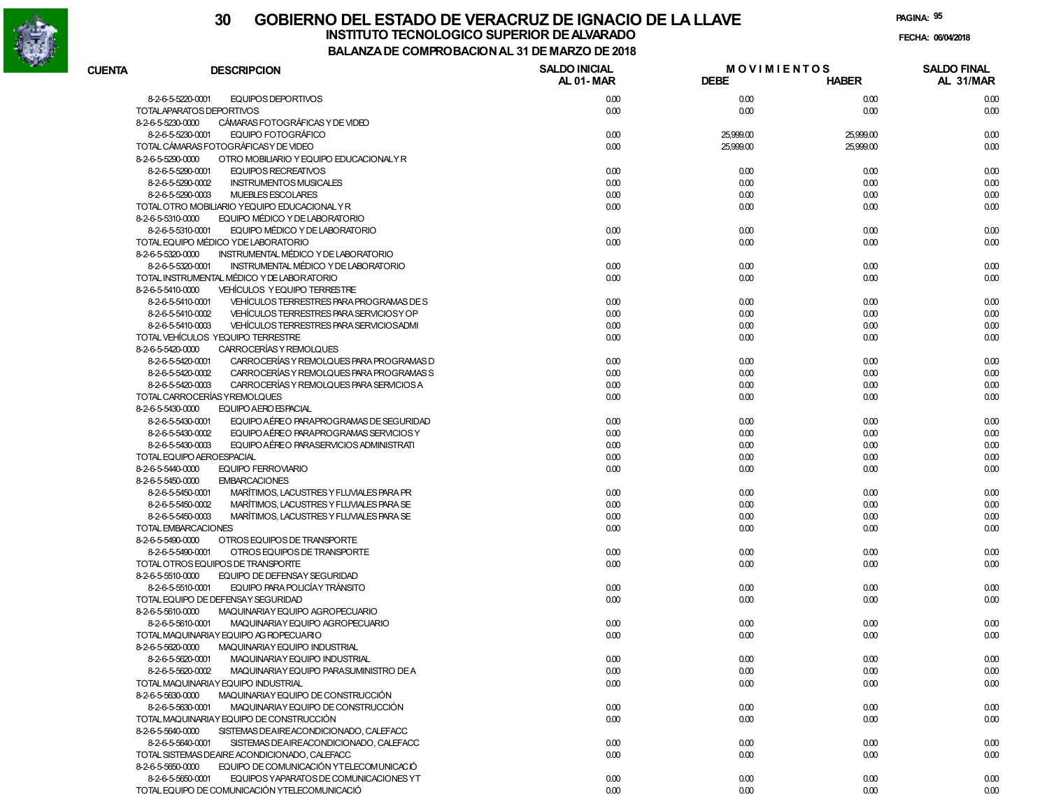

# **30 GOBIERNO DEL ESTADO DE VERACRUZ DE IGNACIO DE LA LLAVEINSTITUTO TECNOLOGICO SUPERIOR DE ALVARADO de la composición de la composición de la composición de la composición**<br>Dal aniza de composición da la de marzo de como

**PAGINA:95**

**FECHA:**

| <b>CUENTA</b>     | <b>DESCRIPCION</b>                            | <b>SALDO INICIAL</b><br>AL 01-MAR | <b>MOVIMIENTOS</b><br><b>DEBE</b> | <b>HABER</b> | <b>SALDO FINAL</b><br>AL 31/MAR |
|-------------------|-----------------------------------------------|-----------------------------------|-----------------------------------|--------------|---------------------------------|
| 8-2-6-5-5220-0001 | EQUIPOS DEPORTIVOS                            |                                   |                                   |              |                                 |
|                   | TOTALAPARATOS DEPORTIVOS                      | 0.00<br>0.00                      | 0.00<br>0.00                      | 0.00<br>0.00 | 0.00<br>0.00                    |
| 8-2-6-5-5230-0000 | CÁMARAS FOTOGRÁFICAS Y DE VIDEO               |                                   |                                   |              |                                 |
| 8-2-6-5-5230-0001 | EQUIPO FOTOGRÁFICO                            | 0.00                              | 25,999.00                         | 25,999.00    | 0.00                            |
|                   | TOTAL CÁMARAS FOTOGRÁFICAS Y DE VIDEO         | 0.00                              | 25,999.00                         | 25,999.00    | 0.00                            |
| 8-2-6-5-5290-0000 | OTRO MOBILIARIO Y EQUIPO EDUCACIONALY R       |                                   |                                   |              |                                 |
| 8-2-6-5-5290-0001 | <b>EQUIPOS RECREATIVOS</b>                    | 0.00                              | 0.00                              | 0.00         | 0.00                            |
| 8-2-6-5-5290-0002 | <b>INSTRUMENTOS MUSICALES</b>                 | 0.00                              | 0.00                              | 0.00         | 0.00                            |
| 8-2-6-5-5290-0003 | <b>MUEBLES ESCOLARES</b>                      | 0.00                              | 0.00                              | 0.00         | 0.00                            |
|                   | TOTAL OTRO MOBILIARIO YEQUIPO EDUCACIONAL Y R | 0.00                              | 0.00                              | 0.00         | 0.00                            |
| 8-2-6-5-5310-0000 | EQUIPO MÉDICO Y DE LABORATORIO                |                                   |                                   |              |                                 |
| 8-2-6-5-5310-0001 | EQUIPO MÉDICO Y DE LABORATORIO                | 0.00                              | 0.00                              | 0.00         | 0.00                            |
|                   | TOTAL EQUIPO MÉDICO YDE LABORATORIO           | 0.00                              | 0.00                              | 0.00         | 0.00                            |
| 8-2-6-5-5320-0000 | INSTRUMENTAL MÉDICO Y DE LABORATORIO          |                                   |                                   |              |                                 |
| 8-2-6-5-5320-0001 | INSTRUMENTAL MÉDICO Y DE LABORATORIO          | 0.00                              | 0.00                              | 0.00         | 0.00                            |
|                   | TOTAL INSTRUMENTAL MÉDICO Y DE LABORATORIO    | 0.00                              | 0.00                              | 0.00         | 0.00                            |
| 8-2-6-5-5410-0000 | VEHÍCULOS Y EQUIPO TERRESTRE                  |                                   |                                   |              |                                 |
| 8-2-6-5-5410-0001 | VEHICULOS TERRESTRES PARA PROGRAMAS DE S      | 0.00                              | 0.00                              | 0.00         | 0.00                            |
| 8-2-6-5-5410-0002 | VEHÍCULOS TERRESTRES PARA SERVICIOS Y OP      | 0.00                              | 0.00                              | 0.00         | 0.00                            |
| 8-2-6-5-5410-0003 | VEHÍCULOS TERRESTRES PARA SERVICIOSADMI       | 0.00                              | 0.00                              | 0.00         | 0.00                            |
|                   | TOTAL VEHÍCULOS YEQUIPO TERRESTRE             | 0.00                              | 0.00                              | 0.00         | 0.00                            |
| 8-2-6-5-5420-0000 | CARROCERÍAS Y REMOLQUES                       |                                   |                                   |              |                                 |
| 8-2-6-5-5420-0001 | CARROCERÍAS Y REMOLQUES PARA PROGRAMAS D      | 0.00                              | 0.00                              | 0.00         | 0.00                            |
| 8-2-6-5-5420-0002 | CARROCERÍAS Y REMOLQUES PARA PROGRAMAS S      | 0.00                              | 0.00                              | 0.00         | 0.00                            |
| 8-2-6-5-5420-0003 | CARROCERÍAS Y REMOLQUES PARA SERVICIOS A      | 0.00                              | 0.00                              | 0.00         | 0.00                            |
|                   | TOTAL CARROCERÍAS Y REMOLQUES                 | 0.00                              | 0.00                              | 0.00         | 0.00                            |
| 8-2-6-5-5430-0000 | EQUIPO AERO ESPACIAL                          |                                   |                                   |              |                                 |
| 8-2-6-5-5430-0001 | EQUIPO AÉREO PARAPROGRAMAS DE SEGURIDAD       | 0.00                              | 0.00                              | 0.00         | 0.00                            |
| 8-2-6-5-5430-0002 | EQUIPO AÉREO PARAPROGRAMAS SERVICIOS Y        | 0.00                              | 0.00                              | 0.00         | 0.00                            |
| 8-2-6-5-5430-0003 | EQUIPO AÉREO PARASERVICIOS ADMINISTRATI       | 0.00                              | 0.00                              | 0.00         | 0.00                            |
|                   | TOTAL EQUIPO AEROESPACIAL                     | 0.00                              | 0.00                              | 0.00         | 0.00                            |
| 8-2-6-5-5440-0000 | <b>EQUIPO FERROVIARIO</b>                     | 0.00                              | 0.00                              | 0.00         | 0.00                            |
| 8-2-6-5-5450-0000 | <b>EMBARCACIONES</b>                          |                                   |                                   |              |                                 |
| 8-2-6-5-5450-0001 | MARÍTIMOS, LACUSTRES Y FLUVIALES PARA PR      | 0.00                              | 0.00                              | 0.00         | 0.00                            |
| 8-2-6-5-5450-0002 | MARÍTIMOS, LACUSTRES Y FLUVIALES PARA SE      | 0.00                              | 0.00                              | 0.00         | 0.00                            |
| 8-2-6-5-5450-0003 | MARÍTIMOS, LACUSTRES Y FLUVIALES PARA SE      | 0.00                              | 0.00                              | 0.00         | 0.00                            |
|                   | TOTAL EMBARCACIONES                           | 0.00                              | 0.00                              | 0.00         | 0.00                            |
| 8-2-6-5-5490-0000 | OTROS EQUIPOS DE TRANSPORTE                   |                                   |                                   |              |                                 |
| 8-2-6-5-5490-0001 | OTROS EQUIPOS DE TRANSPORTE                   | 0.00                              | 0.00                              | 0.00         | 0.00                            |
|                   | TOTAL OTROS EQUIPOS DE TRANSPORTE             | 0.00                              | 0.00                              | 0.00         | 0.00                            |
| 8-2-6-5-5510-0000 | EQUIPO DE DEFENSAY SEGURIDAD                  |                                   |                                   |              |                                 |
| 8-2-6-5-5510-0001 | EQUIPO PARA POLICÍAY TRÁNSITO                 | 0.00                              | 0.00                              | 0.00         | 0.00                            |
|                   | TOTAL EQUIPO DE DEFENSAY SEGURIDAD            | 0.00                              | 0.00                              | 0.00         | 0.00                            |
| 8-2-6-5-5610-0000 | MAQUINARIAY EQUIPO AGROPECUARIO               |                                   |                                   |              |                                 |
| 8-2-6-5-5610-0001 | MAQUINARIAY EQUIPO AGROPECUARIO               | 0.00                              | 0.00                              | 0.00         | 0.00                            |
|                   | TOTAL MAQUINARIAY EQUIPO AG ROPECUARIO        | 0.00                              | 0.00                              | 0.00         | 0.00                            |
| 8-2-6-5-5620-0000 | MAQUINARIAY EQUIPO INDUSTRIAL                 |                                   |                                   |              |                                 |
| 8-2-6-5-5620-0001 | MAQUINARIAY EQUIPO INDUSTRIAL                 | 0.00                              | 0.00                              | 0.00         | 0.00                            |
| 8-2-6-5-5620-0002 | MAQUINARIAY EQUIPO PARASUMINISTRO DE A        | 0.00                              | 0.00                              | 0.00         | 0.00                            |
|                   | TOTAL MAQUINARIAY EQUIPO INDUSTRIAL           | 0.00                              | 0.00                              | 0.00         | 0.00                            |
| 8-2-6-5-5630-0000 | MAQUINARIAY EQUIPO DE CONSTRUCCIÓN            |                                   |                                   |              |                                 |
| 8-2-6-5-5630-0001 | MAQUINARIAY EQUIPO DE CONSTRUCCIÓN            | 0.00                              | 0.00                              | 0.00         | 0.00                            |
|                   | TOTAL MAQUINARIAY EQUIPO DE CONSTRUCCIÓN      | 0.00                              | 0.00                              | 0.00         | 0.00                            |
| 8-2-6-5-5640-0000 | SISTEMAS DEAIREACONDICIONADO, CALEFACC        |                                   |                                   |              |                                 |
| 8-2-6-5-5640-0001 | SISTEMAS DEAIREACONDICIONADO, CALEFACC        | 0.00                              | 0.00                              | 0.00         | 0.00                            |
|                   | TOTAL SISTEMAS DEAIRE ACONDICIONADO, CALEFACC | 0.00                              | 0.00                              | 0.00         | 0.00                            |
| 8-2-6-5-5650-0000 | EQUIPO DE COMUNICACIÓN YTELECOMUNICACIÓ       |                                   |                                   |              |                                 |
| 8-2-6-5-5650-0001 | EQUIPOS YAPARATOS DE COMUNICACIONES YT        | 0.00                              | 0.00                              | 0.00         | 0.00                            |
|                   | TOTAL EQUIPO DE COMUNICACIÓN YTELECOMUNICACIÓ | 0.00                              | 0.00                              | 0.00         | 0.00                            |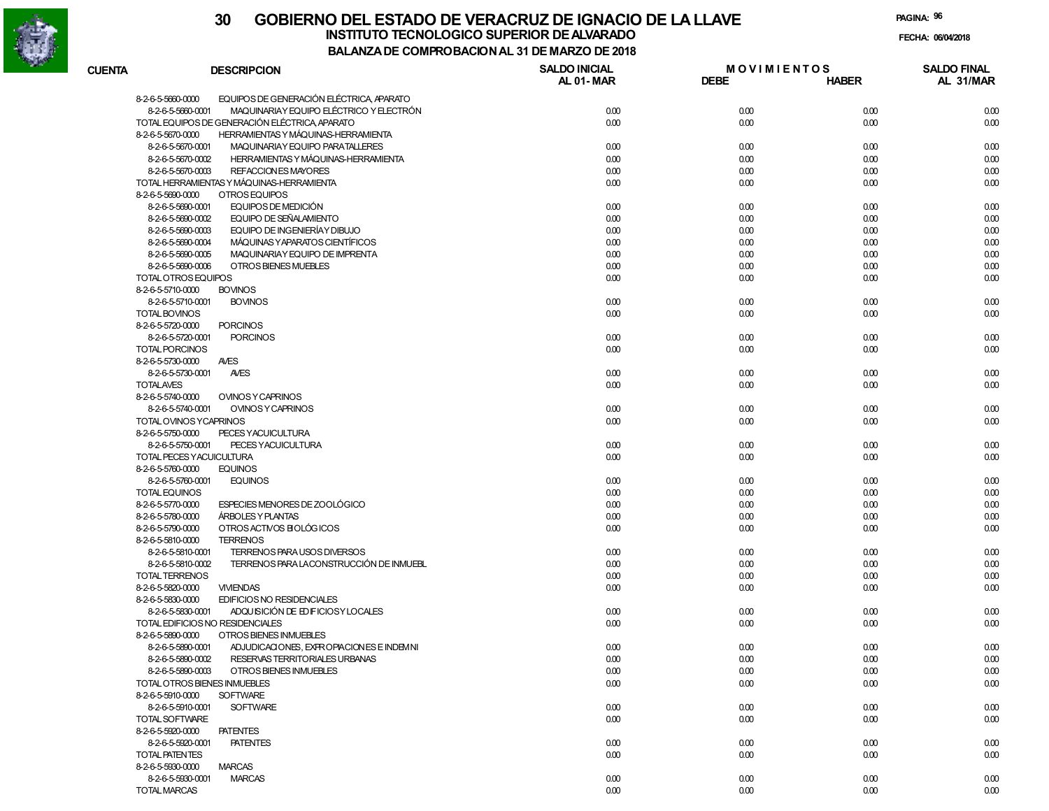

TOTAL MARCAS

#### **30 GOBIERNO DEL ESTADO DE VERACRUZ DE IGNACIO DE LA LLAVEFECHA: 06/04/2018 BALANZA DE COMPROBACION AL 31 DE MARZO DE 2018INSTITUTO TECNOLOGICO SUPERIOR DE ALVARADO**

**PAGINA:96**

| <b>CUENTA</b> | <b>DESCRIPCION</b>                                            | <b>SALDO INICIAL</b><br>AL 01-MAR | <b>MOVIMIENTOS</b><br><b>DEBE</b> | <b>HABER</b> | <b>SALDO FINAL</b><br>AL 31/MAR |
|---------------|---------------------------------------------------------------|-----------------------------------|-----------------------------------|--------------|---------------------------------|
|               | EQUIPOS DE GENERACIÓN ELÉCTRICA APARATO<br>8-2-6-5-5660-0000  |                                   |                                   |              |                                 |
|               | MAQUINARIAY EQUIPO ELÉCTRICO Y ELECTRÓN<br>8-2-6-5-5660-0001  | 0.00                              | 0.00                              | 0.00         | 0.00                            |
|               | TOTAL EQUIPOS DE GENERACIÓN ELÉCTRICA APARATO                 | 0.00                              | 0.00                              | 0.00         | 0.00                            |
|               | 8-2-6-5-5670-0000<br>HERRAMIENTAS Y MÁQUINAS-HERRAMIENTA      |                                   |                                   |              |                                 |
|               | MAQUINARIAY EQUIPO PARATALLERES<br>8-2-6-5-5670-0001          | 0.00                              | 0.00                              | 0.00         | 0.00                            |
|               | HERRAMIENTAS Y MÁQUINAS-HERRAMIENTA<br>8-2-6-5-5670-0002      | 0.00                              | 0.00                              | 0.00         | 0.00                            |
|               | 8-2-6-5-5670-0003<br>REFACCION ES MAYORES                     | 0.00                              | 0.00                              | 0.00         | 0.00                            |
|               | TOTAL HERRAMIENTAS Y MÁQUINAS-HERRAMIENTA                     | 0.00                              | 0.00                              | 0.00         | 0.00                            |
|               | OTROS EQUIPOS<br>8-2-6-5-5690-0000                            |                                   |                                   |              |                                 |
|               | 8-2-6-5-5690-0001<br>EQUIPOS DE MEDICIÓN                      | 0.00                              | 0.00                              | 0.00         | 0.00                            |
|               | EQUIPO DE SEÑALAMIENTO<br>8-2-6-5-5690-0002                   | 0.00                              | 0.00                              | 0.00         | 0.00                            |
|               | EQUIPO DE INGENIERÍAY DIBUJO<br>8-2-6-5-5690-0003             | 0.00                              | 0.00                              | 0.00         | 0.00                            |
|               | MÁQUINAS Y APARATOS CIENTÍFICOS<br>8-2-6-5-5690-0004          | 0.00                              |                                   | 0.00         | 0.00                            |
|               |                                                               |                                   | 0.00                              |              |                                 |
|               | 8-2-6-5-5690-0005<br>MAQUINARIAY EQUIPO DE IMPRENTA           | 0.00                              | 0.00                              | 0.00         | 0.00                            |
|               | OTROS BIENES MUEBLES<br>8-2-6-5-5690-0006                     | 0.00                              | 0.00                              | 0.00         | 0.00                            |
|               | TOTAL OTROS EQUIPOS                                           | 0.00                              | 0.00                              | 0.00         | 0.00                            |
|               | <b>BOVINOS</b><br>8-2-6-5-5710-0000                           |                                   |                                   |              |                                 |
|               | 8-2-6-5-5710-0001<br><b>BOVINOS</b>                           | 0.00                              | 0.00                              | 0.00         | 0.00                            |
|               | TOTAL BOVINOS                                                 | 0.00                              | 0.00                              | 0.00         | 0.00                            |
|               | 8-2-6-5-5720-0000<br><b>PORCINOS</b>                          |                                   |                                   |              |                                 |
|               | <b>PORCINOS</b><br>8-2-6-5-5720-0001                          | 0.00                              | 0.00                              | 0.00         | 0.00                            |
|               | <b>TOTAL PORCINOS</b>                                         | 0.00                              | 0.00                              | 0.00         | 0.00                            |
|               | <b>AVES</b><br>8-2-6-5-5730-0000                              |                                   |                                   |              |                                 |
|               | 8-2-6-5-5730-0001<br><b>AVES</b>                              | 0.00                              | 0.00                              | 0.00         | 0.00                            |
|               | <b>TOTALAVES</b>                                              | 0.00                              | 0.00                              | 0.00         | 0.00                            |
|               | 8-2-6-5-5740-0000<br><b>OVINOS Y CAPRINOS</b>                 |                                   |                                   |              |                                 |
|               | 8-2-6-5-5740-0001<br><b>OVINOS Y CAPRINOS</b>                 | 0.00                              | 0.00                              | 0.00         | 0.00                            |
|               | TOTAL OVINOS YCAPRINOS                                        | 0.00                              | 0.00                              | 0.00         | 0.00                            |
|               | 8-2-6-5-5750-0000<br>PECES YACUICULTURA                       |                                   |                                   |              |                                 |
|               | 8-2-6-5-5750-0001<br>PECES YACUICULTURA                       | 0.00                              | 0.00                              | 0.00         | 0.00                            |
|               | TOTAL PECES YACUICULTURA                                      | 0.00                              | 0.00                              | 0.00         | 0.00                            |
|               | 8-2-6-5-5760-0000<br><b>EQUINOS</b>                           |                                   |                                   |              |                                 |
|               | 8-2-6-5-5760-0001<br><b>EQUINOS</b>                           | 0.00                              | 0.00                              | 0.00         | 0.00                            |
|               | <b>TOTAL EQUINOS</b>                                          | 0.00                              | 0.00                              | 0.00         | 0.00                            |
|               | 8-2-6-5-5770-0000<br>ESPECIES MENORES DE ZOOLÓGICO            | 0.00                              | 0.00                              | 0.00         | 0.00                            |
|               | 8-2-6-5-5780-0000<br><b>ÁRBOLES Y PLANTAS</b>                 | 0.00                              | 0.00                              | 0.00         | 0.00                            |
|               | OTROS ACTIVOS BIOLÓGICOS<br>8-2-6-5-5790-0000                 | 0.00                              | 0.00                              | 0.00         | 0.00                            |
|               | <b>TERRENOS</b><br>8-2-6-5-5810-0000                          |                                   |                                   |              |                                 |
|               | 8-2-6-5-5810-0001<br>TERRENOS PARA USOS DIVERSOS              | 0.00                              | 0.00                              | 0.00         | 0.00                            |
|               | TERRENOS PARA LACONSTRUCCIÓN DE INMUEBL<br>8-2-6-5-5810-0002  | 0.00                              | 0.00                              | 0.00         | 0.00                            |
|               | TOTAL TERRENOS                                                | 0.00                              | 0.00                              | 0.00         | 0.00                            |
|               | 8-2-6-5-5820-0000<br><b>VIVIENDAS</b>                         | 0.00                              | 0.00                              | 0.00         | 0.00                            |
|               | <b>EDIFICIOS NO RESIDENCIALES</b><br>8-2-6-5-5830-0000        |                                   |                                   |              |                                 |
|               | ADQUISICIÓN DE ED FICIOSY LOCALES<br>8-2-6-5-5830-0001        | 0.00                              | 0.00                              | 0.00         | 0.00                            |
|               | TOTAL EDIFICIOS NO RESIDENCIALES                              | 0.00                              | 0.00                              | 0.00         | 0.00                            |
|               | 8-2-6-5-5890-0000<br>OTROS BIENES INMUEBLES                   |                                   |                                   |              |                                 |
|               |                                                               |                                   |                                   |              |                                 |
|               | 8-2-6-5-5890-0001<br>ADJUDICACIONES, EXPROPIACIONES E INDEMNI | 0.00                              | 0.00                              | 0.00         | 0.00                            |
|               | 8-2-6-5-5890-0002<br>RESERVAS TERRITORIALES URBANAS           | 0.00                              | 0.00                              | 0.00         | 0.00                            |
|               | 8-2-6-5-5890-0003<br>OTROS BIENES INMUEBLES                   | 0.00                              | 0.00                              | 0.00         | 0.00                            |
|               | TOTAL OTROS BIENES INMUEBLES                                  | 0.00                              | 0.00                              | 0.00         | 0.00                            |
|               | 8-2-6-5-5910-0000<br><b>SOFTWARE</b>                          |                                   |                                   |              |                                 |
|               | 8-2-6-5-5910-0001<br><b>SOFTWARE</b>                          | 0.00                              | 0.00                              | 0.00         | 0.00                            |
|               | TOTAL SOFTWARE                                                | 0.00                              | 0.00                              | 0.00         | 0.00                            |
|               | 8-2-6-5-5920-0000<br><b>PATENTES</b>                          |                                   |                                   |              |                                 |
|               | 8-2-6-5-5920-0001<br><b>PATENTES</b>                          | 0.00                              | 0.00                              | 0.00         | 0.00                            |
|               | <b>TOTAL PATENTES</b>                                         | 0.00                              | 0.00                              | 0.00         | 0.00                            |
|               | 8-2-6-5-5930-0000<br><b>MARCAS</b>                            |                                   |                                   |              |                                 |
|               | 8-2-6-5-5930-0001<br><b>MARCAS</b>                            | 0.00                              | 0.00                              | 0.00         | 0.00                            |

0.00 0.00 0.00 0.00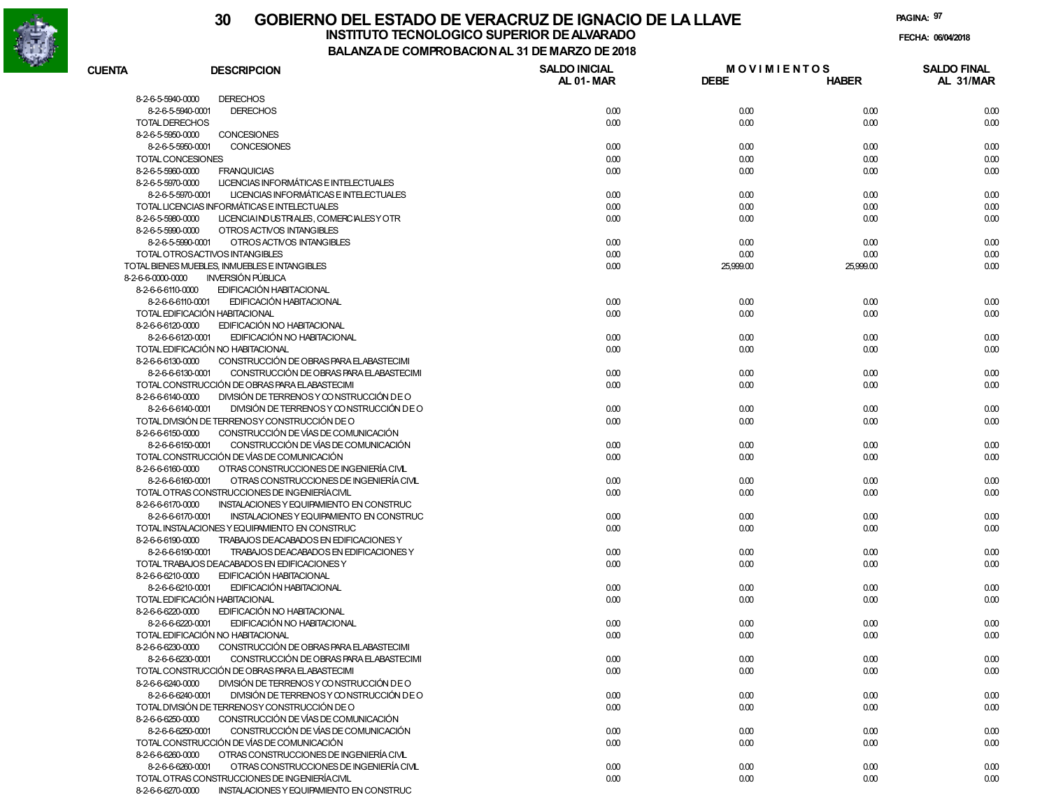

# **30 GOBIERNO DEL ESTADO DE VERACRUZ DE IGNACIO DE LA LLAVE**

**INSTITUTO TECNOLOGICO SUPERIOR DE ALVARADO de la composición de la composición de la composición de la composición**<br>Dal aniza de composición da la de marzo de como **BALANZA DE COMPROBACION AL 31 DE MARZO DE 2018**

**FECHA:**

| <b>CUENTA</b>                          | <b>DESCRIPCION</b>                                                                 | <b>SALDO INICIAL</b> | <b>MOVIMIENTOS</b> |              | <b>SALDO FINAL</b> |
|----------------------------------------|------------------------------------------------------------------------------------|----------------------|--------------------|--------------|--------------------|
|                                        |                                                                                    | AL 01-MAR            | <b>DEBE</b>        | <b>HABER</b> | AL 31/MAR          |
| 8-2-6-5-5940-0000                      | <b>DERECHOS</b>                                                                    |                      |                    |              |                    |
| 8-2-6-5-5940-0001                      | <b>DERECHOS</b>                                                                    | 0.00                 | 0.00               | 0.00         | 0.00               |
| <b>TOTAL DERECHOS</b>                  |                                                                                    | 0.00                 | 0.00               | 0.00         | 0.00               |
| 8-2-6-5-5950-0000                      | <b>CONCESIONES</b>                                                                 |                      |                    |              |                    |
| 8-2-6-5-5950-0001                      | CONCESIONES                                                                        | 0.00                 | 0.00               | 0.00         | 0.00               |
| TOTAL CONCESIONES                      |                                                                                    | 0.00                 | 0.00               | 0.00         | 0.00               |
| 8-2-6-5-5960-0000                      | <b>FRANQUICIAS</b>                                                                 | 0.00                 | 0.00               | 0.00         | 0.00               |
| 8-2-6-5-5970-0000                      | LICENCIAS INFORMÁTICAS E INTELECTUALES                                             |                      |                    |              |                    |
| 8-2-6-5-5970-0001                      | LICENCIAS INFORMÁTICAS E INTELECTUALES                                             | 0.00                 | 0.00               | 0.00         | 0.00               |
|                                        | TOTAL LICENCIAS INFORMÁTICAS E INTELECTUALES                                       | 0.00                 | 0.00               | 0.00         | 0.00               |
| 8-2-6-5-5980-0000                      | LICENCIAINDUSTRIALES, COMERCIALESY OTR                                             | 0.00                 | 0.00               | 0.00         | 0.00               |
| 8-2-6-5-5990-0000                      | OTROS ACTIVOS INTANGIBLES                                                          |                      |                    |              |                    |
| 8-2-6-5-5990-0001                      | OTROS ACTIVOS INTANGIBLES                                                          | 0.00                 | 0.00               | 0.00         | 0.00               |
|                                        | TOTAL OTROSACTIVOS INTANGIBLES                                                     | 0.00                 | 0.00               | 0.00         | 0.00               |
|                                        | TOTAL BIENES MUEBLES, INMUEBLES E INTANGIBLES                                      | 0.00                 | 25,999.00          | 25,999.00    | 0.00               |
| 8-2-6-6-0000-0000                      | <b>INVERSIÓN PÚBLICA</b>                                                           |                      |                    |              |                    |
| 8-2-6-6-6110-0000                      | EDIFICACIÓN HABITACIONAL                                                           |                      |                    |              |                    |
| 8-2-6-6-6110-0001                      | EDIFICACIÓN HABITACIONAL                                                           | 0.00                 | 0.00               | 0.00         | 0.00               |
|                                        | TOTAL EDIFICACIÓN HABITACIONAL                                                     | 0.00                 | 0.00               | 0.00         | 0.00               |
| 8-2-6-6-6120-0000                      | EDIFICACIÓN NO HABITACIONAL                                                        |                      |                    |              |                    |
| 8-2-6-6-6120-0001                      | EDIFICACIÓN NO HABITACIONAL                                                        | 0.00                 | 0.00               | 0.00         | 0.00               |
|                                        | TOTAL EDIFICACIÓN NO HABITACIONAL                                                  | 0.00                 | 0.00               | 0.00         | 0.00               |
| 8-2-6-6-6130-0000<br>8-2-6-6-6130-0001 | CONSTRUCCIÓN DE OBRAS PARA ELABASTECIMI<br>CONSTRUCCIÓN DE OBRAS PARA ELABASTECIMI |                      |                    |              |                    |
|                                        | TOTAL CONSTRUCCIÓN DE OBRAS PARA EL ABASTECIMI                                     | 0.00<br>0.00         | 0.00<br>0.00       | 0.00<br>0.00 | 0.00<br>0.00       |
| 8-2-6-6-6140-0000                      | DIVISIÓN DE TERRENOS Y CONSTRUCCIÓN DE O                                           |                      |                    |              |                    |
| 8-2-6-6-6140-0001                      | DIVISIÓN DE TERRENOS Y CONSTRUCCIÓN DE O                                           | 0.00                 | 0.00               | 0.00         | 0.00               |
|                                        | TOTAL DIVISIÓN DE TERRENOSY CONSTRUCCIÓN DE O                                      | 0.00                 | 0.00               | 0.00         | 0.00               |
| 8-2-6-6-6150-0000                      | CONSTRUCCIÓN DE VÍAS DE COMUNICACIÓN                                               |                      |                    |              |                    |
| 8-2-6-6-6150-0001                      | CONSTRUCCIÓN DE VÍAS DE COMUNICACIÓN                                               | 0.00                 | 0.00               | 0.00         | 0.00               |
|                                        | TOTAL CONSTRUCCIÓN DE VÍAS DE COMUNICACIÓN                                         | 0.00                 | 0.00               | 0.00         | 0.00               |
| 8-2-6-6-6160-0000                      | OTRAS CONSTRUCCIONES DE INGENIERÍA CIVL                                            |                      |                    |              |                    |
| 8-2-6-6-6160-0001                      | OTRAS CONSTRUCCIONES DE INGENIERÍA CIVL                                            | 0.00                 | 0.00               | 0.00         | 0.00               |
|                                        | TOTAL OTRAS CONSTRUCCIONES DE INGENIERÍACIVIL                                      | 0.00                 | 0.00               | 0.00         | 0.00               |
| 8-2-6-6-6170-0000                      | INSTALACIONES Y EQUIPAMIENTO EN CONSTRUC                                           |                      |                    |              |                    |
| 8-2-6-6-6170-0001                      | INSTALACIONES Y EQUIPAMIENTO EN CONSTRUC                                           | 0.00                 | 0.00               | 0.00         | 0.00               |
|                                        | TOTAL INSTALACIONES Y EQUIPAMIENTO EN CONSTRUC                                     | 0.00                 | 0.00               | 0.00         | 0.00               |
| 8-2-6-6-6190-0000                      | TRABAJOS DEACABADOS EN EDIFICACIONES Y                                             |                      |                    |              |                    |
| 8-2-6-6-6190-0001                      | TRABAJOS DEACABADOS EN EDIFICACIONES Y                                             | 0.00                 | 0.00               | 0.00         | 0.00               |
|                                        | TOTAL TRABAJOS DEACABADOS EN EDIFICACIONES Y                                       | 0.00                 | 0.00               | 0.00         | 0.00               |
| 8-2-6-6-6210-0000                      | EDIFICACIÓN HABITACIONAL                                                           |                      |                    |              |                    |
| 8-2-6-6-6210-0001                      | EDIFICACIÓN HABITACIONAL                                                           | 0.00                 | 0.00               | 0.00         | 0.00               |
|                                        | TOTAL EDIFICACIÓN HABITACIONAL                                                     | 0.00                 | 0.00               | 0.00         | 0.00               |
| 8-2-6-6-6220-0000                      | EDIFICACIÓN NO HABITACIONAL                                                        |                      |                    |              |                    |
| 8-2-6-6-6220-0001                      | EDIFICACIÓN NO HABITACIONAL                                                        | 0.00                 | 0.00               | 0.00         | 0.00               |
|                                        | TOTAL EDIFICACIÓN NO HABITACIONAL                                                  | 0.00                 | 0.00               | 0.00         | 0.00               |
| 8-2-6-6-6230-0000                      | CONSTRUCCIÓN DE OBRAS PARA ELABASTECIMI                                            |                      |                    |              |                    |
| 8-2-6-6-6230-0001                      | CONSTRUCCIÓN DE OBRAS PARA ELABASTECIMI                                            | 0.00                 | 0.00               | 0.00         | 0.00               |
|                                        | TOTAL CONSTRUCCIÓN DE OBRAS PARA ELABASTECIMI                                      | 0.00                 | 0.00               | 0.00         | 0.00               |
| 8-2-6-6-6240-0000                      | DIVISIÓN DE TERRENOS Y CONSTRUCCIÓN DE O                                           |                      |                    |              |                    |
| 8-2-6-6-6240-0001                      | DIVISIÓN DE TERRENOS Y CONSTRUCCIÓN DE O                                           | 0.00                 | 0.00               | 0.00         | 0.00               |
|                                        | TOTAL DIVISIÓN DE TERRENOSY CONSTRUCCIÓN DE O                                      | 0.00                 | 0.00               | 0.00         | 0.00               |
| 8-2-6-6-6250-0000                      | CONSTRUCCIÓN DE VÍAS DE COMUNICACIÓN                                               |                      |                    |              |                    |
| 8-2-6-6-6250-0001                      | CONSTRUCCIÓN DE VÍAS DE COMUNICACIÓN                                               | 0.00                 | 0.00               | 0.00         | 0.00               |
|                                        | TOTAL CONSTRUCCIÓN DE VÍAS DE COMUNICACIÓN                                         | 0.00                 | 0.00               | 0.00         | 0.00               |
| 8-2-6-6-6260-0000                      | OTRAS CONSTRUCCIONES DE INGENIERÍA CIVIL                                           |                      |                    |              |                    |
| 8-2-6-6-6260-0001                      | OTRAS CONSTRUCCIONES DE INGENIERÍA CIVIL                                           | 0.00                 | 0.00               | 0.00         | 0.00               |
|                                        | TOTAL OTRAS CONSTRUCCIONES DE INGENIERÍACIVIL                                      | 0.00                 | 0.00               | 0.00         | 0.00               |
|                                        | 8-2-6-6270-0000 INSTALACIONES Y EQUIPAMIENTO EN CONSTRUC                           |                      |                    |              |                    |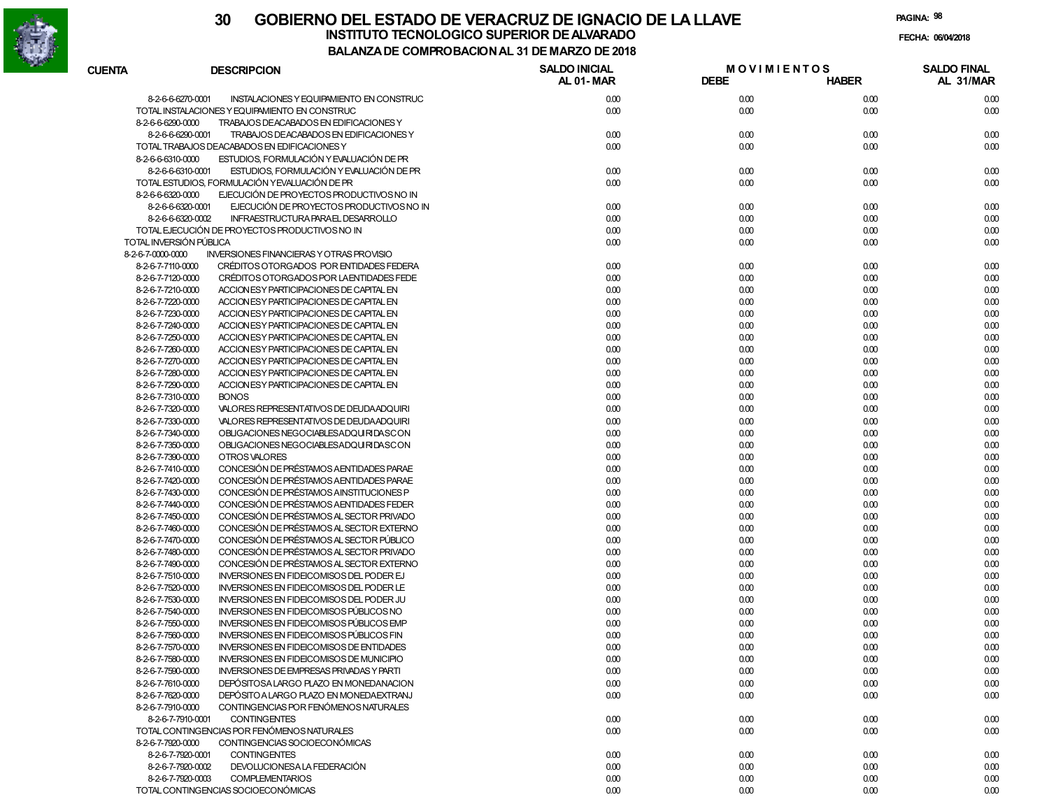

**PAGINA:98**

| <b>CUENTA</b>                          | <b>DESCRIPCION</b>                                                                        | <b>SALDO INICIAL</b> | <b>MOVIMIENTOS</b> |              | <b>SALDO FINAL</b> |
|----------------------------------------|-------------------------------------------------------------------------------------------|----------------------|--------------------|--------------|--------------------|
|                                        |                                                                                           | <b>AL 01-MAR</b>     | <b>DEBE</b>        | <b>HABER</b> | AL 31/MAR          |
| 8-2-6-6-6270-0001                      | INSTALACIONES Y EQUIPAMIENTO EN CONSTRUC                                                  | 0.00                 | 0.00               | 0.00         | 0.00               |
|                                        | TOTAL INSTALACIONES Y EQUIPAMIENTO EN CONSTRUC                                            | 0.00                 | 0.00               | 0.00         | 0.00               |
| 8-2-6-6-6290-0000                      | TRABAJOS DEACABADOS EN EDIFICACIONES Y                                                    |                      |                    |              |                    |
| 8-2-6-6-6290-0001                      | TRABAJOS DEACABADOS EN EDIFICACIONES Y                                                    | 0.00                 | 0.00               | 0.00         | 0.00               |
|                                        | TOTAL TRABAJOS DEACABADOS EN EDIFICACIONES Y                                              | 0.00                 | 0.00               | 0.00         | 0.00               |
| 8-2-6-6-6310-0000                      | ESTUDIOS, FORMULACIÓN Y EVALUACIÓN DE PR                                                  |                      |                    |              |                    |
| 8-2-6-6-6310-0001                      | ESTUDIOS, FORMULACIÓN Y EVALUACIÓN DE PR                                                  | 0.00                 | 0.00               | 0.00         | 0.00               |
|                                        | TOTAL ESTUDIOS, FORMULACIÓN YEVALUACIÓN DE PR                                             | 0.00                 | 0.00               | 0.00         | 0.00               |
| 8-2-6-6-6320-0000                      | EJECUCIÓN DE PROYECTOS PRODUCTIVOS NO IN                                                  |                      |                    |              |                    |
| 8-2-6-6-6320-0001                      | EJECUCIÓN DE PROYECTOS PRODUCTIVOS NO IN                                                  | 0.00                 | 0.00               | 0.00         | 0.00               |
| 8-2-6-6-6320-0002                      | INFRAESTRUCTURA PARAEL DESARROLLO                                                         | 0.00                 | 0.00               | 0.00         | 0.00               |
|                                        | TOTAL EJECUCIÓN DE PROYECTOS PRODUCTIVOS NO IN                                            | 0.00                 | 0.00               | 0.00         | 0.00               |
| TOTAL INVERSIÓN PÚBLICA                |                                                                                           | 0.00                 | 0.00               | 0.00         | 0.00               |
| 8-2-6-7-0000-0000                      | <b>INVERSIONES FINANCIERAS Y OTRAS PROVISIO</b>                                           |                      |                    |              |                    |
| 8-2-6-7-7110-0000<br>8-2-6-7-7120-0000 | CRÉDITOS OTORGADOS POR ENTIDADES FEDERA                                                   | 0.00<br>0.00         | 0.00<br>0.00       | 0.00<br>0.00 | 0.00               |
| 8-2-6-7-7210-0000                      | CRÉDITOS OTORGADOS POR LA ENTIDADES FEDE<br>ACCION ESY PARTICIPACIONES DE CAPITAL EN      | 0.00                 | 0.00               | 0.00         | 0.00<br>0.00       |
| 8-2-6-7-7220-0000                      | ACCION ESY PARTICIPACIONES DE CAPITAL EN                                                  | 0.00                 | 0.00               | 0.00         | 0.00               |
| 8-2-6-7-7230-0000                      | ACCION ESY PARTICIPACIONES DE CAPITAL EN                                                  | 0.00                 | 0.00               | 0.00         | 0.00               |
| 8-2-6-7-7240-0000                      | ACCION ES Y PARTICIPACIONES DE CAPITAL EN                                                 | 0.00                 | 0.00               | 0.00         | 0.00               |
| 8-2-6-7-7250-0000                      | ACCION ESY PARTICIPACIONES DE CAPITAL EN                                                  | 0.00                 | 0.00               | 0.00         | 0.00               |
| 8-2-6-7-7260-0000                      | ACCION ESY PARTICIPACIONES DE CAPITAL EN                                                  | 0.00                 | 0.00               | 0.00         | 0.00               |
| 8-2-6-7-7270-0000                      | ACCION ES Y PARTICIPACIONES DE CAPITAL EN                                                 | 0.00                 | 0.00               | 0.00         | 0.00               |
| 8-2-6-7-7280-0000                      | ACCION ESY PARTICIPACIONES DE CAPITAL EN                                                  | 0.00                 | 0.00               | 0.00         | 0.00               |
| 8-2-6-7-7290-0000                      | ACCION ESY PARTICIPACIONES DE CAPITAL EN                                                  | 0.00                 | 0.00               | 0.00         | 0.00               |
| 8-2-6-7-7310-0000                      | <b>BONOS</b>                                                                              | 0.00                 | 0.00               | 0.00         | 0.00               |
| 8-2-6-7-7320-0000                      | VALORES REPRESENTATIVOS DE DEUDA ADQUIRI                                                  | 0.00                 | 0.00               | 0.00         | 0.00               |
| 8-2-6-7-7330-0000                      | VALORES REPRESENTATIVOS DE DEUDA ADQUIRI                                                  | 0.00                 | 0.00               | 0.00         | 0.00               |
| 8-2-6-7-7340-0000                      | OBLIGACIONES NEGOCIABLESADQUIRIDASCON                                                     | 0.00                 | 0.00               | 0.00         | 0.00               |
| 8-2-6-7-7350-0000                      | OBLIGACIONES NEGOCIABLESADQUIRIDASCON                                                     | 0.00                 | 0.00               | 0.00         | 0.00               |
| 8-2-6-7-7390-0000                      | OTROS VALORES                                                                             | 0.00                 | 0.00               | 0.00         | 0.00               |
| 8-2-6-7-7410-0000                      | CONCESIÓN DE PRÉSTAMOS A ENTIDADES PARAE                                                  | 0.00                 | 0.00               | 0.00         | 0.00               |
| 8-2-6-7-7420-0000                      | CONCESIÓN DE PRÉSTAMOS A ENTIDADES PARAE                                                  | 0.00                 | 0.00               | 0.00         | 0.00               |
| 8-2-6-7-7430-0000                      | CONCESIÓN DE PRÉSTAMOS AINSTITUCIONES P                                                   | 0.00                 | 0.00               | 0.00         | 0.00               |
| 8-2-6-7-7440-0000                      | CONCESIÓN DE PRÉSTAMOS A ENTIDADES FEDER                                                  | 0.00                 | 0.00               | 0.00         | 0.00               |
| 8-2-6-7-7450-0000                      | CONCESIÓN DE PRÉSTAMOS AL SECTOR PRIVADO                                                  | 0.00                 | 0.00               | 0.00         | 0.00               |
| 8-2-6-7-7460-0000                      | CONCESIÓN DE PRÉSTAMOS AL SECTOR EXTERNO                                                  | 0.00                 | 0.00               | 0.00         | 0.00               |
| 8-2-6-7-7470-0000                      | CONCESIÓN DE PRÉSTAMOS AL SECTOR PÚBLICO                                                  | 0.00                 | 0.00               | 0.00         | 0.00               |
| 8-2-6-7-7480-0000                      | CONCESIÓN DE PRÉSTAMOS AL SECTOR PRIVADO                                                  | 0.00                 | 0.00               | 0.00         | 0.00               |
| 8-2-6-7-7490-0000                      | CONCESIÓN DE PRÉSTAMOS AL SECTOR EXTERNO                                                  | 0.00                 | 0.00               | 0.00         | 0.00               |
| 8-2-6-7-7510-0000                      | <b>INVERSIONES EN FIDEICOMISOS DEL PODER EJ</b>                                           | 0.00                 | 0.00               | 0.00         | 0.00               |
| 8-2-6-7-7520-0000                      | <b>INVERSIONES EN FIDEICOMISOS DEL PODER LE</b>                                           | 0.00                 | 0.00               | 0.00         | 0.00               |
| 8-2-6-7-7530-0000                      | <b>INVERSIONES EN FIDEICOMISOS DEL PODER JU</b>                                           | 0.00                 | 0.00               | 0.00         | 0.00               |
| 8-2-6-7-7540-0000                      | INVERSIONES EN FIDEICOMISOS PÚBLICOS NO                                                   | 0.00                 | 0.00               | 0.00         | 0.00               |
| 8-2-6-7-7550-0000                      | <b>INVERSIONES EN FIDEICOMISOS PÚBLICOS EMP</b>                                           | 0.00                 | 0.00               | 0.00         | 0.00               |
| 8-2-6-7-7560-0000                      | INVERSIONES EN FIDEICOMISOS PÚBLICOS FIN                                                  | 0.00                 | 0.00               | 0.00         | 0.00               |
| 8-2-6-7-7570-0000                      | <b>INVERSIONES EN FIDEICOMISOS DE ENTIDADES</b>                                           | 0.00                 | 0.00               | 0.00         | 0.00               |
| 8-2-6-7-7580-0000<br>8-2-6-7-7590-0000 | INVERSIONES EN FIDEICOMISOS DE MUNICIPIO                                                  | 0.00                 | 0.00               | 0.00         | 0.00               |
|                                        | <b>INVERSIONES DE EMPRESAS PRIVADAS Y PARTI</b><br>DEPÓSITOSA LARGO PLAZO EN MONEDANACION | 0.00                 | 0.00               | 0.00         | 0.00               |
| 8-2-6-7-7610-0000<br>8-2-6-7-7620-0000 | DEPÓSITO A LARGO PLAZO EN MONEDA EXTRANJ                                                  | 0.00<br>0.00         | 0.00<br>0.00       | 0.00<br>0.00 | 0.00               |
| 8-2-6-7-7910-0000                      | CONTINGENCIAS POR FENÓMENOS NATURALES                                                     |                      |                    |              | 0.00               |
|                                        |                                                                                           |                      |                    |              |                    |
| 8-2-6-7-7910-0001                      | <b>CONTINGENTES</b><br>TOTAL CONTINGENCIAS POR FENÓMENOS NATURALES                        | 0.00<br>0.00         | 0.00<br>0.00       | 0.00<br>0.00 | 0.00<br>0.00       |
| 8-2-6-7-7920-0000                      | CONTINGENCIAS SOCIOECONÓMICAS                                                             |                      |                    |              |                    |
| 8-2-6-7-7920-0001                      | <b>CONTINGENTES</b>                                                                       | 0.00                 | 0.00               | 0.00         | 0.00               |
| 8-2-6-7-7920-0002                      | DEVOLUCIONESA LA FEDERACIÓN                                                               | 0.00                 | 0.00               | 0.00         | 0.00               |
| 8-2-6-7-7920-0003                      | <b>COMPLEMENTARIOS</b>                                                                    | 0.00                 | 0.00               | 0.00         | 0.00               |
|                                        | TOTAL CONTINGENCIAS SOCIOECONÓMICAS                                                       | 0.00                 | 0.00               | 0.00         | 0.00               |
|                                        |                                                                                           |                      |                    |              |                    |

0.00 0.00 0.00 0.00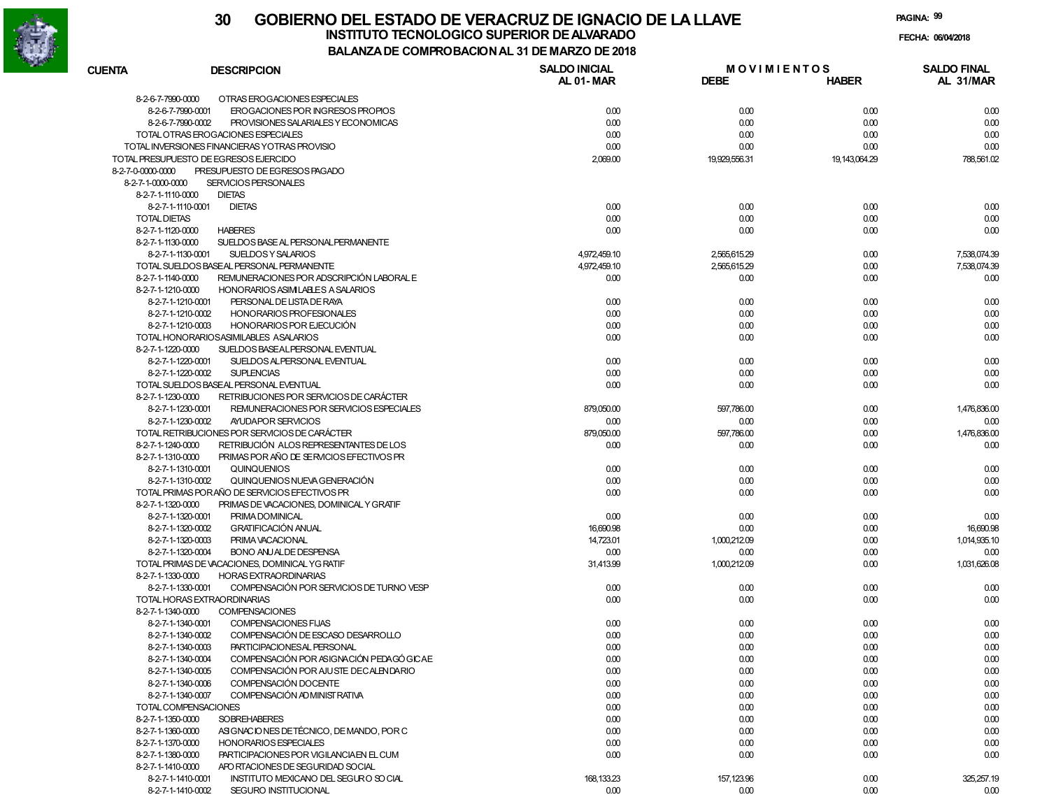

| <b>CUENTA</b>       | <b>DESCRIPCION</b>                                            | <b>SALDO INICIAL</b><br>AL 01-MAR | <b>MOVIMIENTOS</b><br><b>DEBE</b> | <b>HABER</b>     | <b>SALDO FINAL</b><br>AL 31/MAR |
|---------------------|---------------------------------------------------------------|-----------------------------------|-----------------------------------|------------------|---------------------------------|
| 8-2-6-7-7990-0000   | OTRAS EROGACIONES ESPECIALES                                  |                                   |                                   |                  |                                 |
|                     | 8-2-6-7-7990-0001<br>EROGACIONES POR INGRESOS PROPIOS         | 0.00                              | 0.00                              | 0.00             | 0.00                            |
|                     | 8-2-6-7-7990-0002<br>PROVISIONES SALARIALES Y ECONOMICAS      | 0.00                              | 0.00                              | 0.00             | 0.00                            |
|                     | TOTAL OTRAS EROGACIONES ESPECIALES                            | 0.00                              | 0.00                              | 0.00             | 0.00                            |
|                     | TOTAL INVERSIONES FINANCIERAS YOTRAS PROVISIO                 | 0.00                              | 0.00                              | 0.00             | 0.00                            |
|                     | TOTAL PRESUPUESTO DE EGRESOS EJERCIDO                         | 2,069.00                          | 19,929,556.31                     | 19, 143, 064. 29 | 788,561.02                      |
| 8-2-7-0-0000-0000   | PRESUPUESTO DE EGRESOS PAGADO                                 |                                   |                                   |                  |                                 |
| 8-2-7-1-0000-0000   | SERVICIOS PERSONALES                                          |                                   |                                   |                  |                                 |
| 8-2-7-1-1110-0000   | <b>DIETAS</b>                                                 |                                   |                                   |                  |                                 |
|                     | <b>DIETAS</b><br>8-2-7-1-1110-0001                            | 0.00                              | 0.00                              | 0.00             | 0.00                            |
| <b>TOTAL DIETAS</b> |                                                               | 0.00                              | 0.00                              | 0.00             | 0.00                            |
| 8-2-7-1-1120-0000   | <b>HABERES</b>                                                | 0.00                              | 0.00                              | 0.00             | 0.00                            |
| 8-2-7-1-1130-0000   | SUELDOS BASE AL PERSONAL PERMANENTE                           |                                   |                                   |                  |                                 |
|                     | 8-2-7-1-1130-0001<br>SUELDOS Y SALARIOS                       | 4,972,459.10                      | 2,565,615.29                      | 0.00             | 7,538,074.39                    |
|                     | TOTAL SUELDOS BASEAL PERSONAL PERMANENTE                      | 4,972,459.10                      | 2,565,615.29                      | 0.00             | 7,538,074.39                    |
| 8-2-7-1-1140-0000   | REMUNERACIONES POR ADSCRIPCIÓN LABORAL E                      | 0.00                              | 0.00                              | 0.00             | 0.00                            |
| 8-2-7-1-1210-0000   | HONORARIOS ASIMILABLES A SALARIOS                             |                                   |                                   |                  |                                 |
|                     | PERSONAL DE LISTA DE RAYA<br>8-2-7-1-1210-0001                | 0.00                              | 0.00                              | 0.00             | 0.00                            |
|                     |                                                               |                                   |                                   |                  |                                 |
|                     | 8-2-7-1-1210-0002<br>HONORARIOS PROFESIONALES                 | 0.00                              | 0.00                              | 0.00             | 0.00                            |
|                     | 8-2-7-1-1210-0003<br>HONORARIOS POR EJECUCIÓN                 | 0.00                              | 0.00                              | 0.00             | 0.00                            |
|                     | TOTAL HONORARIOSASIMILABLES ASALARIOS                         | 0.00                              | 0.00                              | 0.00             | 0.00                            |
| 8-2-7-1-1220-0000   | SUELDOS BASEALPERSONAL EVENTUAL                               |                                   |                                   |                  |                                 |
|                     | 8-2-7-1-1220-0001<br>SUELDOS ALPERSONAL EVENTUAL              | 0.00                              | 0.00                              | 0.00             | 0.00                            |
|                     | 8-2-7-1-1220-0002<br><b>SUPLENCIAS</b>                        | 0.00                              | 0.00                              | 0.00             | 0.00                            |
|                     | TOTAL SUELDOS BASEAL PERSONAL EVENTUAL                        | 0.00                              | 0.00                              | 0.00             | 0.00                            |
| 8-2-7-1-1230-0000   | RETRIBUCIONES POR SERVICIOS DE CARÁCTER                       |                                   |                                   |                  |                                 |
|                     | 8-2-7-1-1230-0001<br>REMUNERACIONES POR SERVICIOS ESPECIALES  | 879,050.00                        | 597,786.00                        | 0.00             | 1,476,836.00                    |
|                     | 8-2-7-1-1230-0002<br>AYUDAPOR SERVICIOS                       | 0.00                              | 0.00                              | 0.00             | 0.00                            |
|                     | TOTAL RETRIBUCIONES POR SERVICIOS DE CARÁCTER                 | 879,050.00                        | 597,786.00                        | 0.00             | 1,476,836.00                    |
| 8-2-7-1-1240-0000   | RETRIBUCIÓN ALOS REPRESENTANTES DE LOS                        | 0.00                              | 0.00                              | 0.00             | 0.00                            |
| 8-2-7-1-1310-0000   | PRIMAS POR AÑO DE SERVICIOS EFECTIVOS PR                      |                                   |                                   |                  |                                 |
|                     | 8-2-7-1-1310-0001<br>QUINQUENIOS                              | 0.00                              | 0.00                              | 0.00             | 0.00                            |
|                     | 8-2-7-1-1310-0002<br>QUINQUENIOS NUEVA GENERACIÓN             | 0.00                              | 0.00                              | 0.00             | 0.00                            |
|                     | TOTAL PRIMAS PORAÑO DE SERVICIOS EFECTIVOS PR                 | 0.00                              | 0.00                              | 0.00             | 0.00                            |
| 8-2-7-1-1320-0000   | PRIMAS DE VACACIONES, DOMINICAL Y GRATIF                      |                                   |                                   |                  |                                 |
|                     | 8-2-7-1-1320-0001<br>PRIMA DOMINICAL                          | 0.00                              | 0.00                              | 0.00             | 0.00                            |
|                     | <b>GRATIFICACIÓN ANUAL</b><br>8-2-7-1-1320-0002               | 16,690.98                         | 0.00                              | 0.00             | 16,690.98                       |
|                     | 8-2-7-1-1320-0003<br>PRIMA VACACIONAL                         | 14,723.01                         | 1,000,212.09                      | 0.00             | 1,014,935.10                    |
|                     | 8-2-7-1-1320-0004<br><b>BONO ANUALDE DESPENSA</b>             | 0.00                              | 0.00                              | 0.00             | 0.00                            |
|                     | TOTAL PRIMAS DE VACACIONES, DOMINICAL YG RATIF                | 31,413.99                         | 1,000,212.09                      | 0.00             | 1,031,626.08                    |
| 8-2-7-1-1330-0000   | <b>HORAS EXTRAORDINARIAS</b>                                  |                                   |                                   |                  |                                 |
|                     | COMPENSACIÓN POR SERVICIOS DE TURNO VESP<br>8-2-7-1-1330-0001 | 0.00                              | 0.00                              | 0.00             | 0.00                            |
|                     | TOTAL HORAS EXTRAORDINARIAS                                   | 0.00                              | 0.00                              | 0.00             | 0.00                            |
| 8-2-7-1-1340-0000   | <b>COMPENSACIONES</b>                                         |                                   |                                   |                  |                                 |
|                     | 8-2-7-1-1340-0001<br>COMPENSACIONES FIJAS                     | 0.00                              | 0.00                              | 0.00             | 0.00                            |
|                     | COMPENSACIÓN DE ESCASO DESARROLLO<br>8-2-7-1-1340-0002        | 0.00                              | 0.00                              | 0.00             | 0.00                            |
|                     | PARTICIPACIONESAL PERSONAL<br>8-2-7-1-1340-0003               | 0.00                              | 0.00                              | 0.00             | 0.00                            |
|                     | COMPENSACIÓN POR ASIGNACIÓN PEDAGÓ GICAE<br>8-2-7-1-1340-0004 | 0.00                              | 0.00                              | 0.00             | 0.00                            |
|                     | COMPENSACIÓN POR AJUSTE DECALENDARIO<br>8-2-7-1-1340-0005     | 0.00                              | 0.00                              | 0.00             | 0.00                            |
|                     | COMPENSACIÓN DOCENTE<br>8-2-7-1-1340-0006                     | 0.00                              | 0.00                              | 0.00             | 0.00                            |
|                     | COMPENSACIÓN AD MINIST RATIVA<br>8-2-7-1-1340-0007            | 0.00                              | 0.00                              | 0.00             | 0.00                            |
|                     | TOTAL COMPENSACIONES                                          | 0.00                              | 0.00                              | 0.00             | 0.00                            |
| 8-2-7-1-1350-0000   | <b>SOBREHABERES</b>                                           | 0.00                              |                                   |                  | 0.00                            |
| 8-2-7-1-1360-0000   | ASIGNACIONES DE TÉCNICO, DE MANDO, POR C                      |                                   | 0.00                              | 0.00             |                                 |
|                     |                                                               | 0.00                              | 0.00                              | 0.00             | 0.00                            |
| 8-2-7-1-1370-0000   | <b>HONORARIOS ESPECIALES</b>                                  | 0.00                              | 0.00                              | 0.00             | 0.00                            |
| 8-2-7-1-1380-0000   | <b>PARTICIPACIONES POR VIGILANCIA EN EL CUM</b>               | 0.00                              | 0.00                              | 0.00             | 0.00                            |
| 8-2-7-1-1410-0000   | APO RTACIONES DE SEGURIDAD SOCIAL                             |                                   |                                   |                  |                                 |
|                     | 8-2-7-1-1410-0001<br>INSTITUTO MEXICANO DEL SEGURO SO CIAL    | 168, 133.23                       | 157,123.96                        | 0.00             | 325,257.19                      |
|                     | SEGURO INSTITUCIONAL<br>8-2-7-1-1410-0002                     | 0.00                              | 0.00                              | 0.00             | 0.00                            |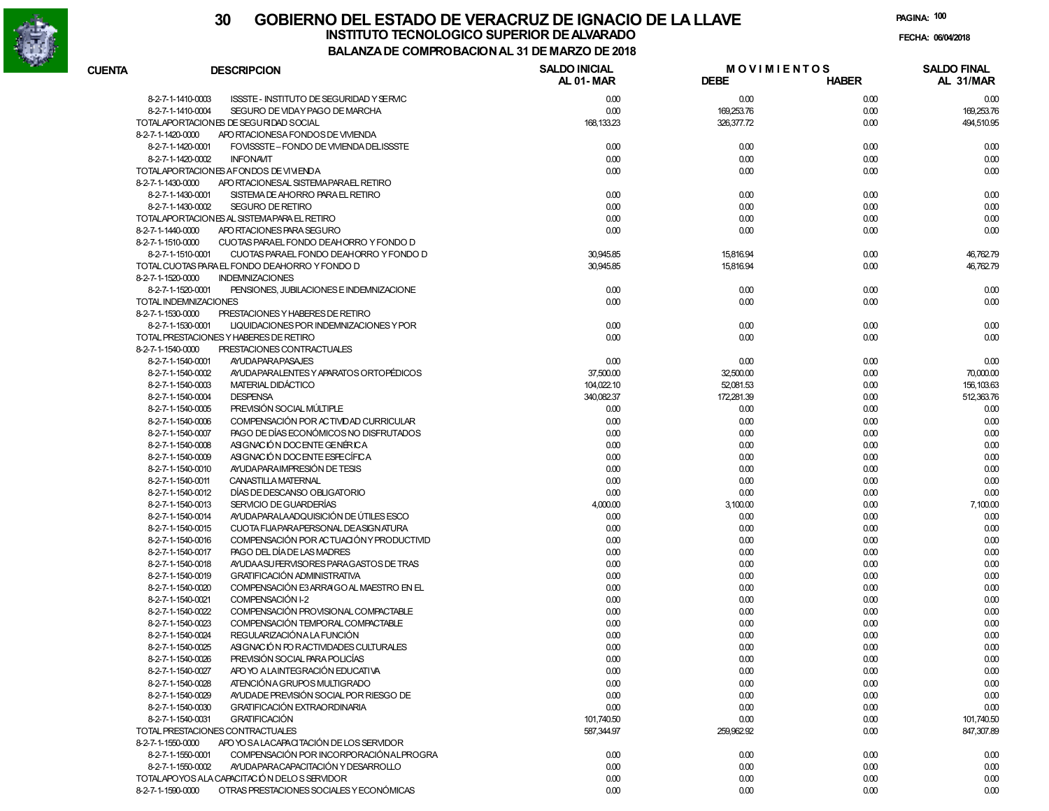

| <b>CUENTA</b> | <b>DESCRIPCION</b>                                            | <b>SALDO INICIAL</b><br>AL 01-MAR | <b>DEBE</b> | <b>MOVIMIENTOS</b><br><b>HABER</b> | <b>SALDO FINAL</b><br>AL 31/MAR |
|---------------|---------------------------------------------------------------|-----------------------------------|-------------|------------------------------------|---------------------------------|
|               | 8-2-7-1-1410-0003<br>ISSSTE - INSTITUTO DE SEGURIDAD Y SERVIC | 0.00                              | 0.00        | 0.00                               | 0.00                            |
|               | 8-2-7-1-1410-0004<br>SEGURO DE VIDAY PAGO DE MARCHA           | 0.00                              | 169,253.76  | 0.00                               | 169,253.76                      |
|               | TOTALAPORTACIONES DE SEGURIDAD SOCIAL                         | 168, 133.23                       | 326,377.72  | 0.00                               | 494,510.95                      |
|               | 8-2-7-1-1420-0000<br>APO RTACIONESA FONDOS DE VIVIENDA        |                                   |             |                                    |                                 |
|               | 8-2-7-1-1420-0001<br>FOVISSSTE-FONDO DE VIVIENDA DELISSSTE    | 0.00                              | 0.00        | 0.00                               | 0.00                            |
|               | 8-2-7-1-1420-0002<br><b>INFONAVIT</b>                         | 0.00                              | 0.00        | 0.00                               | 0.00                            |
|               | TOTALAPORTACIONES AFONDOS DE VIVIENDA                         | 0.00                              | 0.00        | 0.00                               | 0.00                            |
|               | 8-2-7-1-1430-0000<br>APO RTACIONESAL SISTEMA PARAEL RETIRO    |                                   |             |                                    |                                 |
|               | 8-2-7-1-1430-0001<br>SISTEMA DE AHORRO PARA EL RETIRO         | 0.00                              | 0.00        | 0.00                               | 0.00                            |
|               | <b>SEGURO DE RETIRO</b><br>8-2-7-1-1430-0002                  | 0.00                              | 0.00        | 0.00                               | 0.00                            |
|               | TOTALAPORTACIONES AL SISTEMA PARA EL RETIRO                   | 0.00                              | 0.00        | 0.00                               | 0.00                            |
|               | 8-2-7-1-1440-0000<br>APO RTACIONES PARA SEGURO                | 0.00                              | 0.00        | 0.00                               | 0.00                            |
|               | 8-2-7-1-1510-0000<br>CUOTAS PARAEL FONDO DEAHORRO Y FONDO D   |                                   |             |                                    |                                 |
|               | 8-2-7-1-1510-0001<br>CUOTAS PARAEL FONDO DEAHORRO Y FONDO D   | 30,945.85                         | 15,816.94   | 0.00                               | 46,762.79                       |
|               | TOTAL CUOTAS PARA EL FONDO DEAHORRO Y FONDO D                 | 30,945.85                         | 15,816.94   | 0.00                               | 46,762.79                       |
|               | 8-2-7-1-1520-0000<br><b>INDEMNIZACIONES</b>                   |                                   |             |                                    |                                 |
|               | 8-2-7-1-1520-0001<br>PENSIONES, JUBILACIONES E INDEMNIZACIONE | 0.00                              | 0.00        | 0.00                               | 0.00                            |
|               | TOTAL INDEMNIZACIONES                                         | 0.00                              | 0.00        | 0.00                               | 0.00                            |
|               | 8-2-7-1-1530-0000<br>PRESTACIONES Y HABERES DE RETIRO         |                                   |             |                                    |                                 |
|               | 8-2-7-1-1530-0001<br>LIQUIDACIONES POR INDEMNIZACIONES Y POR  | 0.00                              | 0.00        | 0.00                               | 0.00                            |
|               | TOTAL PRESTACIONES Y HABERES DE RETIRO                        | 0.00                              | 0.00        | 0.00                               | 0.00                            |
|               | 8-2-7-1-1540-0000<br>PRESTACIONES CONTRACTUALES               |                                   |             |                                    |                                 |
|               | 8-2-7-1-1540-0001<br><b>AYUDAPARAPASAJES</b>                  | 0.00                              | 0.00        | 0.00                               | 0.00                            |
|               | 8-2-7-1-1540-0002<br>AYUDA PARALENTES Y APARATOS ORTOPÉDICOS  | 37,500.00                         | 32,500.00   | 0.00                               | 70,000.00                       |
|               | MATERIAL DIDÁCTICO<br>8-2-7-1-1540-0003                       | 104,022.10                        | 52,081.53   | 0.00                               | 156, 103.63                     |
|               | 8-2-7-1-1540-0004<br><b>DESPENSA</b>                          | 340,082.37                        | 172,281.39  | 0.00                               | 512,363.76                      |
|               | 8-2-7-1-1540-0005<br>PREVISIÓN SOCIAL MÚLTIPLE                | 0.00                              | 0.00        | 0.00                               | 0.00                            |
|               | COMPENSACIÓN POR ACTIVDAD CURRICULAR<br>8-2-7-1-1540-0006     | 0.00                              | 0.00        | 0.00                               | 0.00                            |
|               | 8-2-7-1-1540-0007<br>PAGO DE DÍAS ECONÓMICOS NO DISFRUTADOS   | 0.00                              | 0.00        | 0.00                               | 0.00                            |
|               | 8-2-7-1-1540-0008<br>ASIGNACIÓN DOCENTE GENÉRICA              | 0.00                              | 0.00        | 0.00                               | 0.00                            |
|               | 8-2-7-1-1540-0009<br>ASIGNACIÓN DOCENTE ESPECÍFICA            | 0.00                              | 0.00        | 0.00                               | 0.00                            |
|               | AYUDA PARA IMPRESIÓN DE TESIS<br>8-2-7-1-1540-0010            | 0.00                              | 0.00        | 0.00                               | 0.00                            |
|               | CANASTILLA MATERNAL<br>8-2-7-1-1540-0011                      | 0.00                              | 0.00        | 0.00                               | 0.00                            |
|               | 8-2-7-1-1540-0012<br>DÍAS DE DESCANSO OBLIGATORIO             | 0.00                              | 0.00        | 0.00                               | 0.00                            |
|               | SERVICIO DE GUARDERÍAS<br>8-2-7-1-1540-0013                   | 4,000.00                          | 3,100.00    | 0.00                               | 7,100.00                        |
|               | AYUDA PARALA ADQUISICIÓN DE ÚTILES ESCO<br>8-2-7-1-1540-0014  | 0.00                              | 0.00        | 0.00                               | 0.00                            |
|               | CUOTA FIJAPARAPERSONAL DEASIGNATURA<br>8-2-7-1-1540-0015      | 0.00                              | 0.00        | 0.00                               | 0.00                            |
|               | COMPENSACIÓN POR ACTUACIÓN Y PRODUCTIVID<br>8-2-7-1-1540-0016 | 0.00                              | 0.00        | 0.00                               | 0.00                            |
|               | 8-2-7-1-1540-0017<br>PAGO DEL DÍA DE LAS MADRES               | 0.00                              | 0.00        | 0.00                               | 0.00                            |
|               | AYUDA ASU FERVISORES PARA GASTOS DE TRAS<br>8-2-7-1-1540-0018 | 0.00                              | 0.00        | 0.00                               | 0.00                            |
|               | <b>GRATIFICACIÓN ADMINISTRATIVA</b><br>8-2-7-1-1540-0019      | 0.00                              | 0.00        | 0.00                               | 0.00                            |
|               | 8-2-7-1-1540-0020<br>COMPENSACIÓN E3 ARRAIGO AL MAESTRO EN EL | 0.00                              | 0.00        | 0.00                               | 0.00                            |
|               | COMPENSACIÓN I-2<br>8-2-7-1-1540-0021                         | 0.00                              | 0.00        | 0.00                               |                                 |
|               | COMPENSACIÓN PROVISIONAL COMPACTABLE                          | 0.00                              |             |                                    | 0.00                            |
|               | 8-2-7-1-1540-0022<br>COMPENSACIÓN TEMPORAL COMPACTABLE        | 0.00                              | 0.00        | 0.00                               | 0.00                            |
|               | 8-2-7-1-1540-0023<br>REGULARIZACIÓN A LA FUNCIÓN              |                                   | 0.00        | 0.00                               | 0.00                            |
|               | 8-2-7-1-1540-0024                                             | 0.00                              | 0.00        | 0.00                               | 0.00                            |
|               | ASIGNACIÓN FOR ACTIVIDADES CULTURALES<br>8-2-7-1-1540-0025    | 0.00                              | 0.00        | 0.00                               | 0.00                            |
|               | PREVISIÓN SOCIAL PARA POLICÍAS<br>8-2-7-1-1540-0026           | 0.00                              | 0.00        | 0.00                               | 0.00                            |
|               | APO YO A LAINTEGRACIÓN EDUCATIVA<br>8-2-7-1-1540-0027         | 0.00                              | 0.00        | 0.00                               | 0.00                            |
|               | 8-2-7-1-1540-0028<br>ATENCIÓN A GRUPOS MULTIGRADO             | 0.00                              | 0.00        | 0.00                               | 0.00                            |
|               | AYUDADE PREVISIÓN SOCIAL POR RIESGO DE<br>8-2-7-1-1540-0029   | 0.00                              | 0.00        | 0.00                               | 0.00                            |
|               | 8-2-7-1-1540-0030<br><b>GRATIFICACIÓN EXTRAORDINARIA</b>      | 0.00                              | 0.00        | 0.00                               | 0.00                            |
|               | 8-2-7-1-1540-0031<br><b>GRATIFICACIÓN</b>                     | 101,740.50                        | 0.00        | 0.00                               | 101,740.50                      |
|               | TOTAL PRESTACIONES CONTRACTUALES                              | 587,344.97                        | 259,962.92  | 0.00                               | 847,307.89                      |
|               | APO YO SA LACAPACITACIÓN DE LOS SERVIDOR<br>8-2-7-1-1550-0000 |                                   |             |                                    |                                 |
|               | 8-2-7-1-1550-0001<br>COMPENSACIÓN POR INCORPORACIÓN ALPROGRA  | 0.00                              | 0.00        | 0.00                               | 0.00                            |
|               | AYUDA PARA CAPACITACIÓN Y DESARROLLO<br>8-2-7-1-1550-0002     | 0.00                              | 0.00        | 0.00                               | 0.00                            |
|               | TOTALAPOYOS ALA CAPACITACIÓN DELOS SERVIDOR                   | 0.00                              | 0.00        | 0.00                               | 0.00                            |
|               | OTRAS PRESTACIONES SOCIALES Y ECONÓMICAS<br>8-2-7-1-1590-0000 | 0.00                              | 0.00        | 0.00                               | 0.00                            |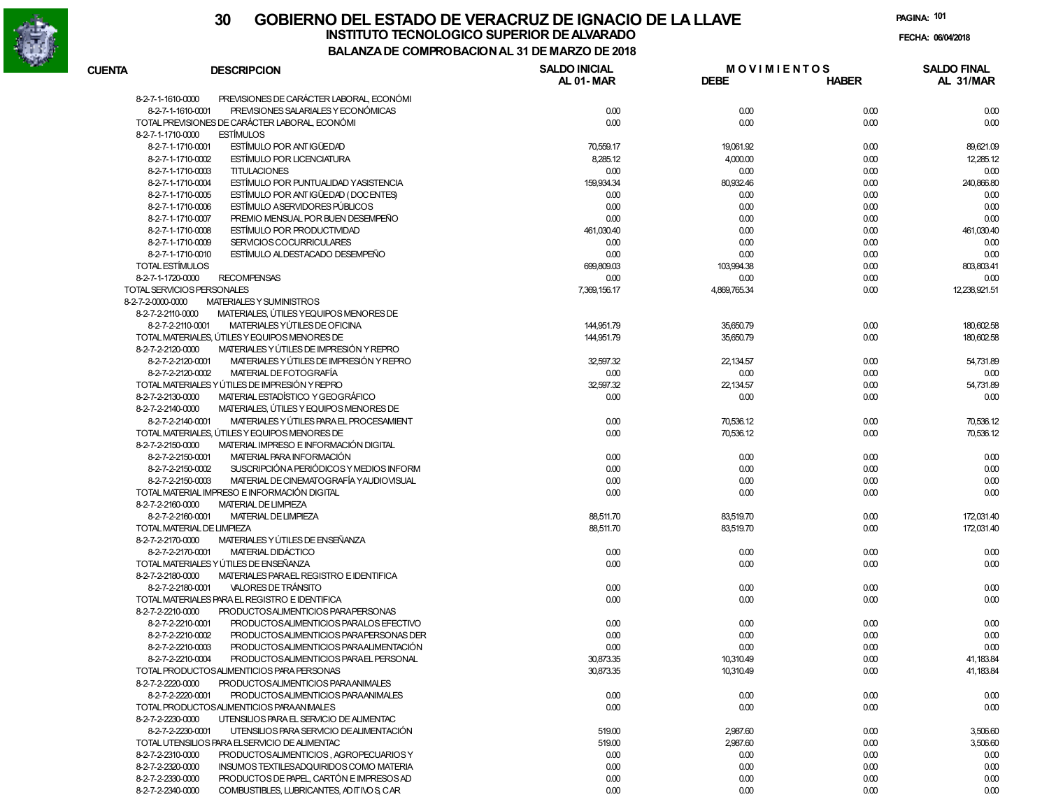

# **30 GOBIERNO DEL ESTADO DE VERACRUZ DE IGNACIO DE LA LLAVEFECHA: 06/04/2018 INSTITUTO TECNOLOGICO SUPERIOR DE ALVARADO**

**PAGINA:101**

| <b>CUENTA</b>     | <b>DESCRIPCION</b>                             | <b>SALDO INICIAL</b> | <b>MOVIMIENTOS</b> |              | <b>SALDO FINAL</b> |
|-------------------|------------------------------------------------|----------------------|--------------------|--------------|--------------------|
|                   |                                                | <b>AL 01-MAR</b>     | <b>DEBE</b>        | <b>HABER</b> | AL 31/MAR          |
| 8-2-7-1-1610-0000 | PREVISIONES DE CARÁCTER LABORAL, ECONÓMI       |                      |                    |              |                    |
| 8-2-7-1-1610-0001 | PREVISIONES SALARIALES Y ECONÓMICAS            | 0.00                 | 0.00               | 0.00         | 0.00               |
|                   | TOTAL PREVISIONES DE CARÁCTER LABORAL, ECONÓMI | 0.00                 | 0.00               | 0.00         | 0.00               |
| 8-2-7-1-1710-0000 | <b>ESTÍMULOS</b>                               |                      |                    |              |                    |
| 8-2-7-1-1710-0001 | ESTÍMULO POR ANTIGÜEDAD                        | 70,559.17            | 19,061.92          | 0.00         | 89,621.09          |
| 8-2-7-1-1710-0002 | <b>ESTÍMULO POR LICENCIATURA</b>               | 8,285.12             | 4,000.00           | 0.00         | 12,285.12          |
| 8-2-7-1-1710-0003 | <b>TITULACIONES</b>                            | 0.00                 | 0.00               | 0.00         | 0.00               |
| 8-2-7-1-1710-0004 | ESTÍMULO POR PUNTUALIDAD Y ASISTENCIA          |                      | 80,932.46          |              | 240,866.80         |
|                   |                                                | 159,934.34           |                    | 0.00         |                    |
| 8-2-7-1-1710-0005 | ESTÍMULO POR ANTIGÜEDAD (DOCENTES)             | 0.00                 | 0.00               | 0.00         | 0.00               |
| 8-2-7-1-1710-0006 | <b>ESTÍMULO ASERVIDORES PÚBLICOS</b>           | 0.00                 | 0.00               | 0.00         | 0.00               |
| 8-2-7-1-1710-0007 | PREMIO MENSUAL POR BUEN DESEMPEÑO              | 0.00                 | 0.00               | 0.00         | 0.00               |
| 8-2-7-1-1710-0008 | ESTÍMULO POR PRODUCTIVIDAD                     | 461,030.40           | 0.00               | 0.00         | 461,030.40         |
| 8-2-7-1-1710-0009 | SERVICIOS COCURRICULARES                       | 0.00                 | 0.00               | 0.00         | 0.00               |
| 8-2-7-1-1710-0010 | ESTÍMULO ALDESTACADO DESEMPEÑO                 | 0.00                 | 0.00               | 0.00         | 0.00               |
| TOTAL ESTÍMULOS   |                                                | 699,809.03           | 103,994.38         | 0.00         | 803,803.41         |
| 8-2-7-1-1720-0000 | <b>RECOMPENSAS</b>                             | 0.00                 | 0.00               | 0.00         | 0.00               |
|                   | TOTAL SERVICIOS PERSONALES                     | 7,369,156.17         | 4,869,765.34       | 0.00         | 12,238,921.51      |
| 8-2-7-2-0000-0000 | MATERIALES Y SUMINISTROS                       |                      |                    |              |                    |
| 8-2-7-2-2110-0000 | MATERIALES, ÚTILES YEQUIPOS MENORES DE         |                      |                    |              |                    |
| 8-2-7-2-2110-0001 | MATERIALES YÚTILES DE OFICINA                  | 144,951.79           | 35,650.79          | 0.00         | 180,602.58         |
|                   | TOTAL MATERIALES, ÚTILES Y EQUIPOS MENORES DE  | 144,951.79           | 35,650.79          | 0.00         | 180,602.58         |
| 8-2-7-2-2120-0000 | MATERIALES Y ÚTILES DE IMPRESIÓN Y REPRO       |                      |                    |              |                    |
| 8-2-7-2-2120-0001 | MATERIALES Y ÚTILES DE IMPRESIÓN Y REPRO       | 32,597.32            | 22,134.57          | 0.00         | 54,731.89          |
| 8-2-7-2-2120-0002 | MATERIAL DE FOTOGRAFÍA                         | 0.00                 | 0.00               | 0.00         | 0.00               |
|                   | TOTAL MATERIALES Y ÚTILES DE IMPRESIÓN Y REPRO | 32,597.32            | 22,134.57          | 0.00         | 54,731.89          |
|                   |                                                |                      |                    |              |                    |
| 8-2-7-2-2130-0000 | MATERIAL ESTADÍSTICO Y GEOGRÁFICO              | 0.00                 | 0.00               | 0.00         | 0.00               |
| 8-2-7-2-2140-0000 | MATERIALES, ÚTILES Y EQUIPOS MENORES DE        |                      |                    |              |                    |
| 8-2-7-2-2140-0001 | MATERIALES Y ÚTILES PARA EL PROCESAMIENT       | 0.00                 | 70,536.12          | 0.00         | 70,536.12          |
|                   | TOTAL MATERIALES, ÚTILES Y EQUIPOS MENORES DE  | 0.00                 | 70,536.12          | 0.00         | 70,536.12          |
| 8-2-7-2-2150-0000 | MATERIAL IMPRESO E INFORMACIÓN DIGITAL         |                      |                    |              |                    |
| 8-2-7-2-2150-0001 | MATERIAL PARA INFORMACIÓN                      | 0.00                 | 0.00               | 0.00         | 0.00               |
| 8-2-7-2-2150-0002 | SUSCRIPCIÓN A PERIÓDICOS Y MEDIOS INFORM       | 0.00                 | 0.00               | 0.00         | 0.00               |
| 8-2-7-2-2150-0003 | MATERIAL DE CINEMATOGRAFÍA YAUDIOVISUAL        | 0.00                 | 0.00               | 0.00         | 0.00               |
|                   | TOTAL MATERIAL IMPRESO E INFORMACIÓN DIGITAL   | 0.00                 | 0.00               | 0.00         | 0.00               |
| 8-2-7-2-2160-0000 | <b>MATERIAL DE LIMPIEZA</b>                    |                      |                    |              |                    |
| 8-2-7-2-2160-0001 | <b>MATERIAL DE LIMPIEZA</b>                    | 88,511.70            | 83,519.70          | 0.00         | 172,031.40         |
|                   | TOTAL MATERIAL DE LIMPIEZA                     | 88,511.70            | 83,519.70          | 0.00         | 172,031.40         |
| 8-2-7-2-2170-0000 | MATERIALES Y ÚTILES DE ENSEÑANZA               |                      |                    |              |                    |
| 8-2-7-2-2170-0001 | MATERIAL DIDÁCTICO                             | 0.00                 | 0.00               | 0.00         | 0.00               |
|                   | TOTAL MATERIALES Y ÚTILES DE ENSEÑANZA         | 0.00                 | 0.00               | 0.00         | 0.00               |
| 8-2-7-2-2180-0000 | MATERIALES PARAEL REGISTRO E IDENTIFICA        |                      |                    |              |                    |
| 8-2-7-2-2180-0001 | VALORES DE TRÁNSITO                            | 0.00                 | 0.00               | 0.00         | 0.00               |
|                   | TOTAL MATERIALES PARA EL REGISTRO E IDENTIFICA | 0.00                 | 0.00               | 0.00         | 0.00               |
| 8-2-7-2-2210-0000 | PRODUCTOSALIMENTICIOS PARAPERSONAS             |                      |                    |              |                    |
| 8-2-7-2-2210-0001 |                                                |                      |                    |              |                    |
|                   | PRODUCTOSALIMENTICIOS PARALOS EFECTIVO         | 0.00                 | 0.00               | 0.00         | 0.00               |
| 8-2-7-2-2210-0002 | PRODUCTOSALIMENTICIOS PARAPERSONAS DER         | 0.00                 | 0.00               | 0.00         | 0.00               |
| 8-2-7-2-2210-0003 | PRODUCTOSALIMENTICIOS PARAALIMENTACIÓN         | 0.00                 | 0.00               | 0.00         | 0.00               |
| 8-2-7-2-2210-0004 | PRODUCTOSALIMENTICIOS PARAEL PERSONAL          | 30,873.35            | 10,310.49          | 0.00         | 41,183.84          |
|                   | TOTAL PRODUCTOSALIMENTICIOS PARA PERSONAS      | 30,873.35            | 10,310.49          | 0.00         | 41, 183.84         |
| 8-2-7-2-2220-0000 | PRODUCTOSALIMENTICIOS PARAANIMALES             |                      |                    |              |                    |
| 8-2-7-2-2220-0001 | PRODUCTOSALIMENTICIOS PARAANIMALES             | 0.00                 | 0.00               | 0.00         | 0.00               |
|                   | TOTAL PRODUCTOSALIMENTICIOS PARAAN MALES       | 0.00                 | 0.00               | 0.00         | 0.00               |
| 8-2-7-2-2230-0000 | UTENSILIOS PARA EL SERVICIO DE ALIMENTAC       |                      |                    |              |                    |
| 8-2-7-2-2230-0001 | UTENSILIOS PARA SERVICIO DE ALIMENTACIÓN       | 519.00               | 2,987.60           | 0.00         | 3,506.60           |
|                   | TOTAL UTENSILIOS PARA ELSERVICIO DE ALIMENTAC  | 519.00               | 2,987.60           | 0.00         | 3,506.60           |
| 8-2-7-2-2310-0000 | PRODUCTOSALIMENTICIOS. AGROPECUARIOS Y         | 0.00                 | 0.00               | 0.00         | 0.00               |
| 8-2-7-2-2320-0000 | INSUMOS TEXTILESADQUIRIDOS COMO MATERIA        | 0.00                 | 0.00               | 0.00         | 0.00               |
| 8-2-7-2-2330-0000 | PRODUCTOS DE PAPEL, CARTÓN E IMPRESOS AD       | 0.00                 | 0.00               | 0.00         | 0.00               |
| 8-2-7-2-2340-0000 | COMBUSTIBLES, LUBRICANTES, AD IT IVO S CAR     | 0.00                 | 0.00               | 0.00         | 0.00               |
|                   |                                                |                      |                    |              |                    |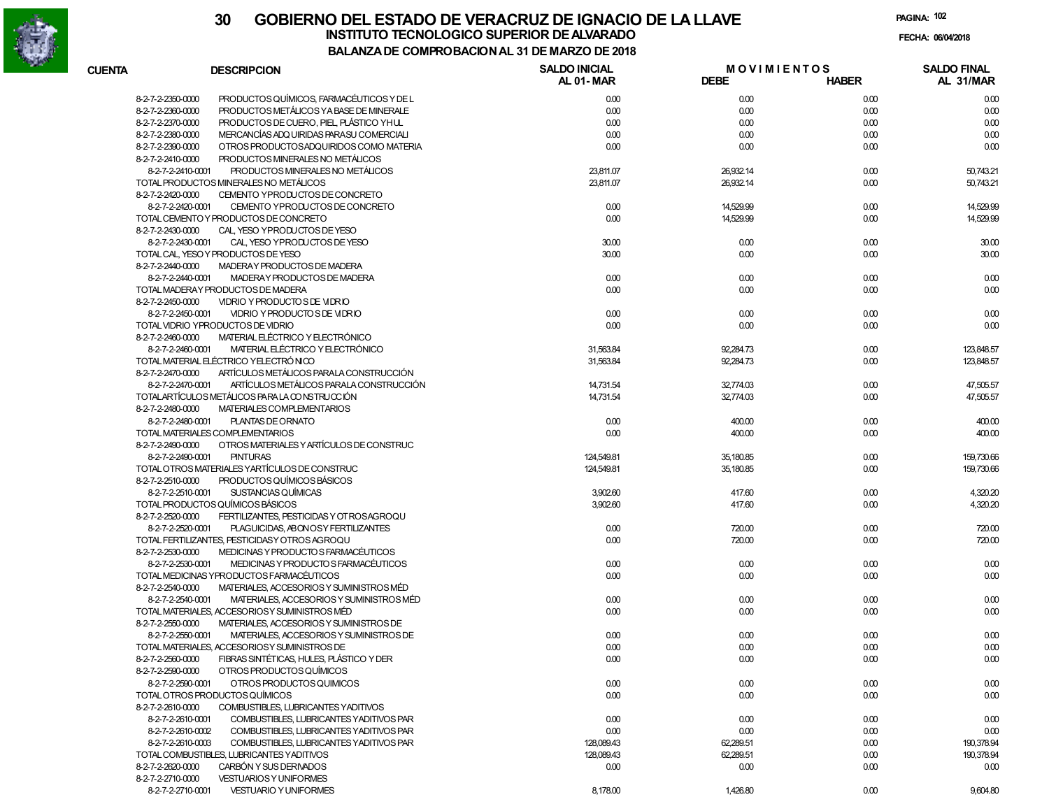

# **30 GOBIERNO DEL ESTADO DE VERACRUZ DE IGNACIO DE LA LLAVEINSTITUTO TECNOLOGICO SUPERIOR DE ALVARADO de la composición de la composición de la composición de la composición**<br>Dal aniza de composición da la de marzo de como **BALANZA DE COMPROBACION AL 31 DE MARZO DE 2018**

**PAGINA:102**

**FECHA:**

| <b>CUENTA</b> | <b>DESCRIPCION</b>                                            | <b>SALDO INICIAL</b><br><b>AL 01-MAR</b> | <b>MOVIMIENTOS</b><br><b>DEBE</b> | <b>HABER</b> | <b>SALDO FINAL</b><br>AL 31/MAR |
|---------------|---------------------------------------------------------------|------------------------------------------|-----------------------------------|--------------|---------------------------------|
|               | PRODUCTOS QUÍMICOS, FARMACÉUTICOS Y DE L<br>8-2-7-2-2350-0000 | 0.00                                     | 0.00                              | 0.00         | 0.00                            |
|               | 8-2-7-2-2360-0000<br>PRODUCTOS METÁLICOS YA BASE DE MINERALE  | 0.00                                     | 0.00                              | 0.00         | 0.00                            |
|               | 8-2-7-2-2370-0000<br>PRODUCTOS DE CUERO, PIEL, PLÁSTICO YHUL  | 0.00                                     | 0.00                              | 0.00         | 0.00                            |
|               | 8-2-7-2-2380-0000<br>MERCANCÍAS ADQ UIRIDAS PARASU COMERCIALI | 0.00                                     | 0.00                              | 0.00         | 0.00                            |
|               | 8-2-7-2-2390-0000<br>OTROS PRODUCTOSADQUIRIDOS COMO MATERIA   | 0.00                                     | 0.00                              | 0.00         | 0.00                            |
|               | 8-2-7-2-2410-0000<br>PRODUCTOS MINERALES NO METÁLICOS         |                                          |                                   |              |                                 |
|               | PRODUCTOS MINERALES NO METÁLICOS<br>8-2-7-2-2410-0001         | 23,811.07                                | 26,932.14                         | 0.00         | 50,743.21                       |
|               | TOTAL PRODUCTOS MINERALES NO METÁLICOS                        | 23,811.07                                | 26,932.14                         | 0.00         | 50,743.21                       |
|               | CEMENTO YPRODUCTOS DE CONCRETO<br>8-2-7-2-2420-0000           |                                          |                                   |              |                                 |
|               | 8-2-7-2-2420-0001<br>CEMENTO YPRODUCTOS DE CONCRETO           | 0.00                                     | 14,529.99                         | 0.00         | 14,529.99                       |
|               | TOTAL CEMENTO Y PRODUCTOS DE CONCRETO                         | 0.00                                     | 14,529.99                         | 0.00         | 14,529.99                       |
|               | CAL, YESO YPRODUCTOS DE YESO<br>8-2-7-2-2430-0000             |                                          |                                   |              |                                 |
|               | 8-2-7-2-2430-0001<br>CAL, YESO YPRODUCTOS DE YESO             | 30.00                                    | 0.00                              | 0.00         | 30.00                           |
|               | TOTAL CAL, YESO Y PRODUCTOS DE YESO                           | 30.00                                    | 0.00                              | 0.00         | 30.00                           |
|               | 8-2-7-2-2440-0000<br>MADERAY PRODUCTOS DE MADERA              |                                          |                                   |              |                                 |
|               | 8-2-7-2-2440-0001<br>MADERAY PRODUCTOS DE MADERA              | 0.00                                     | 0.00                              | 0.00         | 0.00                            |
|               | TOTAL MADERAY PRODUCTOS DE MADERA                             | 0.00                                     | 0.00                              | 0.00         | 0.00                            |
|               | 8-2-7-2-2450-0000<br>VIDRIO Y PRODUCTO S DE VIDRIO            |                                          |                                   |              |                                 |
|               | VIDRIO Y PRODUCTO S DE VIDRIO                                 | 0.00                                     | 0.00                              |              |                                 |
|               | 8-2-7-2-2450-0001                                             |                                          |                                   | 0.00         | 0.00                            |
|               | TOTAL VIDRIO YPRODUCTOS DE VIDRIO                             | 0.00                                     | 0.00                              | 0.00         | 0.00                            |
|               | 8-2-7-2-2460-0000<br>MATERIAL ELÉCTRICO Y ELECTRÓNICO         |                                          |                                   |              |                                 |
|               | 8-2-7-2-2460-0001<br>MATERIAL ELÉCTRICO Y ELECTRÓNICO         | 31,563.84                                | 92,284.73                         | 0.00         | 123.848.57                      |
|               | TOTAL MATERIAL ELÉCTRICO YELECTRÓNICO                         | 31,563.84                                | 92,284.73                         | 0.00         | 123,848.57                      |
|               | 8-2-7-2-2470-0000<br>ARTÍCULOS METÁLICOS PARALA CONSTRUCCIÓN  |                                          |                                   |              |                                 |
|               | 8-2-7-2-2470-0001<br>ARTÍCULOS METÁLICOS PARALA CONSTRUCCIÓN  | 14,731.54                                | 32,774.03                         | 0.00         | 47,505.57                       |
|               | TOTALARTÍCULOS METÁLICOS PARA LA CONSTRUCCIÓN                 | 14,731.54                                | 32,774.03                         | 0.00         | 47,505.57                       |
|               | 8-2-7-2-2480-0000<br>MATERIALES COMPLEMENTARIOS               |                                          |                                   |              |                                 |
|               | PLANTAS DE ORNATO<br>8-2-7-2-2480-0001                        | 0.00                                     | 400.00                            | 0.00         | 400.00                          |
|               | TOTAL MATERIALES COMPLEMENTARIOS                              | 0.00                                     | 400.00                            | 0.00         | 400.00                          |
|               | 8-2-7-2-2490-0000<br>OTROS MATERIALES Y ARTÍCULOS DE CONSTRUC |                                          |                                   |              |                                 |
|               | 8-2-7-2-2490-0001<br><b>PINTURAS</b>                          | 124,549.81                               | 35,180.85                         | 0.00         | 159,730.66                      |
|               | TOTAL OTROS MATERIALES YARTÍCULOS DE CONSTRUC                 | 124,549.81                               | 35,180.85                         | 0.00         | 159,730.66                      |
|               | 8-2-7-2-2510-0000<br>PRODUCTOS QUÍMICOS BÁSICOS               |                                          |                                   |              |                                 |
|               | SUSTANCIAS QUÍMICAS<br>8-2-7-2-2510-0001                      | 3,902.60                                 | 417.60                            | 0.00         | 4,320.20                        |
|               | TOTAL PRODUCTOS QUÍMICOS BÁSICOS                              | 3,902.60                                 | 417.60                            | 0.00         | 4,320.20                        |
|               | 8-2-7-2-2520-0000<br>FERTILIZANTES, PESTICIDAS Y OT ROSAGROQU |                                          |                                   |              |                                 |
|               | 8-2-7-2-2520-0001<br>PLAGUICIDAS, ABONOSY FERTILIZANTES       | 0.00                                     | 720.00                            | 0.00         | 720.00                          |
|               | TOTAL FERTILIZANTES, PESTICIDAS Y OTROS AGROQU                | 0.00                                     | 720.00                            | 0.00         | 720.00                          |
|               | MEDICINAS Y PRODUCTO S FARMACÉUTICOS<br>8-2-7-2-2530-0000     |                                          |                                   |              |                                 |
|               | MEDICINAS Y PRODUCTO S FARMACÉUTICOS<br>8-2-7-2-2530-0001     | 0.00                                     | 0.00                              | 0.00         | 0.00                            |
|               | TOTAL MEDICINAS YPRODUCTOS FARMACÉUTICOS                      | 0.00                                     | 0.00                              | 0.00         | 0.00                            |
|               | 8-2-7-2-2540-0000<br>MATERIALES, ACCESORIOS Y SUMINISTROS MÉD |                                          |                                   |              |                                 |
|               | MATERIALES, ACCESORIOS Y SUMINISTROS MÉD<br>8-2-7-2-2540-0001 | 0.00                                     | 0.00                              | 0.00         | 0.00                            |
|               | TOTAL MATERIALES, ACCESORIOSY SUMINISTROS MÉD                 | 0.00                                     | 0.00                              | 0.00         | 0.00                            |
|               | MATERIALES, ACCESORIOS Y SUMINISTROS DE<br>8-2-7-2-2550-0000  |                                          |                                   |              |                                 |
|               | 8-2-7-2-2550-0001<br>MATERIALES, ACCESORIOS Y SUMINISTROS DE  | 0.00                                     | 0.00                              | 0.00         | 0.00                            |
|               | TOTAL MATERIALES, ACCESORIOSY SUMINISTROS DE                  | 0.00                                     | 0.00                              | 0.00         | 0.00                            |
|               | FIBRAS SINTÉTICAS, HULES, PLÁSTICO Y DER<br>8-2-7-2-2560-0000 | 0.00                                     | 0.00                              | 0.00         | 0.00                            |
|               | OTROS PRODUCTOS QUÍMICOS<br>8-2-7-2-2590-0000                 |                                          |                                   |              |                                 |
|               | 8-2-7-2-2590-0001<br>OTROS PRODUCTOS QUIMICOS                 | 0.00                                     | 0.00                              | 0.00         | 0.00                            |
|               | TOTAL OTROS PRODUCTOS QUÍMICOS                                |                                          |                                   |              |                                 |
|               |                                                               | 0.00                                     | 0.00                              | 0.00         | 0.00                            |
|               | 8-2-7-2-2610-0000<br>COMBUSTIBLES, LUBRICANTES YADITIVOS      |                                          |                                   |              |                                 |
|               | 8-2-7-2-2610-0001<br>COMBUSTIBLES, LUBRICANTES YADITIVOS PAR  | 0.00                                     | 0.00                              | 0.00         | 0.00                            |
|               | 8-2-7-2-2610-0002<br>COMBUSTIBLES, LUBRICANTES YADITIVOS PAR  | 0.00                                     | 0.00                              | 0.00         | 0.00                            |
|               | 8-2-7-2-2610-0003<br>COMBUSTIBLES, LUBRICANTES YADITIVOS PAR  | 128,089.43                               | 62,289.51                         | 0.00         | 190.378.94                      |
|               | TOTAL COMBUSTIBLES, LUBRICANTES YADITIVOS                     | 128,089.43                               | 62,289.51                         | 0.00         | 190,378.94                      |
|               | CARBÓN Y SUS DERIVADOS<br>8-2-7-2-2620-0000                   | 0.00                                     | 0.00                              | 0.00         | 0.00                            |
|               | 8-2-7-2-2710-0000<br><b>VESTUARIOS Y UNIFORMES</b>            |                                          |                                   |              |                                 |
|               | 8-2-7-2-2710-0001<br><b>VESTUARIO Y UNIFORMES</b>             | 8,178.00                                 | 1,426.80                          | 0.00         | 9,604.80                        |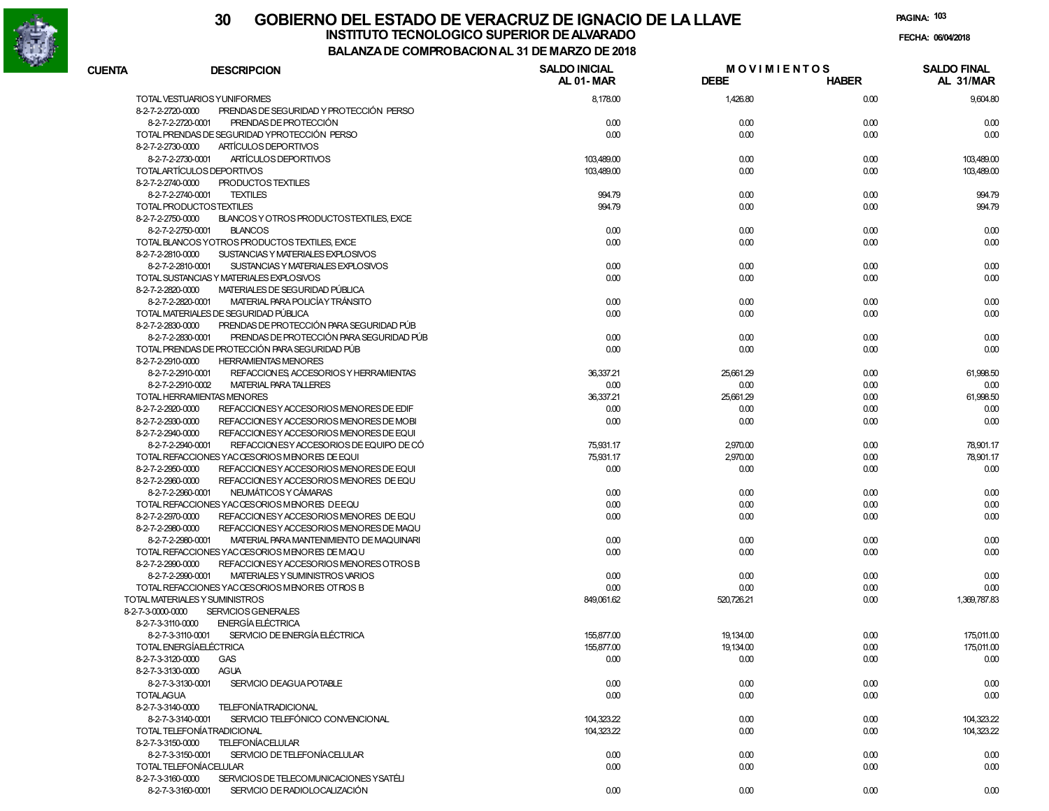

# **30 GOBIERNO DEL ESTADO DE VERACRUZ DE IGNACIO DE LA LLAVEINSTITUTO TECNOLOGICO SUPERIOR DE ALVARADO de la composición de la composición de la composición de la composición**<br>Dal aniza de composición da la de marzo de como

**PAGINA:103**

**FECHA:**

| <b>CUENTA</b> | <b>DESCRIPCION</b>                                              | <b>SALDO INICIAL</b><br><b>AL 01-MAR</b> | <b>MOVIMIENTOS</b><br><b>DEBE</b> | <b>HABER</b> | <b>SALDO FINAL</b><br>AL 31/MAR |
|---------------|-----------------------------------------------------------------|------------------------------------------|-----------------------------------|--------------|---------------------------------|
|               | TOTAL VESTUARIOS YUNIFORMES                                     | 8,178.00                                 | 1,426.80                          | 0.00         | 9.604.80                        |
|               | PRENDAS DE SEGURIDAD Y PROTECCIÓN PERSO<br>8-2-7-2-2720-0000    |                                          |                                   |              |                                 |
|               | 8-2-7-2-2720-0001<br>PRENDAS DE PROTECCIÓN                      | 0.00                                     | 0.00                              | 0.00         | 0.00                            |
|               | TOTAL PRENDAS DE SEGURIDAD YPROTECCIÓN PERSO                    | 0.00                                     | 0.00                              | 0.00         | 0.00                            |
|               | ARTÍCULOS DEPORTIVOS<br>8-2-7-2-2730-0000                       |                                          |                                   |              |                                 |
|               | ARTÍCULOS DEPORTIVOS<br>8-2-7-2-2730-0001                       | 103,489.00                               | 0.00                              | 0.00         | 103,489.00                      |
|               | TOTALARTÍCULOS DEPORTIVOS                                       | 103,489.00                               | 0.00                              | 0.00         | 103,489.00                      |
|               | 8-2-7-2-2740-0000<br>PRODUCTOS TEXTILES                         |                                          |                                   |              |                                 |
|               | 8-2-7-2-2740-0001<br><b>TEXTILES</b>                            | 994.79                                   | 0.00                              | 0.00         | 994.79                          |
|               | TOTAL PRODUCTOSTEXTILES                                         | 994.79                                   | 0.00                              | 0.00         | 994.79                          |
|               | 8-2-7-2-2750-0000<br>BLANCOS Y OTROS PRODUCTOSTEXTILES. EXCE    |                                          |                                   |              |                                 |
|               | 8-2-7-2-2750-0001<br><b>BLANCOS</b>                             | 0.00                                     | 0.00                              | 0.00         | 0.00                            |
|               | TOTAL BLANCOS YOTROS PRODUCTOS TEXTILES, EXCE                   | 0.00                                     | 0.00                              | 0.00         | 0.00                            |
|               | 8-2-7-2-2810-0000<br>SUSTANCIAS Y MATERIALES EXPLOSIVOS         |                                          |                                   |              |                                 |
|               | 8-2-7-2-2810-0001<br>SUSTANCIAS Y MATERIALES EXPLOSIVOS         | 0.00                                     | 0.00                              | 0.00         | 0.00                            |
|               | TOTAL SUSTANCIAS Y MATERIALES EXPLOSIVOS                        | 0.00                                     | 0.00                              | 0.00         | 0.00                            |
|               | 8-2-7-2-2820-0000<br>MATERIALES DE SEGURIDAD PÚBLICA            |                                          |                                   |              |                                 |
|               | MATERIAL PARA POLICÍA Y TRÁNSITO<br>8-2-7-2-2820-0001           | 0.00                                     | 0.00                              | 0.00         | 0.00                            |
|               | TOTAL MATERIALES DE SEGURIDAD PÚBLICA                           | 0.00                                     | 0.00                              | 0.00         | 0.00                            |
|               | PRENDAS DE PROTECCIÓN PARA SEGURIDAD PÚB<br>8-2-7-2-2830-0000   |                                          |                                   |              |                                 |
|               | PRENDAS DE PROTECCIÓN PARA SEGURIDAD PÚB<br>8-2-7-2-2830-0001   | 0.00                                     | 0.00                              | 0.00         | 0.00                            |
|               | TOTAL PRENDAS DE PROTECCIÓN PARA SEGURIDAD PÚB                  | 0.00                                     | 0.00                              | 0.00         | 0.00                            |
|               | <b>HERRAMIENTAS MENORES</b><br>8-2-7-2-2910-0000                |                                          |                                   |              |                                 |
|               | 8-2-7-2-2910-0001<br>REFACCION ES ACCESORIOS Y HERRAMIENTAS     | 36,337.21                                | 25,661.29                         | 0.00         | 61,998.50                       |
|               | 8-2-7-2-2910-0002<br><b>MATERIAL PARA TALLERES</b>              | 0.00                                     | 0.00                              | 0.00         | 0.00                            |
|               | TOTAL HERRAMIENTAS MENORES                                      | 36,337.21                                | 25,661.29                         | 0.00         | 61,998.50                       |
|               | 8-2-7-2-2920-0000<br>REFACCION ES Y ACCESORIOS MENORES DE EDIF  | 0.00                                     | 0.00                              | 0.00         | 0.00                            |
|               | 8-2-7-2-2930-0000<br>REFACCION ES Y ACCESO RIOS MENORES DE MOBI | 0.00                                     | 0.00                              | 0.00         | 0.00                            |
|               | REFACCION ES Y ACCESORIOS MENORES DE EQUI<br>8-2-7-2-2940-0000  |                                          |                                   |              |                                 |
|               | REFACCIONESY ACCESORIOS DE EQUIPO DE CÓ<br>8-2-7-2-2940-0001    | 75,931.17                                | 2,970.00                          | 0.00         | 78,901.17                       |
|               | TOTAL REFACCIONES YACCESORIOS MENORES DE EQUI                   | 75,931.17                                | 2,970.00                          | 0.00         | 78,901.17                       |
|               | REFACCION ES Y ACCESORIOS MENORES DE EQUI<br>8-2-7-2-2950-0000  | 0.00                                     | 0.00                              | 0.00         | 0.00                            |
|               | 8-2-7-2-2960-0000<br>REFACCION ESY ACCESORIOS MENORES DE EQU    |                                          |                                   |              |                                 |
|               | NEUMÁTICOS Y CÁMARAS<br>8-2-7-2-2960-0001                       | 0.00                                     | 0.00                              | 0.00         | 0.00                            |
|               | TOTAL REFACCIONES YACCESORIOS MENORES DEEQU                     | 0.00                                     | 0.00                              | 0.00         | 0.00                            |
|               | 8-2-7-2-2970-0000<br>REFACCION ESY ACCESORIOS MENORES DE EQU    | 0.00                                     | 0.00                              | 0.00         | 0.00                            |
|               | 8-2-7-2-2980-0000<br>REFACCION ES Y ACCESO RIOS MENORES DE MAQU |                                          |                                   |              |                                 |
|               | 8-2-7-2-2980-0001<br>MATERIAL PARA MANTENIMIENTO DE MAQUINARI   | 0.00                                     | 0.00                              | 0.00         | 0.00                            |
|               | TOTAL REFACCIONES YACCESORIOS MENORES DE MAQU                   | 0.00                                     | 0.00                              | 0.00         | 0.00                            |
|               | 8-2-7-2-2990-0000<br>REFACCION ES Y ACCESORIOS MENORES OTROS B  |                                          |                                   |              |                                 |
|               | MATERIALES Y SUMINISTROS VARIOS<br>8-2-7-2-2990-0001            | 0.00                                     | 0.00                              | 0.00         | 0.00                            |
|               | TOTAL REFACCIONES YACCESORIOS MENORES OTROS B                   | 0.00                                     | 0.00                              | 0.00         | 0.00                            |
|               | TOTAL MATERIALES Y SUMINISTROS                                  | 849,061.62                               | 520,726.21                        | 0.00         | 1.369.787.83                    |
|               | SERVICIOS GENERALES<br>8-2-7-3-0000-0000                        |                                          |                                   |              |                                 |
|               | <b>ENERGÍA ELÉCTRICA</b><br>8-2-7-3-3110-0000                   |                                          |                                   |              |                                 |
|               | SERVICIO DE ENERGÍA EL ÉCTRICA<br>8-2-7-3-3110-0001             | 155,877.00                               | 19,134.00                         | 0.00         | 175,011.00                      |
|               | TOTAL ENERGÍAELÉCTRICA                                          | 155,877.00                               | 19,134.00                         | 0.00         | 175,011.00                      |
|               | 8-2-7-3-3120-0000<br>GAS                                        | 0.00                                     | 0.00                              | 0.00         | 0.00                            |
|               | 8-2-7-3-3130-0000<br><b>AGUA</b>                                |                                          |                                   |              |                                 |
|               | 8-2-7-3-3130-0001<br>SERVICIO DEAGUA POTABLE                    | 0.00                                     | 0.00                              | 0.00         | 0.00                            |
|               | <b>TOTALAGUA</b>                                                | 0.00                                     | 0.00                              | 0.00         | 0.00                            |
|               | TELEFONÍATRADICIONAL<br>8-2-7-3-3140-0000                       |                                          |                                   |              |                                 |
|               | SERVICIO TELEFÓNICO CONVENCIONAL<br>8-2-7-3-3140-0001           | 104,323.22                               | 0.00                              | 0.00         | 104,323.22                      |
|               | TOTAL TELEFONÍATRADICIONAL                                      | 104,323.22                               | 0.00                              | 0.00         | 104,323.22                      |
|               | <b>TELEFONÍACELULAR</b><br>8-2-7-3-3150-0000                    |                                          |                                   |              |                                 |
|               | SERVICIO DE TELEFONÍACELULAR<br>8-2-7-3-3150-0001               | 0.00                                     | 0.00                              | 0.00         | 0.00                            |
|               | TOTAL TELEFONÍACELULAR                                          | 0.00                                     | 0.00                              | 0.00         | 0.00                            |
|               | 8-2-7-3-3160-0000<br>SERVICIOS DE TELECOMUNICACIONES Y SATÉLI   |                                          |                                   |              |                                 |
|               | 8-2-7-3-3160-0001<br>SERVICIO DE RADIOLOCALIZACIÓN              | 0.00                                     | 0.00                              | 0.00         | 0.00                            |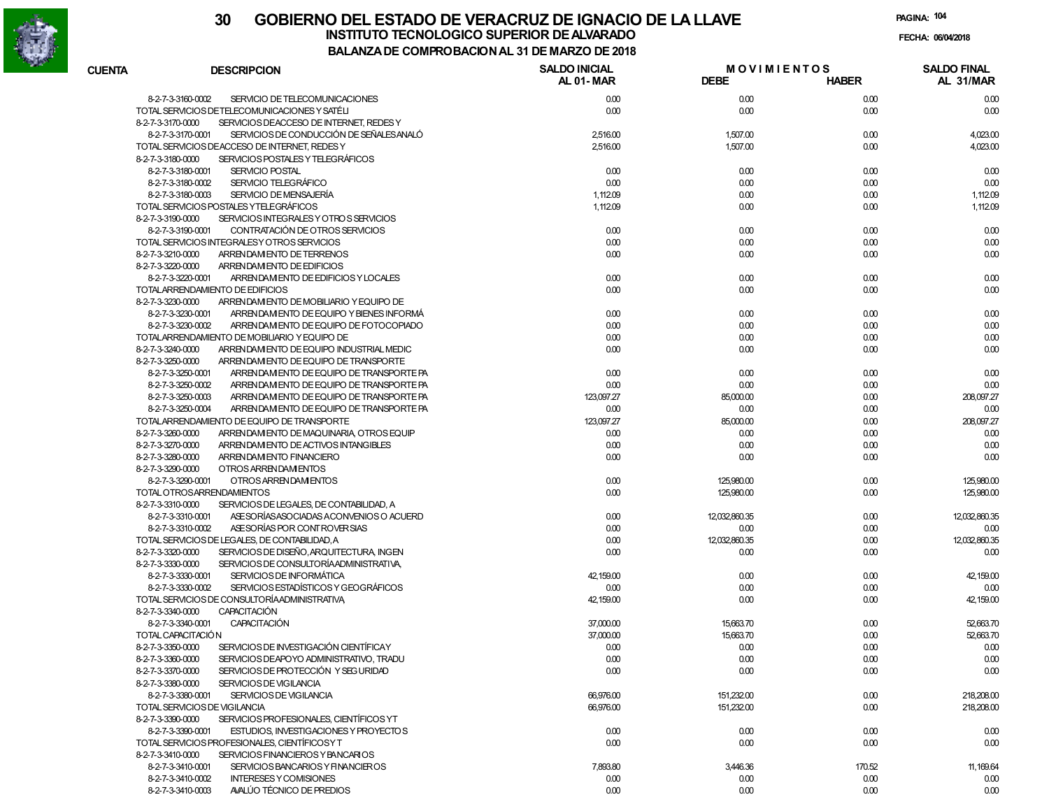

|                                                    |                                          | DE COMFROBACION AL 31 DE MARZO DE 2010 |                                   |              |                                 |
|----------------------------------------------------|------------------------------------------|----------------------------------------|-----------------------------------|--------------|---------------------------------|
| <b>CUENTA</b><br><b>DESCRIPCION</b>                |                                          | <b>SALDO INICIAL</b><br>AL 01-MAR      | <b>MOVIMIENTOS</b><br><b>DEBE</b> | <b>HABER</b> | <b>SALDO FINAL</b><br>AL 31/MAR |
| 8-2-7-3-3160-0002                                  | SERVICIO DE TELECOMUNICACIONES           | 0.00                                   | 0.00                              | 0.00         | 0.00                            |
| TOTAL SERVICIOS DETELECOMUNICACIONES Y SATÉLI      |                                          | 0.00                                   | 0.00                              | 0.00         | 0.00                            |
| 8-2-7-3-3170-0000                                  | SERVICIOS DEACCESO DE INTERNET, REDES Y  |                                        |                                   |              |                                 |
| 8-2-7-3-3170-0001                                  | SERVICIOS DE CONDUCCIÓN DE SEÑALES ANALÓ | 2,516.00                               | 1,507.00                          | 0.00         | 4,023.00                        |
| TOTAL SERVICIOS DEACCESO DE INTERNET, REDES Y      |                                          | 2,516.00                               | 1,507.00                          | 0.00         | 4,023.00                        |
| 8-2-7-3-3180-0000                                  | SERVICIOS POSTALES Y TELEGRÁFICOS        |                                        |                                   |              |                                 |
| 8-2-7-3-3180-0001<br><b>SERVICIO POSTAL</b>        |                                          | 0.00                                   | 0.00                              | 0.00         | 0.00                            |
| SERVICIO TELEGRÁFICO<br>8-2-7-3-3180-0002          |                                          | 0.00                                   | 0.00                              | 0.00         | 0.00                            |
| SERVICIO DE MENSAJERÍA<br>8-2-7-3-3180-0003        |                                          | 1,112.09                               | 0.00                              | 0.00         | 1,112.09                        |
| TOTAL SERVICIOS POSTALES YTELEGRÁFICOS             |                                          | 1,112.09                               | 0.00                              | 0.00         | 1,112.09                        |
| 8-2-7-3-3190-0000                                  | SERVICIOS INTEGRALES Y OTROS SERVICIOS   |                                        |                                   |              |                                 |
| 8-2-7-3-3190-0001                                  | CONTRATACIÓN DE OTROS SERVICIOS          | 0.00                                   | 0.00                              | 0.00         | 0.00                            |
| TOTAL SERVICIOS INTEGRALESY OTROS SERVICIOS        |                                          | 0.00                                   | 0.00                              | 0.00         | 0.00                            |
| ARRENDAM ENTO DE TERRENOS<br>8-2-7-3-3210-0000     |                                          | 0.00                                   | 0.00                              | 0.00         | 0.00                            |
| 8-2-7-3-3220-0000<br>ARREN DAM ENTO DE EDIFICIOS   |                                          |                                        |                                   |              |                                 |
| 8-2-7-3-3220-0001                                  | ARRENDAM ENTO DE EDIFICIOS Y LOCALES     | 0.00                                   | 0.00                              | 0.00         | 0.00                            |
| TOTALARRENDAMIENTO DE EDIFICIOS                    |                                          | 0.00                                   | 0.00                              | 0.00         | 0.00                            |
| 8-2-7-3-3230-0000                                  | ARRENDAM ENTO DE MOBILIARIO Y EQUIPO DE  |                                        |                                   |              |                                 |
| 8-2-7-3-3230-0001                                  | ARRENDAM ENTO DE EQUIPO Y BIENES INFORMÁ | 0.00                                   | 0.00                              | 0.00         | 0.00                            |
|                                                    | ARRENDAM ENTO DE EQUIPO DE FOTOCOPIADO   | 0.00                                   | 0.00                              | 0.00         | 0.00                            |
| 8-2-7-3-3230-0002                                  |                                          |                                        |                                   |              |                                 |
| TOTALARRENDAMIENTO DE MOBILIARIO Y EQUIPO DE       |                                          | 0.00                                   | 0.00                              | 0.00         | 0.00                            |
| 8-2-7-3-3240-0000                                  | ARRENDAM ENTO DE EQUIPO INDUSTRIAL MEDIC | 0.00                                   | 0.00                              | 0.00         | 0.00                            |
| 8-2-7-3-3250-0000                                  | ARRENDAM ENTO DE EQUIPO DE TRANSPORTE    |                                        |                                   |              |                                 |
| 8-2-7-3-3250-0001                                  | ARRENDAM ENTO DE EQUIPO DE TRANSPORTE PA | 0.00                                   | 0.00                              | 0.00         | 0.00                            |
| 8-2-7-3-3250-0002                                  | ARRENDAM ENTO DE EQUIPO DE TRANSPORTE PA | 0.00                                   | 0.00                              | 0.00         | 0.00                            |
| 8-2-7-3-3250-0003                                  | ARRENDAM ENTO DE EQUIPO DE TRANSPORTE PA | 123,097.27                             | 85,000.00                         | 0.00         | 208,097.27                      |
| 8-2-7-3-3250-0004                                  | ARRENDAM ENTO DE EQUIPO DE TRANSPORTE PA | 0.00                                   | 0.00                              | 0.00         | 0.00                            |
| TOTALARRENDAMIENTO DE EQUIPO DE TRANSPORTE         |                                          | 123,097.27                             | 85,000.00                         | 0.00         | 208.097.27                      |
| 8-2-7-3-3260-0000                                  | ARRENDAM ENTO DE MAQUINARIA OTROS EQUIP  | 0.00                                   | 0.00                              | 0.00         | 0.00                            |
| 8-2-7-3-3270-0000                                  | ARREN DAM ENTO DE ACTIVOS INTANGIBLES    | 0.00                                   | 0.00                              | 0.00         | 0.00                            |
| 8-2-7-3-3280-0000<br>ARREN DAMIENTO FINANCIERO     |                                          | 0.00                                   | 0.00                              | 0.00         | 0.00                            |
| OTROS ARRENDAM ENTOS<br>8-2-7-3-3290-0000          |                                          |                                        |                                   |              |                                 |
| 8-2-7-3-3290-0001<br>OTROS ARRENDAM ENTOS          |                                          | 0.00                                   | 125,980.00                        | 0.00         | 125,980.00                      |
| TOTAL OTROSARRENDAMIENTOS                          |                                          | 0.00                                   | 125,980.00                        | 0.00         | 125,980.00                      |
| 8-2-7-3-3310-0000                                  | SERVICIOS DE LEGALES, DE CONTABILIDAD, A |                                        |                                   |              |                                 |
| 8-2-7-3-3310-0001                                  | ASE SORÍAS ASOCIADAS ACONVENIOS O ACUERD | 0.00                                   | 12,032,860.35                     | 0.00         | 12,032,860.35                   |
| 8-2-7-3-3310-0002                                  | ASE SORÍAS POR CONTROVER SIAS            | 0.00                                   | 0.00                              | 0.00         | 0.00                            |
| TOTAL SERVICIOS DE LEGALES, DE CONTABILIDAD, A     |                                          | 0.00                                   | 12,032,860.35                     | 0.00         | 12,032,860.35                   |
| 8-2-7-3-3320-0000                                  | SERVICIOS DE DISEÑO, ARQUITECTURA, INGEN | 0.00                                   | 0.00                              | 0.00         | 0.00                            |
| 8-2-7-3-3330-0000                                  | SERVICIOS DE CONSULTORÍAADMINISTRATIVA,  |                                        |                                   |              |                                 |
| 8-2-7-3-3330-0001                                  | SERVICIOS DE INFORMÁTICA                 | 42,159.00                              | 0.00                              | 0.00         | 42,159.00                       |
| 8-2-7-3-3330-0002                                  | SERVICIOS ESTADÍSTICOS Y GEOGRÁFICOS     | 0.00                                   | 0.00                              | 0.00         | 0.00                            |
| TOTAL SERVICIOS DE CONSULTORÍA ADMINISTRATIVA      |                                          | 42,159.00                              | 0.00                              | 0.00         | 42,159.00                       |
| <b>CAPACITACIÓN</b><br>8-2-7-3-3340-0000           |                                          |                                        |                                   |              |                                 |
| <b>CAPACITACIÓN</b><br>8-2-7-3-3340-0001           |                                          | 37,000.00                              | 15,663.70                         | 0.00         | 52,663.70                       |
| TOTAL CAPACITACIÓN                                 |                                          | 37,000.00                              | 15,663.70                         | 0.00         | 52,663.70                       |
| 8-2-7-3-3350-0000                                  | SERVICIOS DE INVESTIGACIÓN CIENTÍFICAY   | 0.00                                   | 0.00                              | 0.00         | 0.00                            |
| 8-2-7-3-3360-0000                                  | SERVICIOS DEAPOYO ADMINISTRATIVO, TRADU  |                                        |                                   |              |                                 |
|                                                    | SERVICIOS DE PROTECCIÓN Y SEG URIDAD     | 0.00                                   | 0.00                              | 0.00         | 0.00                            |
| 8-2-7-3-3370-0000                                  |                                          | 0.00                                   | 0.00                              | 0.00         | 0.00                            |
| 8-2-7-3-3380-0000<br>SERVICIOS DE VIGILANCIA       |                                          |                                        |                                   |              |                                 |
| SERVICIOS DE VIGILANCIA<br>8-2-7-3-3380-0001       |                                          | 66,976.00                              | 151,232.00                        | 0.00         | 218,208.00                      |
| TOTAL SERVICIOS DE VIGILANCIA                      |                                          | 66,976.00                              | 151,232.00                        | 0.00         | 218,208.00                      |
| 8-2-7-3-3390-0000                                  | SERVICIOS PROFESIONALES, CIENTÍFICOS YT  |                                        |                                   |              |                                 |
| 8-2-7-3-3390-0001                                  | ESTUDIOS. INVESTIGACIONES Y PROYECTOS    | 0.00                                   | 0.00                              | 0.00         | 0.00                            |
| TOTAL SERVICIOS PROFESIONALES, CIENTÍFICOSY T      |                                          | 0.00                                   | 0.00                              | 0.00         | 0.00                            |
| 8-2-7-3-3410-0000                                  | SERVICIOS FINANCIEROS Y BANCARIOS        |                                        |                                   |              |                                 |
| 8-2-7-3-3410-0001                                  | SERVICIOS BANCARIOS Y FINANCIEROS        | 7,893.80                               | 3,446.36                          | 170.52       | 11, 169.64                      |
| 8-2-7-3-3410-0002<br><b>INTERESES Y COMISIONES</b> |                                          | 0.00                                   | 0.00                              | 0.00         | 0.00                            |
| 8-2-7-3-3410-0003                                  | AVALÚO TÉCNICO DE PREDIOS                | 0.00                                   | 0.00                              | 0.00         | 0.00                            |
|                                                    |                                          |                                        |                                   |              |                                 |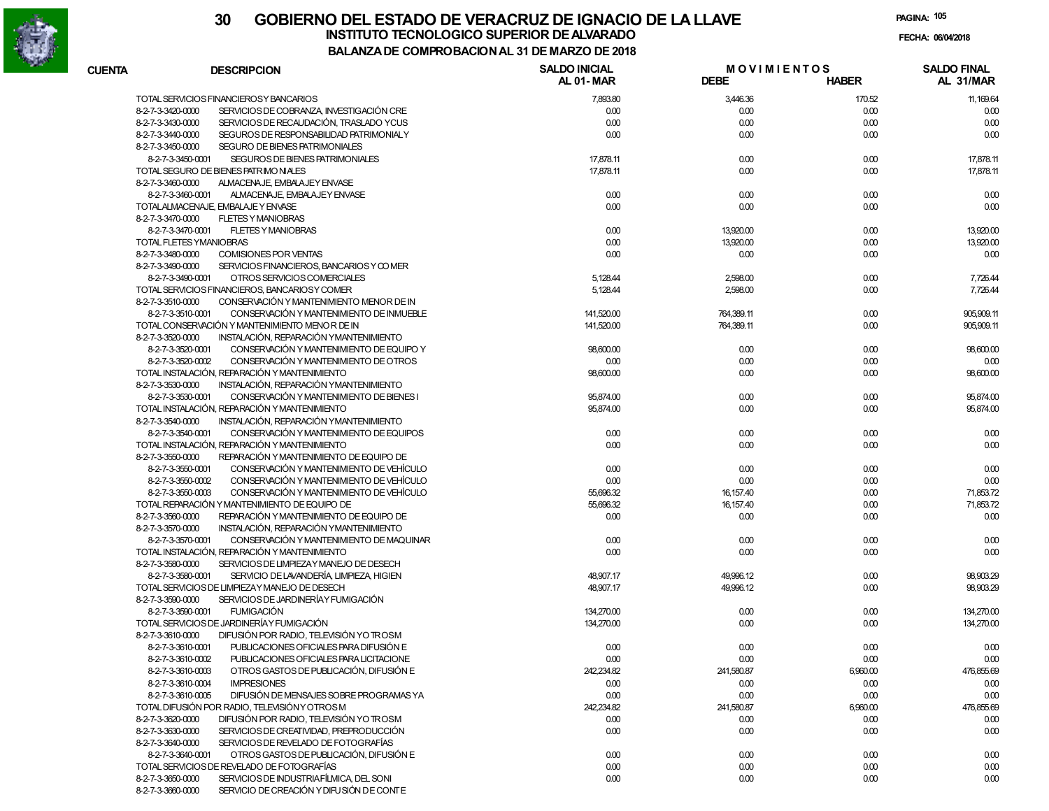

| <b>CUENTA</b> | <b>DESCRIPCION</b>                                             | <b>SALDO INICIAL</b><br><b>AL 01-MAR</b> | <b>MOVIMIENTOS</b><br><b>DEBE</b> | <b>HABER</b> | <b>SALDO FINAL</b><br>AL 31/MAR |
|---------------|----------------------------------------------------------------|------------------------------------------|-----------------------------------|--------------|---------------------------------|
|               | TOTAL SERVICIOS FINANCIEROSY BANCARIOS                         | 7,893.80                                 | 3,446.36                          | 170.52       | 11, 169.64                      |
|               | 8-2-7-3-3420-0000<br>SERVICIOS DE COBRANZA, INVESTIGACIÓN CRE  | 0.00                                     | 0.00                              | 0.00         | 0.00                            |
|               | 8-2-7-3-3430-0000<br>SERVICIOS DE RECAUDACIÓN, TRASLADO YCUS   | 0.00                                     | 0.00                              | 0.00         | 0.00                            |
|               | 8-2-7-3-3440-0000<br>SEGUROS DE RESPONSABILIDAD PATRIMONIALY   | 0.00                                     | 0.00                              | 0.00         | 0.00                            |
|               | SEGURO DE BIENES PATRIMONIALES<br>8-2-7-3-3450-0000            |                                          |                                   |              |                                 |
|               | 8-2-7-3-3450-0001<br>SEGUROS DE BIENES PATRIMONIALES           | 17,878.11                                | 0.00                              | 0.00         | 17,878.11                       |
|               | TOTAL SEGURO DE BIENES PATRIMONIALES                           | 17,878.11                                | 0.00                              | 0.00         | 17,878.11                       |
|               |                                                                |                                          |                                   |              |                                 |
|               | 8-2-7-3-3460-0000<br>ALMACENAJE, EMBALAJEY ENVASE              |                                          |                                   |              |                                 |
|               | 8-2-7-3-3460-0001<br>ALMACENAJE, EMBALAJEY ENVASE              | 0.00                                     | 0.00                              | 0.00         | 0.00                            |
|               | TOTALALMACENAJE. EMBALAJE Y ENVASE                             | 0.00                                     | 0.00                              | 0.00         | 0.00                            |
|               | 8-2-7-3-3470-0000<br><b>FLETES Y MANIOBRAS</b>                 |                                          |                                   |              |                                 |
|               | <b>FLETES Y MANIOBRAS</b><br>8-2-7-3-3470-0001                 | 0.00                                     | 13,920.00                         | 0.00         | 13,920.00                       |
|               | TOTAL FLETES YMANIOBRAS                                        | 0.00                                     | 13,920.00                         | 0.00         | 13,920.00                       |
|               | 8-2-7-3-3480-0000<br><b>COMISIONES POR VENTAS</b>              | 0.00                                     | 0.00                              | 0.00         | 0.00                            |
|               | 8-2-7-3-3490-0000<br>SERVICIOS FINANCIEROS, BANCARIOS Y COMER  |                                          |                                   |              |                                 |
|               | OTROS SERVICIOS COMERCIALES<br>8-2-7-3-3490-0001               | 5,128.44                                 | 2,598.00                          | 0.00         | 7,726.44                        |
|               | TOTAL SERVICIOS FINANCIEROS, BANCARIOS Y COMER                 | 5,128.44                                 | 2,598.00                          | 0.00         | 7,726.44                        |
|               | 8-2-7-3-3510-0000<br>CONSERVACIÓN Y MANTENIMIENTO MENOR DE IN  |                                          |                                   |              |                                 |
|               | 8-2-7-3-3510-0001<br>CONSERVACIÓN Y MANTENIMIENTO DE INMUEBLE  | 141,520.00                               | 764,389.11                        | 0.00         | 905,909.11                      |
|               | TOTAL CONSERVACIÓN Y MANTENIMIENTO MENOR DE IN                 | 141,520.00                               | 764,389.11                        | 0.00         | 905,909.11                      |
|               | 8-2-7-3-3520-0000<br>INSTALACIÓN, REPARACIÓN YMANTENIMIENTO    |                                          |                                   |              |                                 |
|               | 8-2-7-3-3520-0001<br>CONSERVACIÓN Y MANTENIMIENTO DE EQUIPO Y  | 98,600.00                                | 0.00                              | 0.00         | 98,600.00                       |
|               | CONSERVACIÓN Y MANTENIMIENTO DE OTROS<br>8-2-7-3-3520-0002     | 0.00                                     | 0.00                              | 0.00         | 0.00                            |
|               | TOTAL INSTALACIÓN, REPARACIÓN Y MANTENIMIENTO                  | 98,600.00                                | 0.00                              | 0.00         | 98,600.00                       |
|               | 8-2-7-3-3530-0000<br>INSTALACIÓN, REPARACIÓN YMANTENIMIENTO    |                                          |                                   |              |                                 |
|               | 8-2-7-3-3530-0001<br>CONSERVACIÓN Y MANTENIMIENTO DE BIENES I  | 95,874.00                                | 0.00                              | 0.00         | 95,874.00                       |
|               | TOTAL INSTALACIÓN, REPARACIÓN Y MANTENIMIENTO                  | 95,874.00                                | 0.00                              | 0.00         | 95,874.00                       |
|               | 8-2-7-3-3540-0000<br>INSTALACIÓN, REPARACIÓN YMANTENIMIENTO    |                                          |                                   |              |                                 |
|               | 8-2-7-3-3540-0001<br>CONSERVACIÓN Y MANTENIMIENTO DE EQUIPOS   | 0.00                                     |                                   |              |                                 |
|               |                                                                |                                          | 0.00                              | 0.00         | 0.00                            |
|               | TOTAL INSTALACIÓN, REPARACIÓN Y MANTENIMIENTO                  | 0.00                                     | 0.00                              | 0.00         | 0.00                            |
|               | REPARACIÓN Y MANTENIMIENTO DE EQUIPO DE<br>8-2-7-3-3550-0000   |                                          |                                   |              |                                 |
|               | 8-2-7-3-3550-0001<br>CONSERVACIÓN Y MANTENIMIENTO DE VEHÍCULO  | 0.00                                     | 0.00                              | 0.00         | 0.00                            |
|               | 8-2-7-3-3550-0002<br>CONSERVACIÓN Y MANTENIMIENTO DE VEHÍCULO  | 0.00                                     | 0.00                              | 0.00         | 0.00                            |
|               | 8-2-7-3-3550-0003<br>CONSERVACIÓN Y MANTENIMIENTO DE VEHÍCULO  | 55,696.32                                | 16, 157.40                        | 0.00         | 71,853.72                       |
|               | TOTAL REPARACIÓN Y MANTENIMIENTO DE EQUIPO DE                  | 55,696.32                                | 16, 157.40                        | 0.00         | 71,853.72                       |
|               | 8-2-7-3-3560-0000<br>REPARACIÓN Y MANTENIMIENTO DE EQUIPO DE   | 0.00                                     | 0.00                              | 0.00         | 0.00                            |
|               | 8-2-7-3-3570-0000<br>INSTALACIÓN, REPARACIÓN YMANTENIMIENTO    |                                          |                                   |              |                                 |
|               | 8-2-7-3-3570-0001<br>CONSERVACIÓN Y MANTENIMIENTO DE MAQUINAR  | 0.00                                     | 0.00                              | 0.00         | 0.00                            |
|               | TOTAL INSTALACIÓN, REPARACIÓN Y MANTENIMIENTO                  | 0.00                                     | 0.00                              | 0.00         | 0.00                            |
|               | 8-2-7-3-3580-0000<br>SERVICIOS DE LIMPIEZAY MANEJO DE DESECH   |                                          |                                   |              |                                 |
|               | 8-2-7-3-3580-0001<br>SERVICIO DE LAVANDERÍA, LIMPIEZA, HIGIEN  | 48,907.17                                | 49,996.12                         | 0.00         | 98,903.29                       |
|               | TOTAL SERVICIOS DE LIMPIEZAY MANEJO DE DESECH                  | 48,907.17                                | 49,996.12                         | 0.00         | 98,903.29                       |
|               | SERVICIOS DE JARDINERÍA Y FUMIGACIÓN<br>8-2-7-3-3590-0000      |                                          |                                   |              |                                 |
|               | <b>FUMIGACIÓN</b><br>8-2-7-3-3590-0001                         | 134,270.00                               | 0.00                              | 0.00         | 134,270.00                      |
|               | TOTAL SERVICIOS DE JARDINERÍA Y FUMIGACIÓN                     | 134,270.00                               | 0.00                              | 0.00         | 134,270.00                      |
|               | DIFUSIÓN POR RADIO, TELEVISIÓN YO TROSM<br>8-2-7-3-3610-0000   |                                          |                                   |              |                                 |
|               | PUBLICACIONES OFICIALES PARA DIFUSIÓN E<br>8-2-7-3-3610-0001   | 0.00                                     | 0.00                              | 0.00         | 0.00                            |
|               | 8-2-7-3-3610-0002<br>PUBLICACIONES OFICIALES PARA LICITACIONE  | 0.00                                     | 0.00                              | 0.00         | 0.00                            |
|               | OTROS GASTOS DE PUBLICACIÓN, DIFUSIÓN E<br>8-2-7-3-3610-0003   | 242,234.82                               | 241,580.87                        | 6,960.00     | 476,855.69                      |
|               | <b>IMPRESIONES</b>                                             |                                          |                                   |              |                                 |
|               | 8-2-7-3-3610-0004                                              | 0.00                                     | 0.00                              | 0.00         | 0.00                            |
|               | DIFUSIÓN DE MENSAJES SOBRE PROGRAMAS YA<br>8-2-7-3-3610-0005   | 0.00                                     | 0.00                              | 0.00         | 0.00                            |
|               | TOTAL DIFUSIÓN POR RADIO, TELEVISIÓN Y OTROS M                 | 242,234.82                               | 241,580.87                        | 6,960.00     | 476,855.69                      |
|               | DIFUSIÓN POR RADIO, TELEVISIÓN YO TROSM<br>8-2-7-3-3620-0000   | 0.00                                     | 0.00                              | 0.00         | 0.00                            |
|               | SERVICIOS DE CREATIVIDAD, PREPRODUCCIÓN<br>8-2-7-3-3630-0000   | 0.00                                     | 0.00                              | 0.00         | 0.00                            |
|               | SERVICIOS DE REVELADO DE FOTOGRAFÍAS<br>8-2-7-3-3640-0000      |                                          |                                   |              |                                 |
|               | OTROS GASTOS DE PUBLICACIÓN. DIFUSIÓN E<br>8-2-7-3-3640-0001   | 0.00                                     | 0.00                              | 0.00         | 0.00                            |
|               | TOTAL SERVICIOS DE REVELADO DE FOTOGRAFÍAS                     | 0.00                                     | 0.00                              | 0.00         | 0.00                            |
|               | SERVICIOS DE INDUSTRIAFÍLMICA, DEL SONI<br>8-2-7-3-3650-0000   | 0.00                                     | 0.00                              | 0.00         | 0.00                            |
|               | 8-2-7-3-3660-0000<br>SERVICIO DE CREACIÓN Y DIFU SIÓN DE CONTE |                                          |                                   |              |                                 |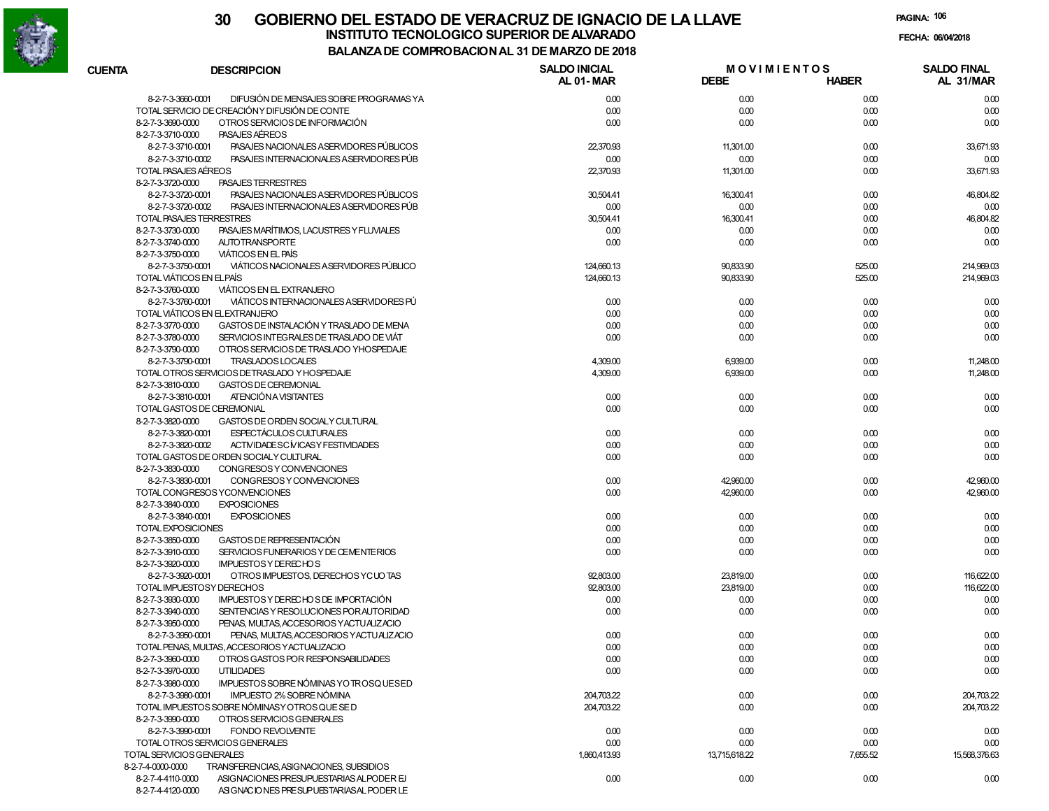

| <b>CUENTA</b>                          | <b>DESCRIPCION</b>                               | <b>SALDO INICIAL</b><br>AL 01-MAR | <b>MOVIMIENTOS</b><br><b>DEBE</b> | <b>HABER</b> | <b>SALDO FINAL</b><br>AL 31/MAR |
|----------------------------------------|--------------------------------------------------|-----------------------------------|-----------------------------------|--------------|---------------------------------|
| 8-2-7-3-3660-0001                      | DIFUSIÓN DE MENSAJES SOBRE PROGRAMAS YA          | 0.00                              | 0.00                              | 0.00         | 0.00                            |
|                                        | TOTAL SERVICIO DE CREACIÓN Y DIFUSIÓN DE CONTE   | 0.00                              | 0.00                              | 0.00         | 0.00                            |
| 8-2-7-3-3690-0000<br>8-2-7-3-3710-0000 | OTROS SERVICIOS DE INFORMACIÓN<br>PASAJES AEREOS | 0.00                              | 0.00                              | 0.00         | 0.00                            |
| 8-2-7-3-3710-0001                      | PASAJES NACIONALES A SERVIDORES PÚBLICOS         | 22,370.93                         | 11,301.00                         | 0.00         | 33,671.93                       |
| 8-2-7-3-3710-0002                      | PASAJES INTERNACIONALES ASERVIDORES PÚB          | 0.00                              | 0.00                              | 0.00         | 0.00                            |
|                                        | TOTAL PASAJES AÉREOS                             |                                   |                                   |              | 33,671.93                       |
|                                        |                                                  | 22,370.93                         | 11,301.00                         | 0.00         |                                 |
| 8-2-7-3-3720-0000                      | PASAJES TERRESTRES                               |                                   |                                   |              |                                 |
| 8-2-7-3-3720-0001                      | PASAJES NACIONALES A SERVIDORES PÚBLICOS         | 30,504.41                         | 16,300.41                         | 0.00         | 46,804.82                       |
| 8-2-7-3-3720-0002                      | PASAJES INTERNACIONALES ASERVIDORES PÚB          | 0.00                              | 0.00                              | 0.00         | 0.00                            |
|                                        | TOTAL PASAJES TERRESTRES                         | 30,504.41                         | 16,300.41                         | 0.00         | 46,804.82                       |
| 8-2-7-3-3730-0000                      | PASAJES MARÍTIMOS, LACUSTRES Y FLUVIALES         | 0.00                              | 0.00                              | 0.00         | 0.00                            |
| 8-2-7-3-3740-0000                      | <b>AUTOTRANSPORTE</b>                            | 0.00                              | 0.00                              | 0.00         | 0.00                            |
| 8-2-7-3-3750-0000                      | <b>VIÁTICOS EN EL PAÍS</b>                       |                                   |                                   |              |                                 |
| 8-2-7-3-3750-0001                      | VIÁTICOS NACIONALES A SERVIDORES PÚBLICO         | 124,660.13                        | 90,833.90                         | 525.00       | 214,969.03                      |
|                                        | TOTAL VIÁTICOS EN ELPAÍS                         | 124,660.13                        | 90,833.90                         | 525.00       | 214,969.03                      |
| 8-2-7-3-3760-0000                      | VIÁTICOS EN EL EXTRANJERO                        |                                   |                                   |              |                                 |
| 8-2-7-3-3760-0001                      | VIÁTICOS INTERNACIONALES ASERVIDORES PÚ          | 0.00                              | 0.00                              | 0.00         | 0.00                            |
|                                        | TOTAL VIÁTICOS EN EL EXTRANJERO                  | 0.00                              | 0.00                              | 0.00         | 0.00                            |
| 8-2-7-3-3770-0000                      | GASTOS DE INSTALACIÓN Y TRASLADO DE MENA         | 0.00                              | 0.00                              | 0.00         | 0.00                            |
| 8-2-7-3-3780-0000                      | SERVICIOS INTEGRALES DE TRASLADO DE VIÁT         | 0.00                              | 0.00                              | 0.00         | 0.00                            |
| 8-2-7-3-3790-0000                      | OTROS SERVICIOS DE TRASLADO YHOSPEDAJE           |                                   |                                   |              |                                 |
| 8-2-7-3-3790-0001                      | TRASLADOS LOCALES                                | 4,309.00                          | 6,939.00                          | 0.00         | 11,248.00                       |
|                                        | TOTAL OTROS SERVICIOS DETRASLADO Y HOSPEDAJE     | 4,309.00                          | 6,939.00                          | 0.00         | 11,248.00                       |
| 8-2-7-3-3810-0000                      | GASTOS DE CEREMONIAL                             |                                   |                                   |              |                                 |
| 8-2-7-3-3810-0001                      | ATENCIÓN A VISITANTES                            | 0.00                              | 0.00                              | 0.00         | 0.00                            |
|                                        | TOTAL GASTOS DE CEREMONIAL                       | 0.00                              | 0.00                              | 0.00         | 0.00                            |
| 8-2-7-3-3820-0000                      | GASTOS DE ORDEN SOCIALY CULTURAL                 |                                   |                                   |              |                                 |
| 8-2-7-3-3820-0001                      | <b>ESPECTÁCULOS CULTURALES</b>                   | 0.00                              | 0.00                              | 0.00         | 0.00                            |
| 8-2-7-3-3820-0002                      | ACTIVIDADESC MICASY FESTIVIDADES                 | 0.00                              | 0.00                              | 0.00         | 0.00                            |
|                                        | TOTAL GASTOS DE ORDEN SOCIALY CULTURAL           | 0.00                              | 0.00                              | 0.00         | 0.00                            |
| 8-2-7-3-3830-0000                      | CONGRESOS Y CONVENCIONES                         |                                   |                                   |              |                                 |
| 8-2-7-3-3830-0001                      | CONGRESOS Y CONVENCIONES                         | 0.00                              | 42,960.00                         | 0.00         | 42,960.00                       |
|                                        | TOTAL CONGRESOS YCONVENCIONES                    | 0.00                              | 42,960.00                         | 0.00         | 42,960.00                       |
| 8-2-7-3-3840-0000                      | <b>EXPOSICIONES</b>                              |                                   |                                   |              |                                 |
| 8-2-7-3-3840-0001                      | <b>EXPOSICIONES</b>                              | 0.00                              | 0.00                              | 0.00         | 0.00                            |
| TOTAL EXPOSICIONES                     |                                                  | 0.00                              | 0.00                              | 0.00         | 0.00                            |
| 8-2-7-3-3850-0000                      | GASTOS DE REPRESENTACIÓN                         | 0.00                              | 0.00                              | 0.00         | 0.00                            |
| 8-2-7-3-3910-0000                      | SERVICIOS FUNERARIOS Y DE CEMENTERIOS            | 0.00                              | 0.00                              | 0.00         | 0.00                            |
| 8-2-7-3-3920-0000                      | <b>IMPUESTOS Y DERECHOS</b>                      |                                   |                                   |              |                                 |
| 8-2-7-3-3920-0001                      | OTROS IMPUESTOS, DERECHOS YCUOTAS                | 92,803.00                         | 23,819.00                         | 0.00         | 116,622.00                      |
|                                        | TOTAL IMPUESTOSY DERECHOS                        | 92,803.00                         | 23,819.00                         | 0.00         | 116,622.00                      |
| 8-2-7-3-3930-0000                      | IMPUESTOS Y DE RECHOS DE IMPORTACIÓN             | 0.00                              | 0.00                              | 0.00         | 0.00                            |
| 8-2-7-3-3940-0000                      | SENTENCIAS Y RESOLUCIONES POR AUTORIDAD          | 0.00                              | 0.00                              | 0.00         | 0.00                            |
| 8-2-7-3-3950-0000                      | PENAS, MULTAS, ACCESORIOS YACTUALIZACIO          |                                   |                                   |              |                                 |
| 8-2-7-3-3950-0001                      | PENAS, MULTAS, ACCESORIOS YACTUALIZACIO          | 0.00                              | 0.00                              | 0.00         | 0.00                            |
|                                        | TOTAL PENAS, MULTAS, ACCESORIOS YACTUALIZACIO    | 0.00                              | 0.00                              | 0.00         | 0.00                            |
| 8-2-7-3-3960-0000                      | OTROS GASTOS POR RESPONSABILIDADES               |                                   |                                   |              |                                 |
|                                        |                                                  | 0.00                              | 0.00                              | 0.00         | 0.00                            |
| 8-2-7-3-3970-0000                      | <b>UTILIDADES</b>                                | 0.00                              | 0.00                              | 0.00         | 0.00                            |
| 8-2-7-3-3980-0000                      | IMPUESTOS SOBRE NÓMINAS YO TROSQUESED            |                                   |                                   |              |                                 |
| 8-2-7-3-3980-0001                      | IMPUESTO 2% SOBRE NÓMINA                         | 204,703.22                        | 0.00                              | 0.00         | 204,703.22                      |
|                                        | TOTAL IMPUESTOS SOBRE NÓMINASY OTROS QUE SE D    | 204,703.22                        | 0.00                              | 0.00         | 204,703.22                      |
| 8-2-7-3-3990-0000                      | OTROS SERVICIOS GENERALES                        |                                   |                                   |              |                                 |
| 8-2-7-3-3990-0001                      | <b>FONDO REVOLVENTE</b>                          | 0.00                              | 0.00                              | 0.00         | 0.00                            |
|                                        | TOTAL OTROS SERVICIOS GENERALES                  | 0.00                              | 0.00                              | 0.00         | 0.00                            |
|                                        | TOTAL SERVICIOS GENERALES                        | 1,860,413.93                      | 13.715.618.22                     | 7,655.52     | 15,568,376.63                   |
| 8-2-7-4-0000-0000                      | TRANSFERENCIAS, ASIGNACIONES, SUBSIDIOS          |                                   |                                   |              |                                 |
| 8-2-7-4-4110-0000                      | ASIGNACIONES PRESUPUESTARIAS ALPODER EJ          | 0.00                              | 0.00                              | 0.00         | 0.00                            |
| 8-2-7-4-4120-0000                      | ASIGNACIONES PRESUPUESTARIAS AL PODER LE         |                                   |                                   |              |                                 |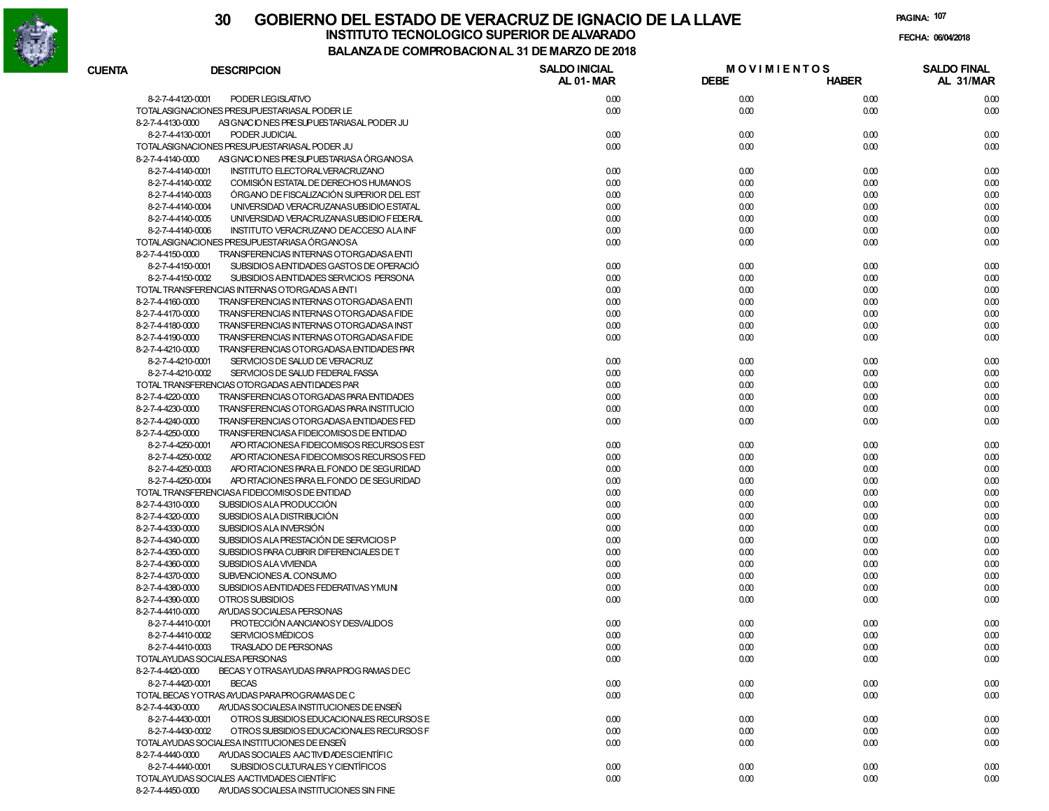

# **30 GOBIERNO DEL ESTADO DE VERACRUZ DE IGNACIO DE LA LLAVEINSTITUTO TECNOLOGICO SUPERIOR DE ALVARADO de la composición de la composición de la composición de la composición**<br>Dal aniza de composición da la de marzo de como **BALANZA DE COMPROBACION AL 31 DE MARZO DE 2018**

**PAGINA:107**

**FECHA:**

| <b>CUENTA</b> | <b>DESCRIPCION</b>                                            | <b>SALDO INICIAL</b> | <b>MOVIMIENTOS</b> |              | <b>SALDO FINAL</b> |
|---------------|---------------------------------------------------------------|----------------------|--------------------|--------------|--------------------|
|               |                                                               | <b>AL 01-MAR</b>     | <b>DEBE</b>        | <b>HABER</b> | AL 31/MAR          |
|               | 8-2-7-4-4120-0001<br>PODER LEGISLATIVO                        | 0.00                 | 0.00               | 0.00         | 0.00               |
|               | TOTALASIGNACIONES PRESUPUESTARIAS AL PODER LE                 | 0.00                 | 0.00               | 0.00         | 0.00               |
|               | 8-2-7-4-4130-0000<br>ASIGNACIONES PRESUPUESTARIAS AL PODER JU |                      |                    |              |                    |
|               | 8-2-7-4-4130-0001<br>PODER JUDICIAL                           | 0.00                 | 0.00               | 0.00         | 0.00               |
|               | TOTALASIGNACIONES PRESUPUESTARIAS AL PODER JU                 | 0.00                 | 0.00               | 0.00         | 0.00               |
|               | ASIGNACIONES PRESUPUESTARIASA ÓRGANOSA<br>8-2-7-4-4140-0000   |                      |                    |              |                    |
|               | INSTITUTO ELECTORALVERACRUZANO<br>8-2-7-4-4140-0001           | 0.00                 | 0.00               | 0.00         | 0.00               |
|               | COMISIÓN ESTATAL DE DERECHOS HUMANOS<br>8-2-7-4-4140-0002     | 0.00                 | 0.00               | 0.00         | 0.00               |
|               | ÓRGANO DE FISCALIZACIÓN SUPERIOR DEL EST<br>8-2-7-4-4140-0003 | 0.00                 | 0.00               | 0.00         | 0.00               |
|               | UNIVERSIDAD VERACRUZANASUBSIDIO ESTATAL<br>8-2-7-4-4140-0004  | 0.00                 | 0.00               | 0.00         | 0.00               |
|               | UNIVERSIDAD VERACRUZANASUBSIDIO FEDERAL<br>8-2-7-4-4140-0005  | 0.00                 | 0.00               | 0.00         | 0.00               |
|               | INSTITUTO VERACRUZANO DEACCESO ALA INF<br>8-2-7-4-4140-0006   | 0.00                 | 0.00               | 0.00         | 0.00               |
|               | TOTALASIGNACIONES PRESUPUESTARIASA ÓRGANOSA                   | 0.00                 | 0.00               | 0.00         | 0.00               |
|               | TRANSFERENCIAS INTERNAS OTORGADASA ENTI<br>8-2-7-4-4150-0000  |                      |                    |              |                    |
|               | 8-2-7-4-4150-0001<br>SUBSIDIOS AENTIDADES GASTOS DE OPERACIÓ  | 0.00                 | 0.00               | 0.00         | 0.00               |
|               | 8-2-7-4-4150-0002<br>SUBSIDIOS AENTIDADES SERVICIOS PERSONA   | 0.00                 | 0.00               | 0.00         | 0.00               |
|               | TOTAL TRANSFERENCIAS INTERNAS OTORGADAS A ENTI                | 0.00                 | 0.00               | 0.00         | 0.00               |
|               | 8-2-7-4-4160-0000<br>TRANSFERENCIAS INTERNAS OTORGADASA ENTI  | 0.00                 | 0.00               | 0.00         | 0.00               |
|               | 8-2-7-4-4170-0000<br>TRANSFERENCIAS INTERNAS OTORGADASA FIDE  | 0.00                 | 0.00               | 0.00         | 0.00               |
|               | 8-2-7-4-4180-0000<br>TRANSFERENCIAS INTERNAS OTORGADASA INST  | 0.00                 | 0.00               | 0.00         | 0.00               |
|               | 8-2-7-4-4190-0000<br>TRANSFERENCIAS INTERNAS OTORGADASA FIDE  | 0.00                 | 0.00               | 0.00         | 0.00               |
|               | 8-2-7-4-4210-0000<br>TRANSFERENCIAS OTORGADASA ENTIDADES PAR  |                      |                    |              |                    |
|               | 8-2-7-4-4210-0001<br>SERVICIOS DE SALUD DE VERACRUZ           | 0.00                 | 0.00               | 0.00         | 0.00               |
|               | 8-2-7-4-4210-0002<br>SERVICIOS DE SALUD FEDERAL FASSA         | 0.00                 | 0.00               | 0.00         | 0.00               |
|               | TOTAL TRANSFERENCIAS OTORGADAS AENTIDADES PAR                 | 0.00                 | 0.00               | 0.00         | 0.00               |
|               | 8-2-7-4-4220-0000<br>TRANSFERENCIAS OTORGADAS PARA ENTIDADES  | 0.00                 | 0.00               | 0.00         | 0.00               |
|               | 8-2-7-4-4230-0000<br>TRANSFERENCIAS OTORGADAS PARA INSTITUCIO | 0.00                 | 0.00               | 0.00         | 0.00               |
|               | 8-2-7-4-4240-0000<br>TRANSFERENCIAS OTORGADASA ENTIDADES FED  | 0.00                 | 0.00               | 0.00         | 0.00               |
|               | 8-2-7-4-4250-0000<br>TRANSFERENCIASA FIDEICOMISOS DE ENTIDAD  |                      |                    |              |                    |
|               | 8-2-7-4-4250-0001<br>APO RTACIONESA FIDEICOMISOS RECURSOS EST | 0.00                 | 0.00               | 0.00         | 0.00               |
|               | 8-2-7-4-4250-0002<br>APO RTACIONESA FIDEICOMISOS RECURSOS FED | 0.00                 | 0.00               | 0.00         | 0.00               |
|               | 8-2-7-4-4250-0003<br>APO RTACIONES PARA EL FONDO DE SEGURIDAD | 0.00                 | 0.00               | 0.00         | 0.00               |
|               | 8-2-7-4-4250-0004<br>APO RTACIONES PARA EL FONDO DE SEGURIDAD | 0.00                 | 0.00               | 0.00         | 0.00               |
|               | TOTAL TRANSFERENCIASA FIDEICOMISOS DE ENTIDAD                 | 0.00                 | 0.00               | 0.00         | 0.00               |
|               | SUBSIDIOS ALA PRODUCCIÓN<br>8-2-7-4-4310-0000                 | 0.00                 | 0.00               | 0.00         | 0.00               |
|               | SUBSIDIOS ALA DISTRIBUCIÓN<br>8-2-7-4-4320-0000               | 0.00                 | 0.00               | 0.00         | 0.00               |
|               | SUBSIDIOS ALA INVERSIÓN<br>8-2-7-4-4330-0000                  | 0.00                 | 0.00               | 0.00         | 0.00               |
|               | SUBSIDIOS ALA PRESTACIÓN DE SERVICIOS P<br>8-2-7-4-4340-0000  | 0.00                 | 0.00               | 0.00         | 0.00               |
|               | 8-2-7-4-4350-0000<br>SUBSIDIOS PARA CUBRIR DIFERENCIALES DE T | 0.00                 | 0.00               | 0.00         | 0.00               |
|               | 8-2-7-4-4360-0000<br>SUBSIDIOS ALA VIVIENDA                   | 0.00                 | 0.00               | 0.00         | 0.00               |
|               | 8-2-7-4-4370-0000<br>SUBVENCIONES AL CONSUMO                  | 0.00                 | 0.00               | 0.00         | 0.00               |
|               | 8-2-7-4-4380-0000<br>SUBSIDIOS AENTIDADES FEDERATIVAS YMUNI   | 0.00                 | 0.00               | 0.00         | 0.00               |
|               | 8-2-7-4-4390-0000<br>OTROS SUBSIDIOS                          | 0.00                 | 0.00               | 0.00         | 0.00               |
|               | 8-2-7-4-4410-0000<br>AYUDAS SOCIALESA PERSONAS                |                      |                    |              |                    |
|               | PROTECCIÓN AANCIANOSY DESVALIDOS<br>8-2-7-4-4410-0001         | 0.00                 | 0.00               | 0.00         | 0.00               |
|               | <b>SERVICIOS MÉDICOS</b><br>8-2-7-4-4410-0002                 | 0.00                 | 0.00               | 0.00         | 0.00               |
|               | TRASLADO DE PERSONAS<br>8-2-7-4-4410-0003                     | 0.00                 | 0.00               | 0.00         | 0.00               |
|               | TOTALAYUDAS SOCIALESA PERSONAS                                | 0.00                 | 0.00               | 0.00         | 0.00               |
|               | 8-2-7-4-4420-0000<br>BECAS Y OTRASAYUDAS PARA PROGRAMAS DEC   |                      |                    |              |                    |
|               | 8-2-7-4-4420-0001<br><b>BECAS</b>                             | 0.00                 | 0.00               | 0.00         | 0.00               |
|               | TOTAL BECAS YOTRAS AYUDAS PARA PROGRAMAS DE C                 | 0.00                 | 0.00               | 0.00         | 0.00               |
|               | 8-2-7-4-4430-0000<br>AYUDAS SOCIALESA INSTITUCIONES DE ENSEÑ  |                      |                    |              |                    |
|               | 8-2-7-4-4430-0001<br>OTROS SUBSIDIOS EDUCACIONALES RECURSOS E | 0.00                 | 0.00               | 0.00         | 0.00               |
|               | 8-2-7-4-4430-0002<br>OTROS SUBSIDIOS EDUCACIONALES RECURSOS F | 0.00                 | 0.00               | 0.00         | 0.00               |
|               | TOTALAYUDAS SOCIALESA INSTITUCIONES DE ENSEÑ                  | 0.00                 | 0.00               | 0.00         | 0.00               |
|               | AYUDAS SOCIALES AACTIVIDADES CIENTÍFIC<br>8-2-7-4-4440-0000   |                      |                    |              |                    |
|               | SUBSIDIOS CULTURALES Y CIENTÍFICOS<br>8-2-7-4-4440-0001       | 0.00                 | 0.00               | 0.00         | 0.00               |
|               | TOTALAYUDAS SOCIALES AACTIVIDADES CIENTÍFIC                   | 0.00                 | 0.00               | 0.00         | 0.00               |
|               | AYUDAS SOCIALESA INSTITUCIONES SIN FINE<br>8-2-7-4-4450-0000  |                      |                    |              |                    |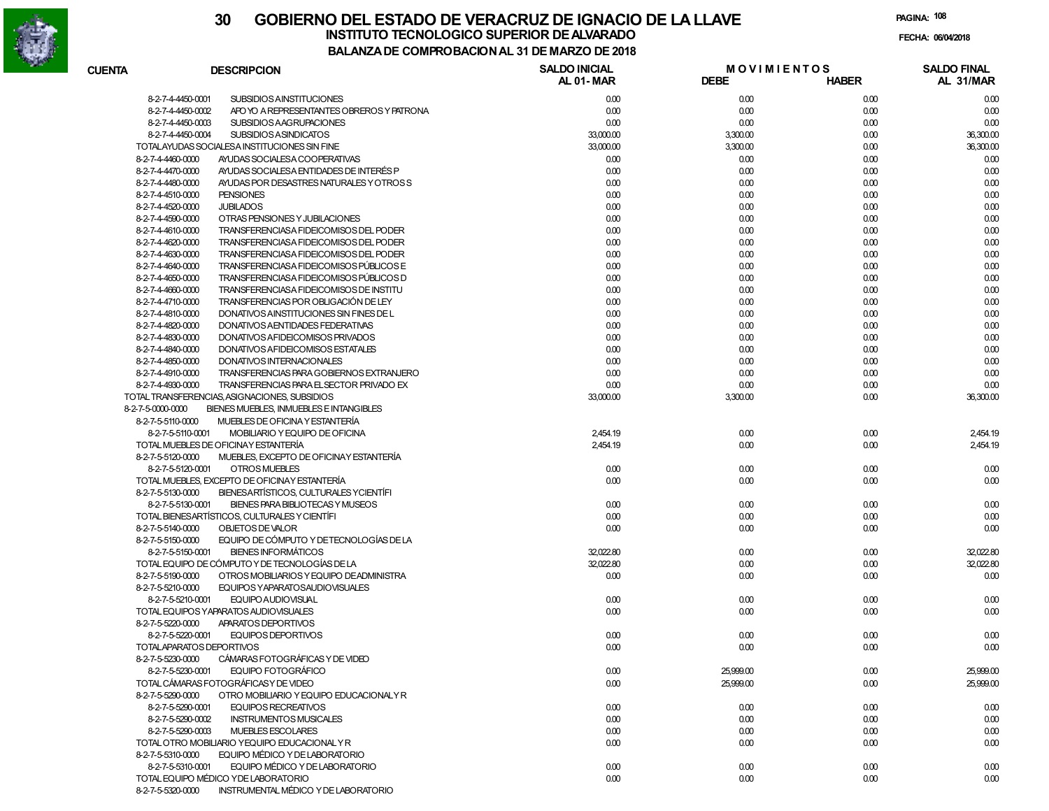

# **30 GOBIERNO DEL ESTADO DE VERACRUZ DE IGNACIO DE LA LLAVEFECHA: 06/04/2018 INSTITUTO TECNOLOGICO SUPERIOR DE ALVARADO**

**PAGINA:108**

| CUENTA                   | <b>DESCRIPCION</b>                             | <b>SALDO INICIAL</b><br><b>AL 01-MAR</b> | <b>MOVIMIENTOS</b><br><b>DEBE</b> | <b>HABER</b> | <b>SALDO FINAL</b><br>AL 31/MAR |
|--------------------------|------------------------------------------------|------------------------------------------|-----------------------------------|--------------|---------------------------------|
| 8-2-7-4-4450-0001        | <b>SUBSIDIOS AINSTITUCIONES</b>                | 0.00                                     | 0.00                              | 0.00         | 0.00                            |
| 8-2-7-4-4450-0002        | APO YO A REPRESENTANTES OBREROS Y PATRONA      | 0.00                                     | 0.00                              | 0.00         | 0.00                            |
| 8-2-7-4-4450-0003        | SUBSIDIOS AAGRUPACIONES                        | 0.00                                     | 0.00                              | 0.00         | 0.00                            |
| 8-2-7-4-4450-0004        | <b>SUBSIDIOS ASINDICATOS</b>                   | 33,000.00                                | 3,300.00                          | 0.00         | 36,300.00                       |
|                          | TOTALAYUDAS SOCIALESA INSTITUCIONES SIN FINE   | 33,000.00                                | 3,300.00                          | 0.00         | 36,300.00                       |
| 8-2-7-4-4460-0000        | AYUDAS SOCIALESA COOPERATIVAS                  | 0.00                                     | 0.00                              | 0.00         | 0.00                            |
| 8-2-7-4-4470-0000        | AYUDAS SOCIALESA ENTIDADES DE INTERÉS P        | 0.00                                     | 0.00                              | 0.00         | 0.00                            |
| 8-2-7-4-4480-0000        | AYUDAS POR DESASTRES NATURALES Y OTROSS        | 0.00                                     | 0.00                              | 0.00         | 0.00                            |
| 8-2-7-4-4510-0000        | <b>PENSIONES</b>                               | 0.00                                     | 0.00                              | 0.00         | 0.00                            |
| 8-2-7-4-4520-0000        | <b>JUBILADOS</b>                               | 0.00                                     | 0.00                              | 0.00         | 0.00                            |
| 8-2-7-4-4590-0000        | OTRAS PENSIONES Y JUBILACIONES                 | 0.00                                     | 0.00                              | 0.00         | 0.00                            |
| 8-2-7-4-4610-0000        | TRANSFERENCIASA FIDEICOMISOS DEL PODER         | 0.00                                     | 0.00                              | 0.00         | 0.00                            |
| 8-2-7-4-4620-0000        | TRANSFERENCIASA FIDEICOMISOS DEL PODER         | 0.00                                     | 0.00                              | 0.00         | 0.00                            |
|                          |                                                |                                          |                                   |              |                                 |
| 8-2-7-4-4630-0000        | TRANSFERENCIASA FIDEICOMISOS DEL PODER         | 0.00                                     | 0.00                              | 0.00         | 0.00                            |
| 8-2-7-4-4640-0000        | TRANSFERENCIASA FIDEICOMISOS PÚBLICOS E        | 0.00                                     | 0.00                              | 0.00         | 0.00                            |
| 8-2-7-4-4650-0000        | TRANSFERENCIASA FIDEICOMISOS PÚBLICOS D        | 0.00                                     | 0.00                              | 0.00         | 0.00                            |
| 8-2-7-4-4660-0000        | TRANSFERENCIASA FIDEICOMISOS DE INSTITU        | 0.00                                     | 0.00                              | 0.00         | 0.00                            |
| 8-2-7-4-4710-0000        | TRANSFERENCIAS POR OBLIGACIÓN DE LEY           | 0.00                                     | 0.00                              | 0.00         | 0.00                            |
| 8-2-7-4-4810-0000        | DONATIVOS AINSTITUCIONES SIN FINES DE L        | 0.00                                     | 0.00                              | 0.00         | 0.00                            |
| 8-2-7-4-4820-0000        | DONATIVOS AENTIDADES FEDERATIVAS               | 0.00                                     | 0.00                              | 0.00         | 0.00                            |
| 8-2-7-4-4830-0000        | DONATIVOS A FIDEICOMISOS PRIVADOS              | 0.00                                     | 0.00                              | 0.00         | 0.00                            |
| 8-2-7-4-4840-0000        | DONATIVOS A FIDEICOMISOS ESTATALES             | 0.00                                     | 0.00                              | 0.00         | 0.00                            |
| 8-2-7-4-4850-0000        | DONATIVOS INTERNACIONALES                      | 0.00                                     | 0.00                              | 0.00         | 0.00                            |
| 8-2-7-4-4910-0000        | TRANSFERENCIAS PARA GOBIERNOS EXTRANJERO       | 0.00                                     | 0.00                              | 0.00         | 0.00                            |
| 8-2-7-4-4930-0000        | TRANSFERENCIAS PARA EL SECTOR PRIVADO EX       | 0.00                                     | 0.00                              | 0.00         | 0.00                            |
|                          | TOTAL TRANSFERENCIAS, ASIGNACIONES, SUBSIDIOS  | 33,000.00                                | 3,300.00                          | 0.00         | 36,300.00                       |
| 8-2-7-5-0000-0000        | BIENES MUEBLES, INMUEBLES E INTANGIBLES        |                                          |                                   |              |                                 |
| 8-2-7-5-5110-0000        | MUEBLES DE OFICINA Y ESTANTERÍA                |                                          |                                   |              |                                 |
| 8-2-7-5-5110-0001        | MOBILIARIO Y EQUIPO DE OFICINA                 | 2,454.19                                 | 0.00                              | 0.00         | 2,454.19                        |
|                          | TOTAL MUEBLES DE OFICINAY ESTANTERÍA           | 2,454.19                                 | 0.00                              | 0.00         | 2,454.19                        |
| 8-2-7-5-5120-0000        | MUEBLES, EXCEPTO DE OFICINAY ESTANTERÍA        |                                          |                                   |              |                                 |
| 8-2-7-5-5120-0001        | OTROS MUEBLES                                  | 0.00                                     | 0.00                              | 0.00         | 0.00                            |
|                          | TOTAL MUEBLES, EXCEPTO DE OFICINAY ESTANTERÍA  | 0.00                                     | 0.00                              | 0.00         | 0.00                            |
| 8-2-7-5-5130-0000        | BIENESARTÍSTICOS, CULTURALES YCIENTÍFI         |                                          |                                   |              |                                 |
| 8-2-7-5-5130-0001        | BIENES PARA BIBLIOTECAS Y MUSEOS               | 0.00                                     | 0.00                              | 0.00         | 0.00                            |
|                          | TOTAL BIENESARTÍSTICOS, CULTURALES Y CIENTÍFI  | 0.00                                     | 0.00                              | 0.00         | 0.00                            |
| 8-2-7-5-5140-0000        | OBJETOS DE VALOR                               | 0.00                                     | 0.00                              | 0.00         | 0.00                            |
| 8-2-7-5-5150-0000        | EQUIPO DE CÓMPUTO Y DE TECNOLOGÍAS DE LA       |                                          |                                   |              |                                 |
| 8-2-7-5-5150-0001        | <b>BIENES INFORMÁTICOS</b>                     | 32,022.80                                | 0.00                              | 0.00         | 32,022.80                       |
|                          | TOTAL EQUIPO DE CÓMPUTO Y DE TECNOLOGÍAS DE LA | 32.022.80                                | 0.00                              | 0.00         | 32.022.80                       |
| 8-2-7-5-5190-0000        |                                                | 0.00                                     |                                   |              |                                 |
|                          | OTROS MOBILIARIOS Y EQUIPO DE ADMINISTRA       |                                          | 0.00                              | 0.00         | 0.00                            |
| 8-2-7-5-5210-0000        | EQUIPOS YAPARATOSAUDIOVISUALES                 |                                          |                                   |              |                                 |
| 8-2-7-5-5210-0001        | <b>EQUIPO AUDIOVISUAL</b>                      | 0.00                                     | 0.00                              | 0.00         | 0.00                            |
|                          | TOTAL EQUIPOS YAPARATOS AUDIOVISUALES          | 0.00                                     | 0.00                              | 0.00         | 0.00                            |
| 8-2-7-5-5220-0000        | APARATOS DEPORTIVOS                            |                                          |                                   |              |                                 |
| 8-2-7-5-5220-0001        | EQUIPOS DEPORTIVOS                             | 0.00                                     | 0.00                              | 0.00         | 0.00                            |
| TOTALAPARATOS DEPORTIVOS |                                                | 0.00                                     | 0.00                              | 0.00         | 0.00                            |
| 8-2-7-5-5230-0000        | CÁMARAS FOTOGRÁFICAS Y DE VIDEO                |                                          |                                   |              |                                 |
| 8-2-7-5-5230-0001        | EQUIPO FOTOGRÁFICO                             | 0.00                                     | 25,999.00                         | 0.00         | 25,999.00                       |
|                          | TOTAL CÁMARAS FOTOGRÁFICAS Y DE VIDEO          | 0.00                                     | 25,999.00                         | 0.00         | 25,999.00                       |
| 8-2-7-5-5290-0000        | OTRO MOBILIARIO Y EQUIPO EDUCACIONALY R        |                                          |                                   |              |                                 |
| 8-2-7-5-5290-0001        | EQUIPOS RECREATIVOS                            | 0.00                                     | 0.00                              | 0.00         | 0.00                            |
| 8-2-7-5-5290-0002        | <b>INSTRUMENTOS MUSICALES</b>                  | 0.00                                     | 0.00                              | 0.00         | 0.00                            |
| 8-2-7-5-5290-0003        | MUEBLES ESCOLARES                              | 0.00                                     | 0.00                              | 0.00         | 0.00                            |
|                          | TOTAL OTRO MOBILIARIO YEQUIPO EDUCACIONAL Y R  | 0.00                                     | 0.00                              | 0.00         | 0.00                            |
| 8-2-7-5-5310-0000        | EQUIPO MÉDICO Y DE LABORATORIO                 |                                          |                                   |              |                                 |
| 8-2-7-5-5310-0001        | EQUIPO MÉDICO Y DE LABORATORIO                 | 0.00                                     | 0.00                              | 0.00         | 0.00                            |
|                          | TOTAL EQUIPO MÉDICO YDE LABORATORIO            | 0.00                                     | 0.00                              | 0.00         | 0.00                            |
| 8-2-7-5-5320-0000        | INSTRUMENTAL MÉDICO Y DE LABORATORIO           |                                          |                                   |              |                                 |
|                          |                                                |                                          |                                   |              |                                 |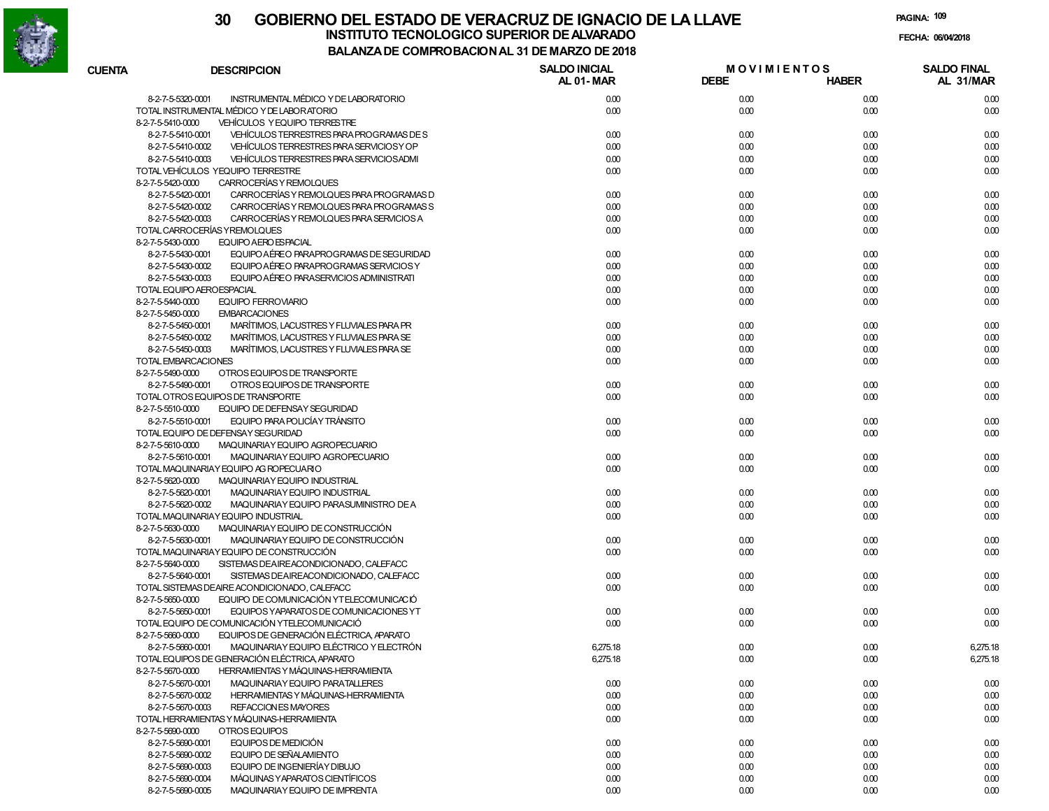

# **30 GOBIERNO DEL ESTADO DE VERACRUZ DE IGNACIO DE LA LLAVEINSTITUTO TECNOLOGICO SUPERIOR DE ALVARADO de la composición de la composición de la composición de la composición**<br>Dal aniza de compocidade de la caldeira de segona

**PAGINA:109**

**FECHA:**

| BALANZA DE COMPROBACION AL 31 DE MARZO DE 2018 |  |
|------------------------------------------------|--|
|------------------------------------------------|--|

| <b>CUENTA</b> | <b>DESCRIPCION</b>                                                                         | <b>SALDO INICIAL</b><br>AL 01-MAR | <b>MOVIMIENTOS</b><br><b>DEBE</b> | <b>HABER</b> | <b>SALDO FINAL</b><br>AL 31/MAR |
|---------------|--------------------------------------------------------------------------------------------|-----------------------------------|-----------------------------------|--------------|---------------------------------|
|               | INSTRUMENTAL MÉDICO Y DE LABORATORIO<br>8-2-7-5-5320-0001                                  | 0.00                              | 0.00                              | 0.00         | 0.00                            |
|               | TOTAL INSTRUMENTAL MÉDICO Y DE LABORATORIO                                                 | 0.00                              | 0.00                              | 0.00         | 0.00                            |
|               | VEHÍCULOS Y EQUIPO TERRESTRE<br>8-2-7-5-5410-0000                                          |                                   |                                   |              |                                 |
|               | VEHÍCULOS TERRESTRES PARA PROGRAMAS DE S<br>8-2-7-5-5410-0001                              | 0.00                              | 0.00                              | 0.00         | 0.00                            |
|               | VEHÍCULOS TERRESTRES PARA SERVICIOS Y OP<br>8-2-7-5-5410-0002                              | 0.00                              | 0.00                              | 0.00         | 0.00                            |
|               | VEHÍCULOS TERRESTRES PARA SERVICIOS ADMI<br>8-2-7-5-5410-0003                              | 0.00                              | 0.00                              | 0.00         | 0.00                            |
|               | TOTAL VEHÍCULOS YEQUIPO TERRESTRE                                                          | 0.00                              | 0.00                              | 0.00         | 0.00                            |
|               | CARROCERÍAS Y REMOLQUES<br>8-2-7-5-5420-0000                                               |                                   |                                   |              |                                 |
|               | CARROCERÍAS Y REMOLQUES PARA PROGRAMAS D<br>8-2-7-5-5420-0001                              | 0.00                              | 0.00                              | 0.00         | 0.00                            |
|               | CARROCERÍAS Y REMOLQUES PARA PROGRAMAS S<br>8-2-7-5-5420-0002                              | 0.00                              | 0.00                              | 0.00         | 0.00                            |
|               | CARROCERÍAS Y REMOLQUES PARA SERVICIOS A<br>8-2-7-5-5420-0003                              | 0.00                              | 0.00                              | 0.00         | 0.00                            |
|               | TOTAL CARROCERÍAS Y REMOLQUES                                                              | 0.00                              | 0.00                              | 0.00         | 0.00                            |
|               | EQUIPO A ERO ESPACIAL<br>8-2-7-5-5430-0000                                                 |                                   |                                   |              |                                 |
|               | EQUIPO AÉREO PARAPROGRAMAS DE SEGURIDAD<br>8-2-7-5-5430-0001                               | 0.00                              | 0.00                              | 0.00         | 0.00                            |
|               | EQUIPO AÉREO PARAPROGRAMAS SERVICIOS Y<br>8-2-7-5-5430-0002                                | 0.00                              | 0.00                              | 0.00         | 0.00                            |
|               | EQUIPO AÉREO PARASERVICIOS ADMINISTRATI<br>8-2-7-5-5430-0003                               | 0.00                              | 0.00                              | 0.00         | 0.00                            |
|               | TOTAL EQUIPO AEROESPACIAL                                                                  | 0.00                              | 0.00                              | 0.00         | 0.00                            |
|               | <b>EQUIPO FERROVIARIO</b><br>8-2-7-5-5440-0000                                             | 0.00                              | 0.00                              | 0.00         | 0.00                            |
|               | 8-2-7-5-5450-0000<br><b>EMBARCACIONES</b>                                                  |                                   |                                   |              |                                 |
|               | 8-2-7-5-5450-0001<br>MARÍTIMOS, LACUSTRES Y FLUVIALES PARA PR                              | 0.00                              | 0.00                              | 0.00         | 0.00                            |
|               | 8-2-7-5-5450-0002<br>MARÍTIMOS, LACUSTRES Y FLUVIALES PARA SE                              | 0.00                              | 0.00                              | 0.00         | 0.00                            |
|               | 8-2-7-5-5450-0003<br>MARÍTIMOS, LACUSTRES Y FLUVIALES PARA SE                              | 0.00                              | 0.00                              | 0.00         | 0.00                            |
|               | <b>TOTAL EMBARCACIONES</b>                                                                 | 0.00                              | 0.00                              | 0.00         | 0.00                            |
|               | 8-2-7-5-5490-0000<br>OTROS EQUIPOS DE TRANSPORTE                                           |                                   |                                   |              |                                 |
|               | OTROS EQUIPOS DE TRANSPORTE<br>8-2-7-5-5490-0001                                           | 0.00                              | 0.00                              | 0.00         | 0.00                            |
|               | TOTAL OTROS EQUIPOS DE TRANSPORTE                                                          | 0.00                              | 0.00                              | 0.00         | 0.00                            |
|               | 8-2-7-5-5510-0000<br>EQUIPO DE DEFENSAY SEGURIDAD                                          |                                   |                                   |              |                                 |
|               | EQUIPO PARA POLICÍAY TRÁNSITO<br>8-2-7-5-5510-0001                                         | 0.00                              | 0.00                              | 0.00         | 0.00                            |
|               | TOTAL EQUIPO DE DEFENSAY SEGURIDAD<br>8-2-7-5-5610-0000<br>MAQUINARIAY EQUIPO AGROPECUARIO | 0.00                              | 0.00                              | 0.00         | 0.00                            |
|               | 8-2-7-5-5610-0001<br>MAQUINARIAY EQUIPO AGROPECUARIO                                       | 0.00                              | 0.00                              | 0.00         | 0.00                            |
|               | TOTAL MAQUINARIAY EQUIPO AG ROPECUARIO                                                     | 0.00                              | 0.00                              | 0.00         | 0.00                            |
|               | 8-2-7-5-5620-0000<br>MAQUINARIAY EQUIPO INDUSTRIAL                                         |                                   |                                   |              |                                 |
|               | 8-2-7-5-5620-0001<br>MAQUINARIAY EQUIPO INDUSTRIAL                                         | 0.00                              | 0.00                              | 0.00         | 0.00                            |
|               | 8-2-7-5-5620-0002<br>MAQUINARIAY EQUIPO PARASUMINISTRO DE A                                | 0.00                              | 0.00                              | 0.00         | 0.00                            |
|               | TOTAL MAQUINARIAY EQUIPO INDUSTRIAL                                                        | 0.00                              | 0.00                              | 0.00         | 0.00                            |
|               | 8-2-7-5-5630-0000<br>MAQUINARIAY EQUIPO DE CONSTRUCCIÓN                                    |                                   |                                   |              |                                 |
|               | 8-2-7-5-5630-0001<br>MAQUINARIAY EQUIPO DE CONSTRUCCIÓN                                    | 0.00                              | 0.00                              | 0.00         | 0.00                            |
|               | TOTAL MAQUINARIAY EQUIPO DE CONSTRUCCIÓN                                                   | 0.00                              | 0.00                              | 0.00         | 0.00                            |
|               | 8-2-7-5-5640-0000<br>SISTEMAS DEAIREACONDICIONADO, CALEFACC                                |                                   |                                   |              |                                 |
|               | 8-2-7-5-5640-0001<br>SISTEMAS DEAIREACONDICIONADO, CALEFACC                                | 0.00                              | 0.00                              | 0.00         | 0.00                            |
|               | TOTAL SISTEMAS DEAIRE ACONDICIONADO, CALEFACC                                              | 0.00                              | 0.00                              | 0.00         | 0.00                            |
|               | EQUIPO DE COMUNICACIÓN YTELECOMUNICACIÓ<br>8-2-7-5-5650-0000                               |                                   |                                   |              |                                 |
|               | 8-2-7-5-5650-0001<br>EQUIPOS YAPARATOS DE COMUNICACIONES YT                                | 0.00                              | 0.00                              | 0.00         | 0.00                            |
|               | TOTAL EQUIPO DE COMUNICACIÓN YTELECOMUNICACIÓ                                              | 0.00                              | 0.00                              | 0.00         | 0.00                            |
|               | EQUIPOS DE GENERACIÓN ELÉCTRICA, APARATO<br>8-2-7-5-5660-0000                              |                                   |                                   |              |                                 |
|               | MAQUINARIAY EQUIPO ELÉCTRICO Y ELECTRÓN<br>8-2-7-5-5660-0001                               | 6.275.18                          | 0.00                              | 0.00         | 6.275.18                        |
|               | TOTAL EQUIPOS DE GENERACIÓN ELÉCTRICA, APARATO                                             | 6,275.18                          | 0.00                              | 0.00         | 6,275.18                        |
|               | <b>HERRAMIENTAS Y MÁQUINAS-HERRAMIENTA</b><br>8-2-7-5-5670-0000                            |                                   |                                   |              |                                 |
|               | 8-2-7-5-5670-0001<br>MAQUINARIAY EQUIPO PARATALLERES                                       | 0.00                              | 0.00                              | 0.00         | 0.00                            |
|               | 8-2-7-5-5670-0002<br>HERRAMIENTAS Y MÁQUINAS-HERRAMIENTA                                   | 0.00                              | 0.00                              | 0.00         | 0.00                            |
|               | 8-2-7-5-5670-0003<br>REFACCION ES MAYORES                                                  | 0.00                              | 0.00                              | 0.00         | 0.00                            |
|               | TOTAL HERRAMIENTAS Y MÁQUINAS-HERRAMIENTA                                                  | 0.00                              | 0.00                              | 0.00         | 0.00                            |
|               | 8-2-7-5-5690-0000<br>OTROS EQUIPOS                                                         |                                   |                                   |              |                                 |
|               | 8-2-7-5-5690-0001<br>EQUIPOS DE MEDICIÓN                                                   | 0.00                              | 0.00                              | 0.00         | 0.00                            |
|               | EQUIPO DE SEÑALAMIENTO<br>8-2-7-5-5690-0002                                                | 0.00                              | 0.00                              | 0.00         | 0.00                            |
|               | 8-2-7-5-5690-0003<br>EQUIPO DE INGENIERÍAY DIBUJO                                          | 0.00                              | 0.00                              | 0.00         | 0.00                            |
|               | MÁQUINAS Y APARATOS CIENTÍFICOS<br>8-2-7-5-5690-0004                                       | 0.00                              | 0.00                              | 0.00         | 0.00                            |
|               | 8-2-7-5-5690-0005<br>MAQUINARIAY EQUIPO DE IMPRENTA                                        | 0.00                              | 0.00                              | 0.00         | 0.00                            |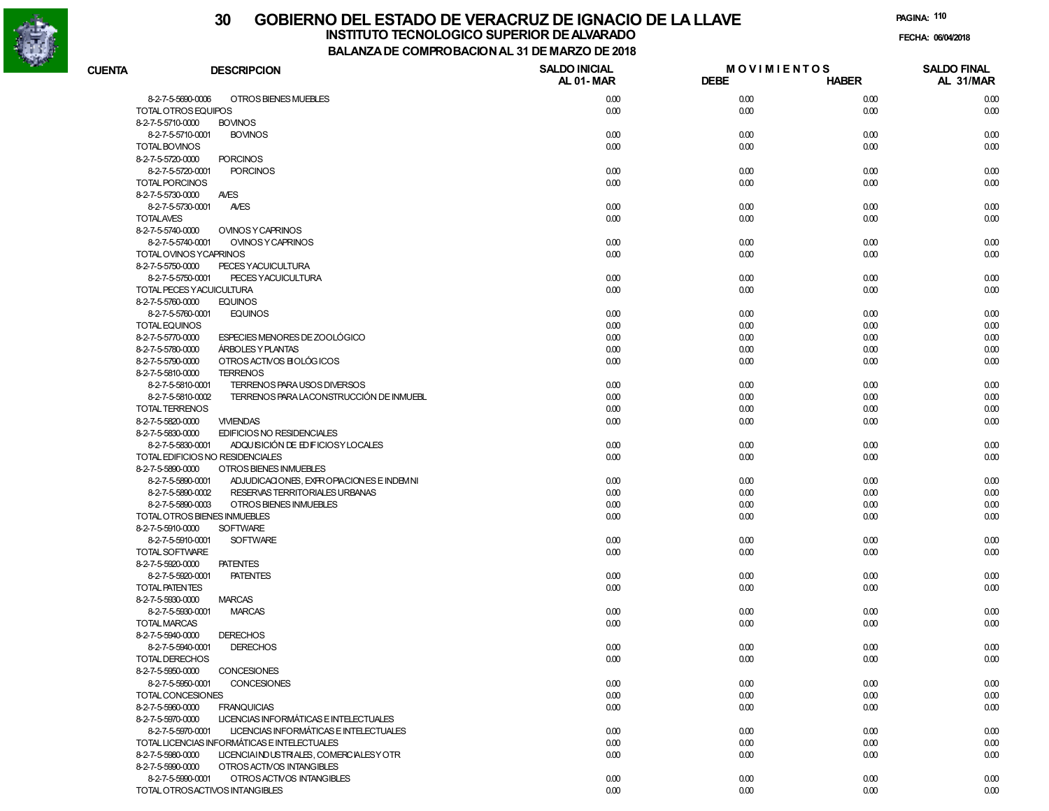

### **30 GOBIERNO DEL ESTADO DE VERACRUZ DE IGNACIO DE LA LLAVEINSTITUTO TECNOLOGICO SUPERIOR DE ALVARADO de la composición de la composición de la composición de la composición**<br>Dal aniza de compocidade de la caldeira de segona

**PAGINA:110**

**FECHA:**

**BALANZA DE COMPROBACION AL 31 DE MARZO DE 2018**

| <b>CUENTA</b>                          | <b>DESCRIPCION</b>                                                     | <b>SALDO INICIAL</b><br>AL 01-MAR | <b>MOVIMIENTOS</b><br><b>DEBE</b> | <b>HABER</b> | <b>SALDO FINAL</b><br>AL 31/MAR |
|----------------------------------------|------------------------------------------------------------------------|-----------------------------------|-----------------------------------|--------------|---------------------------------|
| 8-2-7-5-5690-0006                      | OTROS BIENES MUEBLES                                                   | 0.00                              | 0.00                              | 0.00         | 0.00                            |
| TOTAL OTROS EQUIPOS                    |                                                                        | 0.00                              | 0.00                              | 0.00         | 0.00                            |
| 8-2-7-5-5710-0000                      | <b>BOVINOS</b>                                                         |                                   |                                   |              |                                 |
| 8-2-7-5-5710-0001                      | <b>BOVINOS</b>                                                         | 0.00                              | 0.00                              | 0.00         | 0.00                            |
| <b>TOTAL BOVINOS</b>                   |                                                                        | 0.00                              | 0.00                              | 0.00         | 0.00                            |
| 8-2-7-5-5720-0000                      | <b>PORCINOS</b>                                                        |                                   |                                   |              |                                 |
| 8-2-7-5-5720-0001<br>TOTAL PORCINOS    | <b>PORCINOS</b>                                                        | 0.00<br>0.00                      | 0.00<br>0.00                      | 0.00<br>0.00 | 0.00<br>0.00                    |
| 8-2-7-5-5730-0000                      | <b>AVES</b>                                                            |                                   |                                   |              |                                 |
| 8-2-7-5-5730-0001                      | <b>AVES</b>                                                            | 0.00                              | 0.00                              | 0.00         | 0.00                            |
| <b>TOTALAVES</b>                       |                                                                        | 0.00                              | 0.00                              | 0.00         | 0.00                            |
| 8-2-7-5-5740-0000                      | <b>OVINOS Y CAPRINOS</b>                                               |                                   |                                   |              |                                 |
| 8-2-7-5-5740-0001                      | <b>OVINOS Y CAPRINOS</b>                                               | 0.00                              | 0.00                              | 0.00         | 0.00                            |
|                                        | TOTAL OVINOS YCAPRINOS                                                 | 0.00                              | 0.00                              | 0.00         | 0.00                            |
| 8-2-7-5-5750-0000                      | PECES YACUICULTURA                                                     |                                   |                                   |              |                                 |
| 8-2-7-5-5750-0001                      | PECES YACUICULTURA                                                     | 0.00                              | 0.00                              | 0.00         | 0.00                            |
|                                        | TOTAL PECES YACUICULTURA                                               | 0.00                              | 0.00                              | 0.00         | 0.00                            |
| 8-2-7-5-5760-0000                      | <b>EQUINOS</b>                                                         |                                   |                                   |              |                                 |
| 8-2-7-5-5760-0001                      | <b>EQUINOS</b>                                                         | 0.00                              | 0.00                              | 0.00         | 0.00                            |
| TOTAL EQUINOS                          |                                                                        | 0.00                              | 0.00                              | 0.00         | 0.00                            |
| 8-2-7-5-5770-0000                      | ESPECIES MENORES DE ZOOLÓGICO                                          | 0.00                              | 0.00                              | 0.00         | 0.00                            |
| 8-2-7-5-5780-0000                      | <b>ÁRBOLES Y PLANTAS</b>                                               | 0.00                              | 0.00                              | 0.00         | 0.00                            |
| 8-2-7-5-5790-0000                      | OTROS ACTIVOS BIOLÓGICOS                                               | 0.00                              | 0.00                              | 0.00         | 0.00                            |
| 8-2-7-5-5810-0000                      | <b>TERRENOS</b>                                                        |                                   |                                   |              |                                 |
| 8-2-7-5-5810-0001<br>8-2-7-5-5810-0002 | TERRENOS PARA USOS DIVERSOS<br>TERRENOS PARA LACONSTRUCCIÓN DE INMUEBL | 0.00<br>0.00                      | 0.00<br>0.00                      | 0.00<br>0.00 | 0.00<br>0.00                    |
| TOTAL TERRENOS                         |                                                                        | 0.00                              | 0.00                              | 0.00         | 0.00                            |
| 8-2-7-5-5820-0000                      | <b>VIVIENDAS</b>                                                       | 0.00                              | 0.00                              | 0.00         | 0.00                            |
| 8-2-7-5-5830-0000                      | EDIFICIOS NO RESIDENCIALES                                             |                                   |                                   |              |                                 |
| 8-2-7-5-5830-0001                      | ADQUISICIÓN DE EDIFICIOSY LOCALES                                      | 0.00                              | 0.00                              | 0.00         | 0.00                            |
|                                        | TOTAL EDIFICIOS NO RESIDENCIALES                                       | 0.00                              | 0.00                              | 0.00         | 0.00                            |
| 8-2-7-5-5890-0000                      | OTROS BIENES INMUEBLES                                                 |                                   |                                   |              |                                 |
| 8-2-7-5-5890-0001                      | ADJUDICACIONES, EXPROPIACIONES E INDEMNI                               | 0.00                              | 0.00                              | 0.00         | 0.00                            |
| 8-2-7-5-5890-0002                      | RESERVAS TERRITORIALES URBANAS                                         | 0.00                              | 0.00                              | 0.00         | 0.00                            |
| 8-2-7-5-5890-0003                      | OTROS BIENES INMUEBLES                                                 | 0.00                              | 0.00                              | 0.00         | 0.00                            |
|                                        | TOTAL OTROS BIENES INMUEBLES                                           | 0.00                              | 0.00                              | 0.00         | 0.00                            |
| 8-2-7-5-5910-0000                      | <b>SOFTWARE</b>                                                        |                                   |                                   |              |                                 |
| 8-2-7-5-5910-0001                      | <b>SOFTWARE</b>                                                        | 0.00                              | 0.00                              | 0.00         | 0.00                            |
| TOTAL SOFTWARE                         |                                                                        | 0.00                              | 0.00                              | 0.00         | 0.00                            |
| 8-2-7-5-5920-0000                      | <b>PATENTES</b>                                                        |                                   |                                   |              |                                 |
| 8-2-7-5-5920-0001                      | <b>PATENTES</b>                                                        | 0.00                              | 0.00                              | 0.00         | 0.00                            |
| TOTAL PATENTES<br>8-2-7-5-5930-0000    | <b>MARCAS</b>                                                          | 0.00                              | 0.00                              | 0.00         | 0.00                            |
| 8-2-7-5-5930-0001                      | <b>MARCAS</b>                                                          | 0.00                              | 0.00                              | 0.00         | 0.00                            |
| <b>TOTAL MARCAS</b>                    |                                                                        | 0.00                              | 0.00                              | 0.00         | 0.00                            |
| 8-2-7-5-5940-0000                      | <b>DERECHOS</b>                                                        |                                   |                                   |              |                                 |
| 8-2-7-5-5940-0001                      | <b>DERECHOS</b>                                                        | 0.00                              | 0.00                              | 0.00         | 0.00                            |
| TOTAL DERECHOS                         |                                                                        | 0.00                              | 0.00                              | 0.00         | 0.00                            |
| 8-2-7-5-5950-0000                      | <b>CONCESIONES</b>                                                     |                                   |                                   |              |                                 |
| 8-2-7-5-5950-0001                      | CONCESIONES                                                            | 0.00                              | 0.00                              | 0.00         | 0.00                            |
| TOTAL CONCESIONES                      |                                                                        | 0.00                              | 0.00                              | 0.00         | 0.00                            |
| 8-2-7-5-5960-0000                      | <b>FRANQUICIAS</b>                                                     | 0.00                              | 0.00                              | 0.00         | 0.00                            |
| 8-2-7-5-5970-0000                      | LICENCIAS INFORMÁTICAS E INTELECTUALES                                 |                                   |                                   |              |                                 |
| 8-2-7-5-5970-0001                      | LICENCIAS INFORMÁTICAS E INTELECTUALES                                 | 0.00                              | 0.00                              | 0.00         | 0.00                            |
|                                        | TOTAL LICENCIAS INFORMÁTICAS E INTELECTUALES                           | 0.00                              | 0.00                              | 0.00         | 0.00                            |
| 8-2-7-5-5980-0000                      | LICENCIAIND USTRIALES, COMERCIALESY OTR                                | 0.00                              | 0.00                              | 0.00         | 0.00                            |
| 8-2-7-5-5990-0000                      | OTROS ACTIVOS INTANGIBLES                                              |                                   |                                   |              |                                 |
| 8-2-7-5-5990-0001                      | OTROS ACTIVOS INTANGIBLES                                              | 0.00                              | 0.00                              | 0.00         | 0.00                            |
|                                        | TOTAL OTROSACTIVOS INTANGIBLES                                         | 0.00                              | 0.00                              | 0.00         | 0.00                            |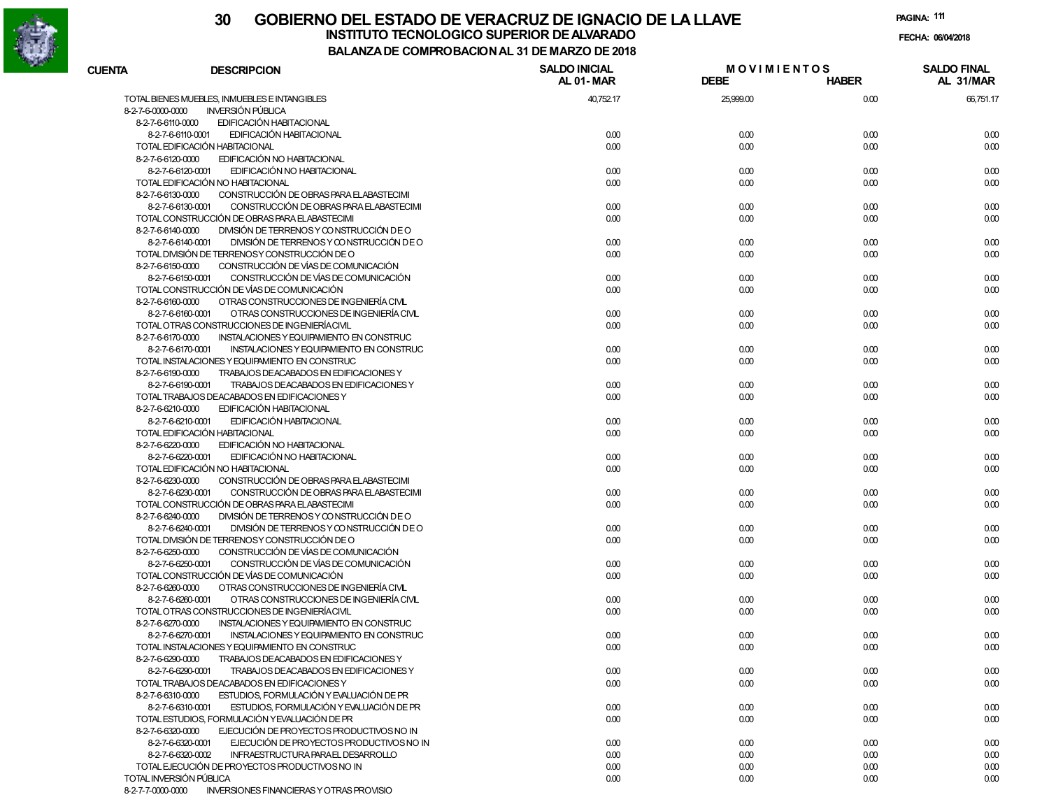

## **30 GOBIERNO DEL ESTADO DE VERACRUZ DE IGNACIO DE LA LLAVEINSTITUTO TECNOLOGICO SUPERIOR DE ALVARADO de la composición de la composición de la composición de la composición**<br>Dal aniza de compocidade de la caldeira de segona

**PAGINA:111**

**FECHA:**

**BALANZA DE COMPROBACION AL 31 DE MARZO DE 2018**

| <b>CUENTA</b>     | <b>DESCRIPCION</b>                                                                                              | <b>SALDO INICIAL</b><br>AL 01-MAR | <b>MOVIMIENTOS</b><br><b>DEBE</b> | <b>HABER</b> | <b>SALDO FINAL</b><br>AL 31/MAR |
|-------------------|-----------------------------------------------------------------------------------------------------------------|-----------------------------------|-----------------------------------|--------------|---------------------------------|
|                   | TOTAL BIENES MUEBLES, INMUEBLES E INTANGIBLES                                                                   | 40,752.17                         | 25,999.00                         | 0.00         | 66,751.17                       |
| 8-2-7-6-0000-0000 | <b>INVERSIÓN PÚBLICA</b>                                                                                        |                                   |                                   |              |                                 |
| 8-2-7-6-6110-0000 | EDIFICACIÓN HABITACIONAL                                                                                        |                                   |                                   |              |                                 |
|                   | EDIFICACIÓN HABITACIONAL<br>8-2-7-6-6110-0001                                                                   | 0.00                              | 0.00                              | 0.00         | 0.00                            |
|                   | TOTAL EDIFICACIÓN HABITACIONAL                                                                                  | 0.00                              | 0.00                              | 0.00         | 0.00                            |
| 8-2-7-6-6120-0000 | EDIFICACIÓN NO HABITACIONAL                                                                                     |                                   |                                   |              |                                 |
|                   | EDIFICACIÓN NO HABITACIONAL<br>8-2-7-6-6120-0001                                                                | 0.00                              | 0.00                              | 0.00         | 0.00                            |
|                   | TOTAL EDIFICACIÓN NO HABITACIONAL                                                                               | 0.00                              | 0.00                              | 0.00         | 0.00                            |
| 8-2-7-6-6130-0000 | CONSTRUCCIÓN DE OBRAS PARA ELABASTECIMI                                                                         |                                   |                                   |              |                                 |
|                   | 8-2-7-6-6130-0001<br>CONSTRUCCIÓN DE OBRAS PARA ELABASTECIMI                                                    | 0.00                              | 0.00                              | 0.00         | 0.00                            |
|                   | TOTAL CONSTRUCCIÓN DE OBRAS PARA ELABASTECIMI                                                                   | 0.00                              | 0.00                              | 0.00         | 0.00                            |
| 8-2-7-6-6140-0000 | DIVISIÓN DE TERRENOS Y CONSTRUCCIÓN DE O                                                                        |                                   |                                   |              |                                 |
|                   | DIVISIÓN DE TERRENOS Y CONSTRUCCIÓN DE O<br>8-2-7-6-6140-0001                                                   | 0.00                              | 0.00                              | 0.00         | 0.00                            |
|                   | TOTAL DIVISIÓN DE TERRENOSY CONSTRUCCIÓN DE O                                                                   | 0.00                              | 0.00                              | 0.00         | 0.00                            |
| 8-2-7-6-6150-0000 | CONSTRUCCIÓN DE VÍAS DE COMUNICACIÓN                                                                            |                                   |                                   |              |                                 |
|                   | CONSTRUCCIÓN DE VÍAS DE COMUNICACIÓN<br>8-2-7-6-6150-0001                                                       | 0.00                              | 0.00                              | 0.00         | 0.00                            |
|                   | TOTAL CONSTRUCCIÓN DE VÍAS DE COMUNICACIÓN                                                                      | 0.00                              | 0.00                              | 0.00         | 0.00                            |
| 8-2-7-6-6160-0000 | OTRAS CONSTRUCCIONES DE INGENIERÍA CIVL                                                                         |                                   |                                   |              |                                 |
|                   | OTRAS CONSTRUCCIONES DE INGENIERÍA CIVL<br>8-2-7-6-6160-0001                                                    | 0.00                              | 0.00                              | 0.00         | 0.00                            |
|                   | TOTAL OTRAS CONSTRUCCIONES DE INGENIERÍACIVIL                                                                   | 0.00                              | 0.00                              | 0.00         | 0.00                            |
| 8-2-7-6-6170-0000 | INSTALACIONES Y EQUIPAMIENTO EN CONSTRUC                                                                        |                                   |                                   |              |                                 |
|                   | 8-2-7-6-6170-0001<br>INSTALACIONES Y EQUIPAMIENTO EN CONSTRUC<br>TOTAL INSTALACIONES Y EQUIPAMIENTO EN CONSTRUC | 0.00                              | 0.00                              | 0.00         | 0.00                            |
| 8-2-7-6-6190-0000 | TRABAJOS DEACABADOS EN EDIFICACIONES Y                                                                          | 0.00                              | 0.00                              | 0.00         | 0.00                            |
|                   | 8-2-7-6-6190-0001<br>TRABAJOS DEACABADOS EN EDIFICACIONES Y                                                     | 0.00                              |                                   |              |                                 |
|                   | TOTAL TRABAJOS DEACABADOS EN EDIFICACIONES Y                                                                    | 0.00                              | 0.00                              | 0.00<br>0.00 | 0.00                            |
| 8-2-7-6-6210-0000 | EDIFICACIÓN HABITACIONAL                                                                                        |                                   | 0.00                              |              | 0.00                            |
|                   | EDIFICACIÓN HABITACIONAL<br>8-2-7-6-6210-0001                                                                   | 0.00                              | 0.00                              | 0.00         | 0.00                            |
|                   | TOTAL EDIFICACIÓN HABITACIONAL                                                                                  | 0.00                              | 0.00                              | 0.00         | 0.00                            |
| 8-2-7-6-6220-0000 | EDIFICACIÓN NO HABITACIONAL                                                                                     |                                   |                                   |              |                                 |
|                   | EDIFICACIÓN NO HABITACIONAL<br>8-2-7-6-6220-0001                                                                | 0.00                              | 0.00                              | 0.00         | 0.00                            |
|                   | TOTAL EDIFICACIÓN NO HABITACIONAL                                                                               | 0.00                              | 0.00                              | 0.00         | 0.00                            |
| 8-2-7-6-6230-0000 | CONSTRUCCIÓN DE OBRAS PARA ELABASTECIMI                                                                         |                                   |                                   |              |                                 |
|                   | 8-2-7-6-6230-0001<br>CONSTRUCCIÓN DE OBRAS PARA ELABASTECIMI                                                    | 0.00                              | 0.00                              | 0.00         | 0.00                            |
|                   | TOTAL CONSTRUCCIÓN DE OBRAS PARA ELABASTECIMI                                                                   | 0.00                              | 0.00                              | 0.00         | 0.00                            |
| 8-2-7-6-6240-0000 | DIVISIÓN DE TERRENOS Y CONSTRUCCIÓN DE O                                                                        |                                   |                                   |              |                                 |
|                   | DIVISIÓN DE TERRENOS Y CONSTRUCCIÓN DE O<br>8-2-7-6-6240-0001                                                   | 0.00                              | 0.00                              | 0.00         | 0.00                            |
|                   | TOTAL DIVISIÓN DE TERRENOSY CONSTRUCCIÓN DE O                                                                   | 0.00                              | 0.00                              | 0.00         | 0.00                            |
| 8-2-7-6-6250-0000 | CONSTRUCCIÓN DE VÍAS DE COMUNICACIÓN                                                                            |                                   |                                   |              |                                 |
|                   | CONSTRUCCIÓN DE VÍAS DE COMUNICACIÓN<br>8-2-7-6-6250-0001                                                       | 0.00                              | 0.00                              | 0.00         | 0.00                            |
|                   | TOTAL CONSTRUCCIÓN DE VÍAS DE COMUNICACIÓN                                                                      | 0.00                              | 0.00                              | 0.00         | 0.00                            |
| 8-2-7-6-6260-0000 | OTRAS CONSTRUCCIONES DE INGENIERÍA CIVL                                                                         |                                   |                                   |              |                                 |
|                   | OTRAS CONSTRUCCIONES DE INGENIERÍA CIVL<br>8-2-7-6-6260-0001                                                    | 0.00                              | 0.00                              | 0.00         | 0.00                            |
|                   | TOTAL OTRAS CONSTRUCCIONES DE INGENIERÍACIVIL                                                                   | 0.00                              | 0.00                              | 0.00         | 0.00                            |
| 8-2-7-6-6270-0000 | INSTALACIONES Y EQUIPAMIENTO EN CONSTRUC                                                                        |                                   |                                   |              |                                 |
|                   | INSTALACIONES Y EQUIPAMIENTO EN CONSTRUC<br>8-2-7-6-6270-0001                                                   | 0.00                              | 0.00                              | 0.00         | 0.00                            |
|                   | TOTAL INSTALACIONES Y EQUIPAMIENTO EN CONSTRUC                                                                  | 0.00                              | 0.00                              | 0.00         | 0.00                            |
| 8-2-7-6-6290-0000 | TRABAJOS DEACABADOS EN EDIFICACIONES Y                                                                          |                                   |                                   |              |                                 |
|                   | 8-2-7-6-6290-0001<br>TRABAJOS DEACABADOS EN EDIFICACIONES Y                                                     | 0.00                              | 0.00                              | 0.00         | 0.00                            |
|                   | TOTAL TRABAJOS DEACABADOS EN EDIFICACIONES Y                                                                    | 0.00                              | 0.00                              | 0.00         | 0.00                            |
| 8-2-7-6-6310-0000 | ESTUDIOS, FORMULACIÓN Y EVALUACIÓN DE PR                                                                        |                                   |                                   |              |                                 |
|                   | ESTUDIOS, FORMULACIÓN Y EVALUACIÓN DE PR<br>8-2-7-6-6310-0001                                                   | 0.00                              | 0.00                              | 0.00         | 0.00                            |
|                   | TOTAL ESTUDIOS. FORMULACIÓN YEVALUACIÓN DE PR                                                                   | 0.00                              | 0.00                              | 0.00         | 0.00                            |
| 8-2-7-6-6320-0000 | EJECUCIÓN DE PROYECTOS PRODUCTIVOS NO IN                                                                        |                                   |                                   |              |                                 |
|                   | 8-2-7-6-6320-0001<br>EJECUCIÓN DE PROYECTOS PRODUCTIVOS NO IN                                                   | 0.00                              | 0.00                              | 0.00         | 0.00                            |
|                   | INFRAESTRUCTURA PARAEL DESARROLLO<br>8-2-7-6-6320-0002                                                          | 0.00                              | 0.00                              | 0.00         | 0.00                            |
|                   | TOTAL EJECUCIÓN DE PROYECTOS PRODUCTIVOS NO IN                                                                  | 0.00                              | 0.00                              | 0.00         | 0.00                            |
|                   | TOTAL INVERSIÓN PÚBLICA                                                                                         | 0.00                              | 0.00                              | 0.00         | 0.00                            |
| 8-2-7-7-0000-0000 | <b>INVERSIONES FINANCIERAS Y OTRAS PROVISIO</b>                                                                 |                                   |                                   |              |                                 |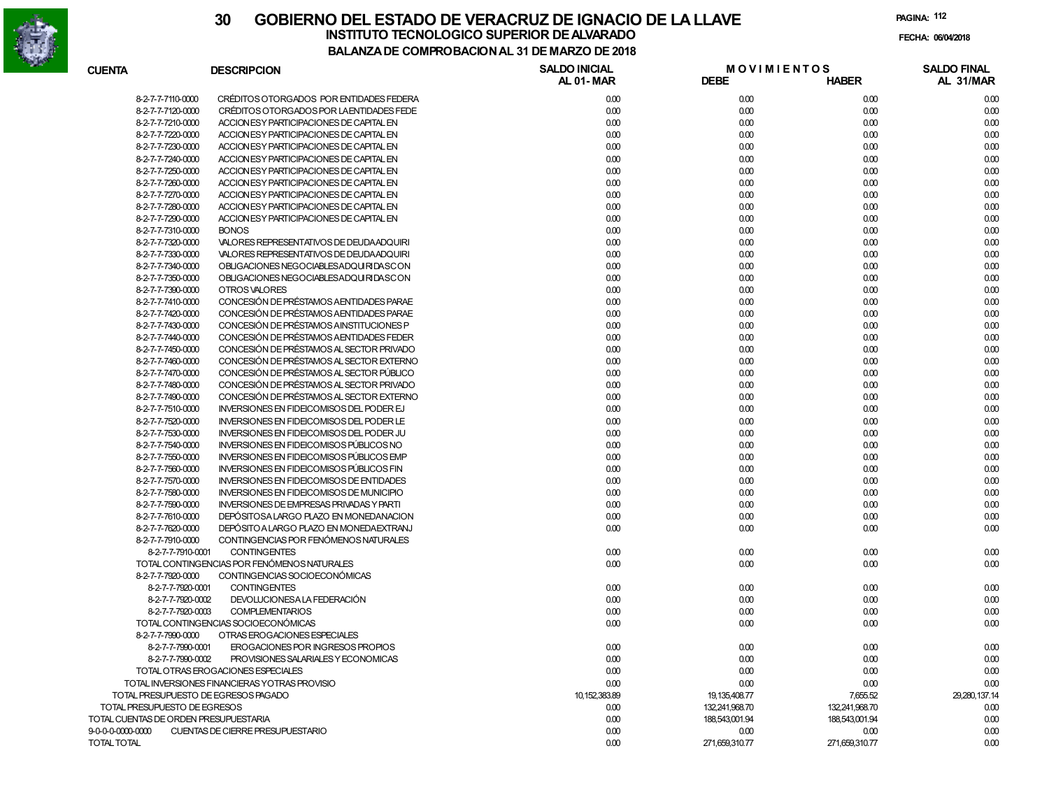

#### **30 GOBIERNO DEL ESTADO DE VERACRUZ DE IGNACIO DE LA LLAVEFECHA: 06/04/2018 BALANZA DE COMPROBACION AL 31 DE MARZO DE 2018INSTITUTO TECNOLOGICO SUPERIOR DE ALVARADO**

**PAGINA:112**

| <b>CUENTA</b>                         | <b>DESCRIPCION</b>                              | <b>SALDO INICIAL</b><br>AL 01-MAR | <b>DEBE</b>      | <b>MOVIMIENTOS</b><br><b>HABER</b> | <b>SALDO FINAL</b><br>AL 31/MAR |
|---------------------------------------|-------------------------------------------------|-----------------------------------|------------------|------------------------------------|---------------------------------|
| 8-2-7-7-7110-0000                     | CRÉDITOS OTORGADOS POR ENTIDADES FEDERA         | 0.00                              | 0.00             | 0.00                               | 0.00                            |
| 8-2-7-7-7120-0000                     | CRÉDITOS OTORGADOS POR LA ENTIDADES FEDE        | 0.00                              | 0.00             | 0.00                               | 0.00                            |
| 8-2-7-7-7210-0000                     | ACCION ES Y PARTICIPACIONES DE CAPITAL EN       | 0.00                              | 0.00             | 0.00                               | 0.00                            |
| 8-2-7-7-7220-0000                     | ACCION ES Y PARTICIPACIONES DE CAPITAL EN       | 0.00                              | 0.00             | 0.00                               | 0.00                            |
| 8-2-7-7-7230-0000                     | ACCION ES Y PARTICIPACIONES DE CAPITAL EN       | 0.00                              | 0.00             | 0.00                               | 0.00                            |
| 8-2-7-7-7240-0000                     | ACCION ES Y PARTICIPACIONES DE CAPITAL EN       | 0.00                              | 0.00             | 0.00                               | 0.00                            |
| 8-2-7-7-7250-0000                     | ACCION ES Y PARTICIPACIONES DE CAPITAL EN       | 0.00                              | 0.00             | 0.00                               | 0.00                            |
| 8-2-7-7-7260-0000                     | ACCION ES Y PARTICIPACIONES DE CAPITAL EN       | 0.00                              | 0.00             | 0.00                               | 0.00                            |
| 8-2-7-7-7270-0000                     | ACCION ES Y PARTICIPACIONES DE CAPITAL EN       | 0.00                              | 0.00             | 0.00                               | 0.00                            |
| 8-2-7-7-7280-0000                     | ACCION ES Y PARTICIPACIONES DE CAPITAL EN       | 0.00                              | 0.00             | 0.00                               | 0.00                            |
| 8-2-7-7-7290-0000                     | ACCION ES Y PARTICIPACIONES DE CAPITAL EN       | 0.00                              | 0.00             | 0.00                               | 0.00                            |
| 8-2-7-7-7310-0000                     | <b>BONOS</b>                                    | 0.00                              | 0.00             | 0.00                               | 0.00                            |
| 8-2-7-7-7320-0000                     | VALORES REPRESENTATIVOS DE DEUDA ADQUIRI        | 0.00                              | 0.00             | 0.00                               | 0.00                            |
| 8-2-7-7-7330-0000                     | VALORES REPRESENTATIVOS DE DEUDA ADQUIRI        | 0.00                              | 0.00             | 0.00                               | 0.00                            |
| 8-2-7-7-7340-0000                     | OBLIGACIONES NEGOCIABLESADQUIRIDASCON           | 0.00                              | 0.00             | 0.00                               | 0.00                            |
| 8-2-7-7-7350-0000                     | OBLIGACIONES NEGOCIABLESADQUIRIDASCON           | 0.00                              | 0.00             | 0.00                               | 0.00                            |
| 8-2-7-7-7390-0000                     | OTROS VALORES                                   | 0.00                              | 0.00             | 0.00                               | 0.00                            |
| 8-2-7-7-7410-0000                     | CONCESIÓN DE PRÉSTAMOS A ENTIDADES PARAE        | 0.00                              | 0.00             | 0.00                               | 0.00                            |
| 8-2-7-7-7420-0000                     | CONCESIÓN DE PRÉSTAMOS A ENTIDADES PARAE        | 0.00                              | 0.00             | 0.00                               | 0.00                            |
| 8-2-7-7-7430-0000                     | CONCESIÓN DE PRÉSTAMOS AINSTITUCIONES P         | 0.00                              | 0.00             | 0.00                               | 0.00                            |
| 8-2-7-7-7440-0000                     | CONCESIÓN DE PRÉSTAMOS A ENTIDADES FEDER        | 0.00                              | 0.00             | 0.00                               | 0.00                            |
| 8-2-7-7-7450-0000                     | CONCESIÓN DE PRÉSTAMOS AL SECTOR PRIVADO        | 0.00                              | 0.00             | 0.00                               | 0.00                            |
| 8-2-7-7-7460-0000                     | CONCESIÓN DE PRÉSTAMOS AL SECTOR EXTERNO        | 0.00                              | 0.00             | 0.00                               | 0.00                            |
| 8-2-7-7-7470-0000                     | CONCESIÓN DE PRÉSTAMOS AL SECTOR PÚBLICO        | 0.00                              | 0.00             | 0.00                               | 0.00                            |
| 8-2-7-7-7480-0000                     | CONCESIÓN DE PRÉSTAMOS AL SECTOR PRIVADO        | 0.00                              | 0.00             | 0.00                               | 0.00                            |
| 8-2-7-7-7490-0000                     | CONCESIÓN DE PRÉSTAMOS AL SECTOR EXTERNO        | 0.00                              | 0.00             | 0.00                               | 0.00                            |
| 8-2-7-7-7510-0000                     | INVERSIONES EN FIDEICOMISOS DEL PODER EJ        | 0.00                              | 0.00             | 0.00                               | 0.00                            |
| 8-2-7-7-7520-0000                     | <b>INVERSIONES EN FIDEICOMISOS DEL PODER LE</b> | 0.00                              | 0.00             | 0.00                               | 0.00                            |
| 8-2-7-7-7530-0000                     | <b>INVERSIONES EN FIDEICOMISOS DEL PODER JU</b> | 0.00                              | 0.00             | 0.00                               | 0.00                            |
| 8-2-7-7-7540-0000                     | INVERSIONES EN FIDEICOMISOS PÚBLICOS NO         | 0.00                              | 0.00             | 0.00                               | 0.00                            |
| 8-2-7-7-7550-0000                     | <b>INVERSIONES EN FIDEICOMISOS PÚBLICOS EMP</b> | 0.00                              | 0.00             | 0.00                               | 0.00                            |
| 8-2-7-7-7560-0000                     | INVERSIONES EN FIDEICOMISOS PÚBLICOS FIN        | 0.00                              | 0.00             | 0.00                               | 0.00                            |
| 8-2-7-7-7570-0000                     | <b>INVERSIONES EN FIDEICOMISOS DE ENTIDADES</b> | 0.00                              | 0.00             | 0.00                               | 0.00                            |
| 8-2-7-7-7580-0000                     | <b>INVERSIONES EN FIDEICOMISOS DE MUNICIPIO</b> | 0.00                              | 0.00             | 0.00                               | 0.00                            |
| 8-2-7-7-7590-0000                     | <b>INVERSIONES DE EMPRESAS PRIVADAS Y PARTI</b> | 0.00                              | 0.00             | 0.00                               | 0.00                            |
| 8-2-7-7-7610-0000                     | DEPÓSITOSA LARGO PLAZO EN MONEDANACION          | 0.00                              | 0.00             | 0.00                               | 0.00                            |
| 8-2-7-7-7620-0000                     | DEPÓSITO A LARGO PLAZO EN MONEDA EXTRANJ        | 0.00                              | 0.00             | 0.00                               | 0.00                            |
| 8-2-7-7-7910-0000                     | CONTINGENCIAS POR FENÓMENOS NATURALES           |                                   |                  |                                    |                                 |
| 8-2-7-7-7910-0001                     | <b>CONTINGENTES</b>                             | 0.00                              | 0.00             | 0.00                               | 0.00                            |
|                                       | TOTAL CONTINGENCIAS POR FENÓMENOS NATURALES     | 0.00                              | 0.00             | 0.00                               | 0.00                            |
| 8-2-7-7-7920-0000                     | CONTINGENCIAS SOCIOECONÓMICAS                   |                                   |                  |                                    |                                 |
| 8-2-7-7-7920-0001                     | <b>CONTINGENTES</b>                             | 0.00                              | 0.00             | 0.00                               | 0.00                            |
| 8-2-7-7-7920-0002                     | DEVOLUCIONESA LA FEDERACIÓN                     | 0.00                              | 0.00             | 0.00                               | 0.00                            |
| 8-2-7-7-7920-0003                     | <b>COMPLEMENTARIOS</b>                          | 0.00                              | 0.00             | 0.00                               | 0.00                            |
|                                       | TOTAL CONTINGENCIAS SOCIOECONÓMICAS             | 0.00                              | 0.00             | 0.00                               | 0.00                            |
| 8-2-7-7-7990-0000                     | OTRAS EROGACIONES ESPECIALES                    |                                   |                  |                                    |                                 |
| 8-2-7-7-7990-0001                     | EROGACIONES POR INGRESOS PROPIOS                | 0.00                              | 0.00             | 0.00                               | 0.00                            |
| 8-2-7-7-7990-0002                     | PROVISIONES SALARIALES Y ECONOMICAS             | 0.00                              | 0.00             | 0.00                               | 0.00                            |
|                                       | TOTAL OTRAS EROGACIONES ESPECIALES              | 0.00                              | 0.00             | 0.00                               | 0.00                            |
|                                       | TOTAL INVERSIONES FINANCIERAS YOTRAS PROVISIO   | 0.00                              | 0.00             | 0.00                               | 0.00                            |
|                                       | TOTAL PRESUPUESTO DE EGRESOS PAGADO             | 10, 152, 383.89                   | 19, 135, 408. 77 | 7,655.52                           | 29,280,137.14                   |
| TOTAL PRESUPUESTO DE EGRESOS          |                                                 | 0.00                              | 132,241,968.70   | 132,241,968.70                     | 0.00                            |
| TOTAL CUENTAS DE ORDEN PRESUPUESTARIA |                                                 | 0.00                              | 188,543,001.94   | 188,543,001.94                     | 0.00                            |
| 9-0-0-0-0000-0000                     | CUENTAS DE CIERRE PRESUPUESTARIO                | 0.00                              | 0.00             | 0.00                               | 0.00                            |
| TOTAL TOTAL                           |                                                 | 0.00                              | 271,659,310.77   | 271,659,310.77                     | 0.00                            |